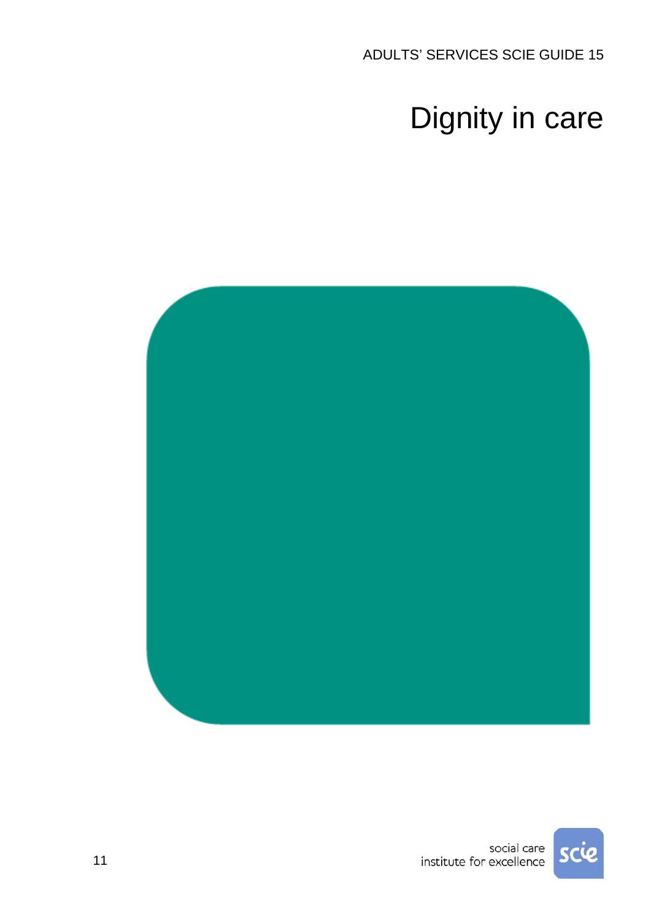ADULTS' SERVICES SCIE GUIDE 15

# Dignity in care



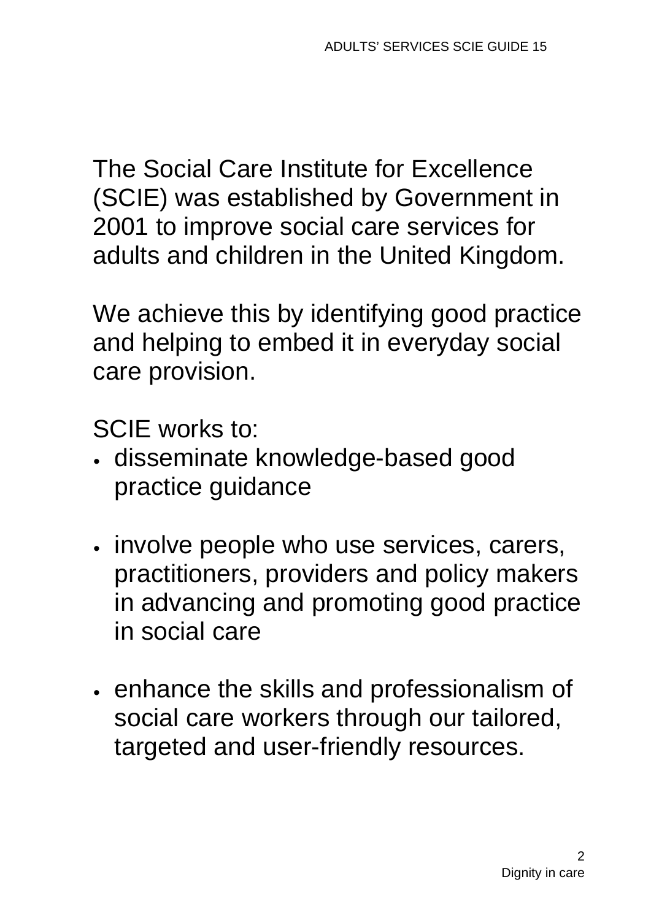The Social Care Institute for Excellence (SCIE) was established by Government in 2001 to improve social care services for adults and children in the United Kingdom.

We achieve this by identifying good practice and helping to embed it in everyday social care provision.

SCIE works to:

- disseminate knowledge-based good practice guidance
- $\cdot$  involve people who use services, carers, practitioners, providers and policy makers in advancing and promoting good practice in social care
- $\cdot$  enhance the skills and professionalism of social care workers through our tailored, targeted and user-friendly resources.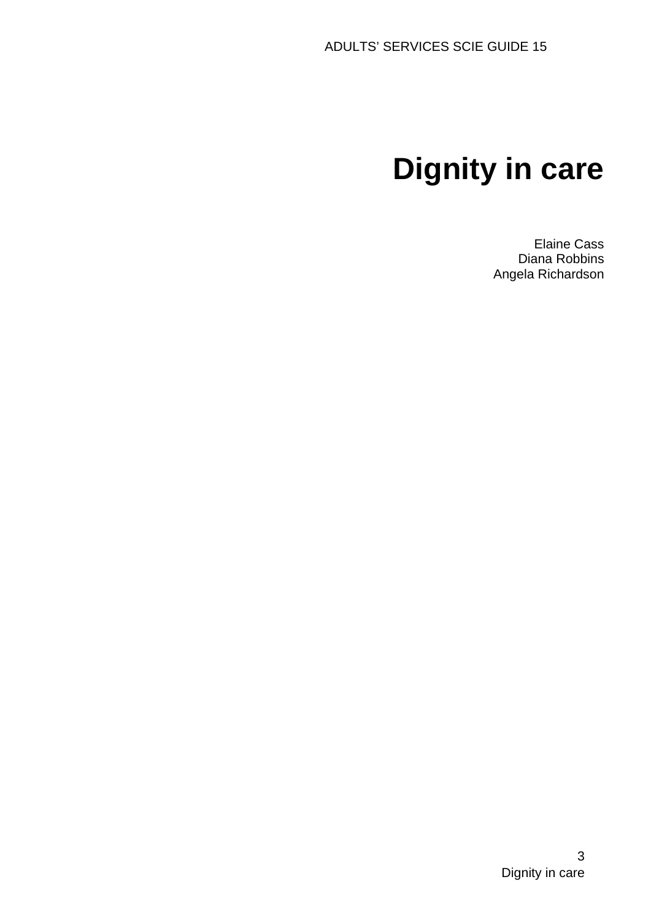# **Dignity in care**

Elaine Cass Diana Robbins Angela Richardson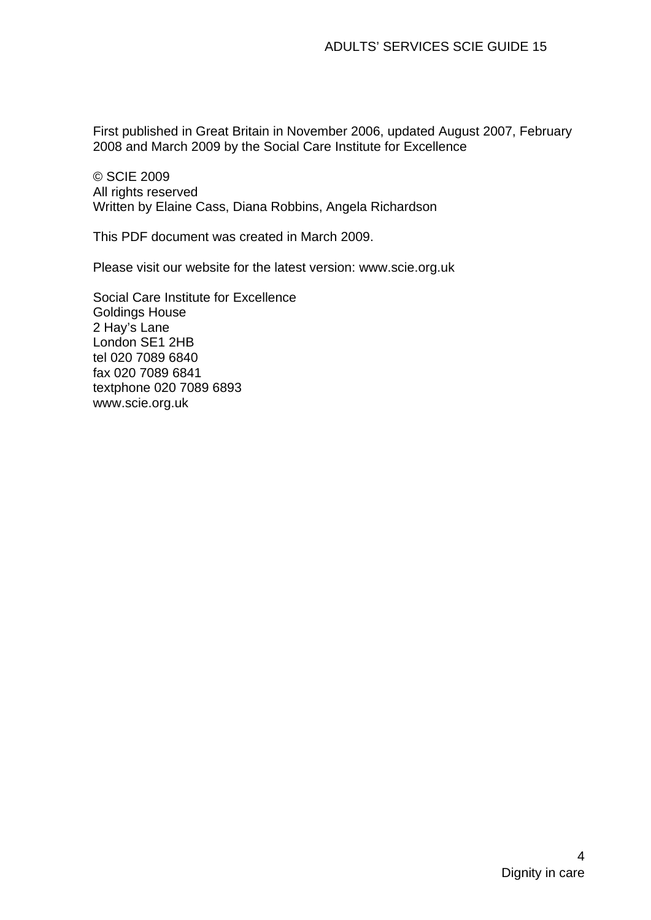First published in Great Britain in November 2006, updated August 2007, February 2008 and March 2009 by the Social Care Institute for Excellence

© SCIE 2009 All rights reserved Written by Elaine Cass, Diana Robbins, Angela Richardson

This PDF document was created in March 2009.

Please visit our website for the latest version: www.scie.org.uk

Social Care Institute for Excellence Goldings House 2 Hay's Lane London SE1 2HB tel 020 7089 6840 fax 020 7089 6841 textphone 020 7089 6893 www.scie.org.uk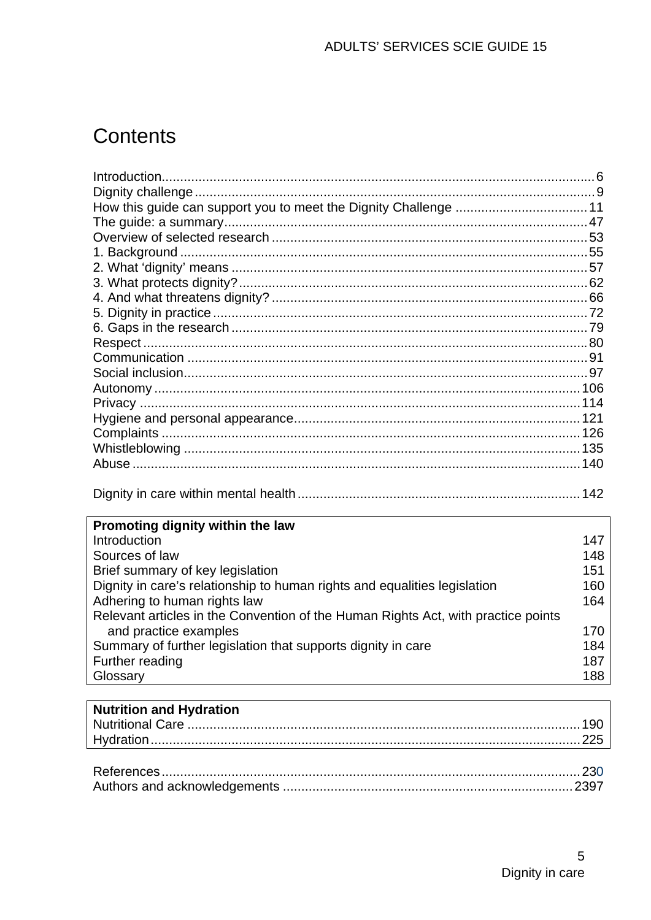# **Contents**

| Promoting dignity within the law                                                  |     |
|-----------------------------------------------------------------------------------|-----|
| Introduction                                                                      | 147 |
| Sources of law                                                                    | 148 |
| Brief summary of key legislation                                                  | 151 |
| Dignity in care's relationship to human rights and equalities legislation         | 160 |
| Adhering to human rights law                                                      | 164 |
| Relevant articles in the Convention of the Human Rights Act, with practice points |     |
| and practice examples                                                             | 170 |
| Summary of further legislation that supports dignity in care                      | 184 |

#### Summary of further legislation that supports dignity in care  $\,$ Further reading 187 Glossary 188 **Nutrition and Hydration**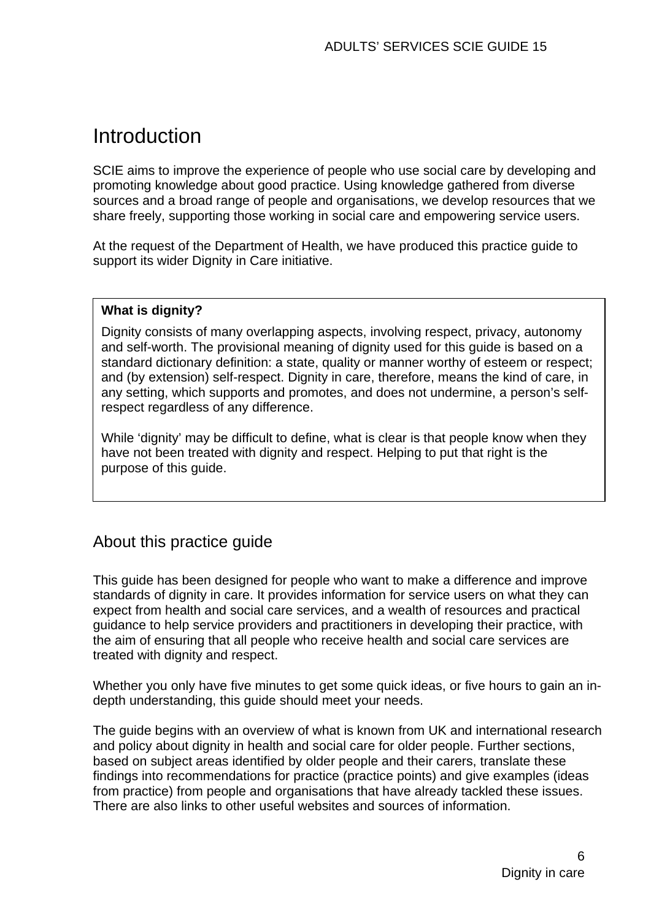# <span id="page-5-0"></span>Introduction

SCIE aims to improve the experience of people who use social care by developing and promoting knowledge about good practice. Using knowledge gathered from diverse sources and a broad range of people and organisations, we develop resources that we share freely, supporting those working in social care and empowering service users.

At the request of the Department of Health, we have produced this practice guide to support its wider Dignity in Care initiative.

#### **What is dignity?**

Dignity consists of many overlapping aspects, involving respect, privacy, autonomy and self-worth. The provisional meaning of dignity used for this guide is based on a standard dictionary definition: a state, quality or manner worthy of esteem or respect; and (by extension) self-respect. Dignity in care, therefore, means the kind of care, in any setting, which supports and promotes, and does not undermine, a person's selfrespect regardless of any difference.

While 'dignity' may be difficult to define, what is clear is that people know when they have not been treated with dignity and respect. Helping to put that right is the purpose of this guide.

# About this practice guide

This guide has been designed for people who want to make a difference and improve standards of dignity in care. It provides information for service users on what they can expect from health and social care services, and a wealth of resources and practical guidance to help service providers and practitioners in developing their practice, with the aim of ensuring that all people who receive health and social care services are treated with dignity and respect.

Whether you only have five minutes to get some quick ideas, or five hours to gain an indepth understanding, this guide should meet your needs.

The guide begins with an overview of what is known from UK and international research and policy about dignity in health and social care for older people. Further sections, based on subject areas identified by older people and their carers, translate these findings into recommendations for practice (practice points) and give examples (ideas from practice) from people and organisations that have already tackled these issues. There are also links to other useful websites and sources of information.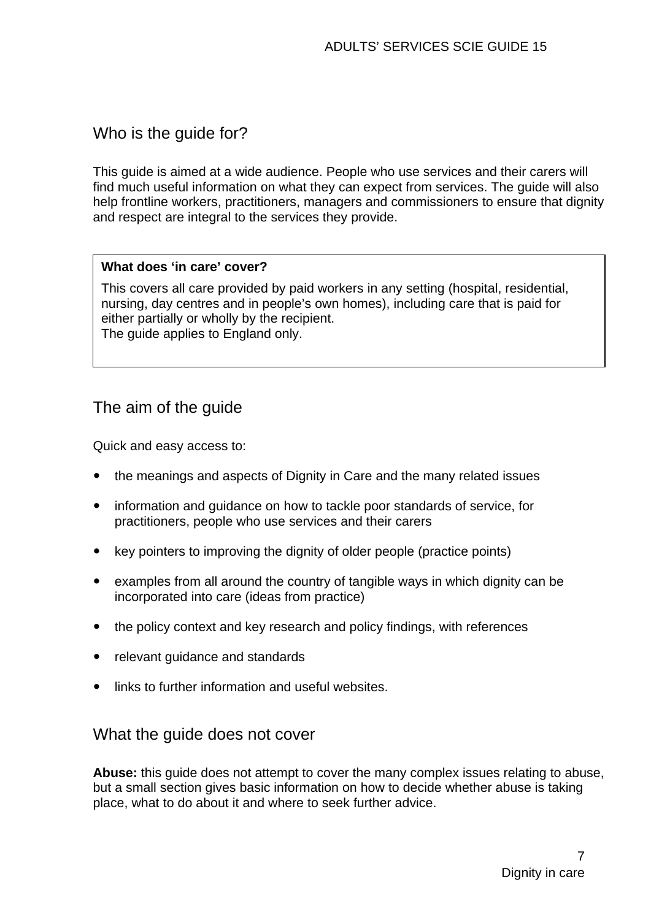# Who is the guide for?

This guide is aimed at a wide audience. People who use services and their carers will find much useful information on what they can expect from services. The guide will also help frontline workers, practitioners, managers and commissioners to ensure that dignity and respect are integral to the services they provide.

#### **What does 'in care' cover?**

This covers all care provided by paid workers in any setting (hospital, residential, nursing, day centres and in people's own homes), including care that is paid for either partially or wholly by the recipient. The guide applies to England only.

# The aim of the guide

Quick and easy access to:

- the meanings and aspects of Dignity in Care and the many related issues
- information and guidance on how to tackle poor standards of service, for practitioners, people who use services and their carers
- key pointers to improving the dignity of older people (practice points)
- $\bullet$  examples from all around the country of tangible ways in which dignity can be incorporated into care (ideas from practice)
- the policy context and key research and policy findings, with references
- relevant guidance and standards
- links to further information and useful websites.

## What the guide does not cover

**Abuse:** this guide does not attempt to cover the many complex issues relating to abuse, but a small section gives basic information on how to decide whether abuse is taking place, what to do about it and where to seek further advice.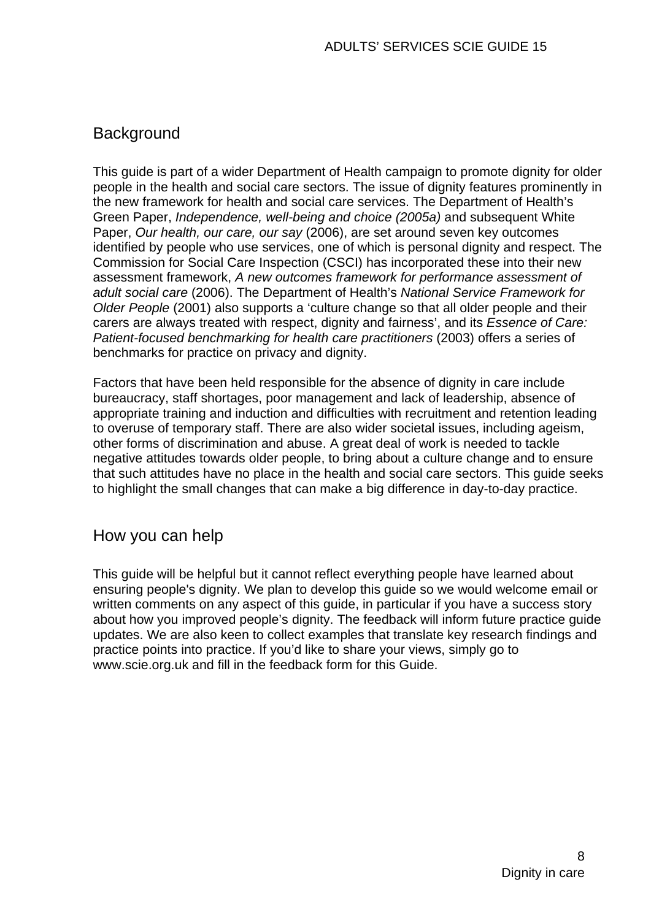# **Background**

This guide is part of a wider Department of Health campaign to promote dignity for older people in the health and social care sectors. The issue of dignity features prominently in the new framework for health and social care services. The Department of Health's Green Paper, *Independence, well-being and choice (2005a)* and subsequent White Paper, *Our health, our care, our say* (2006), are set around seven key outcomes identified by people who use services, one of which is personal dignity and respect. The Commission for Social Care Inspection (CSCI) has incorporated these into their new assessment framework, *A new outcomes framework for performance assessment of adult social care* (2006). The Department of Health's *National Service Framework for Older People* (2001) also supports a 'culture change so that all older people and their carers are always treated with respect, dignity and fairness', and its *Essence of Care: Patient-focused benchmarking for health care practitioners* (2003) offers a series of benchmarks for practice on privacy and dignity.

Factors that have been held responsible for the absence of dignity in care include bureaucracy, staff shortages, poor management and lack of leadership, absence of appropriate training and induction and difficulties with recruitment and retention leading to overuse of temporary staff. There are also wider societal issues, including ageism, other forms of discrimination and abuse. A great deal of work is needed to tackle negative attitudes towards older people, to bring about a culture change and to ensure that such attitudes have no place in the health and social care sectors. This guide seeks to highlight the small changes that can make a big difference in day-to-day practice.

# How you can help

This guide will be helpful but it cannot reflect everything people have learned about ensuring people's dignity. We plan to develop this guide so we would welcome email or written comments on any aspect of this guide, in particular if you have a success story about how you improved people's dignity. The feedback will inform future practice guide updates. We are also keen to collect examples that translate key research findings and practice points into practice. If you'd like to share your views, simply go to [www.scie.org.uk](http://www.scie.org.uk/) and fill in the feedback form for this Guide.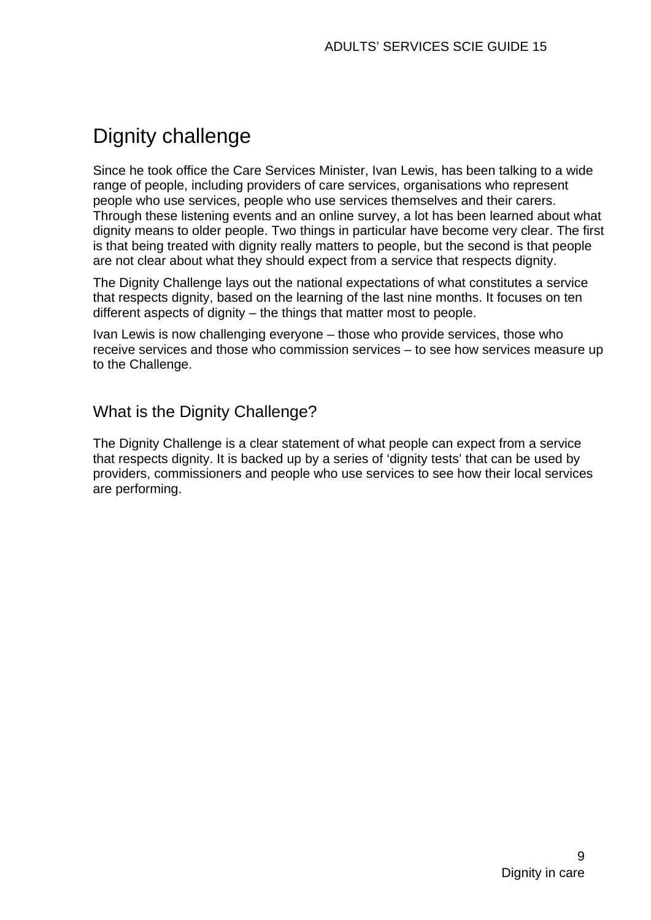# <span id="page-8-0"></span>Dignity challenge

Since he took office the Care Services Minister, Ivan Lewis, has been talking to a wide range of people, including providers of care services, organisations who represent people who use services, people who use services themselves and their carers. Through these listening events and an online survey, a lot has been learned about what dignity means to older people. Two things in particular have become very clear. The first is that being treated with dignity really matters to people, but the second is that people are not clear about what they should expect from a service that respects dignity.

The Dignity Challenge lays out the national expectations of what constitutes a service that respects dignity, based on the learning of the last nine months. It focuses on ten different aspects of dignity – the things that matter most to people.

Ivan Lewis is now challenging everyone – those who provide services, those who receive services and those who commission services – to see how services measure up to the Challenge.

# What is the Dignity Challenge?

The Dignity Challenge is a clear statement of what people can expect from a service that respects dignity. It is backed up by a series of 'dignity tests' that can be used by providers, commissioners and people who use services to see how their local services are performing.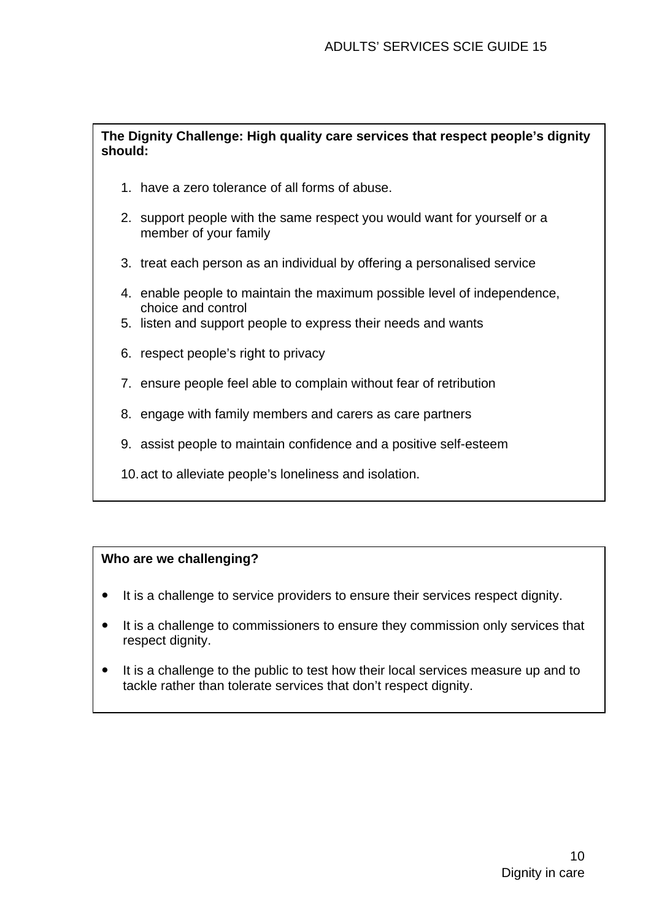#### **The Dignity Challenge: High quality care services that respect people's dignity should:**

- 1. have a zero tolerance of all forms of abuse.
- 2. support people with the same respect you would want for yourself or a member of your family
- 3. treat each person as an individual by offering a personalised service
- 4. enable people to maintain the maximum possible level of independence, choice and control
- 5. listen and support people to express their needs and wants
- 6. respect people's right to privacy
- 7. ensure people feel able to complain without fear of retribution
- 8. engage with family members and carers as care partners
- 9. assist people to maintain confidence and a positive self-esteem
- 10. act to alleviate people's loneliness and isolation.

#### **Who are we challenging?**

- It is a challenge to service providers to ensure their services respect dignity.
- It is a challenge to commissioners to ensure they commission only services that respect dignity.
- It is a challenge to the public to test how their local services measure up and to tackle rather than tolerate services that don't respect dignity.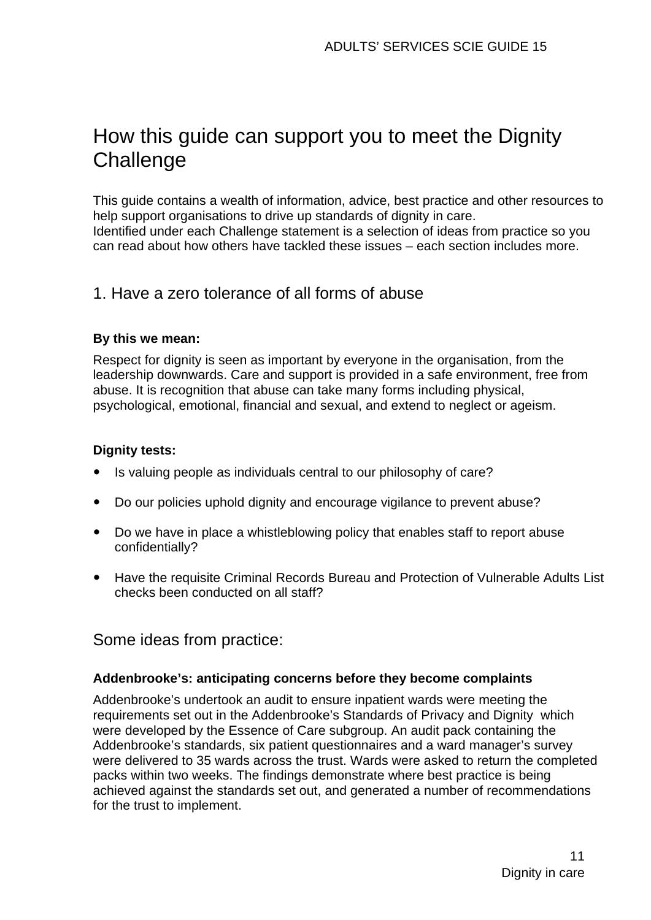# <span id="page-10-0"></span>How this guide can support you to meet the Dignity **Challenge**

This guide contains a wealth of information, advice, best practice and other resources to help support organisations to drive up standards of dignity in care. Identified under each Challenge statement is a selection of ideas from practice so you can read about how others have tackled these issues – each section includes more.

# 1. Have a zero tolerance of all forms of abuse

#### **By this we mean:**

Respect for dignity is seen as important by everyone in the organisation, from the leadership downwards. Care and support is provided in a safe environment, free from abuse. It is recognition that abuse can take many forms including physical, psychological, emotional, financial and sexual, and extend to neglect or ageism.

#### **Dignity tests:**

- Is valuing people as individuals central to our philosophy of care?
- Do our policies uphold dignity and encourage vigilance to prevent abuse?
- Do we have in place a whistleblowing policy that enables staff to report abuse confidentially?
- Have the requisite Criminal Records Bureau and Protection of Vulnerable Adults List checks been conducted on all staff?

Some ideas from practice:

#### **Addenbrooke's: anticipating concerns before they become complaints**

Addenbrooke's undertook an audit to ensure inpatient wards were meeting the requirements set out in the [Addenbrooke's Standards of Privacy and Dignity](http://www.scie.org.uk/publications/practiceguides/practiceguide09/ideas/files/addenbrooke.pdf) which were developed by the Essence of Care subgroup. An audit pack containing the Addenbrooke's standards, six patient questionnaires and a ward manager's survey were delivered to 35 wards across the trust. Wards were asked to return the completed packs within two weeks. The findings demonstrate where best practice is being achieved against the standards set out, and generated a number of recommendations for the trust to implement.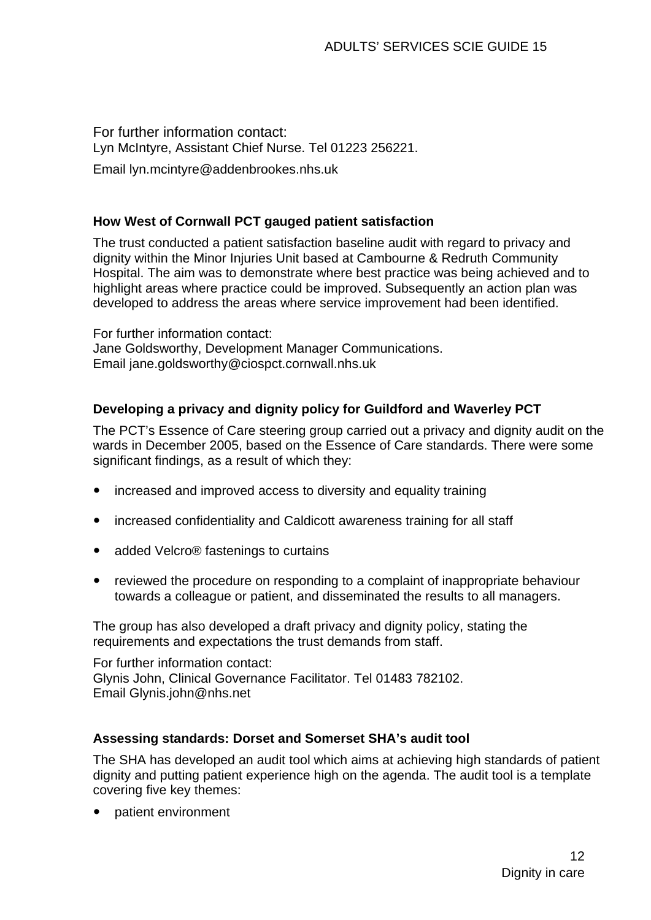For further information contact: Lyn McIntyre, Assistant Chief Nurse. Tel 01223 256221. Email [lyn.mcintyre@addenbrookes.nhs.uk](mailto:lyn.mcintyre@addenbrookes.nhs.uk)

#### **How West of Cornwall PCT gauged patient satisfaction**

The trust conducted a [patient satisfaction baseline audit](http://www.scie.org.uk/publications/practiceguides/practiceguide09/ideas/files/baselineaudit.pdf) with regard to privacy and dignity within the Minor Injuries Unit based at Cambourne & Redruth Community Hospital. The aim was to demonstrate where best practice was being achieved and to highlight areas where practice could be improved. Subsequently an action plan was developed to address the areas where service improvement had been identified.

For further information contact: Jane Goldsworthy, Development Manager Communications. Email [jane.goldsworthy@ciospct.cornwall.nhs.uk](mailto:jane.goldsworthy@ciospct.cornwall.nhs.uk)

#### **Developing a privacy and dignity policy for Guildford and Waverley PCT**

The PCT's Essence of Care steering group carried out a privacy and dignity audit on the wards in December 2005, based on the Essence of Care standards. There were some significant findings, as a result of which they:

- increased and improved access to diversity and equality training
- increased confidentiality and Caldicott awareness training for all staff
- added Velcro® fastenings to curtains
- reviewed the procedure on responding to a complaint of inappropriate behaviour towards a colleague or patient, and disseminated the results to all managers.

The group has also developed a draft [privacy and dignity policy,](http://www.scie.org.uk/publications/practiceguides/practiceguide09/ideas/files/policy.pdf) stating the requirements and expectations the trust demands from staff.

For further information contact: Glynis John, Clinical Governance Facilitator. Tel 01483 782102. Email [Glynis.john@nhs.net](mailto:Glynis.john@nhs.net)

#### **Assessing standards: Dorset and Somerset SHA's audit tool**

The SHA has developed an [audit tool](http://www.scie.org.uk/publications/practiceguides/practiceguide09/ideas/files/assessingstandards.pdf) which aims at achieving high standards of patient dignity and putting patient experience high on the agenda. The audit tool is a template covering five key themes:

• patient environment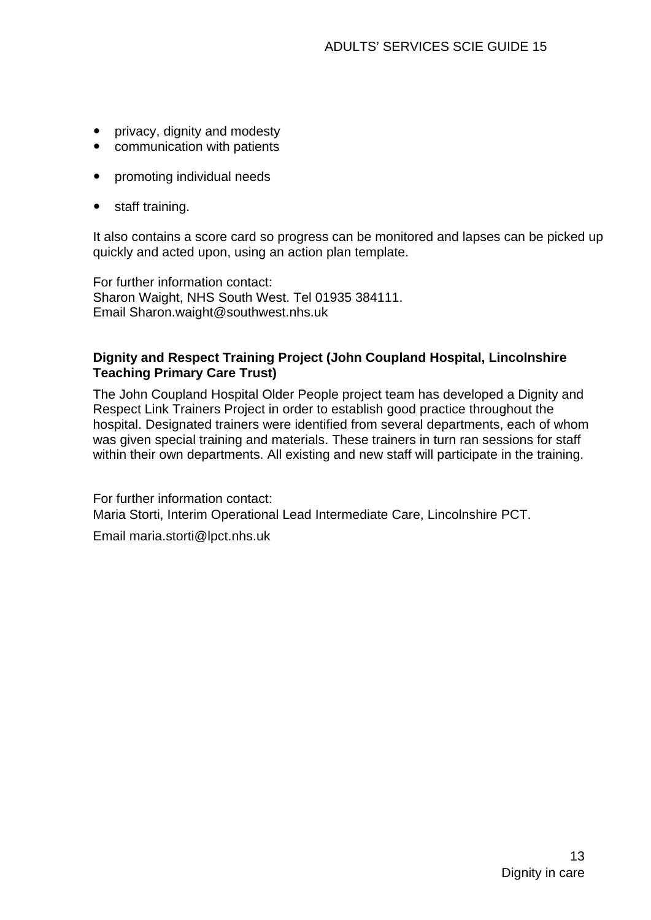- privacy, dignity and modesty
- communication with patients
- promoting individual needs
- staff training.

It also contains a score card so progress can be monitored and lapses can be picked up quickly and acted upon, using an action plan template.

For further information contact: Sharon Waight, NHS South West. Tel 01935 384111. Email [Sharon.waight@southwest.nhs.uk](mailto:Sharon.waight@southwest.nhs.uk)

#### **Dignity and Respect Training Project (John Coupland Hospital, Lincolnshire Teaching Primary Care Trust)**

The John Coupland Hospital Older People project team has developed a [Dignity and](http://www.scie.org.uk/publications/practiceguides/practiceguide09/ideas/files/johncoupland.pdf)  [Respect Link Trainers Project i](http://www.scie.org.uk/publications/practiceguides/practiceguide09/ideas/files/johncoupland.pdf)n order to establish good practice throughout the hospital. Designated trainers were identified from several departments, each of whom was given special training and materials. These trainers in turn ran sessions for staff within their own departments. All existing and new staff will participate in the training.

For further information contact: Maria Storti, Interim Operational Lead Intermediate Care, Lincolnshire PCT.

Email [maria.storti@lpct.nhs.uk](mailto:maria.storti@lpct.nhs.uk)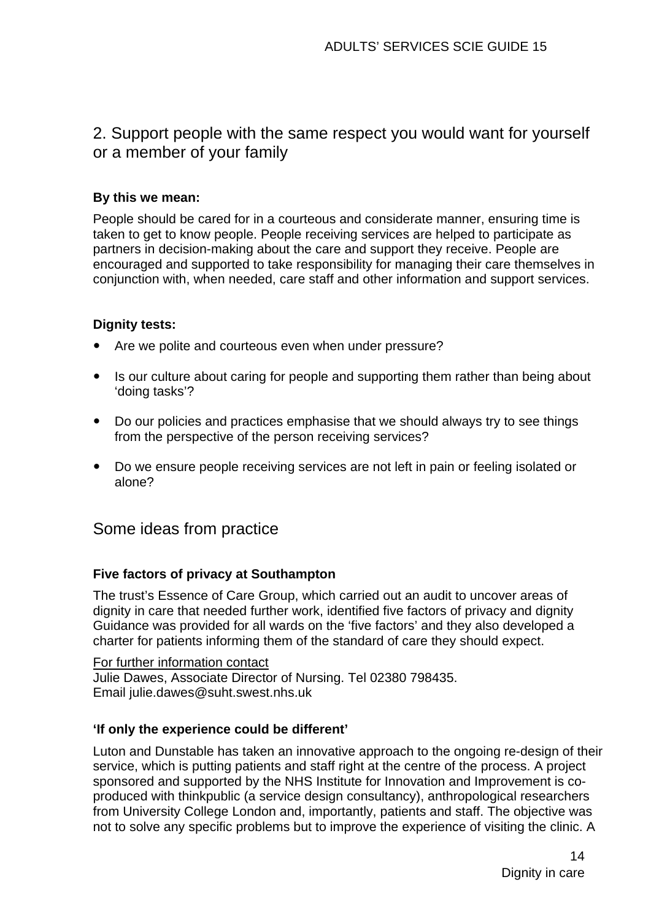# 2. Support people with the same respect you would want for yourself or a member of your family

#### **By this we mean:**

People should be cared for in a courteous and considerate manner, ensuring time is taken to get to know people. People receiving services are helped to participate as partners in decision-making about the care and support they receive. People are encouraged and supported to take responsibility for managing their care themselves in conjunction with, when needed, care staff and other information and support services.

#### **Dignity tests:**

- Are we polite and courteous even when under pressure?
- Is our culture about caring for people and supporting them rather than being about 'doing tasks'?
- Do our policies and practices emphasise that we should always try to see things from the perspective of the person receiving services?
- Do we ensure people receiving services are not left in pain or feeling isolated or alone?

# Some ideas from practice

#### **Five factors of privacy at Southampton**

The trust's Essence of Care Group, which carried out an audit to uncover areas of dignity in care that needed further work, identified [five factors of privacy and dignity](http://www.scie.org.uk/publications/practiceguides/practiceguide09/ideas/files/fivefactorsofprivacy2.pdf)  Guidance was provided for all wards on the 'five factors' and they also developed a [charter for patients](http://www.scie.org.uk/publications/practiceguides/practiceguide09/ideas/files/pcpd.pdf) informing them of the standard of care they should expect.

For further information contact Julie Dawes, Associate Director of Nursing. Tel 02380 798435. Email [julie.dawes@suht.swest.nhs.uk](mailto:julie.dawes@suht.swest.nhs.uk)

#### **'If only the experience could be different'**

Luton and Dunstable has taken an innovative approach to the ongoing re-design of their service, which is putting patients and staff right at the centre of the process. A project sponsored and supported by the NHS Institute for Innovation and Improvement is coproduced with thinkpublic (a service design consultancy), anthropological researchers from University College London and, importantly, patients and staff. The objective was not to solve any specific problems but to improve the experience of visiting the clinic. A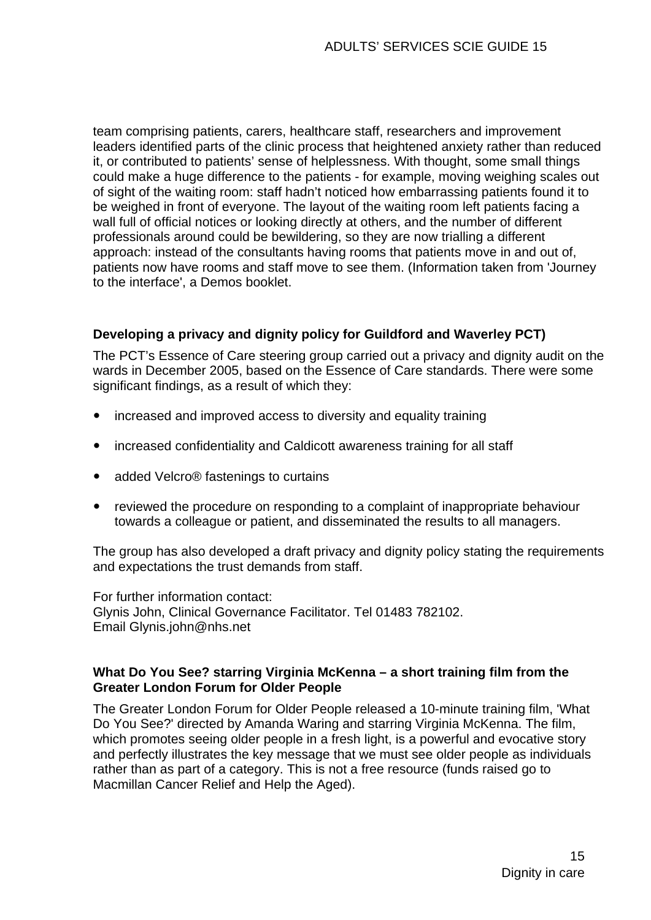team comprising patients, carers, healthcare staff, researchers and improvement leaders identified parts of the clinic process that heightened anxiety rather than reduced it, or contributed to patients' sense of helplessness. With thought, some small things could make a huge difference to the patients - for example, moving weighing scales out of sight of the waiting room: staff hadn't noticed how embarrassing patients found it to be weighed in front of everyone. The layout of the waiting room left patients facing a wall full of official notices or looking directly at others, and the number of different professionals around could be bewildering, so they are now trialling a different approach: instead of the consultants having rooms that patients move in and out of, patients now have rooms and staff move to see them. (Information taken from 'Journey to the interface', a Demos booklet.

#### **Developing a privacy and dignity policy for Guildford and Waverley PCT)**

The PCT's Essence of Care steering group carried out a privacy and dignity audit on the wards in December 2005, based on the Essence of Care standards. There were some significant findings, as a result of which they:

- increased and improved access to diversity and equality training
- increased confidentiality and Caldicott awareness training for all staff
- added Velcro<sup>®</sup> fastenings to curtains
- reviewed the procedure on responding to a complaint of inappropriate behaviour towards a colleague or patient, and disseminated the results to all managers.

The group has also developed a draft [privacy and dignity policy s](http://www.scie.org.uk/publications/practiceguides/practiceguide09/ideas/files/policy.pdf)tating the requirements and expectations the trust demands from staff.

For further information contact: Glynis John, Clinical Governance Facilitator. Tel 01483 782102. Email [Glynis.john@nhs.net](mailto:Glynis.john@nhs.net)

#### **What Do You See? starring Virginia McKenna – a short training film from the Greater London Forum for Older People**

The Greater London Forum for Older People released a 10-minute training film, 'What Do You See?' directed by Amanda Waring and starring Virginia McKenna. The film, which promotes seeing older people in a fresh light, is a powerful and evocative story and perfectly illustrates the key message that we must see older people as individuals rather than as part of a category. This is not a free resource (funds raised go to Macmillan Cancer Relief and Help the Aged).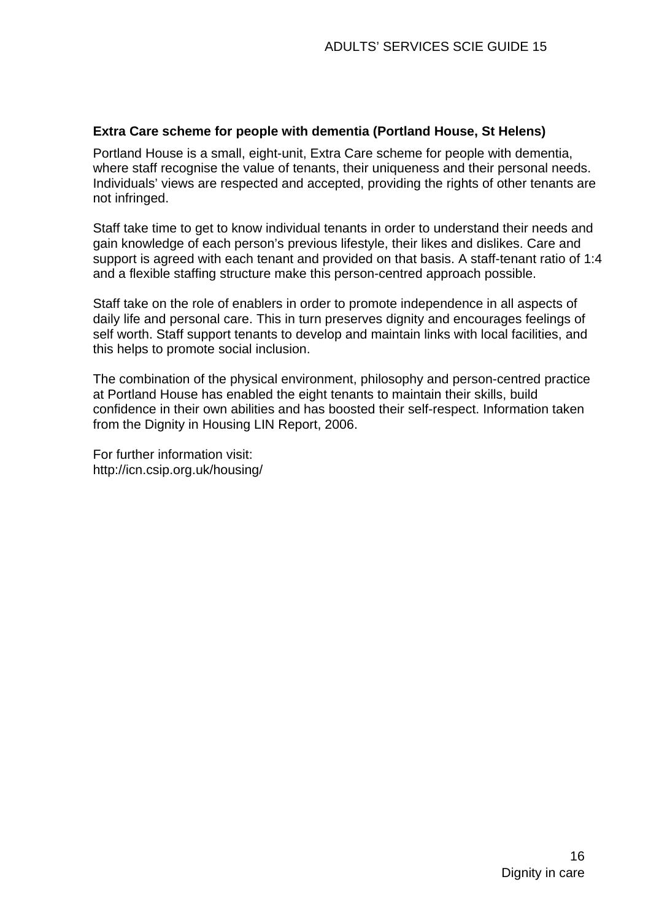#### **Extra Care scheme for people with dementia (Portland House, St Helens)**

Portland House is a small, eight-unit, Extra Care scheme for people with dementia, where staff recognise the value of tenants, their uniqueness and their personal needs. Individuals' views are respected and accepted, providing the rights of other tenants are not infringed.

Staff take time to get to know individual tenants in order to understand their needs and gain knowledge of each person's previous lifestyle, their likes and dislikes. Care and support is agreed with each tenant and provided on that basis. A staff-tenant ratio of 1:4 and a flexible staffing structure make this person-centred approach possible.

Staff take on the role of enablers in order to promote independence in all aspects of daily life and personal care. This in turn preserves dignity and encourages feelings of self worth. Staff support tenants to develop and maintain links with local facilities, and this helps to promote social inclusion.

The combination of the physical environment, philosophy and person-centred practice at Portland House has enabled the eight tenants to maintain their skills, build confidence in their own abilities and has boosted their self-respect. Information taken from the [Dignity in Housing LIN Report, 2006.](http://www.scie.org.uk/publications/practiceguides/practiceguide09/ideas/files/dignityinhousing.pdf) 

For further information visit: <http://icn.csip.org.uk/housing/>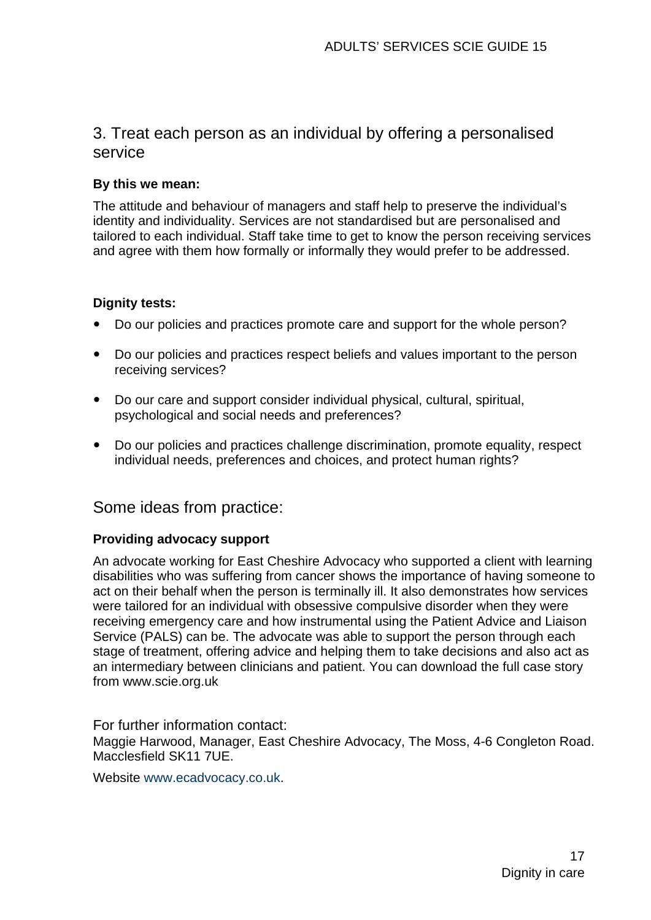# 3. Treat each person as an individual by offering a personalised service

#### **By this we mean:**

The attitude and behaviour of managers and staff help to preserve the individual's identity and individuality. Services are not standardised but are personalised and tailored to each individual. Staff take time to get to know the person receiving services and agree with them how formally or informally they would prefer to be addressed.

#### **Dignity tests:**

- Do our policies and practices promote care and support for the whole person?
- Do our policies and practices respect beliefs and values important to the person receiving services?
- Do our care and support consider individual physical, cultural, spiritual, psychological and social needs and preferences?
- Do our policies and practices challenge discrimination, promote equality, respect individual needs, preferences and choices, and protect human rights?

## Some ideas from practice:

#### **Providing advocacy support**

An advocate working for East Cheshire Advocacy who supported a client with learning disabilities who was suffering from cancer shows the importance of having someone to act on their behalf when the person is terminally ill. It also demonstrates how services were tailored for an individual with obsessive compulsive disorder when they were receiving emergency care and how instrumental using the Patient Advice and Liaison Service (PALS) can be. The advocate was able to support the person through each stage of treatment, offering advice and helping them to take decisions and also act as an intermediary between clinicians and patient. You can download the full case story from [www.scie.org.uk](http://www.scie.org.uk/) 

For further information contact: Maggie Harwood, Manager, East Cheshire Advocacy, The Moss, 4-6 Congleton Road. Macclesfield SK11 7UE.

Website [www.ecadvocacy.co.uk](http://www.ecadvocacy.co.uk/).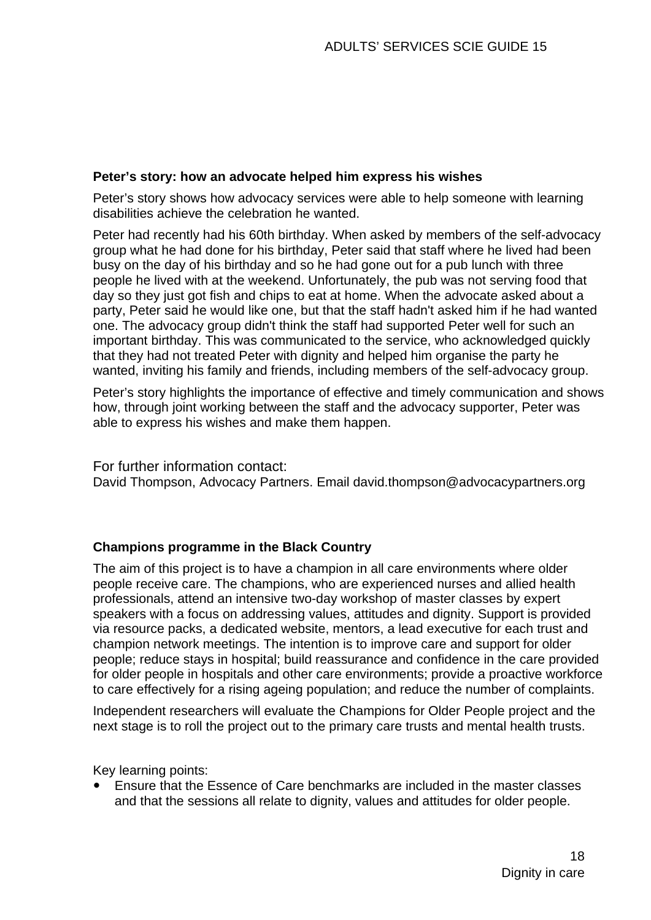#### **Peter's story: how an advocate helped him express his wishes**

Peter's story shows how advocacy services were able to help someone with learning disabilities achieve the celebration he wanted.

Peter had recently had his 60th birthday. When asked by members of the self-advocacy group what he had done for his birthday, Peter said that staff where he lived had been busy on the day of his birthday and so he had gone out for a pub lunch with three people he lived with at the weekend. Unfortunately, the pub was not serving food that day so they just got fish and chips to eat at home. When the advocate asked about a party, Peter said he would like one, but that the staff hadn't asked him if he had wanted one. The advocacy group didn't think the staff had supported Peter well for such an important birthday. This was communicated to the service, who acknowledged quickly that they had not treated Peter with dignity and helped him organise the party he wanted, inviting his family and friends, including members of the self-advocacy group.

Peter's story highlights the importance of effective and timely communication and shows how, through joint working between the staff and the advocacy supporter, Peter was able to express his wishes and make them happen.

For further information contact: David Thompson, Advocacy Partners. Email [david.thompson@advocacypartners.org](mailto:david.thompson@advocacypartners.org)

#### **Champions programme in the Black Country**

The aim of this project is to have a champion in all care environments where older people receive care. The champions, who are experienced nurses and allied health professionals, attend an intensive two-day workshop of master classes by expert speakers with a focus on addressing values, attitudes and dignity. Support is provided via resource packs, a dedicated website, mentors, a lead executive for each trust and champion network meetings. The intention is to improve care and support for older people; reduce stays in hospital; build reassurance and confidence in the care provided for older people in hospitals and other care environments; provide a proactive workforce to care effectively for a rising ageing population; and reduce the number of complaints.

Independent researchers will evaluate the [Champions for Older People project](http://www.scie.org.uk/publications/practiceguides/practiceguide09/ideas/files/championsprogramme.pdf) and the next stage is to roll the project out to the primary care trusts and mental health trusts.

Key learning points:

y Ensure that the Essence of Care benchmarks are included in the master classes and that the sessions all relate to dignity, values and attitudes for older people.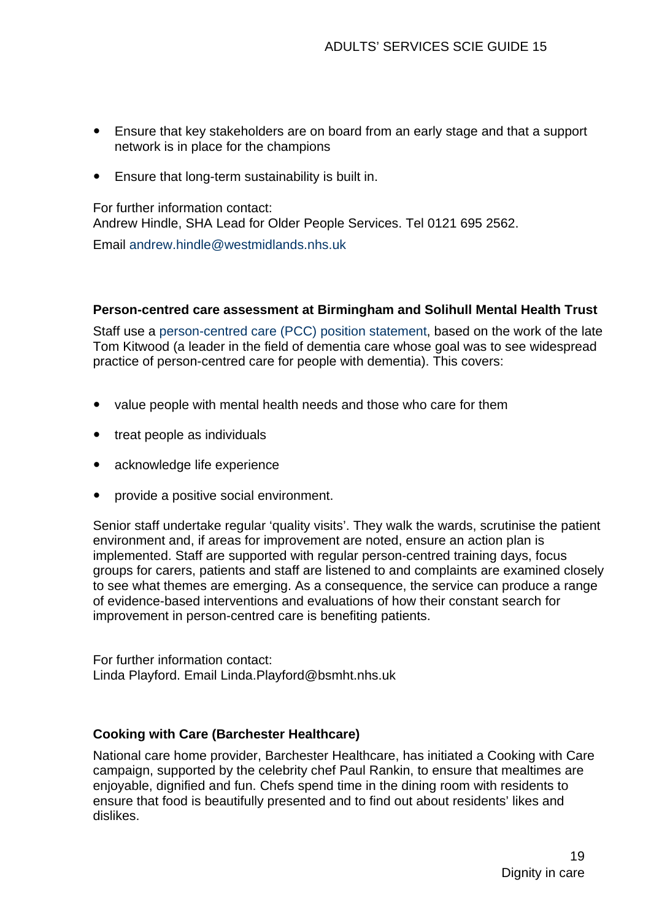- Ensure that key stakeholders are on board from an early stage and that a support network is in place for the champions
- Ensure that long-term sustainability is built in.

For further information contact: Andrew Hindle, SHA Lead for Older People Services. Tel 0121 695 2562.

Email [andrew.hindle@westmidlands.nhs.uk](mailto:andrew.hindle@westmidlands.nhs.uk)

#### **Person-centred care assessment at Birmingham and Solihull Mental Health Trust**

Staff use a [person-centred care \(PCC\) position statement,](http://www.scie.org.uk/publications/practiceguides/practiceguide09/ideas/pccps.asp) based on the work of the late Tom Kitwood (a leader in the field of dementia care whose goal was to see widespread practice of person-centred care for people with dementia). This covers:

- value people with mental health needs and those who care for them
- treat people as individuals
- acknowledge life experience
- provide a positive social environment.

Senior staff undertake regular 'quality visits'. They walk the wards, scrutinise the patient environment and, if areas for improvement are noted, ensure an action plan is implemented. Staff are supported with regular person-centred training days, focus groups for carers, patients and staff are listened to and complaints are examined closely to see what themes are emerging. As a consequence, the service can produce a range of evidence-based interventions and evaluations of how their constant search for improvement in person-centred care is benefiting patients.

For further information contact: Linda Playford. Email [Linda.Playford@bsmht.nhs.uk](mailto:Linda.Playford@bsmht.nhs.uk)

#### **Cooking with Care (Barchester Healthcare)**

National care home provider, Barchester Healthcare, has initiated a Cooking with Care campaign, supported by the celebrity chef Paul Rankin, to ensure that mealtimes are enjoyable, dignified and fun. Chefs spend time in the dining room with residents to ensure that food is beautifully presented and to find out about residents' likes and dislikes.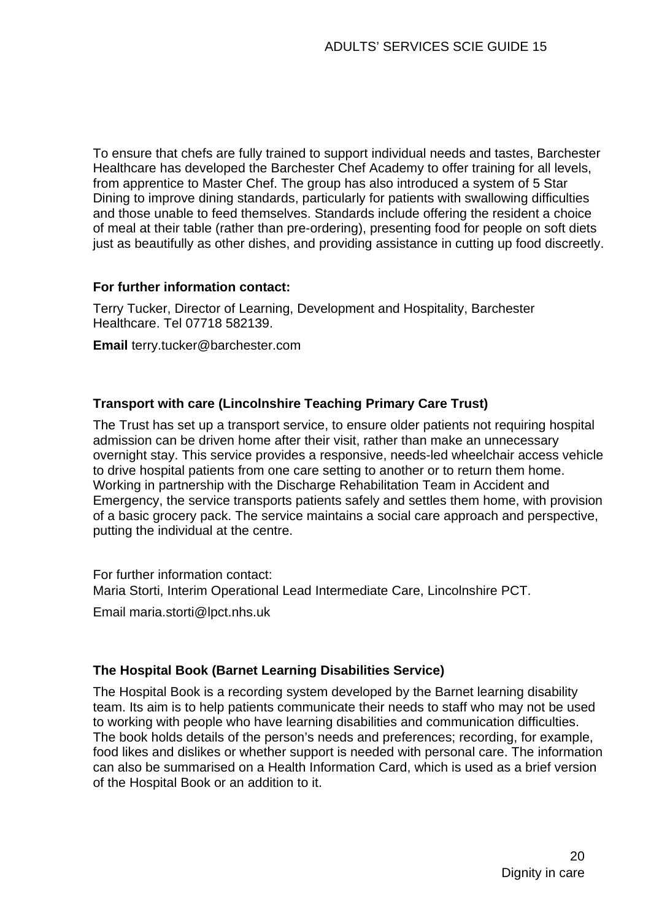To ensure that chefs are fully trained to support individual needs and tastes, Barchester Healthcare has developed the Barchester Chef Academy to offer training for all levels, from apprentice to Master Chef. The group has also introduced a system of 5 Star Dining to improve dining standards, particularly for patients with swallowing difficulties and those unable to feed themselves. Standards include offering the resident a choice of meal at their table (rather than pre-ordering), presenting food for people on soft diets just as beautifully as other dishes, and providing assistance in cutting up food discreetly.

#### **For further information contact:**

Terry Tucker, Director of Learning, Development and Hospitality, Barchester Healthcare. Tel 07718 582139.

**Email** [terry.tucker@barchester.com](mailto:terry.tucker@barchester.com)

#### **Transport with care (Lincolnshire Teaching Primary Care Trust)**

The Trust has set up a transport service, to ensure older patients not requiring hospital admission can be driven home after their visit, rather than make an unnecessary overnight stay. This service provides a responsive, needs-led wheelchair access vehicle to drive hospital patients from one care setting to another or to return them home. Working in partnership with the Discharge Rehabilitation Team in Accident and Emergency, the service transports patients safely and settles them home, with provision of a basic grocery pack. The service maintains a social care approach and perspective, putting the individual at the centre.

For further information contact: Maria Storti, Interim Operational Lead Intermediate Care, Lincolnshire PCT.

Email [maria.storti@lpct.nhs.uk](mailto:maria.storti@lpct.nhs.uk)

#### **The Hospital Book (Barnet Learning Disabilities Service)**

The [Hospital Book i](http://www.scie.org.uk/publications/practiceguides/practiceguide09/ideas/files/hospitalbook.pdf)s a recording system developed by the Barnet learning disability team. Its aim is to help patients communicate their needs to staff who may not be used to working with people who have learning disabilities and communication difficulties. The book holds details of the person's needs and preferences; recording, for example, food likes and dislikes or whether support is needed with personal care. The information can also be summarised on a Health Information Card, which is used as a brief version of the Hospital Book or an addition to it.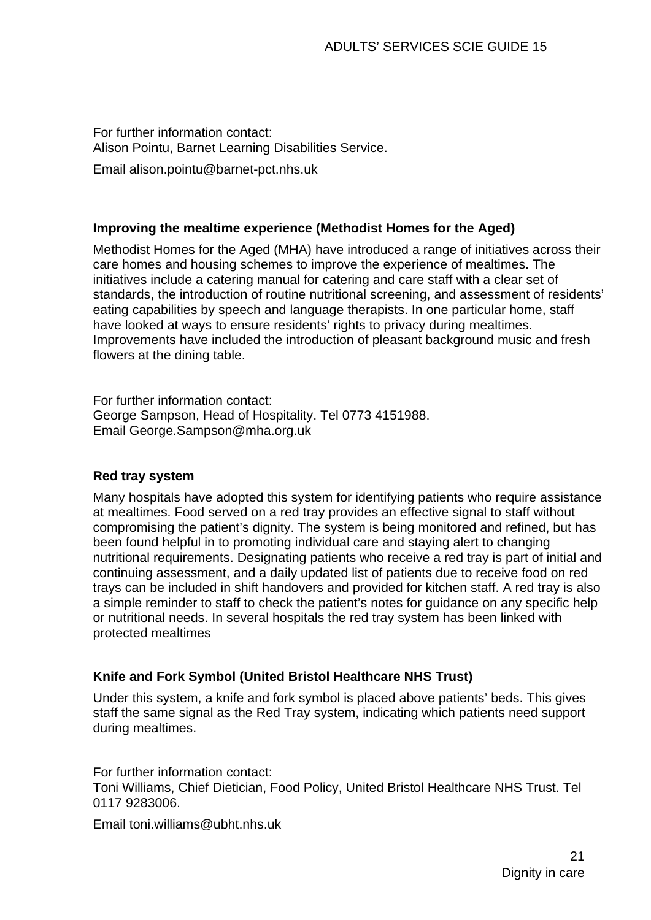For further information contact: Alison Pointu, Barnet Learning Disabilities Service.

Emai[l alison.pointu@barnet-pct.nhs.uk](mailto:alison.pointu@barnet-pct.nhs.uk) 

#### **Improving the mealtime experience (Methodist Homes for the Aged)**

Methodist Homes for the Aged (MHA) have introduced a range of initiatives across their care homes and housing schemes to improve the experience of mealtimes. The initiatives include a catering manual for catering and care staff with a clear set of standards, the introduction of routine nutritional screening, and assessment of residents' eating capabilities by speech and language therapists. In one particular home, staff have looked at ways to ensure residents' rights to privacy during mealtimes. Improvements have included the introduction of pleasant background music and fresh flowers at the dining table.

For further information contact: George Sampson, Head of Hospitality. Tel 0773 4151988. Email [George.Sampson@mha.org.uk](mailto:George.Sampson@mha.org.uk) 

#### **Red tray system**

Many hospitals have adopted this system for identifying patients who require assistance at mealtimes. Food served on a red tray provides an effective signal to staff without compromising the patient's dignity. The system is being monitored and refined, but has been found helpful in to promoting individual care and staying alert to changing nutritional requirements. Designating patients who receive a red tray is part of initial and continuing assessment, and a daily updated list of patients due to receive food on red trays can be included in shift handovers and provided for kitchen staff. A red tray is also a simple reminder to staff to check the patient's notes for guidance on any specific help or nutritional needs. In several hospitals the red tray system has been linked with protected mealtimes

#### **Knife and Fork Symbol (United Bristol Healthcare NHS Trust)**

Under this system, a knife and fork symbol is placed above patients' beds. This gives staff the same signal as the Red Tray system, indicating which patients need support during mealtimes.

For further information contact: Toni Williams, Chief Dietician, Food Policy, United Bristol Healthcare NHS Trust. Tel 0117 9283006.

Email [toni.williams@ubht.nhs.uk](mailto:toni.williams@ubht.nhs.uk)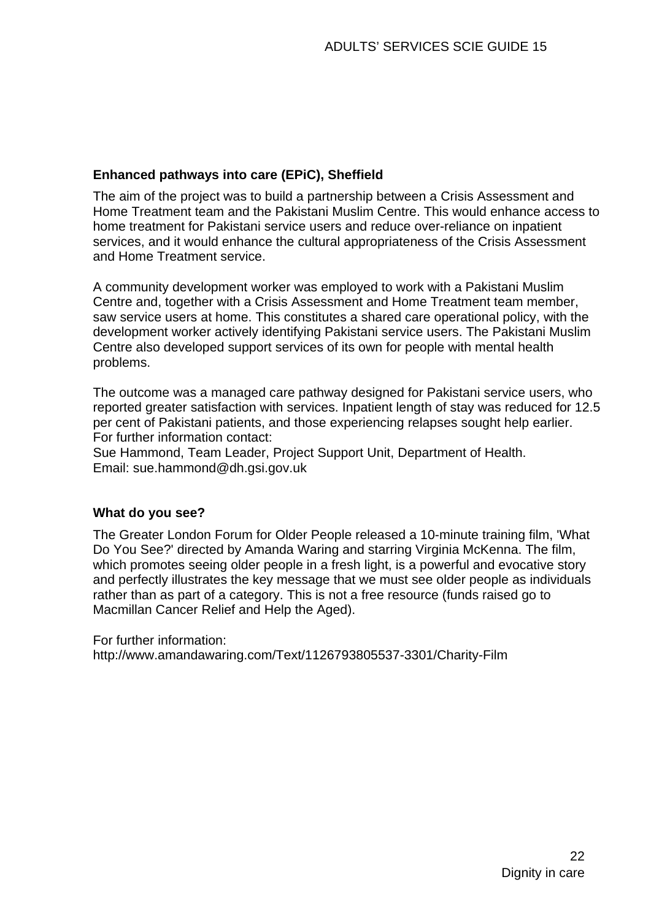#### **Enhanced pathways into care (EPiC), Sheffield**

The aim of the project was to build a partnership between a Crisis Assessment and Home Treatment team and the Pakistani Muslim Centre. This would enhance access to home treatment for Pakistani service users and reduce over-reliance on inpatient services, and it would enhance the cultural appropriateness of the Crisis Assessment and Home Treatment service.

A community development worker was employed to work with a Pakistani Muslim Centre and, together with a Crisis Assessment and Home Treatment team member, saw service users at home. This constitutes a shared care operational policy, with the development worker actively identifying Pakistani service users. The Pakistani Muslim Centre also developed support services of its own for people with mental health problems.

The outcome was a managed care pathway designed for Pakistani service users, who reported greater satisfaction with services. Inpatient length of stay was reduced for 12.5 per cent of Pakistani patients, and those experiencing relapses sought help earlier. For further information contact:

Sue Hammond, Team Leader, Project Support Unit, Department of Health. Email: [sue.hammond@dh.gsi.gov.uk](mailto:sue.hammond@dh.gsi.gov.uk) 

#### **What do you see?**

The Greater London Forum for Older People released a 10-minute training film, 'What Do You See?' directed by Amanda Waring and starring Virginia McKenna. The film, which promotes seeing older people in a fresh light, is a powerful and evocative story and perfectly illustrates the key message that we must see older people as individuals rather than as part of a category. This is not a free resource (funds raised go to Macmillan Cancer Relief and Help the Aged).

For further information: http://www.amandawaring.com/Text/1126793805537-3301/Charity-Film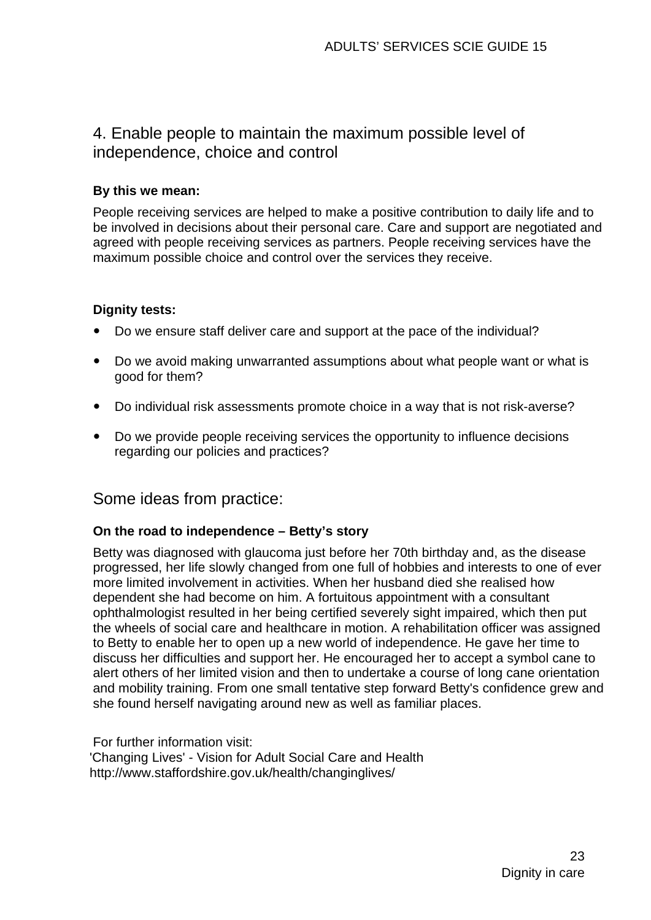# 4. Enable people to maintain the maximum possible level of independence, choice and control

#### **By this we mean:**

People receiving services are helped to make a positive contribution to daily life and to be involved in decisions about their personal care. Care and support are negotiated and agreed with people receiving services as partners. People receiving services have the maximum possible choice and control over the services they receive.

#### **Dignity tests:**

- Do we ensure staff deliver care and support at the pace of the individual?
- Do we avoid making unwarranted assumptions about what people want or what is good for them?
- Do individual risk assessments promote choice in a way that is not risk-averse?
- Do we provide people receiving services the opportunity to influence decisions regarding our policies and practices?

## Some ideas from practice:

#### **On the road to independence – Betty's story**

Betty was diagnosed with glaucoma just before her 70th birthday and, as the disease progressed, her life slowly changed from one full of hobbies and interests to one of ever more limited involvement in activities. When her husband died she realised how dependent she had become on him. A fortuitous appointment with a consultant ophthalmologist resulted in her being certified severely sight impaired, which then put the wheels of social care and healthcare in motion. A rehabilitation officer was assigned to Betty to enable her to open up a new world of independence. He gave her time to discuss her difficulties and support her. He encouraged her to accept a symbol cane to alert others of her limited vision and then to undertake a course of long cane orientation and mobility training. From one small tentative step forward Betty's confidence grew and she found herself navigating around new as well as familiar places.

For further information visit: ['Changing Lives' - Vision for Adult Social Care and Health](http://www.staffordshire.gov.uk/health/changinglives/)  http://www.staffordshire.gov.uk/health/changinglives/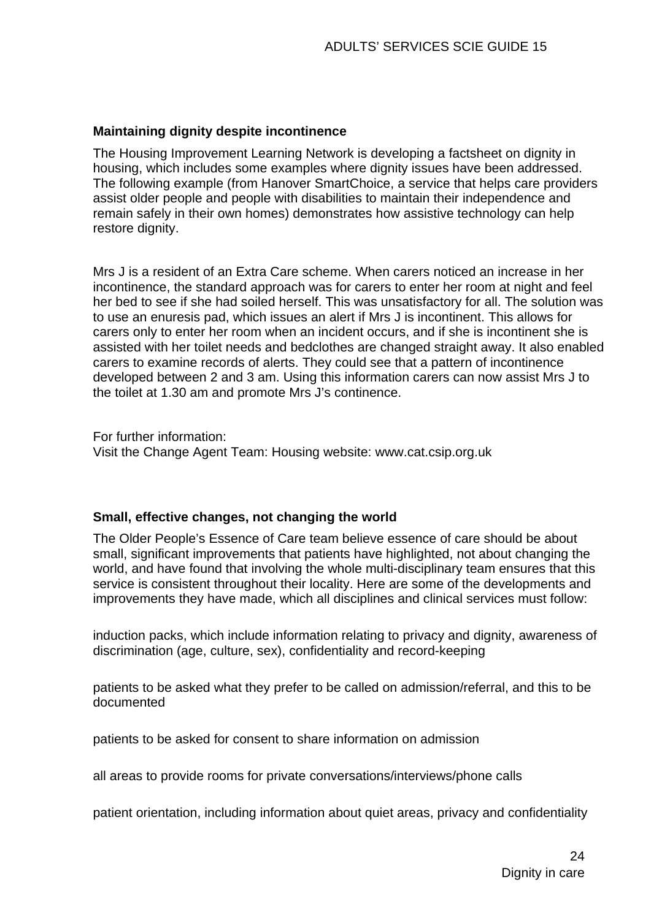#### **Maintaining dignity despite incontinence**

The Housing Improvement Learning Network is developing a factsheet on dignity in housing, which includes some examples where dignity issues have been addressed. The following example (from Hanover SmartChoice, a service that helps care providers assist older people and people with disabilities to maintain their independence and remain safely in their own homes) demonstrates how assistive technology can help restore dignity.

Mrs J is a resident of an Extra Care scheme. When carers noticed an increase in her incontinence, the standard approach was for carers to enter her room at night and feel her bed to see if she had soiled herself. This was unsatisfactory for all. The solution was to use an enuresis pad, which issues an alert if Mrs J is incontinent. This allows for carers only to enter her room when an incident occurs, and if she is incontinent she is assisted with her toilet needs and bedclothes are changed straight away. It also enabled carers to examine records of alerts. They could see that a pattern of incontinence developed between 2 and 3 am. Using this information carers can now assist Mrs J to the toilet at 1.30 am and promote Mrs J's continence.

For further information:

Visit the [Change Agent Team: Housing website:](http://www.changeagentteam.org.uk/index.cfm?pid=10) www.cat.csip.org.uk

#### **Small, effective changes, not changing the world**

The Older People's Essence of Care team believe essence of care should be about small, significant improvements that patients have highlighted, not about changing the world, and have found that involving the whole multi-disciplinary team ensures that this service is consistent throughout their locality. Here are some of the developments and improvements they have made, which all disciplines and clinical services must follow:

induction packs, which include information relating to privacy and dignity, awareness of discrimination (age, culture, sex), confidentiality and record-keeping

patients to be asked what they prefer to be called on admission/referral, and this to be documented

patients to be asked for consent to share information on admission

all areas to provide rooms for private conversations/interviews/phone calls

patient orientation, including information about quiet areas, privacy and confidentiality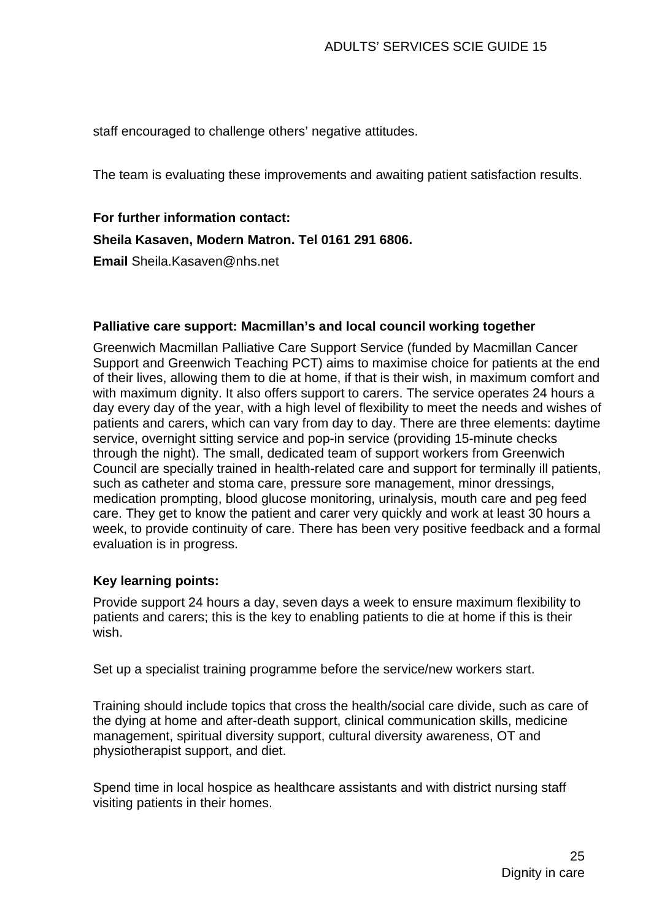staff encouraged to challenge others' negative attitudes.

The team is evaluating these improvements and awaiting patient satisfaction results.

# **For further information contact:**

#### **Sheila Kasaven, Modern Matron. Tel 0161 291 6806.**

**Email** [Sheila.Kasaven@nhs.net](mailto:Sheila.Kasaven@nhs.net)

#### **Palliative care support: Macmillan's and local council working together**

Greenwich Macmillan Palliative Care Support Service (funded by Macmillan Cancer Support and Greenwich Teaching PCT) aims to maximise choice for patients at the end of their lives, allowing them to die at home, if that is their wish, in maximum comfort and with maximum dignity. It also offers support to carers. The service operates 24 hours a day every day of the year, with a high level of flexibility to meet the needs and wishes of patients and carers, which can vary from day to day. There are three elements: daytime service, overnight sitting service and pop-in service (providing 15-minute checks through the night). The small, dedicated team of support workers from Greenwich Council are specially trained in health-related care and support for terminally ill patients, such as catheter and stoma care, pressure sore management, minor dressings, medication prompting, blood glucose monitoring, urinalysis, mouth care and peg feed care. They get to know the patient and carer very quickly and work at least 30 hours a week, to provide continuity of care. There has been very positive feedback and a formal evaluation is in progress.

#### **Key learning points:**

Provide support 24 hours a day, seven days a week to ensure maximum flexibility to patients and carers; this is the key to enabling patients to die at home if this is their wish.

Set up a specialist training programme before the service/new workers start.

Training should include topics that cross the health/social care divide, such as care of the dying at home and after-death support, clinical communication skills, medicine management, spiritual diversity support, cultural diversity awareness, OT and physiotherapist support, and diet.

Spend time in local hospice as healthcare assistants and with district nursing staff visiting patients in their homes.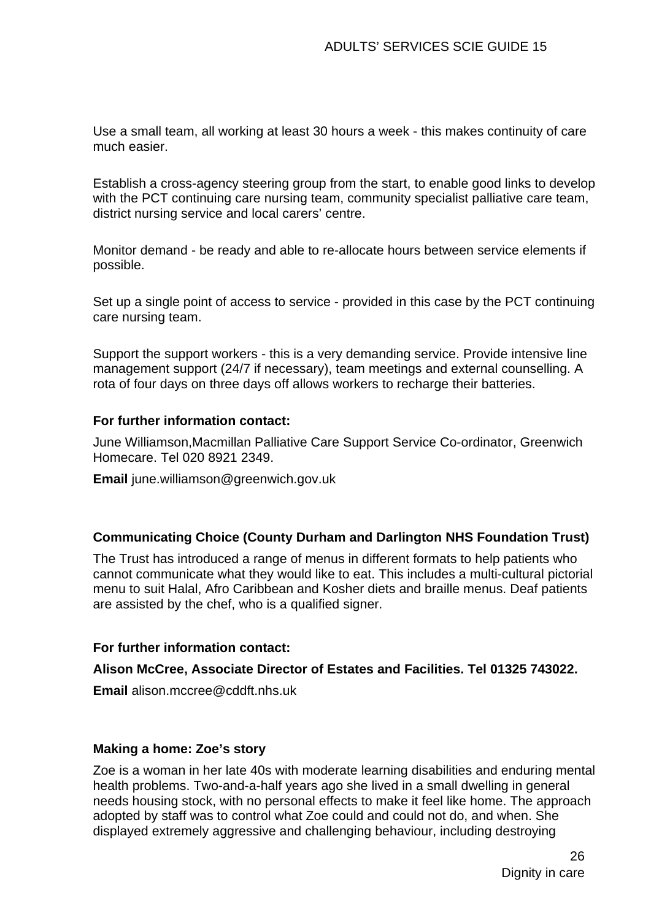Use a small team, all working at least 30 hours a week - this makes continuity of care much easier.

Establish a cross-agency steering group from the start, to enable good links to develop with the PCT continuing care nursing team, community specialist palliative care team, district nursing service and local carers' centre.

Monitor demand - be ready and able to re-allocate hours between service elements if possible.

Set up a single point of access to service - provided in this case by the PCT continuing care nursing team.

Support the support workers - this is a very demanding service. Provide intensive line management support (24/7 if necessary), team meetings and external counselling. A rota of four days on three days off allows workers to recharge their batteries.

#### **For further information contact:**

June Williamson,Macmillan Palliative Care Support Service Co-ordinator, Greenwich Homecare. Tel 020 8921 2349.

**Email** [june.williamson@greenwich.gov.uk](mailto:june.williamson@greenwich.gov.uk)

#### **Communicating Choice (County Durham and Darlington NHS Foundation Trust)**

The Trust has introduced a range of menus in different formats to help patients who cannot communicate what they would like to eat. This includes a multi-cultural pictorial menu to suit Halal, Afro Caribbean and Kosher diets and braille menus. Deaf patients are assisted by the chef, who is a qualified signer.

#### **For further information contact:**

#### **Alison McCree, Associate Director of Estates and Facilities. Tel 01325 743022.**

**Email** [alison.mccree@cddft.nhs.uk](mailto:alison.mccree@cddft.nhs.uk)

#### **Making a home: Zoe's story**

Zoe is a woman in her late 40s with moderate learning disabilities and enduring mental health problems. Two-and-a-half years ago she lived in a small dwelling in general needs housing stock, with no personal effects to make it feel like home. The approach adopted by staff was to control what Zoe could and could not do, and when. She displayed extremely aggressive and challenging behaviour, including destroying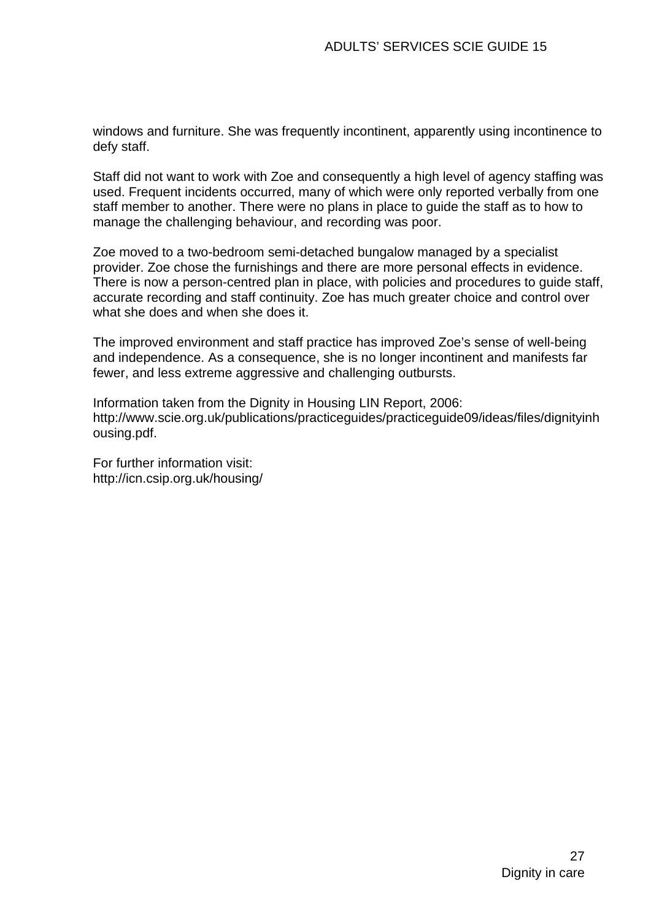windows and furniture. She was frequently incontinent, apparently using incontinence to defy staff.

Staff did not want to work with Zoe and consequently a high level of agency staffing was used. Frequent incidents occurred, many of which were only reported verbally from one staff member to another. There were no plans in place to guide the staff as to how to manage the challenging behaviour, and recording was poor.

Zoe moved to a two-bedroom semi-detached bungalow managed by a specialist provider. Zoe chose the furnishings and there are more personal effects in evidence. There is now a person-centred plan in place, with policies and procedures to guide staff, accurate recording and staff continuity. Zoe has much greater choice and control over what she does and when she does it.

The improved environment and staff practice has improved Zoe's sense of well-being and independence. As a consequence, she is no longer incontinent and manifests far fewer, and less extreme aggressive and challenging outbursts.

Information taken from the [Dignity in Housing LIN Report, 2006:](http://www.scie.org.uk/publications/practiceguides/practiceguide09/ideas/files/dignityinhousing.pdf)  http://www.scie.org.uk/publications/practiceguides/practiceguide09/ideas/files/dignityinh ousing.pdf.

For further information visit: <http://icn.csip.org.uk/housing/>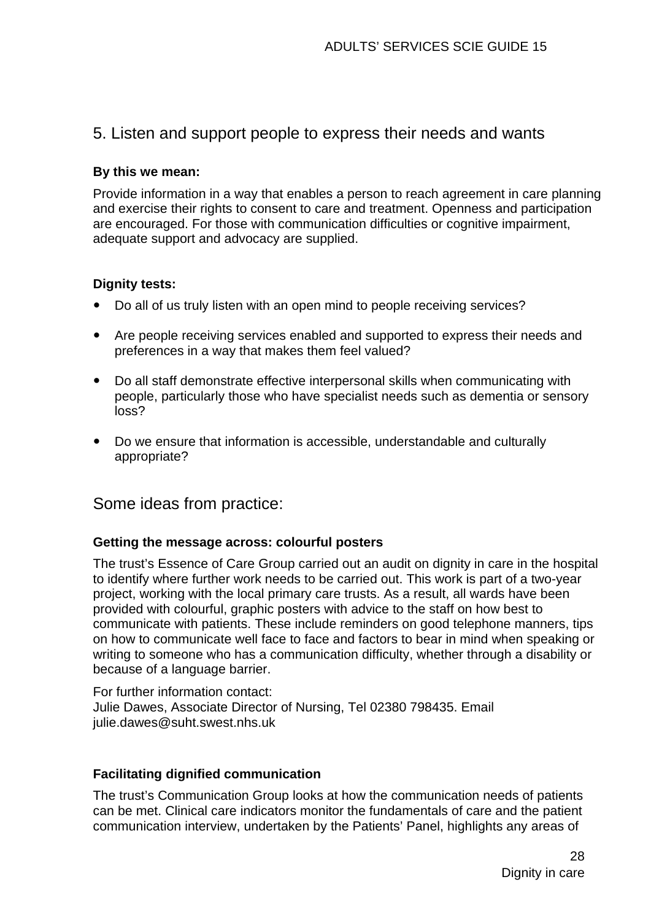## 5. Listen and support people to express their needs and wants

#### **By this we mean:**

Provide information in a way that enables a person to reach agreement in care planning and exercise their rights to consent to care and treatment. Openness and participation are encouraged. For those with communication difficulties or cognitive impairment, adequate support and advocacy are supplied.

#### **Dignity tests:**

- Do all of us truly listen with an open mind to people receiving services?
- Are people receiving services enabled and supported to express their needs and preferences in a way that makes them feel valued?
- Do all staff demonstrate effective interpersonal skills when communicating with people, particularly those who have specialist needs such as dementia or sensory loss?
- Do we ensure that information is accessible, understandable and culturally appropriate?

Some ideas from practice:

#### **Getting the message across: colourful posters**

The trust's Essence of Care Group carried out an audit on dignity in care in the hospital to identify where further work needs to be carried out. This work is part of a two-year project, working with the local primary care trusts. As a result, all wards have been provided with colourful, graphic posters with advice to the staff on how best to communicate with patients. These include reminders on good telephone manners, tips on how to communicate well face to face and factors to bear in mind when speaking or writing to someone who has a communication difficulty, whether through a disability or because of a language barrier.

For further information contact: Julie Dawes, Associate Director of Nursing, Tel 02380 798435. Email [julie.dawes@suht.swest.nhs.uk](mailto:julie.dawes@suht.swest.nhs.uk) 

#### **Facilitating dignified communication**

The trust's Communication Group looks at how the communication needs of patients can be met. Clinical care indicators monitor the fundamentals of care and the patient communication interview, undertaken by the Patients' Panel, highlights any areas of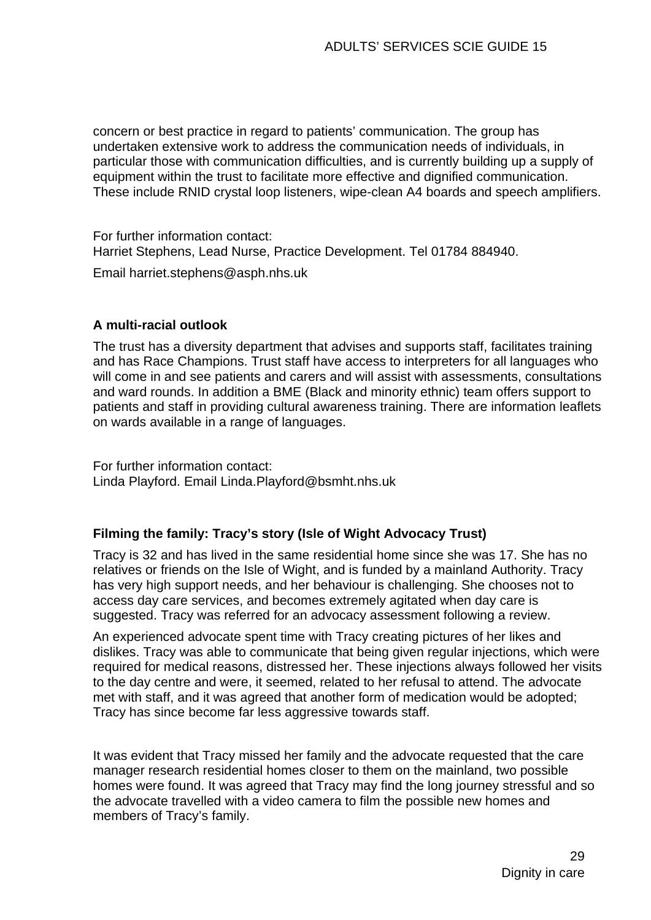concern or best practice in regard to patients' communication. The group has undertaken extensive work to address the communication needs of individuals, in particular those with communication difficulties, and is currently building up a supply of equipment within the trust to facilitate more effective and dignified communication. These include RNID crystal loop listeners, wipe-clean A4 boards and speech amplifiers.

For further information contact: Harriet Stephens, Lead Nurse, Practice Development. Tel 01784 884940.

Email [harriet.stephens@asph.nhs.uk](mailto:harriet.stephens@asph.nhs.uk)

#### **A multi-racial outlook**

The trust has a diversity department that advises and supports staff, facilitates training and has Race Champions. Trust staff have access to interpreters for all languages who will come in and see patients and carers and will assist with assessments, consultations and ward rounds. In addition a BME (Black and minority ethnic) team offers support to patients and staff in providing cultural awareness training. There are information leaflets on wards available in a range of languages.

For further information contact: Linda Playford. Email [Linda.Playford@bsmht.nhs.uk](mailto:Linda.Playford@bsmht.nhs.uk)

#### **Filming the family: Tracy's story (Isle of Wight Advocacy Trust)**

Tracy is 32 and has lived in the same residential home since she was 17. She has no relatives or friends on the Isle of Wight, and is funded by a mainland Authority. Tracy has very high support needs, and her behaviour is challenging. She chooses not to access day care services, and becomes extremely agitated when day care is suggested. Tracy was referred for an advocacy assessment following a review.

An experienced advocate spent time with Tracy creating pictures of her likes and dislikes. Tracy was able to communicate that being given regular injections, which were required for medical reasons, distressed her. These injections always followed her visits to the day centre and were, it seemed, related to her refusal to attend. The advocate met with staff, and it was agreed that another form of medication would be adopted; Tracy has since become far less aggressive towards staff.

It was evident that Tracy missed her family and the advocate requested that the care manager research residential homes closer to them on the mainland, two possible homes were found. It was agreed that Tracy may find the long journey stressful and so the advocate travelled with a video camera to film the possible new homes and members of Tracy's family.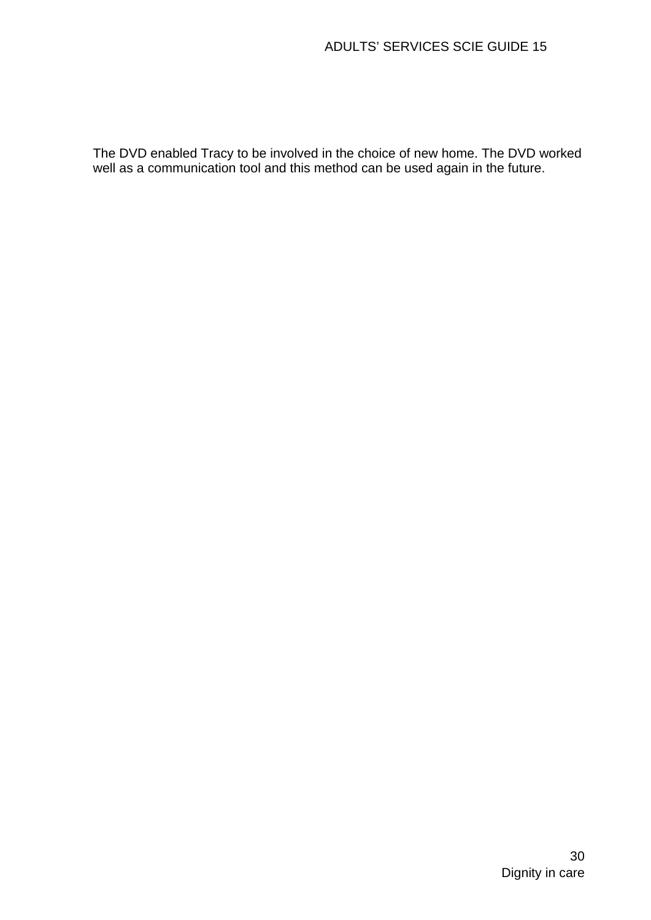The DVD enabled Tracy to be involved in the choice of new home. The DVD worked well as a communication tool and this method can be used again in the future.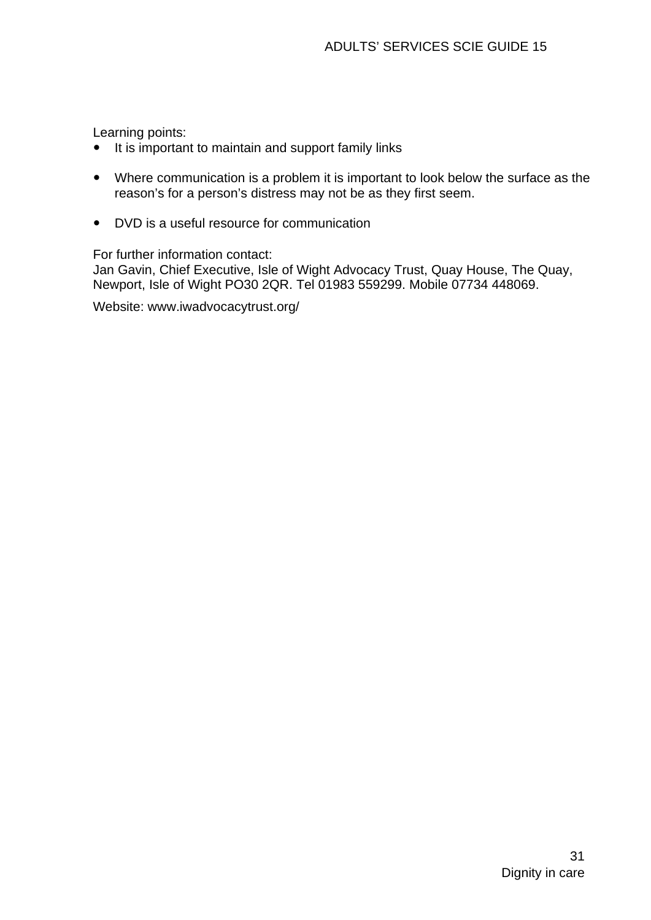Learning points:

- It is important to maintain and support family links
- Where communication is a problem it is important to look below the surface as the reason's for a person's distress may not be as they first seem.
- DVD is a useful resource for communication

For further information contact:

Jan Gavin, Chief Executive, Isle of Wight Advocacy Trust, Quay House, The Quay, Newport, Isle of Wight PO30 2QR. Tel 01983 559299. Mobile 07734 448069.

Website: [www.iwadvocacytrust.org/](http://www.iwadvocacytrust.org/)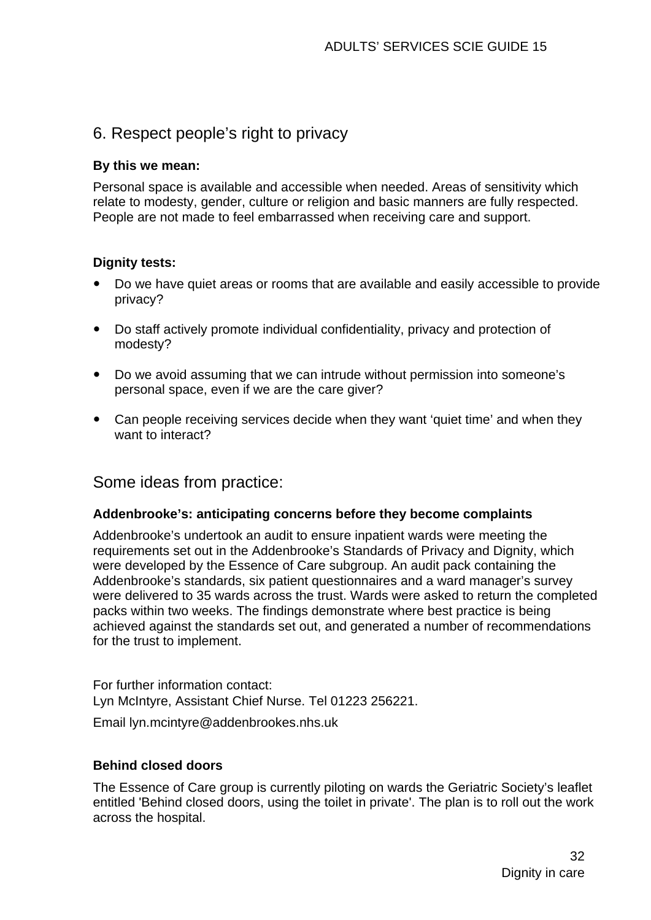# 6. Respect people's right to privacy

#### **By this we mean:**

Personal space is available and accessible when needed. Areas of sensitivity which relate to modesty, gender, culture or religion and basic manners are fully respected. People are not made to feel embarrassed when receiving care and support.

#### **Dignity tests:**

- Do we have quiet areas or rooms that are available and easily accessible to provide privacy?
- Do staff actively promote individual confidentiality, privacy and protection of modesty?
- Do we avoid assuming that we can intrude without permission into someone's personal space, even if we are the care giver?
- Can people receiving services decide when they want 'quiet time' and when they want to interact?

## Some ideas from practice:

#### **Addenbrooke's: anticipating concerns before they become complaints**

Addenbrooke's undertook an audit to ensure inpatient wards were meeting the requirements set out in the [Addenbrooke's Standards of Privacy and Dignity,](http://www.scie.org.uk/publications/practiceguides/practiceguide09/ideas/files/addenbrooke.pdf) which were developed by the Essence of Care subgroup. An audit pack containing the Addenbrooke's standards, six patient questionnaires and a ward manager's survey were delivered to 35 wards across the trust. Wards were asked to return the completed packs within two weeks. The findings demonstrate where best practice is being achieved against the standards set out, and generated a number of recommendations for the trust to implement.

For further information contact: Lyn McIntyre, Assistant Chief Nurse. Tel 01223 256221.

Email [lyn.mcintyre@addenbrookes.nhs.uk](mailto:lyn.mcintyre@addenbrookes.nhs.uk)

#### **Behind closed doors**

The Essence of Care group is currently piloting on wards the Geriatric Society's leaflet entitled ['Behind closed doors, using the toilet in private'](http://www.scie.org.uk/publications/practiceguides/practiceguide09/ideas/files/toilet.pdf). The plan is to roll out the work across the hospital.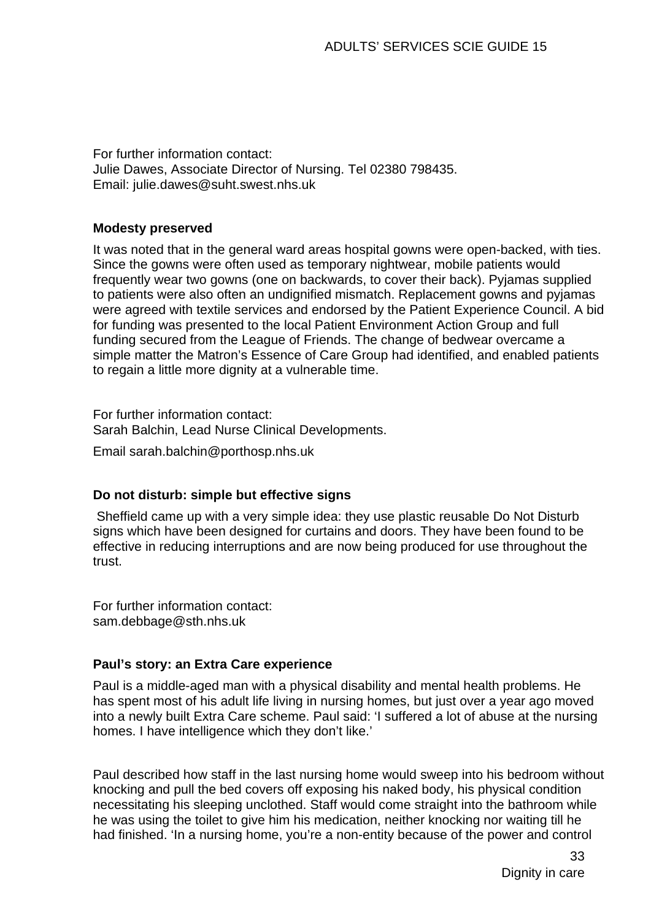For further information contact: Julie Dawes, Associate Director of Nursing. Tel 02380 798435. Email: [julie.dawes@suht.swest.nhs.uk](mailto:julie.dawes@suht.swest.nhs.uk) 

#### **Modesty preserved**

It was noted that in the general ward areas hospital gowns were open-backed, with ties. Since the gowns were often used as temporary nightwear, mobile patients would frequently wear two gowns (one on backwards, to cover their back). Pyjamas supplied to patients were also often an undignified mismatch. Replacement gowns and pyjamas were agreed with textile services and endorsed by the Patient Experience Council. A bid for funding was presented to the local Patient Environment Action Group and full funding secured from the League of Friends. The change of bedwear overcame a simple matter the Matron's Essence of Care Group had identified, and enabled patients to regain a little more dignity at a vulnerable time.

For further information contact: Sarah Balchin, Lead Nurse Clinical Developments.

Email [sarah.balchin@porthosp.nhs.uk](mailto:sarah.balchin@porthosp.nhs.uk)

#### **Do not disturb: simple but effective signs**

 Sheffield came up with a very simple idea: they use plastic reusable Do Not Disturb signs which have been designed for curtains and doors. They have been found to be effective in reducing interruptions and are now being produced for use throughout the trust.

For further information contact: [sam.debbage@sth.nhs.uk](mailto:sam.debbage@sth.nhs.uk) 

#### **Paul's story: an Extra Care experience**

Paul is a middle-aged man with a physical disability and mental health problems. He has spent most of his adult life living in nursing homes, but just over a year ago moved into a newly built Extra Care scheme. Paul said: 'I suffered a lot of abuse at the nursing homes. I have intelligence which they don't like.'

Paul described how staff in the last nursing home would sweep into his bedroom without knocking and pull the bed covers off exposing his naked body, his physical condition necessitating his sleeping unclothed. Staff would come straight into the bathroom while he was using the toilet to give him his medication, neither knocking nor waiting till he had finished. 'In a nursing home, you're a non-entity because of the power and control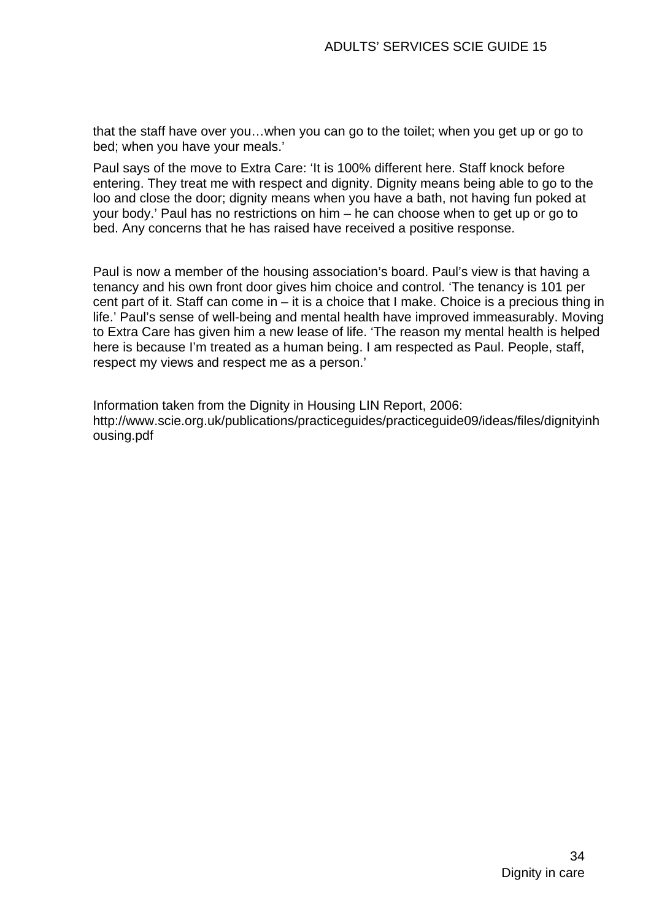that the staff have over you…when you can go to the toilet; when you get up or go to bed; when you have your meals.'

Paul says of the move to Extra Care: 'It is 100% different here. Staff knock before entering. They treat me with respect and dignity. Dignity means being able to go to the loo and close the door; dignity means when you have a bath, not having fun poked at your body.' Paul has no restrictions on him – he can choose when to get up or go to bed. Any concerns that he has raised have received a positive response.

Paul is now a member of the housing association's board. Paul's view is that having a tenancy and his own front door gives him choice and control. 'The tenancy is 101 per cent part of it. Staff can come in – it is a choice that I make. Choice is a precious thing in life.' Paul's sense of well-being and mental health have improved immeasurably. Moving to Extra Care has given him a new lease of life. 'The reason my mental health is helped here is because I'm treated as a human being. I am respected as Paul. People, staff, respect my views and respect me as a person.'

Information taken from the [Dignity in Housing LIN Report, 2006:](http://www.scie.org.uk/publications/practiceguides/practiceguide09/ideas/files/dignityinhousing.pdf)  http://www.scie.org.uk/publications/practiceguides/practiceguide09/ideas/files/dignityinh ousing.pdf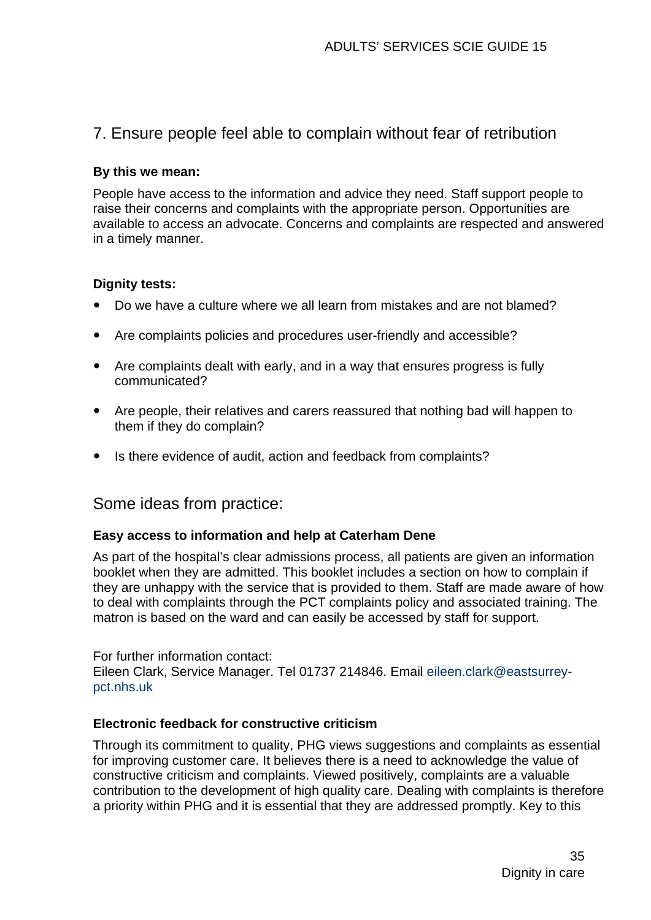# 7. Ensure people feel able to complain without fear of retribution

#### **By this we mean:**

People have access to the information and advice they need. Staff support people to raise their concerns and complaints with the appropriate person. Opportunities are available to access an advocate. Concerns and complaints are respected and answered in a timely manner.

#### **Dignity tests:**

- Do we have a culture where we all learn from mistakes and are not blamed?
- Are complaints policies and procedures user-friendly and accessible?
- Are complaints dealt with early, and in a way that ensures progress is fully communicated?
- Are people, their relatives and carers reassured that nothing bad will happen to them if they do complain?
- Is there evidence of audit, action and feedback from complaints?

## Some ideas from practice:

#### **Easy access to information and help at Caterham Dene**

As part of the hospital's clear admissions process, all patients are given an information booklet when they are admitted. This booklet includes a section on how to complain if they are unhappy with the service that is provided to them. Staff are made aware of how to deal with complaints through the PCT complaints policy and associated training. The matron is based on the ward and can easily be accessed by staff for support.

For further information contact: Eileen Clark, Service Manager. Tel 01737 214846. Email [eileen.clark@eastsurrey](mailto:eileen.clark@eastsurrey-pct.nhs.uk)[pct.nhs.uk](mailto:eileen.clark@eastsurrey-pct.nhs.uk)

#### **Electronic feedback for constructive criticism**

Through its commitment to quality, PHG views suggestions and complaints as essential for improving customer care. It believes there is a need to acknowledge the value of constructive criticism and complaints. Viewed positively, complaints are a valuable contribution to the development of high quality care. Dealing with complaints is therefore a priority within PHG and it is essential that they are addressed promptly. Key to this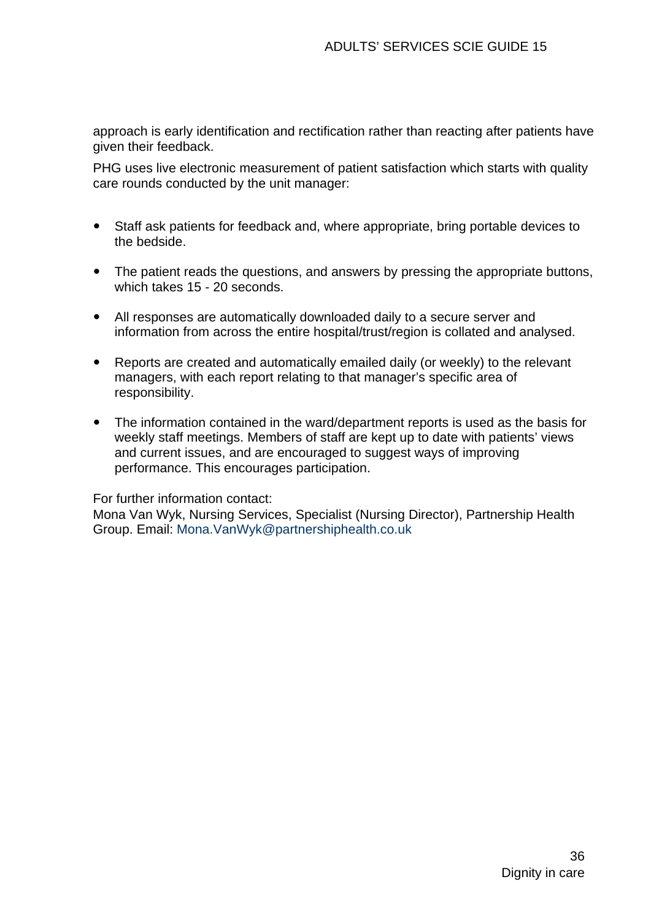approach is early identification and rectification rather than reacting after patients have given their feedback.

PHG uses live [electronic measurement of patient satisfaction w](http://www.scie.org.uk/publications/practiceguides/practiceguide09/ideas/files/feedback1.pdf)hich starts with quality care rounds conducted by the unit manager:

- Staff ask patients for feedback and, where appropriate, bring portable devices to the bedside.
- The patient reads the questions, and answers by pressing the appropriate buttons, which takes 15 - 20 seconds.
- All responses are automatically downloaded daily to a secure server and information from across the entire hospital/trust/region is collated and analysed.
- Reports are created and automatically emailed daily (or weekly) to the relevant managers, with each report relating to that manager's specific area of responsibility.
- The information contained in the ward/department reports is used as the basis for weekly staff meetings. Members of staff are kept up to date with patients' views and current issues, and are encouraged to suggest ways of improving performance. This encourages participation.

#### For further information contact:

Mona Van Wyk, Nursing Services, Specialist (Nursing Director), Partnership Health Group. Email: [Mona.VanWyk@partnershiphealth.co.uk](mailto:Mona.VanWyk@partnershiphealth.co.uk)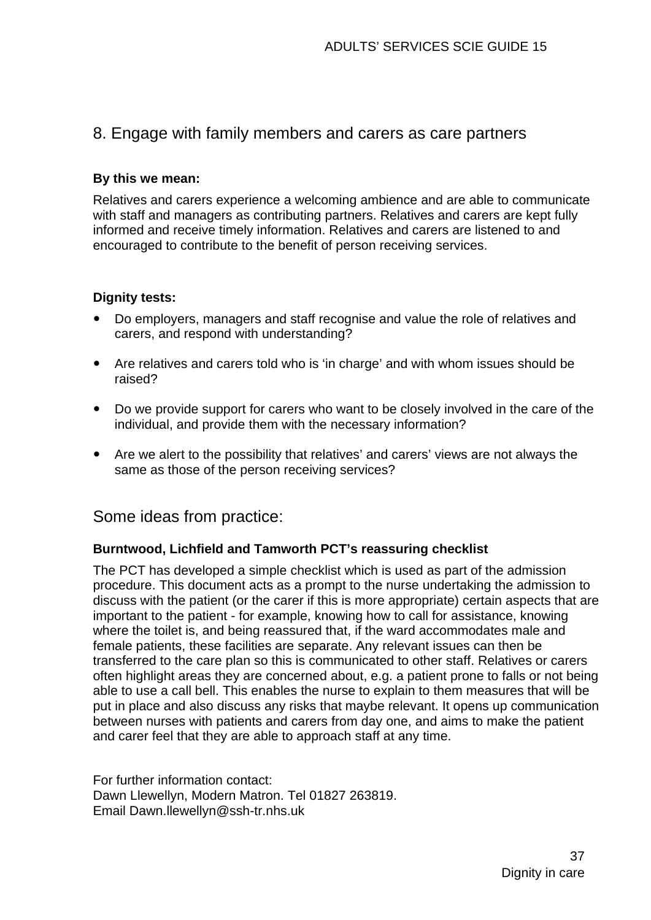## 8. Engage with family members and carers as care partners

#### **By this we mean:**

Relatives and carers experience a welcoming ambience and are able to communicate with staff and managers as contributing partners. Relatives and carers are kept fully informed and receive timely information. Relatives and carers are listened to and encouraged to contribute to the benefit of person receiving services.

#### **Dignity tests:**

- Do employers, managers and staff recognise and value the role of relatives and carers, and respond with understanding?
- Are relatives and carers told who is 'in charge' and with whom issues should be raised?
- Do we provide support for carers who want to be closely involved in the care of the individual, and provide them with the necessary information?
- Are we alert to the possibility that relatives' and carers' views are not always the same as those of the person receiving services?

### Some ideas from practice:

#### **Burntwood, Lichfield and Tamworth PCT's reassuring checklist**

The PCT has developed a simple [checklist](http://www.scie.org.uk/publications/practiceguides/practiceguide09/ideas/files/reassuringchecklist1.pdf) which is used as part of the admission procedure. This document acts as a prompt to the nurse undertaking the admission to discuss with the patient (or the carer if this is more appropriate) certain aspects that are important to the patient - for example, knowing how to call for assistance, knowing where the toilet is, and being reassured that, if the ward accommodates male and female patients, these facilities are separate. Any relevant issues can then be transferred to the care plan so this is communicated to other staff. Relatives or carers often highlight areas they are concerned about, e.g. a patient prone to falls or not being able to use a call bell. This enables the nurse to explain to them measures that will be put in place and also discuss any risks that maybe relevant. It opens up communication between nurses with patients and carers from day one, and aims to make the patient and carer feel that they are able to approach staff at any time.

For further information contact: Dawn Llewellyn, Modern Matron. Tel 01827 263819. Email [Dawn.llewellyn@ssh-tr.nhs.uk](mailto:Dawn.llewellyn@ssh-tr.nhs.uk)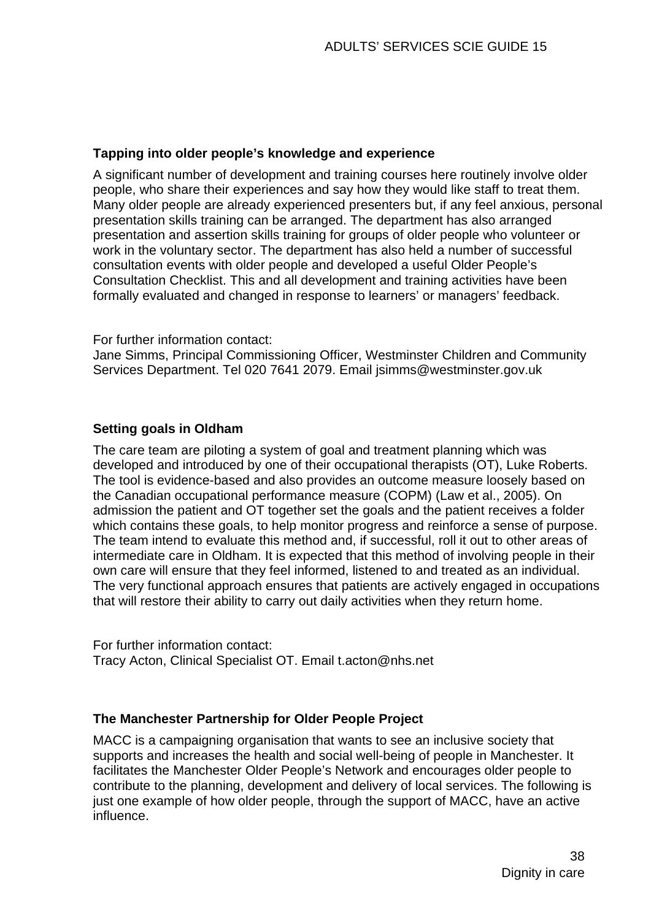#### **Tapping into older people's knowledge and experience**

A significant number of development and training courses here routinely involve older people, who share their experiences and say how they would like staff to treat them. Many older people are already experienced presenters but, if any feel anxious, personal presentation skills training can be arranged. The department has also arranged presentation and assertion skills training for groups of older people who volunteer or work in the voluntary sector. The department has also held a number of successful consultation events with older people and developed a useful [Older People's](http://www.scie.org.uk/publications/practiceguides/practiceguide09/ideas/files/consultationchecklist.pdf)  [Consultation Checklist.](http://www.scie.org.uk/publications/practiceguides/practiceguide09/ideas/files/consultationchecklist.pdf) This and all development and training activities have been formally evaluated and changed in response to learners' or managers' feedback.

For further information contact:

Jane Simms, Principal Commissioning Officer, Westminster Children and Community Services Department. Tel 020 7641 2079. Email [jsimms@westminster.gov.uk](mailto:jsimms@westminster.gov.uk)

#### **Setting goals in Oldham**

The care team are piloting a system of goal and treatment planning which was developed and introduced by one of their occupational therapists (OT), Luke Roberts. The tool is evidence-based and also provides an outcome measure loosely based on the Canadian occupational performance measure (COPM) (Law et al., 2005). On admission the patient and OT together set the goals and the patient receives a folder which contains these goals, to help monitor progress and reinforce a sense of purpose. The team intend to evaluate this method and, if successful, roll it out to other areas of intermediate care in Oldham. It is expected that this method of involving people in their own care will ensure that they feel informed, listened to and treated as an individual. The very functional approach ensures that patients are actively engaged in occupations that will restore their ability to carry out daily activities when they return home.

For further information contact: Tracy Acton, Clinical Specialist OT. Email [t.acton@nhs.net](mailto:t.acton@nhs.net) 

#### **The Manchester Partnership for Older People Project**

MACC is a campaigning organisation that wants to see an inclusive society that supports and increases the health and social well-being of people in Manchester. It facilitates the Manchester Older People's Network and encourages older people to contribute to the planning, development and delivery of local services. The following is just one example of how older people, through the support of MACC, have an active influence.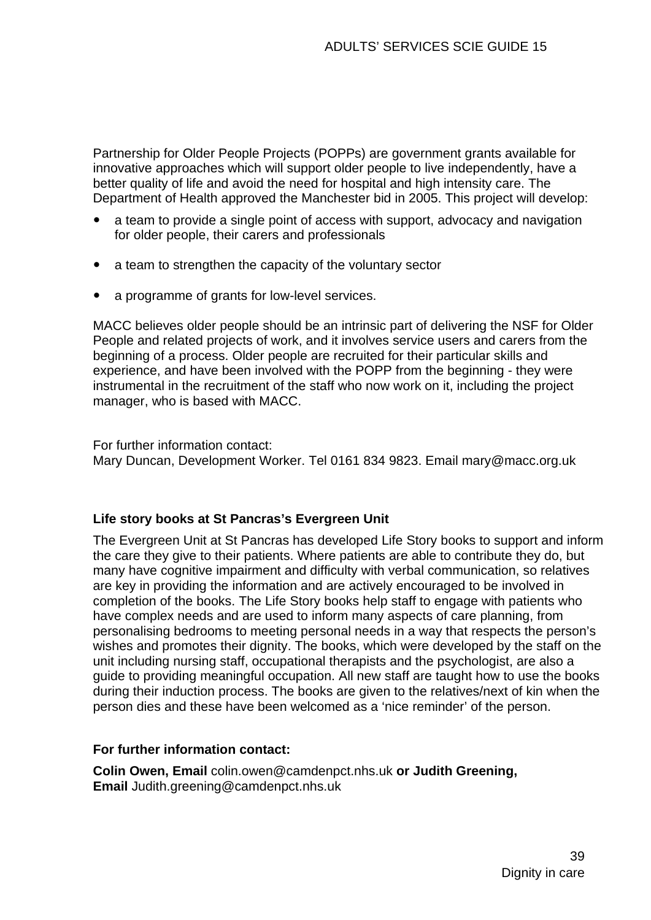Partnership for Older People Projects (POPPs) are government grants available for innovative approaches which will support older people to live independently, have a better quality of life and avoid the need for hospital and high intensity care. The Department of Health approved the Manchester bid in 2005. This project will develop:

- a team to provide a single point of access with support, advocacy and navigation for older people, their carers and professionals
- a team to strengthen the capacity of the voluntary sector
- a programme of grants for low-level services.

MACC believes older people should be an intrinsic part of delivering the NSF for Older People and related projects of work, and it involves service users and carers from the beginning of a process. Older people are recruited for their particular skills and experience, and have been involved with the POPP from the beginning - they were instrumental in the recruitment of the staff who now work on it, including the project manager, who is based with MACC.

For further information contact: Mary Duncan, Development Worker. Tel 0161 834 9823. Email [mary@macc.org.uk](mailto:mary@macc.org.uk) 

#### **Life story books at St Pancras's Evergreen Unit**

The Evergreen Unit at St Pancras has developed Life Story books to support and inform the care they give to their patients. Where patients are able to contribute they do, but many have cognitive impairment and difficulty with verbal communication, so relatives are key in providing the information and are actively encouraged to be involved in completion of the books. The Life Story books help staff to engage with patients who have complex needs and are used to inform many aspects of care planning, from personalising bedrooms to meeting personal needs in a way that respects the person's wishes and promotes their dignity. The books, which were developed by the staff on the unit including nursing staff, occupational therapists and the psychologist, are also a guide to providing meaningful occupation. All new staff are taught how to use the books during their induction process. The books are given to the relatives/next of kin when the person dies and these have been welcomed as a 'nice reminder' of the person.

#### **For further information contact:**

**Colin Owen, Email** [colin.owen@camdenpct.nhs.uk](mailto:colin.owen@camdenpct.nhs.uk) **or Judith Greening, Email** [Judith.greening@camdenpct.nhs.uk](mailto:Judith.greening@camdenpct.nhs.uk)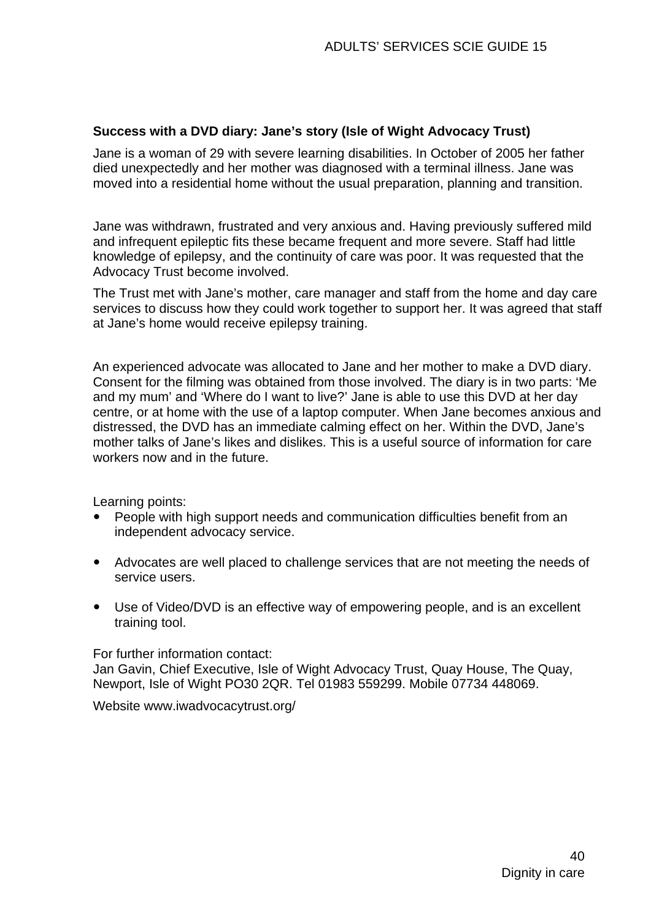#### **Success with a DVD diary: Jane's story (Isle of Wight Advocacy Trust)**

Jane is a woman of 29 with severe learning disabilities. In October of 2005 her father died unexpectedly and her mother was diagnosed with a terminal illness. Jane was moved into a residential home without the usual preparation, planning and transition.

Jane was withdrawn, frustrated and very anxious and. Having previously suffered mild and infrequent epileptic fits these became frequent and more severe. Staff had little knowledge of epilepsy, and the continuity of care was poor. It was requested that the Advocacy Trust become involved.

The Trust met with Jane's mother, care manager and staff from the home and day care services to discuss how they could work together to support her. It was agreed that staff at Jane's home would receive epilepsy training.

An experienced advocate was allocated to Jane and her mother to make a DVD diary. Consent for the filming was obtained from those involved. The diary is in two parts: 'Me and my mum' and 'Where do I want to live?' Jane is able to use this DVD at her day centre, or at home with the use of a laptop computer. When Jane becomes anxious and distressed, the DVD has an immediate calming effect on her. Within the DVD, Jane's mother talks of Jane's likes and dislikes. This is a useful source of information for care workers now and in the future.

Learning points:

- People with high support needs and communication difficulties benefit from an independent advocacy service.
- Advocates are well placed to challenge services that are not meeting the needs of service users.
- Use of Video/DVD is an effective way of empowering people, and is an excellent training tool.

For further information contact:

Jan Gavin, Chief Executive, Isle of Wight Advocacy Trust, Quay House, The Quay, Newport, Isle of Wight PO30 2QR. Tel 01983 559299. Mobile 07734 448069.

Website [www.iwadvocacytrust.org](http://www.iwadvocacytrust.org/)/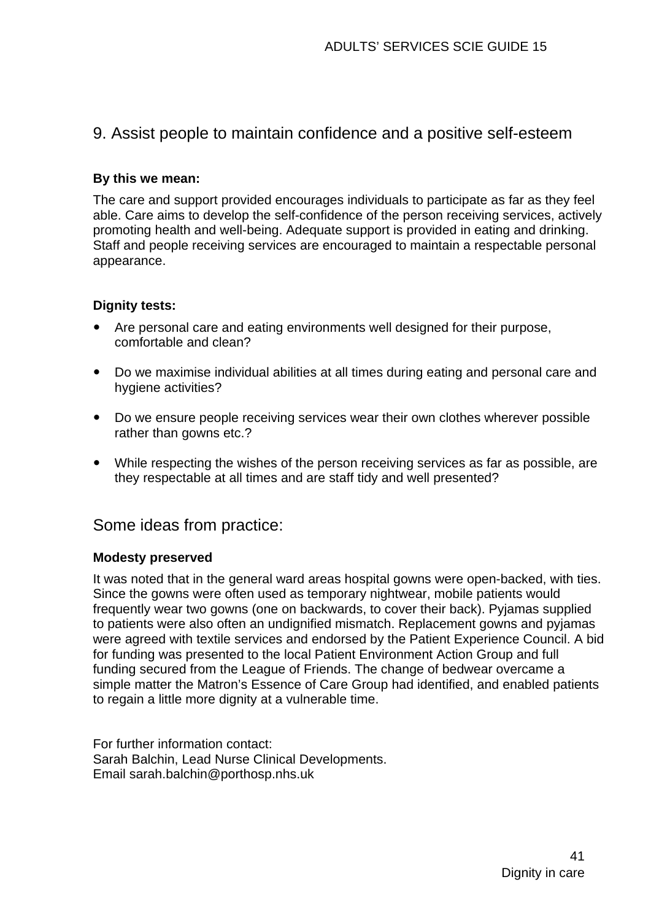## 9. Assist people to maintain confidence and a positive self-esteem

#### **By this we mean:**

The care and support provided encourages individuals to participate as far as they feel able. Care aims to develop the self-confidence of the person receiving services, actively promoting health and well-being. Adequate support is provided in eating and drinking. Staff and people receiving services are encouraged to maintain a respectable personal appearance.

#### **Dignity tests:**

- Are personal care and eating environments well designed for their purpose, comfortable and clean?
- Do we maximise individual abilities at all times during eating and personal care and hygiene activities?
- Do we ensure people receiving services wear their own clothes wherever possible rather than gowns etc.?
- While respecting the wishes of the person receiving services as far as possible, are they respectable at all times and are staff tidy and well presented?

#### Some ideas from practice:

#### **Modesty preserved**

It was noted that in the general ward areas hospital gowns were open-backed, with ties. Since the gowns were often used as temporary nightwear, mobile patients would frequently wear two gowns (one on backwards, to cover their back). Pyjamas supplied to patients were also often an undignified mismatch. Replacement gowns and pyjamas were agreed with textile services and endorsed by the Patient Experience Council. A bid for funding was presented to the local Patient Environment Action Group and full funding secured from the League of Friends. The change of bedwear overcame a simple matter the Matron's Essence of Care Group had identified, and enabled patients to regain a little more dignity at a vulnerable time.

For further information contact: Sarah Balchin, Lead Nurse Clinical Developments. Email [sarah.balchin@porthosp.nhs.uk](mailto:sarah.balchin@porthosp.nhs.uk)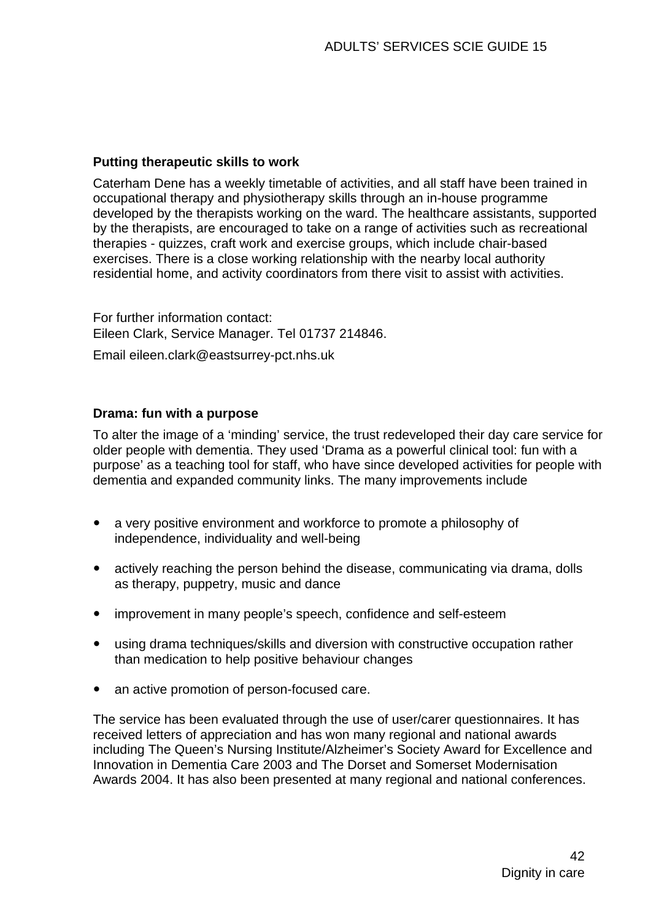#### **Putting therapeutic skills to work**

Caterham Dene has a weekly timetable of activities, and all staff have been trained in occupational therapy and physiotherapy skills through an in-house programme developed by the therapists working on the ward. The healthcare assistants, supported by the therapists, are encouraged to take on a range of activities such as recreational therapies - quizzes, craft work and exercise groups, which include chair-based exercises. There is a close working relationship with the nearby local authority residential home, and activity coordinators from there visit to assist with activities.

For further information contact: Eileen Clark, Service Manager. Tel 01737 214846.

Email [eileen.clark@eastsurrey-pct.nhs.uk](mailto:eileen.clark@eastsurrey-pct.nhs.uk)

#### **Drama: fun with a purpose**

To alter the image of a 'minding' service, the trust redeveloped their day care service for older people with dementia. They used ['Drama as a powerful clinical tool: fun with a](http://www.scie.org.uk/publications/practiceguides/practiceguide09/ideas/files/drama1.pdf)  [purpose'](http://www.scie.org.uk/publications/practiceguides/practiceguide09/ideas/files/drama1.pdf) as a teaching tool for staff, who have since developed activities for people with dementia and expanded community links. The many improvements include

- a very positive environment and workforce to promote a philosophy of independence, individuality and well-being
- actively reaching the person behind the disease, communicating via drama, dolls as therapy, puppetry, music and dance
- improvement in many people's speech, confidence and self-esteem
- using drama techniques/skills and diversion with constructive occupation rather than medication to help positive behaviour changes
- an active promotion of person-focused care.

The service has been evaluated through the use of user/carer questionnaires. It has received letters of appreciation and has won many regional and national awards including The Queen's Nursing Institute/Alzheimer's Society Award for Excellence and Innovation in Dementia Care 2003 and The Dorset and Somerset Modernisation Awards 2004. It has also been presented at many regional and national conferences.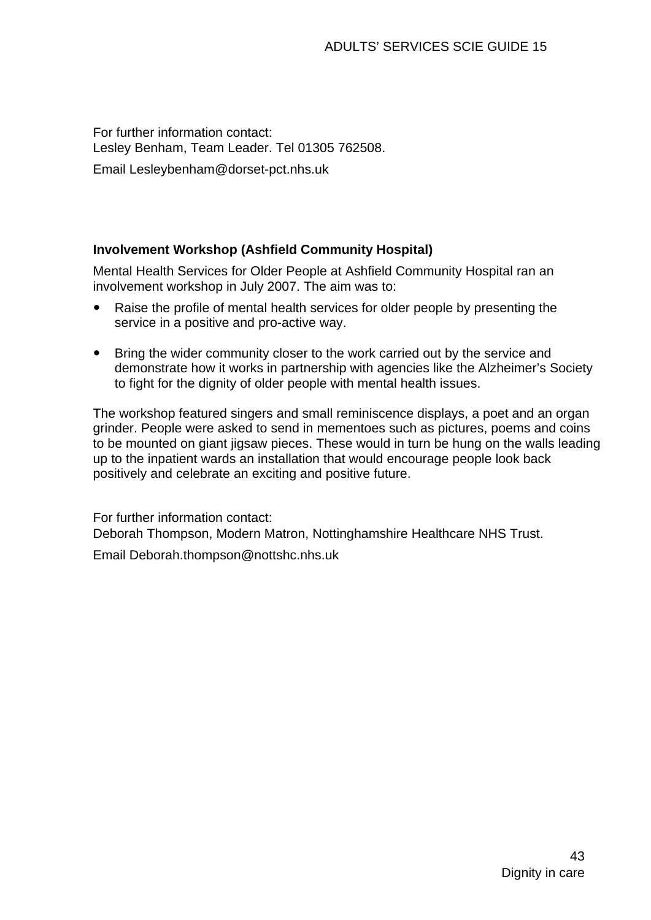For further information contact: Lesley Benham, Team Leader. Tel 01305 762508.

Email [Lesleybenham@dorset-pct.nhs.uk](mailto:Lesleybenham@dorset-pct.nhs.uk) 

#### **Involvement Workshop (Ashfield Community Hospital)**

Mental Health Services for Older People at Ashfield Community Hospital ran an involvement workshop in July 2007. The aim was to:

- Raise the profile of mental health services for older people by presenting the service in a positive and pro-active way.
- Bring the wider community closer to the work carried out by the service and demonstrate how it works in partnership with agencies like the Alzheimer's Society to fight for the dignity of older people with mental health issues.

The workshop featured singers and small reminiscence displays, a poet and an organ grinder. People were asked to send in mementoes such as pictures, poems and coins to be mounted on giant jigsaw pieces. These would in turn be hung on the walls leading up to the inpatient wards an installation that would encourage people look back positively and celebrate an exciting and positive future.

For further information contact: Deborah Thompson, Modern Matron, Nottinghamshire Healthcare NHS Trust. Email [Deborah.thompson@nottshc.nhs.uk](mailto:Deborah.thompson@nottshc.nhs.uk)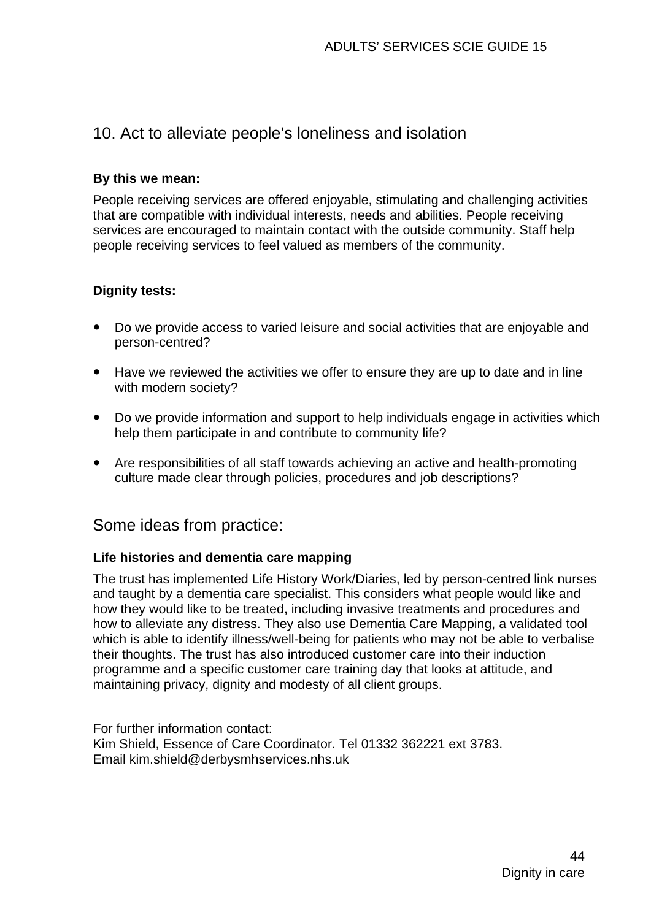## 10. Act to alleviate people's loneliness and isolation

#### **By this we mean:**

People receiving services are offered enjoyable, stimulating and challenging activities that are compatible with individual interests, needs and abilities. People receiving services are encouraged to maintain contact with the outside community. Staff help people receiving services to feel valued as members of the community.

#### **Dignity tests:**

- Do we provide access to varied leisure and social activities that are enjoyable and person-centred?
- Have we reviewed the activities we offer to ensure they are up to date and in line with modern society?
- Do we provide information and support to help individuals engage in activities which help them participate in and contribute to community life?
- Are responsibilities of all staff towards achieving an active and health-promoting culture made clear through policies, procedures and job descriptions?

#### Some ideas from practice:

#### **Life histories and dementia care mapping**

The trust has implemented Life History Work/Diaries, led by person-centred link nurses and taught by a dementia care specialist. This considers what people would like and how they would like to be treated, including invasive treatments and procedures and how to alleviate any distress. They also use [Dementia Care Mapping,](http://www.bradford.ac.uk/acad/health/bdg/dcm/) a validated tool which is able to identify illness/well-being for patients who may not be able to verbalise their thoughts. The trust has also introduced customer care into their induction programme and a specific customer care training day that looks at attitude, and maintaining privacy, dignity and modesty of all client groups.

For further information contact: Kim Shield, Essence of Care Coordinator. Tel 01332 362221 ext 3783. Email [kim.shield@derbysmhservices.nhs.uk](mailto:kim.shield@derbysmhservices.nhs.uk)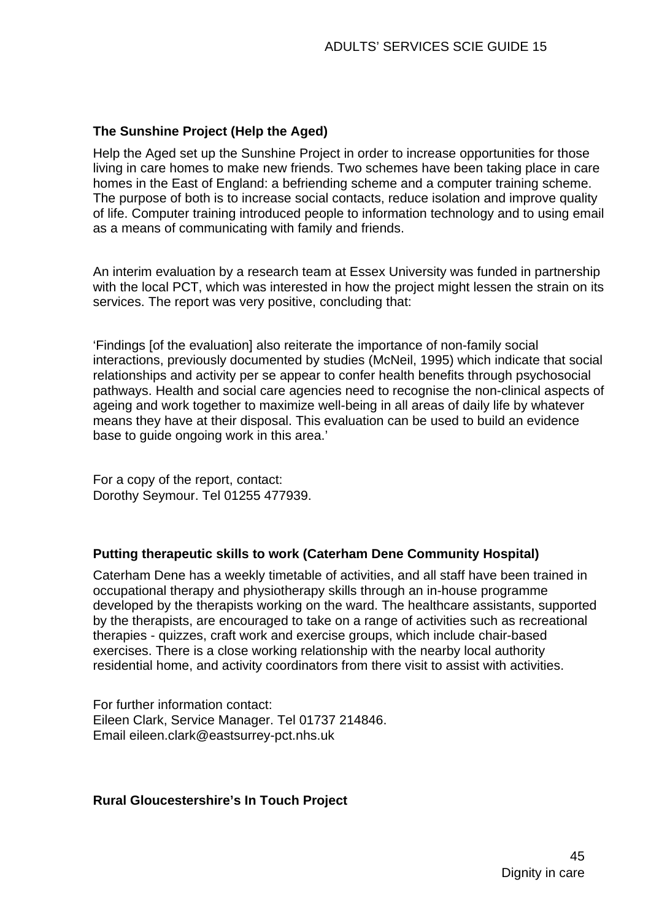#### **The Sunshine Project (Help the Aged)**

Help the Aged set up the Sunshine Project in order to increase opportunities for those living in care homes to make new friends. Two schemes have been taking place in care homes in the East of England: a befriending scheme and a computer training scheme. The purpose of both is to increase social contacts, reduce isolation and improve quality of life. Computer training introduced people to information technology and to using email as a means of communicating with family and friends.

An interim evaluation by a research team at Essex University was funded in partnership with the local PCT, which was interested in how the project might lessen the strain on its services. The report was very positive, concluding that:

'Findings [of the evaluation] also reiterate the importance of non-family social interactions, previously documented by studies (McNeil, 1995) which indicate that social relationships and activity per se appear to confer health benefits through psychosocial pathways. Health and social care agencies need to recognise the non-clinical aspects of ageing and work together to maximize well-being in all areas of daily life by whatever means they have at their disposal. This evaluation can be used to build an evidence base to guide ongoing work in this area.'

For a copy of the report, contact: Dorothy Seymour. Tel 01255 477939.

#### **Putting therapeutic skills to work (Caterham Dene Community Hospital)**

Caterham Dene has a weekly timetable of activities, and all staff have been trained in occupational therapy and physiotherapy skills through an in-house programme developed by the therapists working on the ward. The healthcare assistants, supported by the therapists, are encouraged to take on a range of activities such as recreational therapies - quizzes, craft work and exercise groups, which include chair-based exercises. There is a close working relationship with the nearby local authority residential home, and activity coordinators from there visit to assist with activities.

For further information contact: Eileen Clark, Service Manager. Tel 01737 214846. Email [eileen.clark@eastsurrey-pct.nhs.uk](mailto:eileen.clark@eastsurrey-pct.nhs.uk)

#### **Rural Gloucestershire's In Touch Project**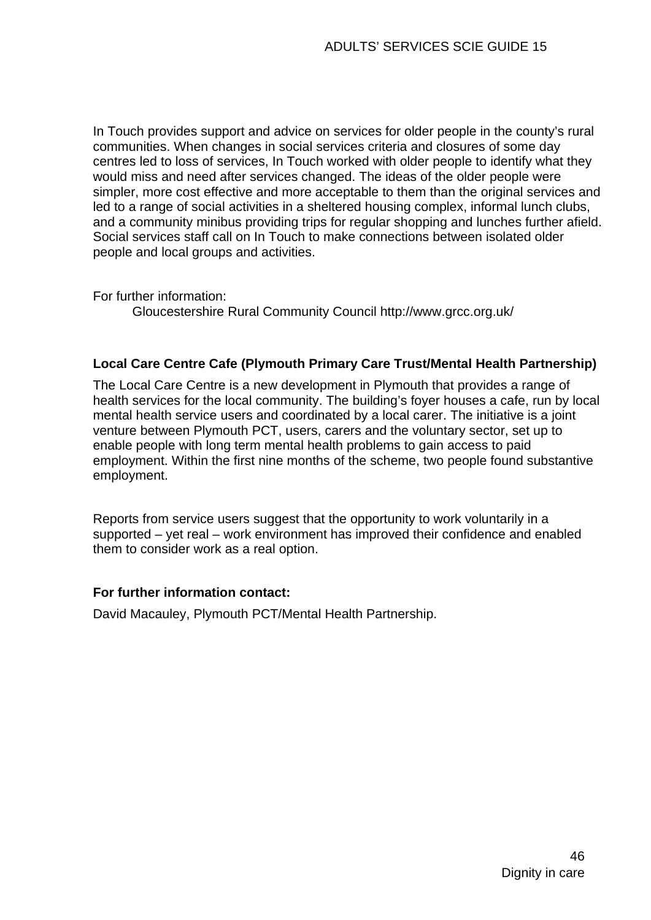In Touch provides support and advice on services for older people in the county's rural communities. When changes in social services criteria and closures of some day centres led to loss of services, In Touch worked with older people to identify what they would miss and need after services changed. The ideas of the older people were simpler, more cost effective and more acceptable to them than the original services and led to a range of social activities in a sheltered housing complex, informal lunch clubs, and a community minibus providing trips for regular shopping and lunches further afield. Social services staff call on In Touch to make connections between isolated older people and local groups and activities.

For further information:

[Gloucestershire Rural Community Council](http://www.grcc.org.uk/) http://www.grcc.org.uk/

#### **Local Care Centre Cafe (Plymouth Primary Care Trust/Mental Health Partnership)**

The Local Care Centre is a new development in Plymouth that provides a range of health services for the local community. The building's foyer houses a cafe, run by local mental health service users and coordinated by a local carer. The initiative is a joint venture between Plymouth PCT, users, carers and the voluntary sector, set up to enable people with long term mental health problems to gain access to paid employment. Within the first nine months of the scheme, two people found substantive employment.

Reports from service users suggest that the opportunity to work voluntarily in a supported – yet real – work environment has improved their confidence and enabled them to consider work as a real option.

#### **For further information contact:**

David Macauley, Plymouth PCT/Mental Health Partnership.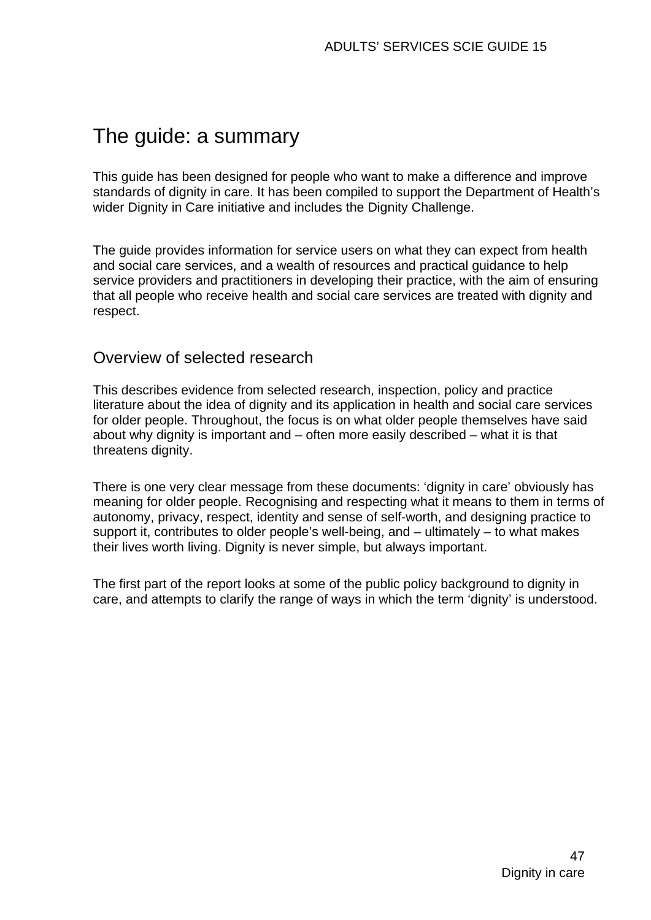# The guide: a summary

This guide has been designed for people who want to make a difference and improve standards of dignity in care. It has been compiled to support the Department of Health's wider Dignity in Care initiative and includes the Dignity Challenge.

The guide provides information for service users on what they can expect from health and social care services, and a wealth of resources and practical guidance to help service providers and practitioners in developing their practice, with the aim of ensuring that all people who receive health and social care services are treated with dignity and respect.

## Overview of selected research

This describes evidence from selected research, inspection, policy and practice literature about the idea of dignity and its application in health and social care services for older people. Throughout, the focus is on what older people themselves have said about why dignity is important and – often more easily described – what it is that threatens dignity.

There is one very clear message from these documents: 'dignity in care' obviously has meaning for older people. Recognising and respecting what it means to them in terms of autonomy, privacy, respect, identity and sense of self-worth, and designing practice to support it, contributes to older people's well-being, and – ultimately – to what makes their lives worth living. Dignity is never simple, but always important.

The first part of the report looks at some of the public policy background to dignity in care, and attempts to clarify the range of ways in which the term 'dignity' is understood.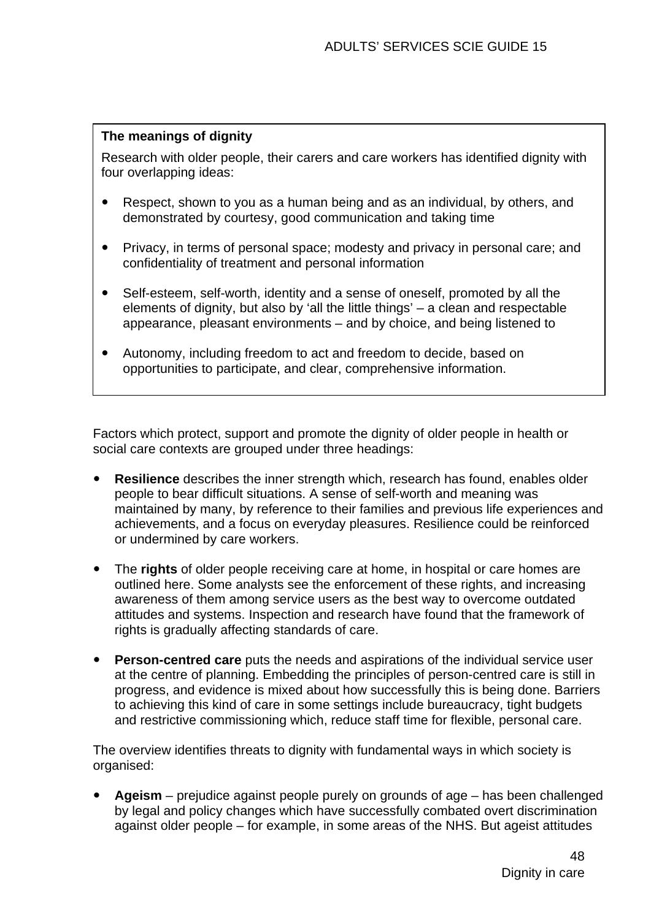#### **The meanings of dignity**

Research with older people, their carers and care workers has identified dignity with four overlapping ideas:

- Respect, shown to you as a human being and as an individual, by others, and demonstrated by courtesy, good communication and taking time
- Privacy, in terms of personal space; modesty and privacy in personal care; and confidentiality of treatment and personal information
- Self-esteem, self-worth, identity and a sense of oneself, promoted by all the elements of dignity, but also by 'all the little things' – a clean and respectable appearance, pleasant environments – and by choice, and being listened to
- Autonomy, including freedom to act and freedom to decide, based on opportunities to participate, and clear, comprehensive information.

Factors which protect, support and promote the dignity of older people in health or social care contexts are grouped under three headings:

- **Resilience** describes the inner strength which, research has found, enables older people to bear difficult situations. A sense of self-worth and meaning was maintained by many, by reference to their families and previous life experiences and achievements, and a focus on everyday pleasures. Resilience could be reinforced or undermined by care workers.
- The **rights** of older people receiving care at home, in hospital or care homes are outlined here. Some analysts see the enforcement of these rights, and increasing awareness of them among service users as the best way to overcome outdated attitudes and systems. Inspection and research have found that the framework of rights is gradually affecting standards of care.
- **Person-centred care** puts the needs and aspirations of the individual service user at the centre of planning. Embedding the principles of person-centred care is still in progress, and evidence is mixed about how successfully this is being done. Barriers to achieving this kind of care in some settings include bureaucracy, tight budgets and restrictive commissioning which, reduce staff time for flexible, personal care.

The overview identifies threats to dignity with fundamental ways in which society is organised:

Ageism – prejudice against people purely on grounds of age – has been challenged by legal and policy changes which have successfully combated overt discrimination against older people – for example, in some areas of the NHS. But ageist attitudes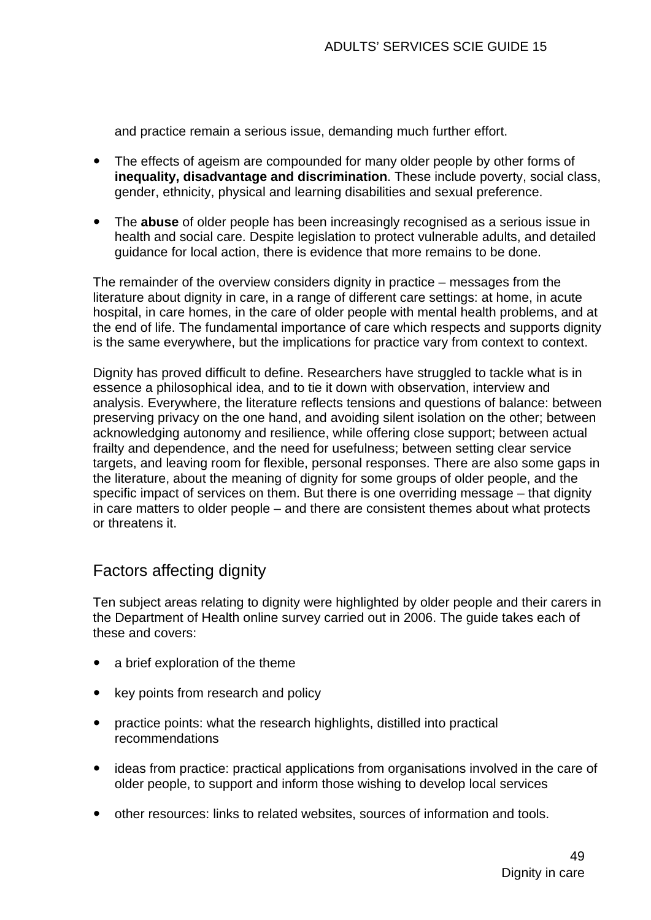and practice remain a serious issue, demanding much further effort.

- The effects of ageism are compounded for many older people by other forms of **inequality, disadvantage and discrimination**. These include poverty, social class, gender, ethnicity, physical and learning disabilities and sexual preference.
- The **abuse** of older people has been increasingly recognised as a serious issue in health and social care. Despite legislation to protect vulnerable adults, and detailed guidance for local action, there is evidence that more remains to be done.

The remainder of the overview considers dignity in practice – messages from the literature about dignity in care, in a range of different care settings: at home, in acute hospital, in care homes, in the care of older people with mental health problems, and at the end of life. The fundamental importance of care which respects and supports dignity is the same everywhere, but the implications for practice vary from context to context.

Dignity has proved difficult to define. Researchers have struggled to tackle what is in essence a philosophical idea, and to tie it down with observation, interview and analysis. Everywhere, the literature reflects tensions and questions of balance: between preserving privacy on the one hand, and avoiding silent isolation on the other; between acknowledging autonomy and resilience, while offering close support; between actual frailty and dependence, and the need for usefulness; between setting clear service targets, and leaving room for flexible, personal responses. There are also some gaps in the literature, about the meaning of dignity for some groups of older people, and the specific impact of services on them. But there is one overriding message – that dignity in care matters to older people – and there are consistent themes about what protects or threatens it.

## Factors affecting dignity

Ten subject areas relating to dignity were highlighted by older people and their carers in the Department of Health online survey carried out in 2006. The guide takes each of these and covers:

- a brief exploration of the theme
- key points from research and policy
- $\bullet$  practice points: what the research highlights, distilled into practical recommendations
- ideas from practice: practical applications from organisations involved in the care of older people, to support and inform those wishing to develop local services
- y other resources: links to related websites, sources of information and tools.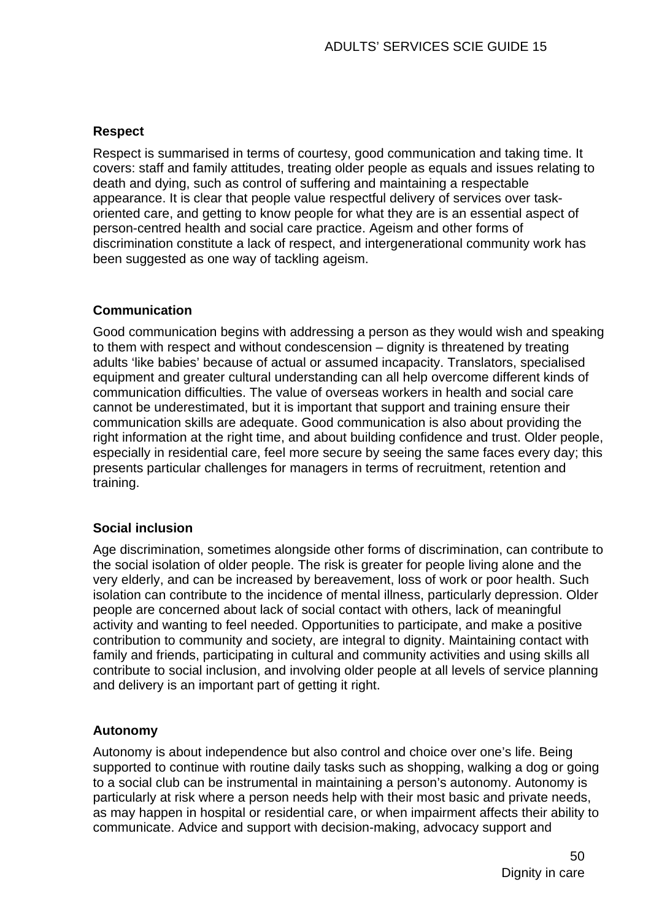#### **Respect**

Respect is summarised in terms of courtesy, good communication and taking time. It covers: staff and family attitudes, treating older people as equals and issues relating to death and dying, such as control of suffering and maintaining a respectable appearance. It is clear that people value respectful delivery of services over taskoriented care, and getting to know people for what they are is an essential aspect of person-centred health and social care practice. Ageism and other forms of discrimination constitute a lack of respect, and intergenerational community work has been suggested as one way of tackling ageism.

#### **Communication**

Good communication begins with addressing a person as they would wish and speaking to them with respect and without condescension – dignity is threatened by treating adults 'like babies' because of actual or assumed incapacity. Translators, specialised equipment and greater cultural understanding can all help overcome different kinds of communication difficulties. The value of overseas workers in health and social care cannot be underestimated, but it is important that support and training ensure their communication skills are adequate. Good communication is also about providing the right information at the right time, and about building confidence and trust. Older people, especially in residential care, feel more secure by seeing the same faces every day; this presents particular challenges for managers in terms of recruitment, retention and training.

#### **Social inclusion**

Age discrimination, sometimes alongside other forms of discrimination, can contribute to the social isolation of older people. The risk is greater for people living alone and the very elderly, and can be increased by bereavement, loss of work or poor health. Such isolation can contribute to the incidence of mental illness, particularly depression. Older people are concerned about lack of social contact with others, lack of meaningful activity and wanting to feel needed. Opportunities to participate, and make a positive contribution to community and society, are integral to dignity. Maintaining contact with family and friends, participating in cultural and community activities and using skills all contribute to social inclusion, and involving older people at all levels of service planning and delivery is an important part of getting it right.

#### **Autonomy**

Autonomy is about independence but also control and choice over one's life. Being supported to continue with routine daily tasks such as shopping, walking a dog or going to a social club can be instrumental in maintaining a person's autonomy. Autonomy is particularly at risk where a person needs help with their most basic and private needs, as may happen in hospital or residential care, or when impairment affects their ability to communicate. Advice and support with decision-making, advocacy support and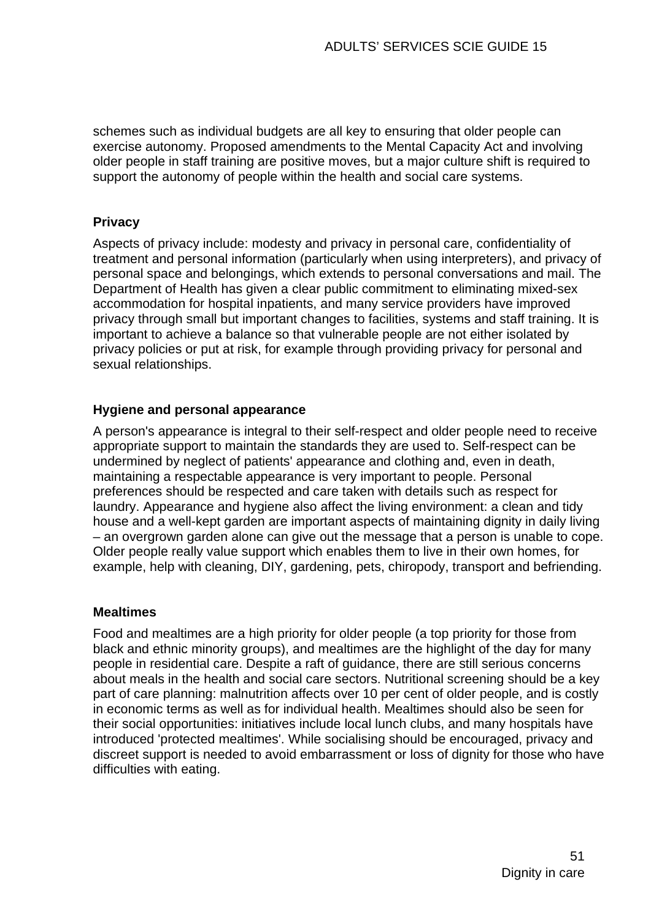schemes such as individual budgets are all key to ensuring that older people can exercise autonomy. Proposed amendments to the Mental Capacity Act and involving older people in staff training are positive moves, but a major culture shift is required to support the autonomy of people within the health and social care systems.

#### **Privacy**

Aspects of privacy include: modesty and privacy in personal care, confidentiality of treatment and personal information (particularly when using interpreters), and privacy of personal space and belongings, which extends to personal conversations and mail. The Department of Health has given a clear public commitment to eliminating mixed-sex accommodation for hospital inpatients, and many service providers have improved privacy through small but important changes to facilities, systems and staff training. It is important to achieve a balance so that vulnerable people are not either isolated by privacy policies or put at risk, for example through providing privacy for personal and sexual relationships.

#### **Hygiene and personal appearance**

A person's appearance is integral to their self-respect and older people need to receive appropriate support to maintain the standards they are used to. Self-respect can be undermined by neglect of patients' appearance and clothing and, even in death, maintaining a respectable appearance is very important to people. Personal preferences should be respected and care taken with details such as respect for laundry. Appearance and hygiene also affect the living environment: a clean and tidy house and a well-kept garden are important aspects of maintaining dignity in daily living – an overgrown garden alone can give out the message that a person is unable to cope. Older people really value support which enables them to live in their own homes, for example, help with cleaning, DIY, gardening, pets, chiropody, transport and befriending.

#### **Mealtimes**

Food and mealtimes are a high priority for older people (a top priority for those from black and ethnic minority groups), and mealtimes are the highlight of the day for many people in residential care. Despite a raft of guidance, there are still serious concerns about meals in the health and social care sectors. Nutritional screening should be a key part of care planning: malnutrition affects over 10 per cent of older people, and is costly in economic terms as well as for individual health. Mealtimes should also be seen for their social opportunities: initiatives include local lunch clubs, and many hospitals have introduced 'protected mealtimes'. While socialising should be encouraged, privacy and discreet support is needed to avoid embarrassment or loss of dignity for those who have difficulties with eating.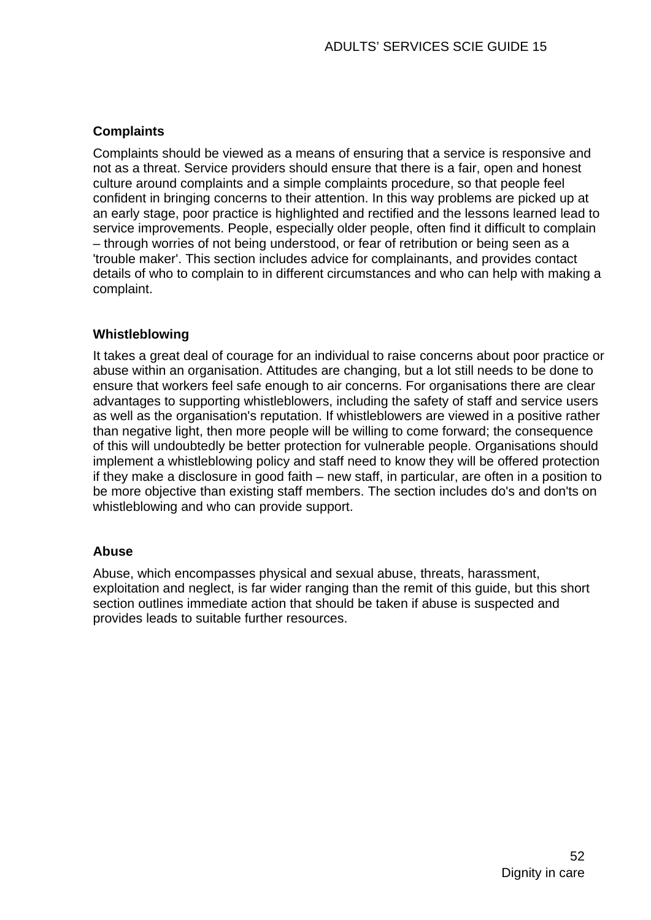#### **Complaints**

Complaints should be viewed as a means of ensuring that a service is responsive and not as a threat. Service providers should ensure that there is a fair, open and honest culture around complaints and a simple complaints procedure, so that people feel confident in bringing concerns to their attention. In this way problems are picked up at an early stage, poor practice is highlighted and rectified and the lessons learned lead to service improvements. People, especially older people, often find it difficult to complain – through worries of not being understood, or fear of retribution or being seen as a 'trouble maker'. This section includes advice for complainants, and provides contact details of who to complain to in different circumstances and who can help with making a complaint.

#### **Whistleblowing**

It takes a great deal of courage for an individual to raise concerns about poor practice or abuse within an organisation. Attitudes are changing, but a lot still needs to be done to ensure that workers feel safe enough to air concerns. For organisations there are clear advantages to supporting whistleblowers, including the safety of staff and service users as well as the organisation's reputation. If whistleblowers are viewed in a positive rather than negative light, then more people will be willing to come forward; the consequence of this will undoubtedly be better protection for vulnerable people. Organisations should implement a whistleblowing policy and staff need to know they will be offered protection if they make a disclosure in good faith – new staff, in particular, are often in a position to be more objective than existing staff members. The section includes do's and don'ts on whistleblowing and who can provide support.

#### **Abuse**

Abuse, which encompasses physical and sexual abuse, threats, harassment, exploitation and neglect, is far wider ranging than the remit of this guide, but this short section outlines immediate action that should be taken if abuse is suspected and provides leads to suitable further resources.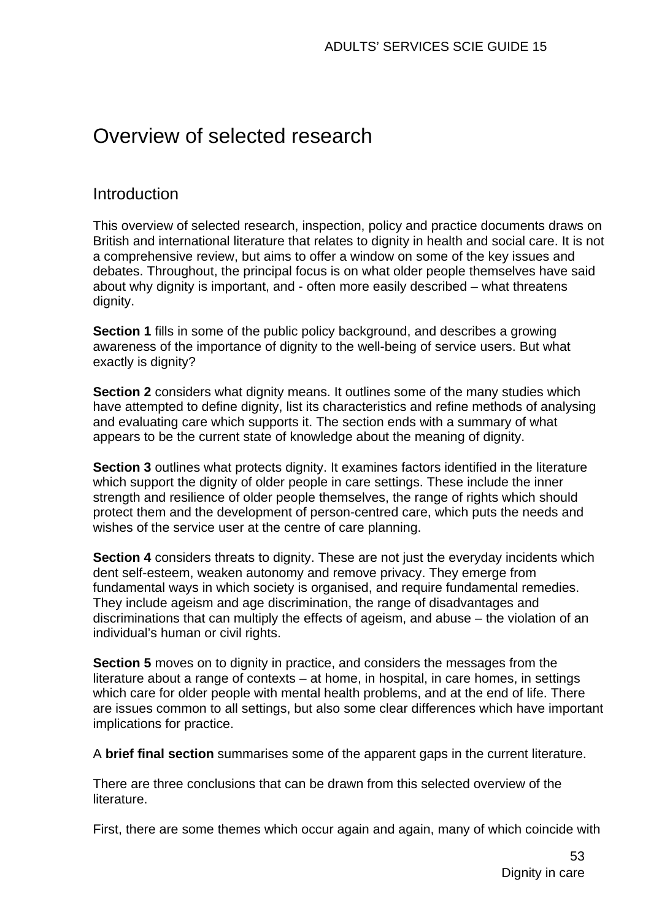## Overview of selected research

### Introduction

This overview of selected research, inspection, policy and practice documents draws on British and international literature that relates to dignity in health and social care. It is not a comprehensive review, but aims to offer a window on some of the key issues and debates. Throughout, the principal focus is on what older people themselves have said about why dignity is important, and - often more easily described – what threatens dignity.

**Section 1** fills in some of the public policy background, and describes a growing awareness of the importance of dignity to the well-being of service users. But what exactly is dignity?

**Section 2** considers what dignity means. It outlines some of the many studies which have attempted to define dignity, list its characteristics and refine methods of analysing and evaluating care which supports it. The section ends with a summary of what appears to be the current state of knowledge about the meaning of dignity.

**Section 3** outlines what protects dignity. It examines factors identified in the literature which support the dignity of older people in care settings. These include the inner strength and resilience of older people themselves, the range of rights which should protect them and the development of person-centred care, which puts the needs and wishes of the service user at the centre of care planning.

**Section 4** considers threats to dignity. These are not just the everyday incidents which dent self-esteem, weaken autonomy and remove privacy. They emerge from fundamental ways in which society is organised, and require fundamental remedies. They include ageism and age discrimination, the range of disadvantages and discriminations that can multiply the effects of ageism, and abuse – the violation of an individual's human or civil rights.

**Section 5** moves on to dignity in practice, and considers the messages from the literature about a range of contexts – at home, in hospital, in care homes, in settings which care for older people with mental health problems, and at the end of life. There are issues common to all settings, but also some clear differences which have important implications for practice.

A **brief final section** summarises some of the apparent gaps in the current literature.

There are three conclusions that can be drawn from this selected overview of the literature.

First, there are some themes which occur again and again, many of which coincide with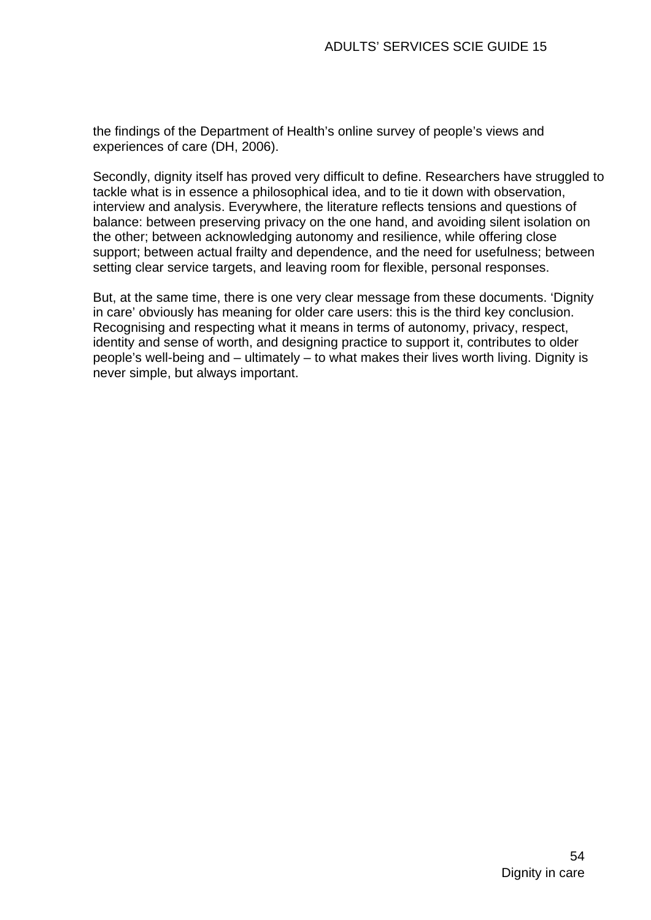the findings of the Department of Health's online survey of people's views and experiences of care (DH, 2006).

Secondly, dignity itself has proved very difficult to define. Researchers have struggled to tackle what is in essence a philosophical idea, and to tie it down with observation, interview and analysis. Everywhere, the literature reflects tensions and questions of balance: between preserving privacy on the one hand, and avoiding silent isolation on the other; between acknowledging autonomy and resilience, while offering close support; between actual frailty and dependence, and the need for usefulness; between setting clear service targets, and leaving room for flexible, personal responses.

But, at the same time, there is one very clear message from these documents. 'Dignity in care' obviously has meaning for older care users: this is the third key conclusion. Recognising and respecting what it means in terms of autonomy, privacy, respect, identity and sense of worth, and designing practice to support it, contributes to older people's well-being and – ultimately – to what makes their lives worth living. Dignity is never simple, but always important.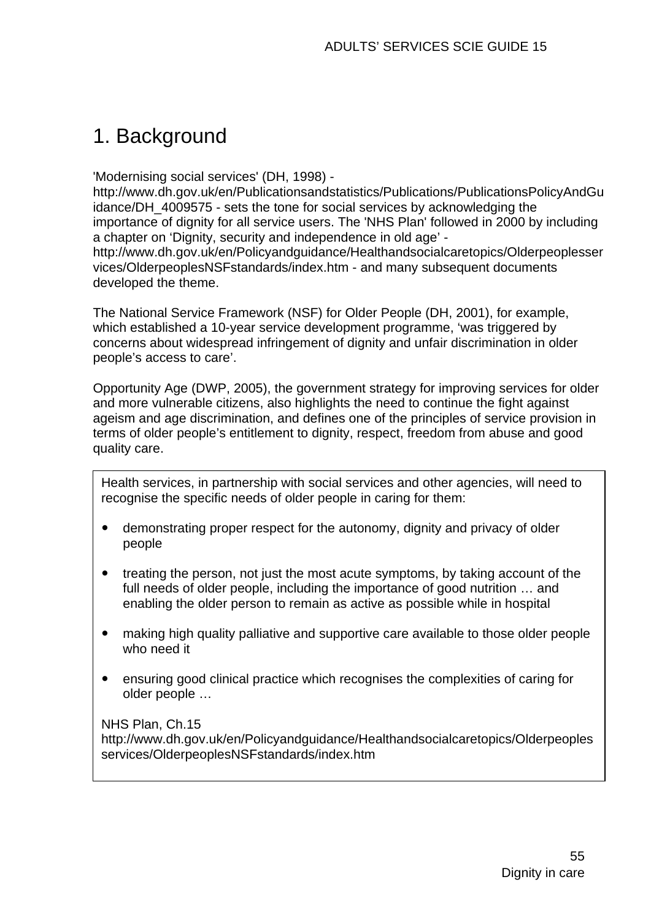# 1. Background

'Modernising social services' (DH, 1998) -

[http://www.dh.gov.uk/en/Publicationsandstatistics/Publications/PublicationsPolicyAndGu](http://www.dh.gov.uk/en/Publicationsandstatistics/Publications/PublicationsPolicyAndGuidance/DH_4009575) [idance/DH\\_4009575](http://www.dh.gov.uk/en/Publicationsandstatistics/Publications/PublicationsPolicyAndGuidance/DH_4009575) - sets the tone for social services by acknowledging the importance of dignity for all service users. The 'NHS Plan' followed in 2000 by including a chapter on 'Dignity, security and independence in old age' [http://www.dh.gov.uk/en/Policyandguidance/Healthandsocialcaretopics/Olderpeoplesser](http://www.dh.gov.uk/en/Policyandguidance/Healthandsocialcaretopics/Olderpeoplesservices/OlderpeoplesNSFstandards/index.htm) [vices/OlderpeoplesNSFstandards/index.htm](http://www.dh.gov.uk/en/Policyandguidance/Healthandsocialcaretopics/Olderpeoplesservices/OlderpeoplesNSFstandards/index.htm) - and many subsequent documents developed the theme.

The National Service Framework (NSF) for Older People (DH, 2001), for example, which established a 10-year service development programme, 'was triggered by concerns about widespread infringement of dignity and unfair discrimination in older people's access to care'.

Opportunity Age (DWP, 2005), the government strategy for improving services for older and more vulnerable citizens, also highlights the need to continue the fight against ageism and age discrimination, and defines one of the principles of service provision in terms of older people's entitlement to dignity, respect, freedom from abuse and good quality care.

Health services, in partnership with social services and other agencies, will need to recognise the specific needs of older people in caring for them:

- demonstrating proper respect for the autonomy, dignity and privacy of older people
- treating the person, not just the most acute symptoms, by taking account of the full needs of older people, including the importance of good nutrition … and enabling the older person to remain as active as possible while in hospital
- making high quality palliative and supportive care available to those older people who need it
- ensuring good clinical practice which recognises the complexities of caring for older people …

NHS Plan, Ch.15

[http://www.dh.gov.uk/en/Policyandguidance/Healthandsocialcaretopics/Olderpeoples](http://www.dh.gov.uk/en/Policyandguidance/Healthandsocialcaretopics/Olderpeoplesservices/OlderpeoplesNSFstandards/index.htm) [services/OlderpeoplesNSFstandards/index.htm](http://www.dh.gov.uk/en/Policyandguidance/Healthandsocialcaretopics/Olderpeoplesservices/OlderpeoplesNSFstandards/index.htm)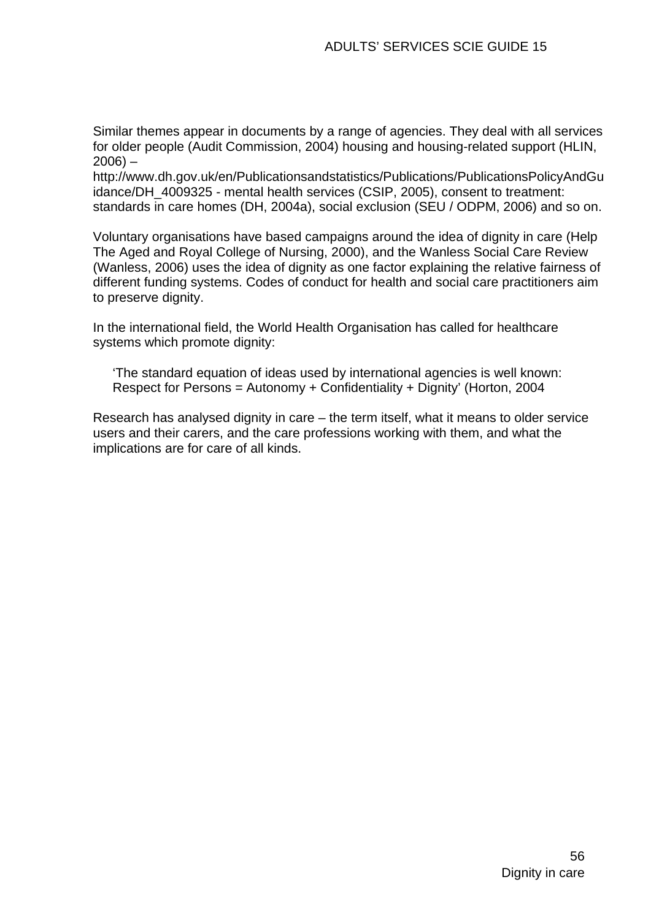Similar themes appear in documents by a range of agencies. They deal with all services for older people (Audit Commission, 2004) housing and housing-related support (HLIN,  $2006$ ) –

[http://www.dh.gov.uk/en/Publicationsandstatistics/Publications/PublicationsPolicyAndGu](http://www.dh.gov.uk/en/Publicationsandstatistics/Publications/PublicationsPolicyAndGuidance/DH_4009325) [idance/DH\\_4009325](http://www.dh.gov.uk/en/Publicationsandstatistics/Publications/PublicationsPolicyAndGuidance/DH_4009325) - mental health services (CSIP, 2005), consent to treatment: standards in care homes (DH, 2004a), social exclusion (SEU / ODPM, 2006) and so on.

Voluntary organisations have based campaigns around the idea of dignity in care (Help The Aged and Royal College of Nursing, 2000), and the Wanless Social Care Review (Wanless, 2006) uses the idea of dignity as one factor explaining the relative fairness of different funding systems. Codes of conduct for health and social care practitioners aim to preserve dignity.

In the international field, the World Health Organisation has called for healthcare systems which promote dignity:

'The standard equation of ideas used by international agencies is well known: Respect for Persons = Autonomy + Confidentiality + Dignity' (Horton, 2004

Research has analysed dignity in care – the term itself, what it means to older service users and their carers, and the care professions working with them, and what the implications are for care of all kinds.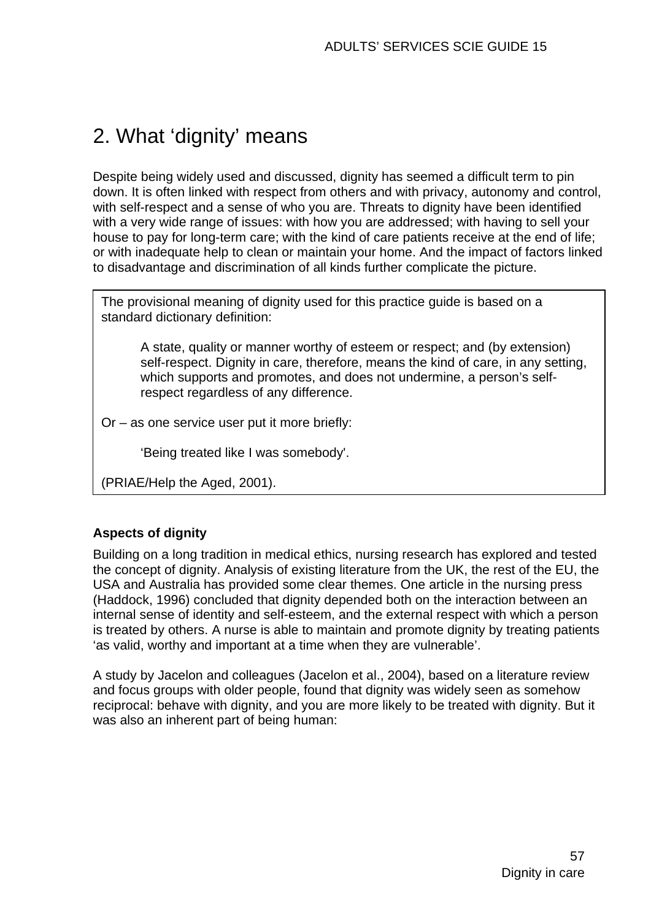# 2. What 'dignity' means

Despite being widely used and discussed, dignity has seemed a difficult term to pin down. It is often linked with respect from others and with privacy, autonomy and control, with self-respect and a sense of who you are. Threats to dignity have been identified with a very wide range of issues: with how you are addressed; with having to sell your house to pay for long-term care; with the kind of care patients receive at the end of life; or with inadequate help to clean or maintain your home. And the impact of factors linked to disadvantage and discrimination of all kinds further complicate the picture.

The provisional meaning of dignity used for this practice guide is based on a standard dictionary definition:

A state, quality or manner worthy of esteem or respect; and (by extension) self-respect. Dignity in care, therefore, means the kind of care, in any setting, which supports and promotes, and does not undermine, a person's selfrespect regardless of any difference.

Or – as one service user put it more briefly:

'Being treated like I was somebody'.

(PRIAE/Help the Aged, 2001).

#### **Aspects of dignity**

Building on a long tradition in medical ethics, nursing research has explored and tested the concept of dignity. Analysis of existing literature from the UK, the rest of the EU, the USA and Australia has provided some clear themes. One article in the nursing press (Haddock, 1996) concluded that dignity depended both on the interaction between an internal sense of identity and self-esteem, and the external respect with which a person is treated by others. A nurse is able to maintain and promote dignity by treating patients 'as valid, worthy and important at a time when they are vulnerable'.

A study by Jacelon and colleagues (Jacelon et al., 2004), based on a literature review and focus groups with older people, found that dignity was widely seen as somehow reciprocal: behave with dignity, and you are more likely to be treated with dignity. But it was also an inherent part of being human: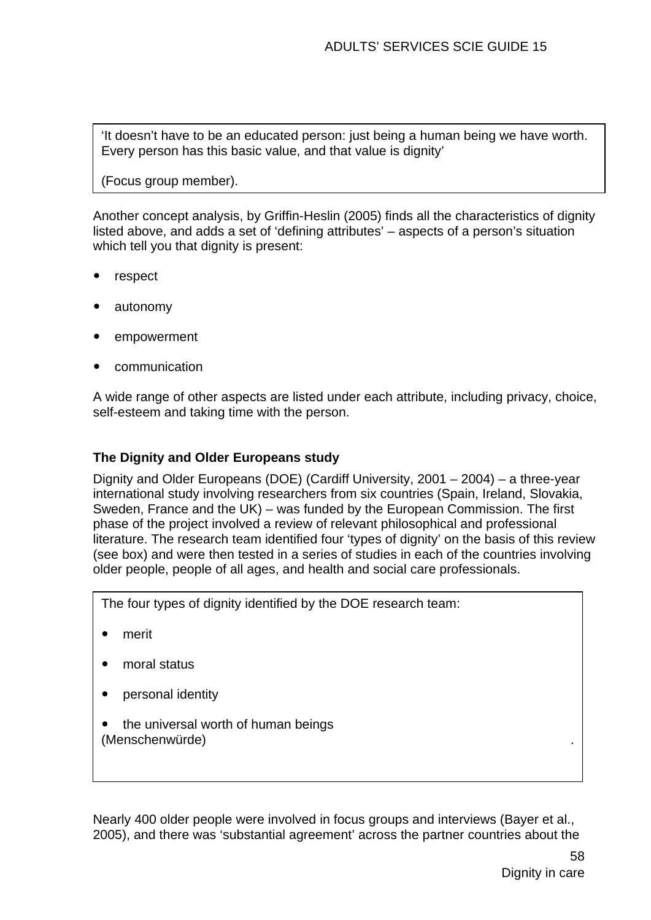'It doesn't have to be an educated person: just being a human being we have worth. Every person has this basic value, and that value is dignity'

(Focus group member).

Another concept analysis, by Griffin-Heslin (2005) finds all the characteristics of dignity listed above, and adds a set of 'defining attributes' – aspects of a person's situation which tell you that dignity is present:

- respect
- autonomy
- empowerment
- communication

A wide range of other aspects are listed under each attribute, including privacy, choice, self-esteem and taking time with the person.

#### **The Dignity and Older Europeans study**

Dignity and Older Europeans (DOE) (Cardiff University, 2001 – 2004) – a three-year international study involving researchers from six countries (Spain, Ireland, Slovakia, Sweden, France and the UK) – was funded by the European Commission. The first phase of the project involved a review of relevant philosophical and professional literature. The research team identified four 'types of dignity' on the basis of this review (see box) and were then tested in a series of studies in each of the countries involving older people, people of all ages, and health and social care professionals.

The four types of dignity identified by the DOE research team:

- merit
- moral status
- personal identity
- the universal worth of human beings (Menschenwürde) .

Nearly 400 older people were involved in focus groups and interviews (Bayer et al., 2005), and there was 'substantial agreement' across the partner countries about the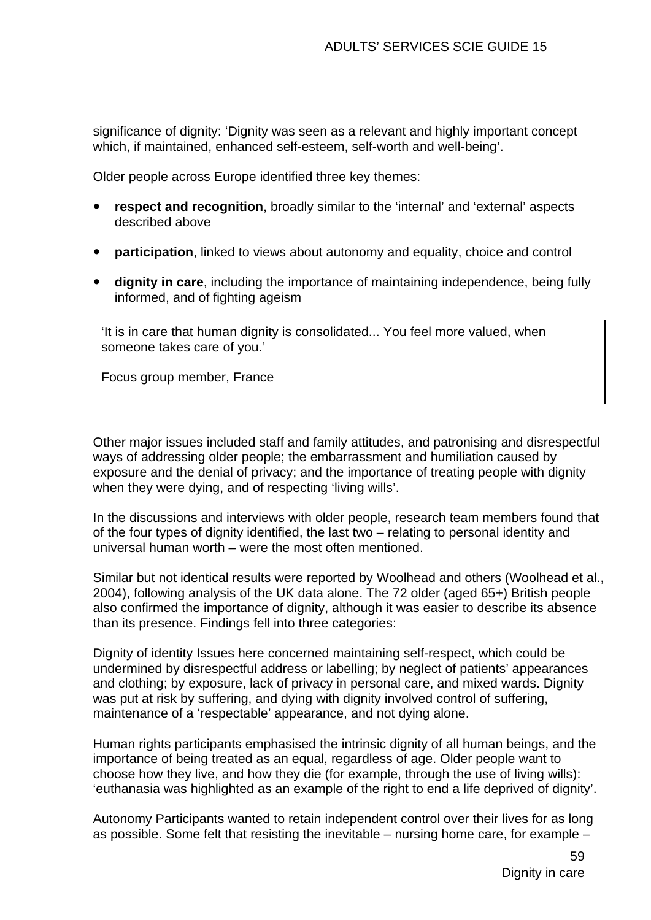significance of dignity: 'Dignity was seen as a relevant and highly important concept which, if maintained, enhanced self-esteem, self-worth and well-being'.

Older people across Europe identified three key themes:

- respect and recognition, broadly similar to the 'internal' and 'external' aspects described above
- **participation**, linked to views about autonomy and equality, choice and control
- **dignity in care**, including the importance of maintaining independence, being fully informed, and of fighting ageism

'It is in care that human dignity is consolidated... You feel more valued, when someone takes care of you.'

Focus group member, France

Other major issues included staff and family attitudes, and patronising and disrespectful ways of addressing older people; the embarrassment and humiliation caused by exposure and the denial of privacy; and the importance of treating people with dignity when they were dying, and of respecting 'living wills'.

In the discussions and interviews with older people, research team members found that of the four types of dignity identified, the last two – relating to personal identity and universal human worth – were the most often mentioned.

Similar but not identical results were reported by Woolhead and others (Woolhead et al., 2004), following analysis of the UK data alone. The 72 older (aged 65+) British people also confirmed the importance of dignity, although it was easier to describe its absence than its presence. Findings fell into three categories:

Dignity of identity Issues here concerned maintaining self-respect, which could be undermined by disrespectful address or labelling; by neglect of patients' appearances and clothing; by exposure, lack of privacy in personal care, and mixed wards. Dignity was put at risk by suffering, and dying with dignity involved control of suffering, maintenance of a 'respectable' appearance, and not dying alone.

Human rights participants emphasised the intrinsic dignity of all human beings, and the importance of being treated as an equal, regardless of age. Older people want to choose how they live, and how they die (for example, through the use of living wills): 'euthanasia was highlighted as an example of the right to end a life deprived of dignity'.

Autonomy Participants wanted to retain independent control over their lives for as long as possible. Some felt that resisting the inevitable – nursing home care, for example –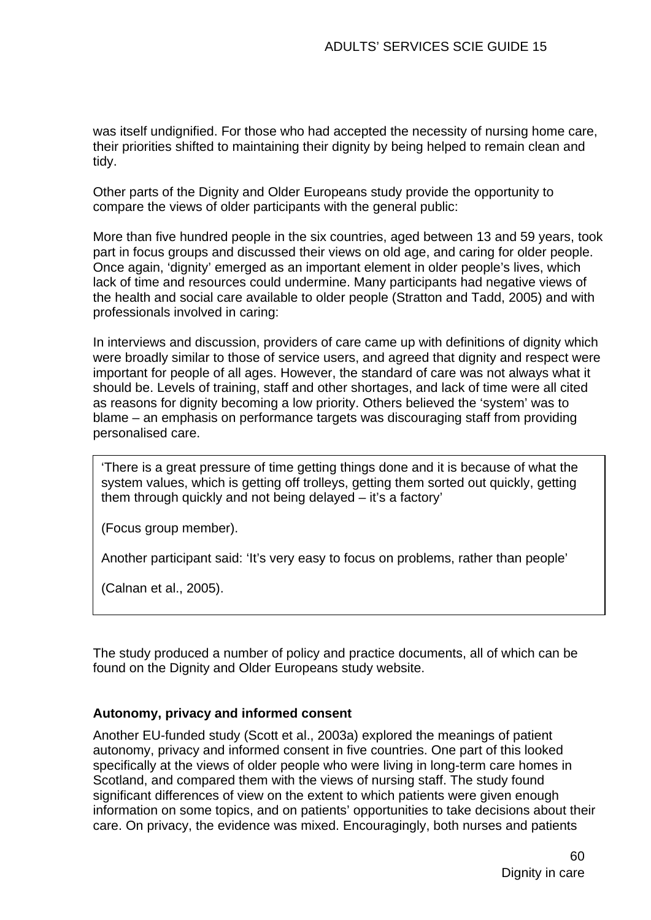was itself undignified. For those who had accepted the necessity of nursing home care, their priorities shifted to maintaining their dignity by being helped to remain clean and tidy.

Other parts of the Dignity and Older Europeans study provide the opportunity to compare the views of older participants with the general public:

More than five hundred people in the six countries, aged between 13 and 59 years, took part in focus groups and discussed their views on old age, and caring for older people. Once again, 'dignity' emerged as an important element in older people's lives, which lack of time and resources could undermine. Many participants had negative views of the health and social care available to older people (Stratton and Tadd, 2005) and with professionals involved in caring:

In interviews and discussion, providers of care came up with definitions of dignity which were broadly similar to those of service users, and agreed that dignity and respect were important for people of all ages. However, the standard of care was not always what it should be. Levels of training, staff and other shortages, and lack of time were all cited as reasons for dignity becoming a low priority. Others believed the 'system' was to blame – an emphasis on performance targets was discouraging staff from providing personalised care.

'There is a great pressure of time getting things done and it is because of what the system values, which is getting off trolleys, getting them sorted out quickly, getting them through quickly and not being delayed – it's a factory'

(Focus group member).

Another participant said: 'It's very easy to focus on problems, rather than people'

(Calnan et al., 2005).

The study produced a number of policy and practice documents, all of which can be found on the Dignity and Older Europeans study website.

#### **Autonomy, privacy and informed consent**

Another EU-funded study (Scott et al., 2003a) explored the meanings of patient autonomy, privacy and informed consent in five countries. One part of this looked specifically at the views of older people who were living in long-term care homes in Scotland, and compared them with the views of nursing staff. The study found significant differences of view on the extent to which patients were given enough information on some topics, and on patients' opportunities to take decisions about their care. On privacy, the evidence was mixed. Encouragingly, both nurses and patients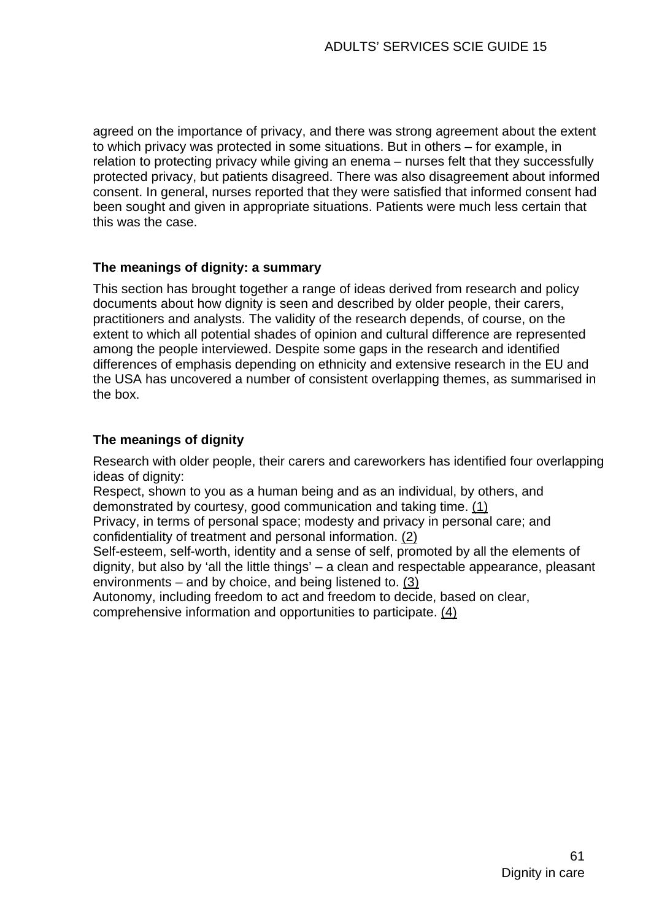agreed on the importance of privacy, and there was strong agreement about the extent to which privacy was protected in some situations. But in others – for example, in relation to protecting privacy while giving an enema – nurses felt that they successfully protected privacy, but patients disagreed. There was also disagreement about informed consent. In general, nurses reported that they were satisfied that informed consent had been sought and given in appropriate situations. Patients were much less certain that this was the case.

#### **The meanings of dignity: a summary**

This section has brought together a range of ideas derived from research and policy documents about how dignity is seen and described by older people, their carers, practitioners and analysts. The validity of the research depends, of course, on the extent to which all potential shades of opinion and cultural difference are represented among the people interviewed. Despite some gaps in the research and identified differences of emphasis depending on ethnicity and extensive research in the EU and the USA has uncovered a number of consistent overlapping themes, as summarised in the box.

#### **The meanings of dignity**

Research with older people, their carers and careworkers has identified four overlapping ideas of dignity:

Respect, shown to you as a human being and as an individual, by others, and demonstrated by courtesy, good communication and taking time. (1)

Privacy, in terms of personal space; modesty and privacy in personal care; and confidentiality of treatment and personal information. (2)

Self-esteem, self-worth, identity and a sense of self, promoted by all the elements of dignity, but also by 'all the little things' – a clean and respectable appearance, pleasant environments – and by choice, and being listened to. (3)

Autonomy, including freedom to act and freedom to decide, based on clear,

comprehensive information and opportunities to participate. (4)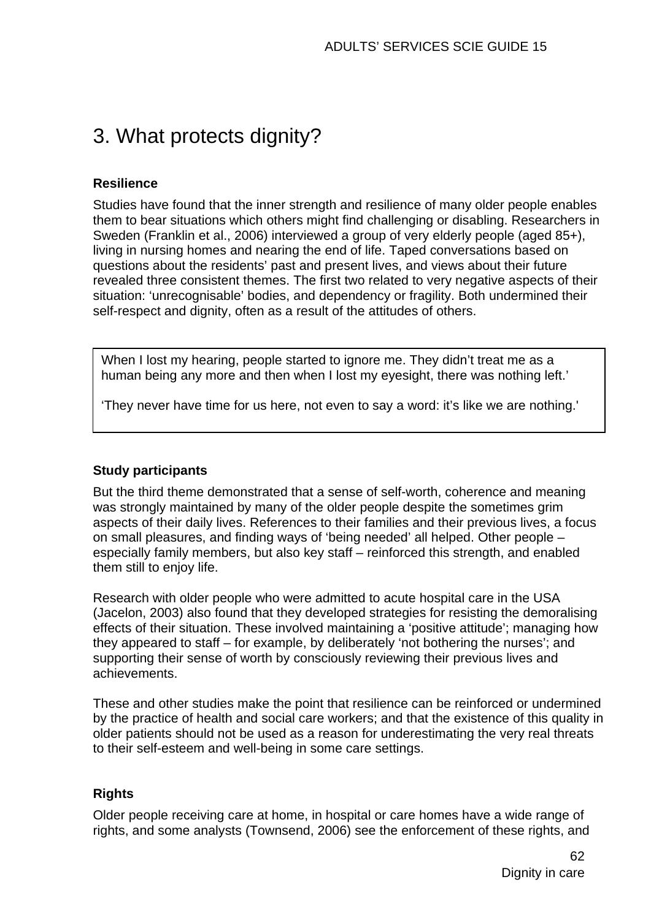# 3. What protects dignity?

#### **Resilience**

Studies have found that the inner strength and resilience of many older people enables them to bear situations which others might find challenging or disabling. Researchers in Sweden (Franklin et al., 2006) interviewed a group of very elderly people (aged 85+), living in nursing homes and nearing the end of life. Taped conversations based on questions about the residents' past and present lives, and views about their future revealed three consistent themes. The first two related to very negative aspects of their situation: 'unrecognisable' bodies, and dependency or fragility. Both undermined their self-respect and dignity, often as a result of the attitudes of others.

When I lost my hearing, people started to ignore me. They didn't treat me as a human being any more and then when I lost my eyesight, there was nothing left.'

'They never have time for us here, not even to say a word: it's like we are nothing.'

#### **Study participants**

But the third theme demonstrated that a sense of self-worth, coherence and meaning was strongly maintained by many of the older people despite the sometimes grim aspects of their daily lives. References to their families and their previous lives, a focus on small pleasures, and finding ways of 'being needed' all helped. Other people – especially family members, but also key staff – reinforced this strength, and enabled them still to enjoy life.

Research with older people who were admitted to acute hospital care in the USA (Jacelon, 2003) also found that they developed strategies for resisting the demoralising effects of their situation. These involved maintaining a 'positive attitude'; managing how they appeared to staff – for example, by deliberately 'not bothering the nurses'; and supporting their sense of worth by consciously reviewing their previous lives and achievements.

These and other studies make the point that resilience can be reinforced or undermined by the practice of health and social care workers; and that the existence of this quality in older patients should not be used as a reason for underestimating the very real threats to their self-esteem and well-being in some care settings.

#### **Rights**

Older people receiving care at home, in hospital or care homes have a wide range of rights, and some analysts (Townsend, 2006) see the enforcement of these rights, and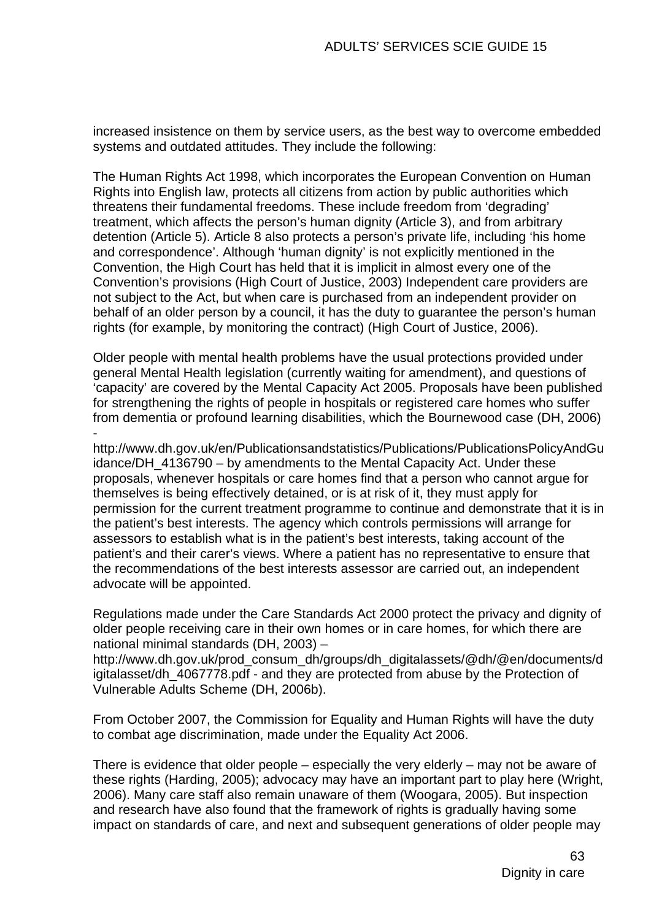increased insistence on them by service users, as the best way to overcome embedded systems and outdated attitudes. They include the following:

The Human Rights Act 1998, which incorporates the European Convention on Human Rights into English law, protects all citizens from action by public authorities which threatens their fundamental freedoms. These include freedom from 'degrading' treatment, which affects the person's human dignity (Article 3), and from arbitrary detention (Article 5). Article 8 also protects a person's private life, including 'his home and correspondence'. Although 'human dignity' is not explicitly mentioned in the Convention, the High Court has held that it is implicit in almost every one of the Convention's provisions (High Court of Justice, 2003) Independent care providers are not subject to the Act, but when care is purchased from an independent provider on behalf of an older person by a council, it has the duty to guarantee the person's human rights (for example, by monitoring the contract) (High Court of Justice, 2006).

Older people with mental health problems have the usual protections provided under general Mental Health legislation (currently waiting for amendment), and questions of 'capacity' are covered by the Mental Capacity Act 2005. Proposals have been published for strengthening the rights of people in hospitals or registered care homes who suffer from dementia or profound learning disabilities, which the Bournewood case (DH, 2006) -

[http://www.dh.gov.uk/en/Publicationsandstatistics/Publications/PublicationsPolicyAndGu](http://www.dh.gov.uk/en/Publicationsandstatistics/Publications/PublicationsPolicyAndGuidance/DH_4136790) [idance/DH\\_4136790](http://www.dh.gov.uk/en/Publicationsandstatistics/Publications/PublicationsPolicyAndGuidance/DH_4136790) – by amendments to the Mental Capacity Act. Under these proposals, whenever hospitals or care homes find that a person who cannot argue for themselves is being effectively detained, or is at risk of it, they must apply for permission for the current treatment programme to continue and demonstrate that it is in the patient's best interests. The agency which controls permissions will arrange for assessors to establish what is in the patient's best interests, taking account of the patient's and their carer's views. Where a patient has no representative to ensure that the recommendations of the best interests assessor are carried out, an independent advocate will be appointed.

Regulations made under the Care Standards Act 2000 protect the privacy and dignity of older people receiving care in their own homes or in care homes, for which there are national minimal standards (DH, 2003) –

[http://www.dh.gov.uk/prod\\_consum\\_dh/groups/dh\\_digitalassets/@dh/@en/documents/d](http://www.dh.gov.uk/prod_consum_dh/groups/dh_digitalassets/@dh/@en/documents/digitalasset/dh_4067778.pdf) [igitalasset/dh\\_4067778.pdf](http://www.dh.gov.uk/prod_consum_dh/groups/dh_digitalassets/@dh/@en/documents/digitalasset/dh_4067778.pdf) - and they are protected from abuse by the Protection of Vulnerable Adults Scheme (DH, 2006b).

From October 2007, the Commission for Equality and Human Rights will have the duty to combat age discrimination, made under the Equality Act 2006.

There is evidence that older people – especially the very elderly – may not be aware of these rights (Harding, 2005); advocacy may have an important part to play here (Wright, 2006). Many care staff also remain unaware of them (Woogara, 2005). But inspection and research have also found that the framework of rights is gradually having some impact on standards of care, and next and subsequent generations of older people may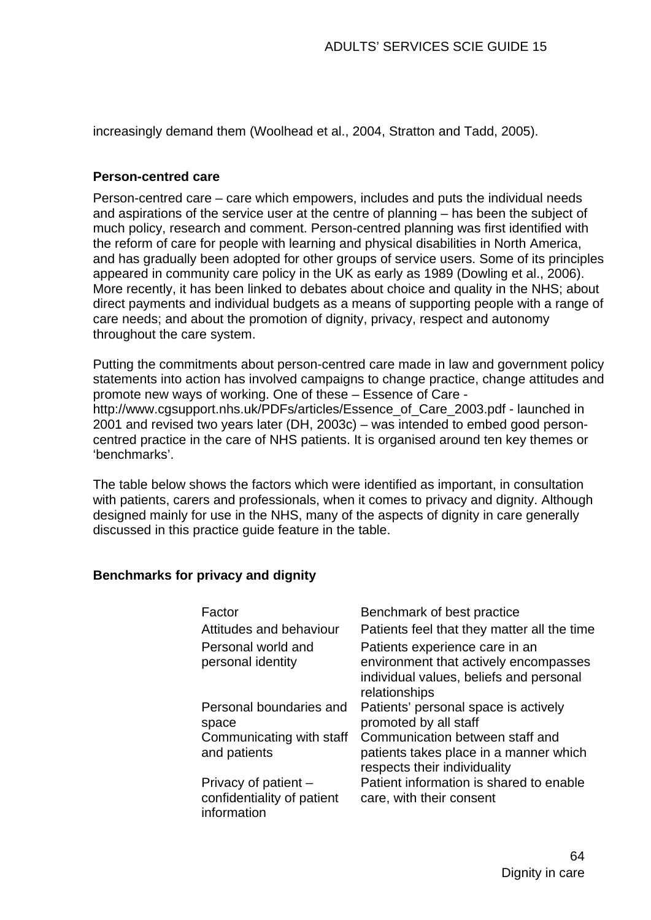increasingly demand them (Woolhead et al., 2004, Stratton and Tadd, 2005).

#### **Person-centred care**

Person-centred care – care which empowers, includes and puts the individual needs and aspirations of the service user at the centre of planning – has been the subject of much policy, research and comment. Person-centred planning was first identified with the reform of care for people with learning and physical disabilities in North America, and has gradually been adopted for other groups of service users. Some of its principles appeared in community care policy in the UK as early as 1989 (Dowling et al., 2006). More recently, it has been linked to debates about choice and quality in the NHS; about direct payments and individual budgets as a means of supporting people with a range of care needs; and about the promotion of dignity, privacy, respect and autonomy throughout the care system.

Putting the commitments about person-centred care made in law and government policy statements into action has involved campaigns to change practice, change attitudes and promote new ways of working. One of these – Essence of Care [http://www.cgsupport.nhs.uk/PDFs/articles/Essence\\_of\\_Care\\_2003.pdf](http://www.cgsupport.nhs.uk/PDFs/articles/Essence_of_Care_2003.pdf) - launched in 2001 and revised two years later (DH, 2003c) – was intended to embed good personcentred practice in the care of NHS patients. It is organised around ten key themes or 'benchmarks'.

The table below shows the factors which were identified as important, in consultation with patients, carers and professionals, when it comes to privacy and dignity. Although designed mainly for use in the NHS, many of the aspects of dignity in care generally discussed in this practice guide feature in the table.

#### **Benchmarks for privacy and dignity**

| Factor                                                            | Benchmark of best practice                                                                                                          |
|-------------------------------------------------------------------|-------------------------------------------------------------------------------------------------------------------------------------|
| <b>Attitudes and behaviour</b>                                    | Patients feel that they matter all the time                                                                                         |
| Personal world and<br>personal identity                           | Patients experience care in an<br>environment that actively encompasses<br>individual values, beliefs and personal<br>relationships |
| Personal boundaries and<br>space                                  | Patients' personal space is actively<br>promoted by all staff                                                                       |
| Communicating with staff<br>and patients                          | Communication between staff and<br>patients takes place in a manner which<br>respects their individuality                           |
| Privacy of patient –<br>confidentiality of patient<br>information | Patient information is shared to enable<br>care, with their consent                                                                 |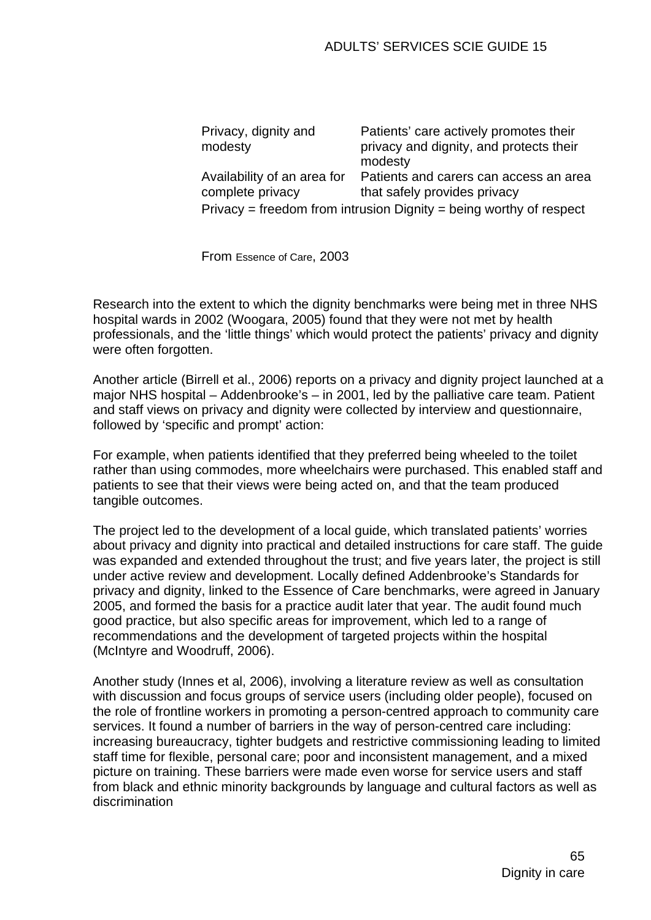| Privacy, dignity and<br>modesty                                    | Patients' care actively promotes their<br>privacy and dignity, and protects their<br>modesty |
|--------------------------------------------------------------------|----------------------------------------------------------------------------------------------|
| Availability of an area for<br>complete privacy                    | Patients and carers can access an area<br>that safely provides privacy                       |
| Privacy = freedom from intrusion Dignity = being worthy of respect |                                                                                              |

From Essence of Care, 2003

Research into the extent to which the dignity benchmarks were being met in three NHS hospital wards in 2002 (Woogara, 2005) found that they were not met by health professionals, and the 'little things' which would protect the patients' privacy and dignity were often forgotten.

Another article (Birrell et al., 2006) reports on a privacy and dignity project launched at a major NHS hospital – Addenbrooke's – in 2001, led by the palliative care team. Patient and staff views on privacy and dignity were collected by interview and questionnaire, followed by 'specific and prompt' action:

For example, when patients identified that they preferred being wheeled to the toilet rather than using commodes, more wheelchairs were purchased. This enabled staff and patients to see that their views were being acted on, and that the team produced tangible outcomes.

The project led to the development of a local guide, which translated patients' worries about privacy and dignity into practical and detailed instructions for care staff. The guide was expanded and extended throughout the trust; and five years later, the project is still under active review and development. Locally defined Addenbrooke's Standards for privacy and dignity, linked to the Essence of Care benchmarks, were agreed in January 2005, and formed the basis for a practice audit later that year. The audit found much good practice, but also specific areas for improvement, which led to a range of recommendations and the development of targeted projects within the hospital (McIntyre and Woodruff, 2006).

Another study (Innes et al, 2006), involving a literature review as well as consultation with discussion and focus groups of service users (including older people), focused on the role of frontline workers in promoting a person-centred approach to community care services. It found a number of barriers in the way of person-centred care including: increasing bureaucracy, tighter budgets and restrictive commissioning leading to limited staff time for flexible, personal care; poor and inconsistent management, and a mixed picture on training. These barriers were made even worse for service users and staff from black and ethnic minority backgrounds by language and cultural factors as well as discrimination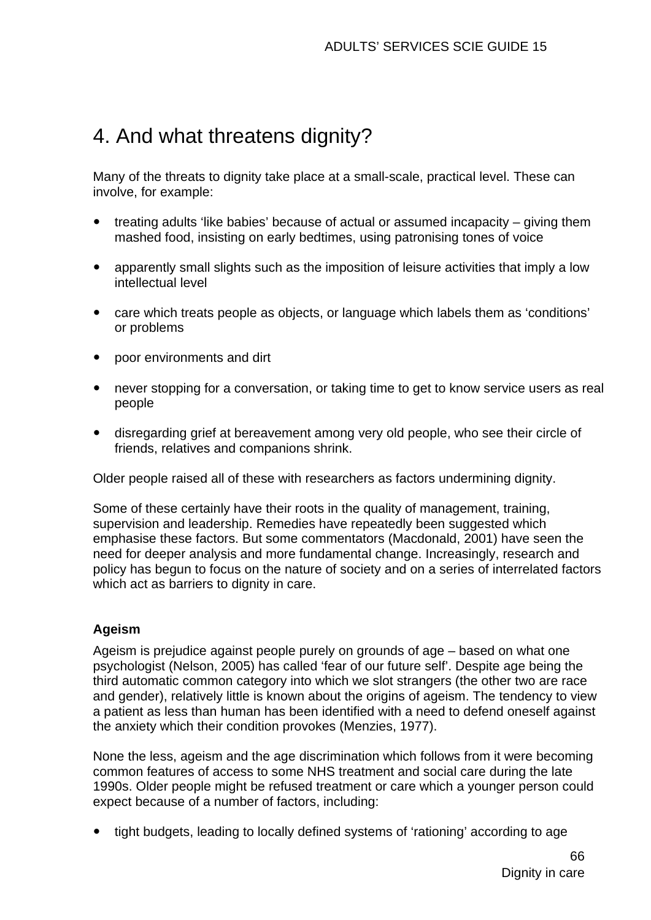# 4. And what threatens dignity?

Many of the threats to dignity take place at a small-scale, practical level. These can involve, for example:

- treating adults 'like babies' because of actual or assumed incapacity giving them mashed food, insisting on early bedtimes, using patronising tones of voice
- apparently small slights such as the imposition of leisure activities that imply a low intellectual level
- care which treats people as objects, or language which labels them as 'conditions' or problems
- poor environments and dirt
- never stopping for a conversation, or taking time to get to know service users as real people
- disregarding grief at bereavement among very old people, who see their circle of friends, relatives and companions shrink.

Older people raised all of these with researchers as factors undermining dignity.

Some of these certainly have their roots in the quality of management, training, supervision and leadership. Remedies have repeatedly been suggested which emphasise these factors. But some commentators (Macdonald, 2001) have seen the need for deeper analysis and more fundamental change. Increasingly, research and policy has begun to focus on the nature of society and on a series of interrelated factors which act as barriers to dignity in care.

#### **Ageism**

Ageism is prejudice against people purely on grounds of age – based on what one psychologist (Nelson, 2005) has called 'fear of our future self'. Despite age being the third automatic common category into which we slot strangers (the other two are race and gender), relatively little is known about the origins of ageism. The tendency to view a patient as less than human has been identified with a need to defend oneself against the anxiety which their condition provokes (Menzies, 1977).

None the less, ageism and the age discrimination which follows from it were becoming common features of access to some NHS treatment and social care during the late 1990s. Older people might be refused treatment or care which a younger person could expect because of a number of factors, including:

tight budgets, leading to locally defined systems of 'rationing' according to age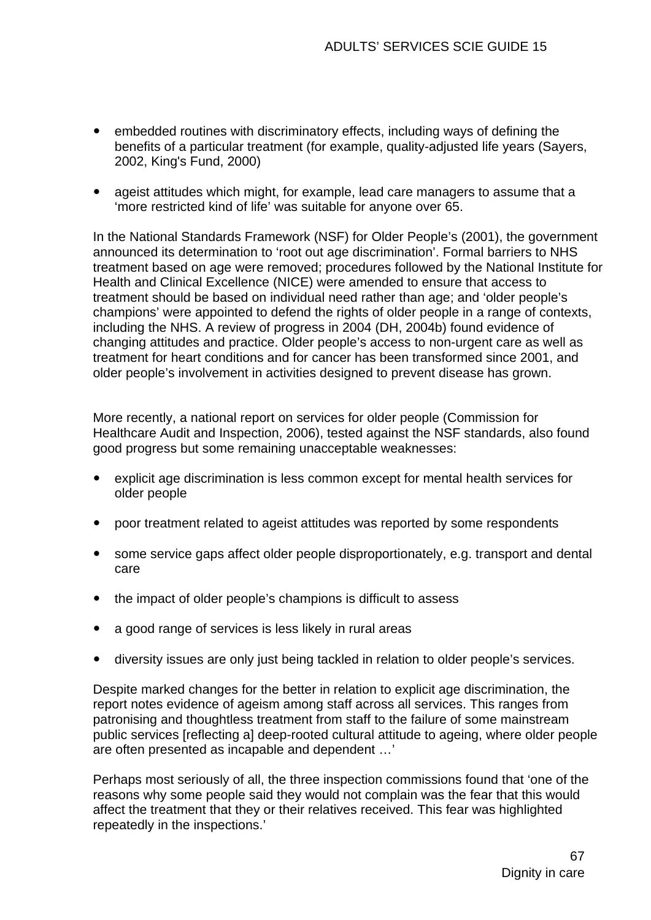- embedded routines with discriminatory effects, including ways of defining the benefits of a particular treatment (for example, quality-adjusted life years (Sayers, 2002, King's Fund, 2000)
- ageist attitudes which might, for example, lead care managers to assume that a 'more restricted kind of life' was suitable for anyone over 65.

In the National Standards Framework (NSF) for Older People's (2001), the government announced its determination to 'root out age discrimination'. Formal barriers to NHS treatment based on age were removed; procedures followed by the National Institute for Health and Clinical Excellence (NICE) were amended to ensure that access to treatment should be based on individual need rather than age; and 'older people's champions' were appointed to defend the rights of older people in a range of contexts, including the NHS. A review of progress in 2004 (DH, 2004b) found evidence of changing attitudes and practice. Older people's access to non-urgent care as well as treatment for heart conditions and for cancer has been transformed since 2001, and older people's involvement in activities designed to prevent disease has grown.

More recently, a national report on services for older people (Commission for Healthcare Audit and Inspection, 2006), tested against the NSF standards, also found good progress but some remaining unacceptable weaknesses:

- explicit age discrimination is less common except for mental health services for older people
- poor treatment related to ageist attitudes was reported by some respondents
- some service gaps affect older people disproportionately, e.g. transport and dental care
- the impact of older people's champions is difficult to assess
- a good range of services is less likely in rural areas
- diversity issues are only just being tackled in relation to older people's services.

Despite marked changes for the better in relation to explicit age discrimination, the report notes evidence of ageism among staff across all services. This ranges from patronising and thoughtless treatment from staff to the failure of some mainstream public services [reflecting a] deep-rooted cultural attitude to ageing, where older people are often presented as incapable and dependent …'

Perhaps most seriously of all, the three inspection commissions found that 'one of the reasons why some people said they would not complain was the fear that this would affect the treatment that they or their relatives received. This fear was highlighted repeatedly in the inspections.'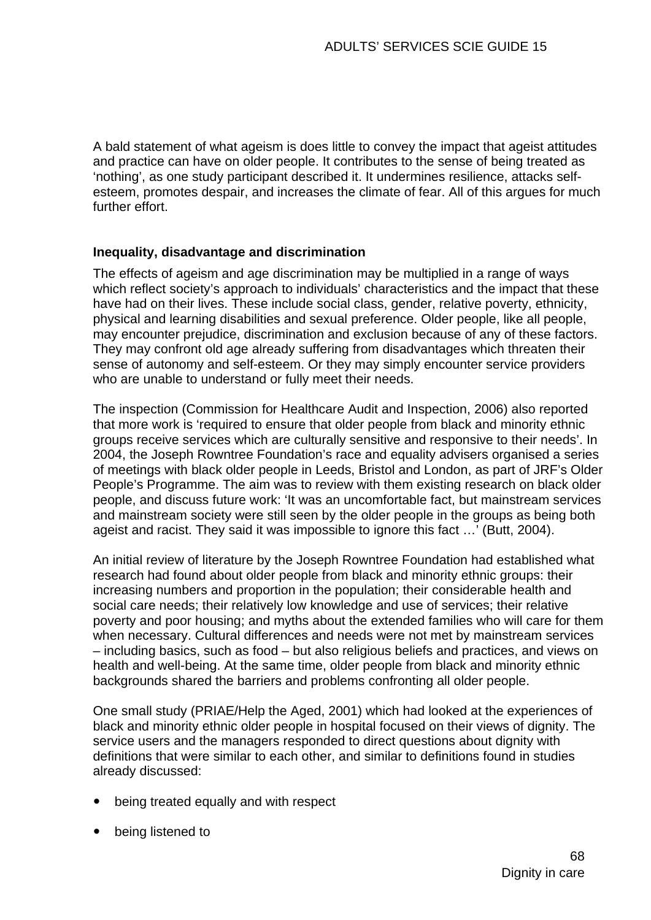A bald statement of what ageism is does little to convey the impact that ageist attitudes and practice can have on older people. It contributes to the sense of being treated as 'nothing', as one study participant described it. It undermines resilience, attacks selfesteem, promotes despair, and increases the climate of fear. All of this argues for much further effort.

#### **Inequality, disadvantage and discrimination**

The effects of ageism and age discrimination may be multiplied in a range of ways which reflect society's approach to individuals' characteristics and the impact that these have had on their lives. These include social class, gender, relative poverty, ethnicity, physical and learning disabilities and sexual preference. Older people, like all people, may encounter prejudice, discrimination and exclusion because of any of these factors. They may confront old age already suffering from disadvantages which threaten their sense of autonomy and self-esteem. Or they may simply encounter service providers who are unable to understand or fully meet their needs.

The inspection (Commission for Healthcare Audit and Inspection, 2006) also reported that more work is 'required to ensure that older people from black and minority ethnic groups receive services which are culturally sensitive and responsive to their needs'. In 2004, the Joseph Rowntree Foundation's race and equality advisers organised a series of meetings with black older people in Leeds, Bristol and London, as part of JRF's Older People's Programme. The aim was to review with them existing research on black older people, and discuss future work: 'It was an uncomfortable fact, but mainstream services and mainstream society were still seen by the older people in the groups as being both ageist and racist. They said it was impossible to ignore this fact …' (Butt, 2004).

An initial review of literature by the Joseph Rowntree Foundation had established what research had found about older people from black and minority ethnic groups: their increasing numbers and proportion in the population; their considerable health and social care needs; their relatively low knowledge and use of services; their relative poverty and poor housing; and myths about the extended families who will care for them when necessary. Cultural differences and needs were not met by mainstream services – including basics, such as food – but also religious beliefs and practices, and views on health and well-being. At the same time, older people from black and minority ethnic backgrounds shared the barriers and problems confronting all older people.

One small study (PRIAE/Help the Aged, 2001) which had looked at the experiences of black and minority ethnic older people in hospital focused on their views of dignity. The service users and the managers responded to direct questions about dignity with definitions that were similar to each other, and similar to definitions found in studies already discussed:

- being treated equally and with respect
- being listened to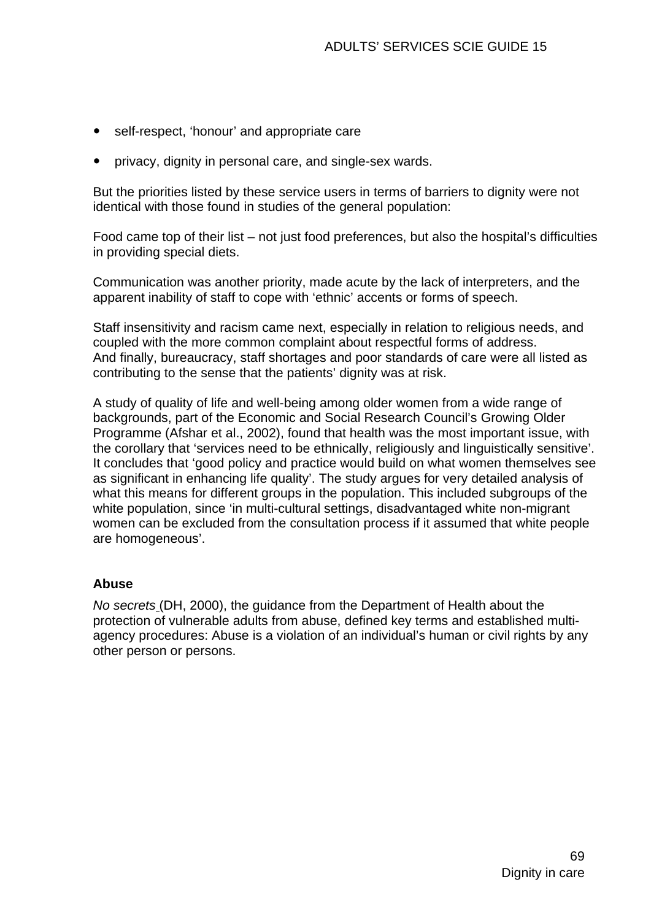- self-respect, 'honour' and appropriate care
- privacy, dignity in personal care, and single-sex wards.

But the priorities listed by these service users in terms of barriers to dignity were not identical with those found in studies of the general population:

Food came top of their list – not just food preferences, but also the hospital's difficulties in providing special diets.

Communication was another priority, made acute by the lack of interpreters, and the apparent inability of staff to cope with 'ethnic' accents or forms of speech.

Staff insensitivity and racism came next, especially in relation to religious needs, and coupled with the more common complaint about respectful forms of address. And finally, bureaucracy, staff shortages and poor standards of care were all listed as contributing to the sense that the patients' dignity was at risk.

A study of quality of life and well-being among older women from a wide range of backgrounds, part of the Economic and Social Research Council's Growing Older Programme (Afshar et al., 2002), found that health was the most important issue, with the corollary that 'services need to be ethnically, religiously and linguistically sensitive'. It concludes that 'good policy and practice would build on what women themselves see as significant in enhancing life quality'. The study argues for very detailed analysis of what this means for different groups in the population. This included subgroups of the white population, since 'in multi-cultural settings, disadvantaged white non-migrant women can be excluded from the consultation process if it assumed that white people are homogeneous'.

#### **Abuse**

*No secrets* (DH, 2000), the guidance from the Department of Health about the protection of vulnerable adults from abuse, defined key terms and established multiagency procedures: Abuse is a violation of an individual's human or civil rights by any other person or persons.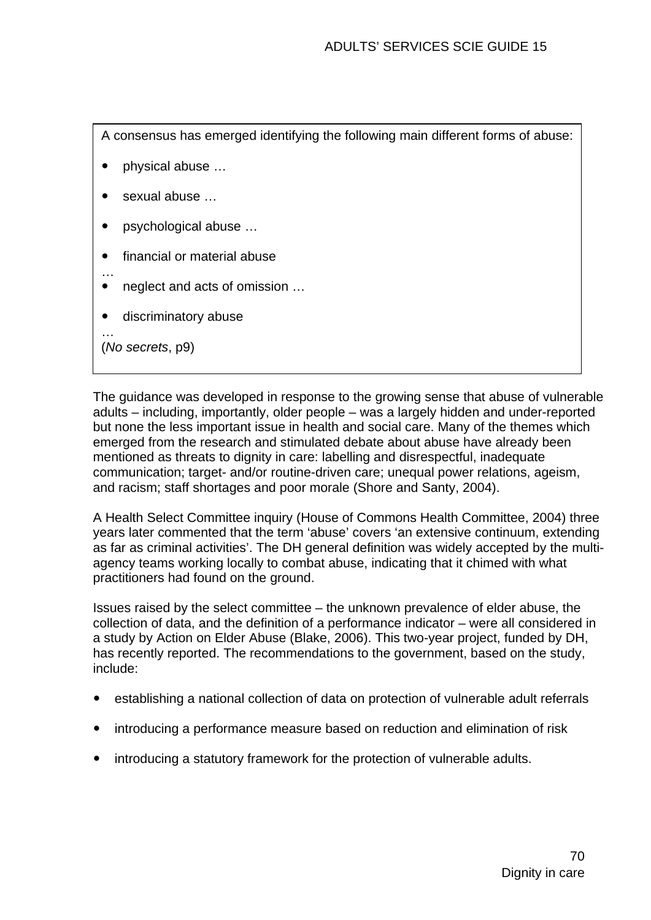A consensus has emerged identifying the following main different forms of abuse:

- physical abuse ...
- $\bullet$  sexual abuse  $\dots$
- psychological abuse ...
- financial or material abuse
- … neglect and acts of omission ...
- discriminatory abuse

(*No secrets*, p9)

…

The guidance was developed in response to the growing sense that abuse of vulnerable adults – including, importantly, older people – was a largely hidden and under-reported but none the less important issue in health and social care. Many of the themes which emerged from the research and stimulated debate about abuse have already been mentioned as threats to dignity in care: labelling and disrespectful, inadequate communication; target- and/or routine-driven care; unequal power relations, ageism, and racism; staff shortages and poor morale (Shore and Santy, 2004).

A Health Select Committee inquiry (House of Commons Health Committee, 2004) three years later commented that the term 'abuse' covers 'an extensive continuum, extending as far as criminal activities'. The DH general definition was widely accepted by the multiagency teams working locally to combat abuse, indicating that it chimed with what practitioners had found on the ground.

Issues raised by the select committee – the unknown prevalence of elder abuse, the collection of data, and the definition of a performance indicator – were all considered in a study by Action on Elder Abuse (Blake, 2006). This two-year project, funded by DH, has recently reported. The recommendations to the government, based on the study, include:

- establishing a national collection of data on protection of vulnerable adult referrals
- introducing a performance measure based on reduction and elimination of risk
- introducing a statutory framework for the protection of vulnerable adults.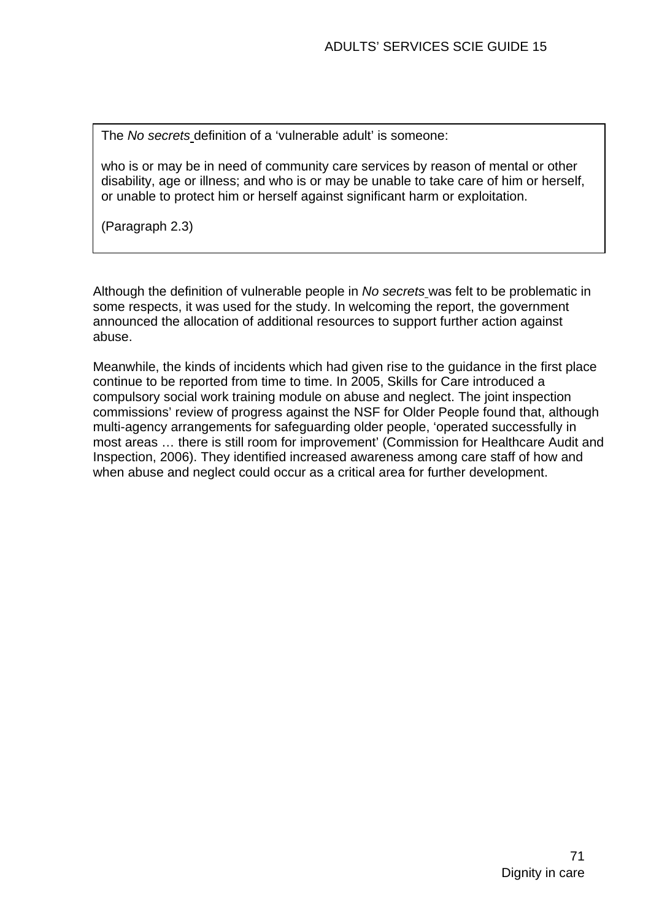The *No secrets* definition of a 'vulnerable adult' is someone:

who is or may be in need of community care services by reason of mental or other disability, age or illness; and who is or may be unable to take care of him or herself, or unable to protect him or herself against significant harm or exploitation.

(Paragraph 2.3)

Although the definition of vulnerable people in *No secrets* was felt to be problematic in some respects, it was used for the study. In welcoming the report, the government announced the allocation of additional resources to support further action against abuse.

Meanwhile, the kinds of incidents which had given rise to the guidance in the first place continue to be reported from time to time. In 2005, Skills for Care introduced a compulsory social work training module on abuse and neglect. The joint inspection commissions' review of progress against the NSF for Older People found that, although multi-agency arrangements for safeguarding older people, 'operated successfully in most areas … there is still room for improvement' (Commission for Healthcare Audit and Inspection, 2006). They identified increased awareness among care staff of how and when abuse and neglect could occur as a critical area for further development.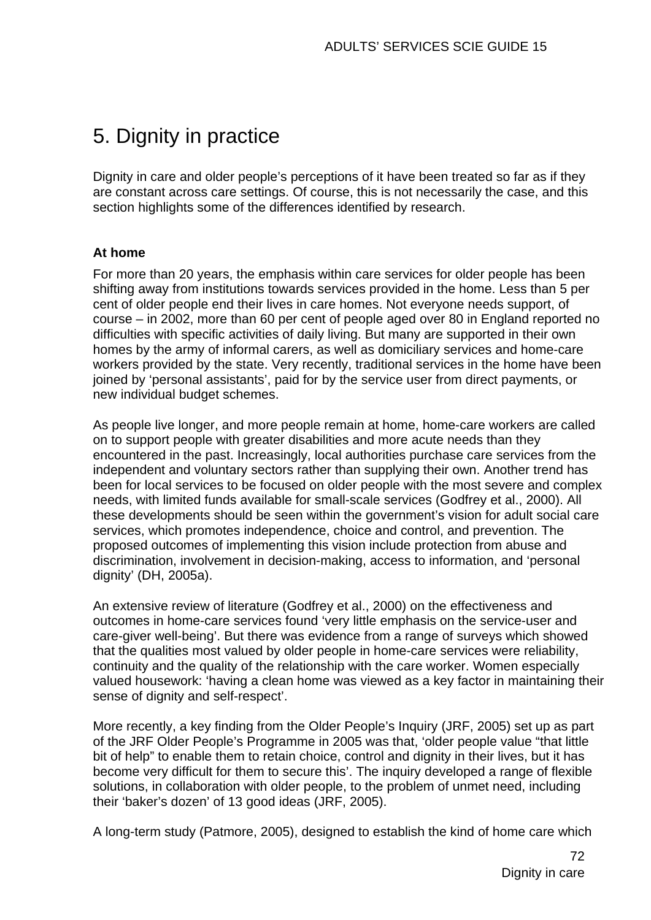# 5. Dignity in practice

Dignity in care and older people's perceptions of it have been treated so far as if they are constant across care settings. Of course, this is not necessarily the case, and this section highlights some of the differences identified by research.

#### **At home**

For more than 20 years, the emphasis within care services for older people has been shifting away from institutions towards services provided in the home. Less than 5 per cent of older people end their lives in care homes. Not everyone needs support, of course – in 2002, more than 60 per cent of people aged over 80 in England reported no difficulties with specific activities of daily living. But many are supported in their own homes by the army of informal carers, as well as domiciliary services and home-care workers provided by the state. Very recently, traditional services in the home have been joined by 'personal assistants', paid for by the service user from direct payments, or new individual budget schemes.

As people live longer, and more people remain at home, home-care workers are called on to support people with greater disabilities and more acute needs than they encountered in the past. Increasingly, local authorities purchase care services from the independent and voluntary sectors rather than supplying their own. Another trend has been for local services to be focused on older people with the most severe and complex needs, with limited funds available for small-scale services (Godfrey et al., 2000). All these developments should be seen within the government's vision for adult social care services, which promotes independence, choice and control, and prevention. The proposed outcomes of implementing this vision include protection from abuse and discrimination, involvement in decision-making, access to information, and 'personal dignity' (DH, 2005a).

An extensive review of literature (Godfrey et al., 2000) on the effectiveness and outcomes in home-care services found 'very little emphasis on the service-user and care-giver well-being'. But there was evidence from a range of surveys which showed that the qualities most valued by older people in home-care services were reliability, continuity and the quality of the relationship with the care worker. Women especially valued housework: 'having a clean home was viewed as a key factor in maintaining their sense of dignity and self-respect'.

More recently, a key finding from the Older People's Inquiry (JRF, 2005) set up as part of the JRF Older People's Programme in 2005 was that, 'older people value "that little bit of help" to enable them to retain choice, control and dignity in their lives, but it has become very difficult for them to secure this'. The inquiry developed a range of flexible solutions, in collaboration with older people, to the problem of unmet need, including their 'baker's dozen' of 13 good ideas (JRF, 2005).

A long-term study (Patmore, 2005), designed to establish the kind of home care which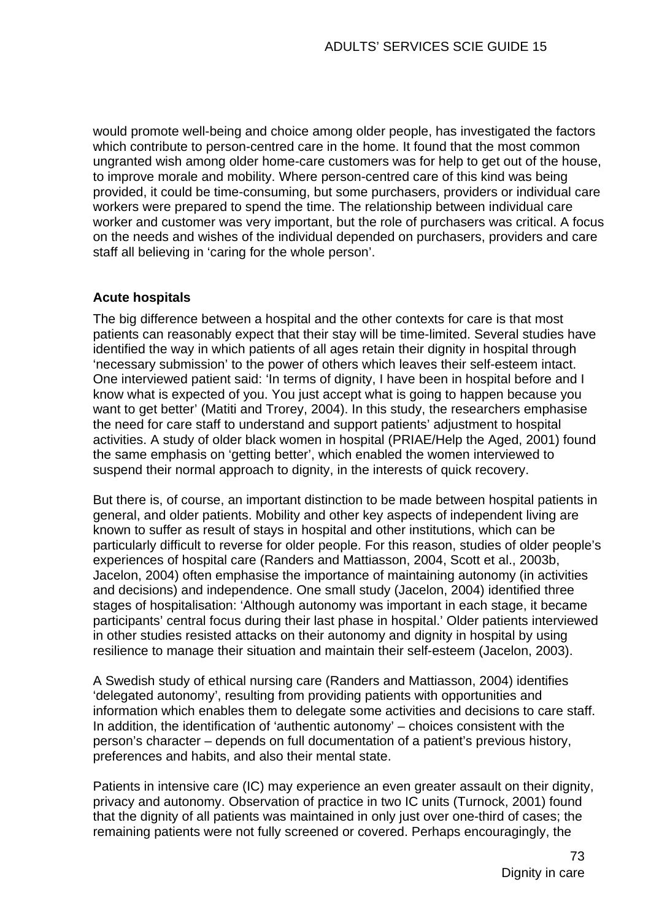would promote well-being and choice among older people, has investigated the factors which contribute to person-centred care in the home. It found that the most common ungranted wish among older home-care customers was for help to get out of the house, to improve morale and mobility. Where person-centred care of this kind was being provided, it could be time-consuming, but some purchasers, providers or individual care workers were prepared to spend the time. The relationship between individual care worker and customer was very important, but the role of purchasers was critical. A focus on the needs and wishes of the individual depended on purchasers, providers and care staff all believing in 'caring for the whole person'.

## **Acute hospitals**

The big difference between a hospital and the other contexts for care is that most patients can reasonably expect that their stay will be time-limited. Several studies have identified the way in which patients of all ages retain their dignity in hospital through 'necessary submission' to the power of others which leaves their self-esteem intact. One interviewed patient said: 'In terms of dignity, I have been in hospital before and I know what is expected of you. You just accept what is going to happen because you want to get better' (Matiti and Trorey, 2004). In this study, the researchers emphasise the need for care staff to understand and support patients' adjustment to hospital activities. A study of older black women in hospital (PRIAE/Help the Aged, 2001) found the same emphasis on 'getting better', which enabled the women interviewed to suspend their normal approach to dignity, in the interests of quick recovery.

But there is, of course, an important distinction to be made between hospital patients in general, and older patients. Mobility and other key aspects of independent living are known to suffer as result of stays in hospital and other institutions, which can be particularly difficult to reverse for older people. For this reason, studies of older people's experiences of hospital care (Randers and Mattiasson, 2004, Scott et al., 2003b, Jacelon, 2004) often emphasise the importance of maintaining autonomy (in activities and decisions) and independence. One small study (Jacelon, 2004) identified three stages of hospitalisation: 'Although autonomy was important in each stage, it became participants' central focus during their last phase in hospital.' Older patients interviewed in other studies resisted attacks on their autonomy and dignity in hospital by using resilience to manage their situation and maintain their self-esteem (Jacelon, 2003).

A Swedish study of ethical nursing care (Randers and Mattiasson, 2004) identifies 'delegated autonomy', resulting from providing patients with opportunities and information which enables them to delegate some activities and decisions to care staff. In addition, the identification of 'authentic autonomy' – choices consistent with the person's character – depends on full documentation of a patient's previous history, preferences and habits, and also their mental state.

Patients in intensive care (IC) may experience an even greater assault on their dignity, privacy and autonomy. Observation of practice in two IC units (Turnock, 2001) found that the dignity of all patients was maintained in only just over one-third of cases; the remaining patients were not fully screened or covered. Perhaps encouragingly, the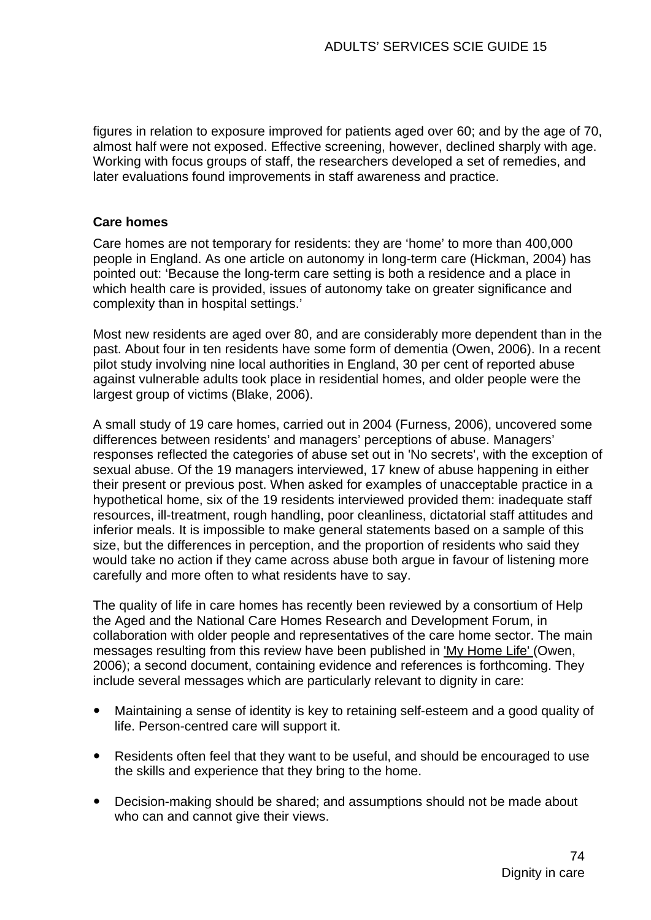figures in relation to exposure improved for patients aged over 60; and by the age of 70, almost half were not exposed. Effective screening, however, declined sharply with age. Working with focus groups of staff, the researchers developed a set of remedies, and later evaluations found improvements in staff awareness and practice.

#### **Care homes**

Care homes are not temporary for residents: they are 'home' to more than 400,000 people in England. As one article on autonomy in long-term care (Hickman, 2004) has pointed out: 'Because the long-term care setting is both a residence and a place in which health care is provided, issues of autonomy take on greater significance and complexity than in hospital settings.'

Most new residents are aged over 80, and are considerably more dependent than in the past. About four in ten residents have some form of dementia (Owen, 2006). In a recent pilot study involving nine local authorities in England, 30 per cent of reported abuse against vulnerable adults took place in residential homes, and older people were the largest group of victims (Blake, 2006).

A small study of 19 care homes, carried out in 2004 (Furness, 2006), uncovered some differences between residents' and managers' perceptions of abuse. Managers' responses reflected the categories of abuse set out in 'No secrets', with the exception of sexual abuse. Of the 19 managers interviewed, 17 knew of abuse happening in either their present or previous post. When asked for examples of unacceptable practice in a hypothetical home, six of the 19 residents interviewed provided them: inadequate staff resources, ill-treatment, rough handling, poor cleanliness, dictatorial staff attitudes and inferior meals. It is impossible to make general statements based on a sample of this size, but the differences in perception, and the proportion of residents who said they would take no action if they came across abuse both arque in favour of listening more carefully and more often to what residents have to say.

The quality of life in care homes has recently been reviewed by a consortium of Help the Aged and the National Care Homes Research and Development Forum, in collaboration with older people and representatives of the care home sector. The main messages resulting from this review have been published in 'My Home Life' (Owen, 2006); a second document, containing evidence and references is forthcoming. They include several messages which are particularly relevant to dignity in care:

- Maintaining a sense of identity is key to retaining self-esteem and a good quality of life. Person-centred care will support it.
- Residents often feel that they want to be useful, and should be encouraged to use the skills and experience that they bring to the home.
- Decision-making should be shared; and assumptions should not be made about who can and cannot give their views.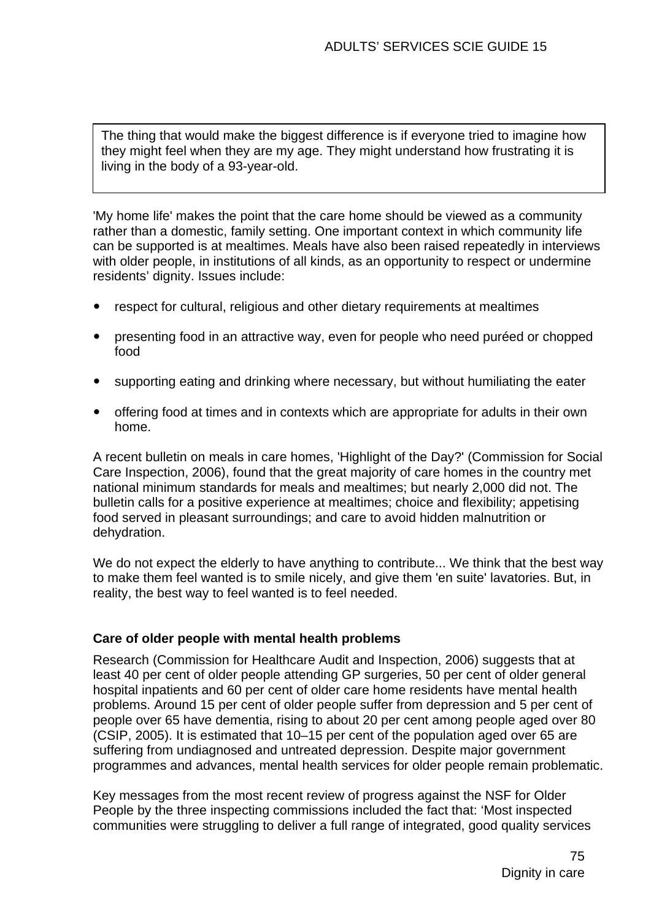The thing that would make the biggest difference is if everyone tried to imagine how they might feel when they are my age. They might understand how frustrating it is living in the body of a 93-year-old.

'My home life' makes the point that the care home should be viewed as a community rather than a domestic, family setting. One important context in which community life can be supported is at mealtimes. Meals have also been raised repeatedly in interviews with older people, in institutions of all kinds, as an opportunity to respect or undermine residents' dignity. Issues include:

- respect for cultural, religious and other dietary requirements at mealtimes
- y presenting food in an attractive way, even for people who need puréed or chopped food
- supporting eating and drinking where necessary, but without humiliating the eater
- offering food at times and in contexts which are appropriate for adults in their own home.

A recent bulletin on meals in care homes, 'Highlight of the Day?' (Commission for Social Care Inspection, 2006), found that the great majority of care homes in the country met national minimum standards for meals and mealtimes; but nearly 2,000 did not. The bulletin calls for a positive experience at mealtimes; choice and flexibility; appetising food served in pleasant surroundings; and care to avoid hidden malnutrition or dehydration.

We do not expect the elderly to have anything to contribute... We think that the best way to make them feel wanted is to smile nicely, and give them 'en suite' lavatories. But, in reality, the best way to feel wanted is to feel needed.

#### **Care of older people with mental health problems**

Research (Commission for Healthcare Audit and Inspection, 2006) suggests that at least 40 per cent of older people attending GP surgeries, 50 per cent of older general hospital inpatients and 60 per cent of older care home residents have mental health problems. Around 15 per cent of older people suffer from depression and 5 per cent of people over 65 have dementia, rising to about 20 per cent among people aged over 80 (CSIP, 2005). It is estimated that 10–15 per cent of the population aged over 65 are suffering from undiagnosed and untreated depression. Despite major government programmes and advances, mental health services for older people remain problematic.

Key messages from the most recent review of progress against the NSF for Older People by the three inspecting commissions included the fact that: 'Most inspected communities were struggling to deliver a full range of integrated, good quality services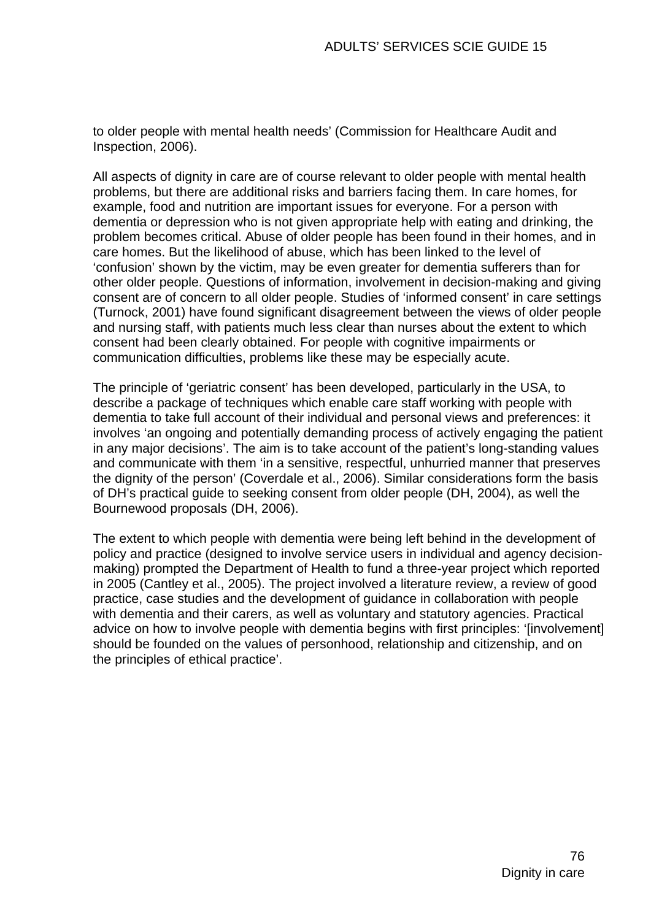to older people with mental health needs' (Commission for Healthcare Audit and Inspection, 2006).

All aspects of dignity in care are of course relevant to older people with mental health problems, but there are additional risks and barriers facing them. In care homes, for example, food and nutrition are important issues for everyone. For a person with dementia or depression who is not given appropriate help with eating and drinking, the problem becomes critical. Abuse of older people has been found in their homes, and in care homes. But the likelihood of abuse, which has been linked to the level of 'confusion' shown by the victim, may be even greater for dementia sufferers than for other older people. Questions of information, involvement in decision-making and giving consent are of concern to all older people. Studies of 'informed consent' in care settings (Turnock, 2001) have found significant disagreement between the views of older people and nursing staff, with patients much less clear than nurses about the extent to which consent had been clearly obtained. For people with cognitive impairments or communication difficulties, problems like these may be especially acute.

The principle of 'geriatric consent' has been developed, particularly in the USA, to describe a package of techniques which enable care staff working with people with dementia to take full account of their individual and personal views and preferences: it involves 'an ongoing and potentially demanding process of actively engaging the patient in any major decisions'. The aim is to take account of the patient's long-standing values and communicate with them 'in a sensitive, respectful, unhurried manner that preserves the dignity of the person' (Coverdale et al., 2006). Similar considerations form the basis of DH's practical guide to seeking consent from older people (DH, 2004), as well the Bournewood proposals (DH, 2006).

The extent to which people with dementia were being left behind in the development of policy and practice (designed to involve service users in individual and agency decisionmaking) prompted the Department of Health to fund a three-year project which reported in 2005 (Cantley et al., 2005). The project involved a literature review, a review of good practice, case studies and the development of guidance in collaboration with people with dementia and their carers, as well as voluntary and statutory agencies. Practical advice on how to involve people with dementia begins with first principles: '[involvement] should be founded on the values of personhood, relationship and citizenship, and on the principles of ethical practice'.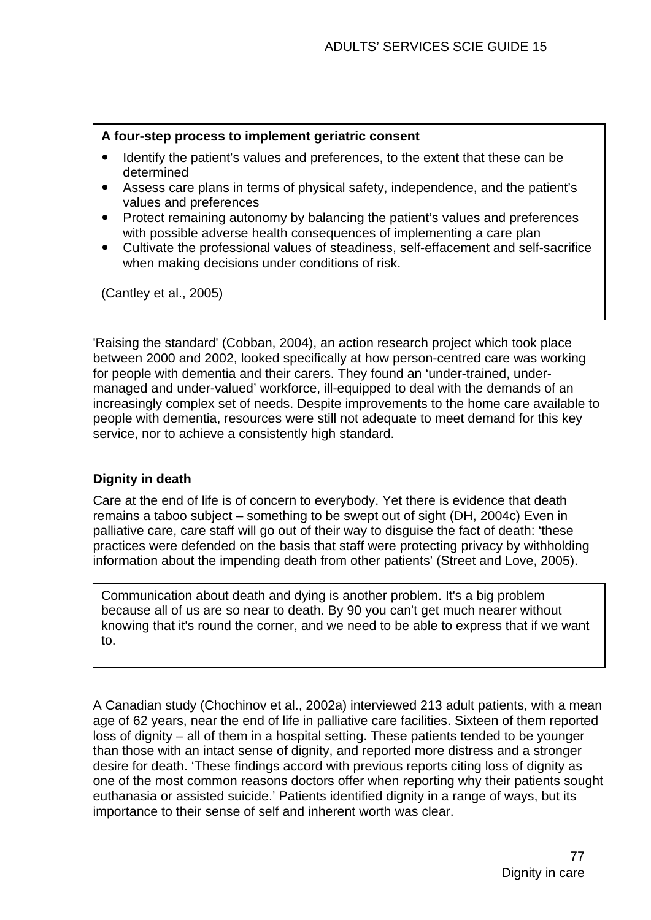#### **A four-step process to implement geriatric consent**

- Identify the patient's values and preferences, to the extent that these can be determined
- Assess care plans in terms of physical safety, independence, and the patient's values and preferences
- Protect remaining autonomy by balancing the patient's values and preferences with possible adverse health consequences of implementing a care plan
- Cultivate the professional values of steadiness, self-effacement and self-sacrifice when making decisions under conditions of risk.

(Cantley et al., 2005)

'Raising the standard' (Cobban, 2004), an action research project which took place between 2000 and 2002, looked specifically at how person-centred care was working for people with dementia and their carers. They found an 'under-trained, undermanaged and under-valued' workforce, ill-equipped to deal with the demands of an increasingly complex set of needs. Despite improvements to the home care available to people with dementia, resources were still not adequate to meet demand for this key service, nor to achieve a consistently high standard.

## **Dignity in death**

Care at the end of life is of concern to everybody. Yet there is evidence that death remains a taboo subject – something to be swept out of sight (DH, 2004c) Even in palliative care, care staff will go out of their way to disguise the fact of death: 'these practices were defended on the basis that staff were protecting privacy by withholding information about the impending death from other patients' (Street and Love, 2005).

Communication about death and dying is another problem. It's a big problem because all of us are so near to death. By 90 you can't get much nearer without knowing that it's round the corner, and we need to be able to express that if we want to.

A Canadian study (Chochinov et al., 2002a) interviewed 213 adult patients, with a mean age of 62 years, near the end of life in palliative care facilities. Sixteen of them reported loss of dignity – all of them in a hospital setting. These patients tended to be younger than those with an intact sense of dignity, and reported more distress and a stronger desire for death. 'These findings accord with previous reports citing loss of dignity as one of the most common reasons doctors offer when reporting why their patients sought euthanasia or assisted suicide.' Patients identified dignity in a range of ways, but its importance to their sense of self and inherent worth was clear.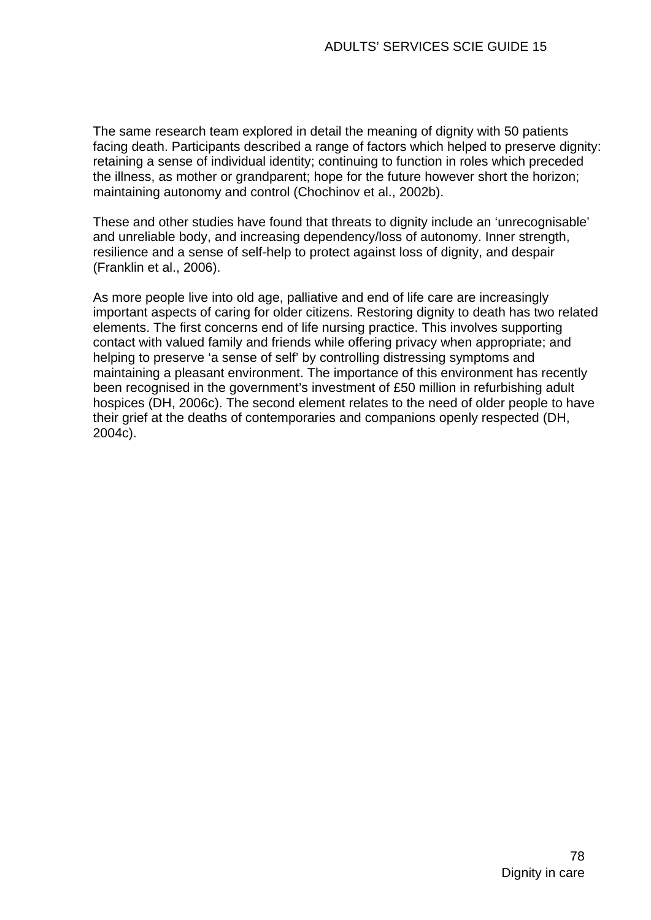The same research team explored in detail the meaning of dignity with 50 patients facing death. Participants described a range of factors which helped to preserve dignity: retaining a sense of individual identity; continuing to function in roles which preceded the illness, as mother or grandparent; hope for the future however short the horizon; maintaining autonomy and control (Chochinov et al., 2002b).

These and other studies have found that threats to dignity include an 'unrecognisable' and unreliable body, and increasing dependency/loss of autonomy. Inner strength, resilience and a sense of self-help to protect against loss of dignity, and despair (Franklin et al., 2006).

As more people live into old age, palliative and end of life care are increasingly important aspects of caring for older citizens. Restoring dignity to death has two related elements. The first concerns end of life nursing practice. This involves supporting contact with valued family and friends while offering privacy when appropriate; and helping to preserve 'a sense of self' by controlling distressing symptoms and maintaining a pleasant environment. The importance of this environment has recently been recognised in the government's investment of £50 million in refurbishing adult hospices (DH, 2006c). The second element relates to the need of older people to have their grief at the deaths of contemporaries and companions openly respected (DH, 2004c).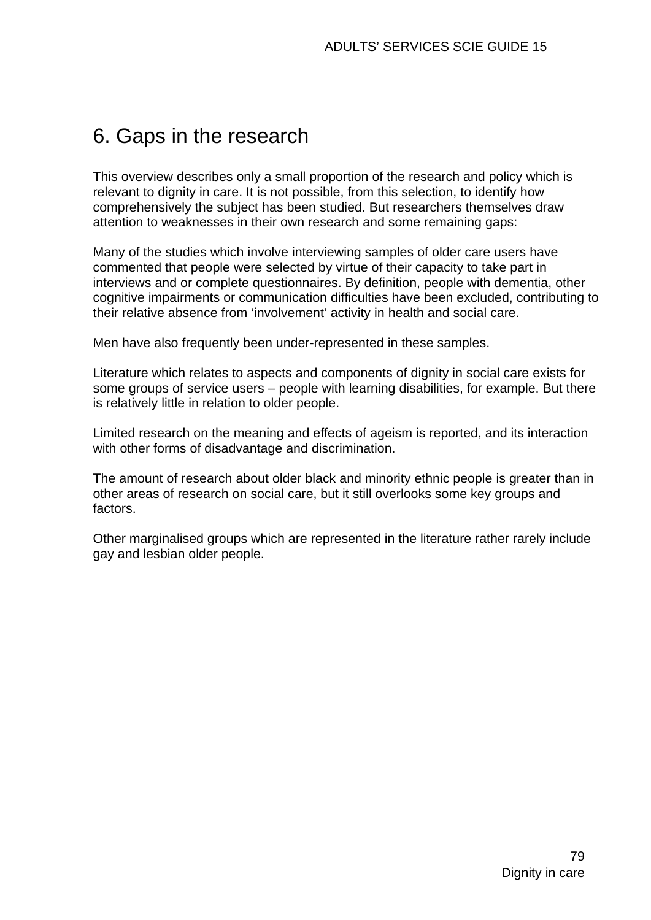# 6. Gaps in the research

This overview describes only a small proportion of the research and policy which is relevant to dignity in care. It is not possible, from this selection, to identify how comprehensively the subject has been studied. But researchers themselves draw attention to weaknesses in their own research and some remaining gaps:

Many of the studies which involve interviewing samples of older care users have commented that people were selected by virtue of their capacity to take part in interviews and or complete questionnaires. By definition, people with dementia, other cognitive impairments or communication difficulties have been excluded, contributing to their relative absence from 'involvement' activity in health and social care.

Men have also frequently been under-represented in these samples.

Literature which relates to aspects and components of dignity in social care exists for some groups of service users – people with learning disabilities, for example. But there is relatively little in relation to older people.

Limited research on the meaning and effects of ageism is reported, and its interaction with other forms of disadvantage and discrimination.

The amount of research about older black and minority ethnic people is greater than in other areas of research on social care, but it still overlooks some key groups and factors.

Other marginalised groups which are represented in the literature rather rarely include gay and lesbian older people.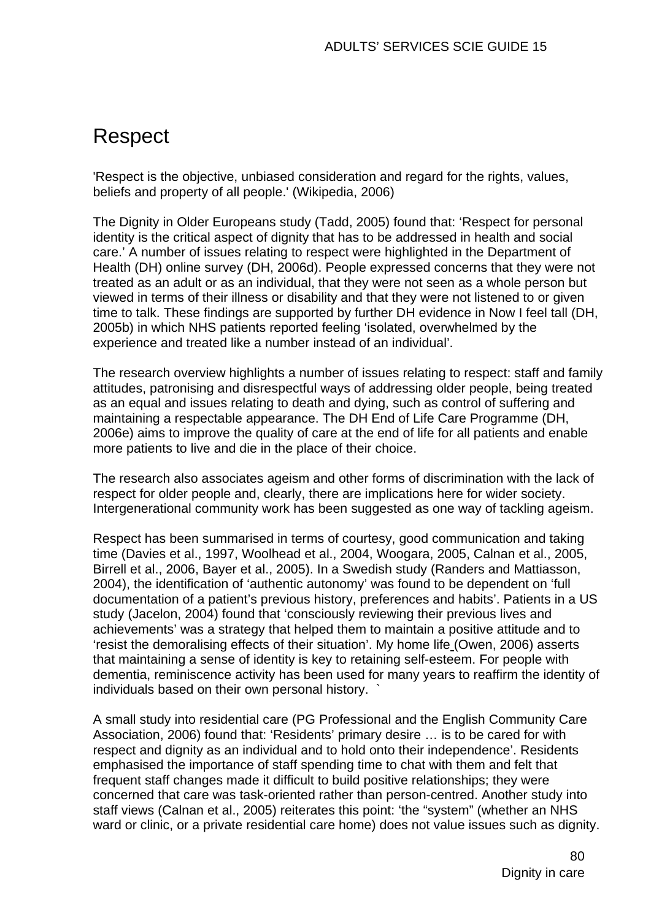# Respect

'Respect is the objective, unbiased consideration and regard for the rights, values, beliefs and property of all people.' (Wikipedia, 2006)

The Dignity in Older Europeans study (Tadd, 2005) found that: 'Respect for personal identity is the critical aspect of dignity that has to be addressed in health and social care.' A number of issues relating to respect were highlighted in the Department of Health (DH) online survey (DH, 2006d). People expressed concerns that they were not treated as an adult or as an individual, that they were not seen as a whole person but viewed in terms of their illness or disability and that they were not listened to or given time to talk. These findings are supported by further DH evidence in Now I feel tall (DH, 2005b) in which NHS patients reported feeling 'isolated, overwhelmed by the experience and treated like a number instead of an individual'.

The research overview highlights a number of issues relating to respect: staff and family attitudes, patronising and disrespectful ways of addressing older people, being treated as an equal and issues relating to death and dying, such as control of suffering and maintaining a respectable appearance. The DH End of Life Care Programme (DH, 2006e) aims to improve the quality of care at the end of life for all patients and enable more patients to live and die in the place of their choice.

The research also associates ageism and other forms of discrimination with the lack of respect for older people and, clearly, there are implications here for wider society. Intergenerational community work has been suggested as one way of tackling ageism.

Respect has been summarised in terms of courtesy, good communication and taking time (Davies et al., 1997, Woolhead et al., 2004, Woogara, 2005, Calnan et al., 2005, Birrell et al., 2006, Bayer et al., 2005). In a Swedish study (Randers and Mattiasson, 2004), the identification of 'authentic autonomy' was found to be dependent on 'full documentation of a patient's previous history, preferences and habits'. Patients in a US study (Jacelon, 2004) found that 'consciously reviewing their previous lives and achievements' was a strategy that helped them to maintain a positive attitude and to 'resist the demoralising effects of their situation'. My home life (Owen, 2006) asserts that maintaining a sense of identity is key to retaining self-esteem. For people with dementia, reminiscence activity has been used for many years to reaffirm the identity of individuals based on their own personal history. `

A small study into residential care (PG Professional and the English Community Care Association, 2006) found that: 'Residents' primary desire … is to be cared for with respect and dignity as an individual and to hold onto their independence'. Residents emphasised the importance of staff spending time to chat with them and felt that frequent staff changes made it difficult to build positive relationships; they were concerned that care was task-oriented rather than person-centred. Another study into staff views (Calnan et al., 2005) reiterates this point: 'the "system" (whether an NHS ward or clinic, or a private residential care home) does not value issues such as dignity.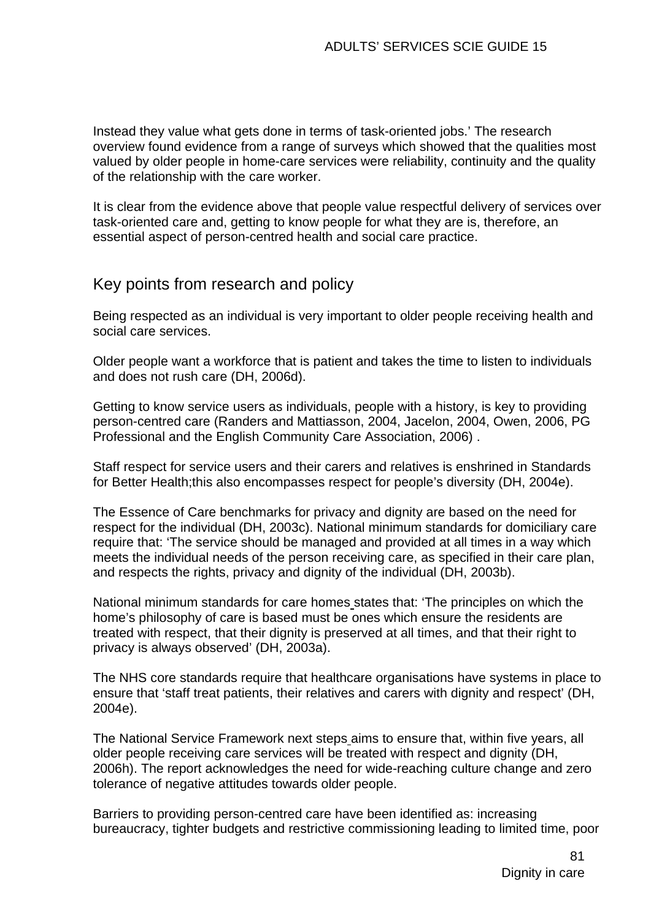Instead they value what gets done in terms of task-oriented jobs.' The research overview found evidence from a range of surveys which showed that the qualities most valued by older people in home-care services were reliability, continuity and the quality of the relationship with the care worker.

It is clear from the evidence above that people value respectful delivery of services over task-oriented care and, getting to know people for what they are is, therefore, an essential aspect of person-centred health and social care practice.

# Key points from research and policy

Being respected as an individual is very important to older people receiving health and social care services.

Older people want a workforce that is patient and takes the time to listen to individuals and does not rush care (DH, 2006d).

Getting to know service users as individuals, people with a history, is key to providing person-centred care (Randers and Mattiasson, 2004, Jacelon, 2004, Owen, 2006, PG Professional and the English Community Care Association, 2006) .

Staff respect for service users and their carers and relatives is enshrined in Standards for Better Health;this also encompasses respect for people's diversity (DH, 2004e).

The Essence of Care benchmarks for privacy and dignity are based on the need for respect for the individual (DH, 2003c). National minimum standards for domiciliary care require that: 'The service should be managed and provided at all times in a way which meets the individual needs of the person receiving care, as specified in their care plan, and respects the rights, privacy and dignity of the individual (DH, 2003b).

National minimum standards for care homes states that: 'The principles on which the home's philosophy of care is based must be ones which ensure the residents are treated with respect, that their dignity is preserved at all times, and that their right to privacy is always observed' (DH, 2003a).

The NHS core standards require that healthcare organisations have systems in place to ensure that 'staff treat patients, their relatives and carers with dignity and respect' (DH, 2004e).

The National Service Framework next steps aims to ensure that, within five years, all older people receiving care services will be treated with respect and dignity (DH, 2006h). The report acknowledges the need for wide-reaching culture change and zero tolerance of negative attitudes towards older people.

Barriers to providing person-centred care have been identified as: increasing bureaucracy, tighter budgets and restrictive commissioning leading to limited time, poor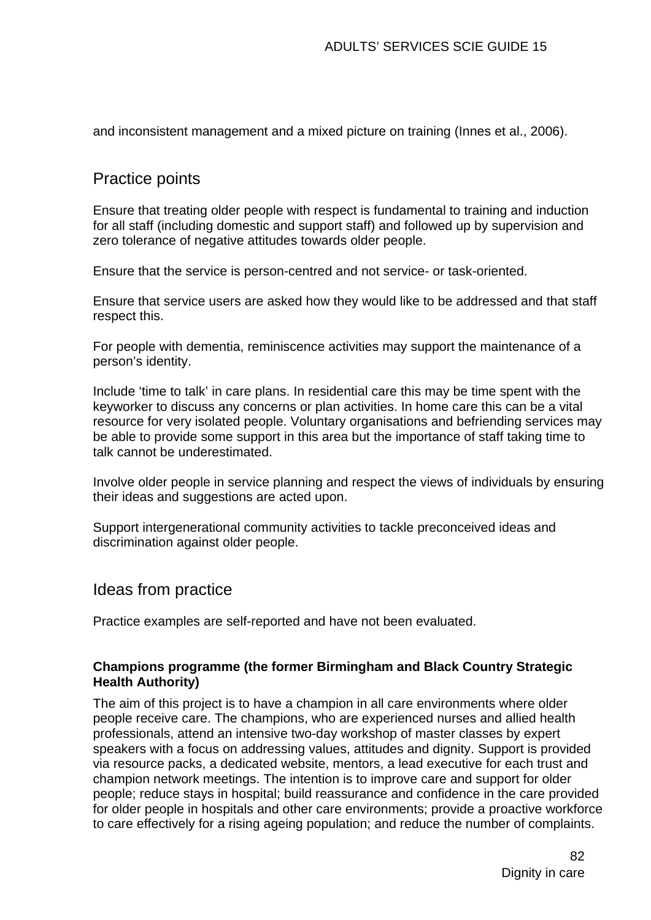and inconsistent management and a mixed picture on training (Innes et al., 2006).

# Practice points

Ensure that treating older people with respect is fundamental to training and induction for all staff (including domestic and support staff) and followed up by supervision and zero tolerance of negative attitudes towards older people.

Ensure that the service is person-centred and not service- or task-oriented.

Ensure that service users are asked how they would like to be addressed and that staff respect this.

For people with dementia, reminiscence activities may support the maintenance of a person's identity.

Include 'time to talk' in care plans. In residential care this may be time spent with the keyworker to discuss any concerns or plan activities. In home care this can be a vital resource for very isolated people. Voluntary organisations and befriending services may be able to provide some support in this area but the importance of staff taking time to talk cannot be underestimated.

Involve older people in service planning and respect the views of individuals by ensuring their ideas and suggestions are acted upon.

Support intergenerational community activities to tackle preconceived ideas and discrimination against older people.

# Ideas from practice

Practice examples are self-reported and have not been evaluated.

#### **Champions programme (the former Birmingham and Black Country Strategic Health Authority)**

The aim of this project is to have a champion in all care environments where older people receive care. The champions, who are experienced nurses and allied health professionals, attend an intensive two-day workshop of master classes by expert speakers with a focus on addressing values, attitudes and dignity. Support is provided via resource packs, a dedicated website, mentors, a lead executive for each trust and champion network meetings. The intention is to improve care and support for older people; reduce stays in hospital; build reassurance and confidence in the care provided for older people in hospitals and other care environments; provide a proactive workforce to care effectively for a rising ageing population; and reduce the number of complaints.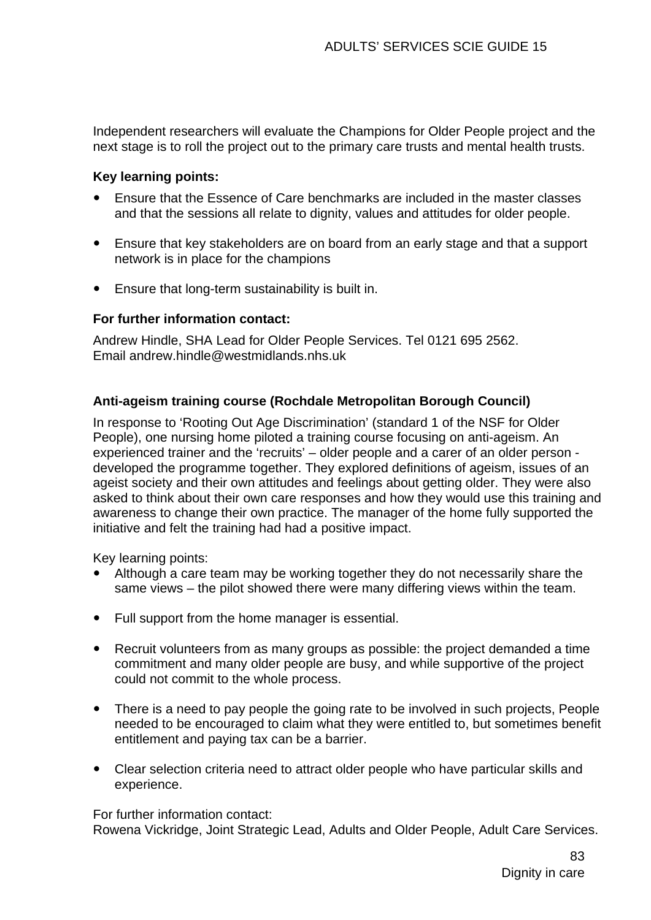Independent researchers will evaluate the Champions for Older People project and the next stage is to roll the project out to the primary care trusts and mental health trusts.

## **Key learning points:**

- y Ensure that the Essence of Care benchmarks are included in the master classes and that the sessions all relate to dignity, values and attitudes for older people.
- Ensure that key stakeholders are on board from an early stage and that a support network is in place for the champions
- Ensure that long-term sustainability is built in.

#### **For further information contact:**

Andrew Hindle, SHA Lead for Older People Services. Tel 0121 695 2562. Email andrew.hindle@westmidlands.nhs.uk

## **Anti-ageism training course (Rochdale Metropolitan Borough Council)**

In response to 'Rooting Out Age Discrimination' (standard 1 of the NSF for Older People), one nursing home piloted a training course focusing on anti-ageism. An experienced trainer and the 'recruits' – older people and a carer of an older person developed the programme together. They explored definitions of ageism, issues of an ageist society and their own attitudes and feelings about getting older. They were also asked to think about their own care responses and how they would use this training and awareness to change their own practice. The manager of the home fully supported the initiative and felt the training had had a positive impact.

Key learning points:

- Although a care team may be working together they do not necessarily share the same views – the pilot showed there were many differing views within the team.
- Full support from the home manager is essential.
- Recruit volunteers from as many groups as possible: the project demanded a time commitment and many older people are busy, and while supportive of the project could not commit to the whole process.
- There is a need to pay people the going rate to be involved in such projects, People needed to be encouraged to claim what they were entitled to, but sometimes benefit entitlement and paying tax can be a barrier.
- Clear selection criteria need to attract older people who have particular skills and experience.

For further information contact:

Rowena Vickridge, Joint Strategic Lead, Adults and Older People, Adult Care Services.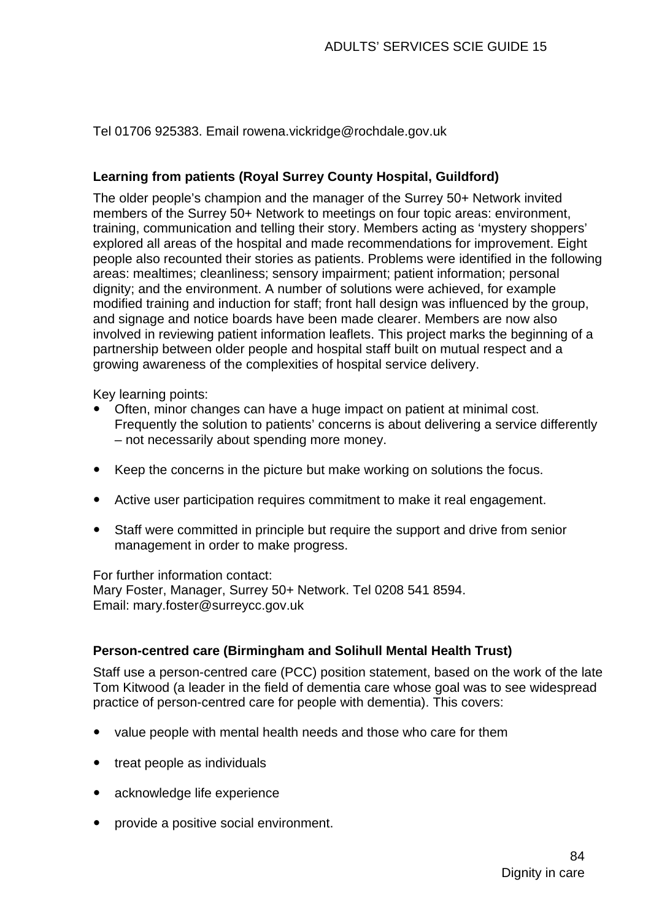Tel 01706 925383. Email rowena.vickridge@rochdale.gov.uk

## **Learning from patients (Royal Surrey County Hospital, Guildford)**

The older people's champion and the manager of the Surrey 50+ Network invited members of the Surrey 50+ Network to meetings on four topic areas: environment, training, communication and telling their story. Members acting as 'mystery shoppers' explored all areas of the hospital and made recommendations for improvement. Eight people also recounted their stories as patients. Problems were identified in the following areas: mealtimes; cleanliness; sensory impairment; patient information; personal dignity; and the environment. A number of solutions were achieved, for example modified training and induction for staff; front hall design was influenced by the group, and signage and notice boards have been made clearer. Members are now also involved in reviewing patient information leaflets. This project marks the beginning of a partnership between older people and hospital staff built on mutual respect and a growing awareness of the complexities of hospital service delivery.

Key learning points:

- Often, minor changes can have a huge impact on patient at minimal cost. Frequently the solution to patients' concerns is about delivering a service differently – not necessarily about spending more money.
- Keep the concerns in the picture but make working on solutions the focus.
- Active user participation requires commitment to make it real engagement.
- Staff were committed in principle but require the support and drive from senior management in order to make progress.

#### For further information contact:

Mary Foster, Manager, Surrey 50+ Network. Tel 0208 541 8594. Email: mary.foster@surreycc.gov.uk

## **Person-centred care (Birmingham and Solihull Mental Health Trust)**

Staff use a person-centred care (PCC) position statement, based on the work of the late Tom Kitwood (a leader in the field of dementia care whose goal was to see widespread practice of person-centred care for people with dementia). This covers:

- y value people with mental health needs and those who care for them
- $\bullet$  treat people as individuals
- acknowledge life experience
- provide a positive social environment.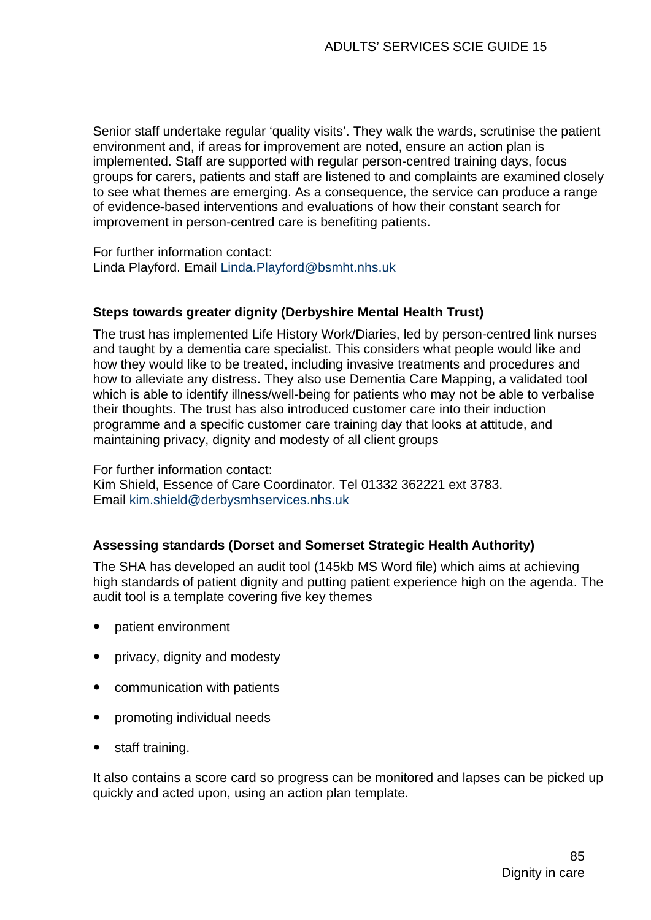Senior staff undertake regular 'quality visits'. They walk the wards, scrutinise the patient environment and, if areas for improvement are noted, ensure an action plan is implemented. Staff are supported with regular person-centred training days, focus groups for carers, patients and staff are listened to and complaints are examined closely to see what themes are emerging. As a consequence, the service can produce a range of evidence-based interventions and evaluations of how their constant search for improvement in person-centred care is benefiting patients.

For further information contact: Linda Playford. Email [Linda.Playford@bsmht.nhs.uk](mailto:Linda.Playford@bsmht.nhs.uk)

#### **Steps towards greater dignity (Derbyshire Mental Health Trust)**

The trust has implemented Life History Work/Diaries, led by person-centred link nurses and taught by a dementia care specialist. This considers what people would like and how they would like to be treated, including invasive treatments and procedures and how to alleviate any distress. They also use Dementia Care Mapping, a validated tool which is able to identify illness/well-being for patients who may not be able to verbalise their thoughts. The trust has also introduced customer care into their induction programme and a specific customer care training day that looks at attitude, and maintaining privacy, dignity and modesty of all client groups

For further information contact: Kim Shield, Essence of Care Coordinator. Tel 01332 362221 ext 3783. Email [kim.shield@derbysmhservices.nhs.uk](mailto:kim.shield@derbysmhservices.nhs.uk)

#### **Assessing standards (Dorset and Somerset Strategic Health Authority)**

The SHA has developed an audit tool (145kb MS Word file) which aims at achieving high standards of patient dignity and putting patient experience high on the agenda. The audit tool is a template covering five key themes

- patient environment
- privacy, dignity and modesty
- communication with patients
- promoting individual needs
- staff training.

It also contains a score card so progress can be monitored and lapses can be picked up quickly and acted upon, using an action plan template.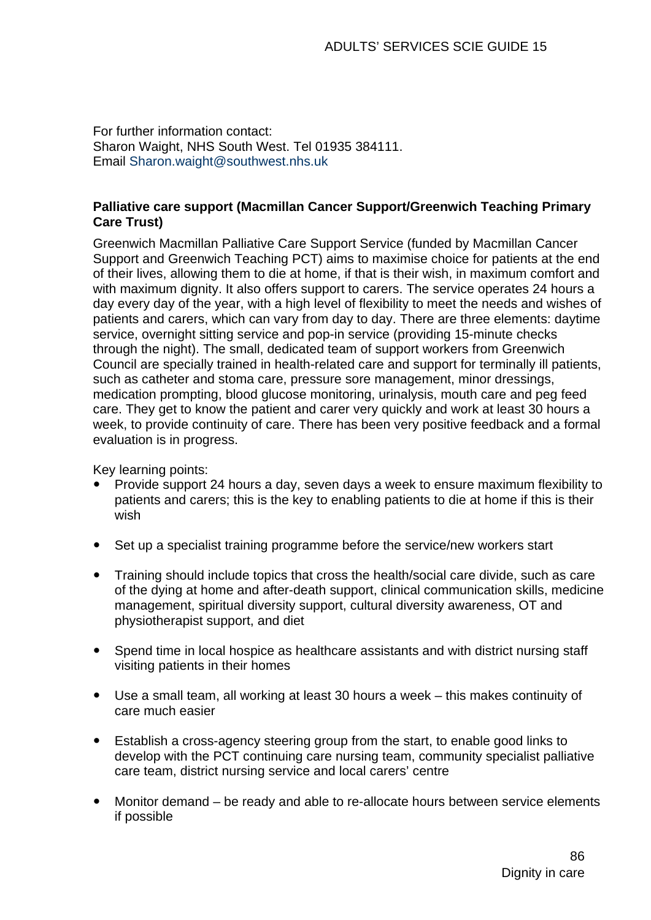For further information contact: Sharon Waight, NHS South West. Tel 01935 384111. Email [Sharon.waight@southwest.nhs.uk](mailto:Sharon.waight@southwest.nhs.uk)

#### **Palliative care support (Macmillan Cancer Support/Greenwich Teaching Primary Care Trust)**

Greenwich Macmillan Palliative Care Support Service (funded by Macmillan Cancer Support and Greenwich Teaching PCT) aims to maximise choice for patients at the end of their lives, allowing them to die at home, if that is their wish, in maximum comfort and with maximum dignity. It also offers support to carers. The service operates 24 hours a day every day of the year, with a high level of flexibility to meet the needs and wishes of patients and carers, which can vary from day to day. There are three elements: daytime service, overnight sitting service and pop-in service (providing 15-minute checks through the night). The small, dedicated team of support workers from Greenwich Council are specially trained in health-related care and support for terminally ill patients, such as catheter and stoma care, pressure sore management, minor dressings, medication prompting, blood glucose monitoring, urinalysis, mouth care and peg feed care. They get to know the patient and carer very quickly and work at least 30 hours a week, to provide continuity of care. There has been very positive feedback and a formal evaluation is in progress.

Key learning points:

- Provide support 24 hours a day, seven days a week to ensure maximum flexibility to patients and carers; this is the key to enabling patients to die at home if this is their wish
- Set up a specialist training programme before the service/new workers start
- Training should include topics that cross the health/social care divide, such as care of the dying at home and after-death support, clinical communication skills, medicine management, spiritual diversity support, cultural diversity awareness, OT and physiotherapist support, and diet
- Spend time in local hospice as healthcare assistants and with district nursing staff visiting patients in their homes
- Use a small team, all working at least 30 hours a week this makes continuity of care much easier
- Establish a cross-agency steering group from the start, to enable good links to develop with the PCT continuing care nursing team, community specialist palliative care team, district nursing service and local carers' centre
- Monitor demand be ready and able to re-allocate hours between service elements if possible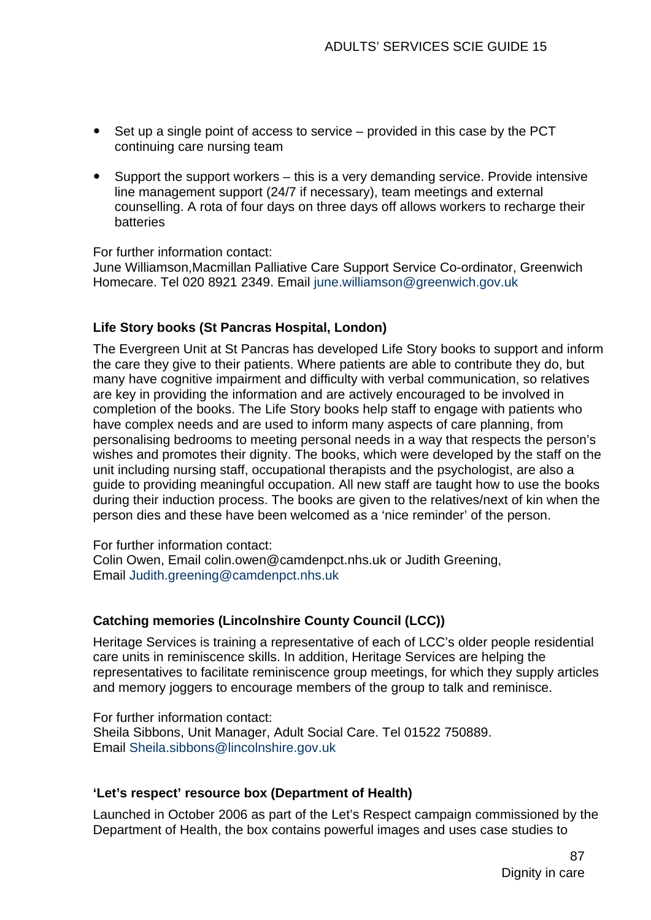- $\bullet$  Set up a single point of access to service provided in this case by the PCT continuing care nursing team
- $\bullet$  Support the support workers this is a very demanding service. Provide intensive line management support (24/7 if necessary), team meetings and external counselling. A rota of four days on three days off allows workers to recharge their **batteries**

For further information contact:

June Williamson,Macmillan Palliative Care Support Service Co-ordinator, Greenwich Homecare. Tel 020 8921 2349. Email [june.williamson@greenwich.gov.uk](mailto:june.williamson@greenwich.gov.uk)

## **Life Story books (St Pancras Hospital, London)**

The Evergreen Unit at St Pancras has developed Life Story books to support and inform the care they give to their patients. Where patients are able to contribute they do, but many have cognitive impairment and difficulty with verbal communication, so relatives are key in providing the information and are actively encouraged to be involved in completion of the books. The Life Story books help staff to engage with patients who have complex needs and are used to inform many aspects of care planning, from personalising bedrooms to meeting personal needs in a way that respects the person's wishes and promotes their dignity. The books, which were developed by the staff on the unit including nursing staff, occupational therapists and the psychologist, are also a guide to providing meaningful occupation. All new staff are taught how to use the books during their induction process. The books are given to the relatives/next of kin when the person dies and these have been welcomed as a 'nice reminder' of the person.

For further information contact:

Colin Owen, Email colin.owen@camdenpct.nhs.uk or Judith Greening, Email [Judith.greening@camdenpct.nhs.uk](mailto:Judith.greening@camdenpct.nhs.uk)

## **Catching memories (Lincolnshire County Council (LCC))**

Heritage Services is training a representative of each of LCC's older people residential care units in reminiscence skills. In addition, Heritage Services are helping the representatives to facilitate reminiscence group meetings, for which they supply articles and memory joggers to encourage members of the group to talk and reminisce.

For further information contact: Sheila Sibbons, Unit Manager, Adult Social Care. Tel 01522 750889. Email [Sheila.sibbons@lincolnshire.gov.uk](mailto:Sheila.sibbons@lincolnshire.gov.uk)

#### **'Let's respect' resource box (Department of Health)**

Launched in October 2006 as part of the Let's Respect campaign commissioned by the Department of Health, the box contains powerful images and uses case studies to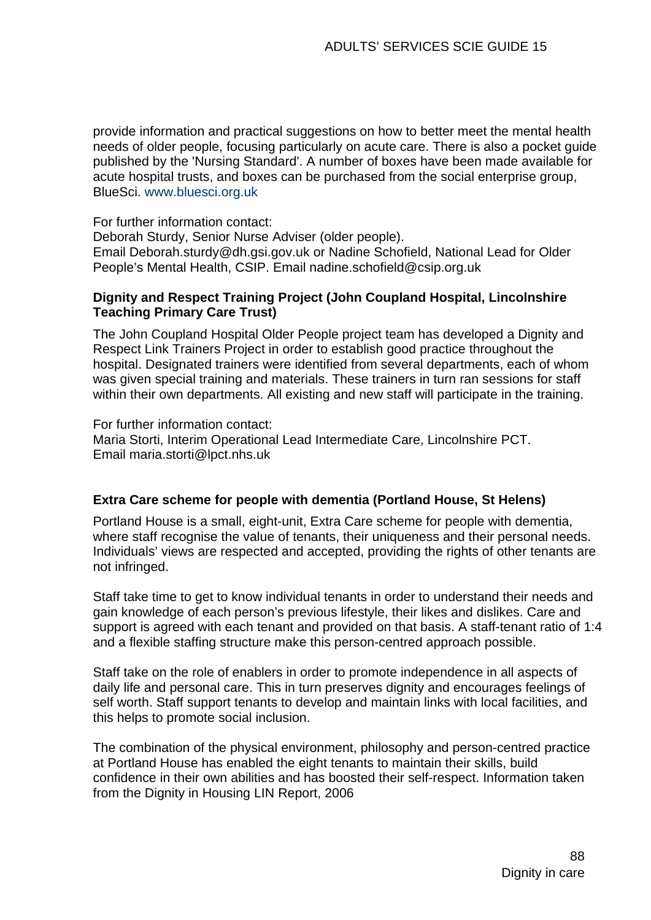provide information and practical suggestions on how to better meet the mental health needs of older people, focusing particularly on acute care. There is also a pocket guide published by the 'Nursing Standard'. A number of boxes have been made available for acute hospital trusts, and boxes can be purchased from the social enterprise group, BlueSci. [www.bluesci.org.uk](http://www.bluesci.org.uk/)

For further information contact:

Deborah Sturdy, Senior Nurse Adviser (older people).

Email Deborah.sturdy@dh.gsi.gov.uk or Nadine Schofield, National Lead for Older People's Mental Health, CSIP. Email [nadine.schofield@csip.org.uk](mailto:nadine.schofield@csip.org.uk)

#### **Dignity and Respect Training Project (John Coupland Hospital, Lincolnshire Teaching Primary Care Trust)**

The John Coupland Hospital Older People project team has developed a Dignity and Respect Link Trainers Project in order to establish good practice throughout the hospital. Designated trainers were identified from several departments, each of whom was given special training and materials. These trainers in turn ran sessions for staff within their own departments. All existing and new staff will participate in the training.

For further information contact: Maria Storti, Interim Operational Lead Intermediate Care, Lincolnshire PCT. Email [maria.storti@lpct.nhs.uk](mailto:maria.storti@lpct.nhs.uk)

#### **Extra Care scheme for people with dementia (Portland House, St Helens)**

Portland House is a small, eight-unit, Extra Care scheme for people with dementia, where staff recognise the value of tenants, their uniqueness and their personal needs. Individuals' views are respected and accepted, providing the rights of other tenants are not infringed.

Staff take time to get to know individual tenants in order to understand their needs and gain knowledge of each person's previous lifestyle, their likes and dislikes. Care and support is agreed with each tenant and provided on that basis. A staff-tenant ratio of 1:4 and a flexible staffing structure make this person-centred approach possible.

Staff take on the role of enablers in order to promote independence in all aspects of daily life and personal care. This in turn preserves dignity and encourages feelings of self worth. Staff support tenants to develop and maintain links with local facilities, and this helps to promote social inclusion.

The combination of the physical environment, philosophy and person-centred practice at Portland House has enabled the eight tenants to maintain their skills, build confidence in their own abilities and has boosted their self-respect. Information taken from the Dignity in Housing LIN Report, 2006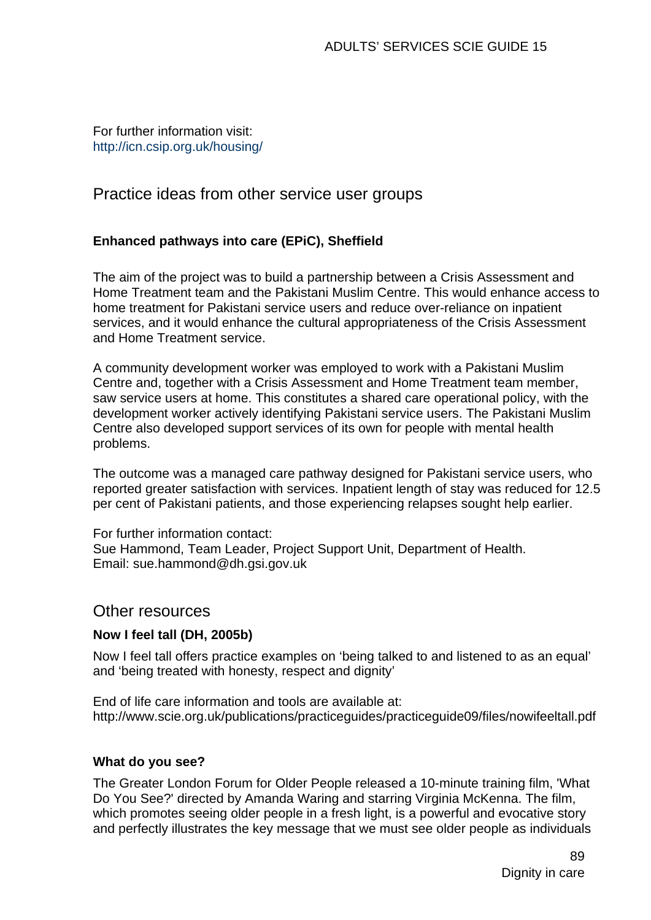#### For further information visit: <http://icn.csip.org.uk/housing/>

# Practice ideas from other service user groups

## **Enhanced pathways into care (EPiC), Sheffield**

The aim of the project was to build a partnership between a Crisis Assessment and Home Treatment team and the Pakistani Muslim Centre. This would enhance access to home treatment for Pakistani service users and reduce over-reliance on inpatient services, and it would enhance the cultural appropriateness of the Crisis Assessment and Home Treatment service.

A community development worker was employed to work with a Pakistani Muslim Centre and, together with a Crisis Assessment and Home Treatment team member, saw service users at home. This constitutes a shared care operational policy, with the development worker actively identifying Pakistani service users. The Pakistani Muslim Centre also developed support services of its own for people with mental health problems.

The outcome was a managed care pathway designed for Pakistani service users, who reported greater satisfaction with services. Inpatient length of stay was reduced for 12.5 per cent of Pakistani patients, and those experiencing relapses sought help earlier.

For further information contact:

Sue Hammond, Team Leader, Project Support Unit, Department of Health. Email: [sue.hammond@dh.gsi.gov.uk](mailto:sue.hammond@dh.gsi.gov.uk) 

## Other resources

#### **Now I feel tall (DH, 2005b)**

Now I feel tall offers practice examples on 'being talked to and listened to as an equal' and 'being treated with honesty, respect and dignity'

End of life care information and tools are available at: http://www.scie.org.uk/publications/practiceguides/practiceguide09/files/nowifeeltall.pdf

#### **What do you see?**

The Greater London Forum for Older People released a 10-minute training film, 'What Do You See?' directed by Amanda Waring and starring Virginia McKenna. The film, which promotes seeing older people in a fresh light, is a powerful and evocative story and perfectly illustrates the key message that we must see older people as individuals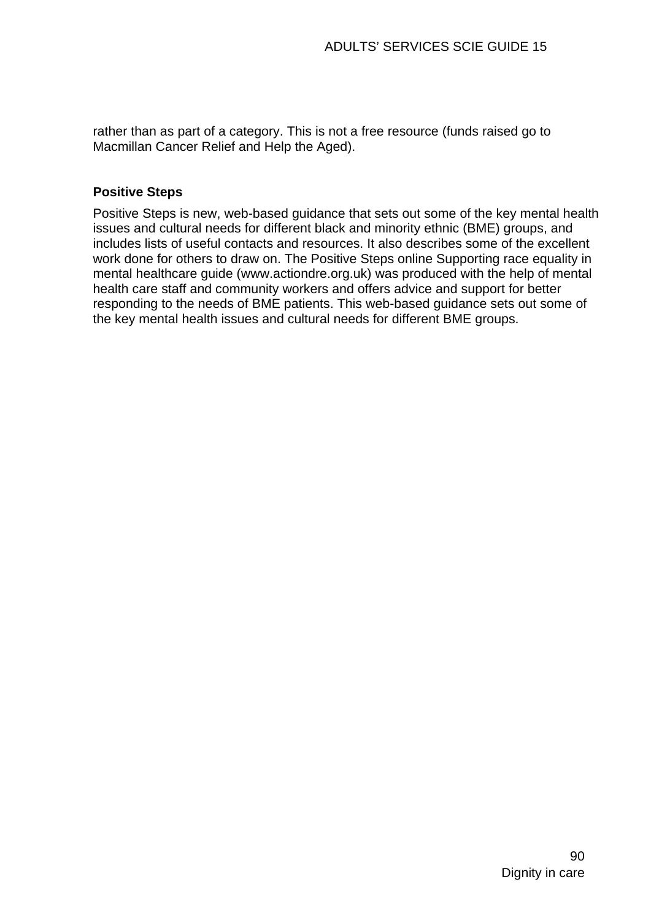rather than as part of a category. This is not a free resource (funds raised go to Macmillan Cancer Relief and Help the Aged).

#### **Positive Steps**

Positive Steps is new, web-based guidance that sets out some of the key mental health issues and cultural needs for different black and minority ethnic (BME) groups, and includes lists of useful contacts and resources. It also describes some of the excellent work done for others to draw on. The Positive Steps online Supporting race equality in mental healthcare guide ([www.actiondre.org.uk\)](http://www.actiondre.org.uk/) was produced with the help of mental health care staff and community workers and offers advice and support for better responding to the needs of BME patients. This web-based guidance sets out some of the key mental health issues and cultural needs for different BME groups.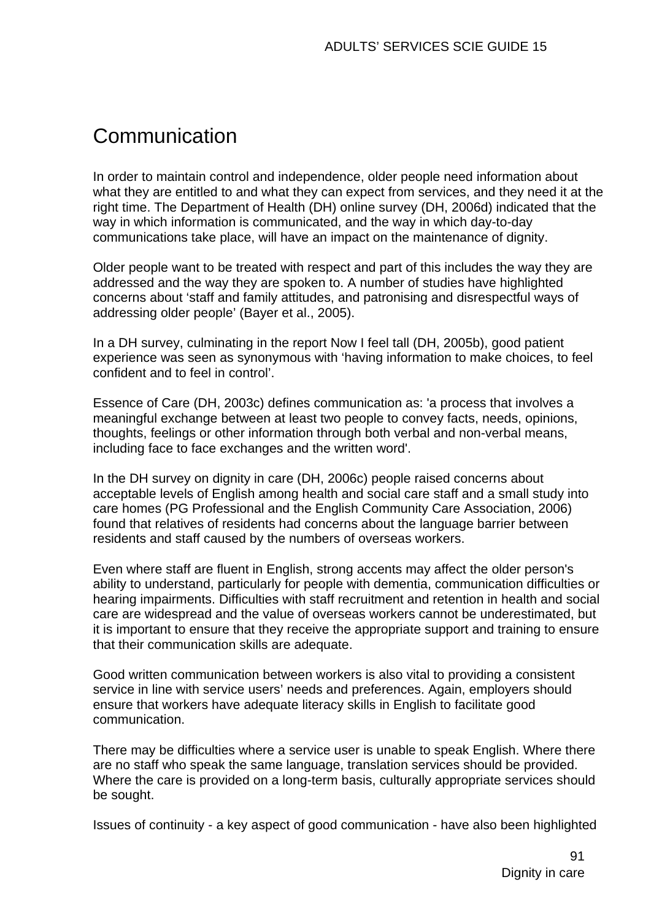# **Communication**

In order to maintain control and independence, older people need information about what they are entitled to and what they can expect from services, and they need it at the right time. The Department of Health (DH) online survey (DH, 2006d) indicated that the way in which information is communicated, and the way in which day-to-day communications take place, will have an impact on the maintenance of dignity.

Older people want to be treated with respect and part of this includes the way they are addressed and the way they are spoken to. A number of studies have highlighted concerns about 'staff and family attitudes, and patronising and disrespectful ways of addressing older people' (Bayer et al., 2005).

In a DH survey, culminating in the report Now I feel tall (DH, 2005b), good patient experience was seen as synonymous with 'having information to make choices, to feel confident and to feel in control'.

Essence of Care (DH, 2003c) defines communication as: 'a process that involves a meaningful exchange between at least two people to convey facts, needs, opinions, thoughts, feelings or other information through both verbal and non-verbal means, including face to face exchanges and the written word'.

In the DH survey on dignity in care (DH, 2006c) people raised concerns about acceptable levels of English among health and social care staff and a small study into care homes (PG Professional and the English Community Care Association, 2006) found that relatives of residents had concerns about the language barrier between residents and staff caused by the numbers of overseas workers.

Even where staff are fluent in English, strong accents may affect the older person's ability to understand, particularly for people with dementia, communication difficulties or hearing impairments. Difficulties with staff recruitment and retention in health and social care are widespread and the value of overseas workers cannot be underestimated, but it is important to ensure that they receive the appropriate support and training to ensure that their communication skills are adequate.

Good written communication between workers is also vital to providing a consistent service in line with service users' needs and preferences. Again, employers should ensure that workers have adequate literacy skills in English to facilitate good communication.

There may be difficulties where a service user is unable to speak English. Where there are no staff who speak the same language, translation services should be provided. Where the care is provided on a long-term basis, culturally appropriate services should be sought.

Issues of continuity - a key aspect of good communication - have also been highlighted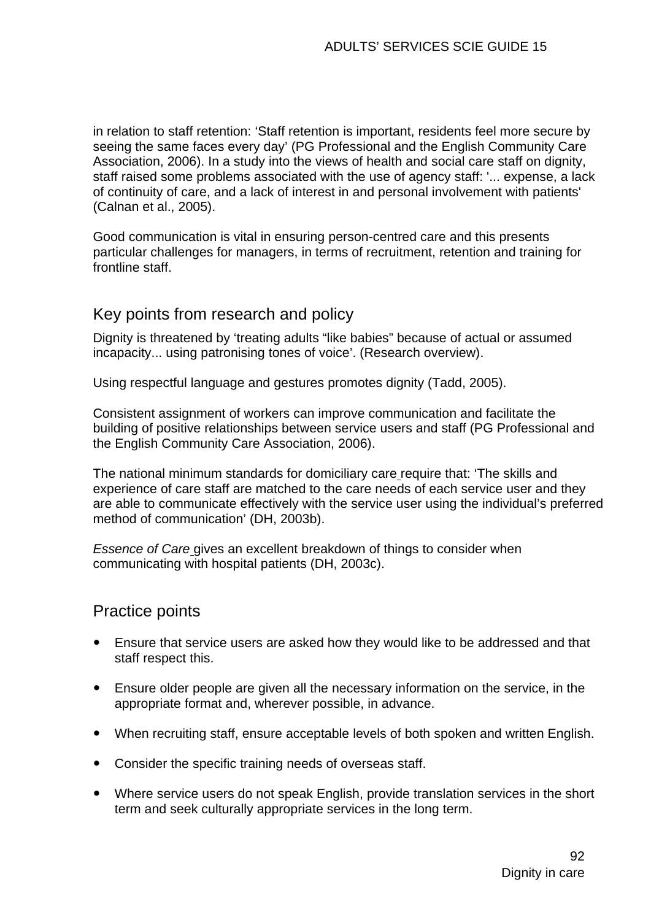in relation to staff retention: 'Staff retention is important, residents feel more secure by seeing the same faces every day' (PG Professional and the English Community Care Association, 2006). In a study into the views of health and social care staff on dignity, staff raised some problems associated with the use of agency staff: '... expense, a lack of continuity of care, and a lack of interest in and personal involvement with patients' (Calnan et al., 2005).

Good communication is vital in ensuring person-centred care and this presents particular challenges for managers, in terms of recruitment, retention and training for frontline staff.

# Key points from research and policy

Dignity is threatened by 'treating adults "like babies" because of actual or assumed incapacity... using patronising tones of voice'. (Research overview).

Using respectful language and gestures promotes dignity (Tadd, 2005).

Consistent assignment of workers can improve communication and facilitate the building of positive relationships between service users and staff (PG Professional and the English Community Care Association, 2006).

The national minimum standards for domiciliary care require that: 'The skills and experience of care staff are matched to the care needs of each service user and they are able to communicate effectively with the service user using the individual's preferred method of communication' (DH, 2003b).

*Essence of Care* gives an excellent breakdown of things to consider when communicating with hospital patients (DH, 2003c).

# Practice points

- Ensure that service users are asked how they would like to be addressed and that staff respect this.
- Ensure older people are given all the necessary information on the service, in the appropriate format and, wherever possible, in advance.
- When recruiting staff, ensure acceptable levels of both spoken and written English.
- Consider the specific training needs of overseas staff.
- Where service users do not speak English, provide translation services in the short term and seek culturally appropriate services in the long term.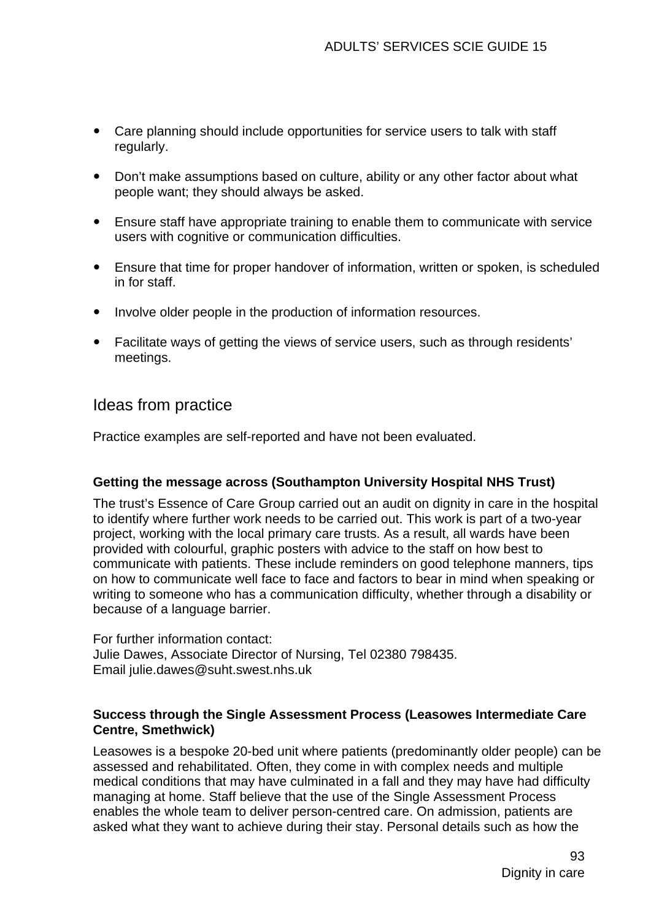- Care planning should include opportunities for service users to talk with staff regularly.
- Don't make assumptions based on culture, ability or any other factor about what people want; they should always be asked.
- Ensure staff have appropriate training to enable them to communicate with service users with cognitive or communication difficulties.
- Ensure that time for proper handover of information, written or spoken, is scheduled in for staff.
- Involve older people in the production of information resources.
- Facilitate ways of getting the views of service users, such as through residents' meetings.

# Ideas from practice

Practice examples are self-reported and have not been evaluated.

#### **Getting the message across (Southampton University Hospital NHS Trust)**

The trust's Essence of Care Group carried out an audit on dignity in care in the hospital to identify where further work needs to be carried out. This work is part of a two-year project, working with the local primary care trusts. As a result, all wards have been provided with colourful, graphic posters with advice to the staff on how best to communicate with patients. These include reminders on good telephone manners, tips on how to communicate well face to face and factors to bear in mind when speaking or writing to someone who has a communication difficulty, whether through a disability or because of a language barrier.

For further information contact: Julie Dawes, Associate Director of Nursing, Tel 02380 798435. Email julie.dawes@suht.swest.nhs.uk

#### **Success through the Single Assessment Process (Leasowes Intermediate Care Centre, Smethwick)**

Leasowes is a bespoke 20-bed unit where patients (predominantly older people) can be assessed and rehabilitated. Often, they come in with complex needs and multiple medical conditions that may have culminated in a fall and they may have had difficulty managing at home. Staff believe that the use of the Single Assessment Process enables the whole team to deliver person-centred care. On admission, patients are asked what they want to achieve during their stay. Personal details such as how the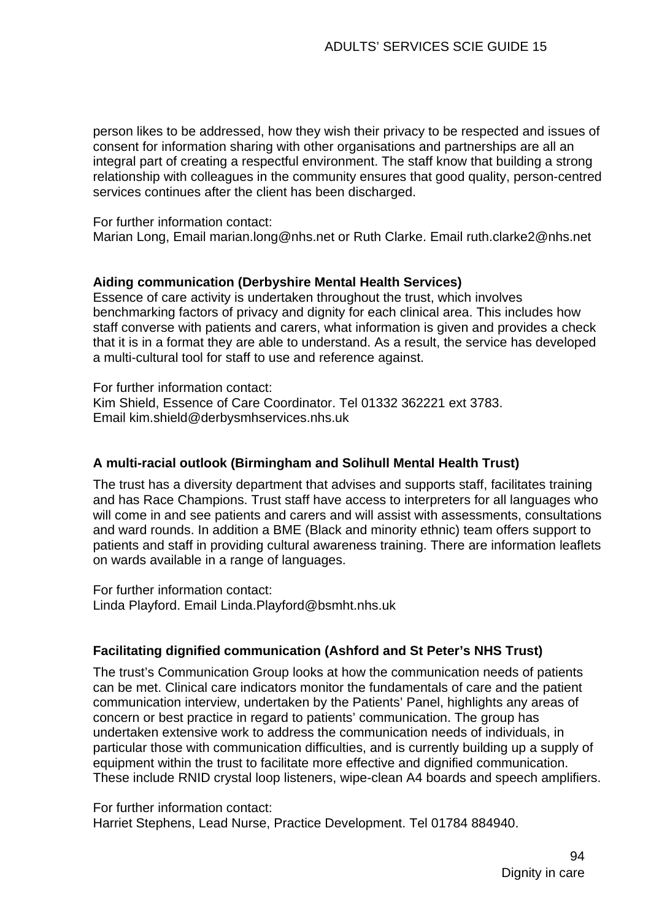person likes to be addressed, how they wish their privacy to be respected and issues of consent for information sharing with other organisations and partnerships are all an integral part of creating a respectful environment. The staff know that building a strong relationship with colleagues in the community ensures that good quality, person-centred services continues after the client has been discharged.

For further information contact:

Marian Long, Email marian.long@nhs.net or Ruth Clarke. Email [ruth.clarke2@nhs.net](mailto:ruth.clarke2@nhs.net) 

#### **Aiding communication (Derbyshire Mental Health Services)**

Essence of care activity is undertaken throughout the trust, which involves benchmarking factors of privacy and dignity for each clinical area. This includes how staff converse with patients and carers, what information is given and provides a check that it is in a format they are able to understand. As a result, the service has developed a multi-cultural tool for staff to use and reference against.

For further information contact: Kim Shield, Essence of Care Coordinator. Tel 01332 362221 ext 3783. Email [kim.shield@derbysmhservices.nhs.uk](mailto:kim.shield@derbysmhservices.nhs.uk)

#### **A multi-racial outlook (Birmingham and Solihull Mental Health Trust)**

The trust has a diversity department that advises and supports staff, facilitates training and has Race Champions. Trust staff have access to interpreters for all languages who will come in and see patients and carers and will assist with assessments, consultations and ward rounds. In addition a BME (Black and minority ethnic) team offers support to patients and staff in providing cultural awareness training. There are information leaflets on wards available in a range of languages.

For further information contact: Linda Playford. Email Linda.Playford@bsmht.nhs.uk

#### **Facilitating dignified communication (Ashford and St Peter's NHS Trust)**

The trust's Communication Group looks at how the communication needs of patients can be met. Clinical care indicators monitor the fundamentals of care and the patient communication interview, undertaken by the Patients' Panel, highlights any areas of concern or best practice in regard to patients' communication. The group has undertaken extensive work to address the communication needs of individuals, in particular those with communication difficulties, and is currently building up a supply of equipment within the trust to facilitate more effective and dignified communication. These include RNID crystal loop listeners, wipe-clean A4 boards and speech amplifiers.

For further information contact: Harriet Stephens, Lead Nurse, Practice Development. Tel 01784 884940.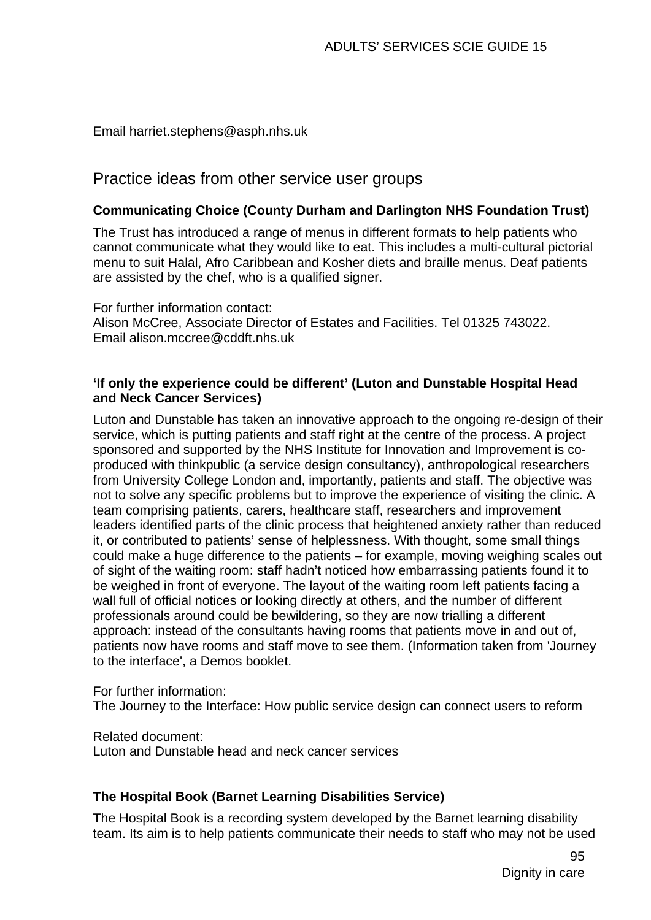Email [harriet.stephens@asph.nhs.uk](mailto:harriet.stephens@asph.nhs.uk)

# Practice ideas from other service user groups

## **Communicating Choice (County Durham and Darlington NHS Foundation Trust)**

The Trust has introduced a range of menus in different formats to help patients who cannot communicate what they would like to eat. This includes a multi-cultural pictorial menu to suit Halal, Afro Caribbean and Kosher diets and braille menus. Deaf patients are assisted by the chef, who is a qualified signer.

For further information contact: Alison McCree, Associate Director of Estates and Facilities. Tel 01325 743022. Email [alison.mccree@cddft.nhs.uk](mailto:alison.mccree@cddft.nhs.uk)

#### **'If only the experience could be different' (Luton and Dunstable Hospital Head and Neck Cancer Services)**

Luton and Dunstable has taken an innovative approach to the ongoing re-design of their service, which is putting patients and staff right at the centre of the process. A project sponsored and supported by the NHS Institute for Innovation and Improvement is coproduced with thinkpublic (a service design consultancy), anthropological researchers from University College London and, importantly, patients and staff. The objective was not to solve any specific problems but to improve the experience of visiting the clinic. A team comprising patients, carers, healthcare staff, researchers and improvement leaders identified parts of the clinic process that heightened anxiety rather than reduced it, or contributed to patients' sense of helplessness. With thought, some small things could make a huge difference to the patients – for example, moving weighing scales out of sight of the waiting room: staff hadn't noticed how embarrassing patients found it to be weighed in front of everyone. The layout of the waiting room left patients facing a wall full of official notices or looking directly at others, and the number of different professionals around could be bewildering, so they are now trialling a different approach: instead of the consultants having rooms that patients move in and out of, patients now have rooms and staff move to see them. (Information taken from 'Journey to the interface', a Demos booklet.

For further information:

The Journey to the Interface: How public service design can connect users to reform

Related document:

Luton and Dunstable head and neck cancer services

#### **The Hospital Book (Barnet Learning Disabilities Service)**

The Hospital Book is a recording system developed by the Barnet learning disability team. Its aim is to help patients communicate their needs to staff who may not be used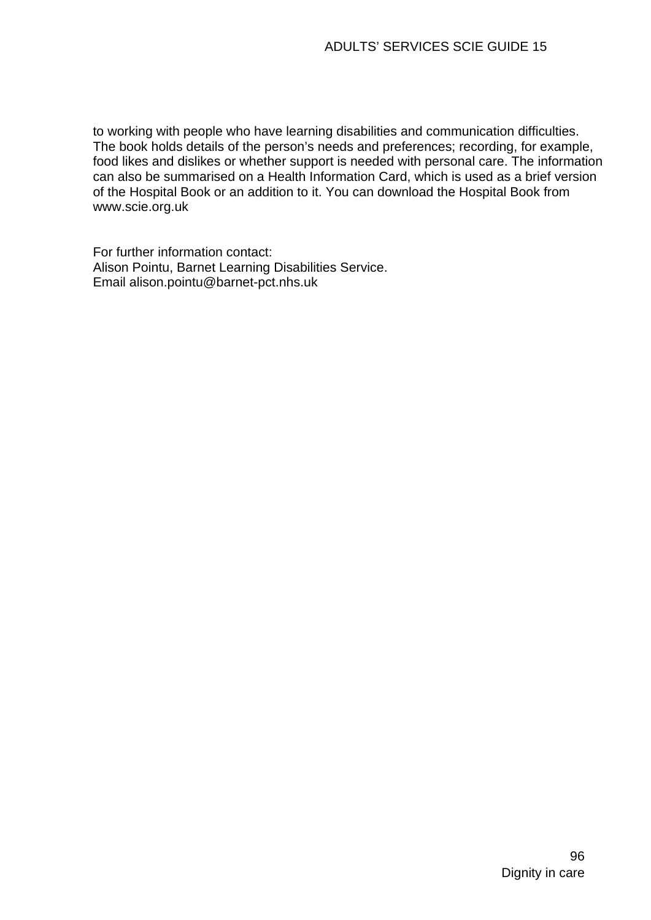to working with people who have learning disabilities and communication difficulties. The book holds details of the person's needs and preferences; recording, for example, food likes and dislikes or whether support is needed with personal care. The information can also be summarised on a Health Information Card, which is used as a brief version of the Hospital Book or an addition to it. You can download the Hospital Book from www.scie.org.uk

For further information contact: Alison Pointu, Barnet Learning Disabilities Service. Email alison.pointu@barnet-pct.nhs.uk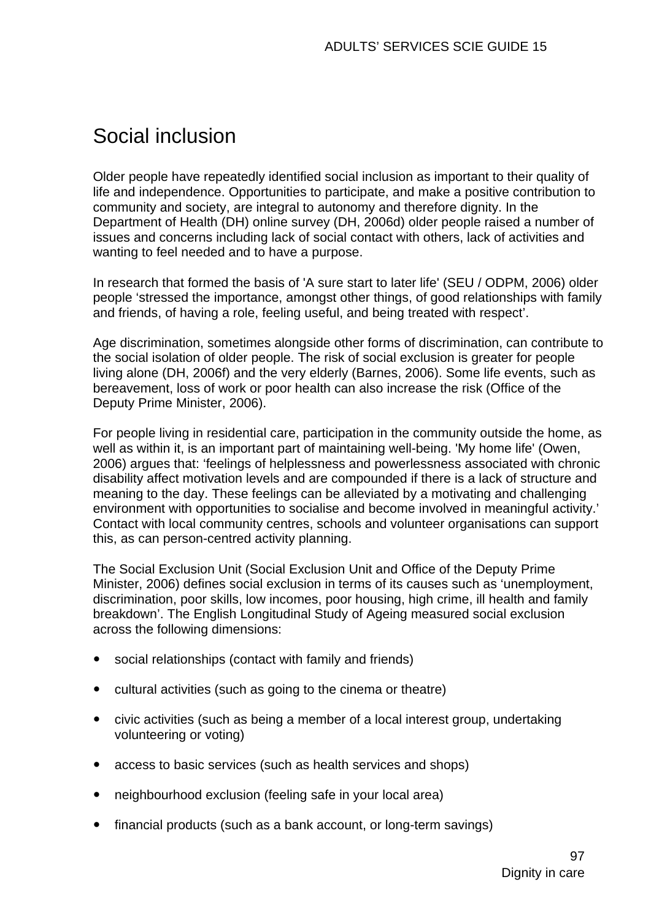# Social inclusion

Older people have repeatedly identified social inclusion as important to their quality of life and independence. Opportunities to participate, and make a positive contribution to community and society, are integral to autonomy and therefore dignity. In the Department of Health (DH) online survey (DH, 2006d) older people raised a number of issues and concerns including lack of social contact with others, lack of activities and wanting to feel needed and to have a purpose.

In research that formed the basis of 'A sure start to later life' (SEU / ODPM, 2006) older people 'stressed the importance, amongst other things, of good relationships with family and friends, of having a role, feeling useful, and being treated with respect'.

Age discrimination, sometimes alongside other forms of discrimination, can contribute to the social isolation of older people. The risk of social exclusion is greater for people living alone (DH, 2006f) and the very elderly (Barnes, 2006). Some life events, such as bereavement, loss of work or poor health can also increase the risk (Office of the Deputy Prime Minister, 2006).

For people living in residential care, participation in the community outside the home, as well as within it, is an important part of maintaining well-being. 'My home life' (Owen, 2006) argues that: 'feelings of helplessness and powerlessness associated with chronic disability affect motivation levels and are compounded if there is a lack of structure and meaning to the day. These feelings can be alleviated by a motivating and challenging environment with opportunities to socialise and become involved in meaningful activity.' Contact with local community centres, schools and volunteer organisations can support this, as can person-centred activity planning.

The Social Exclusion Unit (Social Exclusion Unit and Office of the Deputy Prime Minister, 2006) defines social exclusion in terms of its causes such as 'unemployment, discrimination, poor skills, low incomes, poor housing, high crime, ill health and family breakdown'. The English Longitudinal Study of Ageing measured social exclusion across the following dimensions:

- social relationships (contact with family and friends)
- cultural activities (such as going to the cinema or theatre)
- civic activities (such as being a member of a local interest group, undertaking volunteering or voting)
- access to basic services (such as health services and shops)
- neighbourhood exclusion (feeling safe in your local area)
- financial products (such as a bank account, or long-term savings)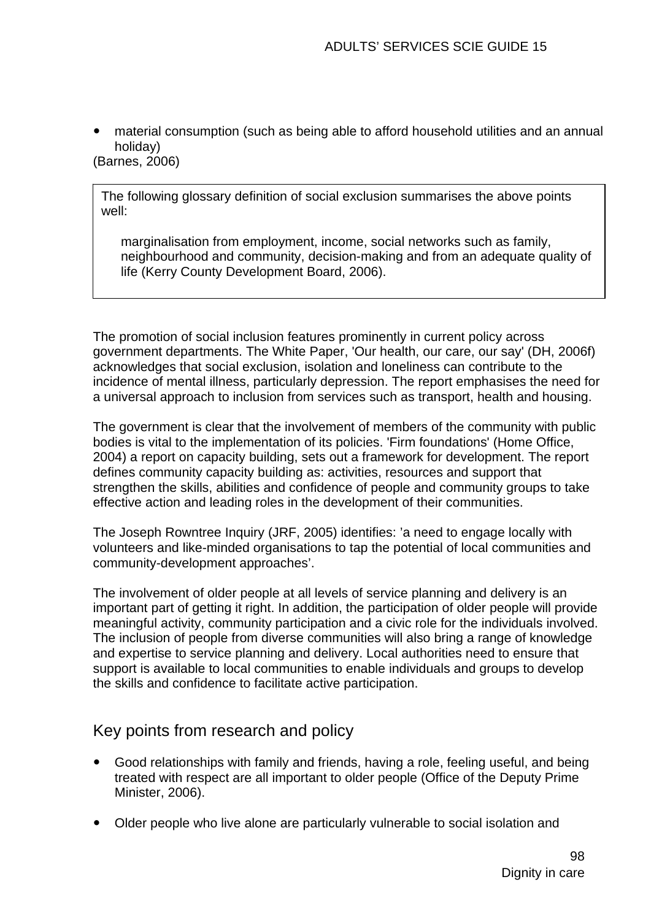material consumption (such as being able to afford household utilities and an annual holiday) (Barnes, 2006)

The following glossary definition of social exclusion summarises the above points well:

marginalisation from employment, income, social networks such as family, neighbourhood and community, decision-making and from an adequate quality of life (Kerry County Development Board, 2006).

The promotion of social inclusion features prominently in current policy across government departments. The White Paper, 'Our health, our care, our say' (DH, 2006f) acknowledges that social exclusion, isolation and loneliness can contribute to the incidence of mental illness, particularly depression. The report emphasises the need for a universal approach to inclusion from services such as transport, health and housing.

The government is clear that the involvement of members of the community with public bodies is vital to the implementation of its policies. 'Firm foundations' (Home Office, 2004) a report on capacity building, sets out a framework for development. The report defines community capacity building as: activities, resources and support that strengthen the skills, abilities and confidence of people and community groups to take effective action and leading roles in the development of their communities.

The Joseph Rowntree Inquiry (JRF, 2005) identifies: 'a need to engage locally with volunteers and like-minded organisations to tap the potential of local communities and community-development approaches'.

The involvement of older people at all levels of service planning and delivery is an important part of getting it right. In addition, the participation of older people will provide meaningful activity, community participation and a civic role for the individuals involved. The inclusion of people from diverse communities will also bring a range of knowledge and expertise to service planning and delivery. Local authorities need to ensure that support is available to local communities to enable individuals and groups to develop the skills and confidence to facilitate active participation.

# Key points from research and policy

- Good relationships with family and friends, having a role, feeling useful, and being treated with respect are all important to older people (Office of the Deputy Prime Minister, 2006).
- Older people who live alone are particularly vulnerable to social isolation and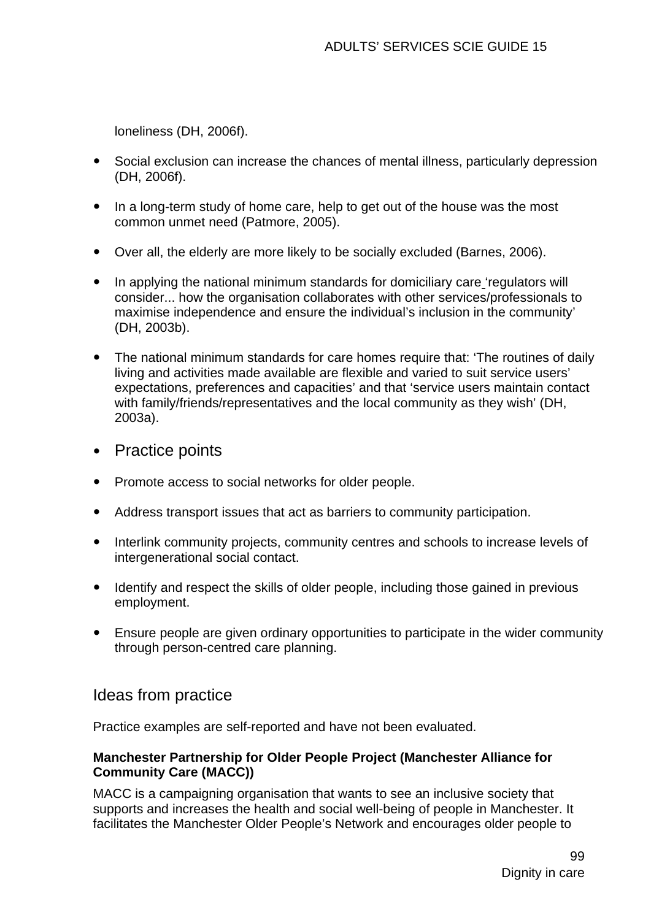loneliness (DH, 2006f).

- Social exclusion can increase the chances of mental illness, particularly depression (DH, 2006f).
- In a long-term study of home care, help to get out of the house was the most common unmet need (Patmore, 2005).
- Over all, the elderly are more likely to be socially excluded (Barnes, 2006).
- In applying the national minimum standards for domiciliary care 'regulators will consider... how the organisation collaborates with other services/professionals to maximise independence and ensure the individual's inclusion in the community' (DH, 2003b).
- The national minimum standards for care homes require that: 'The routines of daily living and activities made available are flexible and varied to suit service users' expectations, preferences and capacities' and that 'service users maintain contact with family/friends/representatives and the local community as they wish' (DH, 2003a).
- Practice points
- Promote access to social networks for older people.
- Address transport issues that act as barriers to community participation.
- Interlink community projects, community centres and schools to increase levels of intergenerational social contact.
- Identify and respect the skills of older people, including those gained in previous employment.
- Ensure people are given ordinary opportunities to participate in the wider community through person-centred care planning.

# Ideas from practice

Practice examples are self-reported and have not been evaluated.

#### **Manchester Partnership for Older People Project (Manchester Alliance for Community Care (MACC))**

MACC is a campaigning organisation that wants to see an inclusive society that supports and increases the health and social well-being of people in Manchester. It facilitates the Manchester Older People's Network and encourages older people to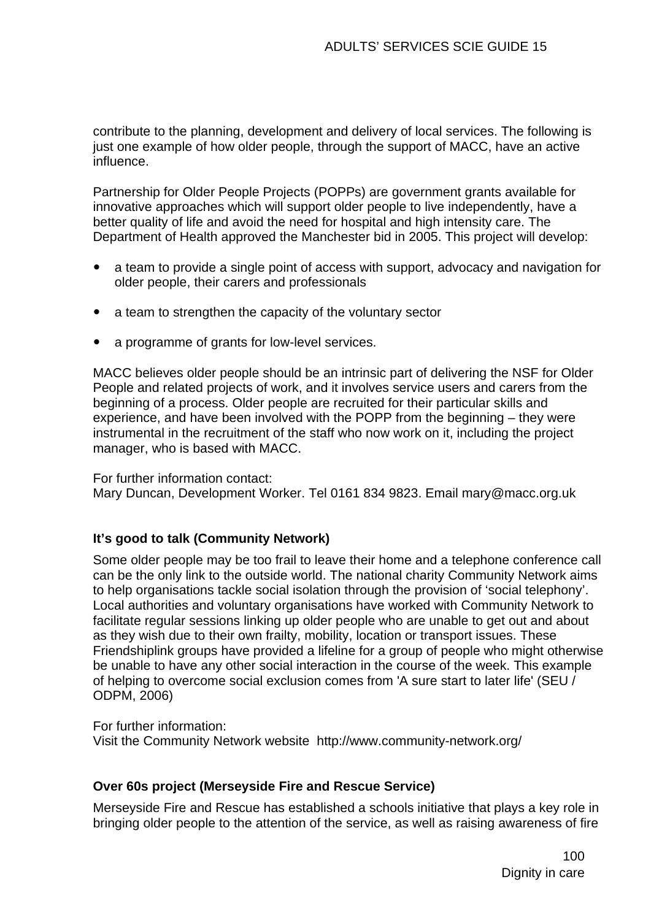contribute to the planning, development and delivery of local services. The following is just one example of how older people, through the support of MACC, have an active influence.

Partnership for Older People Projects (POPPs) are government grants available for innovative approaches which will support older people to live independently, have a better quality of life and avoid the need for hospital and high intensity care. The Department of Health approved the Manchester bid in 2005. This project will develop:

- a team to provide a single point of access with support, advocacy and navigation for older people, their carers and professionals
- a team to strengthen the capacity of the voluntary sector
- a programme of grants for low-level services.

MACC believes older people should be an intrinsic part of delivering the NSF for Older People and related projects of work, and it involves service users and carers from the beginning of a process. Older people are recruited for their particular skills and experience, and have been involved with the POPP from the beginning – they were instrumental in the recruitment of the staff who now work on it, including the project manager, who is based with MACC.

#### For further information contact:

Mary Duncan, Development Worker. Tel 0161 834 9823. Email [mary@macc.org.uk](mailto:mary@macc.org.uk) 

#### **It's good to talk (Community Network)**

Some older people may be too frail to leave their home and a telephone conference call can be the only link to the outside world. The national charity Community Network aims to help organisations tackle social isolation through the provision of 'social telephony'. Local authorities and voluntary organisations have worked with Community Network to facilitate regular sessions linking up older people who are unable to get out and about as they wish due to their own frailty, mobility, location or transport issues. These Friendshiplink groups have provided a lifeline for a group of people who might otherwise be unable to have any other social interaction in the course of the week. This example of helping to overcome social exclusion comes from 'A sure start to later life' (SEU / ODPM, 2006)

For further information: Visit the Community Network website http://www.community-network.org/

#### **Over 60s project (Merseyside Fire and Rescue Service)**

Merseyside Fire and Rescue has established a schools initiative that plays a key role in bringing older people to the attention of the service, as well as raising awareness of fire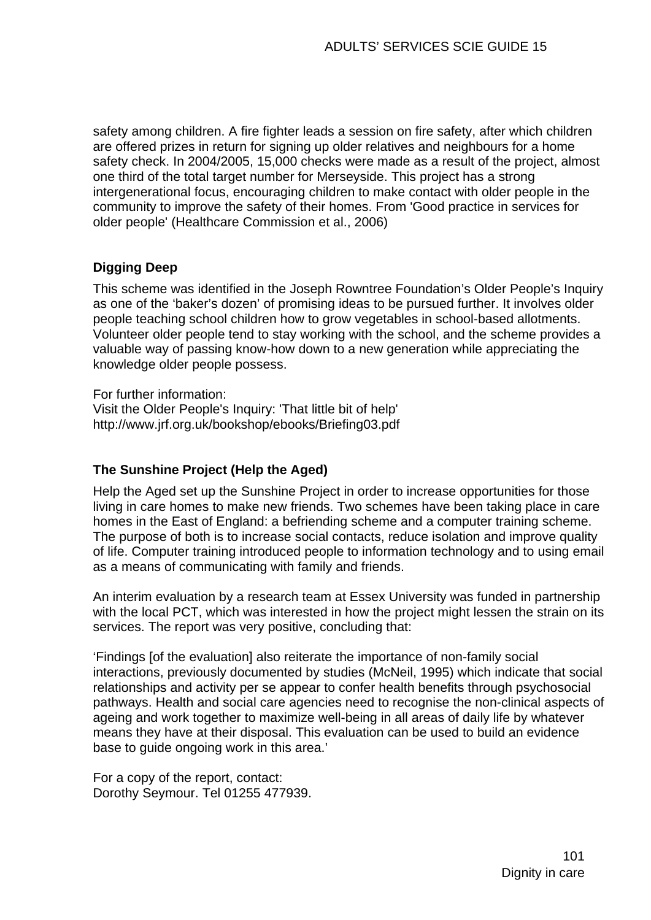safety among children. A fire fighter leads a session on fire safety, after which children are offered prizes in return for signing up older relatives and neighbours for a home safety check. In 2004/2005, 15,000 checks were made as a result of the project, almost one third of the total target number for Merseyside. This project has a strong intergenerational focus, encouraging children to make contact with older people in the community to improve the safety of their homes. From 'Good practice in services for older people' (Healthcare Commission et al., 2006)

## **Digging Deep**

This scheme was identified in the Joseph Rowntree Foundation's Older People's Inquiry as one of the 'baker's dozen' of promising ideas to be pursued further. It involves older people teaching school children how to grow vegetables in school-based allotments. Volunteer older people tend to stay working with the school, and the scheme provides a valuable way of passing know-how down to a new generation while appreciating the knowledge older people possess.

For further information:

Visit the Older People's Inquiry: 'That little bit of help' http://www.jrf.org.uk/bookshop/ebooks/Briefing03.pdf

#### **The Sunshine Project (Help the Aged)**

Help the Aged set up the Sunshine Project in order to increase opportunities for those living in care homes to make new friends. Two schemes have been taking place in care homes in the East of England: a befriending scheme and a computer training scheme. The purpose of both is to increase social contacts, reduce isolation and improve quality of life. Computer training introduced people to information technology and to using email as a means of communicating with family and friends.

An interim evaluation by a research team at Essex University was funded in partnership with the local PCT, which was interested in how the project might lessen the strain on its services. The report was very positive, concluding that:

'Findings [of the evaluation] also reiterate the importance of non-family social interactions, previously documented by studies (McNeil, 1995) which indicate that social relationships and activity per se appear to confer health benefits through psychosocial pathways. Health and social care agencies need to recognise the non-clinical aspects of ageing and work together to maximize well-being in all areas of daily life by whatever means they have at their disposal. This evaluation can be used to build an evidence base to guide ongoing work in this area.'

For a copy of the report, contact: Dorothy Seymour. Tel 01255 477939.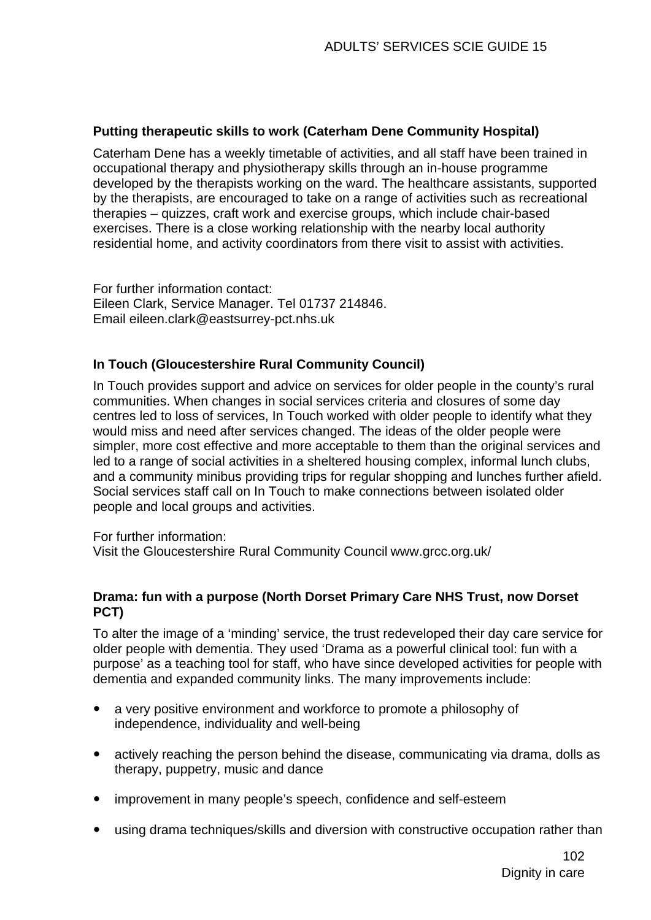#### **Putting therapeutic skills to work (Caterham Dene Community Hospital)**

Caterham Dene has a weekly timetable of activities, and all staff have been trained in occupational therapy and physiotherapy skills through an in-house programme developed by the therapists working on the ward. The healthcare assistants, supported by the therapists, are encouraged to take on a range of activities such as recreational therapies – quizzes, craft work and exercise groups, which include chair-based exercises. There is a close working relationship with the nearby local authority residential home, and activity coordinators from there visit to assist with activities.

For further information contact: Eileen Clark, Service Manager. Tel 01737 214846. Email [eileen.clark@eastsurrey-pct.nhs.uk](mailto:eileen.clark@eastsurrey-pct.nhs.uk)

#### **In Touch (Gloucestershire Rural Community Council)**

In Touch provides support and advice on services for older people in the county's rural communities. When changes in social services criteria and closures of some day centres led to loss of services, In Touch worked with older people to identify what they would miss and need after services changed. The ideas of the older people were simpler, more cost effective and more acceptable to them than the original services and led to a range of social activities in a sheltered housing complex, informal lunch clubs, and a community minibus providing trips for regular shopping and lunches further afield. Social services staff call on In Touch to make connections between isolated older people and local groups and activities.

For further information:

Visit the Gloucestershire Rural Community Council www.grcc.org.uk/

#### **Drama: fun with a purpose (North Dorset Primary Care NHS Trust, now Dorset PCT)**

To alter the image of a 'minding' service, the trust redeveloped their day care service for older people with dementia. They used 'Drama as a powerful clinical tool: fun with a purpose' as a teaching tool for staff, who have since developed activities for people with dementia and expanded community links. The many improvements include:

- a very positive environment and workforce to promote a philosophy of independence, individuality and well-being
- actively reaching the person behind the disease, communicating via drama, dolls as therapy, puppetry, music and dance
- improvement in many people's speech, confidence and self-esteem
- using drama techniques/skills and diversion with constructive occupation rather than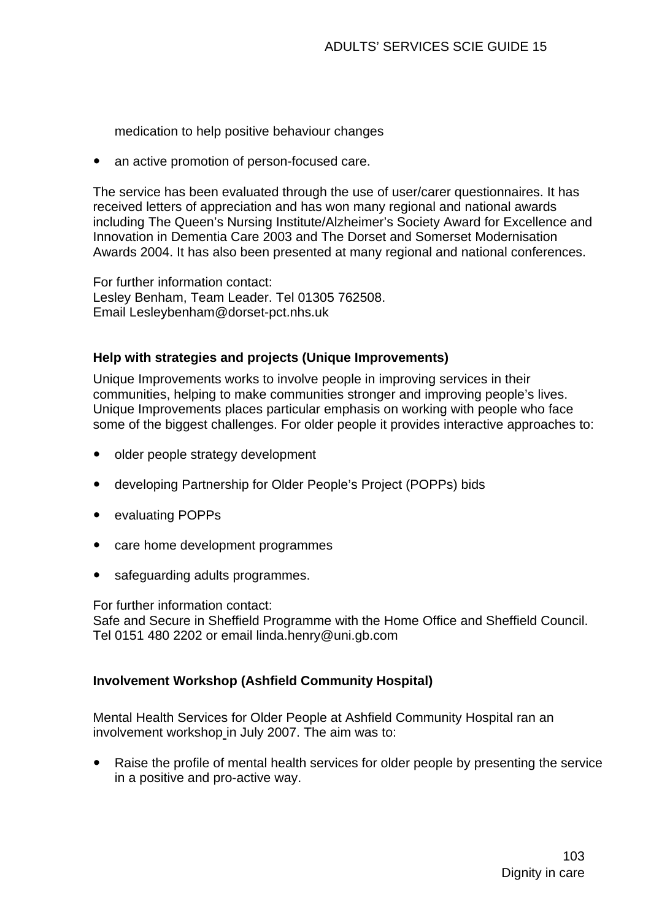medication to help positive behaviour changes

• an active promotion of person-focused care.

The service has been evaluated through the use of user/carer questionnaires. It has received letters of appreciation and has won many regional and national awards including The Queen's Nursing Institute/Alzheimer's Society Award for Excellence and Innovation in Dementia Care 2003 and The Dorset and Somerset Modernisation Awards 2004. It has also been presented at many regional and national conferences.

For further information contact: Lesley Benham, Team Leader. Tel 01305 762508. Email [Lesleybenham@dorset-pct.nhs.uk](mailto:Lesleybenham@dorset-pct.nhs.uk) 

#### **Help with strategies and projects (Unique Improvements)**

Unique Improvements works to involve people in improving services in their communities, helping to make communities stronger and improving people's lives. Unique Improvements places particular emphasis on working with people who face some of the biggest challenges. For older people it provides interactive approaches to:

- older people strategy development
- developing Partnership for Older People's Project (POPPs) bids
- evaluating POPPs
- care home development programmes
- safeguarding adults programmes.

For further information contact:

Safe and Secure in Sheffield Programme with the Home Office and Sheffield Council. Tel 0151 480 2202 or email [linda.henry@uni.gb.com](mailto:linda.henry@uni.gb.com)

#### **Involvement Workshop (Ashfield Community Hospital)**

Mental Health Services for Older People at Ashfield Community Hospital ran an involvement workshop in July 2007. The aim was to:

• Raise the profile of mental health services for older people by presenting the service in a positive and pro-active way.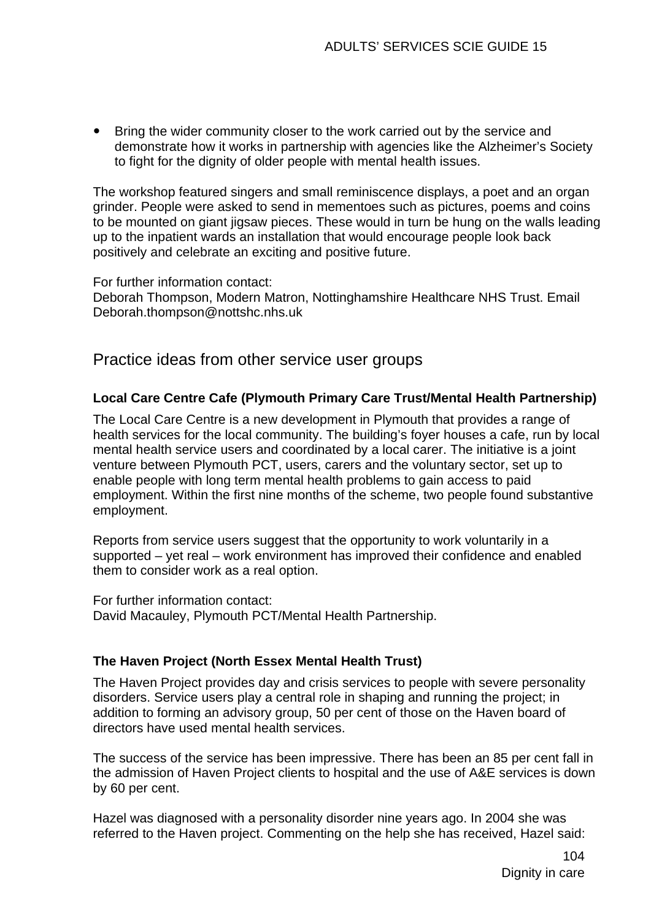• Bring the wider community closer to the work carried out by the service and demonstrate how it works in partnership with agencies like the Alzheimer's Society to fight for the dignity of older people with mental health issues.

The workshop featured singers and small reminiscence displays, a poet and an organ grinder. People were asked to send in mementoes such as pictures, poems and coins to be mounted on giant jigsaw pieces. These would in turn be hung on the walls leading up to the inpatient wards an installation that would encourage people look back positively and celebrate an exciting and positive future.

For further information contact: Deborah Thompson, Modern Matron, Nottinghamshire Healthcare NHS Trust. Email [Deborah.thompson@nottshc.nhs.uk](mailto:Deborah.thompson@nottshc.nhs.uk) 

Practice ideas from other service user groups

## **Local Care Centre Cafe (Plymouth Primary Care Trust/Mental Health Partnership)**

The Local Care Centre is a new development in Plymouth that provides a range of health services for the local community. The building's foyer houses a cafe, run by local mental health service users and coordinated by a local carer. The initiative is a joint venture between Plymouth PCT, users, carers and the voluntary sector, set up to enable people with long term mental health problems to gain access to paid employment. Within the first nine months of the scheme, two people found substantive employment.

Reports from service users suggest that the opportunity to work voluntarily in a supported – yet real – work environment has improved their confidence and enabled them to consider work as a real option.

For further information contact: David Macauley, Plymouth PCT/Mental Health Partnership.

#### **The Haven Project (North Essex Mental Health Trust)**

The Haven Project provides day and crisis services to people with severe personality disorders. Service users play a central role in shaping and running the project; in addition to forming an advisory group, 50 per cent of those on the Haven board of directors have used mental health services.

The success of the service has been impressive. There has been an 85 per cent fall in the admission of Haven Project clients to hospital and the use of A&E services is down by 60 per cent.

Hazel was diagnosed with a personality disorder nine years ago. In 2004 she was referred to the Haven project. Commenting on the help she has received, Hazel said: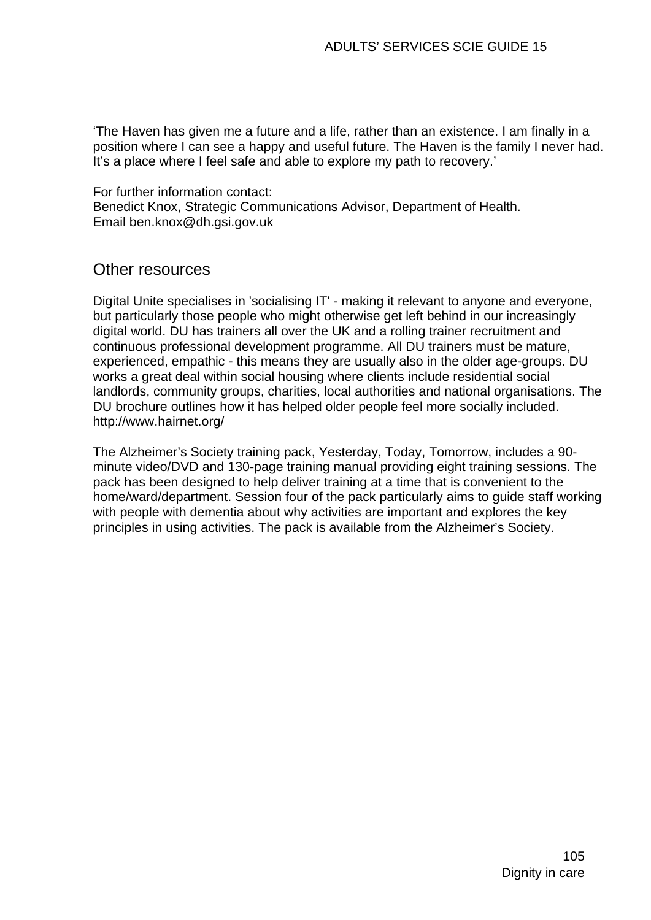'The Haven has given me a future and a life, rather than an existence. I am finally in a position where I can see a happy and useful future. The Haven is the family I never had. It's a place where I feel safe and able to explore my path to recovery.'

For further information contact: Benedict Knox, Strategic Communications Advisor, Department of Health. Email [ben.knox@dh.gsi.gov.uk](mailto:ben.knox@dh.gsi.gov.uk) 

# Other resources

Digital Unite specialises in 'socialising IT' - making it relevant to anyone and everyone, but particularly those people who might otherwise get left behind in our increasingly digital world. DU has trainers all over the UK and a rolling trainer recruitment and continuous professional development programme. All DU trainers must be mature, experienced, empathic - this means they are usually also in the older age-groups. DU works a great deal within social housing where clients include residential social landlords, community groups, charities, local authorities and national organisations. The DU brochure outlines how it has helped older people feel more socially included. <http://www.hairnet.org/>

The Alzheimer's Society training pack, Yesterday, Today, Tomorrow, includes a 90 minute video/DVD and 130-page training manual providing eight training sessions. The pack has been designed to help deliver training at a time that is convenient to the home/ward/department. Session four of the pack particularly aims to guide staff working with people with dementia about why activities are important and explores the key principles in using activities. The pack is available from the Alzheimer's Society.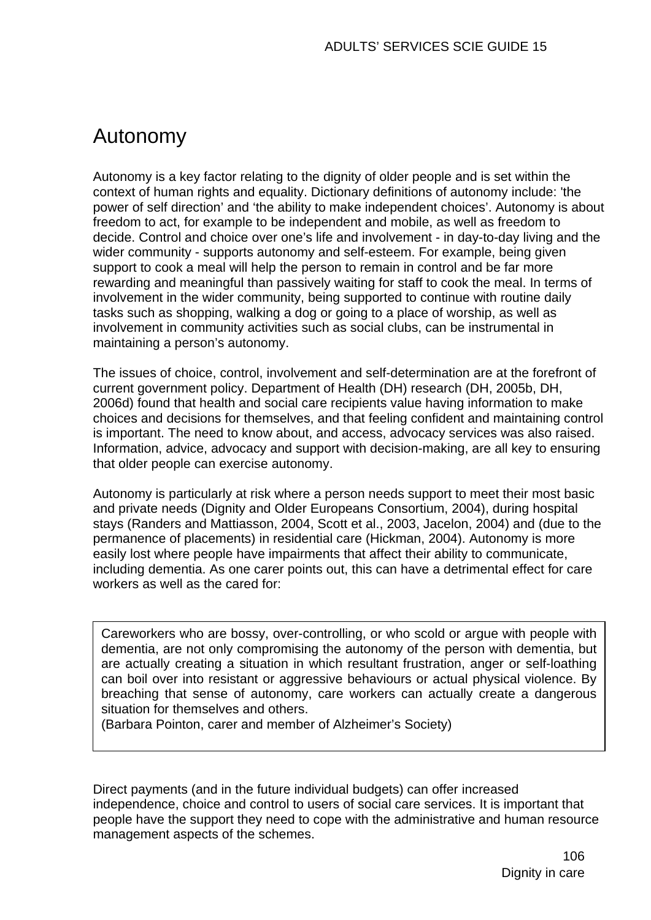# Autonomy

Autonomy is a key factor relating to the dignity of older people and is set within the context of human rights and equality. Dictionary definitions of autonomy include: 'the power of self direction' and 'the ability to make independent choices'. Autonomy is about freedom to act, for example to be independent and mobile, as well as freedom to decide. Control and choice over one's life and involvement - in day-to-day living and the wider community - supports autonomy and self-esteem. For example, being given support to cook a meal will help the person to remain in control and be far more rewarding and meaningful than passively waiting for staff to cook the meal. In terms of involvement in the wider community, being supported to continue with routine daily tasks such as shopping, walking a dog or going to a place of worship, as well as involvement in community activities such as social clubs, can be instrumental in maintaining a person's autonomy.

The issues of choice, control, involvement and self-determination are at the forefront of current government policy. Department of Health (DH) research (DH, 2005b, DH, 2006d) found that health and social care recipients value having information to make choices and decisions for themselves, and that feeling confident and maintaining control is important. The need to know about, and access, advocacy services was also raised. Information, advice, advocacy and support with decision-making, are all key to ensuring that older people can exercise autonomy.

Autonomy is particularly at risk where a person needs support to meet their most basic and private needs (Dignity and Older Europeans Consortium, 2004), during hospital stays (Randers and Mattiasson, 2004, Scott et al., 2003, Jacelon, 2004) and (due to the permanence of placements) in residential care (Hickman, 2004). Autonomy is more easily lost where people have impairments that affect their ability to communicate, including dementia. As one carer points out, this can have a detrimental effect for care workers as well as the cared for:

Careworkers who are bossy, over-controlling, or who scold or argue with people with dementia, are not only compromising the autonomy of the person with dementia, but are actually creating a situation in which resultant frustration, anger or self-loathing can boil over into resistant or aggressive behaviours or actual physical violence. By breaching that sense of autonomy, care workers can actually create a dangerous situation for themselves and others.

(Barbara Pointon, carer and member of Alzheimer's Society)

Direct payments (and in the future individual budgets) can offer increased independence, choice and control to users of social care services. It is important that people have the support they need to cope with the administrative and human resource management aspects of the schemes.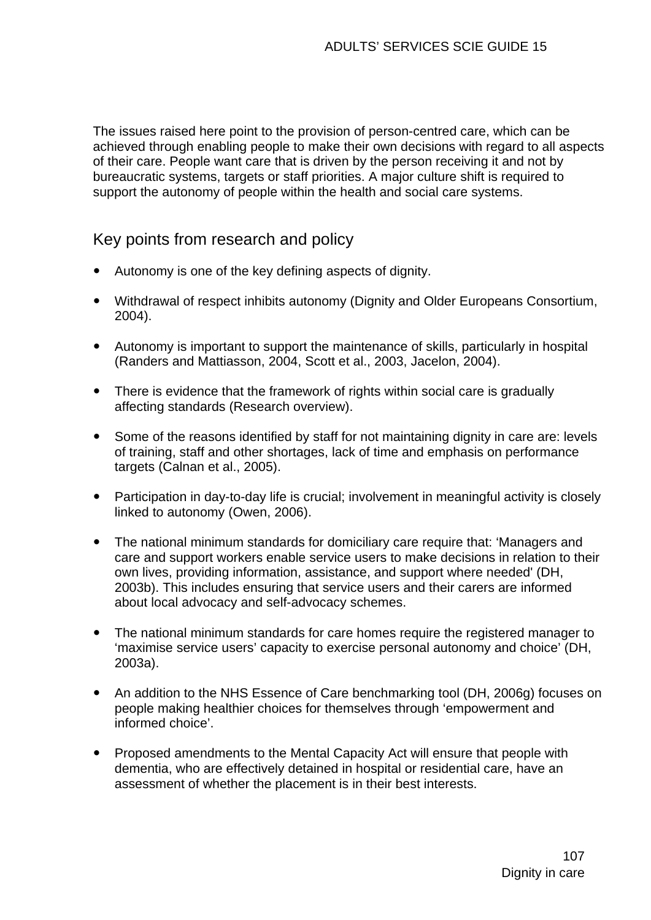The issues raised here point to the provision of person-centred care, which can be achieved through enabling people to make their own decisions with regard to all aspects of their care. People want care that is driven by the person receiving it and not by bureaucratic systems, targets or staff priorities. A major culture shift is required to support the autonomy of people within the health and social care systems.

# Key points from research and policy

- Autonomy is one of the key defining aspects of dignity.
- Withdrawal of respect inhibits autonomy (Dignity and Older Europeans Consortium, 2004).
- Autonomy is important to support the maintenance of skills, particularly in hospital (Randers and Mattiasson, 2004, Scott et al., 2003, Jacelon, 2004).
- There is evidence that the framework of rights within social care is gradually affecting standards (Research overview).
- Some of the reasons identified by staff for not maintaining dignity in care are: levels of training, staff and other shortages, lack of time and emphasis on performance targets (Calnan et al., 2005).
- Participation in day-to-day life is crucial: involvement in meaningful activity is closely linked to autonomy (Owen, 2006).
- The national minimum standards for domiciliary care require that: 'Managers and care and support workers enable service users to make decisions in relation to their own lives, providing information, assistance, and support where needed' (DH, 2003b). This includes ensuring that service users and their carers are informed about local advocacy and self-advocacy schemes.
- The national minimum standards for care homes require the registered manager to 'maximise service users' capacity to exercise personal autonomy and choice' (DH, 2003a).
- An addition to the NHS Essence of Care benchmarking tool (DH, 2006g) focuses on people making healthier choices for themselves through 'empowerment and informed choice'.
- Proposed amendments to the Mental Capacity Act will ensure that people with dementia, who are effectively detained in hospital or residential care, have an assessment of whether the placement is in their best interests.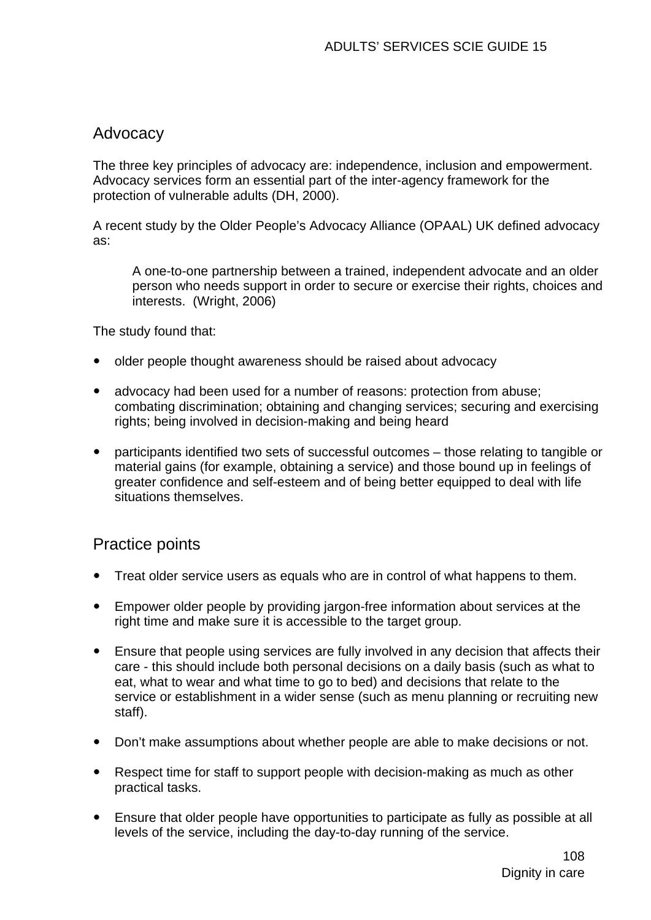## Advocacy

The three key principles of advocacy are: independence, inclusion and empowerment. Advocacy services form an essential part of the inter-agency framework for the protection of vulnerable adults (DH, 2000).

A recent study by the Older People's Advocacy Alliance (OPAAL) UK defined advocacy as:

A one-to-one partnership between a trained, independent advocate and an older person who needs support in order to secure or exercise their rights, choices and interests. (Wright, 2006)

The study found that:

- older people thought awareness should be raised about advocacy
- advocacy had been used for a number of reasons: protection from abuse: combating discrimination; obtaining and changing services; securing and exercising rights; being involved in decision-making and being heard
- participants identified two sets of successful outcomes those relating to tangible or material gains (for example, obtaining a service) and those bound up in feelings of greater confidence and self-esteem and of being better equipped to deal with life situations themselves.

# Practice points

- Treat older service users as equals who are in control of what happens to them.
- Empower older people by providing jargon-free information about services at the right time and make sure it is accessible to the target group.
- Ensure that people using services are fully involved in any decision that affects their care - this should include both personal decisions on a daily basis (such as what to eat, what to wear and what time to go to bed) and decisions that relate to the service or establishment in a wider sense (such as menu planning or recruiting new staff).
- Don't make assumptions about whether people are able to make decisions or not.
- Respect time for staff to support people with decision-making as much as other practical tasks.
- Ensure that older people have opportunities to participate as fully as possible at all levels of the service, including the day-to-day running of the service.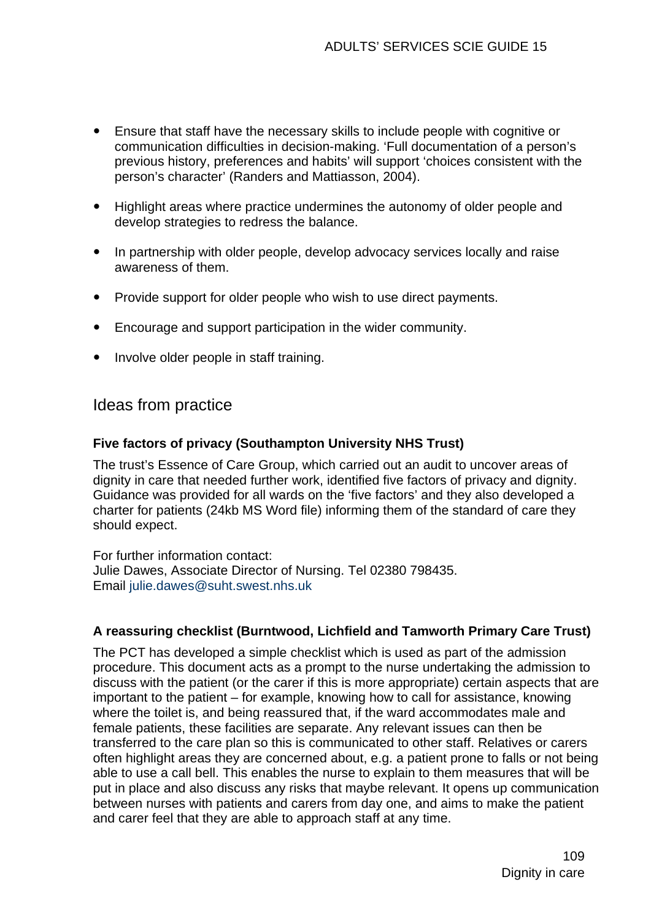- Ensure that staff have the necessary skills to include people with cognitive or communication difficulties in decision-making. 'Full documentation of a person's previous history, preferences and habits' will support 'choices consistent with the person's character' (Randers and Mattiasson, 2004).
- Highlight areas where practice undermines the autonomy of older people and develop strategies to redress the balance.
- In partnership with older people, develop advocacy services locally and raise awareness of them.
- Provide support for older people who wish to use direct payments.
- Encourage and support participation in the wider community.
- Involve older people in staff training.

## Ideas from practice

#### **Five factors of privacy (Southampton University NHS Trust)**

The trust's Essence of Care Group, which carried out an audit to uncover areas of dignity in care that needed further work, identified five factors of privacy and dignity. Guidance was provided for all wards on the 'five factors' and they also developed a charter for patients (24kb MS Word file) informing them of the standard of care they should expect.

For further information contact: Julie Dawes, Associate Director of Nursing. Tel 02380 798435. Email [julie.dawes@suht.swest.nhs.uk](mailto:julie.dawes@suht.swest.nhs.uk)

#### **A reassuring checklist (Burntwood, Lichfield and Tamworth Primary Care Trust)**

The PCT has developed a simple checklist which is used as part of the admission procedure. This document acts as a prompt to the nurse undertaking the admission to discuss with the patient (or the carer if this is more appropriate) certain aspects that are important to the patient – for example, knowing how to call for assistance, knowing where the toilet is, and being reassured that, if the ward accommodates male and female patients, these facilities are separate. Any relevant issues can then be transferred to the care plan so this is communicated to other staff. Relatives or carers often highlight areas they are concerned about, e.g. a patient prone to falls or not being able to use a call bell. This enables the nurse to explain to them measures that will be put in place and also discuss any risks that maybe relevant. It opens up communication between nurses with patients and carers from day one, and aims to make the patient and carer feel that they are able to approach staff at any time.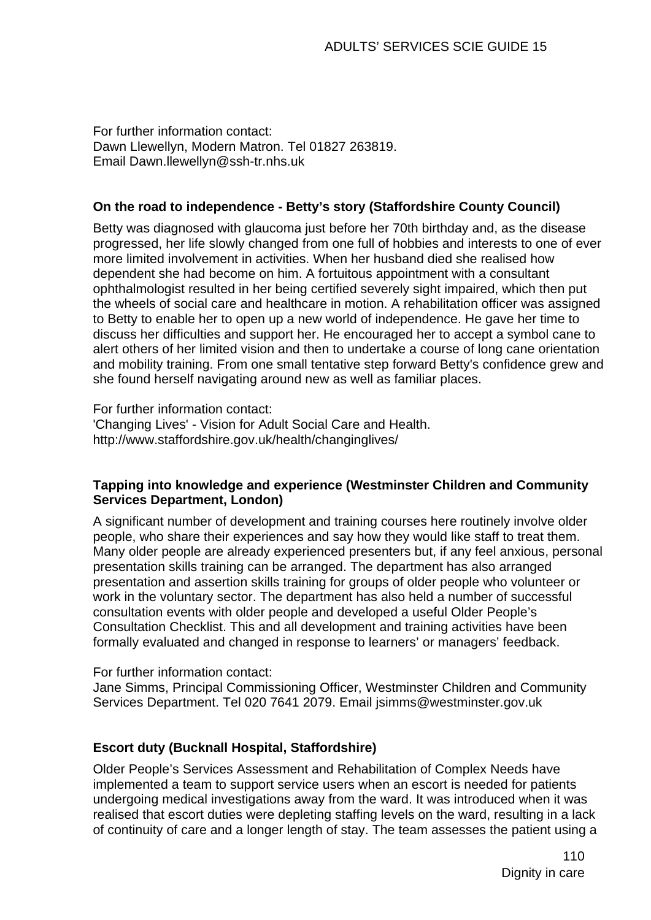For further information contact: Dawn Llewellyn, Modern Matron. Tel 01827 263819. Email [Dawn.llewellyn@ssh-tr.nhs.uk](mailto:Dawn.llewellyn@ssh-tr.nhs.uk) 

#### **On the road to independence - Betty's story (Staffordshire County Council)**

Betty was diagnosed with glaucoma just before her 70th birthday and, as the disease progressed, her life slowly changed from one full of hobbies and interests to one of ever more limited involvement in activities. When her husband died she realised how dependent she had become on him. A fortuitous appointment with a consultant ophthalmologist resulted in her being certified severely sight impaired, which then put the wheels of social care and healthcare in motion. A rehabilitation officer was assigned to Betty to enable her to open up a new world of independence. He gave her time to discuss her difficulties and support her. He encouraged her to accept a symbol cane to alert others of her limited vision and then to undertake a course of long cane orientation and mobility training. From one small tentative step forward Betty's confidence grew and she found herself navigating around new as well as familiar places.

For further information contact: 'Changing Lives' - Vision for Adult Social Care and Health. http://www.staffordshire.gov.uk/health/changinglives/

#### **Tapping into knowledge and experience (Westminster Children and Community Services Department, London)**

A significant number of development and training courses here routinely involve older people, who share their experiences and say how they would like staff to treat them. Many older people are already experienced presenters but, if any feel anxious, personal presentation skills training can be arranged. The department has also arranged presentation and assertion skills training for groups of older people who volunteer or work in the voluntary sector. The department has also held a number of successful consultation events with older people and developed a useful Older People's Consultation Checklist. This and all development and training activities have been formally evaluated and changed in response to learners' or managers' feedback.

#### For further information contact:

Jane Simms, Principal Commissioning Officer, Westminster Children and Community Services Department. Tel 020 7641 2079. Email [jsimms@westminster.gov.uk](mailto:jsimms@westminster.gov.uk)

#### **Escort duty (Bucknall Hospital, Staffordshire)**

Older People's Services Assessment and Rehabilitation of Complex Needs have implemented a team to support service users when an escort is needed for patients undergoing medical investigations away from the ward. It was introduced when it was realised that escort duties were depleting staffing levels on the ward, resulting in a lack of continuity of care and a longer length of stay. The team assesses the patient using a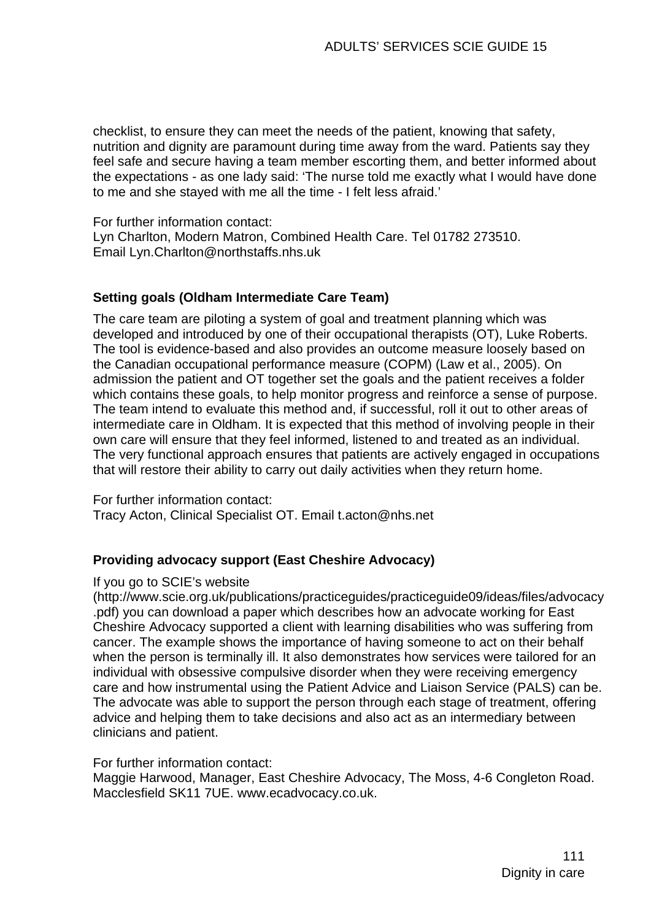checklist, to ensure they can meet the needs of the patient, knowing that safety, nutrition and dignity are paramount during time away from the ward. Patients say they feel safe and secure having a team member escorting them, and better informed about the expectations - as one lady said: 'The nurse told me exactly what I would have done to me and she stayed with me all the time - I felt less afraid.'

For further information contact: Lyn Charlton, Modern Matron, Combined Health Care. Tel 01782 273510. Email [Lyn.Charlton@northstaffs.nhs.uk](mailto:Lyn.Charlton@northstaffs.nhs.uk)

#### **Setting goals (Oldham Intermediate Care Team)**

The care team are piloting a system of goal and treatment planning which was developed and introduced by one of their occupational therapists (OT), Luke Roberts. The tool is evidence-based and also provides an outcome measure loosely based on the Canadian occupational performance measure (COPM) (Law et al., 2005). On admission the patient and OT together set the goals and the patient receives a folder which contains these goals, to help monitor progress and reinforce a sense of purpose. The team intend to evaluate this method and, if successful, roll it out to other areas of intermediate care in Oldham. It is expected that this method of involving people in their own care will ensure that they feel informed, listened to and treated as an individual. The very functional approach ensures that patients are actively engaged in occupations that will restore their ability to carry out daily activities when they return home.

For further information contact: Tracy Acton, Clinical Specialist OT. Email [t.acton@nhs.net](mailto:t.acton@nhs.net) 

#### **Providing advocacy support (East Cheshire Advocacy)**

#### If you go to SCIE's website

[\(http://www.scie.org.uk/publications/practiceguides/practiceguide09/ideas/files/advocacy](http://www.scie.org.uk/publications/practiceguides/practiceguide09/ideas/files/advocacy.pdf) [.pdf](http://www.scie.org.uk/publications/practiceguides/practiceguide09/ideas/files/advocacy.pdf)) you can download a paper which describes how an advocate working for East Cheshire Advocacy supported a client with learning disabilities who was suffering from cancer. The example shows the importance of having someone to act on their behalf when the person is terminally ill. It also demonstrates how services were tailored for an individual with obsessive compulsive disorder when they were receiving emergency care and how instrumental using the Patient Advice and Liaison Service (PALS) can be. The advocate was able to support the person through each stage of treatment, offering advice and helping them to take decisions and also act as an intermediary between clinicians and patient.

#### For further information contact:

Maggie Harwood, Manager, East Cheshire Advocacy, The Moss, 4-6 Congleton Road. Macclesfield SK11 7UE. www.ecadvocacy.co.uk.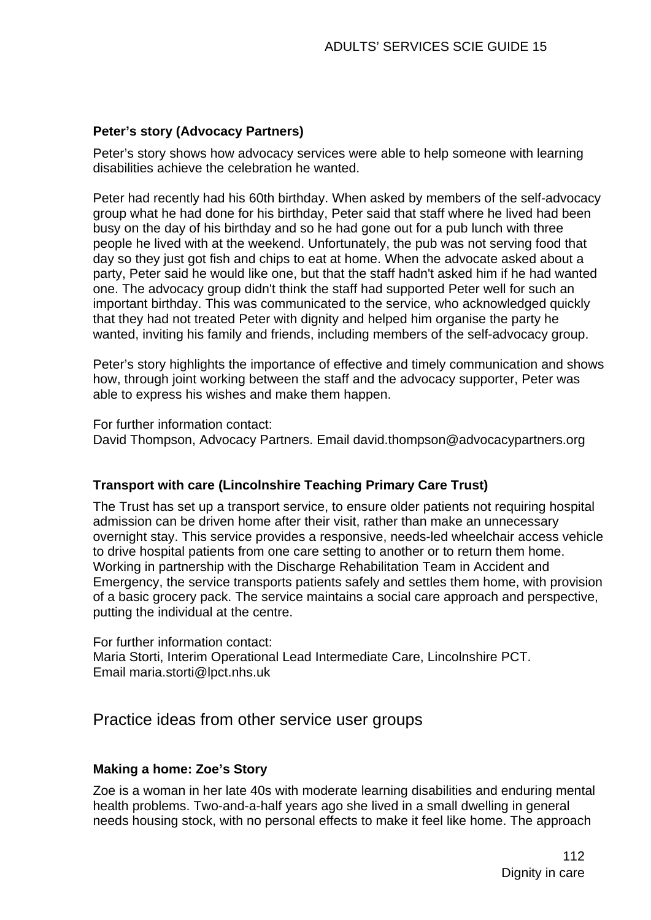#### **Peter's story (Advocacy Partners)**

Peter's story shows how advocacy services were able to help someone with learning disabilities achieve the celebration he wanted.

Peter had recently had his 60th birthday. When asked by members of the self-advocacy group what he had done for his birthday, Peter said that staff where he lived had been busy on the day of his birthday and so he had gone out for a pub lunch with three people he lived with at the weekend. Unfortunately, the pub was not serving food that day so they just got fish and chips to eat at home. When the advocate asked about a party, Peter said he would like one, but that the staff hadn't asked him if he had wanted one. The advocacy group didn't think the staff had supported Peter well for such an important birthday. This was communicated to the service, who acknowledged quickly that they had not treated Peter with dignity and helped him organise the party he wanted, inviting his family and friends, including members of the self-advocacy group.

Peter's story highlights the importance of effective and timely communication and shows how, through joint working between the staff and the advocacy supporter, Peter was able to express his wishes and make them happen.

For further information contact: David Thompson, Advocacy Partners. Email david.thompson@advocacypartners.org

#### **Transport with care (Lincolnshire Teaching Primary Care Trust)**

The Trust has set up a transport service, to ensure older patients not requiring hospital admission can be driven home after their visit, rather than make an unnecessary overnight stay. This service provides a responsive, needs-led wheelchair access vehicle to drive hospital patients from one care setting to another or to return them home. Working in partnership with the Discharge Rehabilitation Team in Accident and Emergency, the service transports patients safely and settles them home, with provision of a basic grocery pack. The service maintains a social care approach and perspective, putting the individual at the centre.

For further information contact: Maria Storti, Interim Operational Lead Intermediate Care, Lincolnshire PCT. Email [maria.storti@lpct.nhs.uk](mailto:maria.storti@lpct.nhs.uk)

## Practice ideas from other service user groups

#### **Making a home: Zoe's Story**

Zoe is a woman in her late 40s with moderate learning disabilities and enduring mental health problems. Two-and-a-half years ago she lived in a small dwelling in general needs housing stock, with no personal effects to make it feel like home. The approach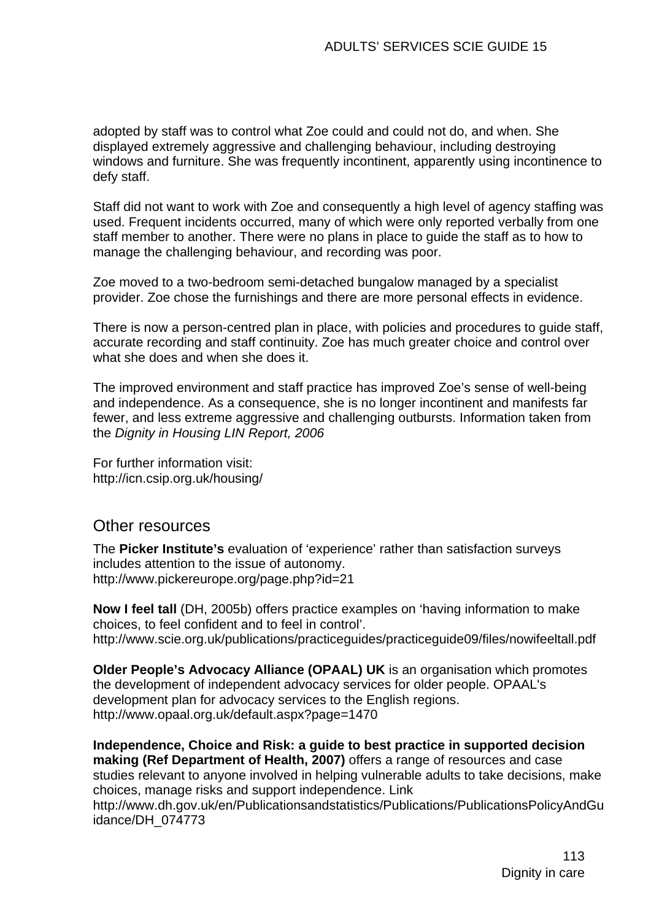adopted by staff was to control what Zoe could and could not do, and when. She displayed extremely aggressive and challenging behaviour, including destroying windows and furniture. She was frequently incontinent, apparently using incontinence to defy staff.

Staff did not want to work with Zoe and consequently a high level of agency staffing was used. Frequent incidents occurred, many of which were only reported verbally from one staff member to another. There were no plans in place to guide the staff as to how to manage the challenging behaviour, and recording was poor.

Zoe moved to a two-bedroom semi-detached bungalow managed by a specialist provider. Zoe chose the furnishings and there are more personal effects in evidence.

There is now a person-centred plan in place, with policies and procedures to guide staff, accurate recording and staff continuity. Zoe has much greater choice and control over what she does and when she does it.

The improved environment and staff practice has improved Zoe's sense of well-being and independence. As a consequence, she is no longer incontinent and manifests far fewer, and less extreme aggressive and challenging outbursts. Information taken from the *Dignity in Housing LIN Report, 2006*

For further information visit: http://icn.csip.org.uk/housing/

### Other resources

The **Picker Institute's** evaluation of 'experience' rather than satisfaction surveys includes attention to the issue of autonomy. http://www.pickereurope.org/page.php?id=21

**Now I feel tall** (DH, 2005b) offers practice examples on 'having information to make choices, to feel confident and to feel in control'. http://www.scie.org.uk/publications/practiceguides/practiceguide09/files/nowifeeltall.pdf

**Older People's Advocacy Alliance (OPAAL) UK** is an organisation which promotes the development of independent advocacy services for older people. OPAAL's development plan for advocacy services to the English regions. http://www.opaal.org.uk/default.aspx?page=1470

**Independence, Choice and Risk: a guide to best practice in supported decision making (Ref Department of Health, 2007)** offers a range of resources and case studies relevant to anyone involved in helping vulnerable adults to take decisions, make choices, manage risks and support independence. Link [http://www.dh.gov.uk/en/Publicationsandstatistics/Publications/PublicationsPolicyAndGu](http://www.dh.gov.uk/en/Publicationsandstatistics/Publications/PublicationsPolicyAndGuidance/DH_074773) [idance/DH\\_074773](http://www.dh.gov.uk/en/Publicationsandstatistics/Publications/PublicationsPolicyAndGuidance/DH_074773)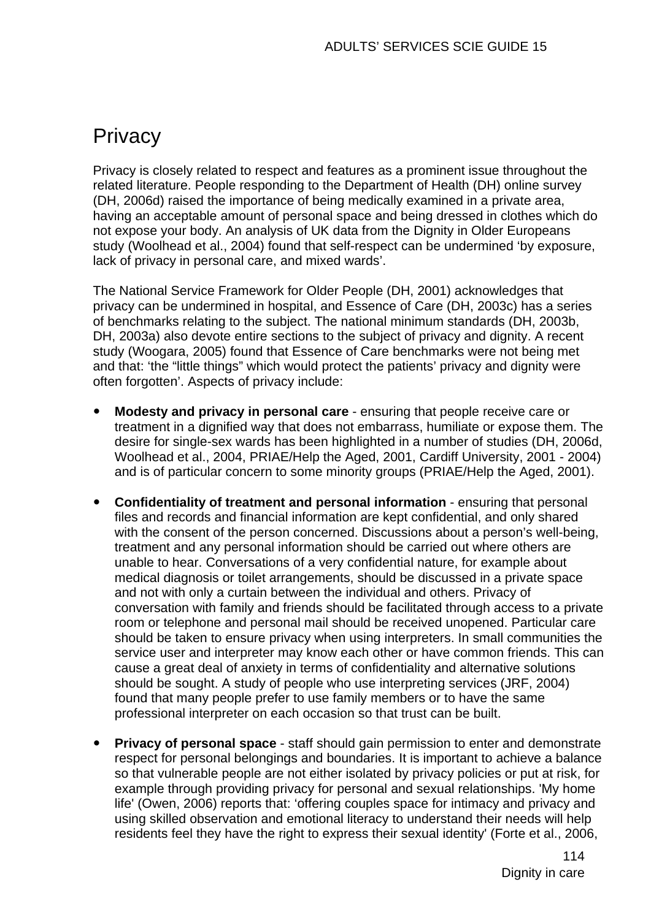# **Privacy**

Privacy is closely related to respect and features as a prominent issue throughout the related literature. People responding to the Department of Health (DH) online survey (DH, 2006d) raised the importance of being medically examined in a private area, having an acceptable amount of personal space and being dressed in clothes which do not expose your body. An analysis of UK data from the Dignity in Older Europeans study (Woolhead et al., 2004) found that self-respect can be undermined 'by exposure, lack of privacy in personal care, and mixed wards'.

The National Service Framework for Older People (DH, 2001) acknowledges that privacy can be undermined in hospital, and Essence of Care (DH, 2003c) has a series of benchmarks relating to the subject. The national minimum standards (DH, 2003b, DH, 2003a) also devote entire sections to the subject of privacy and dignity. A recent study (Woogara, 2005) found that Essence of Care benchmarks were not being met and that: 'the "little things" which would protect the patients' privacy and dignity were often forgotten'. Aspects of privacy include:

- **Modesty and privacy in personal care** ensuring that people receive care or treatment in a dignified way that does not embarrass, humiliate or expose them. The desire for single-sex wards has been highlighted in a number of studies (DH, 2006d, Woolhead et al., 2004, PRIAE/Help the Aged, 2001, Cardiff University, 2001 - 2004) and is of particular concern to some minority groups (PRIAE/Help the Aged, 2001).
- **Confidentiality of treatment and personal information** ensuring that personal files and records and financial information are kept confidential, and only shared with the consent of the person concerned. Discussions about a person's well-being. treatment and any personal information should be carried out where others are unable to hear. Conversations of a very confidential nature, for example about medical diagnosis or toilet arrangements, should be discussed in a private space and not with only a curtain between the individual and others. Privacy of conversation with family and friends should be facilitated through access to a private room or telephone and personal mail should be received unopened. Particular care should be taken to ensure privacy when using interpreters. In small communities the service user and interpreter may know each other or have common friends. This can cause a great deal of anxiety in terms of confidentiality and alternative solutions should be sought. A study of people who use interpreting services (JRF, 2004) found that many people prefer to use family members or to have the same professional interpreter on each occasion so that trust can be built.
- **Privacy of personal space** staff should gain permission to enter and demonstrate respect for personal belongings and boundaries. It is important to achieve a balance so that vulnerable people are not either isolated by privacy policies or put at risk, for example through providing privacy for personal and sexual relationships. 'My home life' (Owen, 2006) reports that: 'offering couples space for intimacy and privacy and using skilled observation and emotional literacy to understand their needs will help residents feel they have the right to express their sexual identity' (Forte et al., 2006,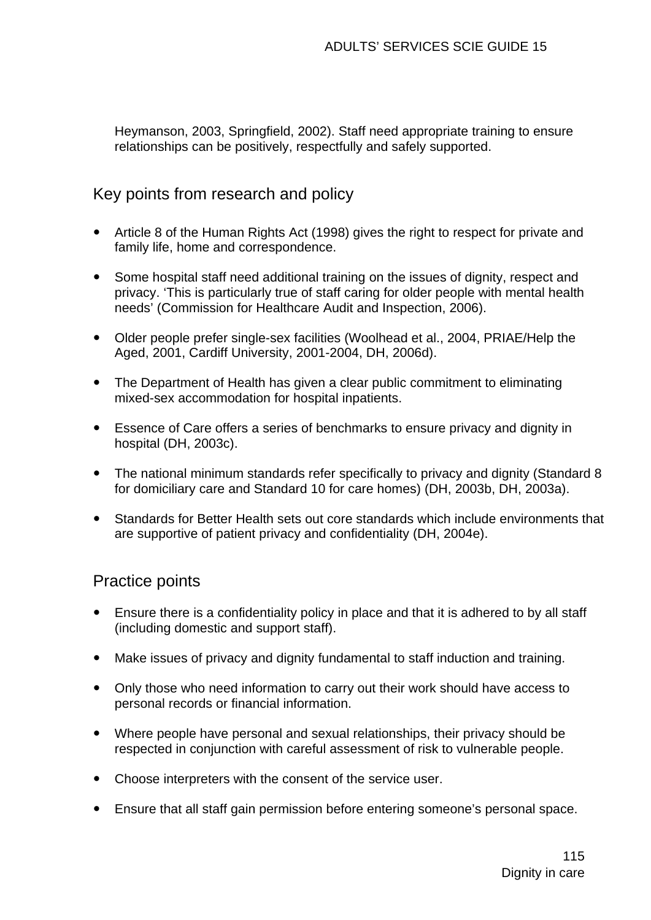Heymanson, 2003, Springfield, 2002). Staff need appropriate training to ensure relationships can be positively, respectfully and safely supported.

## Key points from research and policy

- Article 8 of the Human Rights Act (1998) gives the right to respect for private and family life, home and correspondence.
- Some hospital staff need additional training on the issues of dignity, respect and privacy. 'This is particularly true of staff caring for older people with mental health needs' (Commission for Healthcare Audit and Inspection, 2006).
- Older people prefer single-sex facilities (Woolhead et al., 2004, PRIAE/Help the Aged, 2001, Cardiff University, 2001-2004, DH, 2006d).
- The Department of Health has given a clear public commitment to eliminating mixed-sex accommodation for hospital inpatients.
- Essence of Care offers a series of benchmarks to ensure privacy and dignity in hospital (DH, 2003c).
- The national minimum standards refer specifically to privacy and dignity (Standard 8 for domiciliary care and Standard 10 for care homes) (DH, 2003b, DH, 2003a).
- Standards for Better Health sets out core standards which include environments that are supportive of patient privacy and confidentiality (DH, 2004e).

# Practice points

- Ensure there is a confidentiality policy in place and that it is adhered to by all staff (including domestic and support staff).
- Make issues of privacy and dignity fundamental to staff induction and training.
- Only those who need information to carry out their work should have access to personal records or financial information.
- Where people have personal and sexual relationships, their privacy should be respected in conjunction with careful assessment of risk to vulnerable people.
- Choose interpreters with the consent of the service user.
- Ensure that all staff gain permission before entering someone's personal space.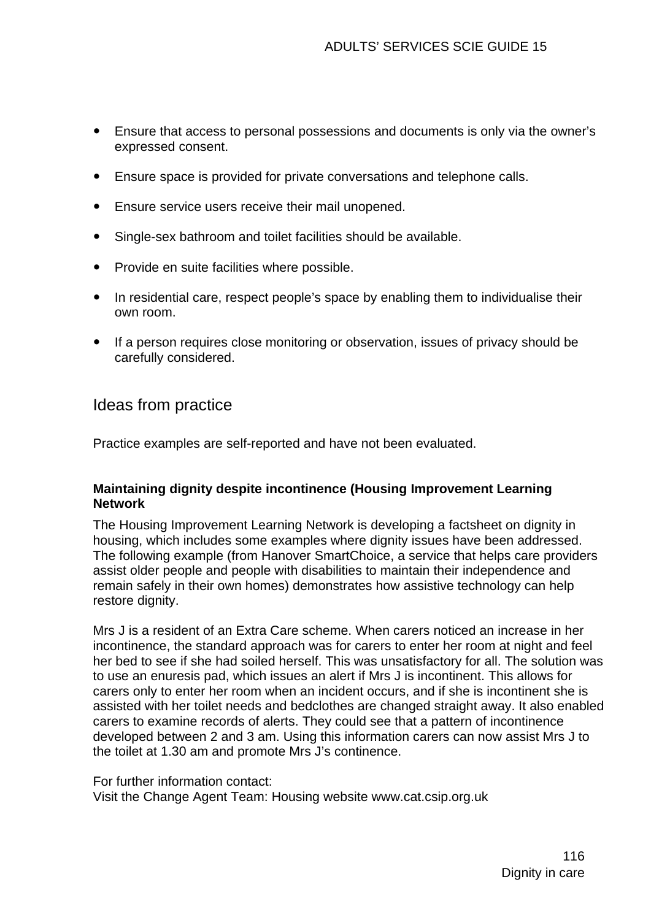- Ensure that access to personal possessions and documents is only via the owner's expressed consent.
- Ensure space is provided for private conversations and telephone calls.
- **•** Ensure service users receive their mail unopened.
- Single-sex bathroom and toilet facilities should be available.
- Provide en suite facilities where possible.
- In residential care, respect people's space by enabling them to individualise their own room.
- If a person requires close monitoring or observation, issues of privacy should be carefully considered.

# Ideas from practice

Practice examples are self-reported and have not been evaluated.

#### **Maintaining dignity despite incontinence (Housing Improvement Learning Network**

The Housing Improvement Learning Network is developing a factsheet on dignity in housing, which includes some examples where dignity issues have been addressed. The following example (from Hanover SmartChoice, a service that helps care providers assist older people and people with disabilities to maintain their independence and remain safely in their own homes) demonstrates how assistive technology can help restore dignity.

Mrs J is a resident of an Extra Care scheme. When carers noticed an increase in her incontinence, the standard approach was for carers to enter her room at night and feel her bed to see if she had soiled herself. This was unsatisfactory for all. The solution was to use an enuresis pad, which issues an alert if Mrs J is incontinent. This allows for carers only to enter her room when an incident occurs, and if she is incontinent she is assisted with her toilet needs and bedclothes are changed straight away. It also enabled carers to examine records of alerts. They could see that a pattern of incontinence developed between 2 and 3 am. Using this information carers can now assist Mrs J to the toilet at 1.30 am and promote Mrs J's continence.

#### For further information contact:

Visit the Change Agent Team: Housing website www.cat.csip.org.uk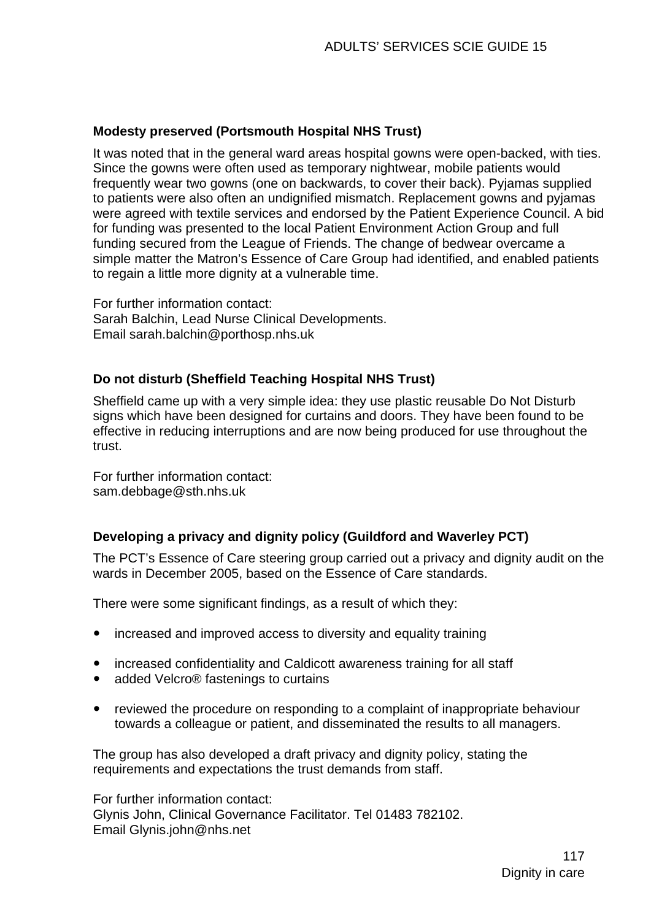#### **Modesty preserved (Portsmouth Hospital NHS Trust)**

It was noted that in the general ward areas hospital gowns were open-backed, with ties. Since the gowns were often used as temporary nightwear, mobile patients would frequently wear two gowns (one on backwards, to cover their back). Pyjamas supplied to patients were also often an undignified mismatch. Replacement gowns and pyjamas were agreed with textile services and endorsed by the Patient Experience Council. A bid for funding was presented to the local Patient Environment Action Group and full funding secured from the League of Friends. The change of bedwear overcame a simple matter the Matron's Essence of Care Group had identified, and enabled patients to regain a little more dignity at a vulnerable time.

For further information contact: Sarah Balchin, Lead Nurse Clinical Developments. Email sarah.balchin@porthosp.nhs.uk

#### **Do not disturb (Sheffield Teaching Hospital NHS Trust)**

Sheffield came up with a very simple idea: they use plastic reusable Do Not Disturb signs which have been designed for curtains and doors. They have been found to be effective in reducing interruptions and are now being produced for use throughout the trust.

For further information contact: [sam.debbage@sth.nhs.uk](mailto:sam.debbage@sth.nhs.uk) 

#### **Developing a privacy and dignity policy (Guildford and Waverley PCT)**

The PCT's Essence of Care steering group carried out a privacy and dignity audit on the wards in December 2005, based on the Essence of Care standards.

There were some significant findings, as a result of which they:

- increased and improved access to diversity and equality training
- increased confidentiality and Caldicott awareness training for all staff
- added Velcro<sup>®</sup> fastenings to curtains
- reviewed the procedure on responding to a complaint of inappropriate behaviour towards a colleague or patient, and disseminated the results to all managers.

The group has also developed a draft privacy and dignity policy, stating the requirements and expectations the trust demands from staff.

For further information contact: Glynis John, Clinical Governance Facilitator. Tel 01483 782102. Email [Glynis.john@nhs.net](mailto:Glynis.john@nhs.net)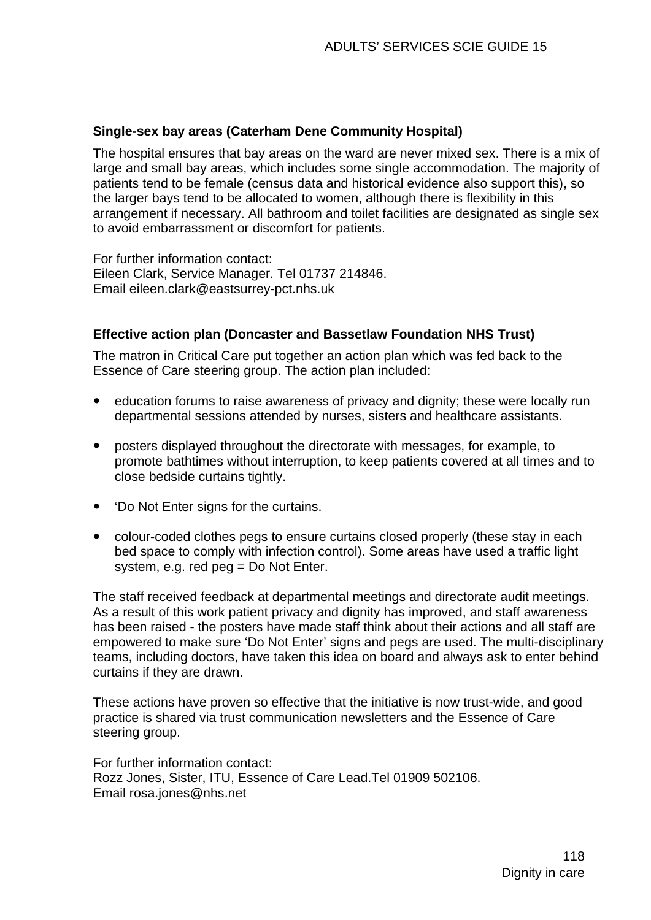#### **Single-sex bay areas (Caterham Dene Community Hospital)**

The hospital ensures that bay areas on the ward are never mixed sex. There is a mix of large and small bay areas, which includes some single accommodation. The majority of patients tend to be female (census data and historical evidence also support this), so the larger bays tend to be allocated to women, although there is flexibility in this arrangement if necessary. All bathroom and toilet facilities are designated as single sex to avoid embarrassment or discomfort for patients.

For further information contact: Eileen Clark, Service Manager. Tel 01737 214846. Email [eileen.clark@eastsurrey-pct.nhs.uk](mailto:eileen.clark@eastsurrey-pct.nhs.uk)

#### **Effective action plan (Doncaster and Bassetlaw Foundation NHS Trust)**

The matron in Critical Care put together an action plan which was fed back to the Essence of Care steering group. The action plan included:

- education forums to raise awareness of privacy and dignity: these were locally run departmental sessions attended by nurses, sisters and healthcare assistants.
- posters displayed throughout the directorate with messages, for example, to promote bathtimes without interruption, to keep patients covered at all times and to close bedside curtains tightly.
- 'Do Not Enter signs for the curtains.
- colour-coded clothes pegs to ensure curtains closed properly (these stay in each bed space to comply with infection control). Some areas have used a traffic light system, e.g. red peg = Do Not Enter.

The staff received feedback at departmental meetings and directorate audit meetings. As a result of this work patient privacy and dignity has improved, and staff awareness has been raised - the posters have made staff think about their actions and all staff are empowered to make sure 'Do Not Enter' signs and pegs are used. The multi-disciplinary teams, including doctors, have taken this idea on board and always ask to enter behind curtains if they are drawn.

These actions have proven so effective that the initiative is now trust-wide, and good practice is shared via trust communication newsletters and the Essence of Care steering group.

For further information contact: Rozz Jones, Sister, ITU, Essence of Care Lead.Tel 01909 502106. Email [rosa.jones@nhs.net](mailto:rosa.jones@nhs.net)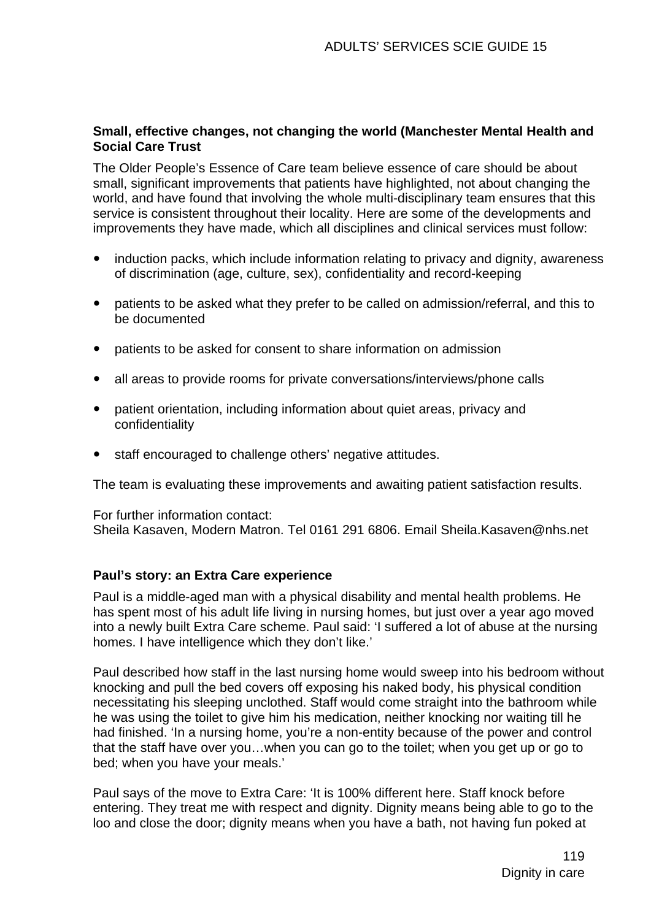#### **Small, effective changes, not changing the world (Manchester Mental Health and Social Care Trust**

The Older People's Essence of Care team believe essence of care should be about small, significant improvements that patients have highlighted, not about changing the world, and have found that involving the whole multi-disciplinary team ensures that this service is consistent throughout their locality. Here are some of the developments and improvements they have made, which all disciplines and clinical services must follow:

- induction packs, which include information relating to privacy and dignity, awareness of discrimination (age, culture, sex), confidentiality and record-keeping
- patients to be asked what they prefer to be called on admission/referral, and this to be documented
- patients to be asked for consent to share information on admission
- all areas to provide rooms for private conversations/interviews/phone calls
- patient orientation, including information about quiet areas, privacy and confidentiality
- staff encouraged to challenge others' negative attitudes.

The team is evaluating these improvements and awaiting patient satisfaction results.

For further information contact: Sheila Kasaven, Modern Matron. Tel 0161 291 6806. Email [Sheila.Kasaven@nhs.net](mailto:Sheila.Kasaven@nhs.net)

#### **Paul's story: an Extra Care experience**

Paul is a middle-aged man with a physical disability and mental health problems. He has spent most of his adult life living in nursing homes, but just over a year ago moved into a newly built Extra Care scheme. Paul said: 'I suffered a lot of abuse at the nursing homes. I have intelligence which they don't like.'

Paul described how staff in the last nursing home would sweep into his bedroom without knocking and pull the bed covers off exposing his naked body, his physical condition necessitating his sleeping unclothed. Staff would come straight into the bathroom while he was using the toilet to give him his medication, neither knocking nor waiting till he had finished. 'In a nursing home, you're a non-entity because of the power and control that the staff have over you…when you can go to the toilet; when you get up or go to bed; when you have your meals.'

Paul says of the move to Extra Care: 'It is 100% different here. Staff knock before entering. They treat me with respect and dignity. Dignity means being able to go to the loo and close the door; dignity means when you have a bath, not having fun poked at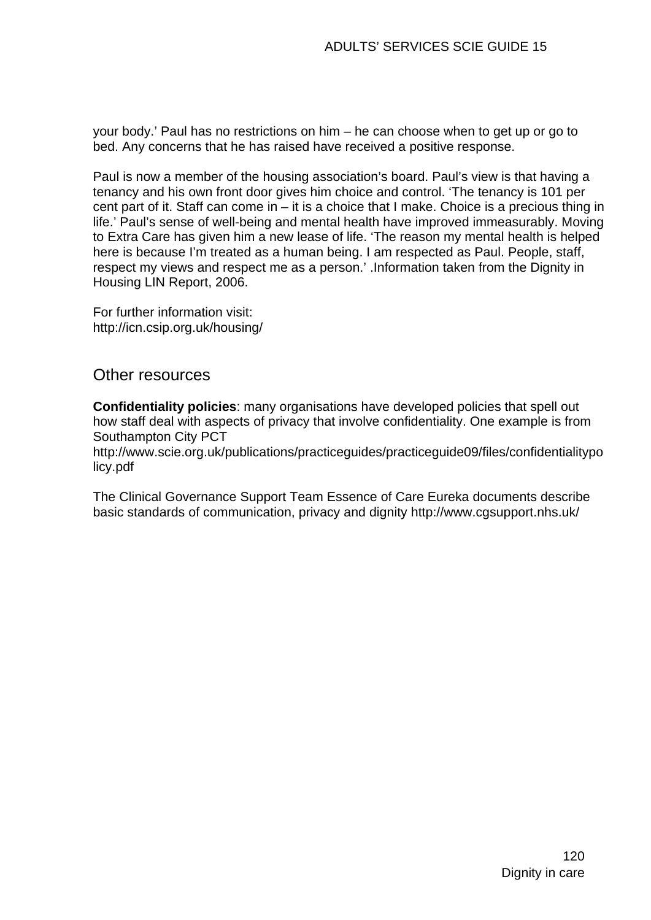your body.' Paul has no restrictions on him – he can choose when to get up or go to bed. Any concerns that he has raised have received a positive response.

Paul is now a member of the housing association's board. Paul's view is that having a tenancy and his own front door gives him choice and control. 'The tenancy is 101 per cent part of it. Staff can come in – it is a choice that I make. Choice is a precious thing in life.' Paul's sense of well-being and mental health have improved immeasurably. Moving to Extra Care has given him a new lease of life. 'The reason my mental health is helped here is because I'm treated as a human being. I am respected as Paul. People, staff, respect my views and respect me as a person.' .Information taken from the Dignity in Housing LIN Report, 2006.

For further information visit: http://icn.csip.org.uk/housing/

### Other resources

**Confidentiality policies**: many organisations have developed policies that spell out how staff deal with aspects of privacy that involve confidentiality. One example is from Southampton City PCT

http://www.scie.org.uk/publications/practiceguides/practiceguide09/files/confidentialitypo licy.pdf

The Clinical Governance Support Team Essence of Care Eureka documents describe basic standards of communication, privacy and dignity http://www.cgsupport.nhs.uk/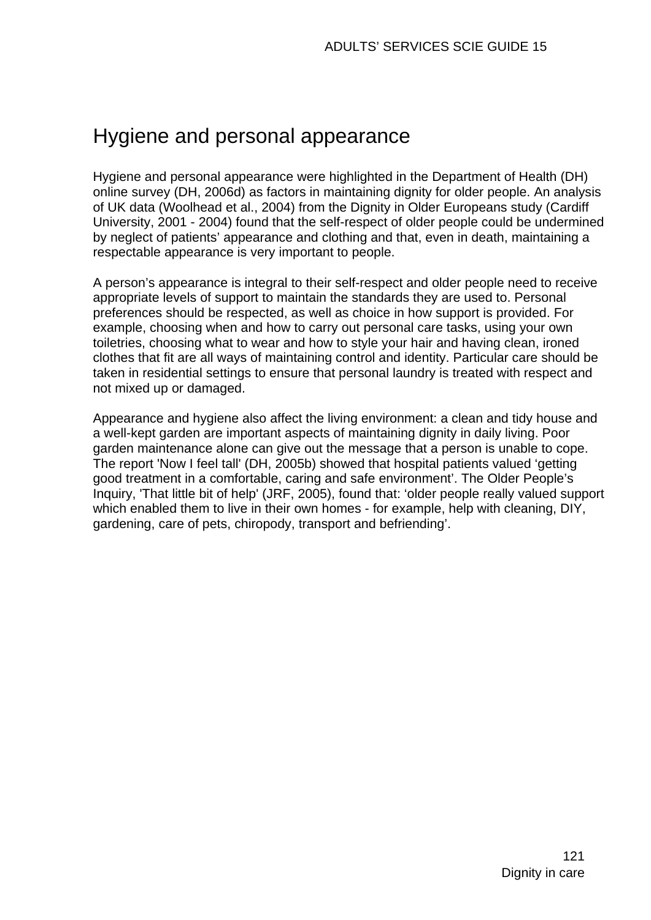# Hygiene and personal appearance

Hygiene and personal appearance were highlighted in the Department of Health (DH) online survey (DH, 2006d) as factors in maintaining dignity for older people. An analysis of UK data (Woolhead et al., 2004) from the Dignity in Older Europeans study (Cardiff University, 2001 - 2004) found that the self-respect of older people could be undermined by neglect of patients' appearance and clothing and that, even in death, maintaining a respectable appearance is very important to people.

A person's appearance is integral to their self-respect and older people need to receive appropriate levels of support to maintain the standards they are used to. Personal preferences should be respected, as well as choice in how support is provided. For example, choosing when and how to carry out personal care tasks, using your own toiletries, choosing what to wear and how to style your hair and having clean, ironed clothes that fit are all ways of maintaining control and identity. Particular care should be taken in residential settings to ensure that personal laundry is treated with respect and not mixed up or damaged.

Appearance and hygiene also affect the living environment: a clean and tidy house and a well-kept garden are important aspects of maintaining dignity in daily living. Poor garden maintenance alone can give out the message that a person is unable to cope. The report 'Now I feel tall' (DH, 2005b) showed that hospital patients valued 'getting good treatment in a comfortable, caring and safe environment'. The Older People's Inquiry, 'That little bit of help' (JRF, 2005), found that: 'older people really valued support which enabled them to live in their own homes - for example, help with cleaning, DIY, gardening, care of pets, chiropody, transport and befriending'.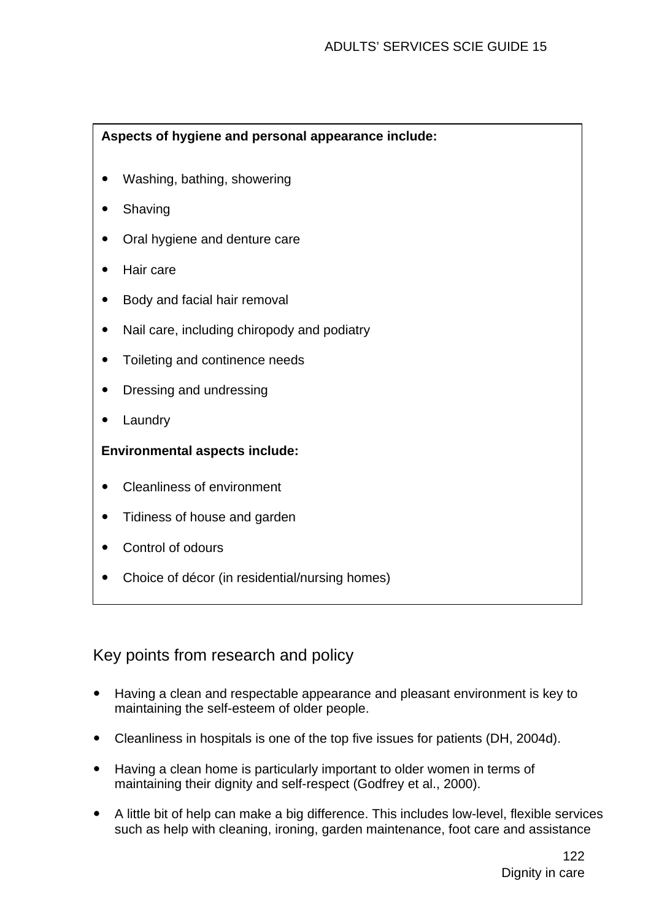### **Aspects of hygiene and personal appearance include:**

- Washing, bathing, showering
- Shaving
- Oral hygiene and denture care
- Hair care
- Body and facial hair removal
- Nail care, including chiropody and podiatry
- Toileting and continence needs
- Dressing and undressing
- Laundry

### **Environmental aspects include:**

- Cleanliness of environment
- Tidiness of house and garden
- Control of odours
- Choice of décor (in residential/nursing homes)

# Key points from research and policy

- Having a clean and respectable appearance and pleasant environment is key to maintaining the self-esteem of older people.
- Cleanliness in hospitals is one of the top five issues for patients (DH, 2004d).
- Having a clean home is particularly important to older women in terms of maintaining their dignity and self-respect (Godfrey et al., 2000).
- A little bit of help can make a big difference. This includes low-level, flexible services such as help with cleaning, ironing, garden maintenance, foot care and assistance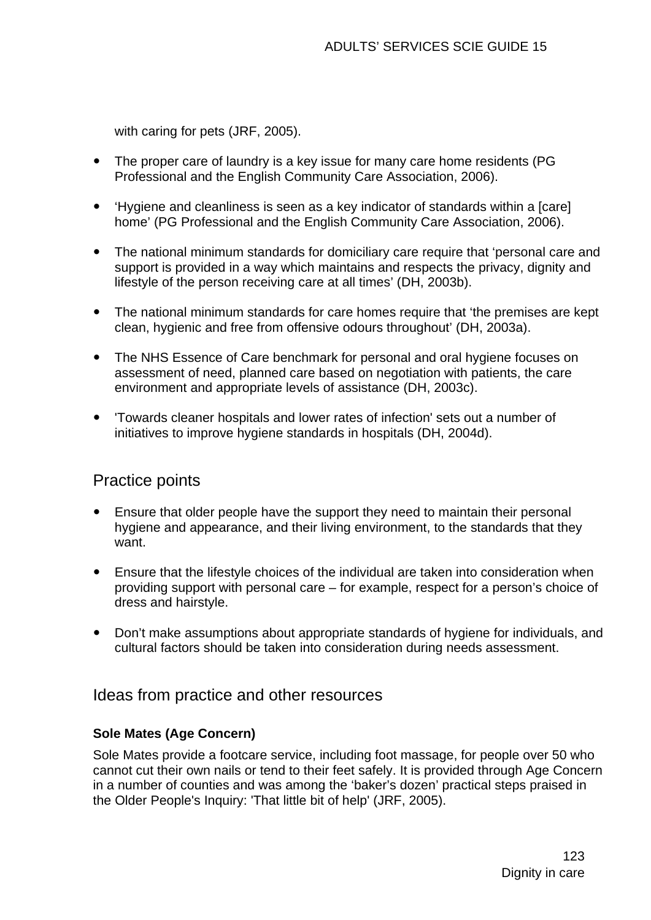with caring for pets (JRF, 2005).

- The proper care of laundry is a key issue for many care home residents (PG Professional and the English Community Care Association, 2006).
- Hygiene and cleanliness is seen as a key indicator of standards within a [care] home' (PG Professional and the English Community Care Association, 2006).
- The national minimum standards for domiciliary care require that 'personal care and support is provided in a way which maintains and respects the privacy, dignity and lifestyle of the person receiving care at all times' (DH, 2003b).
- The national minimum standards for care homes require that 'the premises are kept clean, hygienic and free from offensive odours throughout' (DH, 2003a).
- The NHS Essence of Care benchmark for personal and oral hygiene focuses on assessment of need, planned care based on negotiation with patients, the care environment and appropriate levels of assistance (DH, 2003c).
- 'Towards cleaner hospitals and lower rates of infection' sets out a number of initiatives to improve hygiene standards in hospitals (DH, 2004d).

# Practice points

- Ensure that older people have the support they need to maintain their personal hygiene and appearance, and their living environment, to the standards that they want.
- Ensure that the lifestyle choices of the individual are taken into consideration when providing support with personal care – for example, respect for a person's choice of dress and hairstyle.
- Don't make assumptions about appropriate standards of hygiene for individuals, and cultural factors should be taken into consideration during needs assessment.

## Ideas from practice and other resources

#### **Sole Mates (Age Concern)**

Sole Mates provide a footcare service, including foot massage, for people over 50 who cannot cut their own nails or tend to their feet safely. It is provided through Age Concern in a number of counties and was among the 'baker's dozen' practical steps praised in the Older People's Inquiry: 'That little bit of help' (JRF, 2005).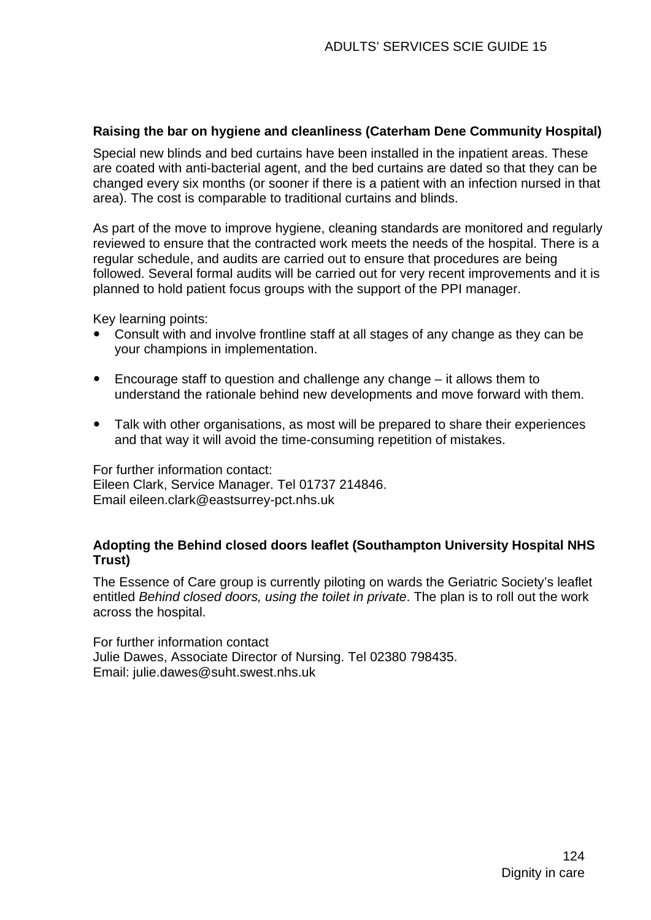#### **Raising the bar on hygiene and cleanliness (Caterham Dene Community Hospital)**

Special new blinds and bed curtains have been installed in the inpatient areas. These are coated with anti-bacterial agent, and the bed curtains are dated so that they can be changed every six months (or sooner if there is a patient with an infection nursed in that area). The cost is comparable to traditional curtains and blinds.

As part of the move to improve hygiene, cleaning standards are monitored and regularly reviewed to ensure that the contracted work meets the needs of the hospital. There is a regular schedule, and audits are carried out to ensure that procedures are being followed. Several formal audits will be carried out for very recent improvements and it is planned to hold patient focus groups with the support of the PPI manager.

Key learning points:

- Consult with and involve frontline staff at all stages of any change as they can be your champions in implementation.
- $\bullet$  Encourage staff to question and challenge any change  $-$  it allows them to understand the rationale behind new developments and move forward with them.
- Talk with other organisations, as most will be prepared to share their experiences and that way it will avoid the time-consuming repetition of mistakes.

For further information contact: Eileen Clark, Service Manager. Tel 01737 214846. Email eileen.clark@eastsurrey-pct.nhs.uk

#### **Adopting the Behind closed doors leaflet (Southampton University Hospital NHS Trust)**

The Essence of Care group is currently piloting on wards the Geriatric Society's leaflet entitled *Behind closed doors, using the toilet in private*. The plan is to roll out the work across the hospital.

For further information contact Julie Dawes, Associate Director of Nursing. Tel 02380 798435. Email: [julie.dawes@suht.swest.nhs.uk](mailto:julie.dawes@suht.swest.nhs.uk)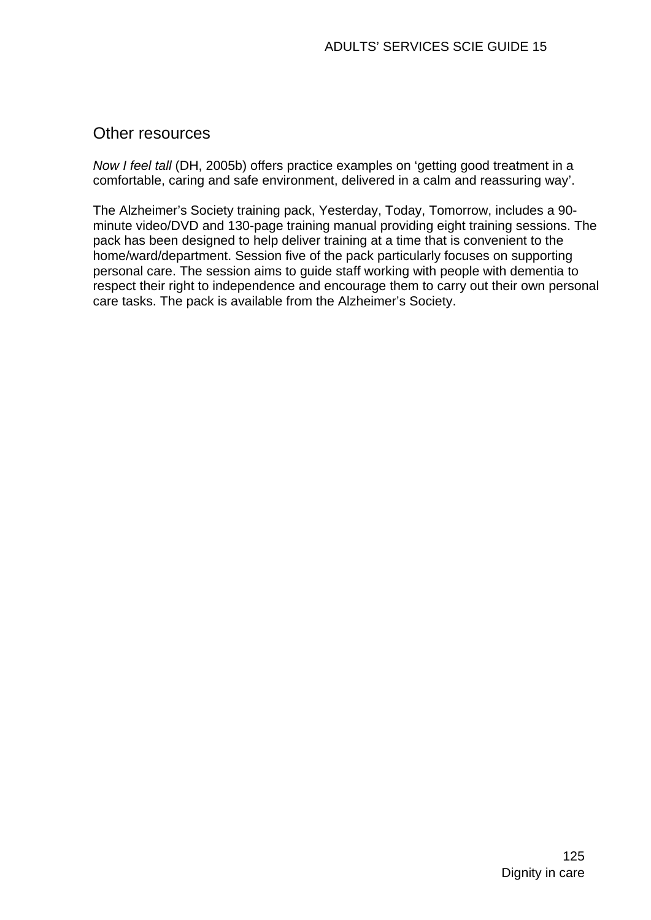## Other resources

*Now I feel tall* (DH, 2005b) offers practice examples on 'getting good treatment in a comfortable, caring and safe environment, delivered in a calm and reassuring way'.

The Alzheimer's Society training pack, Yesterday, Today, Tomorrow, includes a 90 minute video/DVD and 130-page training manual providing eight training sessions. The pack has been designed to help deliver training at a time that is convenient to the home/ward/department. Session five of the pack particularly focuses on supporting personal care. The session aims to guide staff working with people with dementia to respect their right to independence and encourage them to carry out their own personal care tasks. The pack is available from the Alzheimer's Society.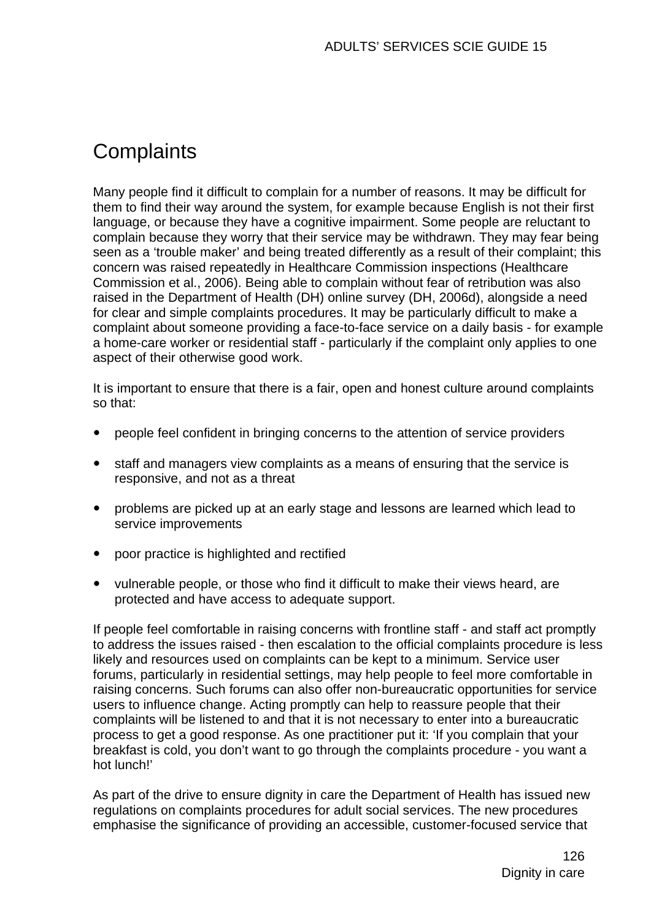# **Complaints**

Many people find it difficult to complain for a number of reasons. It may be difficult for them to find their way around the system, for example because English is not their first language, or because they have a cognitive impairment. Some people are reluctant to complain because they worry that their service may be withdrawn. They may fear being seen as a 'trouble maker' and being treated differently as a result of their complaint; this concern was raised repeatedly in Healthcare Commission inspections (Healthcare Commission et al., 2006). Being able to complain without fear of retribution was also raised in the Department of Health (DH) online survey (DH, 2006d), alongside a need for clear and simple complaints procedures. It may be particularly difficult to make a complaint about someone providing a face-to-face service on a daily basis - for example a home-care worker or residential staff - particularly if the complaint only applies to one aspect of their otherwise good work.

It is important to ensure that there is a fair, open and honest culture around complaints so that:

- y people feel confident in bringing concerns to the attention of service providers
- staff and managers view complaints as a means of ensuring that the service is responsive, and not as a threat
- problems are picked up at an early stage and lessons are learned which lead to service improvements
- poor practice is highlighted and rectified
- vulnerable people, or those who find it difficult to make their views heard, are protected and have access to adequate support.

If people feel comfortable in raising concerns with frontline staff - and staff act promptly to address the issues raised - then escalation to the official complaints procedure is less likely and resources used on complaints can be kept to a minimum. Service user forums, particularly in residential settings, may help people to feel more comfortable in raising concerns. Such forums can also offer non-bureaucratic opportunities for service users to influence change. Acting promptly can help to reassure people that their complaints will be listened to and that it is not necessary to enter into a bureaucratic process to get a good response. As one practitioner put it: 'If you complain that your breakfast is cold, you don't want to go through the complaints procedure - you want a hot lunch!'

As part of the drive to ensure dignity in care the Department of Health has issued new regulations on complaints procedures for adult social services. The new procedures emphasise the significance of providing an accessible, customer-focused service that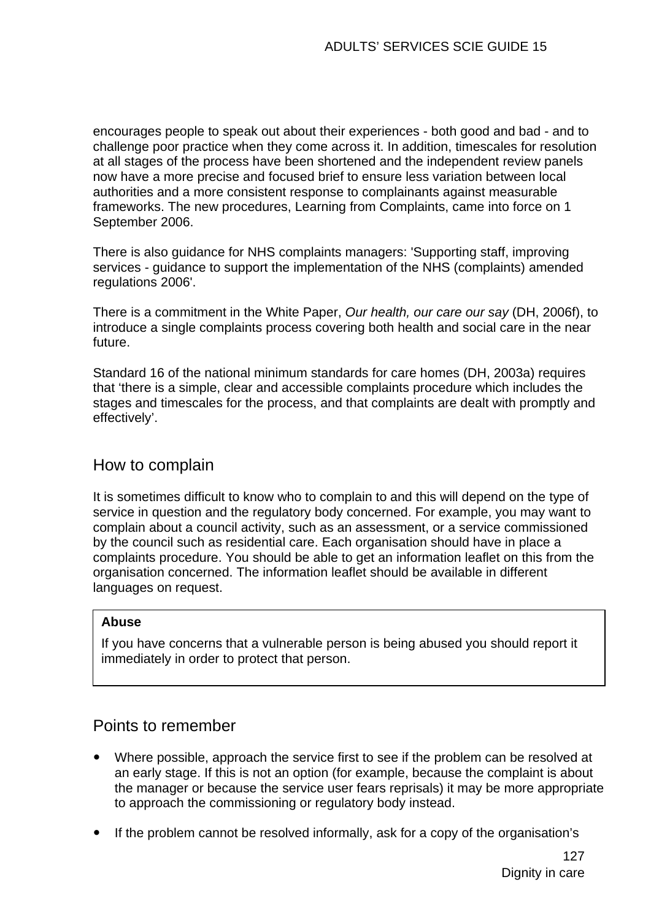encourages people to speak out about their experiences - both good and bad - and to challenge poor practice when they come across it. In addition, timescales for resolution at all stages of the process have been shortened and the independent review panels now have a more precise and focused brief to ensure less variation between local authorities and a more consistent response to complainants against measurable frameworks. The new procedures, Learning from Complaints, came into force on 1 September 2006.

There is also guidance for NHS complaints managers: 'Supporting staff, improving services - guidance to support the implementation of the NHS (complaints) amended regulations 2006'.

There is a commitment in the White Paper, *Our health, our care our say* (DH, 2006f), to introduce a single complaints process covering both health and social care in the near future.

Standard 16 of the national minimum standards for care homes (DH, 2003a) requires that 'there is a simple, clear and accessible complaints procedure which includes the stages and timescales for the process, and that complaints are dealt with promptly and effectively'.

## How to complain

It is sometimes difficult to know who to complain to and this will depend on the type of service in question and the regulatory body concerned. For example, you may want to complain about a council activity, such as an assessment, or a service commissioned by the council such as residential care. Each organisation should have in place a complaints procedure. You should be able to get an information leaflet on this from the organisation concerned. The information leaflet should be available in different languages on request.

#### **Abuse**

If you have concerns that a vulnerable person is being abused you should report it immediately in order to protect that person.

# Points to remember

- Where possible, approach the service first to see if the problem can be resolved at an early stage. If this is not an option (for example, because the complaint is about the manager or because the service user fears reprisals) it may be more appropriate to approach the commissioning or regulatory body instead.
- If the problem cannot be resolved informally, ask for a copy of the organisation's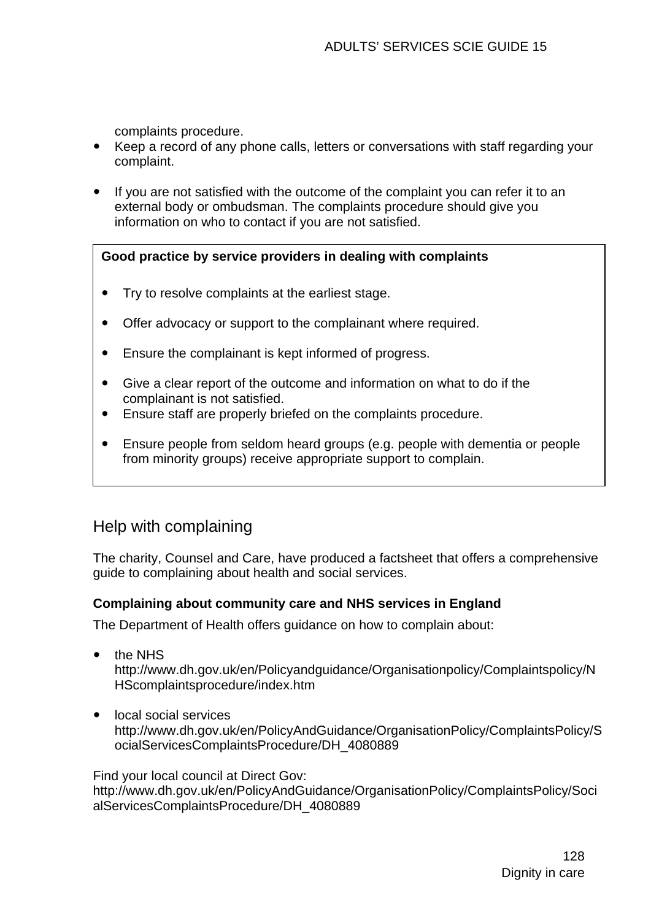complaints procedure.

- Keep a record of any phone calls, letters or conversations with staff regarding your complaint.
- If you are not satisfied with the outcome of the complaint you can refer it to an external body or ombudsman. The complaints procedure should give you information on who to contact if you are not satisfied.

#### **Good practice by service providers in dealing with complaints**

- Try to resolve complaints at the earliest stage.
- Offer advocacy or support to the complainant where required.
- Ensure the complainant is kept informed of progress.
- Give a clear report of the outcome and information on what to do if the complainant is not satisfied.
- Ensure staff are properly briefed on the complaints procedure.
- Ensure people from seldom heard groups (e.g. people with dementia or people from minority groups) receive appropriate support to complain.

# Help with complaining

The charity, Counsel and Care, have produced a factsheet that offers a comprehensive guide to complaining about health and social services.

#### **Complaining about community care and NHS services in England**

The Department of Health offers guidance on how to complain about:

- the NHS http://www.dh.gov.uk/en/Policyandguidance/Organisationpolicy/Complaintspolicy/N HScomplaintsprocedure/index.htm
- local social services http://www.dh.gov.uk/en/PolicyAndGuidance/OrganisationPolicy/ComplaintsPolicy/S ocialServicesComplaintsProcedure/DH\_4080889

Find your local council at Direct Gov:

http://www.dh.gov.uk/en/PolicyAndGuidance/OrganisationPolicy/ComplaintsPolicy/Soci alServicesComplaintsProcedure/DH\_4080889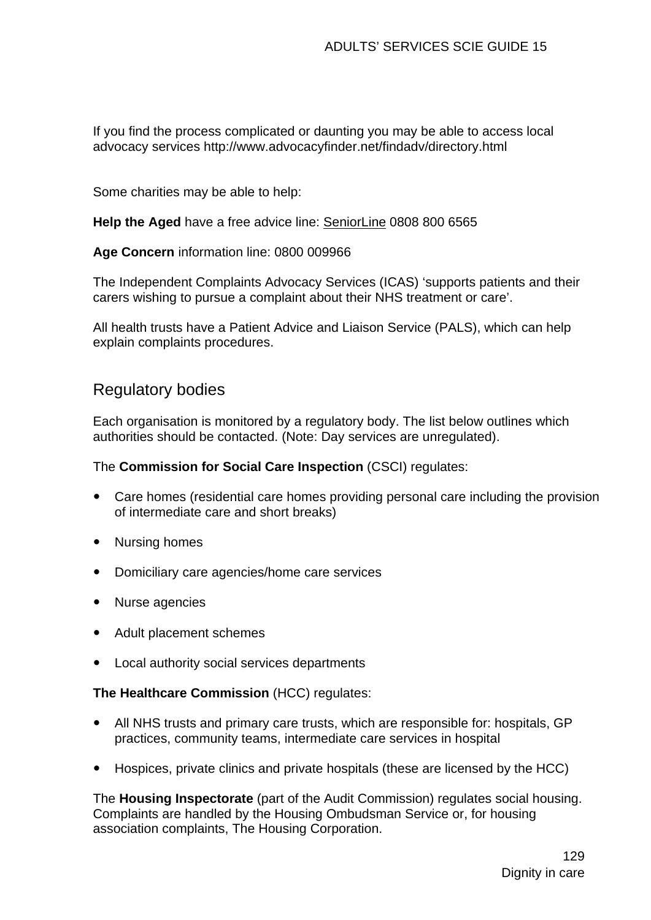If you find the process complicated or daunting you may be able to access local advocacy services http://www.advocacyfinder.net/findadv/directory.html

Some charities may be able to help:

**Help the Aged** have a free advice line: SeniorLine 0808 800 6565

**Age Concern** information line: 0800 009966

The Independent Complaints Advocacy Services (ICAS) 'supports patients and their carers wishing to pursue a complaint about their NHS treatment or care'.

All health trusts have a Patient Advice and Liaison Service (PALS), which can help explain complaints procedures.

## Regulatory bodies

Each organisation is monitored by a regulatory body. The list below outlines which authorities should be contacted. (Note: Day services are unregulated).

The **Commission for Social Care Inspection** (CSCI) regulates:

- Care homes (residential care homes providing personal care including the provision of intermediate care and short breaks)
- Nursing homes
- Domiciliary care agencies/home care services
- Nurse agencies
- Adult placement schemes
- Local authority social services departments

#### **The Healthcare Commission** (HCC) regulates:

- All NHS trusts and primary care trusts, which are responsible for: hospitals, GP practices, community teams, intermediate care services in hospital
- Hospices, private clinics and private hospitals (these are licensed by the HCC)

The **Housing Inspectorate** (part of the Audit Commission) regulates social housing. Complaints are handled by the Housing Ombudsman Service or, for housing association complaints, The Housing Corporation.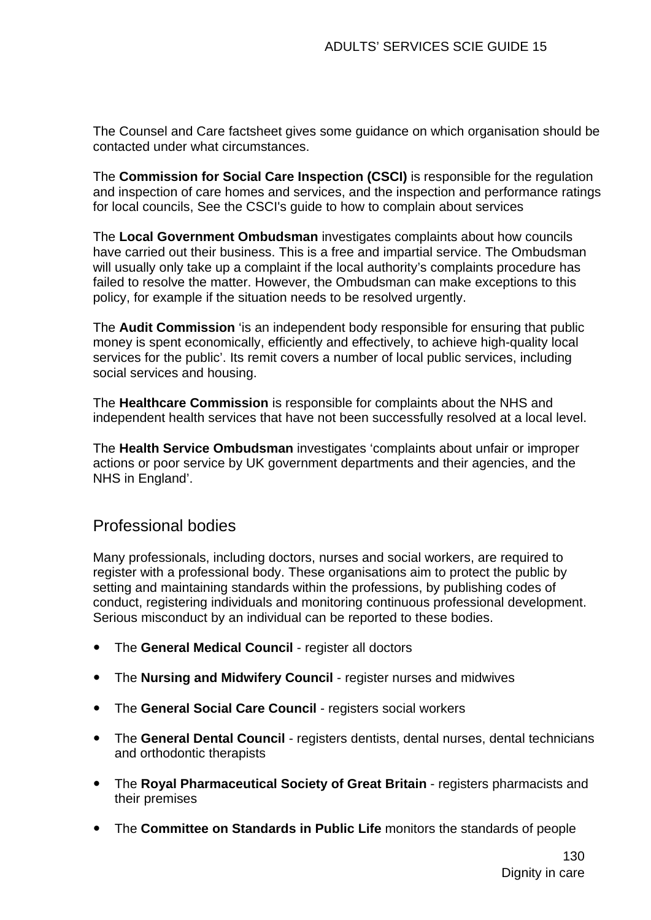The Counsel and Care factsheet gives some guidance on which organisation should be contacted under what circumstances.

The **Commission for Social Care Inspection (CSCI)** is responsible for the regulation and inspection of care homes and services, and the inspection and performance ratings for local councils, See the CSCI's guide to how to complain about services

The **Local Government Ombudsman** investigates complaints about how councils have carried out their business. This is a free and impartial service. The Ombudsman will usually only take up a complaint if the local authority's complaints procedure has failed to resolve the matter. However, the Ombudsman can make exceptions to this policy, for example if the situation needs to be resolved urgently.

The **Audit Commission** 'is an independent body responsible for ensuring that public money is spent economically, efficiently and effectively, to achieve high-quality local services for the public'. Its remit covers a number of local public services, including social services and housing.

The **Healthcare Commission** is responsible for complaints about the NHS and independent health services that have not been successfully resolved at a local level.

The **Health Service Ombudsman** investigates 'complaints about unfair or improper actions or poor service by UK government departments and their agencies, and the NHS in England'.

## Professional bodies

Many professionals, including doctors, nurses and social workers, are required to register with a professional body. These organisations aim to protect the public by setting and maintaining standards within the professions, by publishing codes of conduct, registering individuals and monitoring continuous professional development. Serious misconduct by an individual can be reported to these bodies.

- **•** The General Medical Council register all doctors
- The **Nursing and Midwifery Council** register nurses and midwives
- **•** The General Social Care Council registers social workers
- **•** The General Dental Council registers dentists, dental nurses, dental technicians and orthodontic therapists
- The **Royal Pharmaceutical Society of Great Britain** registers pharmacists and their premises
- The **Committee on Standards in Public Life** monitors the standards of people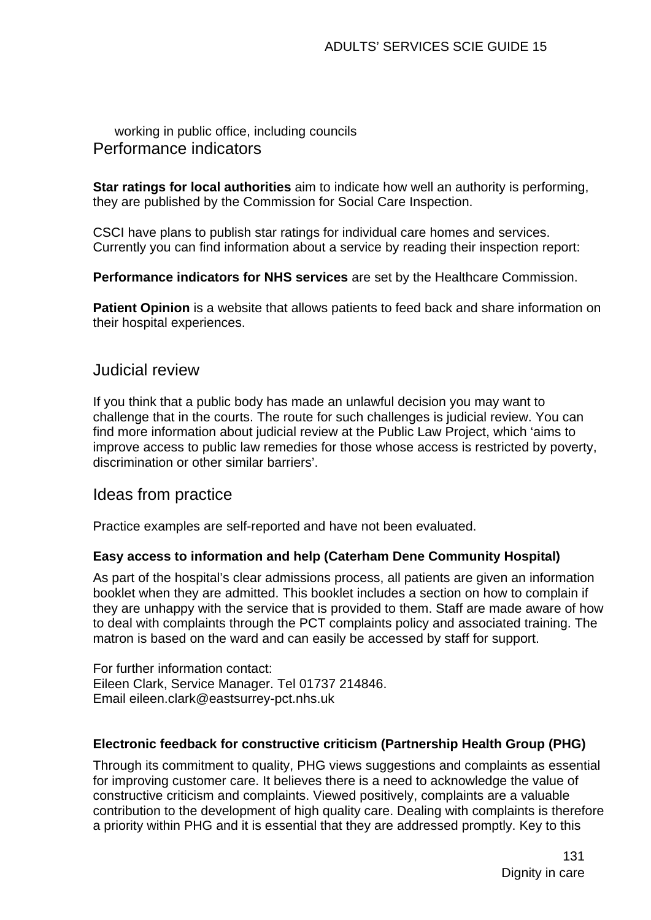working in public office, including councils Performance indicators

**Star ratings for local authorities** aim to indicate how well an authority is performing, they are published by the Commission for Social Care Inspection.

CSCI have plans to publish star ratings for individual care homes and services. Currently you can find information about a service by reading their inspection report:

**Performance indicators for NHS services** are set by the Healthcare Commission.

**Patient Opinion** is a website that allows patients to feed back and share information on their hospital experiences.

### Judicial review

If you think that a public body has made an unlawful decision you may want to challenge that in the courts. The route for such challenges is judicial review. You can find more information about judicial review at the Public Law Project, which 'aims to improve access to public law remedies for those whose access is restricted by poverty, discrimination or other similar barriers'.

### Ideas from practice

Practice examples are self-reported and have not been evaluated.

#### **Easy access to information and help (Caterham Dene Community Hospital)**

As part of the hospital's clear admissions process, all patients are given an information booklet when they are admitted. This booklet includes a section on how to complain if they are unhappy with the service that is provided to them. Staff are made aware of how to deal with complaints through the PCT complaints policy and associated training. The matron is based on the ward and can easily be accessed by staff for support.

For further information contact: Eileen Clark, Service Manager. Tel 01737 214846. Email [eileen.clark@eastsurrey-pct.nhs.uk](mailto:eileen.clark@eastsurrey-pct.nhs.uk)

#### **Electronic feedback for constructive criticism (Partnership Health Group (PHG)**

Through its commitment to quality, PHG views suggestions and complaints as essential for improving customer care. It believes there is a need to acknowledge the value of constructive criticism and complaints. Viewed positively, complaints are a valuable contribution to the development of high quality care. Dealing with complaints is therefore a priority within PHG and it is essential that they are addressed promptly. Key to this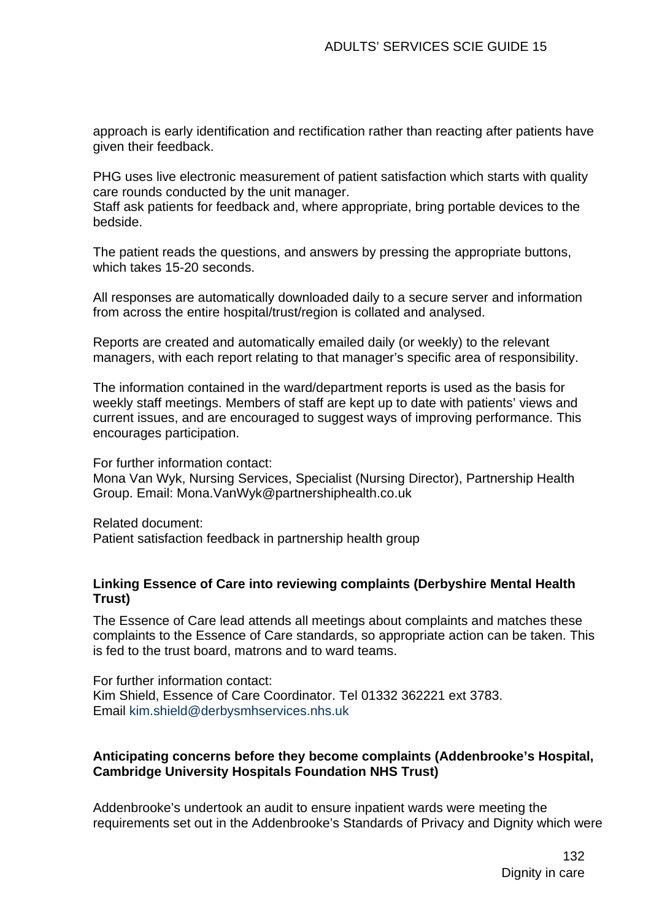approach is early identification and rectification rather than reacting after patients have given their feedback.

PHG uses live electronic measurement of patient satisfaction which starts with quality care rounds conducted by the unit manager.

Staff ask patients for feedback and, where appropriate, bring portable devices to the bedside.

The patient reads the questions, and answers by pressing the appropriate buttons, which takes 15-20 seconds.

All responses are automatically downloaded daily to a secure server and information from across the entire hospital/trust/region is collated and analysed.

Reports are created and automatically emailed daily (or weekly) to the relevant managers, with each report relating to that manager's specific area of responsibility.

The information contained in the ward/department reports is used as the basis for weekly staff meetings. Members of staff are kept up to date with patients' views and current issues, and are encouraged to suggest ways of improving performance. This encourages participation.

For further information contact: Mona Van Wyk, Nursing Services, Specialist (Nursing Director), Partnership Health Group. Email: Mona.VanWyk@partnershiphealth.co.uk

Related document: Patient satisfaction feedback in partnership health group

#### **Linking Essence of Care into reviewing complaints (Derbyshire Mental Health Trust)**

The Essence of Care lead attends all meetings about complaints and matches these complaints to the Essence of Care standards, so appropriate action can be taken. This is fed to the trust board, matrons and to ward teams.

For further information contact: Kim Shield, Essence of Care Coordinator. Tel 01332 362221 ext 3783. Email [kim.shield@derbysmhservices.nhs.uk](mailto:kim.shield@derbysmhservices.nhs.uk)

#### **Anticipating concerns before they become complaints (Addenbrooke's Hospital, Cambridge University Hospitals Foundation NHS Trust)**

Addenbrooke's undertook an audit to ensure inpatient wards were meeting the requirements set out in the Addenbrooke's Standards of Privacy and Dignity which were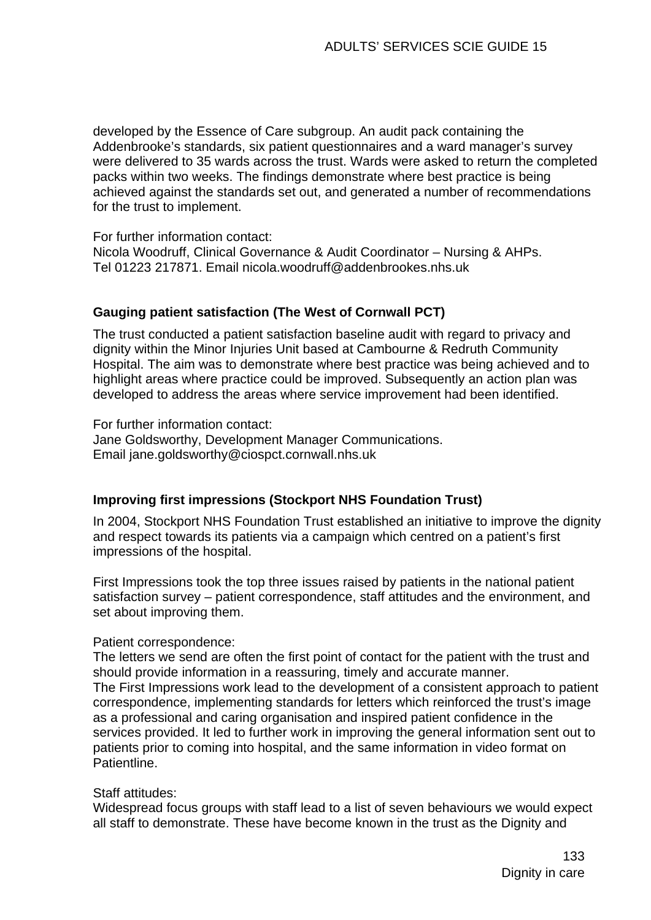developed by the Essence of Care subgroup. An audit pack containing the Addenbrooke's standards, six patient questionnaires and a ward manager's survey were delivered to 35 wards across the trust. Wards were asked to return the completed packs within two weeks. The findings demonstrate where best practice is being achieved against the standards set out, and generated a number of recommendations for the trust to implement.

For further information contact:

Nicola Woodruff, Clinical Governance & Audit Coordinator – Nursing & AHPs. Tel 01223 217871. Email [nicola.woodruff@addenbrookes.nhs.uk](mailto:nicola.woodruff@addenbrookes.nhs.uk)

#### **Gauging patient satisfaction (The West of Cornwall PCT)**

The trust conducted a patient satisfaction baseline audit with regard to privacy and dignity within the Minor Injuries Unit based at Cambourne & Redruth Community Hospital. The aim was to demonstrate where best practice was being achieved and to highlight areas where practice could be improved. Subsequently an action plan was developed to address the areas where service improvement had been identified.

For further information contact: Jane Goldsworthy, Development Manager Communications. Email jane.goldsworthy@ciospct.cornwall.nhs.uk

#### **Improving first impressions (Stockport NHS Foundation Trust)**

In 2004, Stockport NHS Foundation Trust established an initiative to improve the dignity and respect towards its patients via a campaign which centred on a patient's first impressions of the hospital.

First Impressions took the top three issues raised by patients in the national patient satisfaction survey – patient correspondence, staff attitudes and the environment, and set about improving them.

#### Patient correspondence:

The letters we send are often the first point of contact for the patient with the trust and should provide information in a reassuring, timely and accurate manner. The First Impressions work lead to the development of a consistent approach to patient correspondence, implementing standards for letters which reinforced the trust's image as a professional and caring organisation and inspired patient confidence in the services provided. It led to further work in improving the general information sent out to patients prior to coming into hospital, and the same information in video format on Patientline.

#### Staff attitudes:

Widespread focus groups with staff lead to a list of seven behaviours we would expect all staff to demonstrate. These have become known in the trust as the Dignity and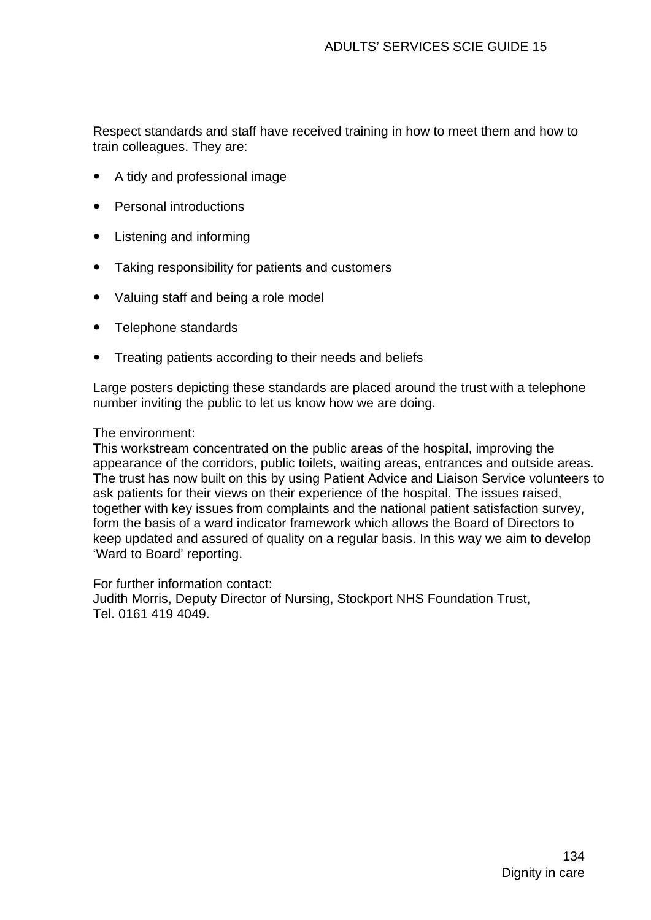Respect standards and staff have received training in how to meet them and how to train colleagues. They are:

- A tidy and professional image
- **Personal introductions**
- Listening and informing
- Taking responsibility for patients and customers
- Valuing staff and being a role model
- Telephone standards
- Treating patients according to their needs and beliefs

Large posters depicting these standards are placed around the trust with a telephone number inviting the public to let us know how we are doing.

#### The environment:

This workstream concentrated on the public areas of the hospital, improving the appearance of the corridors, public toilets, waiting areas, entrances and outside areas. The trust has now built on this by using Patient Advice and Liaison Service volunteers to ask patients for their views on their experience of the hospital. The issues raised, together with key issues from complaints and the national patient satisfaction survey, form the basis of a ward indicator framework which allows the Board of Directors to keep updated and assured of quality on a regular basis. In this way we aim to develop 'Ward to Board' reporting.

For further information contact:

Judith Morris, Deputy Director of Nursing, Stockport NHS Foundation Trust, Tel. 0161 419 4049.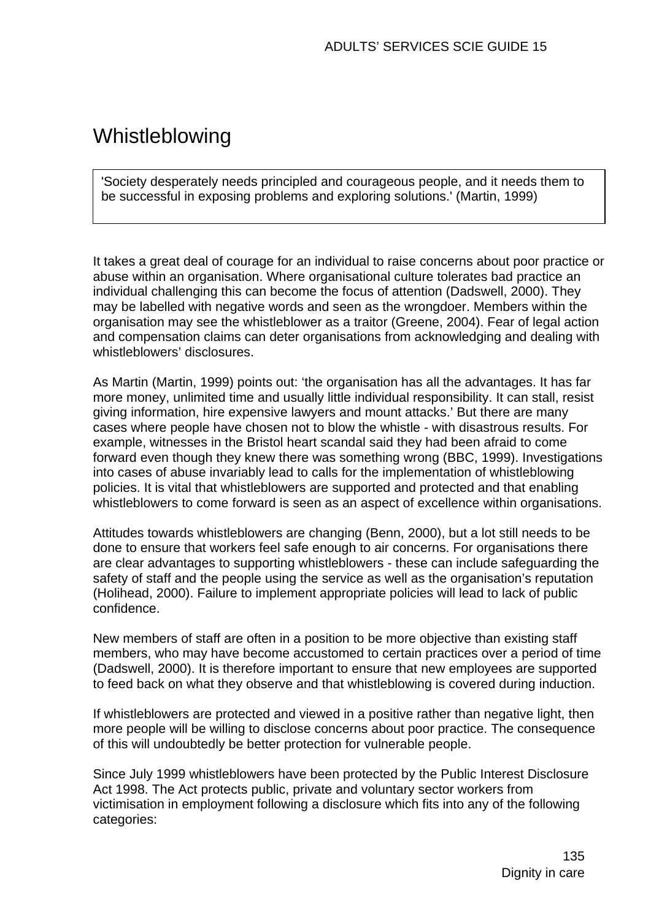# Whistleblowing

'Society desperately needs principled and courageous people, and it needs them to be successful in exposing problems and exploring solutions.' (Martin, 1999)

It takes a great deal of courage for an individual to raise concerns about poor practice or abuse within an organisation. Where organisational culture tolerates bad practice an individual challenging this can become the focus of attention (Dadswell, 2000). They may be labelled with negative words and seen as the wrongdoer. Members within the organisation may see the whistleblower as a traitor (Greene, 2004). Fear of legal action and compensation claims can deter organisations from acknowledging and dealing with whistleblowers' disclosures.

As Martin (Martin, 1999) points out: 'the organisation has all the advantages. It has far more money, unlimited time and usually little individual responsibility. It can stall, resist giving information, hire expensive lawyers and mount attacks.' But there are many cases where people have chosen not to blow the whistle - with disastrous results. For example, witnesses in the Bristol heart scandal said they had been afraid to come forward even though they knew there was something wrong (BBC, 1999). Investigations into cases of abuse invariably lead to calls for the implementation of whistleblowing policies. It is vital that whistleblowers are supported and protected and that enabling whistleblowers to come forward is seen as an aspect of excellence within organisations.

Attitudes towards whistleblowers are changing (Benn, 2000), but a lot still needs to be done to ensure that workers feel safe enough to air concerns. For organisations there are clear advantages to supporting whistleblowers - these can include safeguarding the safety of staff and the people using the service as well as the organisation's reputation (Holihead, 2000). Failure to implement appropriate policies will lead to lack of public confidence.

New members of staff are often in a position to be more objective than existing staff members, who may have become accustomed to certain practices over a period of time (Dadswell, 2000). It is therefore important to ensure that new employees are supported to feed back on what they observe and that whistleblowing is covered during induction.

If whistleblowers are protected and viewed in a positive rather than negative light, then more people will be willing to disclose concerns about poor practice. The consequence of this will undoubtedly be better protection for vulnerable people.

Since July 1999 whistleblowers have been protected by the Public Interest Disclosure Act 1998. The Act protects public, private and voluntary sector workers from victimisation in employment following a disclosure which fits into any of the following categories: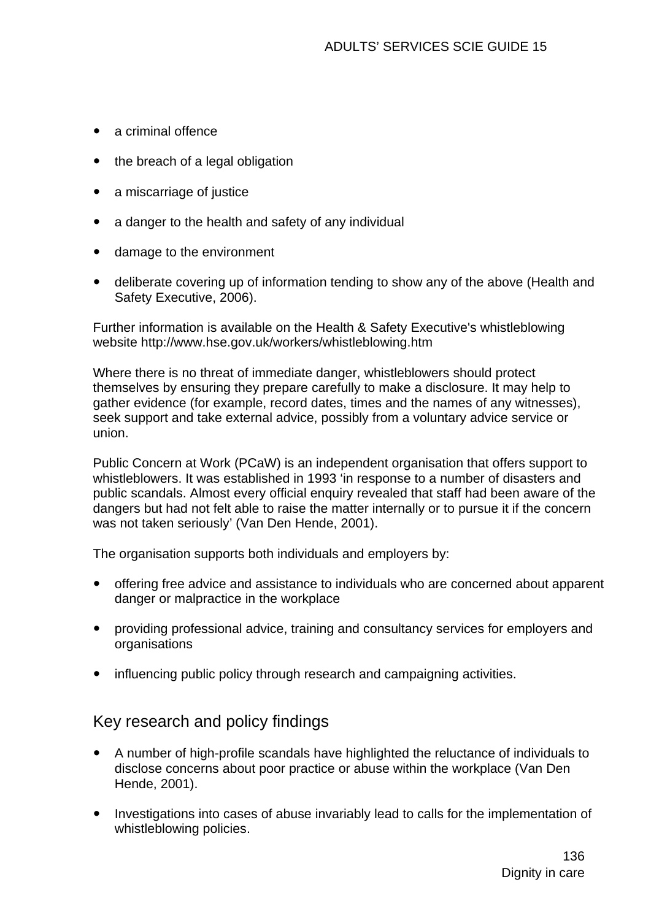- $\bullet$  a criminal offence
- $\bullet$  the breach of a legal obligation
- a miscarriage of justice
- a danger to the health and safety of any individual
- damage to the environment
- deliberate covering up of information tending to show any of the above (Health and Safety Executive, 2006).

Further information is available on the Health & Safety Executive's whistleblowing website http://www.hse.gov.uk/workers/whistleblowing.htm

Where there is no threat of immediate danger, whistleblowers should protect themselves by ensuring they prepare carefully to make a disclosure. It may help to gather evidence (for example, record dates, times and the names of any witnesses), seek support and take external advice, possibly from a voluntary advice service or union.

Public Concern at Work (PCaW) is an independent organisation that offers support to whistleblowers. It was established in 1993 'in response to a number of disasters and public scandals. Almost every official enquiry revealed that staff had been aware of the dangers but had not felt able to raise the matter internally or to pursue it if the concern was not taken seriously' (Van Den Hende, 2001).

The organisation supports both individuals and employers by:

- offering free advice and assistance to individuals who are concerned about apparent danger or malpractice in the workplace
- providing professional advice, training and consultancy services for employers and **organisations**
- influencing public policy through research and campaigning activities.

# Key research and policy findings

- A number of high-profile scandals have highlighted the reluctance of individuals to disclose concerns about poor practice or abuse within the workplace (Van Den Hende, 2001).
- Investigations into cases of abuse invariably lead to calls for the implementation of whistleblowing policies.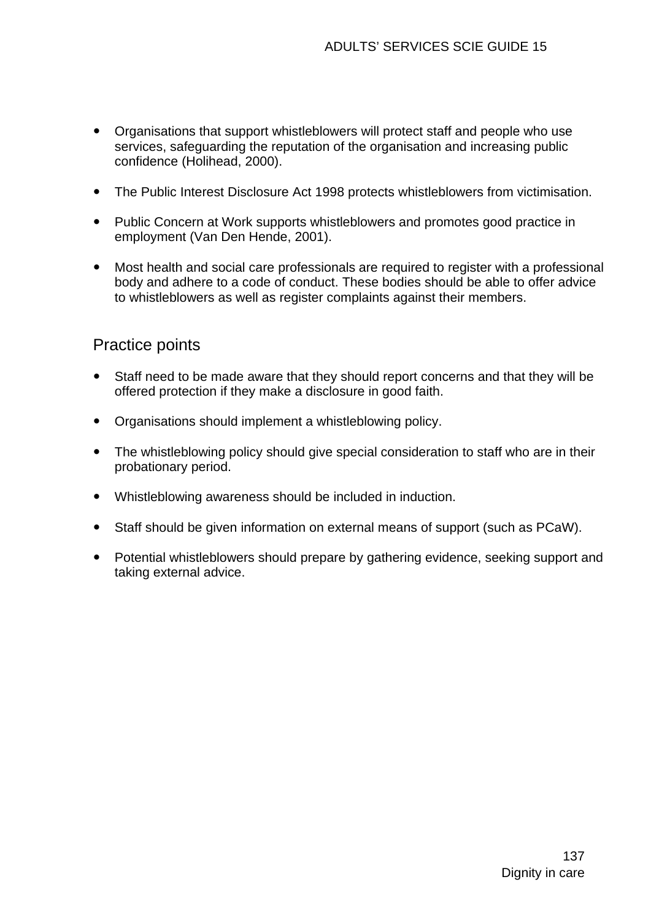- Organisations that support whistleblowers will protect staff and people who use services, safeguarding the reputation of the organisation and increasing public confidence (Holihead, 2000).
- The Public Interest Disclosure Act 1998 protects whistleblowers from victimisation.
- Public Concern at Work supports whistleblowers and promotes good practice in employment (Van Den Hende, 2001).
- Most health and social care professionals are required to register with a professional body and adhere to a code of conduct. These bodies should be able to offer advice to whistleblowers as well as register complaints against their members.

# Practice points

- Staff need to be made aware that they should report concerns and that they will be offered protection if they make a disclosure in good faith.
- Organisations should implement a whistleblowing policy.
- The whistleblowing policy should give special consideration to staff who are in their probationary period.
- Whistleblowing awareness should be included in induction.
- Staff should be given information on external means of support (such as PCaW).
- Potential whistleblowers should prepare by gathering evidence, seeking support and taking external advice.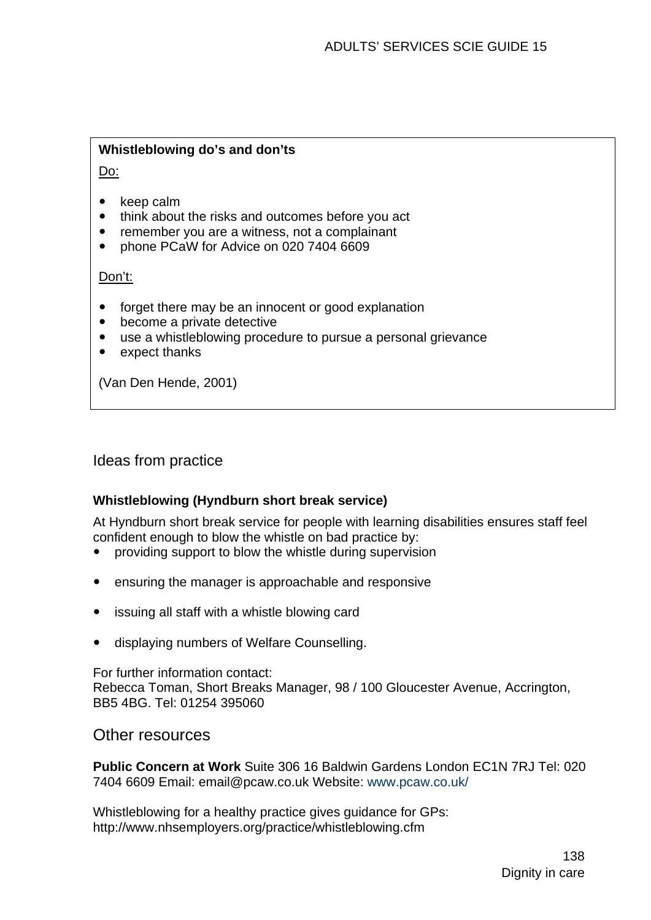#### **Whistleblowing do's and don'ts**

Do:

- $\bullet$  keep calm
- think about the risks and outcomes before you act
- remember you are a witness, not a complainant
- phone PCaW for Advice on 020 7404 6609

Don't:

- forget there may be an innocent or good explanation
- become a private detective
- use a whistleblowing procedure to pursue a personal grievance
- $\bullet$  expect thanks

(Van Den Hende, 2001)

Ideas from practice

#### **Whistleblowing (Hyndburn short break service)**

At Hyndburn short break service for people with learning disabilities ensures staff feel confident enough to blow the whistle on bad practice by:

- y providing support to blow the whistle during supervision
- ensuring the manager is approachable and responsive
- issuing all staff with a whistle blowing card
- displaying numbers of Welfare Counselling.

For further information contact: Rebecca Toman, Short Breaks Manager, 98 / 100 Gloucester Avenue, Accrington, BB5 4BG. Tel: 01254 395060

Other resources

**Public Concern at Work** Suite 306 16 Baldwin Gardens London EC1N 7RJ Tel: 020 7404 6609 Email: email@pcaw.co.uk Website: [www.pcaw.co.uk/](http://www.pcaw.co.uk/)

Whistleblowing for a healthy practice gives guidance for GPs: http://www.nhsemployers.org/practice/whistleblowing.cfm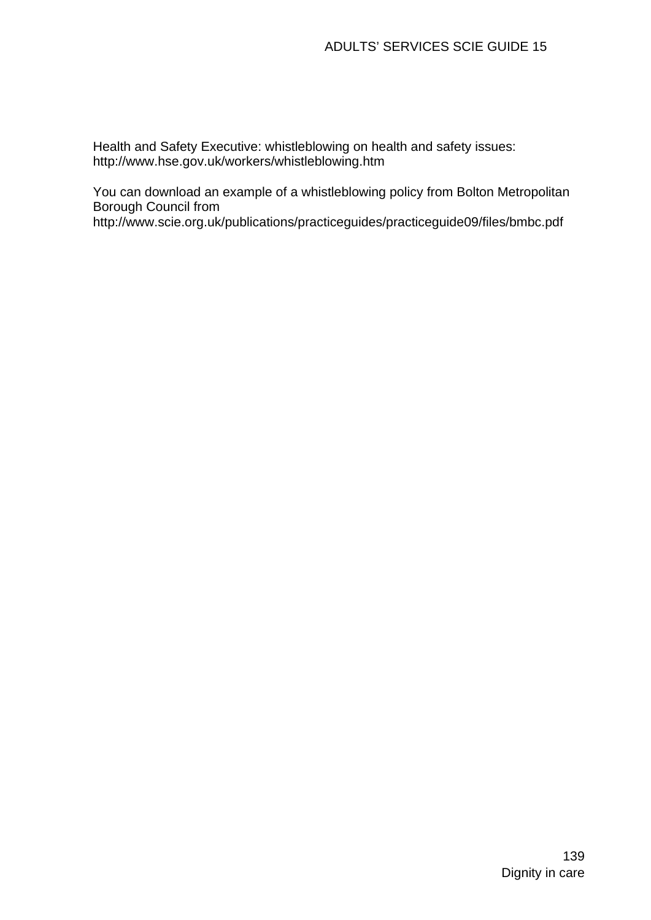Health and Safety Executive: whistleblowing on health and safety issues: http://www.hse.gov.uk/workers/whistleblowing.htm

You can download an example of a whistleblowing policy from Bolton Metropolitan Borough Council from

http://www.scie.org.uk/publications/practiceguides/practiceguide09/files/bmbc.pdf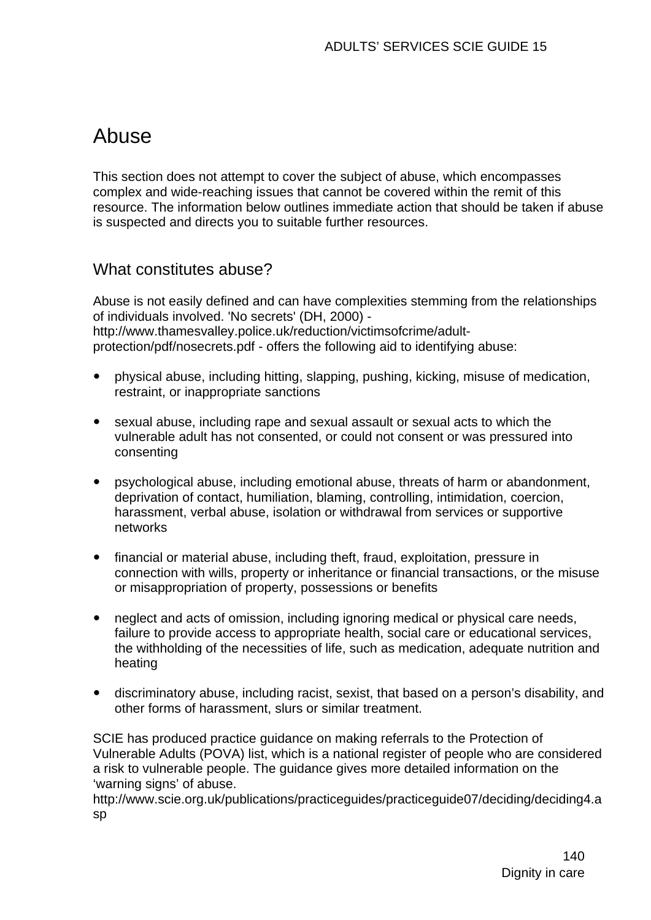# Abuse

This section does not attempt to cover the subject of abuse, which encompasses complex and wide-reaching issues that cannot be covered within the remit of this resource. The information below outlines immediate action that should be taken if abuse is suspected and directs you to suitable further resources.

# What constitutes abuse?

Abuse is not easily defined and can have complexities stemming from the relationships of individuals involved. 'No secrets' (DH, 2000) [http://www.thamesvalley.police.uk/reduction/victimsofcrime/adult](http://www.thamesvalley.police.uk/reduction/victimsofcrime/adult-protection/pdf/nosecrets.pdf)[protection/pdf/nosecrets.pdf](http://www.thamesvalley.police.uk/reduction/victimsofcrime/adult-protection/pdf/nosecrets.pdf) - offers the following aid to identifying abuse:

- y physical abuse, including hitting, slapping, pushing, kicking, misuse of medication, restraint, or inappropriate sanctions
- sexual abuse, including rape and sexual assault or sexual acts to which the vulnerable adult has not consented, or could not consent or was pressured into consenting
- psychological abuse, including emotional abuse, threats of harm or abandonment, deprivation of contact, humiliation, blaming, controlling, intimidation, coercion, harassment, verbal abuse, isolation or withdrawal from services or supportive networks
- financial or material abuse, including theft, fraud, exploitation, pressure in connection with wills, property or inheritance or financial transactions, or the misuse or misappropriation of property, possessions or benefits
- neglect and acts of omission, including ignoring medical or physical care needs, failure to provide access to appropriate health, social care or educational services, the withholding of the necessities of life, such as medication, adequate nutrition and heating
- discriminatory abuse, including racist, sexist, that based on a person's disability, and other forms of harassment, slurs or similar treatment.

SCIE has produced practice guidance on making referrals to the Protection of Vulnerable Adults (POVA) list, which is a national register of people who are considered a risk to vulnerable people. The guidance gives more detailed information on the 'warning signs' of abuse.

http://www.scie.org.uk/publications/practiceguides/practiceguide07/deciding/deciding4.a sp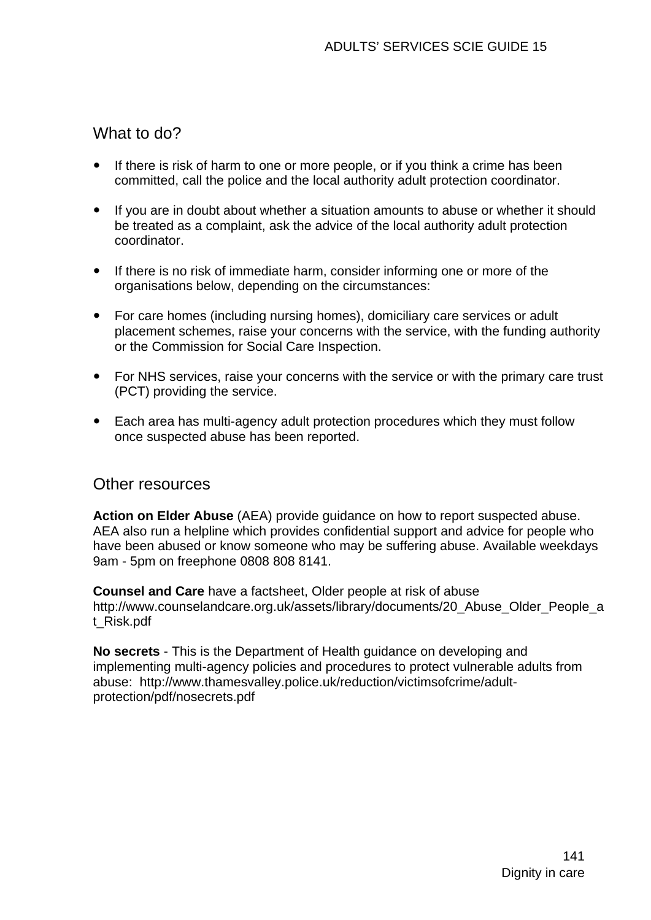# What to do?

- If there is risk of harm to one or more people, or if you think a crime has been committed, call the police and the local authority adult protection coordinator.
- If you are in doubt about whether a situation amounts to abuse or whether it should be treated as a complaint, ask the advice of the local authority adult protection coordinator.
- If there is no risk of immediate harm, consider informing one or more of the organisations below, depending on the circumstances:
- For care homes (including nursing homes), domiciliary care services or adult placement schemes, raise your concerns with the service, with the funding authority or the Commission for Social Care Inspection.
- For NHS services, raise your concerns with the service or with the primary care trust (PCT) providing the service.
- Each area has multi-agency adult protection procedures which they must follow once suspected abuse has been reported.

## Other resources

**Action on Elder Abuse** (AEA) provide guidance on how to report suspected abuse. AEA also run a helpline which provides confidential support and advice for people who have been abused or know someone who may be suffering abuse. Available weekdays 9am - 5pm on freephone 0808 808 8141.

**Counsel and Care** have a factsheet, Older people at risk of abuse http://www.counselandcare.org.uk/assets/library/documents/20\_Abuse\_Older\_People\_a t\_Risk.pdf

**No secrets** - This is the Department of Health guidance on developing and implementing multi-agency policies and procedures to protect vulnerable adults from abuse: http://www.thamesvalley.police.uk/reduction/victimsofcrime/adultprotection/pdf/nosecrets.pdf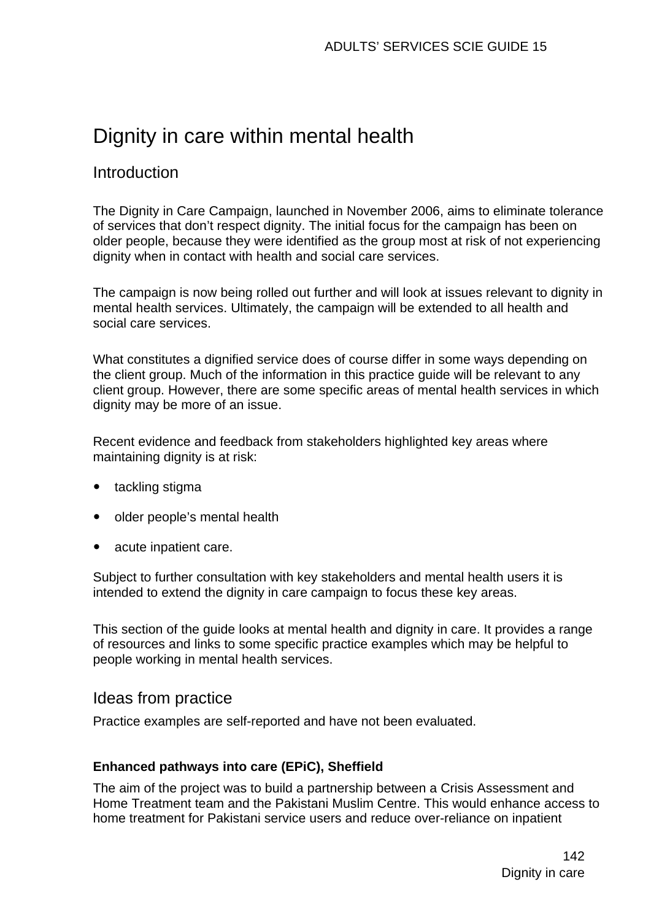# Dignity in care within mental health

# Introduction

The Dignity in Care Campaign, launched in November 2006, aims to eliminate tolerance of services that don't respect dignity. The initial focus for the campaign has been on older people, because they were identified as the group most at risk of not experiencing dignity when in contact with health and social care services.

The campaign is now being rolled out further and will look at issues relevant to dignity in mental health services. Ultimately, the campaign will be extended to all health and social care services.

What constitutes a dignified service does of course differ in some ways depending on the client group. Much of the information in this practice guide will be relevant to any client group. However, there are some specific areas of mental health services in which dignity may be more of an issue.

Recent evidence and feedback from stakeholders highlighted key areas where maintaining dignity is at risk:

- [tackling stigma](http://www.scie.org.uk/publications/practiceguides/practiceguide09/mentalhealth/stigma.asp)
- older people's mental health
- [acute inpatient care.](http://www.scie.org.uk/publications/practiceguides/practiceguide09/mentalhealth/inpatient.asp)

Subject to further consultation with key stakeholders and mental health users it is intended to extend the dignity in care campaign to focus these key areas.

This section of the guide looks at mental health and dignity in care. It provides a range of resources and links to some specific practice examples which may be helpful to people working in mental health services.

## Ideas from practice

Practice examples are self-reported and have not been evaluated.

#### **Enhanced pathways into care (EPiC), Sheffield**

The aim of the project was to build a partnership between a Crisis Assessment and Home Treatment team and the Pakistani Muslim Centre. This would enhance access to home treatment for Pakistani service users and reduce over-reliance on inpatient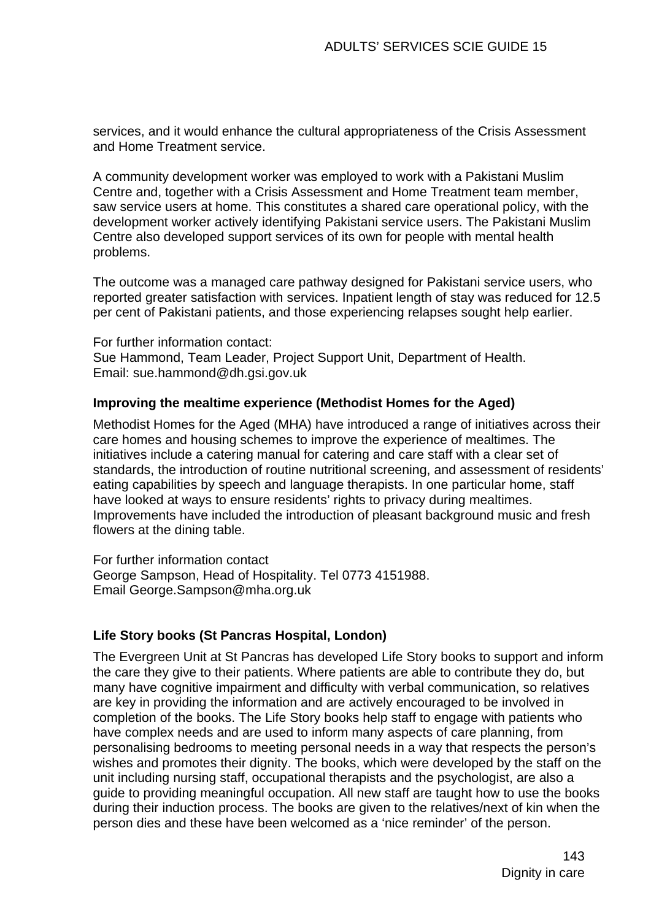services, and it would enhance the cultural appropriateness of the Crisis Assessment and Home Treatment service.

A community development worker was employed to work with a Pakistani Muslim Centre and, together with a Crisis Assessment and Home Treatment team member, saw service users at home. This constitutes a shared care operational policy, with the development worker actively identifying Pakistani service users. The Pakistani Muslim Centre also developed support services of its own for people with mental health problems.

The outcome was a managed care pathway designed for Pakistani service users, who reported greater satisfaction with services. Inpatient length of stay was reduced for 12.5 per cent of Pakistani patients, and those experiencing relapses sought help earlier.

For further information contact: Sue Hammond, Team Leader, Project Support Unit, Department of Health. Email: [sue.hammond@dh.gsi.gov.uk](mailto:sue.hammond@dh.gsi.gov.uk) 

#### **Improving the mealtime experience (Methodist Homes for the Aged)**

Methodist Homes for the Aged (MHA) have introduced a range of initiatives across their care homes and housing schemes to improve the experience of mealtimes. The initiatives include a catering manual for catering and care staff with a clear set of standards, the introduction of routine nutritional screening, and assessment of residents' eating capabilities by speech and language therapists. In one particular home, staff have looked at ways to ensure residents' rights to privacy during mealtimes. Improvements have included the introduction of pleasant background music and fresh flowers at the dining table.

For further information contact George Sampson, Head of Hospitality. Tel 0773 4151988. Email [George.Sampson@mha.org.uk](mailto:George.Sampson@mha.org.uk) 

#### **Life Story books (St Pancras Hospital, London)**

The Evergreen Unit at St Pancras has developed Life Story books to support and inform the care they give to their patients. Where patients are able to contribute they do, but many have cognitive impairment and difficulty with verbal communication, so relatives are key in providing the information and are actively encouraged to be involved in completion of the books. The Life Story books help staff to engage with patients who have complex needs and are used to inform many aspects of care planning, from personalising bedrooms to meeting personal needs in a way that respects the person's wishes and promotes their dignity. The books, which were developed by the staff on the unit including nursing staff, occupational therapists and the psychologist, are also a guide to providing meaningful occupation. All new staff are taught how to use the books during their induction process. The books are given to the relatives/next of kin when the person dies and these have been welcomed as a 'nice reminder' of the person.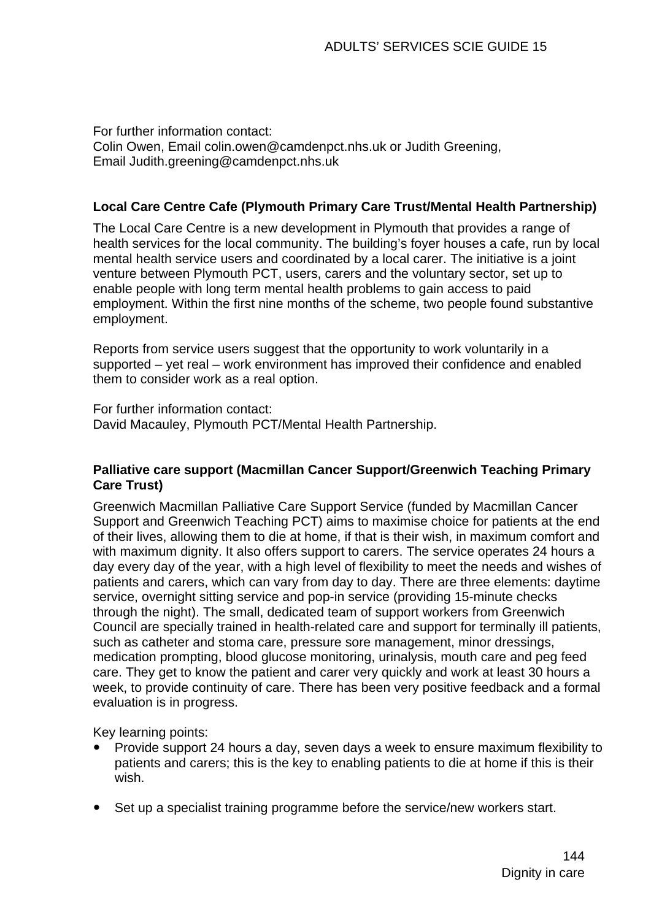For further information contact: Colin Owen, Email [colin.owen@camdenpct.nhs.uk](mailto:colin.owen@camdenpct.nhs.uk) or Judith Greening, Email [Judith.greening@camdenpct.nhs.uk](mailto:Judith.greening@camdenpct.nhs.uk)

#### **Local Care Centre Cafe (Plymouth Primary Care Trust/Mental Health Partnership)**

The Local Care Centre is a new development in Plymouth that provides a range of health services for the local community. The building's foyer houses a cafe, run by local mental health service users and coordinated by a local carer. The initiative is a joint venture between Plymouth PCT, users, carers and the voluntary sector, set up to enable people with long term mental health problems to gain access to paid employment. Within the first nine months of the scheme, two people found substantive employment.

Reports from service users suggest that the opportunity to work voluntarily in a supported – yet real – work environment has improved their confidence and enabled them to consider work as a real option.

For further information contact: David Macauley, Plymouth PCT/Mental Health Partnership.

#### **Palliative care support (Macmillan Cancer Support/Greenwich Teaching Primary Care Trust)**

Greenwich Macmillan Palliative Care Support Service (funded by Macmillan Cancer Support and Greenwich Teaching PCT) aims to maximise choice for patients at the end of their lives, allowing them to die at home, if that is their wish, in maximum comfort and with maximum dignity. It also offers support to carers. The service operates 24 hours a day every day of the year, with a high level of flexibility to meet the needs and wishes of patients and carers, which can vary from day to day. There are three elements: daytime service, overnight sitting service and pop-in service (providing 15-minute checks through the night). The small, dedicated team of support workers from Greenwich Council are specially trained in health-related care and support for terminally ill patients, such as catheter and stoma care, pressure sore management, minor dressings, medication prompting, blood glucose monitoring, urinalysis, mouth care and peg feed care. They get to know the patient and carer very quickly and work at least 30 hours a week, to provide continuity of care. There has been very positive feedback and a formal evaluation is in progress.

Key learning points:

- Provide support 24 hours a day, seven days a week to ensure maximum flexibility to patients and carers; this is the key to enabling patients to die at home if this is their wish.
- Set up a specialist training programme before the service/new workers start.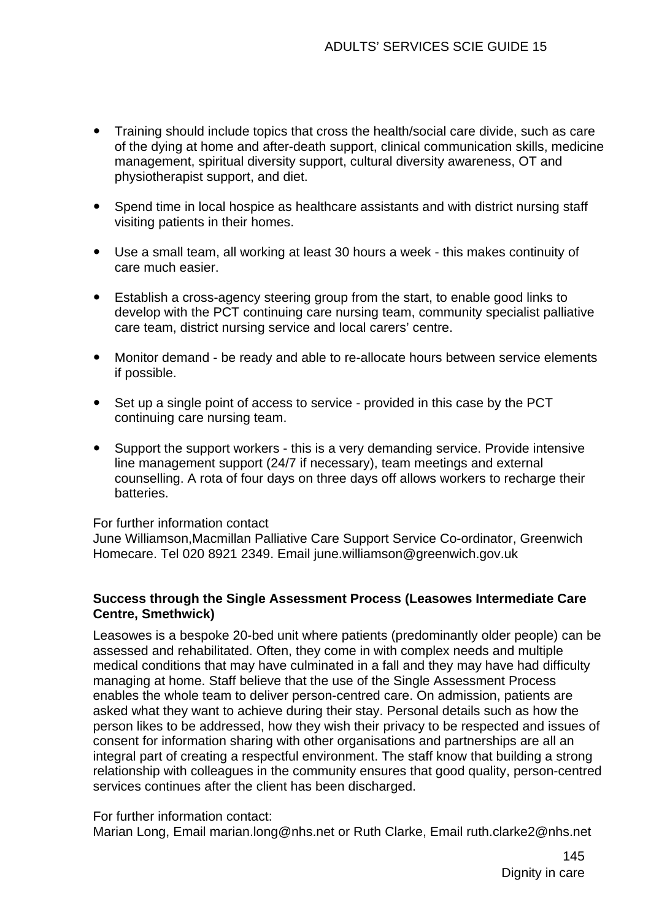- Training should include topics that cross the health/social care divide, such as care of the dying at home and after-death support, clinical communication skills, medicine management, spiritual diversity support, cultural diversity awareness, OT and physiotherapist support, and diet.
- Spend time in local hospice as healthcare assistants and with district nursing staff visiting patients in their homes.
- Use a small team, all working at least 30 hours a week this makes continuity of care much easier.
- Establish a cross-agency steering group from the start, to enable good links to develop with the PCT continuing care nursing team, community specialist palliative care team, district nursing service and local carers' centre.
- Monitor demand be ready and able to re-allocate hours between service elements if possible.
- Set up a single point of access to service provided in this case by the PCT continuing care nursing team.
- Support the support workers this is a very demanding service. Provide intensive line management support (24/7 if necessary), team meetings and external counselling. A rota of four days on three days off allows workers to recharge their batteries.

For further information contact

June Williamson,Macmillan Palliative Care Support Service Co-ordinator, Greenwich Homecare. Tel 020 8921 2349. Email [june.williamson@greenwich.gov.uk](mailto:june.williamson@greenwich.gov.uk) 

## **Success through the Single Assessment Process (Leasowes Intermediate Care Centre, Smethwick)**

Leasowes is a bespoke 20-bed unit where patients (predominantly older people) can be assessed and rehabilitated. Often, they come in with complex needs and multiple medical conditions that may have culminated in a fall and they may have had difficulty managing at home. Staff believe that the use of the [Single Assessment Process](http://www.dh.gov.uk/PolicyAndGuidance/HealthAndSocialCareTopics/SocialCare/SingleAssessmentProcess/fs/en)  enables the whole team to deliver person-centred care. On admission, patients are asked what they want to achieve during their stay. Personal details such as how the person likes to be addressed, how they wish their privacy to be respected and issues of consent for information sharing with other organisations and partnerships are all an integral part of creating a respectful environment. The staff know that building a strong relationship with colleagues in the community ensures that good quality, person-centred services continues after the client has been discharged.

For further information contact:

Marian Long, Email [marian.long@nhs.net](mailto:marian.long@nhs.net) or Ruth Clarke, Email [ruth.clarke2@nhs.net](mailto:ruth.clarke2@nhs.net)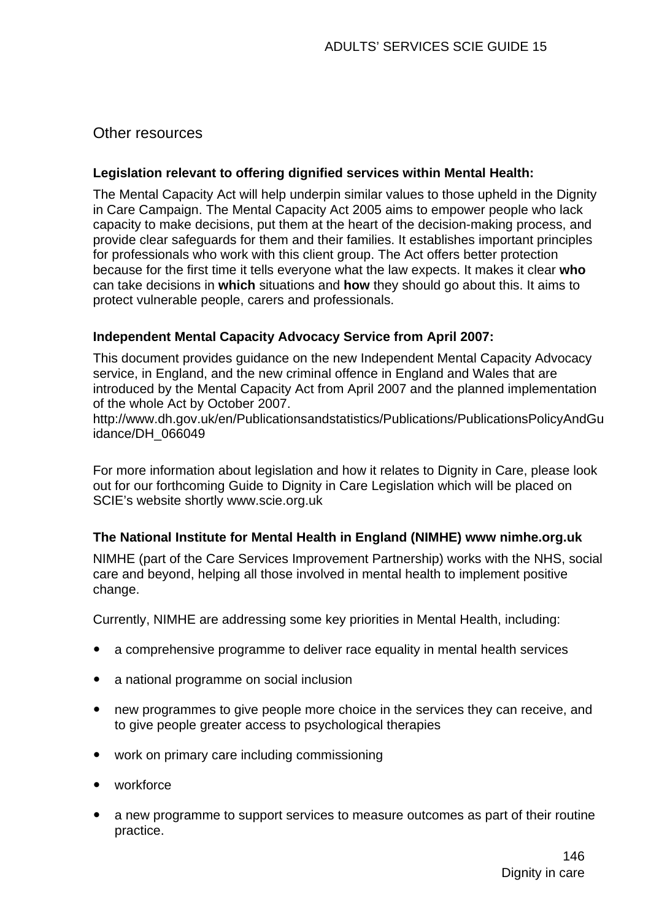## Other resources

### **Legislation relevant to offering dignified services within Mental Health:**

The Mental Capacity Act will help underpin similar values to those upheld in the Dignity in Care Campaign. The Mental Capacity Act 2005 aims to empower people who lack capacity to make decisions, put them at the heart of the decision-making process, and provide clear safeguards for them and their families. It establishes important principles for professionals who work with this client group. The Act offers better protection because for the first time it tells everyone what the law expects. It makes it clear **who** can take decisions in **which** situations and **how** they should go about this. It aims to protect vulnerable people, carers and professionals.

## **Independent Mental Capacity Advocacy Service from April 2007:**

This document provides guidance on the new Independent Mental Capacity Advocacy service, in England, and the new criminal offence in England and Wales that are introduced by the Mental Capacity Act from April 2007 and the planned implementation of the whole Act by October 2007.

http://www.dh.gov.uk/en/Publicationsandstatistics/Publications/PublicationsPolicyAndGu idance/DH\_066049

For more information about legislation and how it relates to Dignity in Care, please look out for our forthcoming Guide to Dignity in Care Legislation which will be placed on SCIE's website shortly www.scie.org.uk

## **The National Institute for Mental Health in England (NIMHE) www nimhe.org.uk**

NIMHE (part of the Care Services Improvement Partnership) works with the NHS, social care and beyond, helping all those involved in mental health to implement positive change.

Currently, NIMHE are addressing some key priorities in Mental Health, including:

- a comprehensive programme to deliver race equality in mental health services
- a national programme on social inclusion
- new programmes to give people more choice in the services they can receive, and to give people greater access to psychological therapies
- work on primary care including commissioning
- $\bullet$  workforce
- a new programme to support services to measure outcomes as part of their routine practice.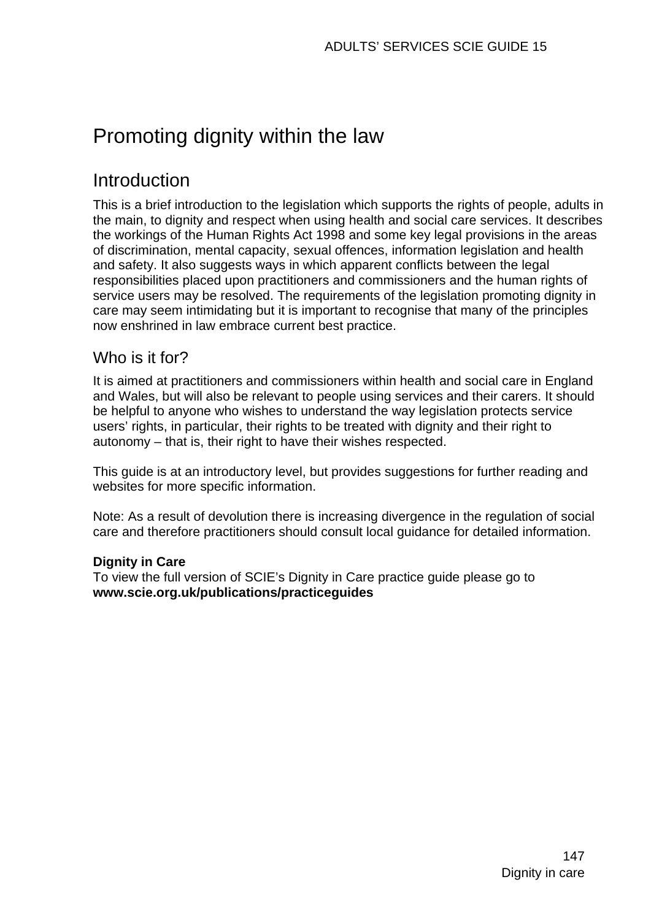# Promoting dignity within the law

# Introduction

This is a brief introduction to the legislation which supports the rights of people, adults in the main, to dignity and respect when using health and social care services. It describes the workings of the Human Rights Act 1998 and some key legal provisions in the areas of discrimination, mental capacity, sexual offences, information legislation and health and safety. It also suggests ways in which apparent conflicts between the legal responsibilities placed upon practitioners and commissioners and the human rights of service users may be resolved. The requirements of the legislation promoting dignity in care may seem intimidating but it is important to recognise that many of the principles now enshrined in law embrace current best practice.

# Who is it for?

It is aimed at practitioners and commissioners within health and social care in England and Wales, but will also be relevant to people using services and their carers. It should be helpful to anyone who wishes to understand the way legislation protects service users' rights, in particular, their rights to be treated with dignity and their right to autonomy – that is, their right to have their wishes respected.

This guide is at an introductory level, but provides suggestions for further reading and websites for more specific information.

Note: As a result of devolution there is increasing divergence in the regulation of social care and therefore practitioners should consult local guidance for detailed information.

## **Dignity in Care**

To view the full version of SCIE's Dignity in Care practice guide please go to **www.scie.org.uk/publications/practiceguides**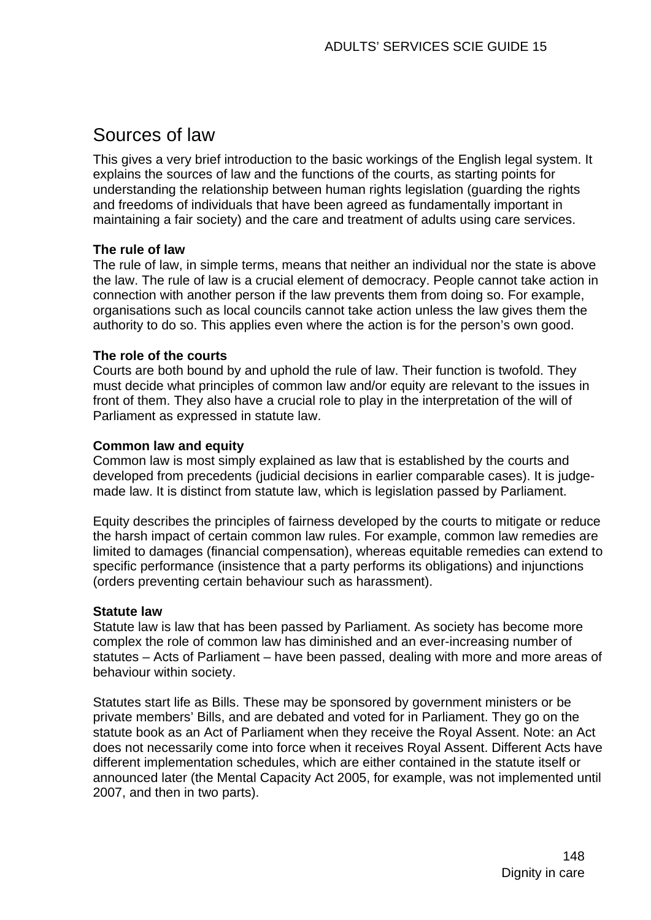# Sources of law

This gives a very brief introduction to the basic workings of the English legal system. It explains the sources of law and the functions of the courts, as starting points for understanding the relationship between human rights legislation (guarding the rights and freedoms of individuals that have been agreed as fundamentally important in maintaining a fair society) and the care and treatment of adults using care services.

## **The rule of law**

The rule of law, in simple terms, means that neither an individual nor the state is above the law. The rule of law is a crucial element of democracy. People cannot take action in connection with another person if the law prevents them from doing so. For example, organisations such as local councils cannot take action unless the law gives them the authority to do so. This applies even where the action is for the person's own good.

### **The role of the courts**

Courts are both bound by and uphold the rule of law. Their function is twofold. They must decide what principles of common law and/or equity are relevant to the issues in front of them. They also have a crucial role to play in the interpretation of the will of Parliament as expressed in statute law.

### **Common law and equity**

Common law is most simply explained as law that is established by the courts and developed from precedents (judicial decisions in earlier comparable cases). It is judgemade law. It is distinct from statute law, which is legislation passed by Parliament.

Equity describes the principles of fairness developed by the courts to mitigate or reduce the harsh impact of certain common law rules. For example, common law remedies are limited to damages (financial compensation), whereas equitable remedies can extend to specific performance (insistence that a party performs its obligations) and injunctions (orders preventing certain behaviour such as harassment).

## **Statute law**

Statute law is law that has been passed by Parliament. As society has become more complex the role of common law has diminished and an ever-increasing number of statutes – Acts of Parliament – have been passed, dealing with more and more areas of behaviour within society.

Statutes start life as Bills. These may be sponsored by government ministers or be private members' Bills, and are debated and voted for in Parliament. They go on the statute book as an Act of Parliament when they receive the Royal Assent. Note: an Act does not necessarily come into force when it receives Royal Assent. Different Acts have different implementation schedules, which are either contained in the statute itself or announced later (the Mental Capacity Act 2005, for example, was not implemented until 2007, and then in two parts).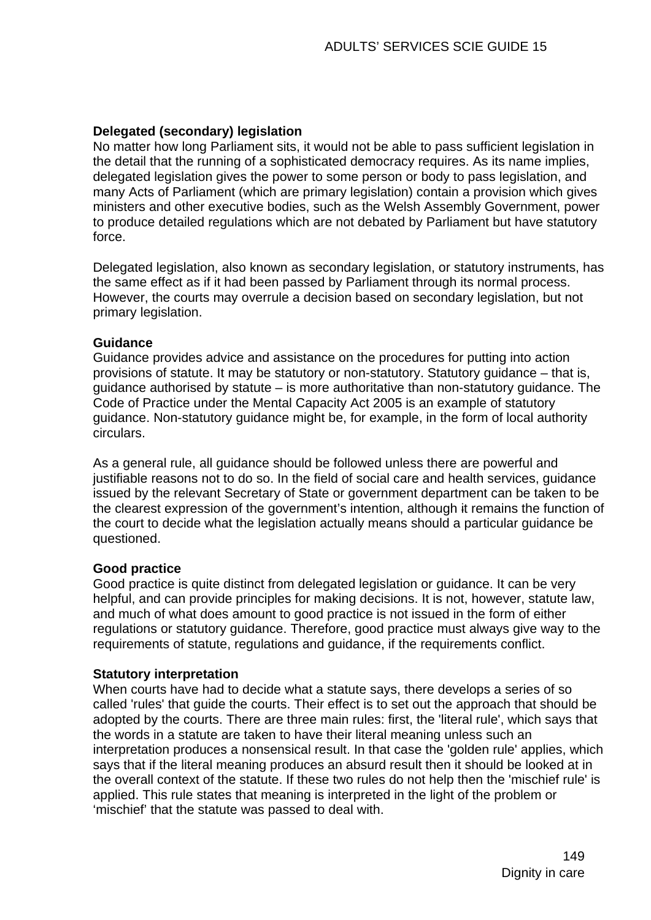## **Delegated (secondary) legislation**

No matter how long Parliament sits, it would not be able to pass sufficient legislation in the detail that the running of a sophisticated democracy requires. As its name implies, delegated legislation gives the power to some person or body to pass legislation, and many Acts of Parliament (which are primary legislation) contain a provision which gives ministers and other executive bodies, such as the Welsh Assembly Government, power to produce detailed regulations which are not debated by Parliament but have statutory force.

Delegated legislation, also known as secondary legislation, or statutory instruments, has the same effect as if it had been passed by Parliament through its normal process. However, the courts may overrule a decision based on secondary legislation, but not primary legislation.

## **Guidance**

Guidance provides advice and assistance on the procedures for putting into action provisions of statute. It may be statutory or non-statutory. Statutory guidance – that is, guidance authorised by statute – is more authoritative than non-statutory guidance. The Code of Practice under the Mental Capacity Act 2005 is an example of statutory guidance. Non-statutory guidance might be, for example, in the form of local authority circulars.

As a general rule, all guidance should be followed unless there are powerful and justifiable reasons not to do so. In the field of social care and health services, guidance issued by the relevant Secretary of State or government department can be taken to be the clearest expression of the government's intention, although it remains the function of the court to decide what the legislation actually means should a particular guidance be questioned.

## **Good practice**

Good practice is quite distinct from delegated legislation or guidance. It can be very helpful, and can provide principles for making decisions. It is not, however, statute law, and much of what does amount to good practice is not issued in the form of either regulations or statutory guidance. Therefore, good practice must always give way to the requirements of statute, regulations and guidance, if the requirements conflict.

### **Statutory interpretation**

When courts have had to decide what a statute says, there develops a series of so called 'rules' that guide the courts. Their effect is to set out the approach that should be adopted by the courts. There are three main rules: first, the 'literal rule', which says that the words in a statute are taken to have their literal meaning unless such an interpretation produces a nonsensical result. In that case the 'golden rule' applies, which says that if the literal meaning produces an absurd result then it should be looked at in the overall context of the statute. If these two rules do not help then the 'mischief rule' is applied. This rule states that meaning is interpreted in the light of the problem or 'mischief' that the statute was passed to deal with.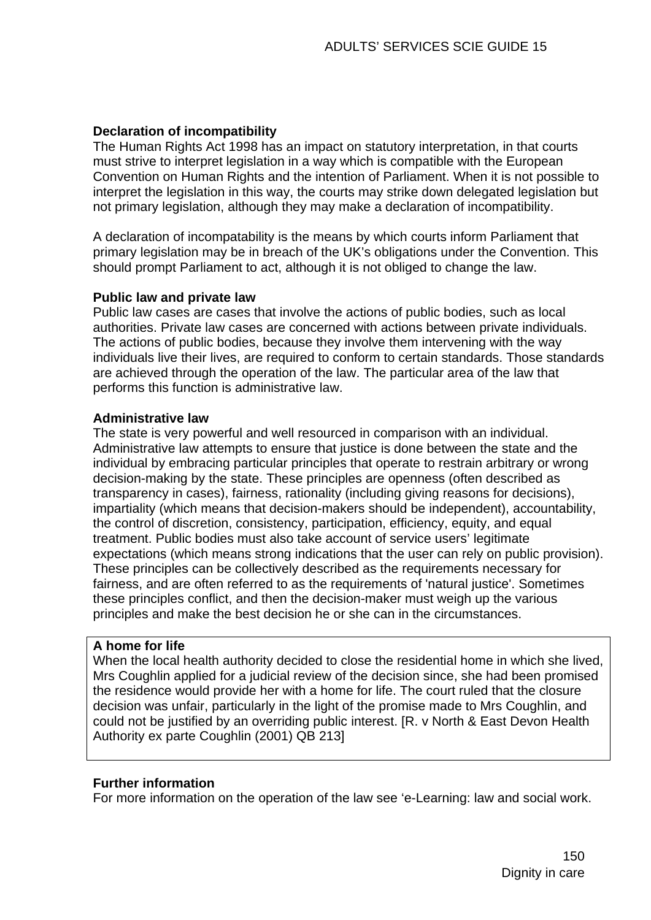## **Declaration of incompatibility**

The Human Rights Act 1998 has an impact on statutory interpretation, in that courts must strive to interpret legislation in a way which is compatible with the European Convention on Human Rights and the intention of Parliament. When it is not possible to interpret the legislation in this way, the courts may strike down delegated legislation but not primary legislation, although they may make a declaration of incompatibility.

A declaration of incompatability is the means by which courts inform Parliament that primary legislation may be in breach of the UK's obligations under the Convention. This should prompt Parliament to act, although it is not obliged to change the law.

### **Public law and private law**

Public law cases are cases that involve the actions of public bodies, such as local authorities. Private law cases are concerned with actions between private individuals. The actions of public bodies, because they involve them intervening with the way individuals live their lives, are required to conform to certain standards. Those standards are achieved through the operation of the law. The particular area of the law that performs this function is administrative law.

### **Administrative law**

The state is very powerful and well resourced in comparison with an individual. Administrative law attempts to ensure that justice is done between the state and the individual by embracing particular principles that operate to restrain arbitrary or wrong decision-making by the state. These principles are openness (often described as transparency in cases), fairness, rationality (including giving reasons for decisions), impartiality (which means that decision-makers should be independent), accountability, the control of discretion, consistency, participation, efficiency, equity, and equal treatment. Public bodies must also take account of service users' legitimate expectations (which means strong indications that the user can rely on public provision). These principles can be collectively described as the requirements necessary for fairness, and are often referred to as the requirements of 'natural justice'. Sometimes these principles conflict, and then the decision-maker must weigh up the various principles and make the best decision he or she can in the circumstances.

### **A home for life**

When the local health authority decided to close the residential home in which she lived, Mrs Coughlin applied for a judicial review of the decision since, she had been promised the residence would provide her with a home for life. The court ruled that the closure decision was unfair, particularly in the light of the promise made to Mrs Coughlin, and could not be justified by an overriding public interest. [R. v North & East Devon Health Authority ex parte Coughlin (2001) QB 213]

## **Further information**

For more information on the operation of the law see 'e-Learning: law and social work.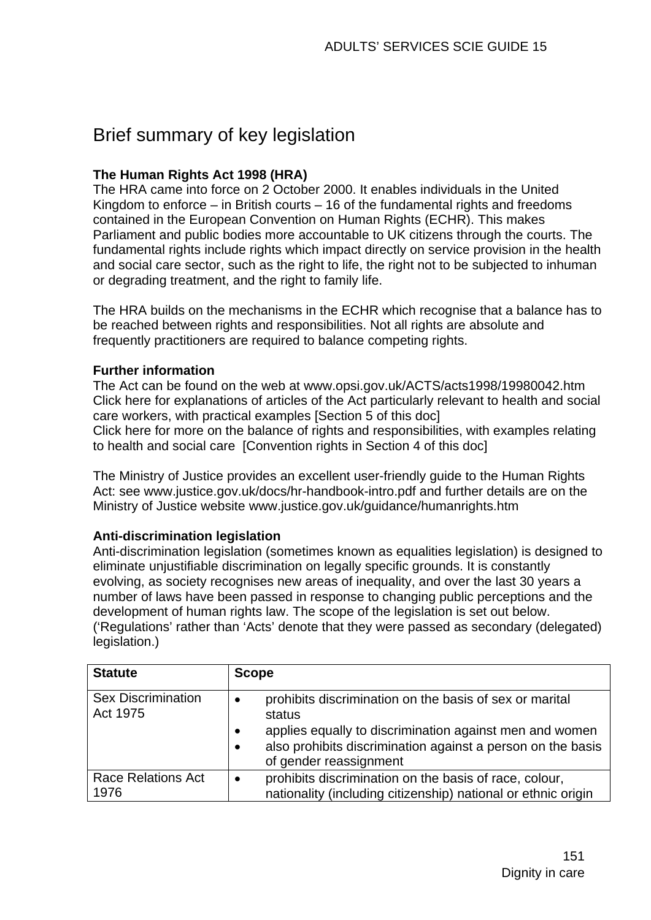# Brief summary of key legislation

## **The Human Rights Act 1998 (HRA)**

The HRA came into force on 2 October 2000. It enables individuals in the United Kingdom to enforce  $-$  in British courts  $-16$  of the fundamental rights and freedoms contained in the European Convention on Human Rights (ECHR). This makes Parliament and public bodies more accountable to UK citizens through the courts. The fundamental rights include rights which impact directly on service provision in the health and social care sector, such as the right to life, the right not to be subjected to inhuman or degrading treatment, and the right to family life.

The HRA builds on the mechanisms in the ECHR which recognise that a balance has to be reached between rights and responsibilities. Not all rights are absolute and frequently practitioners are required to balance competing rights.

## **Further information**

The Act can be found on the web at www.opsi.gov.uk/ACTS/acts1998/19980042.htm Click here for explanations of articles of the Act particularly relevant to health and social care workers, with practical examples [Section 5 of this doc] Click here for more on the balance of rights and responsibilities, with examples relating to health and social care [Convention rights in Section 4 of this doc]

The Ministry of Justice provides an excellent user-friendly guide to the Human Rights Act: see [www.justice.gov.uk/docs/hr-handbook-intro.pdf](http://www.justice.gov.uk/docs/hr-handbook-intro.pdf) and further details are on the Ministry of Justice website [www.justice.gov.uk/guidance/humanrights.htm](http://www.justice.gov.uk/guidance/humanrights.htm) 

## **Anti-discrimination legislation**

Anti-discrimination legislation (sometimes known as equalities legislation) is designed to eliminate unjustifiable discrimination on legally specific grounds. It is constantly evolving, as society recognises new areas of inequality, and over the last 30 years a number of laws have been passed in response to changing public perceptions and the development of human rights law. The scope of the legislation is set out below. ('Regulations' rather than 'Acts' denote that they were passed as secondary (delegated) legislation.)

| <b>Statute</b>                        | <b>Scope</b>                                                                                                                                                                                                                                    |
|---------------------------------------|-------------------------------------------------------------------------------------------------------------------------------------------------------------------------------------------------------------------------------------------------|
| <b>Sex Discrimination</b><br>Act 1975 | prohibits discrimination on the basis of sex or marital<br>status<br>applies equally to discrimination against men and women<br>$\bullet$<br>also prohibits discrimination against a person on the basis<br>$\bullet$<br>of gender reassignment |
| <b>Race Relations Act</b><br>1976     | prohibits discrimination on the basis of race, colour,<br>nationality (including citizenship) national or ethnic origin                                                                                                                         |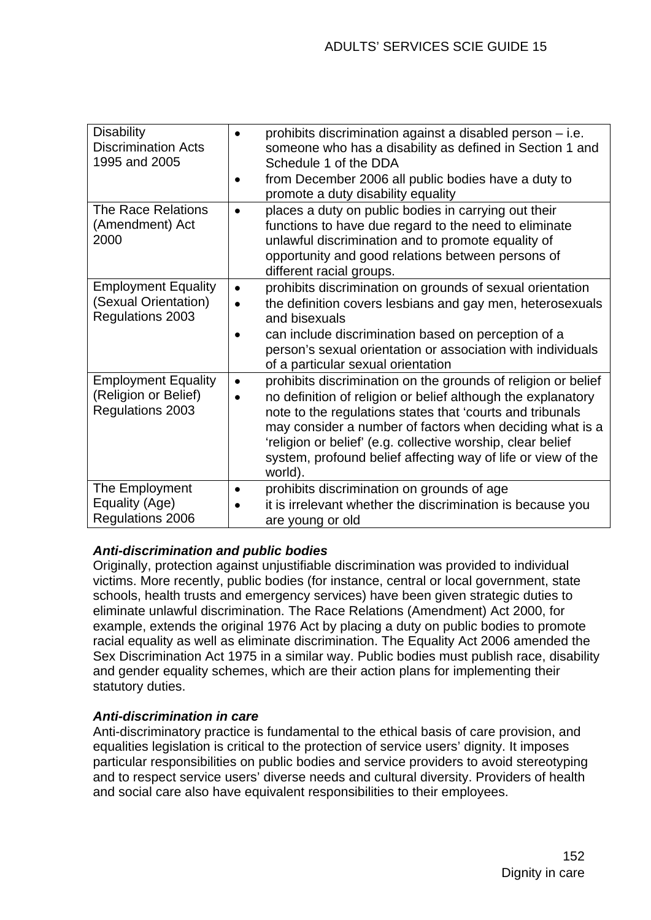| <b>Disability</b><br><b>Discrimination Acts</b><br>1995 and 2005       |                        | prohibits discrimination against a disabled person – i.e.<br>someone who has a disability as defined in Section 1 and<br>Schedule 1 of the DDA<br>from December 2006 all public bodies have a duty to<br>promote a duty disability equality                                                                                                                                                      |
|------------------------------------------------------------------------|------------------------|--------------------------------------------------------------------------------------------------------------------------------------------------------------------------------------------------------------------------------------------------------------------------------------------------------------------------------------------------------------------------------------------------|
| <b>The Race Relations</b><br>(Amendment) Act<br>2000                   | $\bullet$              | places a duty on public bodies in carrying out their<br>functions to have due regard to the need to eliminate<br>unlawful discrimination and to promote equality of<br>opportunity and good relations between persons of<br>different racial groups.                                                                                                                                             |
| <b>Employment Equality</b><br>(Sexual Orientation)<br>Regulations 2003 | $\bullet$              | prohibits discrimination on grounds of sexual orientation<br>the definition covers lesbians and gay men, heterosexuals<br>and bisexuals<br>can include discrimination based on perception of a<br>person's sexual orientation or association with individuals<br>of a particular sexual orientation                                                                                              |
| <b>Employment Equality</b><br>(Religion or Belief)<br>Regulations 2003 | $\bullet$<br>$\bullet$ | prohibits discrimination on the grounds of religion or belief<br>no definition of religion or belief although the explanatory<br>note to the regulations states that 'courts and tribunals<br>may consider a number of factors when deciding what is a<br>'religion or belief' (e.g. collective worship, clear belief<br>system, profound belief affecting way of life or view of the<br>world). |
| The Employment<br>Equality (Age)<br><b>Regulations 2006</b>            |                        | prohibits discrimination on grounds of age<br>it is irrelevant whether the discrimination is because you<br>are young or old                                                                                                                                                                                                                                                                     |

## *Anti-discrimination and public bodies*

Originally, protection against unjustifiable discrimination was provided to individual victims. More recently, public bodies (for instance, central or local government, state schools, health trusts and emergency services) have been given strategic duties to eliminate unlawful discrimination. The Race Relations (Amendment) Act 2000, for example, extends the original 1976 Act by placing a duty on public bodies to promote racial equality as well as eliminate discrimination. The Equality Act 2006 amended the Sex Discrimination Act 1975 in a similar way. Public bodies must publish race, disability and gender equality schemes, which are their action plans for implementing their statutory duties.

## *Anti-discrimination in care*

Anti-discriminatory practice is fundamental to the ethical basis of care provision, and equalities legislation is critical to the protection of service users' dignity. It imposes particular responsibilities on public bodies and service providers to avoid stereotyping and to respect service users' diverse needs and cultural diversity. Providers of health and social care also have equivalent responsibilities to their employees.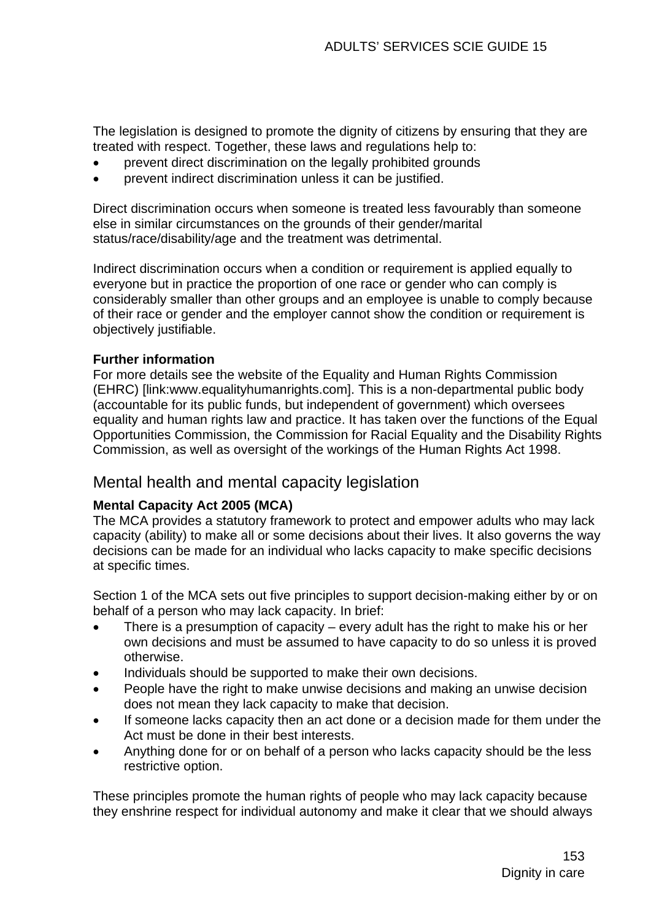The legislation is designed to promote the dignity of citizens by ensuring that they are treated with respect. Together, these laws and regulations help to:

- prevent direct discrimination on the legally prohibited grounds
- prevent indirect discrimination unless it can be justified.

Direct discrimination occurs when someone is treated less favourably than someone else in similar circumstances on the grounds of their gender/marital status/race/disability/age and the treatment was detrimental.

Indirect discrimination occurs when a condition or requirement is applied equally to everyone but in practice the proportion of one race or gender who can comply is considerably smaller than other groups and an employee is unable to comply because of their race or gender and the employer cannot show the condition or requirement is obiectively justifiable.

## **Further information**

For more details see the website of the Equality and Human Rights Commission (EHRC) [link:www.equalityhumanrights.com]. This is a non-departmental public body (accountable for its public funds, but independent of government) which oversees equality and human rights law and practice. It has taken over the functions of the Equal Opportunities Commission, the Commission for Racial Equality and the Disability Rights Commission, as well as oversight of the workings of the Human Rights Act 1998.

## Mental health and mental capacity legislation

## **Mental Capacity Act 2005 (MCA)**

The MCA provides a statutory framework to protect and empower adults who may lack capacity (ability) to make all or some decisions about their lives. It also governs the way decisions can be made for an individual who lacks capacity to make specific decisions at specific times.

Section 1 of the MCA sets out five principles to support decision-making either by or on behalf of a person who may lack capacity. In brief:

- There is a presumption of capacity  $-$  every adult has the right to make his or her own decisions and must be assumed to have capacity to do so unless it is proved otherwise.
- Individuals should be supported to make their own decisions.
- People have the right to make unwise decisions and making an unwise decision does not mean they lack capacity to make that decision.
- If someone lacks capacity then an act done or a decision made for them under the Act must be done in their best interests.
- Anything done for or on behalf of a person who lacks capacity should be the less restrictive option.

These principles promote the human rights of people who may lack capacity because they enshrine respect for individual autonomy and make it clear that we should always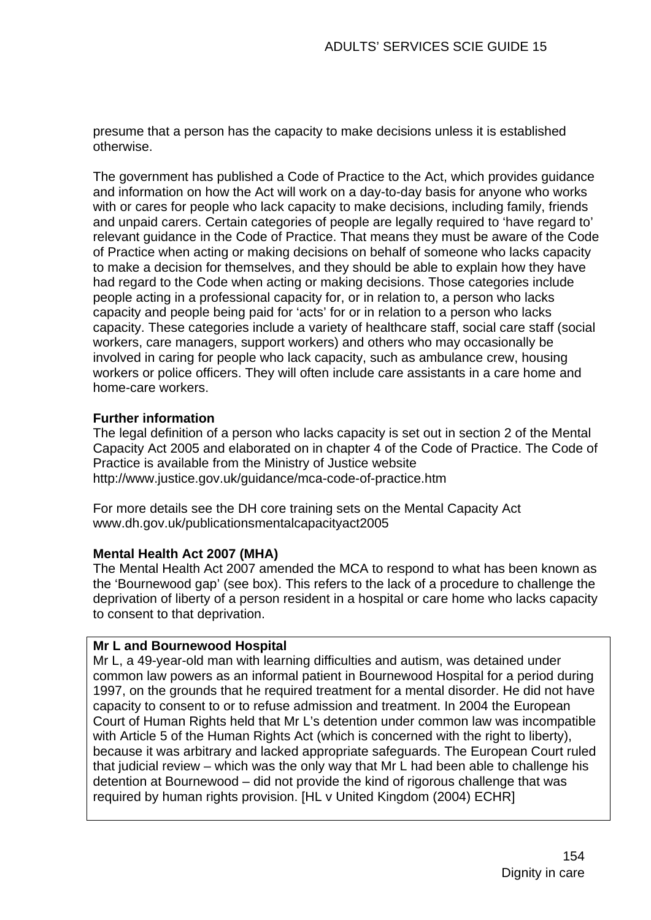presume that a person has the capacity to make decisions unless it is established otherwise.

The government has published a Code of Practice to the Act, which provides guidance and information on how the Act will work on a day-to-day basis for anyone who works with or cares for people who lack capacity to make decisions, including family, friends and unpaid carers. Certain categories of people are legally required to 'have regard to' relevant guidance in the Code of Practice. That means they must be aware of the Code of Practice when acting or making decisions on behalf of someone who lacks capacity to make a decision for themselves, and they should be able to explain how they have had regard to the Code when acting or making decisions. Those categories include people acting in a professional capacity for, or in relation to, a person who lacks capacity and people being paid for 'acts' for or in relation to a person who lacks capacity. These categories include a variety of healthcare staff, social care staff (social workers, care managers, support workers) and others who may occasionally be involved in caring for people who lack capacity, such as ambulance crew, housing workers or police officers. They will often include care assistants in a care home and home-care workers.

## **Further information**

The legal definition of a person who lacks capacity is set out in section 2 of the Mental Capacity Act 2005 and elaborated on in chapter 4 of the Code of Practice. The Code of Practice is available from the Ministry of Justice website <http://www.justice.gov.uk/guidance/mca-code-of-practice.htm>

For more details see the DH core training sets on the Mental Capacity Act [www.dh.gov.uk/publicationsmentalcapacityact2005](http://www.dh.gov.uk/publicationsmentalcapacityact2005) 

## **Mental Health Act 2007 (MHA)**

The Mental Health Act 2007 amended the MCA to respond to what has been known as the 'Bournewood gap' (see box). This refers to the lack of a procedure to challenge the deprivation of liberty of a person resident in a hospital or care home who lacks capacity to consent to that deprivation.

## **Mr L and Bournewood Hospital**

Mr L, a 49-year-old man with learning difficulties and autism, was detained under common law powers as an informal patient in Bournewood Hospital for a period during 1997, on the grounds that he required treatment for a mental disorder. He did not have capacity to consent to or to refuse admission and treatment. In 2004 the European Court of Human Rights held that Mr L's detention under common law was incompatible with Article 5 of the Human Rights Act (which is concerned with the right to liberty), because it was arbitrary and lacked appropriate safeguards. The European Court ruled that judicial review – which was the only way that Mr L had been able to challenge his detention at Bournewood – did not provide the kind of rigorous challenge that was required by human rights provision. [HL v United Kingdom (2004) ECHR]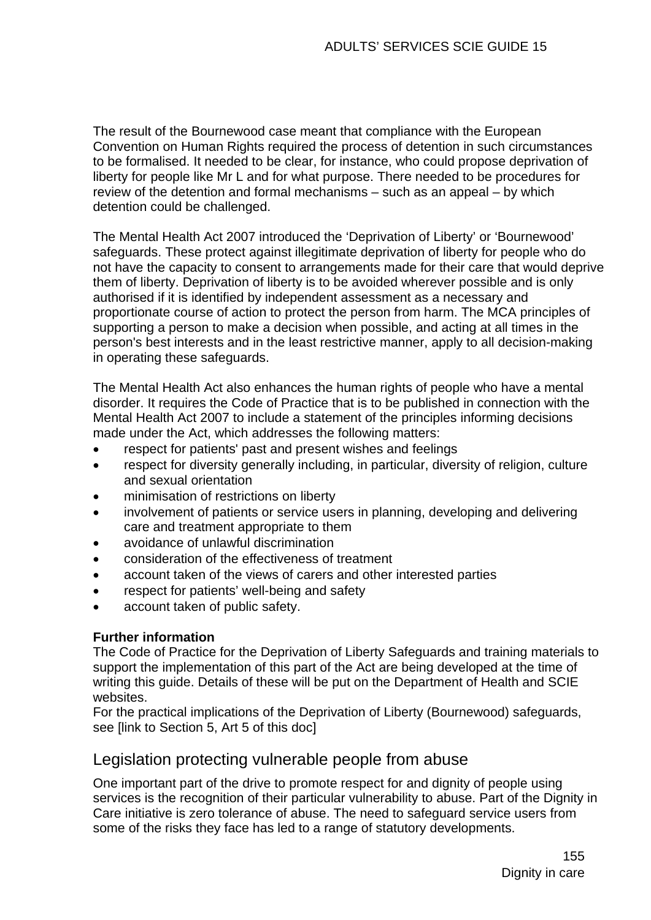The result of the Bournewood case meant that compliance with the European Convention on Human Rights required the process of detention in such circumstances to be formalised. It needed to be clear, for instance, who could propose deprivation of liberty for people like Mr L and for what purpose. There needed to be procedures for review of the detention and formal mechanisms – such as an appeal – by which detention could be challenged.

The Mental Health Act 2007 introduced the 'Deprivation of Liberty' or 'Bournewood' safeguards. These protect against illegitimate deprivation of liberty for people who do not have the capacity to consent to arrangements made for their care that would deprive them of liberty. Deprivation of liberty is to be avoided wherever possible and is only authorised if it is identified by independent assessment as a necessary and proportionate course of action to protect the person from harm. The MCA principles of supporting a person to make a decision when possible, and acting at all times in the person's best interests and in the least restrictive manner, apply to all decision-making in operating these safeguards.

The Mental Health Act also enhances the human rights of people who have a mental disorder. It requires the Code of Practice that is to be published in connection with the Mental Health Act 2007 to include a statement of the principles informing decisions made under the Act, which addresses the following matters:

- respect for patients' past and present wishes and feelings
- respect for diversity generally including, in particular, diversity of religion, culture and sexual orientation
- minimisation of restrictions on liberty
- involvement of patients or service users in planning, developing and delivering care and treatment appropriate to them
- avoidance of unlawful discrimination
- consideration of the effectiveness of treatment
- account taken of the views of carers and other interested parties
- respect for patients' well-being and safety
- account taken of public safety.

## **Further information**

The Code of Practice for the Deprivation of Liberty Safeguards and training materials to support the implementation of this part of the Act are being developed at the time of writing this guide. Details of these will be put on the Department of Health and SCIE websites.

For the practical implications of the Deprivation of Liberty (Bournewood) safeguards, see [link to Section 5, Art 5 of this doc]

# Legislation protecting vulnerable people from abuse

One important part of the drive to promote respect for and dignity of people using services is the recognition of their particular vulnerability to abuse. Part of the Dignity in Care initiative is zero tolerance of abuse. The need to safeguard service users from some of the risks they face has led to a range of statutory developments.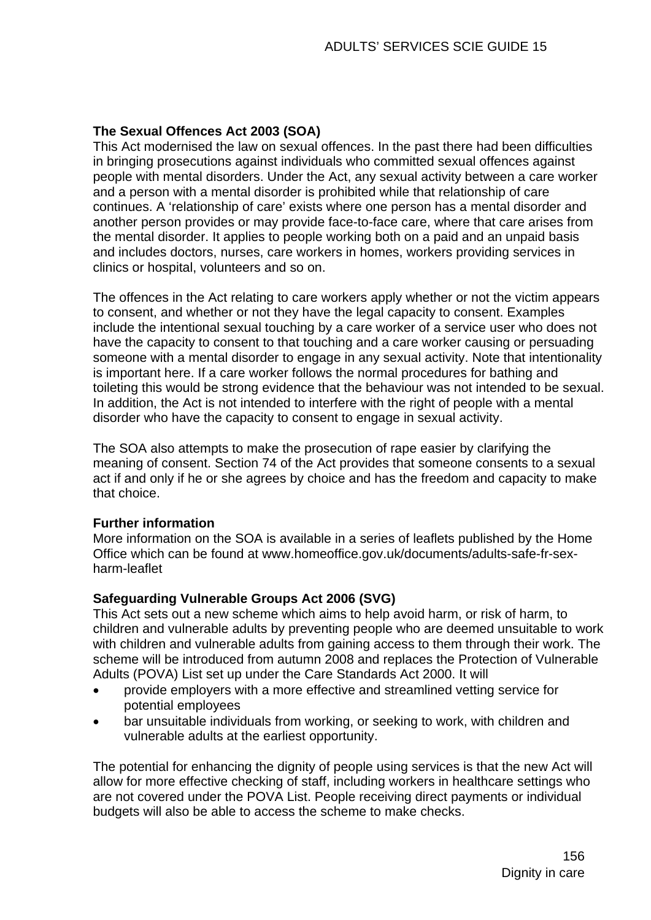## **The Sexual Offences Act 2003 (SOA)**

This Act modernised the law on sexual offences. In the past there had been difficulties in bringing prosecutions against individuals who committed sexual offences against people with mental disorders. Under the Act, any sexual activity between a care worker and a person with a mental disorder is prohibited while that relationship of care continues. A 'relationship of care' exists where one person has a mental disorder and another person provides or may provide face-to-face care, where that care arises from the mental disorder. It applies to people working both on a paid and an unpaid basis and includes doctors, nurses, care workers in homes, workers providing services in clinics or hospital, volunteers and so on.

The offences in the Act relating to care workers apply whether or not the victim appears to consent, and whether or not they have the legal capacity to consent. Examples include the intentional sexual touching by a care worker of a service user who does not have the capacity to consent to that touching and a care worker causing or persuading someone with a mental disorder to engage in any sexual activity. Note that intentionality is important here. If a care worker follows the normal procedures for bathing and toileting this would be strong evidence that the behaviour was not intended to be sexual. In addition, the Act is not intended to interfere with the right of people with a mental disorder who have the capacity to consent to engage in sexual activity.

The SOA also attempts to make the prosecution of rape easier by clarifying the meaning of consent. Section 74 of the Act provides that someone consents to a sexual act if and only if he or she agrees by choice and has the freedom and capacity to make that choice.

## **Further information**

More information on the SOA is available in a series of leaflets published by the Home Office which can be found at www.homeoffice.gov.uk/documents/adults-safe-fr-sexharm-leaflet

## **Safeguarding Vulnerable Groups Act 2006 (SVG)**

This Act sets out a new scheme which aims to help avoid harm, or risk of harm, to children and vulnerable adults by preventing people who are deemed unsuitable to work with children and vulnerable adults from gaining access to them through their work. The scheme will be introduced from autumn 2008 and replaces the Protection of Vulnerable Adults (POVA) List set up under the Care Standards Act 2000. It will

- provide employers with a more effective and streamlined vetting service for potential employees
- bar unsuitable individuals from working, or seeking to work, with children and vulnerable adults at the earliest opportunity.

The potential for enhancing the dignity of people using services is that the new Act will allow for more effective checking of staff, including workers in healthcare settings who are not covered under the POVA List. People receiving direct payments or individual budgets will also be able to access the scheme to make checks.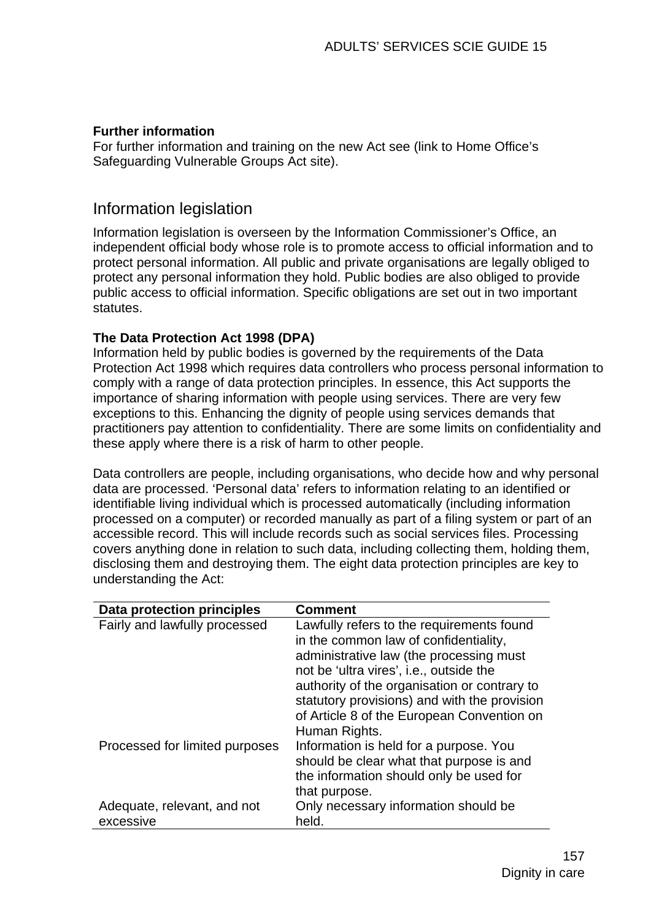## **Further information**

For further information and training on the new Act see (link to Home Office's Safeguarding Vulnerable Groups Act site).

## Information legislation

Information legislation is overseen by the Information Commissioner's Office, an independent official body whose role is to promote access to official information and to protect personal information. All public and private organisations are legally obliged to protect any personal information they hold. Public bodies are also obliged to provide public access to official information. Specific obligations are set out in two important statutes.

## **The Data Protection Act 1998 (DPA)**

Information held by public bodies is governed by the requirements of the Data Protection Act 1998 which requires data controllers who process personal information to comply with a range of data protection principles. In essence, this Act supports the importance of sharing information with people using services. There are very few exceptions to this. Enhancing the dignity of people using services demands that practitioners pay attention to confidentiality. There are some limits on confidentiality and these apply where there is a risk of harm to other people.

Data controllers are people, including organisations, who decide how and why personal data are processed. 'Personal data' refers to information relating to an identified or identifiable living individual which is processed automatically (including information processed on a computer) or recorded manually as part of a filing system or part of an accessible record. This will include records such as social services files. Processing covers anything done in relation to such data, including collecting them, holding them, disclosing them and destroying them. The eight data protection principles are key to understanding the Act:

| Data protection principles     | <b>Comment</b>                                                                                                                                                                                                                                                                                                                          |
|--------------------------------|-----------------------------------------------------------------------------------------------------------------------------------------------------------------------------------------------------------------------------------------------------------------------------------------------------------------------------------------|
| Fairly and lawfully processed  | Lawfully refers to the requirements found<br>in the common law of confidentiality,<br>administrative law (the processing must<br>not be 'ultra vires', i.e., outside the<br>authority of the organisation or contrary to<br>statutory provisions) and with the provision<br>of Article 8 of the European Convention on<br>Human Rights. |
| Processed for limited purposes | Information is held for a purpose. You<br>should be clear what that purpose is and<br>the information should only be used for<br>that purpose.                                                                                                                                                                                          |
| Adequate, relevant, and not    | Only necessary information should be                                                                                                                                                                                                                                                                                                    |
| excessive                      | held.                                                                                                                                                                                                                                                                                                                                   |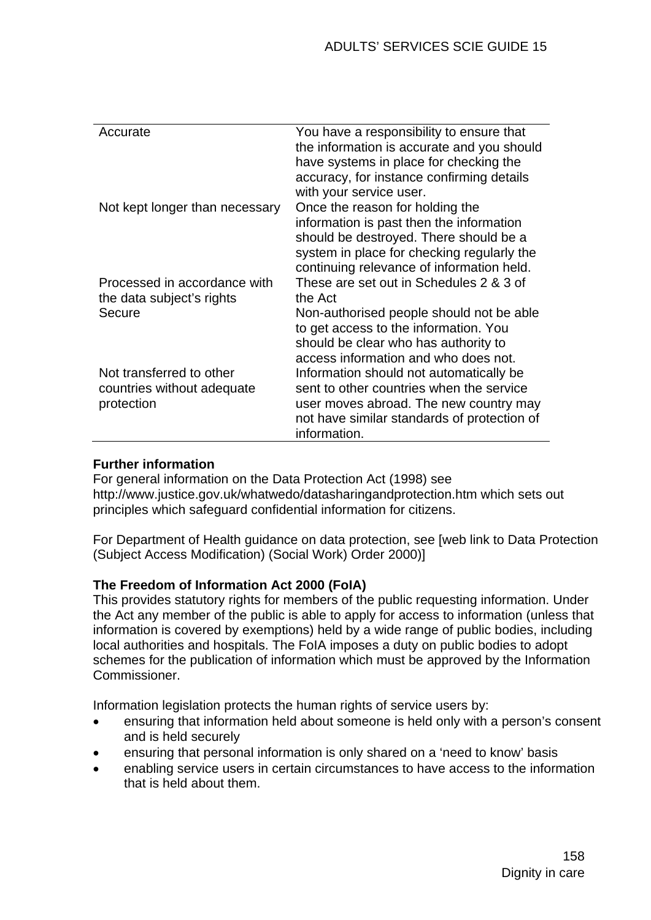| Accurate                       | You have a responsibility to ensure that    |
|--------------------------------|---------------------------------------------|
|                                | the information is accurate and you should  |
|                                | have systems in place for checking the      |
|                                | accuracy, for instance confirming details   |
|                                | with your service user.                     |
| Not kept longer than necessary | Once the reason for holding the             |
|                                | information is past then the information    |
|                                | should be destroyed. There should be a      |
|                                | system in place for checking regularly the  |
|                                | continuing relevance of information held.   |
| Processed in accordance with   | These are set out in Schedules 2 & 3 of     |
| the data subject's rights      | the Act                                     |
| Secure                         | Non-authorised people should not be able    |
|                                | to get access to the information. You       |
|                                | should be clear who has authority to        |
|                                | access information and who does not.        |
| Not transferred to other       | Information should not automatically be     |
| countries without adequate     | sent to other countries when the service    |
| protection                     | user moves abroad. The new country may      |
|                                | not have similar standards of protection of |
|                                | information.                                |

## **Further information**

For general information on the Data Protection Act (1998) see http://www.justice.gov.uk/whatwedo/datasharingandprotection.htm which sets out principles which safeguard confidential information for citizens.

For Department of Health guidance on data protection, see [web link to Data Protection (Subject Access Modification) (Social Work) Order 2000)]

## **The Freedom of Information Act 2000 (FoIA)**

This provides statutory rights for members of the public requesting information. Under the Act any member of the public is able to apply for access to information (unless that information is covered by exemptions) held by a wide range of public bodies, including local authorities and hospitals. The FoIA imposes a duty on public bodies to adopt schemes for the publication of information which must be approved by the Information Commissioner.

Information legislation protects the human rights of service users by:

- ensuring that information held about someone is held only with a person's consent and is held securely
- ensuring that personal information is only shared on a 'need to know' basis
- enabling service users in certain circumstances to have access to the information that is held about them.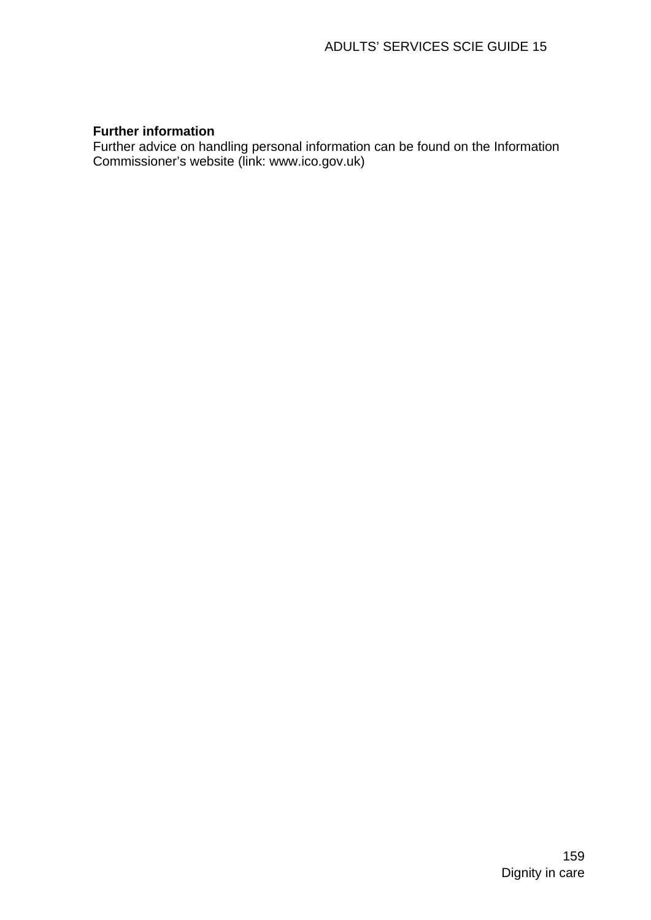## **Further information**

Further advice on handling personal information can be found on the Information Commissioner's website (link: www.ico.gov.uk)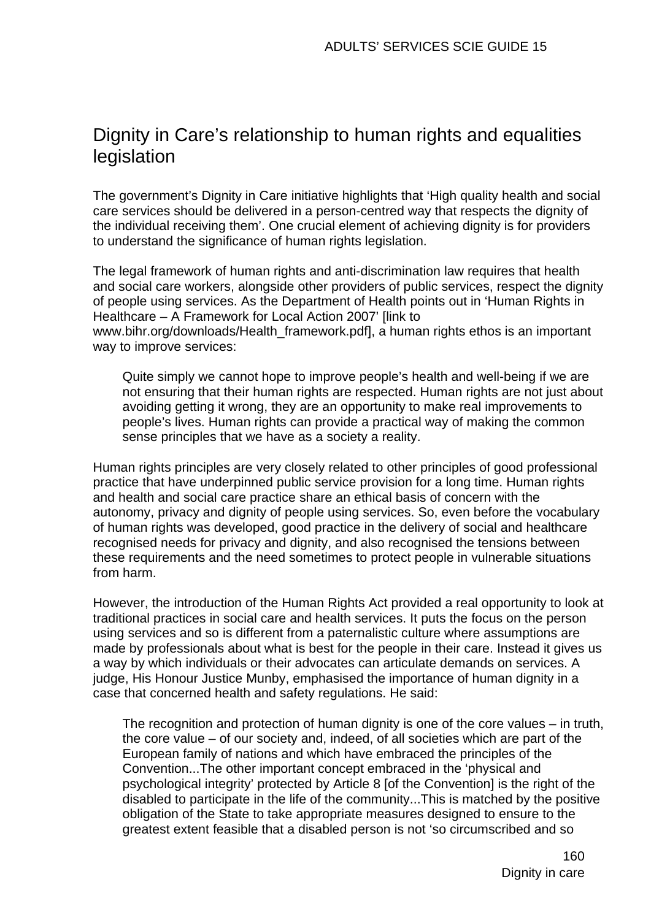# Dignity in Care's relationship to human rights and equalities legislation

The government's Dignity in Care initiative highlights that 'High quality health and social care services should be delivered in a person-centred way that respects the dignity of the individual receiving them'. One crucial element of achieving dignity is for providers to understand the significance of human rights legislation.

The legal framework of human rights and anti-discrimination law requires that health and social care workers, alongside other providers of public services, respect the dignity of people using services. As the Department of Health points out in 'Human Rights in Healthcare – A Framework for Local Action 2007' [link to www.bihr.org/downloads/Health\_framework.pdf], a human rights ethos is an important way to improve services:

Quite simply we cannot hope to improve people's health and well-being if we are not ensuring that their human rights are respected. Human rights are not just about avoiding getting it wrong, they are an opportunity to make real improvements to people's lives. Human rights can provide a practical way of making the common sense principles that we have as a society a reality.

Human rights principles are very closely related to other principles of good professional practice that have underpinned public service provision for a long time. Human rights and health and social care practice share an ethical basis of concern with the autonomy, privacy and dignity of people using services. So, even before the vocabulary of human rights was developed, good practice in the delivery of social and healthcare recognised needs for privacy and dignity, and also recognised the tensions between these requirements and the need sometimes to protect people in vulnerable situations from harm.

However, the introduction of the Human Rights Act provided a real opportunity to look at traditional practices in social care and health services. It puts the focus on the person using services and so is different from a paternalistic culture where assumptions are made by professionals about what is best for the people in their care. Instead it gives us a way by which individuals or their advocates can articulate demands on services. A judge, His Honour Justice Munby, emphasised the importance of human dignity in a case that concerned health and safety regulations. He said:

The recognition and protection of human dignity is one of the core values – in truth, the core value – of our society and, indeed, of all societies which are part of the European family of nations and which have embraced the principles of the Convention...The other important concept embraced in the 'physical and psychological integrity' protected by Article 8 [of the Convention] is the right of the disabled to participate in the life of the community...This is matched by the positive obligation of the State to take appropriate measures designed to ensure to the greatest extent feasible that a disabled person is not 'so circumscribed and so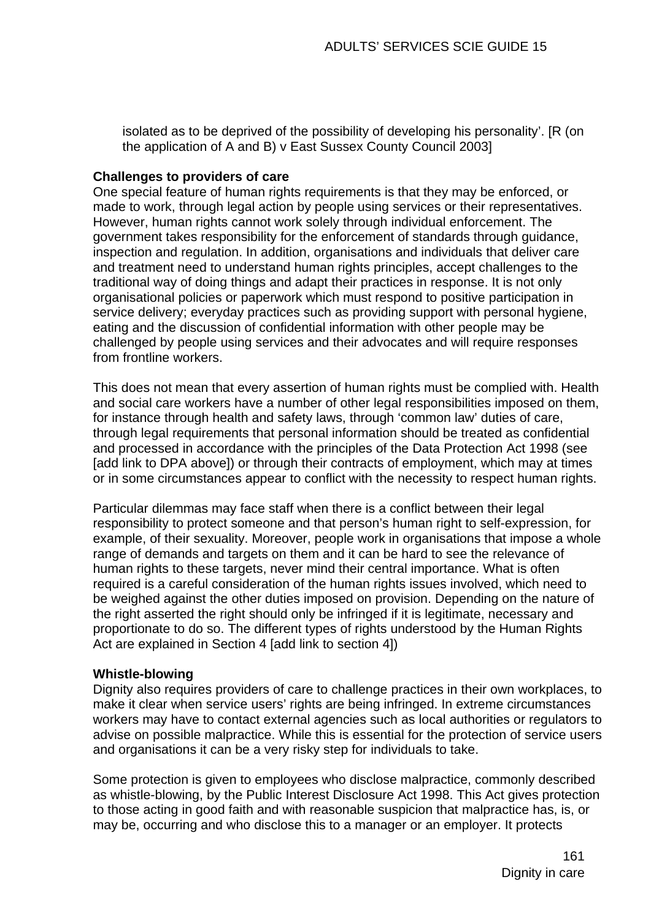isolated as to be deprived of the possibility of developing his personality'. [R (on the application of A and B) v East Sussex County Council 2003]

### **Challenges to providers of care**

One special feature of human rights requirements is that they may be enforced, or made to work, through legal action by people using services or their representatives. However, human rights cannot work solely through individual enforcement. The government takes responsibility for the enforcement of standards through guidance, inspection and regulation. In addition, organisations and individuals that deliver care and treatment need to understand human rights principles, accept challenges to the traditional way of doing things and adapt their practices in response. It is not only organisational policies or paperwork which must respond to positive participation in service delivery; everyday practices such as providing support with personal hygiene, eating and the discussion of confidential information with other people may be challenged by people using services and their advocates and will require responses from frontline workers.

This does not mean that every assertion of human rights must be complied with. Health and social care workers have a number of other legal responsibilities imposed on them, for instance through health and safety laws, through 'common law' duties of care, through legal requirements that personal information should be treated as confidential and processed in accordance with the principles of the Data Protection Act 1998 (see [add link to DPA above]) or through their contracts of employment, which may at times or in some circumstances appear to conflict with the necessity to respect human rights.

Particular dilemmas may face staff when there is a conflict between their legal responsibility to protect someone and that person's human right to self-expression, for example, of their sexuality. Moreover, people work in organisations that impose a whole range of demands and targets on them and it can be hard to see the relevance of human rights to these targets, never mind their central importance. What is often required is a careful consideration of the human rights issues involved, which need to be weighed against the other duties imposed on provision. Depending on the nature of the right asserted the right should only be infringed if it is legitimate, necessary and proportionate to do so. The different types of rights understood by the Human Rights Act are explained in Section 4 [add link to section 4])

### **Whistle-blowing**

Dignity also requires providers of care to challenge practices in their own workplaces, to make it clear when service users' rights are being infringed. In extreme circumstances workers may have to contact external agencies such as local authorities or regulators to advise on possible malpractice. While this is essential for the protection of service users and organisations it can be a very risky step for individuals to take.

Some protection is given to employees who disclose malpractice, commonly described as whistle-blowing, by the Public Interest Disclosure Act 1998. This Act gives protection to those acting in good faith and with reasonable suspicion that malpractice has, is, or may be, occurring and who disclose this to a manager or an employer. It protects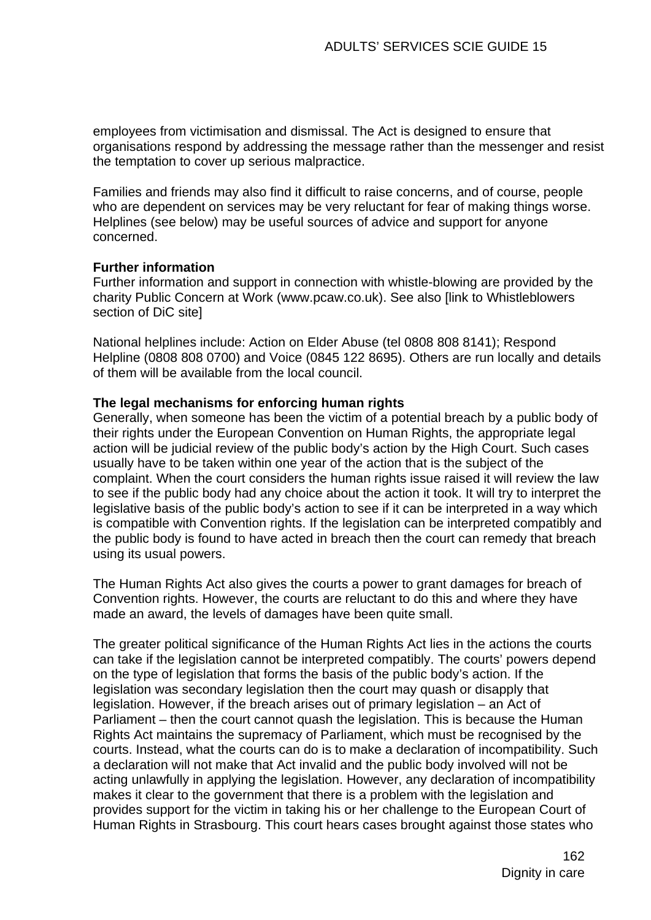employees from victimisation and dismissal. The Act is designed to ensure that organisations respond by addressing the message rather than the messenger and resist the temptation to cover up serious malpractice.

Families and friends may also find it difficult to raise concerns, and of course, people who are dependent on services may be very reluctant for fear of making things worse. Helplines (see below) may be useful sources of advice and support for anyone concerned.

### **Further information**

Further information and support in connection with whistle-blowing are provided by the charity Public Concern at Work (www.pcaw.co.uk). See also [link to Whistleblowers section of DiC site]

National helplines include: Action on Elder Abuse (tel 0808 808 8141); Respond Helpline (0808 808 0700) and Voice (0845 122 8695). Others are run locally and details of them will be available from the local council.

### **The legal mechanisms for enforcing human rights**

Generally, when someone has been the victim of a potential breach by a public body of their rights under the European Convention on Human Rights, the appropriate legal action will be judicial review of the public body's action by the High Court. Such cases usually have to be taken within one year of the action that is the subject of the complaint. When the court considers the human rights issue raised it will review the law to see if the public body had any choice about the action it took. It will try to interpret the legislative basis of the public body's action to see if it can be interpreted in a way which is compatible with Convention rights. If the legislation can be interpreted compatibly and the public body is found to have acted in breach then the court can remedy that breach using its usual powers.

The Human Rights Act also gives the courts a power to grant damages for breach of Convention rights. However, the courts are reluctant to do this and where they have made an award, the levels of damages have been quite small.

The greater political significance of the Human Rights Act lies in the actions the courts can take if the legislation cannot be interpreted compatibly. The courts' powers depend on the type of legislation that forms the basis of the public body's action. If the legislation was secondary legislation then the court may quash or disapply that legislation. However, if the breach arises out of primary legislation – an Act of Parliament – then the court cannot quash the legislation. This is because the Human Rights Act maintains the supremacy of Parliament, which must be recognised by the courts. Instead, what the courts can do is to make a declaration of incompatibility. Such a declaration will not make that Act invalid and the public body involved will not be acting unlawfully in applying the legislation. However, any declaration of incompatibility makes it clear to the government that there is a problem with the legislation and provides support for the victim in taking his or her challenge to the European Court of Human Rights in Strasbourg. This court hears cases brought against those states who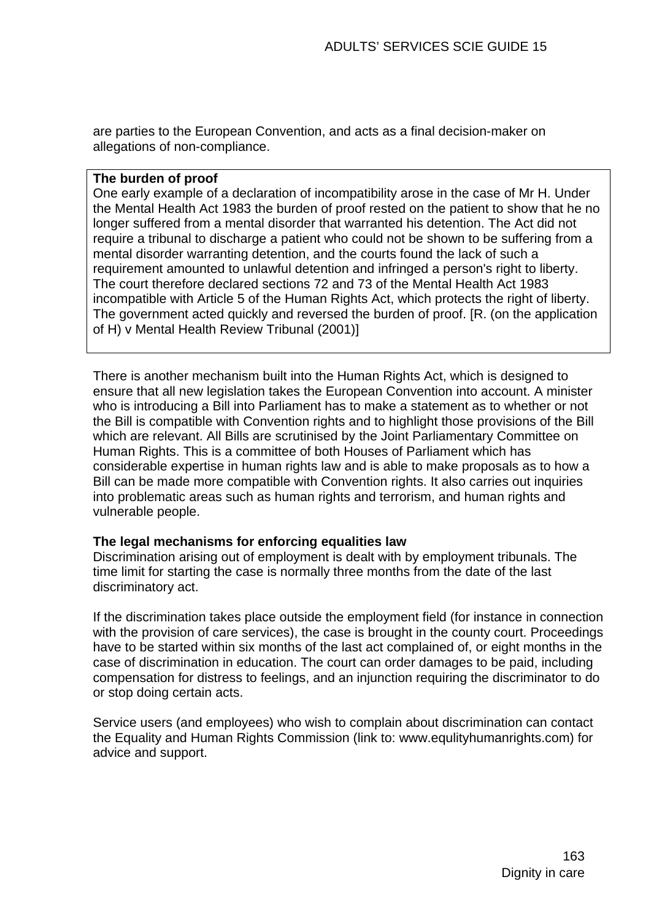are parties to the European Convention, and acts as a final decision-maker on allegations of non-compliance.

### **The burden of proof**

One early example of a declaration of incompatibility arose in the case of Mr H. Under the Mental Health Act 1983 the burden of proof rested on the patient to show that he no longer suffered from a mental disorder that warranted his detention. The Act did not require a tribunal to discharge a patient who could not be shown to be suffering from a mental disorder warranting detention, and the courts found the lack of such a requirement amounted to unlawful detention and infringed a person's right to liberty. The court therefore declared sections 72 and 73 of the Mental Health Act 1983 incompatible with Article 5 of the Human Rights Act, which protects the right of liberty. The government acted quickly and reversed the burden of proof. [R. (on the application of H) v Mental Health Review Tribunal (2001)]

There is another mechanism built into the Human Rights Act, which is designed to ensure that all new legislation takes the European Convention into account. A minister who is introducing a Bill into Parliament has to make a statement as to whether or not the Bill is compatible with Convention rights and to highlight those provisions of the Bill which are relevant. All Bills are scrutinised by the Joint Parliamentary Committee on Human Rights. This is a committee of both Houses of Parliament which has considerable expertise in human rights law and is able to make proposals as to how a Bill can be made more compatible with Convention rights. It also carries out inquiries into problematic areas such as human rights and terrorism, and human rights and vulnerable people.

### **The legal mechanisms for enforcing equalities law**

Discrimination arising out of employment is dealt with by employment tribunals. The time limit for starting the case is normally three months from the date of the last discriminatory act.

If the discrimination takes place outside the employment field (for instance in connection with the provision of care services), the case is brought in the county court. Proceedings have to be started within six months of the last act complained of, or eight months in the case of discrimination in education. The court can order damages to be paid, including compensation for distress to feelings, and an injunction requiring the discriminator to do or stop doing certain acts.

Service users (and employees) who wish to complain about discrimination can contact the Equality and Human Rights Commission (link to: www.equlityhumanrights.com) for advice and support.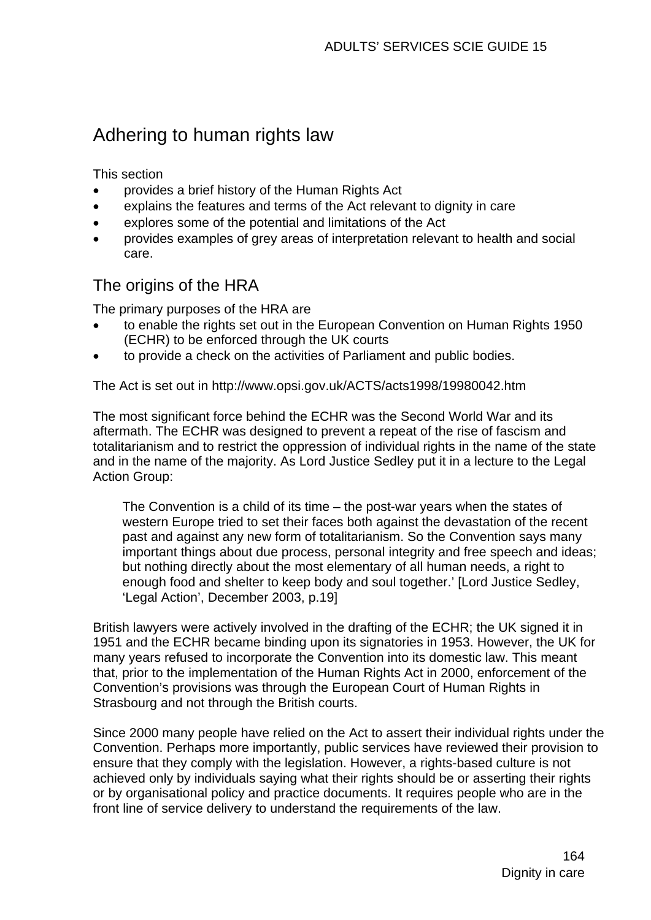# Adhering to human rights law

This section

- provides a brief history of the Human Rights Act
- explains the features and terms of the Act relevant to dignity in care
- explores some of the potential and limitations of the Act
- provides examples of grey areas of interpretation relevant to health and social care.

# The origins of the HRA

The primary purposes of the HRA are

- to enable the rights set out in the European Convention on Human Rights 1950 (ECHR) to be enforced through the UK courts
- to provide a check on the activities of Parliament and public bodies.

The Act is set out in http://www.opsi.gov.uk/ACTS/acts1998/19980042.htm

The most significant force behind the ECHR was the Second World War and its aftermath. The ECHR was designed to prevent a repeat of the rise of fascism and totalitarianism and to restrict the oppression of individual rights in the name of the state and in the name of the majority. As Lord Justice Sedley put it in a lecture to the Legal Action Group:

The Convention is a child of its time – the post-war years when the states of western Europe tried to set their faces both against the devastation of the recent past and against any new form of totalitarianism. So the Convention says many important things about due process, personal integrity and free speech and ideas; but nothing directly about the most elementary of all human needs, a right to enough food and shelter to keep body and soul together.' [Lord Justice Sedley, 'Legal Action', December 2003, p.19]

British lawyers were actively involved in the drafting of the ECHR; the UK signed it in 1951 and the ECHR became binding upon its signatories in 1953. However, the UK for many years refused to incorporate the Convention into its domestic law. This meant that, prior to the implementation of the Human Rights Act in 2000, enforcement of the Convention's provisions was through the European Court of Human Rights in Strasbourg and not through the British courts.

Since 2000 many people have relied on the Act to assert their individual rights under the Convention. Perhaps more importantly, public services have reviewed their provision to ensure that they comply with the legislation. However, a rights-based culture is not achieved only by individuals saying what their rights should be or asserting their rights or by organisational policy and practice documents. It requires people who are in the front line of service delivery to understand the requirements of the law.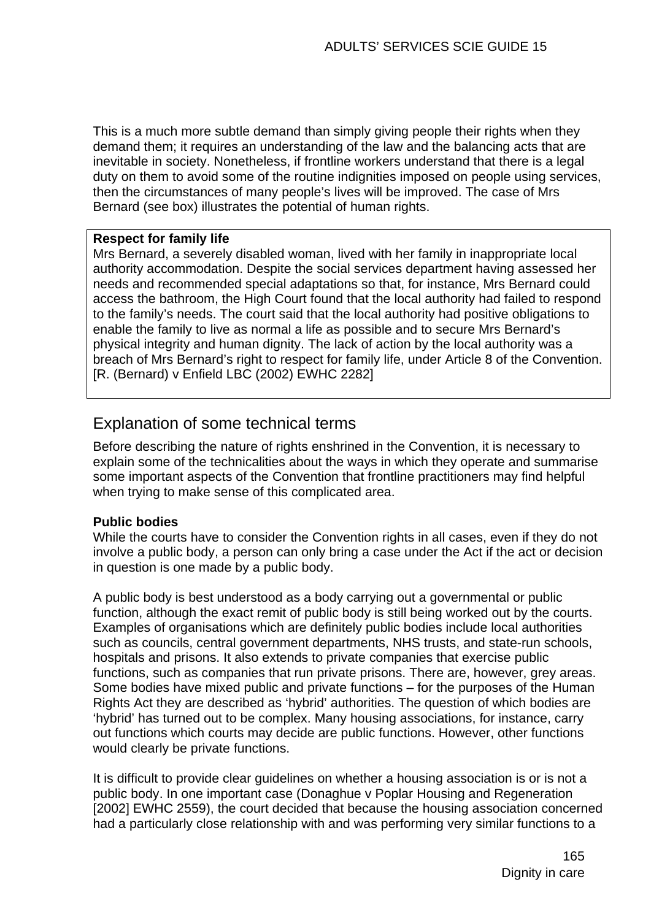This is a much more subtle demand than simply giving people their rights when they demand them; it requires an understanding of the law and the balancing acts that are inevitable in society. Nonetheless, if frontline workers understand that there is a legal duty on them to avoid some of the routine indignities imposed on people using services. then the circumstances of many people's lives will be improved. The case of Mrs Bernard (see box) illustrates the potential of human rights.

### **Respect for family life**

Mrs Bernard, a severely disabled woman, lived with her family in inappropriate local authority accommodation. Despite the social services department having assessed her needs and recommended special adaptations so that, for instance, Mrs Bernard could access the bathroom, the High Court found that the local authority had failed to respond to the family's needs. The court said that the local authority had positive obligations to enable the family to live as normal a life as possible and to secure Mrs Bernard's physical integrity and human dignity. The lack of action by the local authority was a breach of Mrs Bernard's right to respect for family life, under Article 8 of the Convention. [R. (Bernard) v Enfield LBC (2002) EWHC 2282]

## Explanation of some technical terms

Before describing the nature of rights enshrined in the Convention, it is necessary to explain some of the technicalities about the ways in which they operate and summarise some important aspects of the Convention that frontline practitioners may find helpful when trying to make sense of this complicated area.

## **Public bodies**

While the courts have to consider the Convention rights in all cases, even if they do not involve a public body, a person can only bring a case under the Act if the act or decision in question is one made by a public body.

A public body is best understood as a body carrying out a governmental or public function, although the exact remit of public body is still being worked out by the courts. Examples of organisations which are definitely public bodies include local authorities such as councils, central government departments, NHS trusts, and state-run schools, hospitals and prisons. It also extends to private companies that exercise public functions, such as companies that run private prisons. There are, however, grey areas. Some bodies have mixed public and private functions – for the purposes of the Human Rights Act they are described as 'hybrid' authorities. The question of which bodies are 'hybrid' has turned out to be complex. Many housing associations, for instance, carry out functions which courts may decide are public functions. However, other functions would clearly be private functions.

It is difficult to provide clear guidelines on whether a housing association is or is not a public body. In one important case (Donaghue v Poplar Housing and Regeneration [2002] EWHC 2559), the court decided that because the housing association concerned had a particularly close relationship with and was performing very similar functions to a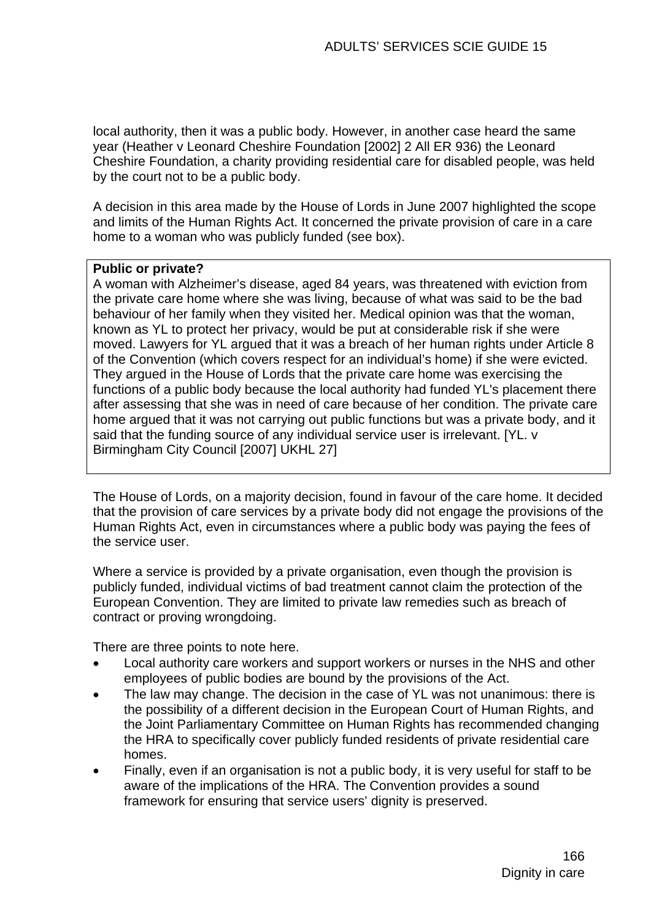local authority, then it was a public body. However, in another case heard the same year (Heather v Leonard Cheshire Foundation [2002] 2 All ER 936) the Leonard Cheshire Foundation, a charity providing residential care for disabled people, was held by the court not to be a public body.

A decision in this area made by the House of Lords in June 2007 highlighted the scope and limits of the Human Rights Act. It concerned the private provision of care in a care home to a woman who was publicly funded (see box).

### **Public or private?**

A woman with Alzheimer's disease, aged 84 years, was threatened with eviction from the private care home where she was living, because of what was said to be the bad behaviour of her family when they visited her. Medical opinion was that the woman, known as YL to protect her privacy, would be put at considerable risk if she were moved. Lawyers for YL argued that it was a breach of her human rights under Article 8 of the Convention (which covers respect for an individual's home) if she were evicted. They argued in the House of Lords that the private care home was exercising the functions of a public body because the local authority had funded YL's placement there after assessing that she was in need of care because of her condition. The private care home argued that it was not carrying out public functions but was a private body, and it said that the funding source of any individual service user is irrelevant. [YL. v Birmingham City Council [2007] UKHL 27]

The House of Lords, on a majority decision, found in favour of the care home. It decided that the provision of care services by a private body did not engage the provisions of the Human Rights Act, even in circumstances where a public body was paying the fees of the service user.

Where a service is provided by a private organisation, even though the provision is publicly funded, individual victims of bad treatment cannot claim the protection of the European Convention. They are limited to private law remedies such as breach of contract or proving wrongdoing.

There are three points to note here.

- Local authority care workers and support workers or nurses in the NHS and other employees of public bodies are bound by the provisions of the Act.
- The law may change. The decision in the case of YL was not unanimous: there is the possibility of a different decision in the European Court of Human Rights, and the Joint Parliamentary Committee on Human Rights has recommended changing the HRA to specifically cover publicly funded residents of private residential care homes.
- Finally, even if an organisation is not a public body, it is very useful for staff to be aware of the implications of the HRA. The Convention provides a sound framework for ensuring that service users' dignity is preserved.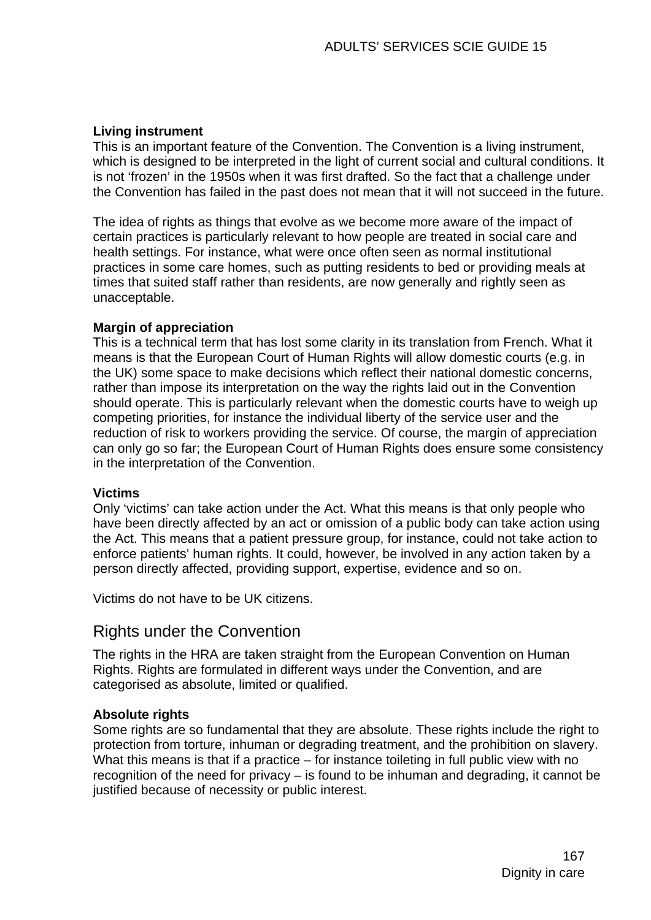## **Living instrument**

This is an important feature of the Convention. The Convention is a living instrument, which is designed to be interpreted in the light of current social and cultural conditions. It is not 'frozen' in the 1950s when it was first drafted. So the fact that a challenge under the Convention has failed in the past does not mean that it will not succeed in the future.

The idea of rights as things that evolve as we become more aware of the impact of certain practices is particularly relevant to how people are treated in social care and health settings. For instance, what were once often seen as normal institutional practices in some care homes, such as putting residents to bed or providing meals at times that suited staff rather than residents, are now generally and rightly seen as unacceptable.

### **Margin of appreciation**

This is a technical term that has lost some clarity in its translation from French. What it means is that the European Court of Human Rights will allow domestic courts (e.g. in the UK) some space to make decisions which reflect their national domestic concerns, rather than impose its interpretation on the way the rights laid out in the Convention should operate. This is particularly relevant when the domestic courts have to weigh up competing priorities, for instance the individual liberty of the service user and the reduction of risk to workers providing the service. Of course, the margin of appreciation can only go so far; the European Court of Human Rights does ensure some consistency in the interpretation of the Convention.

### **Victims**

Only 'victims' can take action under the Act. What this means is that only people who have been directly affected by an act or omission of a public body can take action using the Act. This means that a patient pressure group, for instance, could not take action to enforce patients' human rights. It could, however, be involved in any action taken by a person directly affected, providing support, expertise, evidence and so on.

Victims do not have to be UK citizens.

## Rights under the Convention

The rights in the HRA are taken straight from the European Convention on Human Rights. Rights are formulated in different ways under the Convention, and are categorised as absolute, limited or qualified.

## **Absolute rights**

Some rights are so fundamental that they are absolute. These rights include the right to protection from torture, inhuman or degrading treatment, and the prohibition on slavery. What this means is that if a practice – for instance toileting in full public view with no recognition of the need for privacy – is found to be inhuman and degrading, it cannot be justified because of necessity or public interest.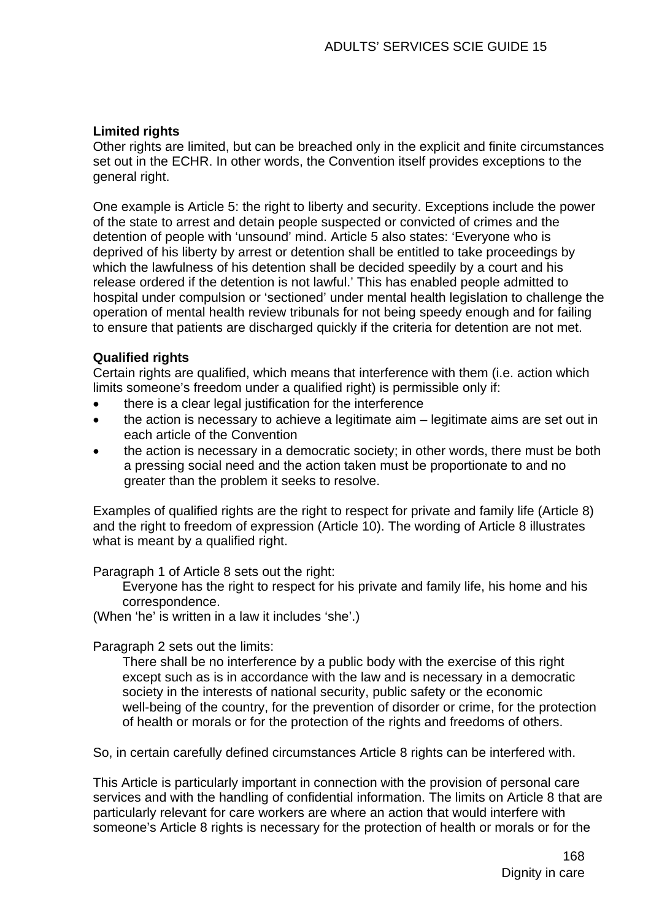## **Limited rights**

Other rights are limited, but can be breached only in the explicit and finite circumstances set out in the ECHR. In other words, the Convention itself provides exceptions to the general right.

One example is Article 5: the right to liberty and security. Exceptions include the power of the state to arrest and detain people suspected or convicted of crimes and the detention of people with 'unsound' mind. Article 5 also states: 'Everyone who is deprived of his liberty by arrest or detention shall be entitled to take proceedings by which the lawfulness of his detention shall be decided speedily by a court and his release ordered if the detention is not lawful.' This has enabled people admitted to hospital under compulsion or 'sectioned' under mental health legislation to challenge the operation of mental health review tribunals for not being speedy enough and for failing to ensure that patients are discharged quickly if the criteria for detention are not met.

## **Qualified rights**

Certain rights are qualified, which means that interference with them (i.e. action which limits someone's freedom under a qualified right) is permissible only if:

- there is a clear legal justification for the interference
- the action is necessary to achieve a legitimate aim legitimate aims are set out in each article of the Convention
- the action is necessary in a democratic society; in other words, there must be both a pressing social need and the action taken must be proportionate to and no greater than the problem it seeks to resolve.

Examples of qualified rights are the right to respect for private and family life (Article 8) and the right to freedom of expression (Article 10). The wording of Article 8 illustrates what is meant by a qualified right.

Paragraph 1 of Article 8 sets out the right:

Everyone has the right to respect for his private and family life, his home and his correspondence.

(When 'he' is written in a law it includes 'she'.)

Paragraph 2 sets out the limits:

There shall be no interference by a public body with the exercise of this right except such as is in accordance with the law and is necessary in a democratic society in the interests of national security, public safety or the economic well-being of the country, for the prevention of disorder or crime, for the protection of health or morals or for the protection of the rights and freedoms of others.

So, in certain carefully defined circumstances Article 8 rights can be interfered with.

This Article is particularly important in connection with the provision of personal care services and with the handling of confidential information. The limits on Article 8 that are particularly relevant for care workers are where an action that would interfere with someone's Article 8 rights is necessary for the protection of health or morals or for the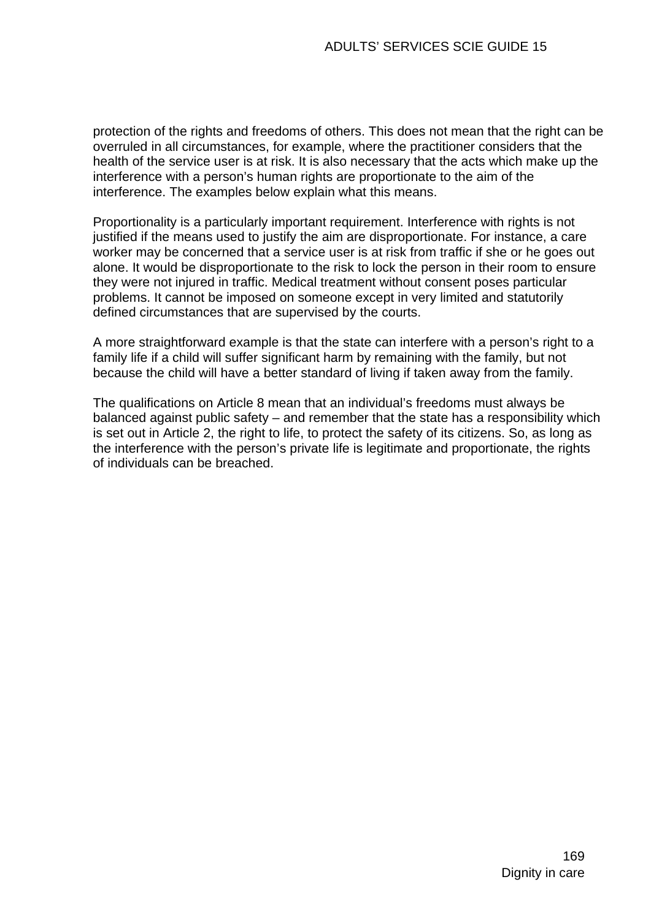protection of the rights and freedoms of others. This does not mean that the right can be overruled in all circumstances, for example, where the practitioner considers that the health of the service user is at risk. It is also necessary that the acts which make up the interference with a person's human rights are proportionate to the aim of the interference. The examples below explain what this means.

Proportionality is a particularly important requirement. Interference with rights is not justified if the means used to justify the aim are disproportionate. For instance, a care worker may be concerned that a service user is at risk from traffic if she or he goes out alone. It would be disproportionate to the risk to lock the person in their room to ensure they were not injured in traffic. Medical treatment without consent poses particular problems. It cannot be imposed on someone except in very limited and statutorily defined circumstances that are supervised by the courts.

A more straightforward example is that the state can interfere with a person's right to a family life if a child will suffer significant harm by remaining with the family, but not because the child will have a better standard of living if taken away from the family.

The qualifications on Article 8 mean that an individual's freedoms must always be balanced against public safety – and remember that the state has a responsibility which is set out in Article 2, the right to life, to protect the safety of its citizens. So, as long as the interference with the person's private life is legitimate and proportionate, the rights of individuals can be breached.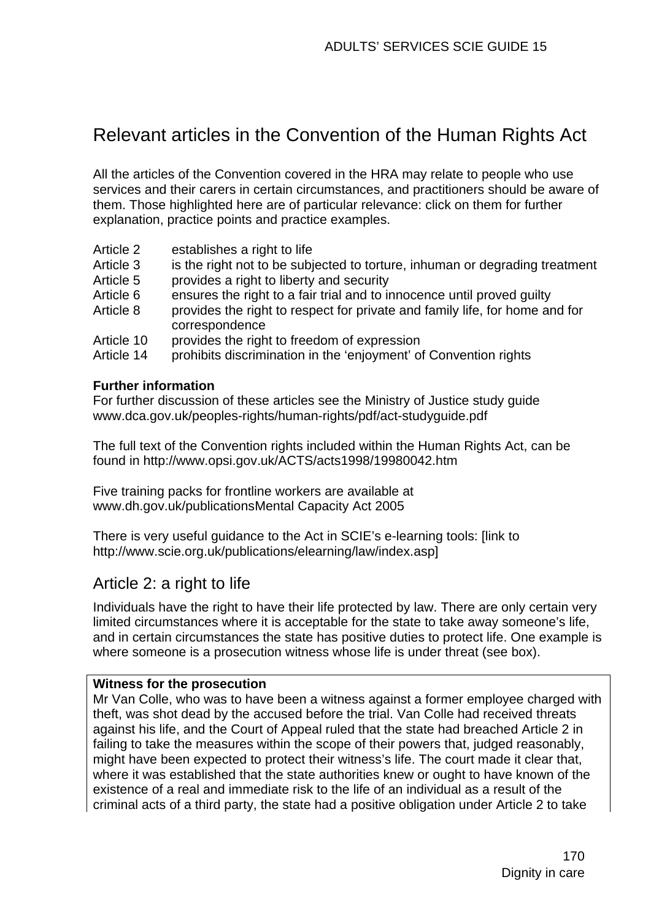# Relevant articles in the Convention of the Human Rights Act

All the articles of the Convention covered in the HRA may relate to people who use services and their carers in certain circumstances, and practitioners should be aware of them. Those highlighted here are of particular relevance: click on them for further explanation, practice points and practice examples.

- Article 2 establishes a right to life
- Article 3 is the right not to be subjected to torture, inhuman or degrading treatment
- Article 5 provides a right to liberty and security
- Article 6 ensures the right to a fair trial and to innocence until proved guilty
- Article 8 provides the right to respect for private and family life, for home and for correspondence
- Article 10 provides the right to freedom of expression
- Article 14 prohibits discrimination in the 'enjoyment' of Convention rights

### **Further information**

For further discussion of these articles see the Ministry of Justice study guide www.dca.gov.uk/peoples-rights/human-rights/pdf/act-studyguide.pdf

The full text of the Convention rights included within the Human Rights Act, can be found in http://www.opsi.gov.uk/ACTS/acts1998/19980042.htm

Five training packs for frontline workers are available at [www.dh.gov.uk/publicationsMental Capacity Act 2005](http://www.dh.gov.uk/publicationsMental%20Capacity%20Act%202005) 

There is very useful guidance to the Act in SCIE's e-learning tools: [link to http://www.scie.org.uk/publications/elearning/law/index.asp]

# Article 2: a right to life

Individuals have the right to have their life protected by law. There are only certain very limited circumstances where it is acceptable for the state to take away someone's life, and in certain circumstances the state has positive duties to protect life. One example is where someone is a prosecution witness whose life is under threat (see box).

### **Witness for the prosecution**

Mr Van Colle, who was to have been a witness against a former employee charged with theft, was shot dead by the accused before the trial. Van Colle had received threats against his life, and the Court of Appeal ruled that the state had breached Article 2 in failing to take the measures within the scope of their powers that, judged reasonably, might have been expected to protect their witness's life. The court made it clear that, where it was established that the state authorities knew or ought to have known of the existence of a real and immediate risk to the life of an individual as a result of the criminal acts of a third party, the state had a positive obligation under Article 2 to take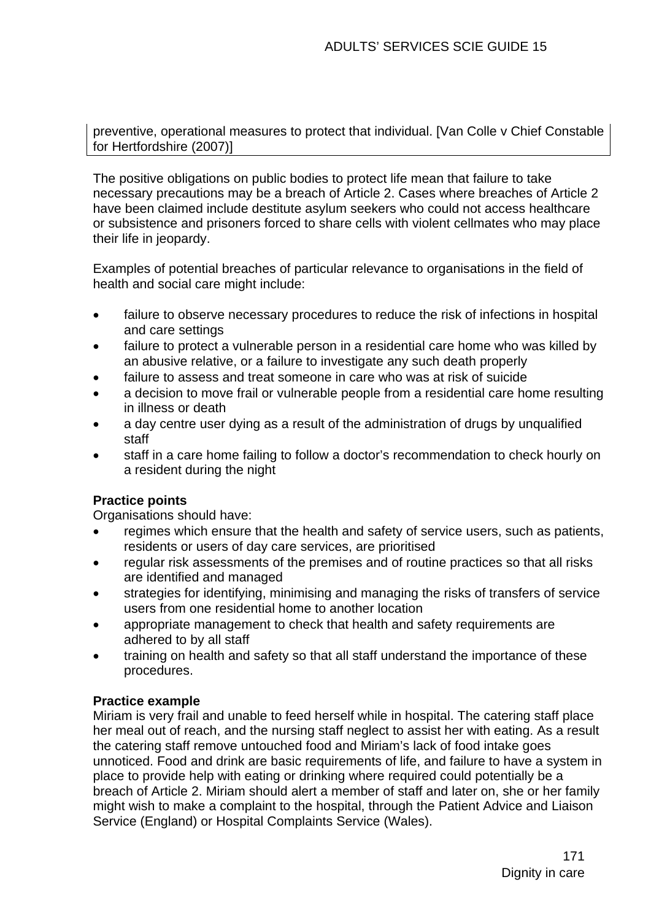preventive, operational measures to protect that individual. [Van Colle v Chief Constable for Hertfordshire (2007)]

The positive obligations on public bodies to protect life mean that failure to take necessary precautions may be a breach of Article 2. Cases where breaches of Article 2 have been claimed include destitute asylum seekers who could not access healthcare or subsistence and prisoners forced to share cells with violent cellmates who may place their life in jeopardy.

Examples of potential breaches of particular relevance to organisations in the field of health and social care might include:

- failure to observe necessary procedures to reduce the risk of infections in hospital and care settings
- failure to protect a vulnerable person in a residential care home who was killed by an abusive relative, or a failure to investigate any such death properly
- failure to assess and treat someone in care who was at risk of suicide
- a decision to move frail or vulnerable people from a residential care home resulting in illness or death
- a day centre user dying as a result of the administration of drugs by unqualified staff
- staff in a care home failing to follow a doctor's recommendation to check hourly on a resident during the night

## **Practice points**

Organisations should have:

- regimes which ensure that the health and safety of service users, such as patients, residents or users of day care services, are prioritised
- regular risk assessments of the premises and of routine practices so that all risks are identified and managed
- strategies for identifying, minimising and managing the risks of transfers of service users from one residential home to another location
- appropriate management to check that health and safety requirements are adhered to by all staff
- training on health and safety so that all staff understand the importance of these procedures.

## **Practice example**

Miriam is very frail and unable to feed herself while in hospital. The catering staff place her meal out of reach, and the nursing staff neglect to assist her with eating. As a result the catering staff remove untouched food and Miriam's lack of food intake goes unnoticed. Food and drink are basic requirements of life, and failure to have a system in place to provide help with eating or drinking where required could potentially be a breach of Article 2. Miriam should alert a member of staff and later on, she or her family might wish to make a complaint to the hospital, through the Patient Advice and Liaison Service (England) or Hospital Complaints Service (Wales).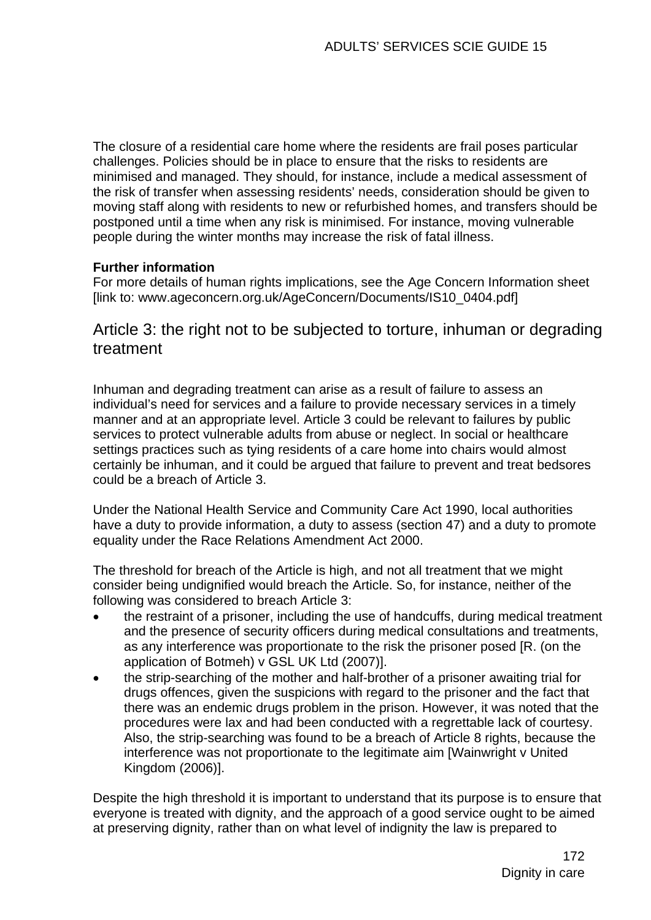The closure of a residential care home where the residents are frail poses particular challenges. Policies should be in place to ensure that the risks to residents are minimised and managed. They should, for instance, include a medical assessment of the risk of transfer when assessing residents' needs, consideration should be given to moving staff along with residents to new or refurbished homes, and transfers should be postponed until a time when any risk is minimised. For instance, moving vulnerable people during the winter months may increase the risk of fatal illness.

## **Further information**

For more details of human rights implications, see the Age Concern Information sheet [link to: www.ageconcern.org.uk/AgeConcern/Documents/IS10\_0404.pdf]

# Article 3: the right not to be subjected to torture, inhuman or degrading treatment

Inhuman and degrading treatment can arise as a result of failure to assess an individual's need for services and a failure to provide necessary services in a timely manner and at an appropriate level. Article 3 could be relevant to failures by public services to protect vulnerable adults from abuse or neglect. In social or healthcare settings practices such as tying residents of a care home into chairs would almost certainly be inhuman, and it could be argued that failure to prevent and treat bedsores could be a breach of Article 3.

Under the National Health Service and Community Care Act 1990, local authorities have a duty to provide information, a duty to assess (section 47) and a duty to promote equality under the Race Relations Amendment Act 2000.

The threshold for breach of the Article is high, and not all treatment that we might consider being undignified would breach the Article. So, for instance, neither of the following was considered to breach Article 3:

- the restraint of a prisoner, including the use of handcuffs, during medical treatment and the presence of security officers during medical consultations and treatments, as any interference was proportionate to the risk the prisoner posed [R. (on the application of Botmeh) v GSL UK Ltd (2007)].
- the strip-searching of the mother and half-brother of a prisoner awaiting trial for drugs offences, given the suspicions with regard to the prisoner and the fact that there was an endemic drugs problem in the prison. However, it was noted that the procedures were lax and had been conducted with a regrettable lack of courtesy. Also, the strip-searching was found to be a breach of Article 8 rights, because the interference was not proportionate to the legitimate aim [Wainwright v United Kingdom (2006)].

Despite the high threshold it is important to understand that its purpose is to ensure that everyone is treated with dignity, and the approach of a good service ought to be aimed at preserving dignity, rather than on what level of indignity the law is prepared to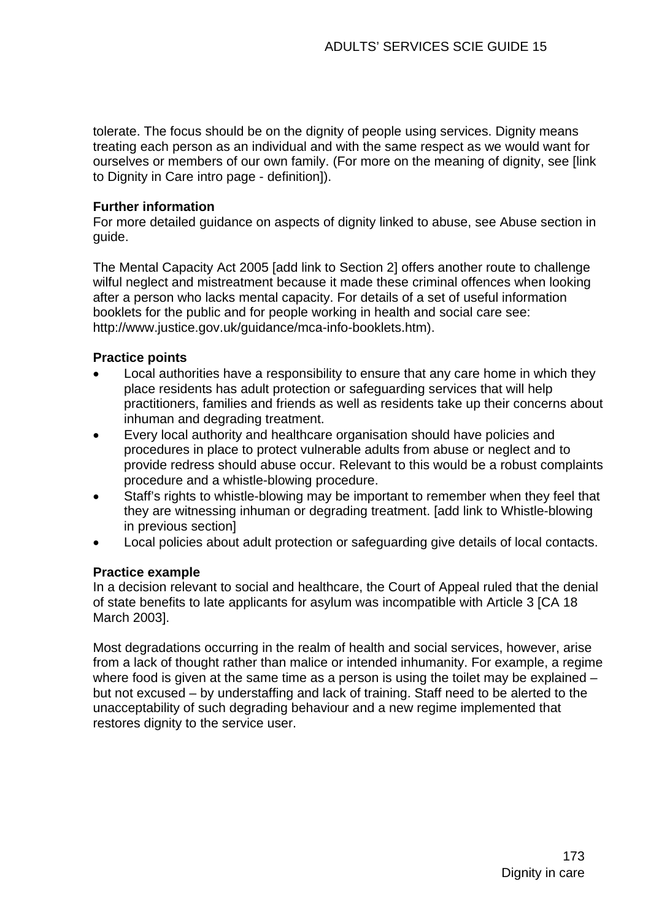tolerate. The focus should be on the dignity of people using services. Dignity means treating each person as an individual and with the same respect as we would want for ourselves or members of our own family. (For more on the meaning of dignity, see [link to Dignity in Care intro page - definition]).

## **Further information**

For more detailed guidance on aspects of dignity linked to abuse, see Abuse section in guide.

The Mental Capacity Act 2005 [add link to Section 2] offers another route to challenge wilful neglect and mistreatment because it made these criminal offences when looking after a person who lacks mental capacity. For details of a set of useful information booklets for the public and for people working in health and social care see: [http://www.justice.gov.uk/guidance/mca-info-booklets.htm\)](http://www.justice.gov.uk/guidance/mca-info-booklets.htm).

### **Practice points**

- Local authorities have a responsibility to ensure that any care home in which they place residents has adult protection or safeguarding services that will help practitioners, families and friends as well as residents take up their concerns about inhuman and degrading treatment.
- Every local authority and healthcare organisation should have policies and procedures in place to protect vulnerable adults from abuse or neglect and to provide redress should abuse occur. Relevant to this would be a robust complaints procedure and a whistle-blowing procedure.
- Staff's rights to whistle-blowing may be important to remember when they feel that they are witnessing inhuman or degrading treatment. [add link to Whistle-blowing in previous section]
- Local policies about adult protection or safeguarding give details of local contacts.

### **Practice example**

In a decision relevant to social and healthcare, the Court of Appeal ruled that the denial of state benefits to late applicants for asylum was incompatible with Article 3 [CA 18 March 2003].

Most degradations occurring in the realm of health and social services, however, arise from a lack of thought rather than malice or intended inhumanity. For example, a regime where food is given at the same time as a person is using the toilet may be explained – but not excused – by understaffing and lack of training. Staff need to be alerted to the unacceptability of such degrading behaviour and a new regime implemented that restores dignity to the service user.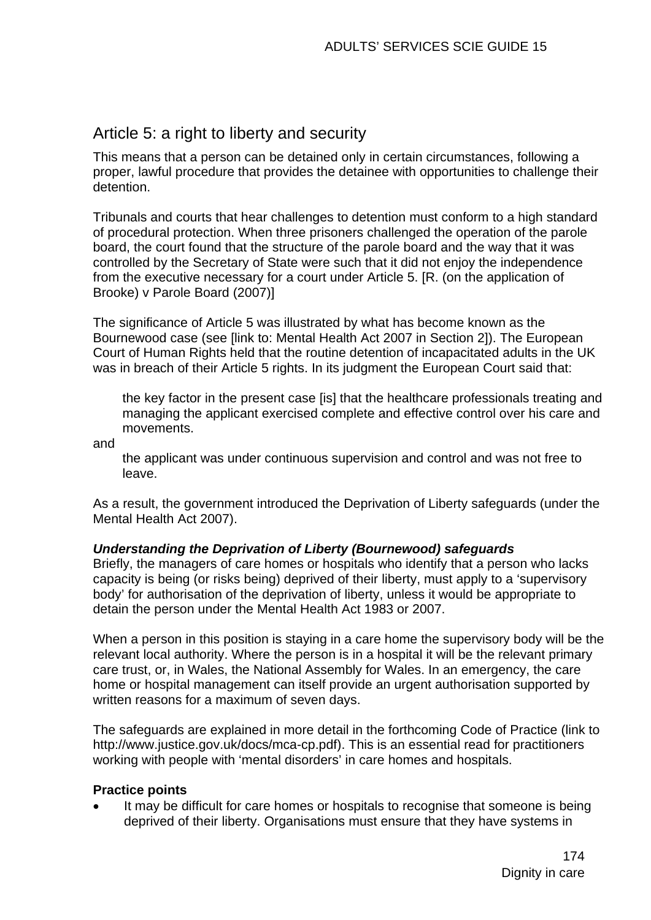## Article 5: a right to liberty and security

This means that a person can be detained only in certain circumstances, following a proper, lawful procedure that provides the detainee with opportunities to challenge their detention.

Tribunals and courts that hear challenges to detention must conform to a high standard of procedural protection. When three prisoners challenged the operation of the parole board, the court found that the structure of the parole board and the way that it was controlled by the Secretary of State were such that it did not enjoy the independence from the executive necessary for a court under Article 5. [R. (on the application of Brooke) v Parole Board (2007)]

The significance of Article 5 was illustrated by what has become known as the Bournewood case (see [link to: Mental Health Act 2007 in Section 2]). The European Court of Human Rights held that the routine detention of incapacitated adults in the UK was in breach of their Article 5 rights. In its judgment the European Court said that:

the key factor in the present case [is] that the healthcare professionals treating and managing the applicant exercised complete and effective control over his care and movements.

and

the applicant was under continuous supervision and control and was not free to leave.

As a result, the government introduced the Deprivation of Liberty safeguards (under the Mental Health Act 2007).

## *Understanding the Deprivation of Liberty (Bournewood) safeguards*

Briefly, the managers of care homes or hospitals who identify that a person who lacks capacity is being (or risks being) deprived of their liberty, must apply to a 'supervisory body' for authorisation of the deprivation of liberty, unless it would be appropriate to detain the person under the Mental Health Act 1983 or 2007.

When a person in this position is staying in a care home the supervisory body will be the relevant local authority. Where the person is in a hospital it will be the relevant primary care trust, or, in Wales, the National Assembly for Wales. In an emergency, the care home or hospital management can itself provide an urgent authorisation supported by written reasons for a maximum of seven days.

The safeguards are explained in more detail in the forthcoming Code of Practice (link to http://www.justice.gov.uk/docs/mca-cp.pdf). This is an essential read for practitioners working with people with 'mental disorders' in care homes and hospitals.

## **Practice points**

It may be difficult for care homes or hospitals to recognise that someone is being deprived of their liberty. Organisations must ensure that they have systems in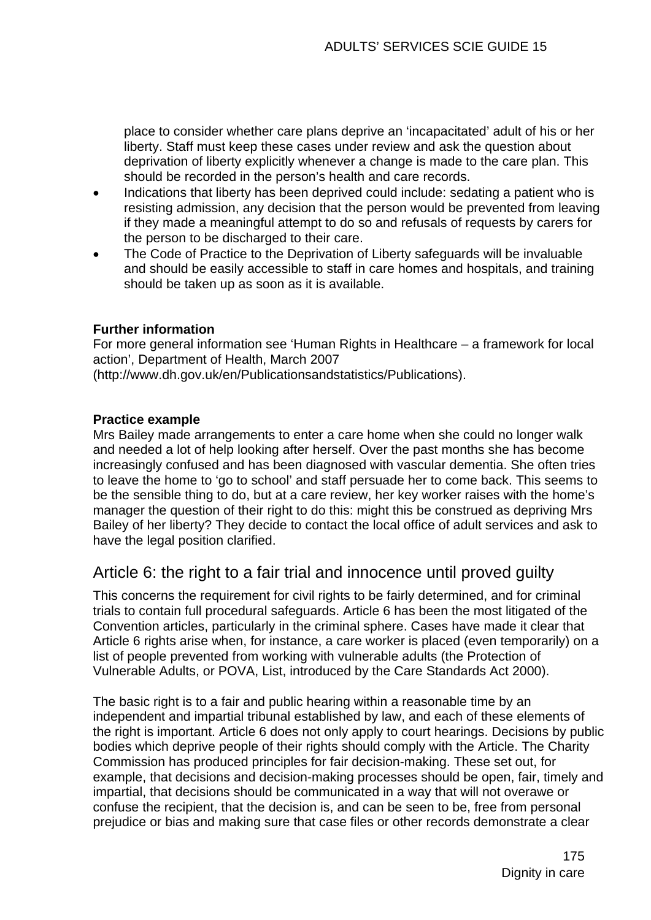place to consider whether care plans deprive an 'incapacitated' adult of his or her liberty. Staff must keep these cases under review and ask the question about deprivation of liberty explicitly whenever a change is made to the care plan. This should be recorded in the person's health and care records.

- Indications that liberty has been deprived could include: sedating a patient who is resisting admission, any decision that the person would be prevented from leaving if they made a meaningful attempt to do so and refusals of requests by carers for the person to be discharged to their care.
- The Code of Practice to the Deprivation of Liberty safeguards will be invaluable and should be easily accessible to staff in care homes and hospitals, and training should be taken up as soon as it is available.

## **Further information**

For more general information see 'Human Rights in Healthcare – a framework for local action', Department of Health, March 2007

[\(http://www.dh.gov.uk/en/Publicationsandstatistics/Publications](http://www.dh.gov.uk/en/Publicationsandstatistics/Publications)).

### **Practice example**

Mrs Bailey made arrangements to enter a care home when she could no longer walk and needed a lot of help looking after herself. Over the past months she has become increasingly confused and has been diagnosed with vascular dementia. She often tries to leave the home to 'go to school' and staff persuade her to come back. This seems to be the sensible thing to do, but at a care review, her key worker raises with the home's manager the question of their right to do this: might this be construed as depriving Mrs Bailey of her liberty? They decide to contact the local office of adult services and ask to have the legal position clarified.

## Article 6: the right to a fair trial and innocence until proved guilty

This concerns the requirement for civil rights to be fairly determined, and for criminal trials to contain full procedural safeguards. Article 6 has been the most litigated of the Convention articles, particularly in the criminal sphere. Cases have made it clear that Article 6 rights arise when, for instance, a care worker is placed (even temporarily) on a list of people prevented from working with vulnerable adults (the Protection of Vulnerable Adults, or POVA, List, introduced by the Care Standards Act 2000).

The basic right is to a fair and public hearing within a reasonable time by an independent and impartial tribunal established by law, and each of these elements of the right is important. Article 6 does not only apply to court hearings. Decisions by public bodies which deprive people of their rights should comply with the Article. The Charity Commission has produced principles for fair decision-making. These set out, for example, that decisions and decision-making processes should be open, fair, timely and impartial, that decisions should be communicated in a way that will not overawe or confuse the recipient, that the decision is, and can be seen to be, free from personal prejudice or bias and making sure that case files or other records demonstrate a clear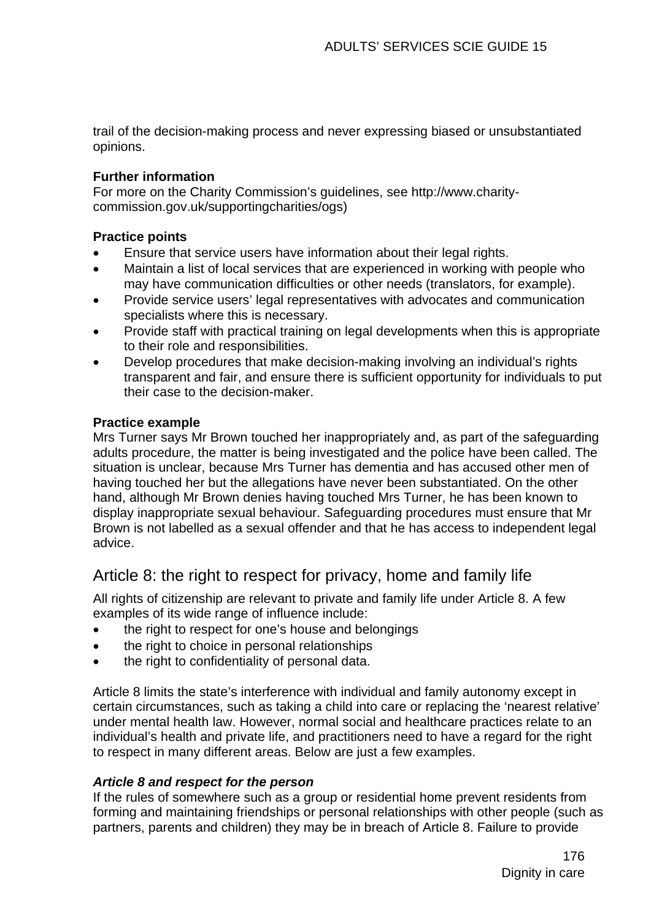trail of the decision-making process and never expressing biased or unsubstantiated opinions.

## **Further information**

For more on the Charity Commission's guidelines, see [http://www.charity](http://www.charity-commission.gov.uk/supportingcharities/ogs)[commission.gov.uk/supportingcharities/ogs\)](http://www.charity-commission.gov.uk/supportingcharities/ogs)

## **Practice points**

- Ensure that service users have information about their legal rights.
- Maintain a list of local services that are experienced in working with people who may have communication difficulties or other needs (translators, for example).
- Provide service users' legal representatives with advocates and communication specialists where this is necessary.
- Provide staff with practical training on legal developments when this is appropriate to their role and responsibilities.
- Develop procedures that make decision-making involving an individual's rights transparent and fair, and ensure there is sufficient opportunity for individuals to put their case to the decision-maker.

## **Practice example**

Mrs Turner says Mr Brown touched her inappropriately and, as part of the safeguarding adults procedure, the matter is being investigated and the police have been called. The situation is unclear, because Mrs Turner has dementia and has accused other men of having touched her but the allegations have never been substantiated. On the other hand, although Mr Brown denies having touched Mrs Turner, he has been known to display inappropriate sexual behaviour. Safeguarding procedures must ensure that Mr Brown is not labelled as a sexual offender and that he has access to independent legal advice.

# Article 8: the right to respect for privacy, home and family life

All rights of citizenship are relevant to private and family life under Article 8. A few examples of its wide range of influence include:

- the right to respect for one's house and belongings
- the right to choice in personal relationships
- the right to confidentiality of personal data.

Article 8 limits the state's interference with individual and family autonomy except in certain circumstances, such as taking a child into care or replacing the 'nearest relative' under mental health law. However, normal social and healthcare practices relate to an individual's health and private life, and practitioners need to have a regard for the right to respect in many different areas. Below are just a few examples.

## *Article 8 and respect for the person*

If the rules of somewhere such as a group or residential home prevent residents from forming and maintaining friendships or personal relationships with other people (such as partners, parents and children) they may be in breach of Article 8. Failure to provide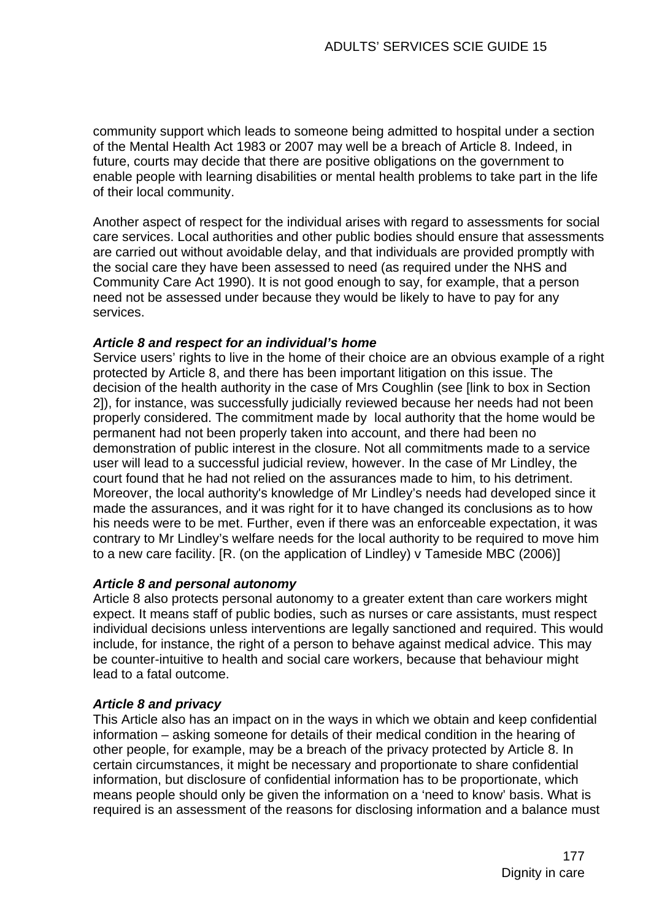community support which leads to someone being admitted to hospital under a section of the Mental Health Act 1983 or 2007 may well be a breach of Article 8. Indeed, in future, courts may decide that there are positive obligations on the government to enable people with learning disabilities or mental health problems to take part in the life of their local community.

Another aspect of respect for the individual arises with regard to assessments for social care services. Local authorities and other public bodies should ensure that assessments are carried out without avoidable delay, and that individuals are provided promptly with the social care they have been assessed to need (as required under the NHS and Community Care Act 1990). It is not good enough to say, for example, that a person need not be assessed under because they would be likely to have to pay for any services.

## *Article 8 and respect for an individual's home*

Service users' rights to live in the home of their choice are an obvious example of a right protected by Article 8, and there has been important litigation on this issue. The decision of the health authority in the case of Mrs Coughlin (see [link to box in Section 2]), for instance, was successfully judicially reviewed because her needs had not been properly considered. The commitment made by local authority that the home would be permanent had not been properly taken into account, and there had been no demonstration of public interest in the closure. Not all commitments made to a service user will lead to a successful judicial review, however. In the case of Mr Lindley, the court found that he had not relied on the assurances made to him, to his detriment. Moreover, the local authority's knowledge of Mr Lindley's needs had developed since it made the assurances, and it was right for it to have changed its conclusions as to how his needs were to be met. Further, even if there was an enforceable expectation, it was contrary to Mr Lindley's welfare needs for the local authority to be required to move him to a new care facility. [R. (on the application of Lindley) v Tameside MBC (2006)]

## *Article 8 and personal autonomy*

Article 8 also protects personal autonomy to a greater extent than care workers might expect. It means staff of public bodies, such as nurses or care assistants, must respect individual decisions unless interventions are legally sanctioned and required. This would include, for instance, the right of a person to behave against medical advice. This may be counter-intuitive to health and social care workers, because that behaviour might lead to a fatal outcome.

## *Article 8 and privacy*

This Article also has an impact on in the ways in which we obtain and keep confidential information – asking someone for details of their medical condition in the hearing of other people, for example, may be a breach of the privacy protected by Article 8. In certain circumstances, it might be necessary and proportionate to share confidential information, but disclosure of confidential information has to be proportionate, which means people should only be given the information on a 'need to know' basis. What is required is an assessment of the reasons for disclosing information and a balance must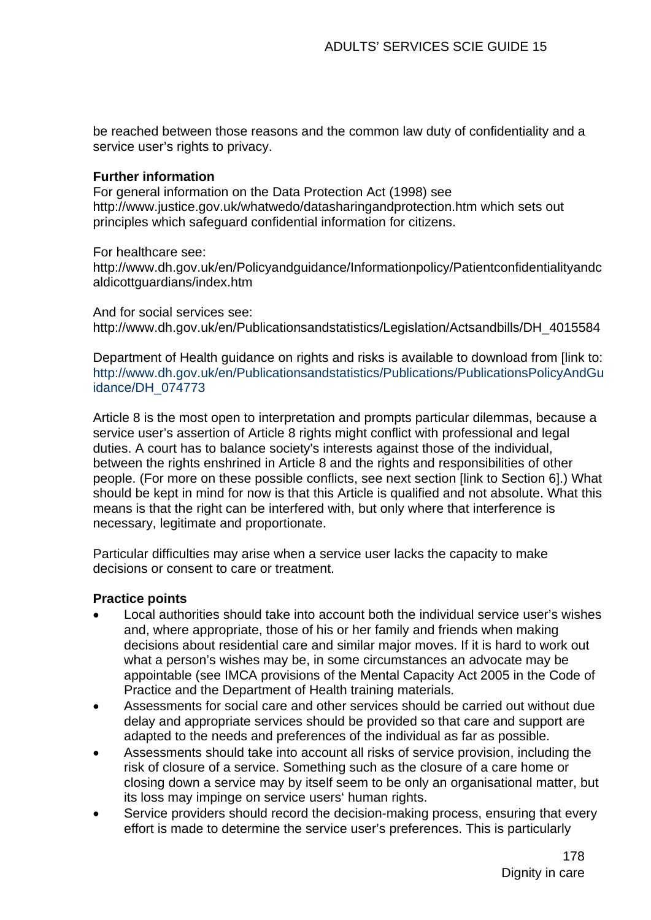be reached between those reasons and the common law duty of confidentiality and a service user's rights to privacy.

### **Further information**

For general information on the Data Protection Act (1998) see http://www.justice.gov.uk/whatwedo/datasharingandprotection.htm which sets out principles which safeguard confidential information for citizens.

For healthcare see:

http://www.dh.gov.uk/en/Policyandguidance/Informationpolicy/Patientconfidentialityandc aldicottguardians/index.htm

And for social services see: http://www.dh.gov.uk/en/Publicationsandstatistics/Legislation/Actsandbills/DH\_4015584

Department of Health guidance on rights and risks is available to download from [link to: [http://www.dh.gov.uk/en/Publicationsandstatistics/Publications/PublicationsPolicyAndGu](http://www.dh.gov.uk/en/Publicationsandstatistics/Publications/PublicationsPolicyAndGuidance/DH_074773) [idance/DH\\_074773](http://www.dh.gov.uk/en/Publicationsandstatistics/Publications/PublicationsPolicyAndGuidance/DH_074773)

Article 8 is the most open to interpretation and prompts particular dilemmas, because a service user's assertion of Article 8 rights might conflict with professional and legal duties. A court has to balance society's interests against those of the individual, between the rights enshrined in Article 8 and the rights and responsibilities of other people. (For more on these possible conflicts, see next section [link to Section 6].) What should be kept in mind for now is that this Article is qualified and not absolute. What this means is that the right can be interfered with, but only where that interference is necessary, legitimate and proportionate.

Particular difficulties may arise when a service user lacks the capacity to make decisions or consent to care or treatment.

### **Practice points**

- Local authorities should take into account both the individual service user's wishes and, where appropriate, those of his or her family and friends when making decisions about residential care and similar major moves. If it is hard to work out what a person's wishes may be, in some circumstances an advocate may be appointable (see IMCA provisions of the Mental Capacity Act 2005 in the Code of Practice and the Department of Health training materials.
- Assessments for social care and other services should be carried out without due delay and appropriate services should be provided so that care and support are adapted to the needs and preferences of the individual as far as possible.
- Assessments should take into account all risks of service provision, including the risk of closure of a service. Something such as the closure of a care home or closing down a service may by itself seem to be only an organisational matter, but its loss may impinge on service users' human rights.
- Service providers should record the decision-making process, ensuring that every effort is made to determine the service user's preferences. This is particularly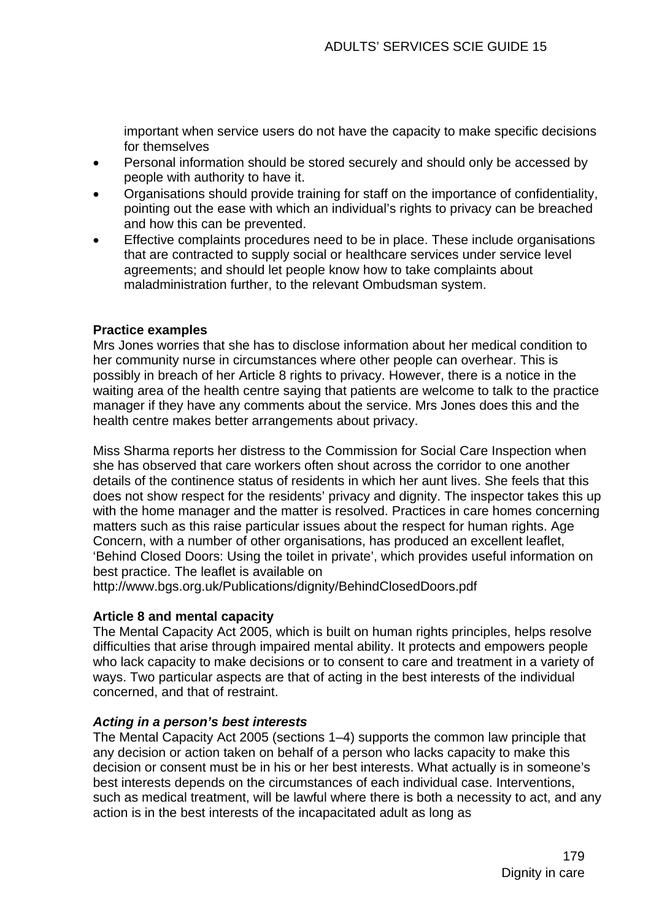important when service users do not have the capacity to make specific decisions for themselves

- Personal information should be stored securely and should only be accessed by people with authority to have it.
- Organisations should provide training for staff on the importance of confidentiality, pointing out the ease with which an individual's rights to privacy can be breached and how this can be prevented.
- Effective complaints procedures need to be in place. These include organisations that are contracted to supply social or healthcare services under service level agreements; and should let people know how to take complaints about maladministration further, to the relevant Ombudsman system.

### **Practice examples**

Mrs Jones worries that she has to disclose information about her medical condition to her community nurse in circumstances where other people can overhear. This is possibly in breach of her Article 8 rights to privacy. However, there is a notice in the waiting area of the health centre saying that patients are welcome to talk to the practice manager if they have any comments about the service. Mrs Jones does this and the health centre makes better arrangements about privacy.

Miss Sharma reports her distress to the Commission for Social Care Inspection when she has observed that care workers often shout across the corridor to one another details of the continence status of residents in which her aunt lives. She feels that this does not show respect for the residents' privacy and dignity. The inspector takes this up with the home manager and the matter is resolved. Practices in care homes concerning matters such as this raise particular issues about the respect for human rights. Age Concern, with a number of other organisations, has produced an excellent leaflet, 'Behind Closed Doors: Using the toilet in private', which provides useful information on best practice. The leaflet is available on

<http://www.bgs.org.uk/Publications/dignity/BehindClosedDoors.pdf>

## **Article 8 and mental capacity**

The Mental Capacity Act 2005, which is built on human rights principles, helps resolve difficulties that arise through impaired mental ability. It protects and empowers people who lack capacity to make decisions or to consent to care and treatment in a variety of ways. Two particular aspects are that of acting in the best interests of the individual concerned, and that of restraint.

## *Acting in a person's best interests*

The Mental Capacity Act 2005 (sections 1–4) supports the common law principle that any decision or action taken on behalf of a person who lacks capacity to make this decision or consent must be in his or her best interests. What actually is in someone's best interests depends on the circumstances of each individual case. Interventions, such as medical treatment, will be lawful where there is both a necessity to act, and any action is in the best interests of the incapacitated adult as long as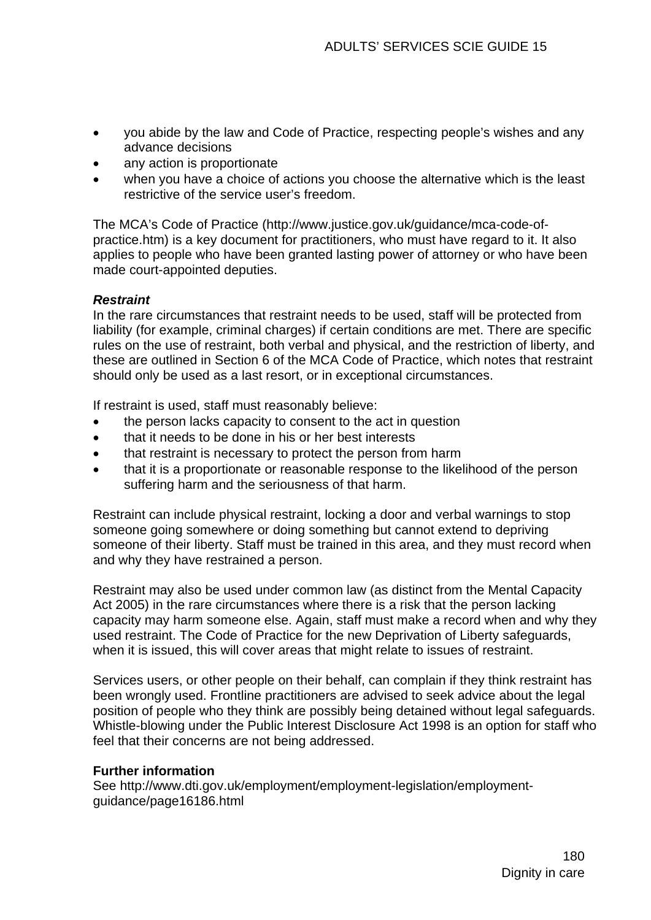- you abide by the law and Code of Practice, respecting people's wishes and any advance decisions
- any action is proportionate
- when you have a choice of actions you choose the alternative which is the least restrictive of the service user's freedom.

The MCA's Code of Practice ([http://www.justice.gov.uk/guidance/mca-code-of](http://www.justice.gov.uk/guidance/mca-code-of-practice.htm)[practice.htm](http://www.justice.gov.uk/guidance/mca-code-of-practice.htm)) is a key document for practitioners, who must have regard to it. It also applies to people who have been granted lasting power of attorney or who have been made court-appointed deputies.

## *Restraint*

In the rare circumstances that restraint needs to be used, staff will be protected from liability (for example, criminal charges) if certain conditions are met. There are specific rules on the use of restraint, both verbal and physical, and the restriction of liberty, and these are outlined in Section 6 of the MCA Code of Practice, which notes that restraint should only be used as a last resort, or in exceptional circumstances.

If restraint is used, staff must reasonably believe:

- the person lacks capacity to consent to the act in question
- that it needs to be done in his or her best interests
- that restraint is necessary to protect the person from harm
- that it is a proportionate or reasonable response to the likelihood of the person suffering harm and the seriousness of that harm.

Restraint can include physical restraint, locking a door and verbal warnings to stop someone going somewhere or doing something but cannot extend to depriving someone of their liberty. Staff must be trained in this area, and they must record when and why they have restrained a person.

Restraint may also be used under common law (as distinct from the Mental Capacity Act 2005) in the rare circumstances where there is a risk that the person lacking capacity may harm someone else. Again, staff must make a record when and why they used restraint. The Code of Practice for the new Deprivation of Liberty safeguards, when it is issued, this will cover areas that might relate to issues of restraint.

Services users, or other people on their behalf, can complain if they think restraint has been wrongly used. Frontline practitioners are advised to seek advice about the legal position of people who they think are possibly being detained without legal safeguards. Whistle-blowing under the Public Interest Disclosure Act 1998 is an option for staff who feel that their concerns are not being addressed.

## **Further information**

See http://www.dti.gov.uk/employment/employment-legislation/employmentguidance/page16186.html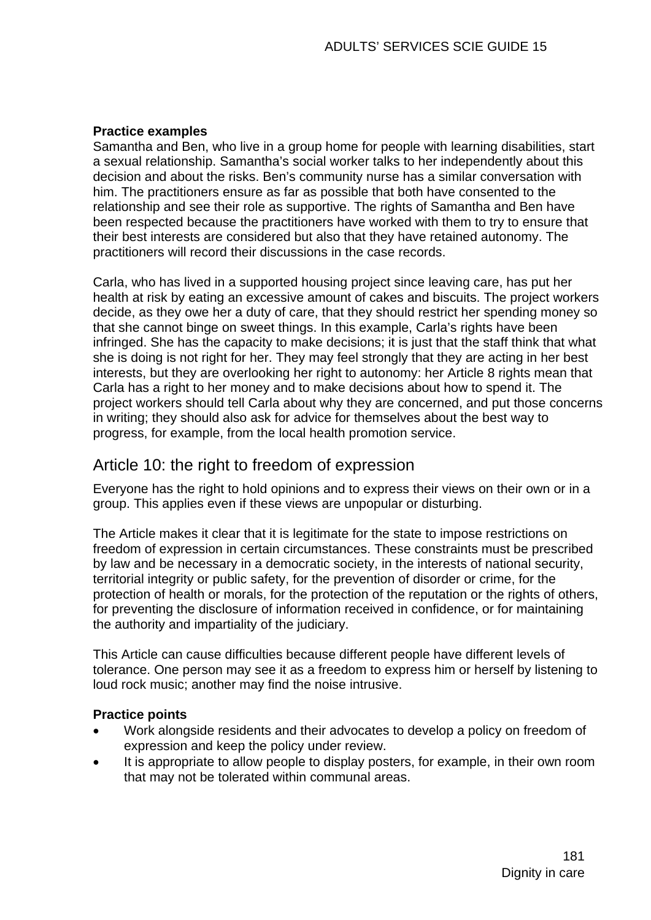### **Practice examples**

Samantha and Ben, who live in a group home for people with learning disabilities, start a sexual relationship. Samantha's social worker talks to her independently about this decision and about the risks. Ben's community nurse has a similar conversation with him. The practitioners ensure as far as possible that both have consented to the relationship and see their role as supportive. The rights of Samantha and Ben have been respected because the practitioners have worked with them to try to ensure that their best interests are considered but also that they have retained autonomy. The practitioners will record their discussions in the case records.

Carla, who has lived in a supported housing project since leaving care, has put her health at risk by eating an excessive amount of cakes and biscuits. The project workers decide, as they owe her a duty of care, that they should restrict her spending money so that she cannot binge on sweet things. In this example, Carla's rights have been infringed. She has the capacity to make decisions; it is just that the staff think that what she is doing is not right for her. They may feel strongly that they are acting in her best interests, but they are overlooking her right to autonomy: her Article 8 rights mean that Carla has a right to her money and to make decisions about how to spend it. The project workers should tell Carla about why they are concerned, and put those concerns in writing; they should also ask for advice for themselves about the best way to progress, for example, from the local health promotion service.

# Article 10: the right to freedom of expression

Everyone has the right to hold opinions and to express their views on their own or in a group. This applies even if these views are unpopular or disturbing.

The Article makes it clear that it is legitimate for the state to impose restrictions on freedom of expression in certain circumstances. These constraints must be prescribed by law and be necessary in a democratic society, in the interests of national security, territorial integrity or public safety, for the prevention of disorder or crime, for the protection of health or morals, for the protection of the reputation or the rights of others, for preventing the disclosure of information received in confidence, or for maintaining the authority and impartiality of the judiciary.

This Article can cause difficulties because different people have different levels of tolerance. One person may see it as a freedom to express him or herself by listening to loud rock music; another may find the noise intrusive.

### **Practice points**

- Work alongside residents and their advocates to develop a policy on freedom of expression and keep the policy under review.
- It is appropriate to allow people to display posters, for example, in their own room that may not be tolerated within communal areas.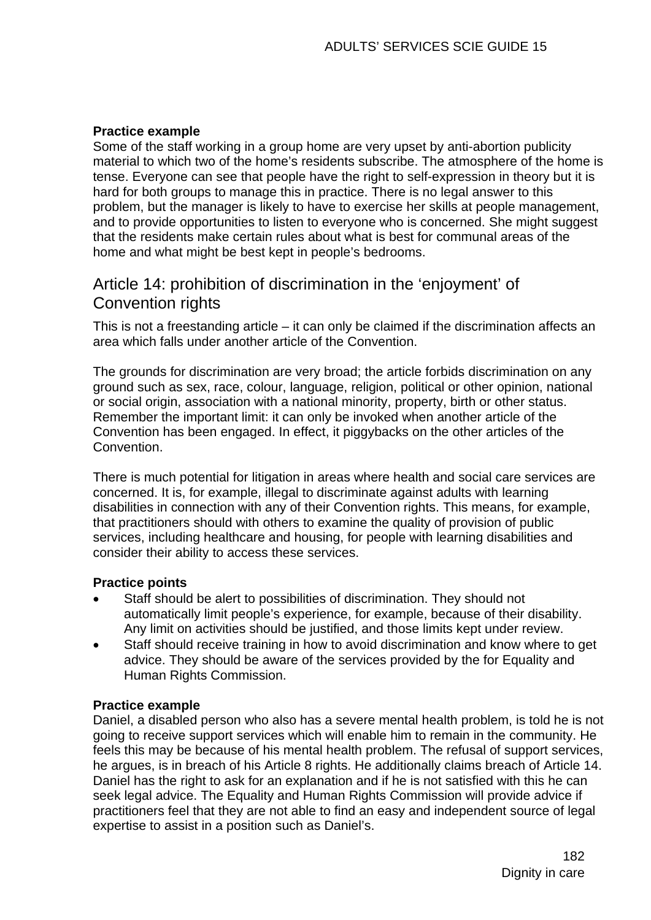### **Practice example**

Some of the staff working in a group home are very upset by anti-abortion publicity material to which two of the home's residents subscribe. The atmosphere of the home is tense. Everyone can see that people have the right to self-expression in theory but it is hard for both groups to manage this in practice. There is no legal answer to this problem, but the manager is likely to have to exercise her skills at people management, and to provide opportunities to listen to everyone who is concerned. She might suggest that the residents make certain rules about what is best for communal areas of the home and what might be best kept in people's bedrooms.

# Article 14: prohibition of discrimination in the 'enjoyment' of Convention rights

This is not a freestanding article – it can only be claimed if the discrimination affects an area which falls under another article of the Convention.

The grounds for discrimination are very broad; the article forbids discrimination on any ground such as sex, race, colour, language, religion, political or other opinion, national or social origin, association with a national minority, property, birth or other status. Remember the important limit: it can only be invoked when another article of the Convention has been engaged. In effect, it piggybacks on the other articles of the Convention.

There is much potential for litigation in areas where health and social care services are concerned. It is, for example, illegal to discriminate against adults with learning disabilities in connection with any of their Convention rights. This means, for example, that practitioners should with others to examine the quality of provision of public services, including healthcare and housing, for people with learning disabilities and consider their ability to access these services.

### **Practice points**

- Staff should be alert to possibilities of discrimination. They should not automatically limit people's experience, for example, because of their disability. Any limit on activities should be justified, and those limits kept under review.
- Staff should receive training in how to avoid discrimination and know where to get advice. They should be aware of the services provided by the for Equality and Human Rights Commission.

### **Practice example**

Daniel, a disabled person who also has a severe mental health problem, is told he is not going to receive support services which will enable him to remain in the community. He feels this may be because of his mental health problem. The refusal of support services, he argues, is in breach of his Article 8 rights. He additionally claims breach of Article 14. Daniel has the right to ask for an explanation and if he is not satisfied with this he can seek legal advice. The Equality and Human Rights Commission will provide advice if practitioners feel that they are not able to find an easy and independent source of legal expertise to assist in a position such as Daniel's.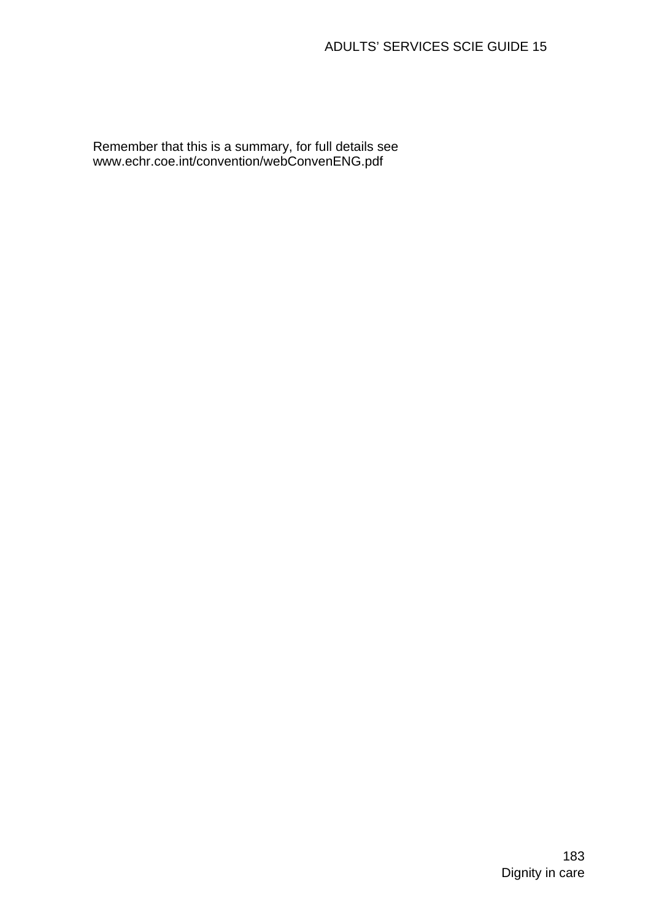Remember that this is a summary, for full details see www.echr.coe.int/convention/webConvenENG.pdf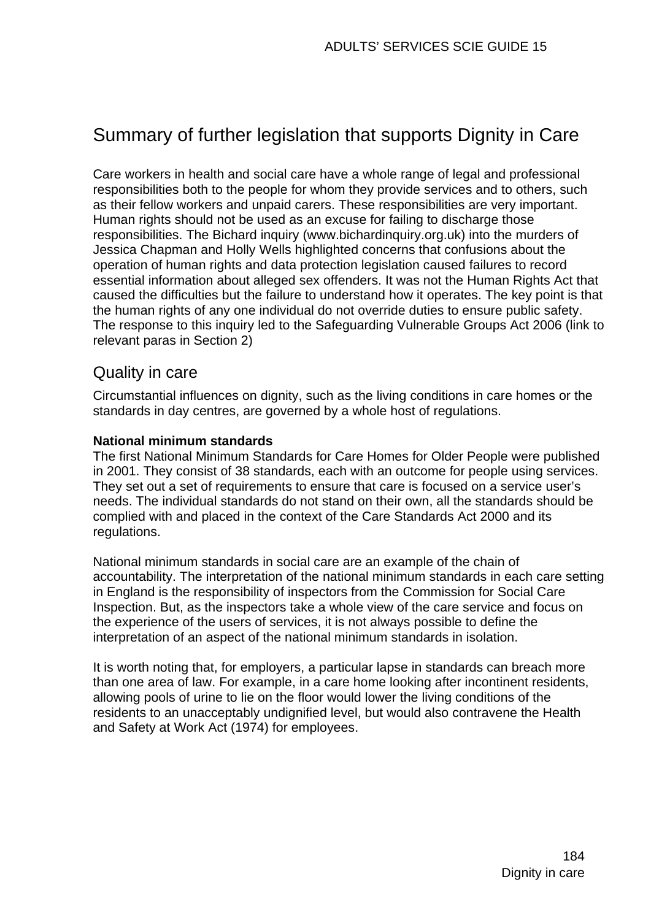# Summary of further legislation that supports Dignity in Care

Care workers in health and social care have a whole range of legal and professional responsibilities both to the people for whom they provide services and to others, such as their fellow workers and unpaid carers. These responsibilities are very important. Human rights should not be used as an excuse for failing to discharge those responsibilities. The Bichard inquiry (www.bichardinquiry.org.uk) into the murders of Jessica Chapman and Holly Wells highlighted concerns that confusions about the operation of human rights and data protection legislation caused failures to record essential information about alleged sex offenders. It was not the Human Rights Act that caused the difficulties but the failure to understand how it operates. The key point is that the human rights of any one individual do not override duties to ensure public safety. The response to this inquiry led to the Safeguarding Vulnerable Groups Act 2006 (link to relevant paras in Section 2)

# Quality in care

Circumstantial influences on dignity, such as the living conditions in care homes or the standards in day centres, are governed by a whole host of regulations.

#### **National minimum standards**

The first National Minimum Standards for Care Homes for Older People were published in 2001. They consist of 38 standards, each with an outcome for people using services. They set out a set of requirements to ensure that care is focused on a service user's needs. The individual standards do not stand on their own, all the standards should be complied with and placed in the context of the Care Standards Act 2000 and its regulations.

National minimum standards in social care are an example of the chain of accountability. The interpretation of the national minimum standards in each care setting in England is the responsibility of inspectors from the Commission for Social Care Inspection. But, as the inspectors take a whole view of the care service and focus on the experience of the users of services, it is not always possible to define the interpretation of an aspect of the national minimum standards in isolation.

It is worth noting that, for employers, a particular lapse in standards can breach more than one area of law. For example, in a care home looking after incontinent residents, allowing pools of urine to lie on the floor would lower the living conditions of the residents to an unacceptably undignified level, but would also contravene the Health and Safety at Work Act (1974) for employees.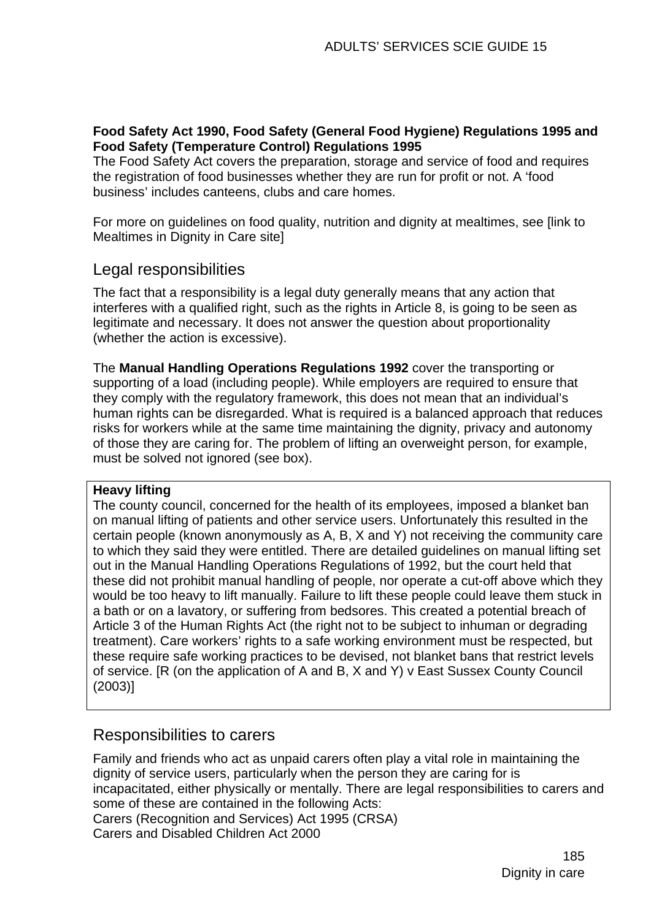### **Food Safety Act 1990, Food Safety (General Food Hygiene) Regulations 1995 and Food Safety (Temperature Control) Regulations 1995**

The Food Safety Act covers the preparation, storage and service of food and requires the registration of food businesses whether they are run for profit or not. A 'food business' includes canteens, clubs and care homes.

For more on guidelines on food quality, nutrition and dignity at mealtimes, see [link to Mealtimes in Dignity in Care site]

# Legal responsibilities

The fact that a responsibility is a legal duty generally means that any action that interferes with a qualified right, such as the rights in Article 8, is going to be seen as legitimate and necessary. It does not answer the question about proportionality (whether the action is excessive).

The **Manual Handling Operations Regulations 1992** cover the transporting or supporting of a load (including people). While employers are required to ensure that they comply with the regulatory framework, this does not mean that an individual's human rights can be disregarded. What is required is a balanced approach that reduces risks for workers while at the same time maintaining the dignity, privacy and autonomy of those they are caring for. The problem of lifting an overweight person, for example, must be solved not ignored (see box).

### **Heavy lifting**

The county council, concerned for the health of its employees, imposed a blanket ban on manual lifting of patients and other service users. Unfortunately this resulted in the certain people (known anonymously as A, B, X and Y) not receiving the community care to which they said they were entitled. There are detailed guidelines on manual lifting set out in the Manual Handling Operations Regulations of 1992, but the court held that these did not prohibit manual handling of people, nor operate a cut-off above which they would be too heavy to lift manually. Failure to lift these people could leave them stuck in a bath or on a lavatory, or suffering from bedsores. This created a potential breach of Article 3 of the Human Rights Act (the right not to be subject to inhuman or degrading treatment). Care workers' rights to a safe working environment must be respected, but these require safe working practices to be devised, not blanket bans that restrict levels of service. [R (on the application of A and B, X and Y) v East Sussex County Council (2003)]

# Responsibilities to carers

Family and friends who act as unpaid carers often play a vital role in maintaining the dignity of service users, particularly when the person they are caring for is incapacitated, either physically or mentally. There are legal responsibilities to carers and some of these are contained in the following Acts: Carers (Recognition and Services) Act 1995 (CRSA) Carers and Disabled Children Act 2000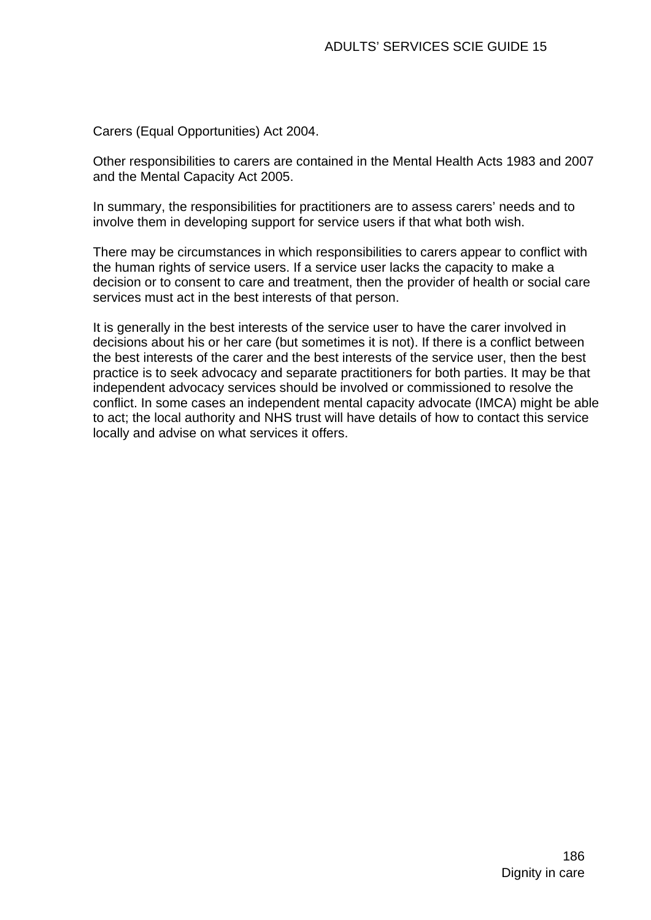Carers (Equal Opportunities) Act 2004.

Other responsibilities to carers are contained in the Mental Health Acts 1983 and 2007 and the Mental Capacity Act 2005.

In summary, the responsibilities for practitioners are to assess carers' needs and to involve them in developing support for service users if that what both wish.

There may be circumstances in which responsibilities to carers appear to conflict with the human rights of service users. If a service user lacks the capacity to make a decision or to consent to care and treatment, then the provider of health or social care services must act in the best interests of that person.

It is generally in the best interests of the service user to have the carer involved in decisions about his or her care (but sometimes it is not). If there is a conflict between the best interests of the carer and the best interests of the service user, then the best practice is to seek advocacy and separate practitioners for both parties. It may be that independent advocacy services should be involved or commissioned to resolve the conflict. In some cases an independent mental capacity advocate (IMCA) might be able to act; the local authority and NHS trust will have details of how to contact this service locally and advise on what services it offers.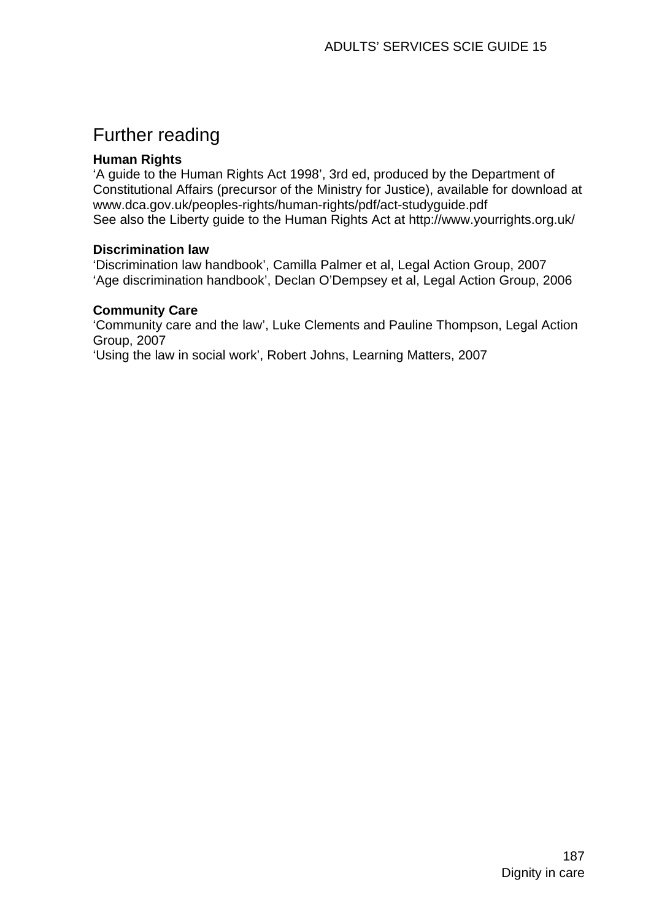# Further reading

### **Human Rights**

'A guide to the Human Rights Act 1998', 3rd ed, produced by the Department of Constitutional Affairs (precursor of the Ministry for Justice), available for download at www.dca.gov.uk/peoples-rights/human-rights/pdf/act-studyguide.pdf See also the Liberty guide to the Human Rights Act at http://www.yourrights.org.uk/

### **Discrimination law**

'Discrimination law handbook', Camilla Palmer et al, Legal Action Group, 2007 'Age discrimination handbook', Declan O'Dempsey et al, Legal Action Group, 2006

#### **Community Care**

'Community care and the law', Luke Clements and Pauline Thompson, Legal Action Group, 2007

'Using the law in social work', Robert Johns, Learning Matters, 2007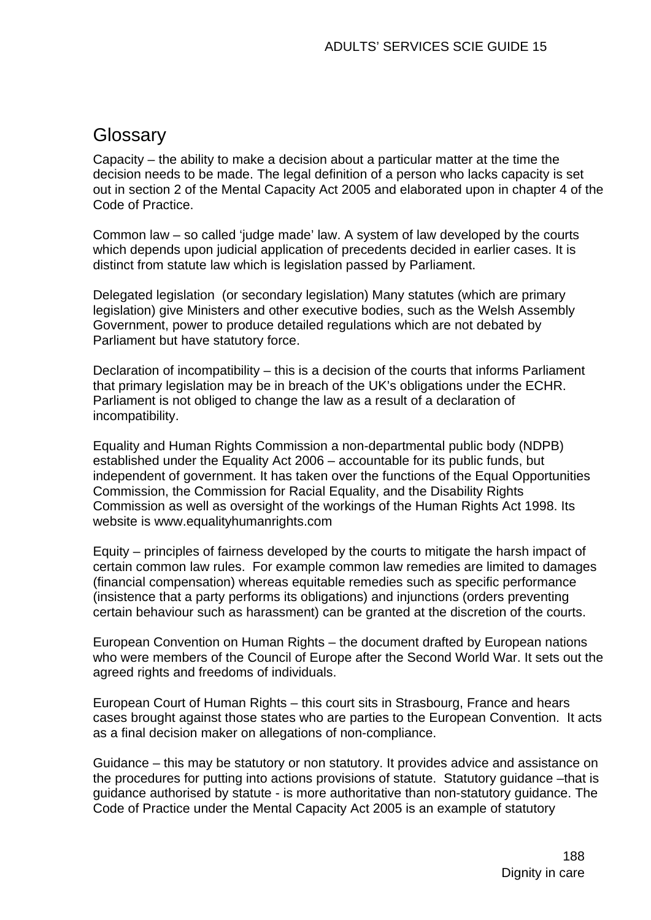# **Glossary**

Capacity – the ability to make a decision about a particular matter at the time the decision needs to be made. The legal definition of a person who lacks capacity is set out in section 2 of the Mental Capacity Act 2005 and elaborated upon in chapter 4 of the Code of Practice.

Common law – so called 'judge made' law. A system of law developed by the courts which depends upon judicial application of precedents decided in earlier cases. It is distinct from statute law which is legislation passed by Parliament.

Delegated legislation (or secondary legislation) Many statutes (which are primary legislation) give Ministers and other executive bodies, such as the Welsh Assembly Government, power to produce detailed regulations which are not debated by Parliament but have statutory force.

Declaration of incompatibility – this is a decision of the courts that informs Parliament that primary legislation may be in breach of the UK's obligations under the ECHR. Parliament is not obliged to change the law as a result of a declaration of incompatibility.

Equality and Human Rights Commission a non-departmental public body (NDPB) established under the Equality Act 2006 – accountable for its public funds, but independent of government. It has taken over the functions of the Equal Opportunities Commission, the Commission for Racial Equality, and the Disability Rights Commission as well as oversight of the workings of the Human Rights Act 1998. Its website is www.equalityhumanrights.com

Equity – principles of fairness developed by the courts to mitigate the harsh impact of certain common law rules. For example common law remedies are limited to damages (financial compensation) whereas equitable remedies such as specific performance (insistence that a party performs its obligations) and injunctions (orders preventing certain behaviour such as harassment) can be granted at the discretion of the courts.

European Convention on Human Rights – the document drafted by European nations who were members of the Council of Europe after the Second World War. It sets out the agreed rights and freedoms of individuals.

European Court of Human Rights – this court sits in Strasbourg, France and hears cases brought against those states who are parties to the European Convention. It acts as a final decision maker on allegations of non-compliance.

Guidance – this may be statutory or non statutory. It provides advice and assistance on the procedures for putting into actions provisions of statute. Statutory guidance –that is guidance authorised by statute - is more authoritative than non-statutory guidance. The Code of Practice under the Mental Capacity Act 2005 is an example of statutory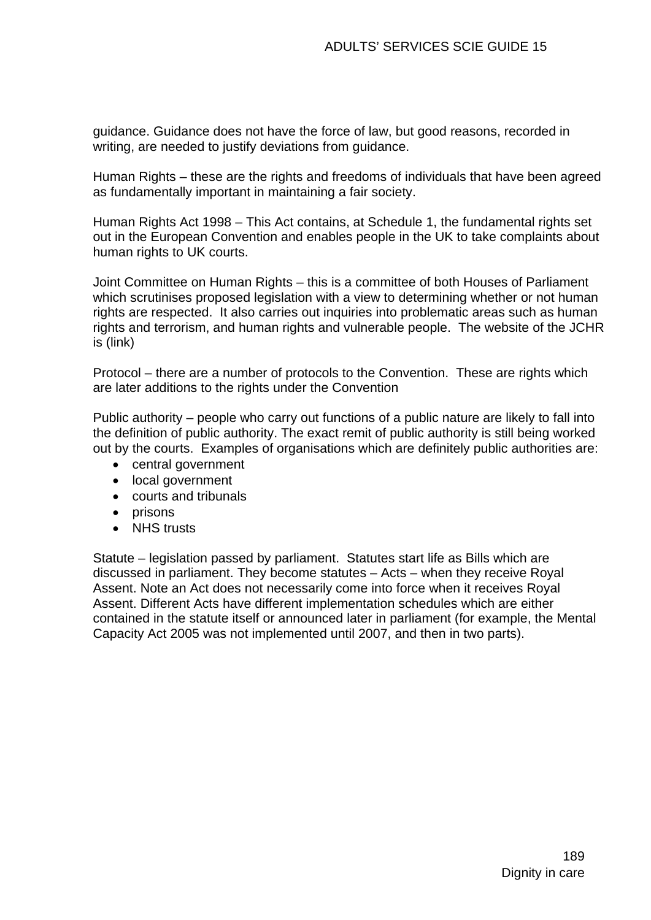guidance. Guidance does not have the force of law, but good reasons, recorded in writing, are needed to justify deviations from guidance.

Human Rights – these are the rights and freedoms of individuals that have been agreed as fundamentally important in maintaining a fair society.

Human Rights Act 1998 – This Act contains, at Schedule 1, the fundamental rights set out in the European Convention and enables people in the UK to take complaints about human rights to UK courts.

Joint Committee on Human Rights – this is a committee of both Houses of Parliament which scrutinises proposed legislation with a view to determining whether or not human rights are respected. It also carries out inquiries into problematic areas such as human rights and terrorism, and human rights and vulnerable people. The website of the JCHR is (link)

Protocol – there are a number of protocols to the Convention. These are rights which are later additions to the rights under the Convention

Public authority – people who carry out functions of a public nature are likely to fall into the definition of public authority. The exact remit of public authority is still being worked out by the courts. Examples of organisations which are definitely public authorities are:

- central government
- local government
- courts and tribunals
- prisons
- NHS trusts

Statute – legislation passed by parliament. Statutes start life as Bills which are discussed in parliament. They become statutes – Acts – when they receive Royal Assent. Note an Act does not necessarily come into force when it receives Royal Assent. Different Acts have different implementation schedules which are either contained in the statute itself or announced later in parliament (for example, the Mental Capacity Act 2005 was not implemented until 2007, and then in two parts).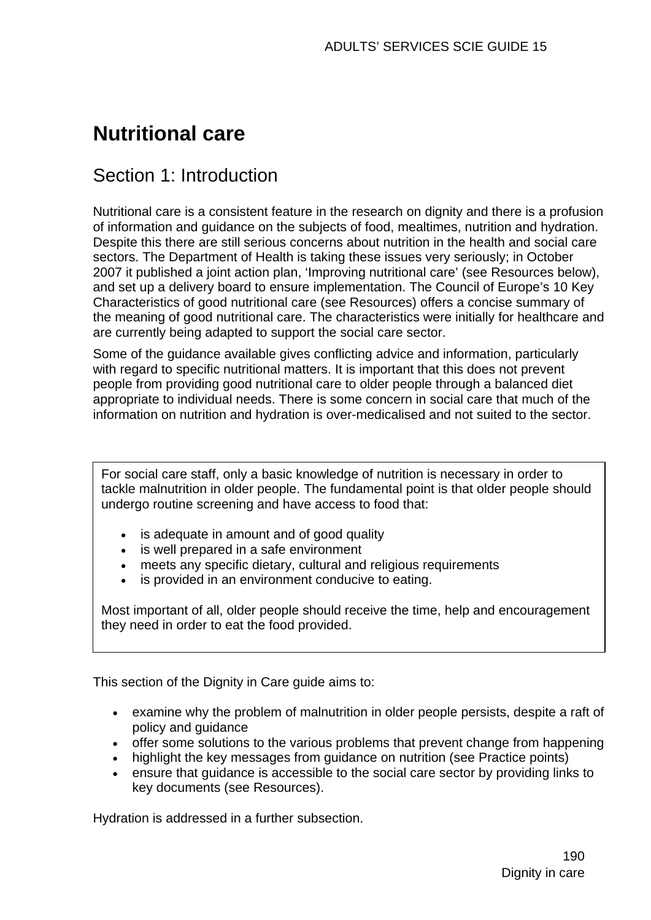# **Nutritional care**

# Section 1: Introduction

Nutritional care is a consistent feature in the research on dignity and there is a profusion of information and guidance on the subjects of food, mealtimes, nutrition and hydration. Despite this there are still serious concerns about nutrition in the health and social care sectors. The Department of Health is taking these issues very seriously; in October 2007 it published a joint action plan, 'Improving nutritional care' (see Resources below), and set up a delivery board to ensure implementation. The Council of Europe's 10 Key Characteristics of good nutritional care (see Resources) offers a concise summary of the meaning of good nutritional care. The characteristics were initially for healthcare and are currently being adapted to support the social care sector.

Some of the guidance available gives conflicting advice and information, particularly with regard to specific nutritional matters. It is important that this does not prevent people from providing good nutritional care to older people through a balanced diet appropriate to individual needs. There is some concern in social care that much of the information on nutrition and hydration is over-medicalised and not suited to the sector.

For social care staff, only a basic knowledge of nutrition is necessary in order to tackle malnutrition in older people. The fundamental point is that older people should undergo routine screening and have access to food that:

- is adequate in amount and of good quality
- is well prepared in a safe environment
- meets any specific dietary, cultural and religious requirements
- is provided in an environment conducive to eating.

Most important of all, older people should receive the time, help and encouragement they need in order to eat the food provided.

This section of the Dignity in Care guide aims to:

- examine why the problem of malnutrition in older people persists, despite a raft of policy and guidance
- offer some solutions to the various problems that prevent change from happening
- highlight the key messages from guidance on nutrition (see Practice points)
- ensure that guidance is accessible to the social care sector by providing links to key documents (see Resources).

Hydration is addressed in a further subsection.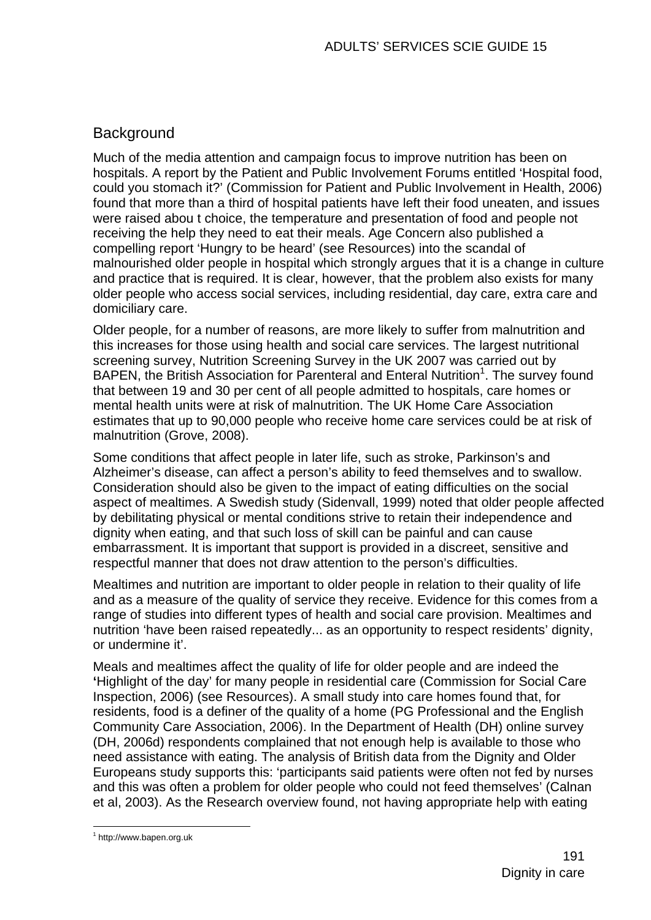# Background

Much of the media attention and campaign focus to improve nutrition has been on hospitals. A report by the Patient and Public Involvement Forums entitled 'Hospital food, could you stomach it?' (Commission for Patient and Public Involvement in Health, 2006) found that more than a third of hospital patients have left their food uneaten, and issues were raised abou t choice, the temperature and presentation of food and people not receiving the help they need to eat their meals. Age Concern also published a compelling report 'Hungry to be heard' (see Resources) into the scandal of malnourished older people in hospital which strongly argues that it is a change in culture and practice that is required. It is clear, however, that the problem also exists for many older people who access social services, including residential, day care, extra care and domiciliary care.

Older people, for a number of reasons, are more likely to suffer from malnutrition and this increases for those using health and social care services. The largest nutritional screening survey, Nutrition Screening Survey in the UK 2007 was carried out by BAPEN, the British Association for Parenteral and Enteral Nutrition<sup>1</sup>. The survey found that between 19 and 30 per cent of all people admitted to hospitals, care homes or mental health units were at risk of malnutrition. The UK Home Care Association estimates that up to 90,000 people who receive home care services could be at risk of malnutrition (Grove, 2008).

Some conditions that affect people in later life, such as stroke, Parkinson's and Alzheimer's disease, can affect a person's ability to feed themselves and to swallow. Consideration should also be given to the impact of eating difficulties on the social aspect of mealtimes. A Swedish study (Sidenvall, 1999) noted that older people affected by debilitating physical or mental conditions strive to retain their independence and dignity when eating, and that such loss of skill can be painful and can cause embarrassment. It is important that support is provided in a discreet, sensitive and respectful manner that does not draw attention to the person's difficulties.

Mealtimes and nutrition are important to older people in relation to their quality of life and as a measure of the quality of service they receive. Evidence for this comes from a range of studies into different types of health and social care provision. Mealtimes and nutrition 'have been raised repeatedly... as an opportunity to respect residents' dignity, or undermine it'.

Meals and mealtimes affect the quality of life for older people and are indeed the **'**Highlight of the day' for many people in residential care (Commission for Social Care Inspection, 2006) (see Resources). A small study into care homes found that, for residents, food is a definer of the quality of a home (PG Professional and the English Community Care Association, 2006). In the Department of Health (DH) online survey (DH, 2006d) respondents complained that not enough help is available to those who need assistance with eating. The analysis of British data from the Dignity and Older Europeans study supports this: 'participants said patients were often not fed by nurses and this was often a problem for older people who could not feed themselves' (Calnan et al, 2003). As the Research overview found, not having appropriate help with eating

1

<sup>1</sup> http://www.bapen.org.uk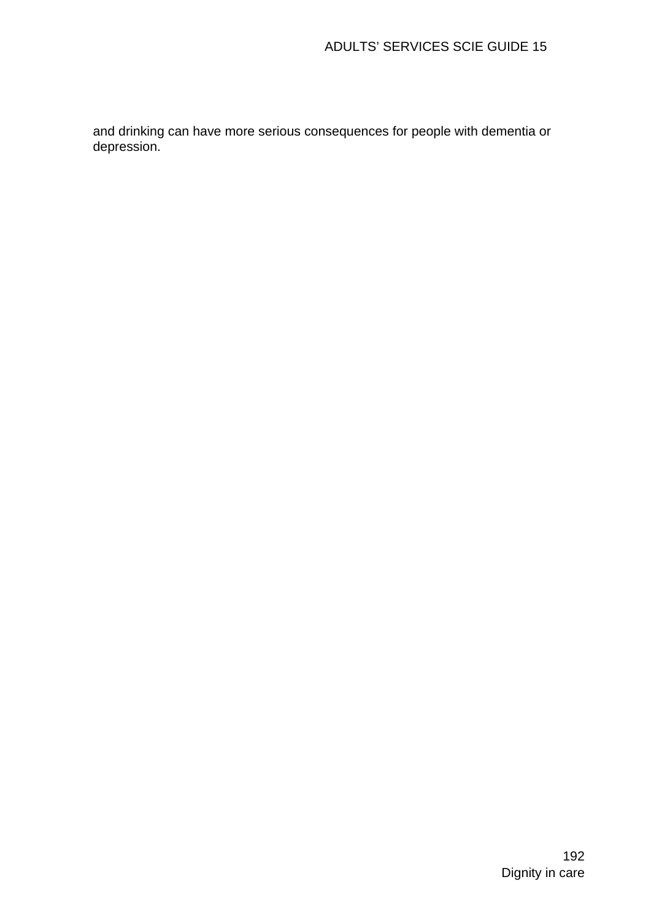and drinking can have more serious consequences for people with dementia or depression.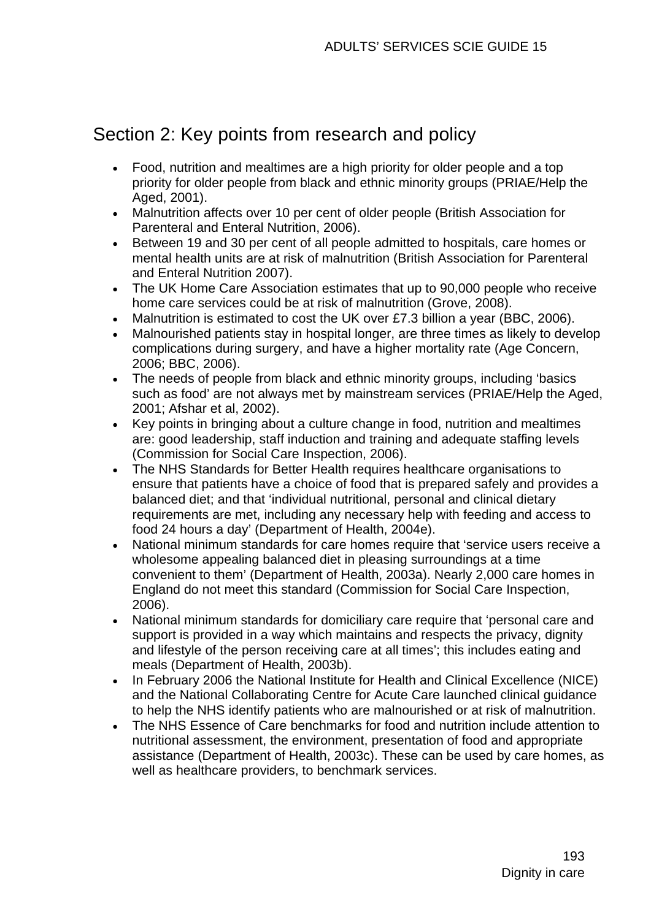# Section 2: Key points from research and policy

- Food, nutrition and mealtimes are a high priority for older people and a top priority for older people from black and ethnic minority groups (PRIAE/Help the Aged, 2001).
- Malnutrition affects over 10 per cent of older people (British Association for Parenteral and Enteral Nutrition, 2006).
- Between 19 and 30 per cent of all people admitted to hospitals, care homes or mental health units are at risk of malnutrition (British Association for Parenteral and Enteral Nutrition 2007).
- The UK Home Care Association estimates that up to 90,000 people who receive home care services could be at risk of malnutrition (Grove, 2008).
- Malnutrition is estimated to cost the UK over £7.3 billion a year (BBC, 2006).
- Malnourished patients stay in hospital longer, are three times as likely to develop complications during surgery, and have a higher mortality rate (Age Concern, 2006; BBC, 2006).
- The needs of people from black and ethnic minority groups, including 'basics such as food' are not always met by mainstream services (PRIAE/Help the Aged, 2001; Afshar et al, 2002).
- Key points in bringing about a culture change in food, nutrition and mealtimes are: good leadership, staff induction and training and adequate staffing levels (Commission for Social Care Inspection, 2006).
- The NHS Standards for Better Health requires healthcare organisations to ensure that patients have a choice of food that is prepared safely and provides a balanced diet; and that 'individual nutritional, personal and clinical dietary requirements are met, including any necessary help with feeding and access to food 24 hours a day' (Department of Health, 2004e).
- National minimum standards for care homes require that 'service users receive a wholesome appealing balanced diet in pleasing surroundings at a time convenient to them' (Department of Health, 2003a). Nearly 2,000 care homes in England do not meet this standard (Commission for Social Care Inspection, 2006).
- National minimum standards for domiciliary care require that 'personal care and support is provided in a way which maintains and respects the privacy, dignity and lifestyle of the person receiving care at all times'; this includes eating and meals (Department of Health, 2003b).
- In February 2006 the National Institute for Health and Clinical Excellence (NICE) and the National Collaborating Centre for Acute Care launched clinical guidance to help the NHS identify patients who are malnourished or at risk of malnutrition.
- The NHS Essence of Care benchmarks for food and nutrition include attention to nutritional assessment, the environment, presentation of food and appropriate assistance (Department of Health, 2003c). These can be used by care homes, as well as healthcare providers, to benchmark services.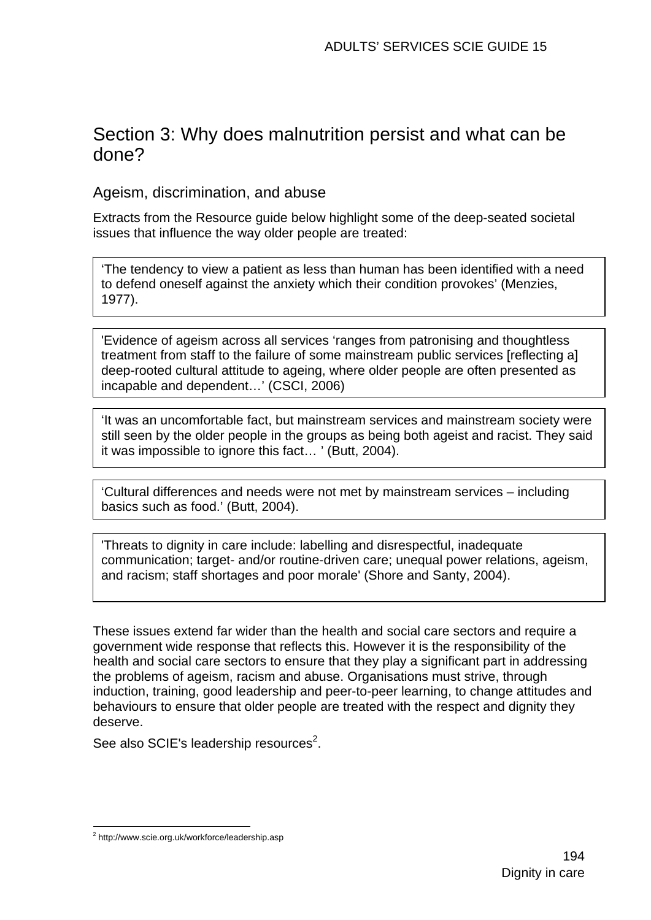# Section 3: Why does malnutrition persist and what can be done?

Ageism, discrimination, and abuse

Extracts from the Resource guide below highlight some of the deep-seated societal issues that influence the way older people are treated:

'The tendency to view a patient as less than human has been identified with a need to defend oneself against the anxiety which their condition provokes' (Menzies, 1977).

'Evidence of ageism across all services 'ranges from patronising and thoughtless treatment from staff to the failure of some mainstream public services [reflecting a] deep-rooted cultural attitude to ageing, where older people are often presented as incapable and dependent…' (CSCI, 2006)

'It was an uncomfortable fact, but mainstream services and mainstream society were still seen by the older people in the groups as being both ageist and racist. They said it was impossible to ignore this fact… ' (Butt, 2004).

'Cultural differences and needs were not met by mainstream services – including basics such as food.' (Butt, 2004).

'Threats to dignity in care include: labelling and disrespectful, inadequate communication; target- and/or routine-driven care; unequal power relations, ageism, and racism; staff shortages and poor morale' (Shore and Santy, 2004).

These issues extend far wider than the health and social care sectors and require a government wide response that reflects this. However it is the responsibility of the health and social care sectors to ensure that they play a significant part in addressing the problems of ageism, racism and abuse. Organisations must strive, through induction, training, good leadership and peer-to-peer learning, to change attitudes and behaviours to ensure that older people are treated with the respect and dignity they deserve.

See also SCIE's leadership resources $2$ .

<sup>1</sup> <sup>2</sup> http://www.scie.org.uk/workforce/leadership.asp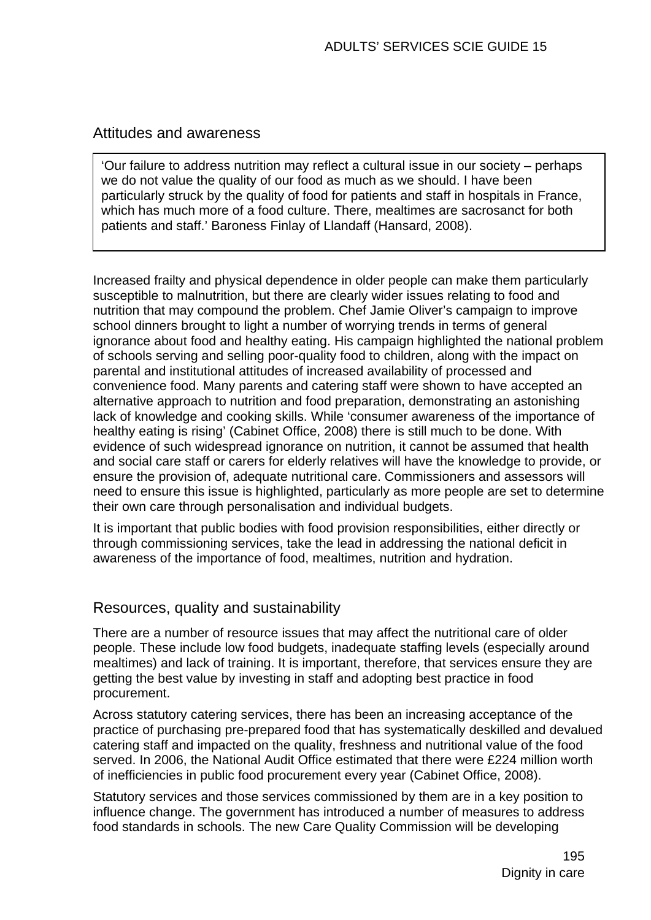## Attitudes and awareness

'Our failure to address nutrition may reflect a cultural issue in our society – perhaps we do not value the quality of our food as much as we should. I have been particularly struck by the quality of food for patients and staff in hospitals in France, which has much more of a food culture. There, mealtimes are sacrosanct for both patients and staff.' Baroness Finlay of Llandaff (Hansard, 2008).

Increased frailty and physical dependence in older people can make them particularly susceptible to malnutrition, but there are clearly wider issues relating to food and nutrition that may compound the problem. Chef Jamie Oliver's campaign to improve school dinners brought to light a number of worrying trends in terms of general ignorance about food and healthy eating. His campaign highlighted the national problem of schools serving and selling poor-quality food to children, along with the impact on parental and institutional attitudes of increased availability of processed and convenience food. Many parents and catering staff were shown to have accepted an alternative approach to nutrition and food preparation, demonstrating an astonishing lack of knowledge and cooking skills. While 'consumer awareness of the importance of healthy eating is rising' (Cabinet Office, 2008) there is still much to be done. With evidence of such widespread ignorance on nutrition, it cannot be assumed that health and social care staff or carers for elderly relatives will have the knowledge to provide, or ensure the provision of, adequate nutritional care. Commissioners and assessors will need to ensure this issue is highlighted, particularly as more people are set to determine their own care through personalisation and individual budgets.

It is important that public bodies with food provision responsibilities, either directly or through commissioning services, take the lead in addressing the national deficit in awareness of the importance of food, mealtimes, nutrition and hydration.

### Resources, quality and sustainability

There are a number of resource issues that may affect the nutritional care of older people. These include low food budgets, inadequate staffing levels (especially around mealtimes) and lack of training. It is important, therefore, that services ensure they are getting the best value by investing in staff and adopting best practice in food procurement.

Across statutory catering services, there has been an increasing acceptance of the practice of purchasing pre-prepared food that has systematically deskilled and devalued catering staff and impacted on the quality, freshness and nutritional value of the food served. In 2006, the National Audit Office estimated that there were £224 million worth of inefficiencies in public food procurement every year (Cabinet Office, 2008).

Statutory services and those services commissioned by them are in a key position to influence change. The government has introduced a number of measures to address food standards in schools. The new Care Quality Commission will be developing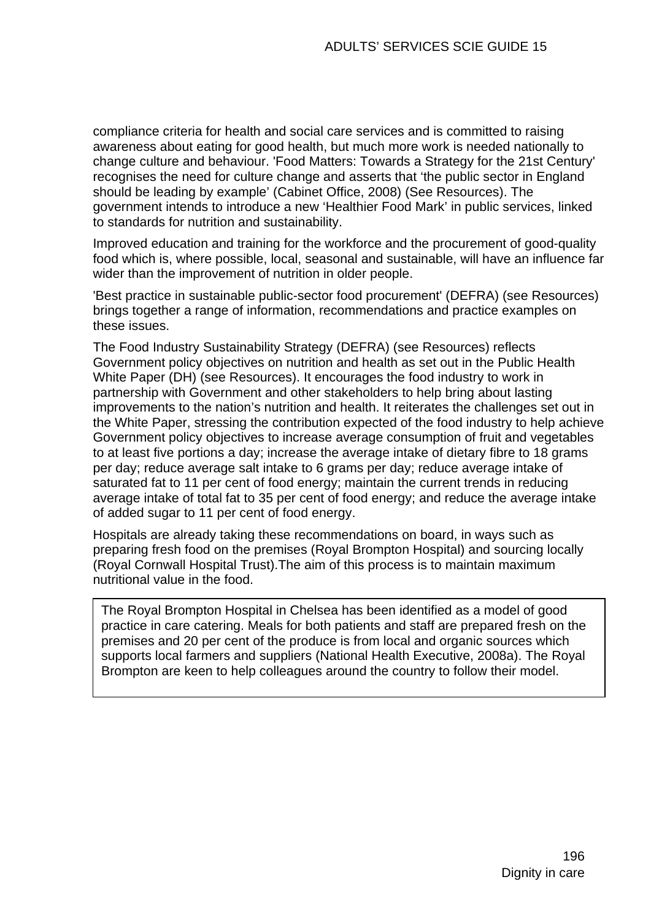compliance criteria for health and social care services and is committed to raising awareness about eating for good health, but much more work is needed nationally to change culture and behaviour. 'Food Matters: Towards a Strategy for the 21st Century' recognises the need for culture change and asserts that 'the public sector in England should be leading by example' (Cabinet Office, 2008) (See Resources). The government intends to introduce a new 'Healthier Food Mark' in public services, linked to standards for nutrition and sustainability.

Improved education and training for the workforce and the procurement of good-quality food which is, where possible, local, seasonal and sustainable, will have an influence far wider than the improvement of nutrition in older people.

'Best practice in sustainable public-sector food procurement' (DEFRA) (see Resources) brings together a range of information, recommendations and practice examples on these issues.

The Food Industry Sustainability Strategy (DEFRA) (see Resources) reflects Government policy objectives on nutrition and health as set out in the Public Health White Paper (DH) (see Resources). It encourages the food industry to work in partnership with Government and other stakeholders to help bring about lasting improvements to the nation's nutrition and health. It reiterates the challenges set out in the White Paper, stressing the contribution expected of the food industry to help achieve Government policy objectives to increase average consumption of fruit and vegetables to at least five portions a day; increase the average intake of dietary fibre to 18 grams per day; reduce average salt intake to 6 grams per day; reduce average intake of saturated fat to 11 per cent of food energy; maintain the current trends in reducing average intake of total fat to 35 per cent of food energy; and reduce the average intake of added sugar to 11 per cent of food energy.

Hospitals are already taking these recommendations on board, in ways such as preparing fresh food on the premises (Royal Brompton Hospital) and sourcing locally (Royal Cornwall Hospital Trust).The aim of this process is to maintain maximum nutritional value in the food.

The Royal Brompton Hospital in Chelsea has been identified as a model of good practice in care catering. Meals for both patients and staff are prepared fresh on the premises and 20 per cent of the produce is from local and organic sources which supports local farmers and suppliers (National Health Executive, 2008a). The Royal Brompton are keen to help colleagues around the country to follow their model.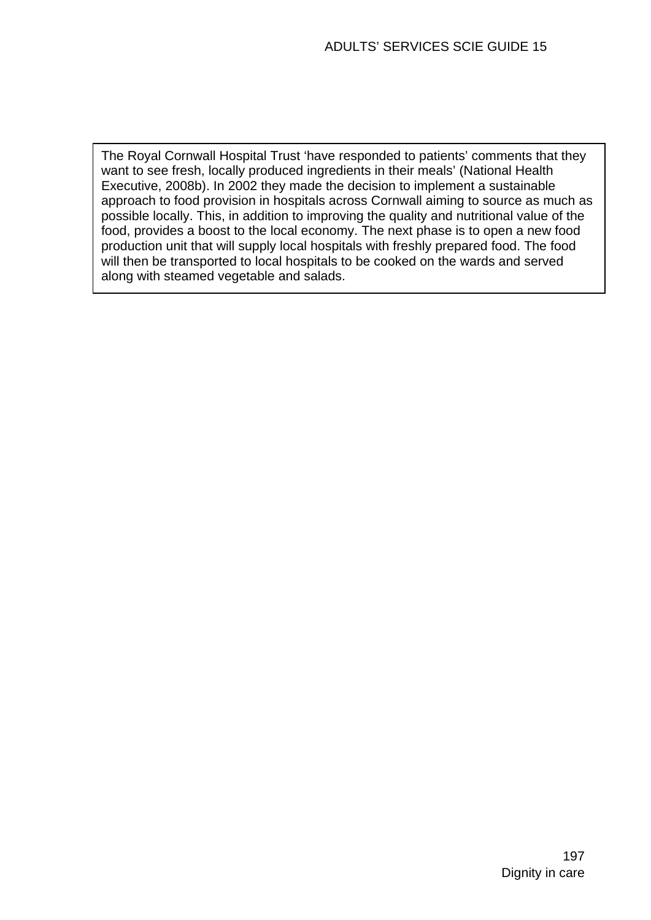The Royal Cornwall Hospital Trust 'have responded to patients' comments that they want to see fresh, locally produced ingredients in their meals' (National Health Executive, 2008b). In 2002 they made the decision to implement a sustainable approach to food provision in hospitals across Cornwall aiming to source as much as possible locally. This, in addition to improving the quality and nutritional value of the food, provides a boost to the local economy. The next phase is to open a new food production unit that will supply local hospitals with freshly prepared food. The food will then be transported to local hospitals to be cooked on the wards and served along with steamed vegetable and salads.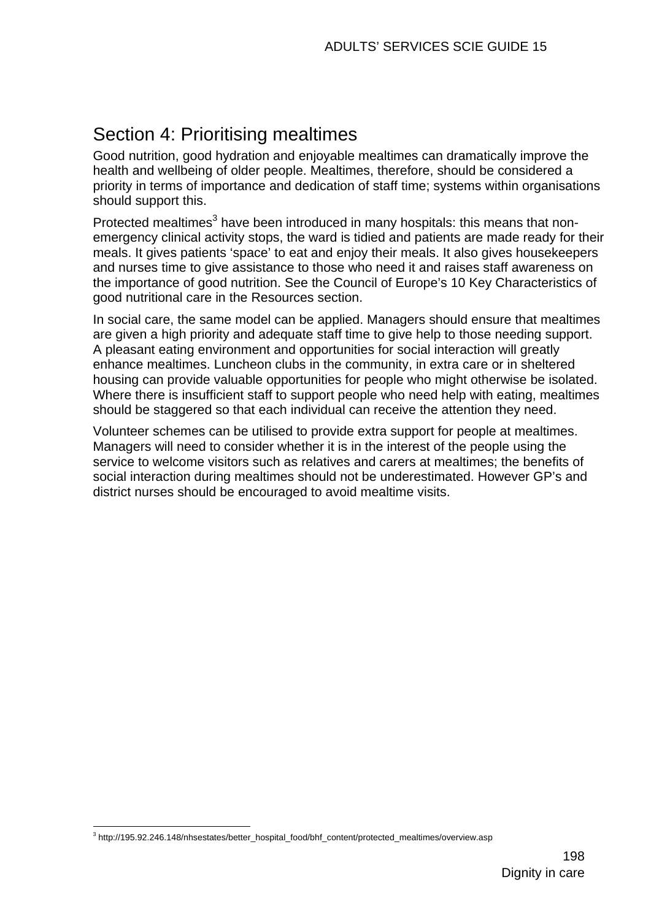# Section 4: Prioritising mealtimes

Good nutrition, good hydration and enjoyable mealtimes can dramatically improve the health and wellbeing of older people. Mealtimes, therefore, should be considered a priority in terms of importance and dedication of staff time; systems within organisations should support this.

Protected mealtimes<sup>3</sup> have been introduced in many hospitals: this means that nonemergency clinical activity stops, the ward is tidied and patients are made ready for their meals. It gives patients 'space' to eat and enjoy their meals. It also gives housekeepers and nurses time to give assistance to those who need it and raises staff awareness on the importance of good nutrition. See the Council of Europe's 10 Key Characteristics of good nutritional care in the Resources section.

In social care, the same model can be applied. Managers should ensure that mealtimes are given a high priority and adequate staff time to give help to those needing support. A pleasant eating environment and opportunities for social interaction will greatly enhance mealtimes. Luncheon clubs in the community, in extra care or in sheltered housing can provide valuable opportunities for people who might otherwise be isolated. Where there is insufficient staff to support people who need help with eating, mealtimes should be staggered so that each individual can receive the attention they need.

Volunteer schemes can be utilised to provide extra support for people at mealtimes. Managers will need to consider whether it is in the interest of the people using the service to welcome visitors such as relatives and carers at mealtimes; the benefits of social interaction during mealtimes should not be underestimated. However GP's and district nurses should be encouraged to avoid mealtime visits.

<sup>1</sup> <sup>3</sup> http://195.92.246.148/nhsestates/better\_hospital\_food/bhf\_content/protected\_mealtimes/overview.asp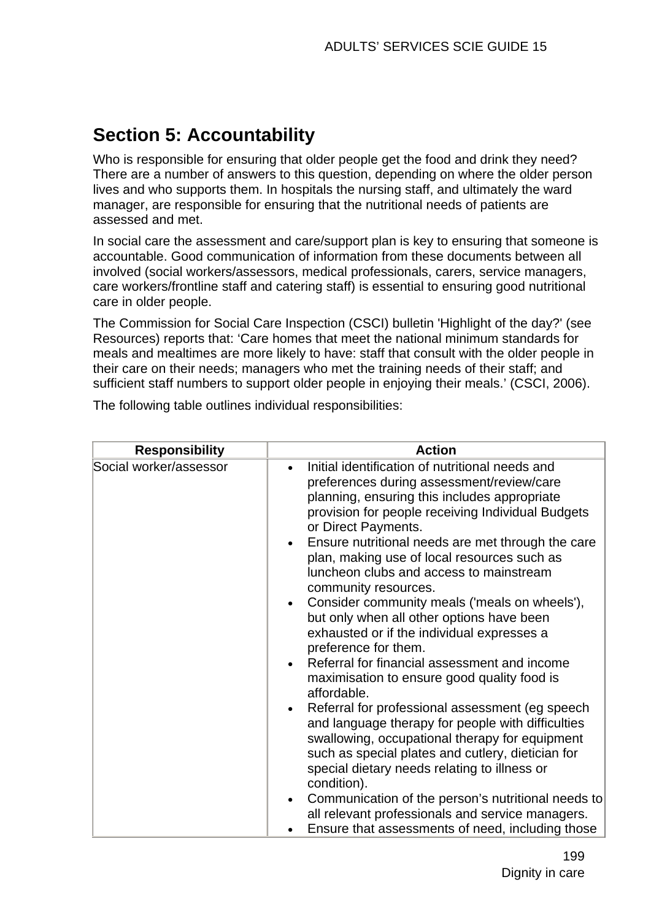# **Section 5: Accountability**

Who is responsible for ensuring that older people get the food and drink they need? There are a number of answers to this question, depending on where the older person lives and who supports them. In hospitals the nursing staff, and ultimately the ward manager, are responsible for ensuring that the nutritional needs of patients are assessed and met.

In social care the assessment and care/support plan is key to ensuring that someone is accountable. Good communication of information from these documents between all involved (social workers/assessors, medical professionals, carers, service managers, care workers/frontline staff and catering staff) is essential to ensuring good nutritional care in older people.

The Commission for Social Care Inspection (CSCI) bulletin 'Highlight of the day?' (see Resources) reports that: 'Care homes that meet the national minimum standards for meals and mealtimes are more likely to have: staff that consult with the older people in their care on their needs; managers who met the training needs of their staff; and sufficient staff numbers to support older people in enjoying their meals.' (CSCI, 2006).

| <b>Responsibility</b>  | <b>Action</b>                                                                                                                                                                                                                                                                                                                                                                                                                                                                                                                                                                                                                                                                                                                                                                                                                                                                                                                                                                                                                                                                                                                              |
|------------------------|--------------------------------------------------------------------------------------------------------------------------------------------------------------------------------------------------------------------------------------------------------------------------------------------------------------------------------------------------------------------------------------------------------------------------------------------------------------------------------------------------------------------------------------------------------------------------------------------------------------------------------------------------------------------------------------------------------------------------------------------------------------------------------------------------------------------------------------------------------------------------------------------------------------------------------------------------------------------------------------------------------------------------------------------------------------------------------------------------------------------------------------------|
| Social worker/assessor | Initial identification of nutritional needs and<br>$\bullet$<br>preferences during assessment/review/care<br>planning, ensuring this includes appropriate<br>provision for people receiving Individual Budgets<br>or Direct Payments.<br>Ensure nutritional needs are met through the care<br>plan, making use of local resources such as<br>luncheon clubs and access to mainstream<br>community resources.<br>Consider community meals ('meals on wheels'),<br>but only when all other options have been<br>exhausted or if the individual expresses a<br>preference for them.<br>Referral for financial assessment and income<br>maximisation to ensure good quality food is<br>affordable.<br>Referral for professional assessment (eg speech<br>and language therapy for people with difficulties<br>swallowing, occupational therapy for equipment<br>such as special plates and cutlery, dietician for<br>special dietary needs relating to illness or<br>condition).<br>Communication of the person's nutritional needs to<br>all relevant professionals and service managers.<br>Ensure that assessments of need, including those |

The following table outlines individual responsibilities: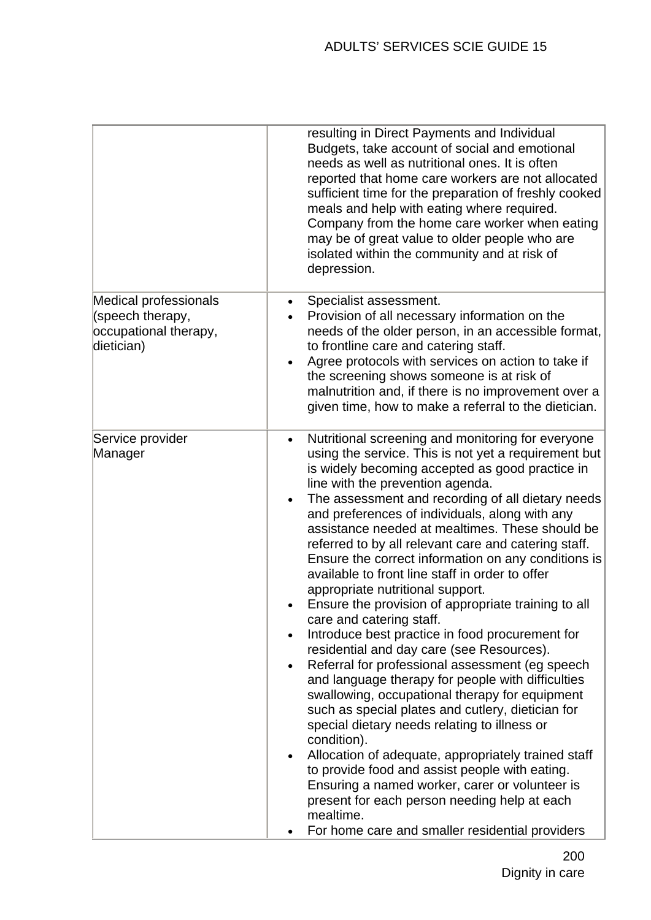|                                                                                         | resulting in Direct Payments and Individual<br>Budgets, take account of social and emotional<br>needs as well as nutritional ones. It is often<br>reported that home care workers are not allocated<br>sufficient time for the preparation of freshly cooked<br>meals and help with eating where required.<br>Company from the home care worker when eating<br>may be of great value to older people who are<br>isolated within the community and at risk of<br>depression.                                                                                                                                                                                                                                                                                                                                                                                                                                                                                                                                                                                                                                                                                                                                                                                                                                                                         |
|-----------------------------------------------------------------------------------------|-----------------------------------------------------------------------------------------------------------------------------------------------------------------------------------------------------------------------------------------------------------------------------------------------------------------------------------------------------------------------------------------------------------------------------------------------------------------------------------------------------------------------------------------------------------------------------------------------------------------------------------------------------------------------------------------------------------------------------------------------------------------------------------------------------------------------------------------------------------------------------------------------------------------------------------------------------------------------------------------------------------------------------------------------------------------------------------------------------------------------------------------------------------------------------------------------------------------------------------------------------------------------------------------------------------------------------------------------------|
| <b>Medical professionals</b><br>(speech therapy,<br>occupational therapy,<br>dietician) | Specialist assessment.<br>Provision of all necessary information on the<br>needs of the older person, in an accessible format,<br>to frontline care and catering staff.<br>Agree protocols with services on action to take if<br>$\bullet$<br>the screening shows someone is at risk of<br>malnutrition and, if there is no improvement over a<br>given time, how to make a referral to the dietician.                                                                                                                                                                                                                                                                                                                                                                                                                                                                                                                                                                                                                                                                                                                                                                                                                                                                                                                                              |
| Service provider<br>Manager                                                             | Nutritional screening and monitoring for everyone<br>$\bullet$<br>using the service. This is not yet a requirement but<br>is widely becoming accepted as good practice in<br>line with the prevention agenda.<br>The assessment and recording of all dietary needs<br>and preferences of individuals, along with any<br>assistance needed at mealtimes. These should be<br>referred to by all relevant care and catering staff.<br>Ensure the correct information on any conditions is<br>available to front line staff in order to offer<br>appropriate nutritional support.<br>Ensure the provision of appropriate training to all<br>care and catering staff.<br>Introduce best practice in food procurement for<br>residential and day care (see Resources).<br>Referral for professional assessment (eg speech<br>$\bullet$<br>and language therapy for people with difficulties<br>swallowing, occupational therapy for equipment<br>such as special plates and cutlery, dietician for<br>special dietary needs relating to illness or<br>condition).<br>Allocation of adequate, appropriately trained staff<br>$\bullet$<br>to provide food and assist people with eating.<br>Ensuring a named worker, carer or volunteer is<br>present for each person needing help at each<br>mealtime.<br>For home care and smaller residential providers |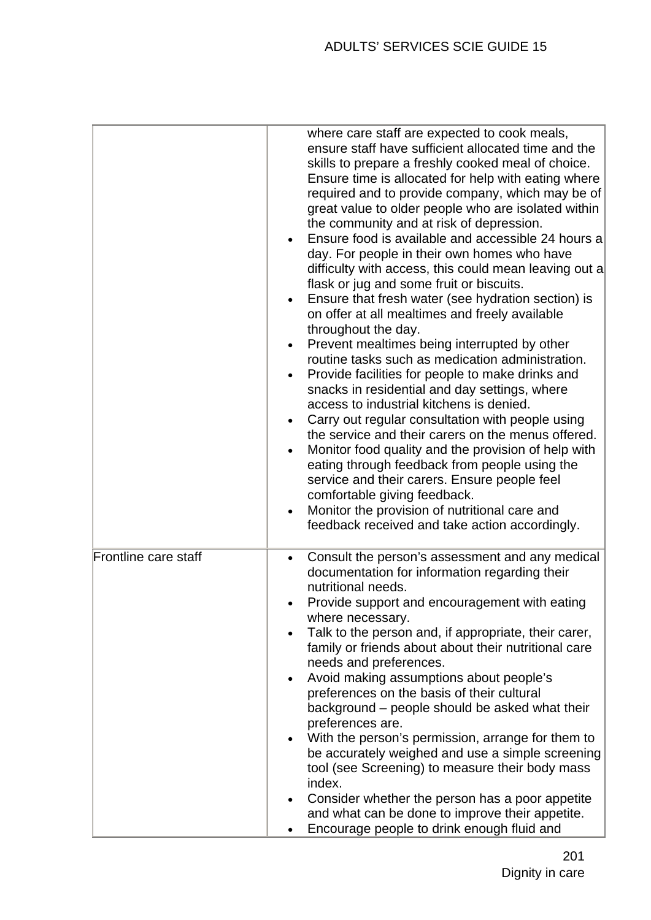|                      | where care staff are expected to cook meals,<br>ensure staff have sufficient allocated time and the<br>skills to prepare a freshly cooked meal of choice.<br>Ensure time is allocated for help with eating where<br>required and to provide company, which may be of<br>great value to older people who are isolated within<br>the community and at risk of depression.<br>Ensure food is available and accessible 24 hours a<br>day. For people in their own homes who have<br>difficulty with access, this could mean leaving out a<br>flask or jug and some fruit or biscuits.<br>Ensure that fresh water (see hydration section) is<br>on offer at all mealtimes and freely available<br>throughout the day.<br>Prevent mealtimes being interrupted by other<br>routine tasks such as medication administration.<br>Provide facilities for people to make drinks and<br>$\bullet$<br>snacks in residential and day settings, where<br>access to industrial kitchens is denied.<br>Carry out regular consultation with people using<br>the service and their carers on the menus offered.<br>Monitor food quality and the provision of help with<br>eating through feedback from people using the<br>service and their carers. Ensure people feel<br>comfortable giving feedback.<br>Monitor the provision of nutritional care and<br>feedback received and take action accordingly. |
|----------------------|-----------------------------------------------------------------------------------------------------------------------------------------------------------------------------------------------------------------------------------------------------------------------------------------------------------------------------------------------------------------------------------------------------------------------------------------------------------------------------------------------------------------------------------------------------------------------------------------------------------------------------------------------------------------------------------------------------------------------------------------------------------------------------------------------------------------------------------------------------------------------------------------------------------------------------------------------------------------------------------------------------------------------------------------------------------------------------------------------------------------------------------------------------------------------------------------------------------------------------------------------------------------------------------------------------------------------------------------------------------------------------------------|
| Frontline care staff | Consult the person's assessment and any medical<br>documentation for information regarding their<br>nutritional needs.<br>Provide support and encouragement with eating<br>where necessary.<br>Talk to the person and, if appropriate, their carer,<br>family or friends about about their nutritional care<br>needs and preferences.<br>Avoid making assumptions about people's<br>preferences on the basis of their cultural<br>background – people should be asked what their<br>preferences are.<br>With the person's permission, arrange for them to<br>be accurately weighed and use a simple screening<br>tool (see Screening) to measure their body mass<br>index.<br>Consider whether the person has a poor appetite<br>and what can be done to improve their appetite.<br>Encourage people to drink enough fluid and                                                                                                                                                                                                                                                                                                                                                                                                                                                                                                                                                          |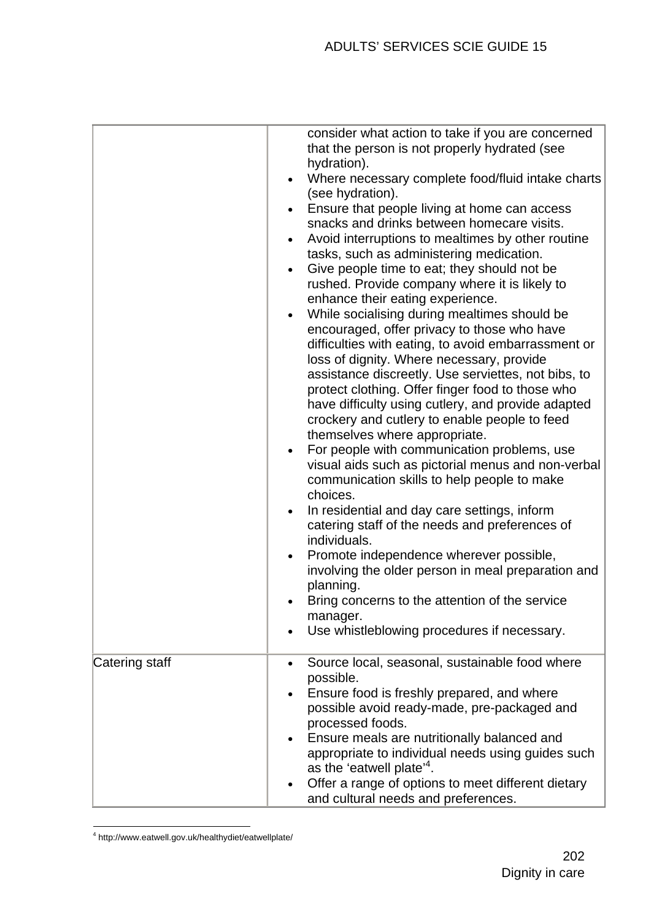|                | consider what action to take if you are concerned<br>that the person is not properly hydrated (see<br>hydration).<br>Where necessary complete food/fluid intake charts<br>(see hydration).<br>Ensure that people living at home can access<br>snacks and drinks between homecare visits.                                                                                                                                                                                                                                                                                                                                                                                                                                                                                                                                                                                                                                                                  |
|----------------|-----------------------------------------------------------------------------------------------------------------------------------------------------------------------------------------------------------------------------------------------------------------------------------------------------------------------------------------------------------------------------------------------------------------------------------------------------------------------------------------------------------------------------------------------------------------------------------------------------------------------------------------------------------------------------------------------------------------------------------------------------------------------------------------------------------------------------------------------------------------------------------------------------------------------------------------------------------|
|                | Avoid interruptions to mealtimes by other routine<br>tasks, such as administering medication.<br>Give people time to eat; they should not be<br>rushed. Provide company where it is likely to<br>enhance their eating experience.<br>While socialising during mealtimes should be<br>encouraged, offer privacy to those who have<br>difficulties with eating, to avoid embarrassment or<br>loss of dignity. Where necessary, provide<br>assistance discreetly. Use serviettes, not bibs, to<br>protect clothing. Offer finger food to those who<br>have difficulty using cutlery, and provide adapted<br>crockery and cutlery to enable people to feed<br>themselves where appropriate.<br>For people with communication problems, use<br>visual aids such as pictorial menus and non-verbal<br>communication skills to help people to make<br>choices.<br>In residential and day care settings, inform<br>catering staff of the needs and preferences of |
|                | individuals.<br>Promote independence wherever possible,<br>involving the older person in meal preparation and<br>planning.<br>Bring concerns to the attention of the service<br>manager.<br>Use whistleblowing procedures if necessary.                                                                                                                                                                                                                                                                                                                                                                                                                                                                                                                                                                                                                                                                                                                   |
| Catering staff | Source local, seasonal, sustainable food where<br>$\bullet$<br>possible.<br>Ensure food is freshly prepared, and where<br>possible avoid ready-made, pre-packaged and<br>processed foods.<br>Ensure meals are nutritionally balanced and<br>appropriate to individual needs using guides such<br>as the 'eatwell plate' <sup>4</sup> .<br>Offer a range of options to meet different dietary<br>and cultural needs and preferences.                                                                                                                                                                                                                                                                                                                                                                                                                                                                                                                       |

4 http://www.eatwell.gov.uk/healthydiet/eatwellplate/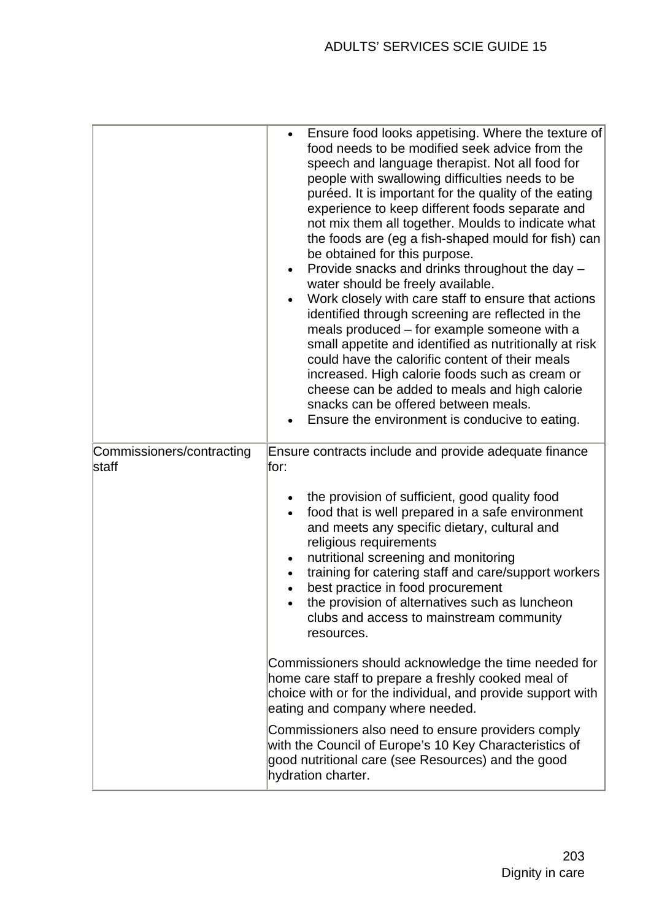| Commissioners/contracting | Ensure food looks appetising. Where the texture of<br>food needs to be modified seek advice from the<br>speech and language therapist. Not all food for<br>people with swallowing difficulties needs to be<br>puréed. It is important for the quality of the eating<br>experience to keep different foods separate and<br>not mix them all together. Moulds to indicate what<br>the foods are (eg a fish-shaped mould for fish) can<br>be obtained for this purpose.<br>Provide snacks and drinks throughout the day -<br>$\bullet$<br>water should be freely available.<br>Work closely with care staff to ensure that actions<br>identified through screening are reflected in the<br>meals produced – for example someone with a<br>small appetite and identified as nutritionally at risk<br>could have the calorific content of their meals<br>increased. High calorie foods such as cream or<br>cheese can be added to meals and high calorie<br>snacks can be offered between meals.<br>Ensure the environment is conducive to eating.<br>Ensure contracts include and provide adequate finance |
|---------------------------|--------------------------------------------------------------------------------------------------------------------------------------------------------------------------------------------------------------------------------------------------------------------------------------------------------------------------------------------------------------------------------------------------------------------------------------------------------------------------------------------------------------------------------------------------------------------------------------------------------------------------------------------------------------------------------------------------------------------------------------------------------------------------------------------------------------------------------------------------------------------------------------------------------------------------------------------------------------------------------------------------------------------------------------------------------------------------------------------------------|
| staff                     | for:<br>the provision of sufficient, good quality food<br>food that is well prepared in a safe environment<br>and meets any specific dietary, cultural and<br>religious requirements<br>nutritional screening and monitoring<br>training for catering staff and care/support workers<br>best practice in food procurement<br>the provision of alternatives such as luncheon<br>clubs and access to mainstream community<br>resources.<br>Commissioners should acknowledge the time needed for<br>home care staff to prepare a freshly cooked meal of<br>choice with or for the individual, and provide support with<br>eating and company where needed.<br>Commissioners also need to ensure providers comply<br>with the Council of Europe's 10 Key Characteristics of<br>good nutritional care (see Resources) and the good<br>hydration charter.                                                                                                                                                                                                                                                    |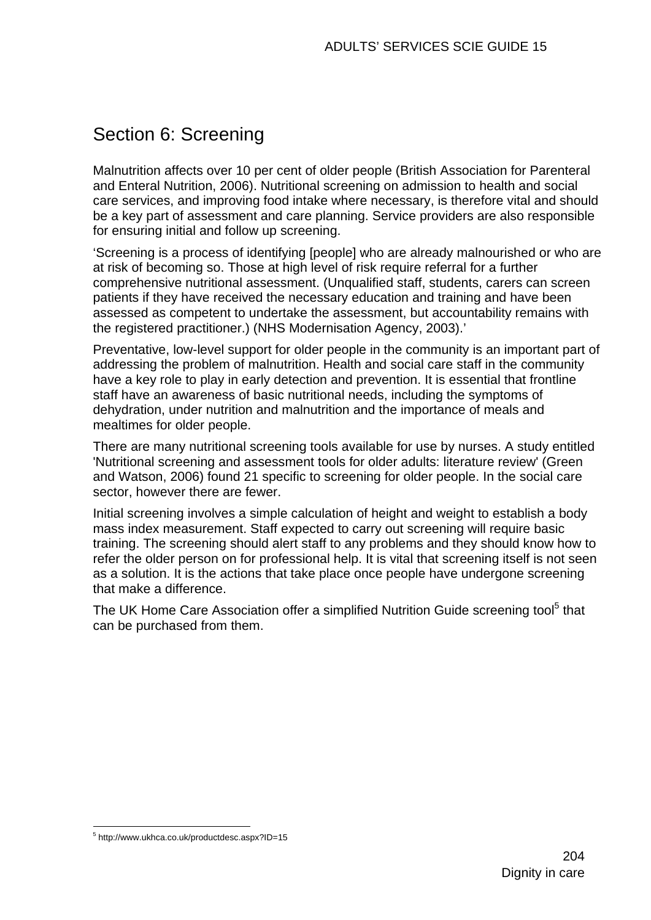# Section 6: Screening

Malnutrition affects over 10 per cent of older people (British Association for Parenteral and Enteral Nutrition, 2006). Nutritional screening on admission to health and social care services, and improving food intake where necessary, is therefore vital and should be a key part of assessment and care planning. Service providers are also responsible for ensuring initial and follow up screening.

'Screening is a process of identifying [people] who are already malnourished or who are at risk of becoming so. Those at high level of risk require referral for a further comprehensive nutritional assessment. (Unqualified staff, students, carers can screen patients if they have received the necessary education and training and have been assessed as competent to undertake the assessment, but accountability remains with the registered practitioner.) (NHS Modernisation Agency, 2003).'

Preventative, low-level support for older people in the community is an important part of addressing the problem of malnutrition. Health and social care staff in the community have a key role to play in early detection and prevention. It is essential that frontline staff have an awareness of basic nutritional needs, including the symptoms of dehydration, under nutrition and malnutrition and the importance of meals and mealtimes for older people.

There are many nutritional screening tools available for use by nurses. A study entitled 'Nutritional screening and assessment tools for older adults: literature review' (Green and Watson, 2006) found 21 specific to screening for older people. In the social care sector, however there are fewer.

Initial screening involves a simple calculation of height and weight to establish a body mass index measurement. Staff expected to carry out screening will require basic training. The screening should alert staff to any problems and they should know how to refer the older person on for professional help. It is vital that screening itself is not seen as a solution. It is the actions that take place once people have undergone screening that make a difference.

The UK Home Care Association offer a simplified Nutrition Guide screening tool<sup>5</sup> that can be purchased from them.

<sup>1</sup> 5 http://www.ukhca.co.uk/productdesc.aspx?ID=15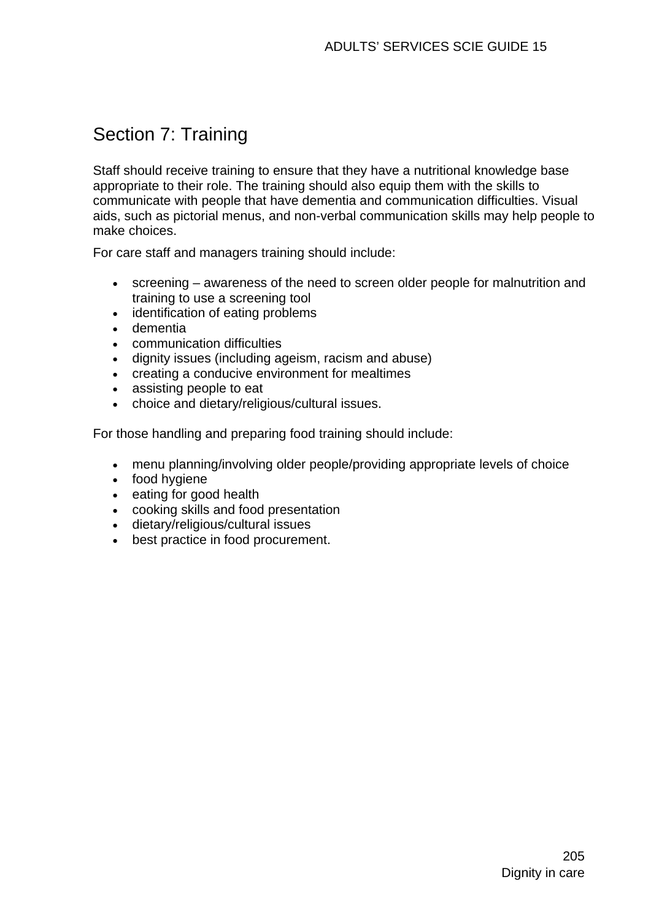# Section 7: Training

Staff should receive training to ensure that they have a nutritional knowledge base appropriate to their role. The training should also equip them with the skills to communicate with people that have dementia and communication difficulties. Visual aids, such as pictorial menus, and non-verbal communication skills may help people to make choices.

For care staff and managers training should include:

- screening awareness of the need to screen older people for malnutrition and training to use a screening tool
- identification of eating problems
- dementia
- communication difficulties
- dignity issues (including ageism, racism and abuse)
- creating a conducive environment for mealtimes
- assisting people to eat
- choice and dietary/religious/cultural issues.

For those handling and preparing food training should include:

- menu planning/involving older people/providing appropriate levels of choice
- food hygiene
- eating for good health
- cooking skills and food presentation
- dietary/religious/cultural issues
- best practice in food procurement.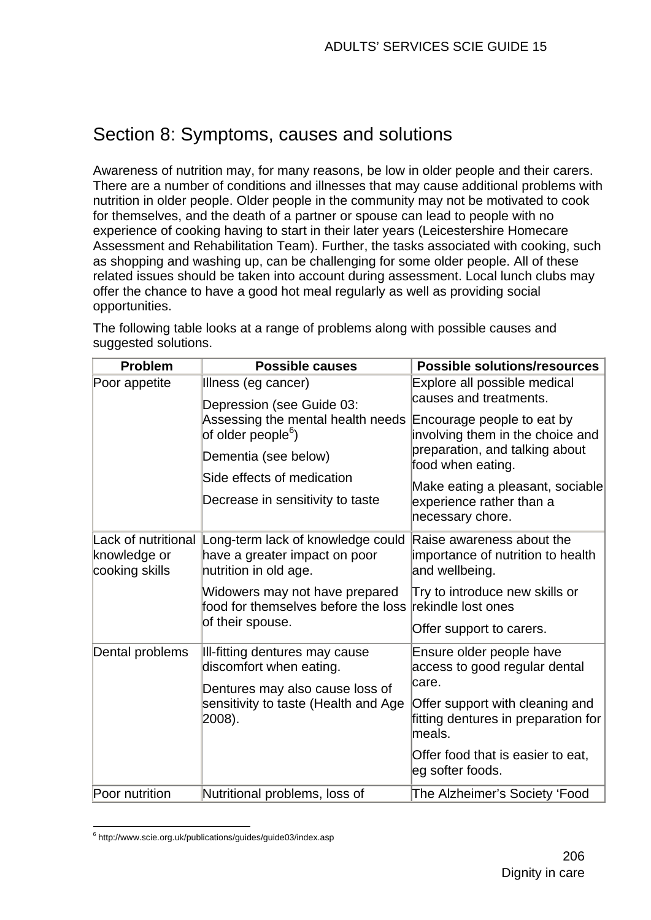# Section 8: Symptoms, causes and solutions

Awareness of nutrition may, for many reasons, be low in older people and their carers. There are a number of conditions and illnesses that may cause additional problems with nutrition in older people. Older people in the community may not be motivated to cook for themselves, and the death of a partner or spouse can lead to people with no experience of cooking having to start in their later years (Leicestershire Homecare Assessment and Rehabilitation Team). Further, the tasks associated with cooking, such as shopping and washing up, can be challenging for some older people. All of these related issues should be taken into account during assessment. Local lunch clubs may offer the chance to have a good hot meal regularly as well as providing social opportunities.

The following table looks at a range of problems along with possible causes and suggested solutions. **Problem Possible causes Possible solutions/resources**

| LIANGIII                       | LASSING CAUSES                                                                                                                                                                             | POSSIDIE SUIULIUIIS/IESUUI LES                                                                                                                                                                                  |
|--------------------------------|--------------------------------------------------------------------------------------------------------------------------------------------------------------------------------------------|-----------------------------------------------------------------------------------------------------------------------------------------------------------------------------------------------------------------|
| Poor appetite                  | Illness (eg cancer)                                                                                                                                                                        | Explore all possible medical                                                                                                                                                                                    |
|                                | Depression (see Guide 03:<br>Assessing the mental health needs<br>of older people <sup>6</sup> )<br>Dementia (see below)<br>Side effects of medication<br>Decrease in sensitivity to taste | causes and treatments.<br>Encourage people to eat by<br>involving them in the choice and<br>preparation, and talking about<br>food when eating.<br>Make eating a pleasant, sociable<br>experience rather than a |
|                                |                                                                                                                                                                                            | necessary chore.                                                                                                                                                                                                |
| knowledge or<br>cooking skills | Lack of nutritional Long-term lack of knowledge could<br>have a greater impact on poor<br>nutrition in old age.                                                                            | Raise awareness about the<br>importance of nutrition to health<br>and wellbeing.                                                                                                                                |
|                                | Widowers may not have prepared<br>food for themselves before the loss                                                                                                                      | Try to introduce new skills or<br>rekindle lost ones                                                                                                                                                            |
|                                | of their spouse.                                                                                                                                                                           | Offer support to carers.                                                                                                                                                                                        |
| Dental problems                | III-fitting dentures may cause<br>discomfort when eating.                                                                                                                                  | Ensure older people have<br>access to good regular dental                                                                                                                                                       |
|                                | Dentures may also cause loss of<br>sensitivity to taste (Health and Age<br>2008).                                                                                                          | care.<br>Offer support with cleaning and<br>fitting dentures in preparation for<br>meals.                                                                                                                       |
|                                |                                                                                                                                                                                            | Offer food that is easier to eat,<br>eg softer foods.                                                                                                                                                           |
| Poor nutrition                 | Nutritional problems, loss of                                                                                                                                                              | The Alzheimer's Society 'Food                                                                                                                                                                                   |

<sup>1</sup> 6 http://www.scie.org.uk/publications/guides/guide03/index.asp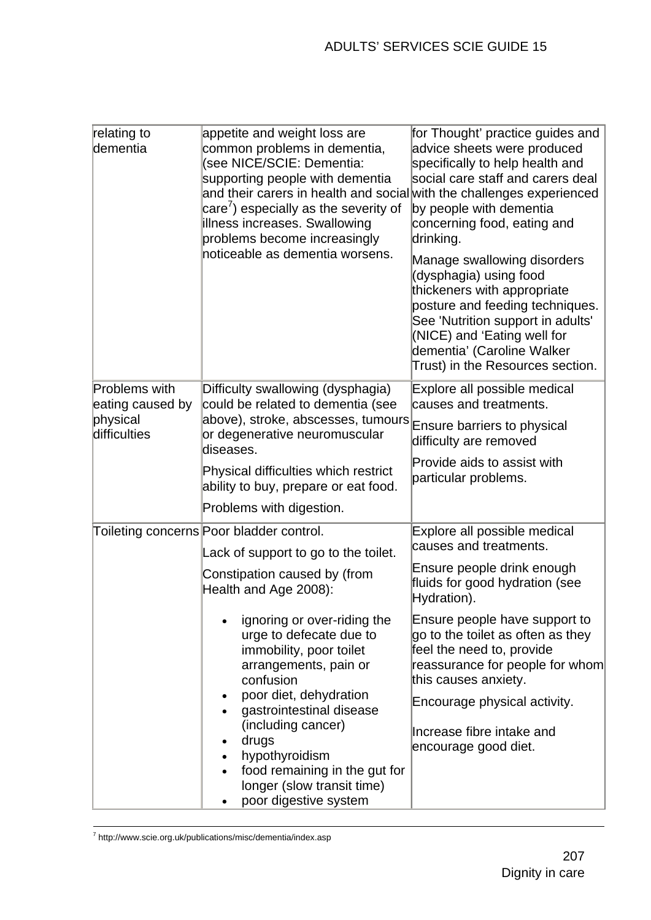| relating to<br>dementia                                       | appetite and weight loss are<br>common problems in dementia,<br>(see NICE/SCIE: Dementia:<br>supporting people with dementia<br>and their carers in health and social with the challenges experienced<br>$\text{care}'$ ) especially as the severity of<br>illness increases. Swallowing<br>problems become increasingly<br>noticeable as dementia worsens.                                                                                                                      | for Thought' practice guides and<br>advice sheets were produced<br>specifically to help health and<br>social care staff and carers deal<br>by people with dementia<br>concerning food, eating and<br>drinking.<br>Manage swallowing disorders<br>(dysphagia) using food<br>thickeners with appropriate<br>posture and feeding techniques.<br>See 'Nutrition support in adults'<br>(NICE) and 'Eating well for<br>dementia' (Caroline Walker<br>Trust) in the Resources section. |
|---------------------------------------------------------------|----------------------------------------------------------------------------------------------------------------------------------------------------------------------------------------------------------------------------------------------------------------------------------------------------------------------------------------------------------------------------------------------------------------------------------------------------------------------------------|---------------------------------------------------------------------------------------------------------------------------------------------------------------------------------------------------------------------------------------------------------------------------------------------------------------------------------------------------------------------------------------------------------------------------------------------------------------------------------|
| Problems with<br>eating caused by<br>physical<br>difficulties | Difficulty swallowing (dysphagia)<br>could be related to dementia (see<br>above), stroke, abscesses, tumours<br>or degenerative neuromuscular<br>diseases.<br>Physical difficulties which restrict<br>ability to buy, prepare or eat food.<br>Problems with digestion.                                                                                                                                                                                                           | Explore all possible medical<br>causes and treatments.<br>Ensure barriers to physical<br>difficulty are removed<br>Provide aids to assist with<br>particular problems.                                                                                                                                                                                                                                                                                                          |
|                                                               | Toileting concerns Poor bladder control.<br>Lack of support to go to the toilet.<br>Constipation caused by (from<br>Health and Age 2008):<br>ignoring or over-riding the<br>urge to defecate due to<br>immobility, poor toilet<br>arrangements, pain or<br>confusion<br>poor diet, dehydration<br>$\bullet$<br>gastrointestinal disease<br>(including cancer)<br>drugs<br>hypothyroidism<br>food remaining in the gut for<br>longer (slow transit time)<br>poor digestive system | Explore all possible medical<br>causes and treatments.<br>Ensure people drink enough<br>fluids for good hydration (see<br>Hydration).<br>Ensure people have support to<br>go to the toilet as often as they<br>feel the need to, provide<br>reassurance for people for whom<br>this causes anxiety.<br>Encourage physical activity.<br>Increase fibre intake and<br>encourage good diet.                                                                                        |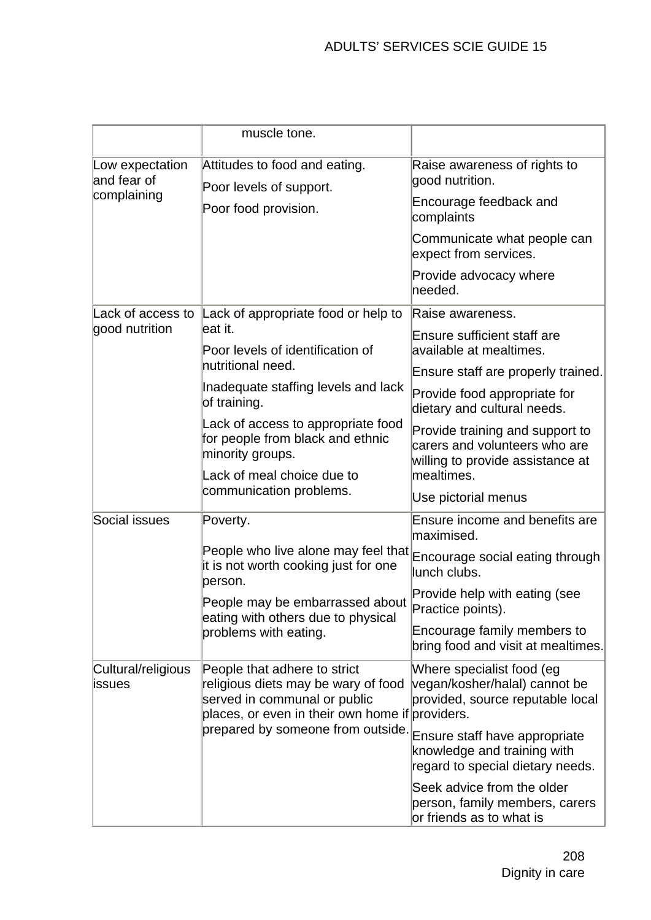|                                               | muscle tone.                                                                                                                                                                                |                                                                                                      |
|-----------------------------------------------|---------------------------------------------------------------------------------------------------------------------------------------------------------------------------------------------|------------------------------------------------------------------------------------------------------|
| Low expectation<br>and fear of<br>complaining | Attitudes to food and eating.<br>Poor levels of support.                                                                                                                                    | Raise awareness of rights to<br>good nutrition.<br>Encourage feedback and                            |
|                                               | Poor food provision.                                                                                                                                                                        | complaints                                                                                           |
|                                               |                                                                                                                                                                                             | Communicate what people can<br>expect from services.                                                 |
|                                               |                                                                                                                                                                                             | Provide advocacy where<br>needed.                                                                    |
| Lack of access to                             | Lack of appropriate food or help to                                                                                                                                                         | Raise awareness.                                                                                     |
| good nutrition                                | leat it.<br>Poor levels of identification of                                                                                                                                                | <b>Ensure sufficient staff are</b><br>available at mealtimes.                                        |
|                                               | nutritional need.                                                                                                                                                                           | Ensure staff are properly trained.                                                                   |
|                                               | Inadequate staffing levels and lack<br>of training.                                                                                                                                         | Provide food appropriate for<br>dietary and cultural needs.                                          |
|                                               | Lack of access to appropriate food<br>for people from black and ethnic<br>minority groups.                                                                                                  | Provide training and support to<br>carers and volunteers who are<br>willing to provide assistance at |
|                                               | Lack of meal choice due to                                                                                                                                                                  | mealtimes.                                                                                           |
|                                               | communication problems.                                                                                                                                                                     | Use pictorial menus                                                                                  |
| Social issues                                 | Poverty.                                                                                                                                                                                    | Ensure income and benefits are<br>maximised.                                                         |
|                                               | People who live alone may feel that<br>it is not worth cooking just for one<br>person.<br>People may be embarrassed about<br>eating with others due to physical<br>problems with eating.    | Encourage social eating through<br>lunch clubs.                                                      |
|                                               |                                                                                                                                                                                             | Provide help with eating (see<br>Practice points).                                                   |
|                                               |                                                                                                                                                                                             | Encourage family members to<br>bring food and visit at mealtimes.                                    |
| Cultural/religious<br>issues                  | People that adhere to strict<br>religious diets may be wary of food<br>served in communal or public<br>places, or even in their own home if providers.<br>prepared by someone from outside. | Where specialist food (eg<br>vegan/kosher/halal) cannot be<br>provided, source reputable local       |
|                                               |                                                                                                                                                                                             | Ensure staff have appropriate<br>knowledge and training with<br>regard to special dietary needs.     |
|                                               |                                                                                                                                                                                             | Seek advice from the older<br>person, family members, carers<br>or friends as to what is             |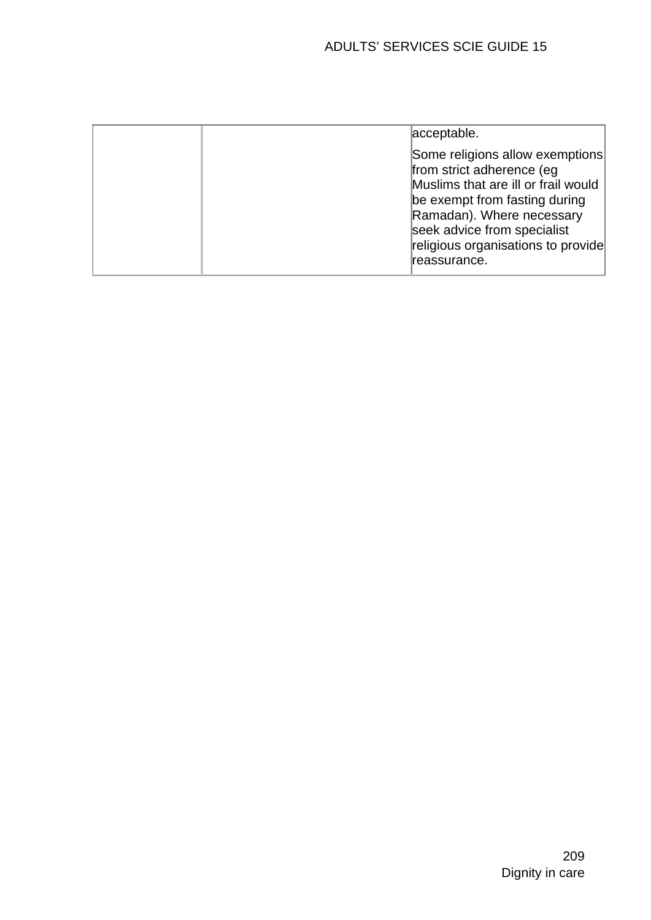|  | acceptable.                                                                                                                                                                                                                                             |
|--|---------------------------------------------------------------------------------------------------------------------------------------------------------------------------------------------------------------------------------------------------------|
|  | Some religions allow exemptions<br>from strict adherence (eg<br>Muslims that are ill or frail would<br>be exempt from fasting during<br>Ramadan). Where necessary<br>seek advice from specialist<br>religious organisations to provide<br>lreassurance. |
|  |                                                                                                                                                                                                                                                         |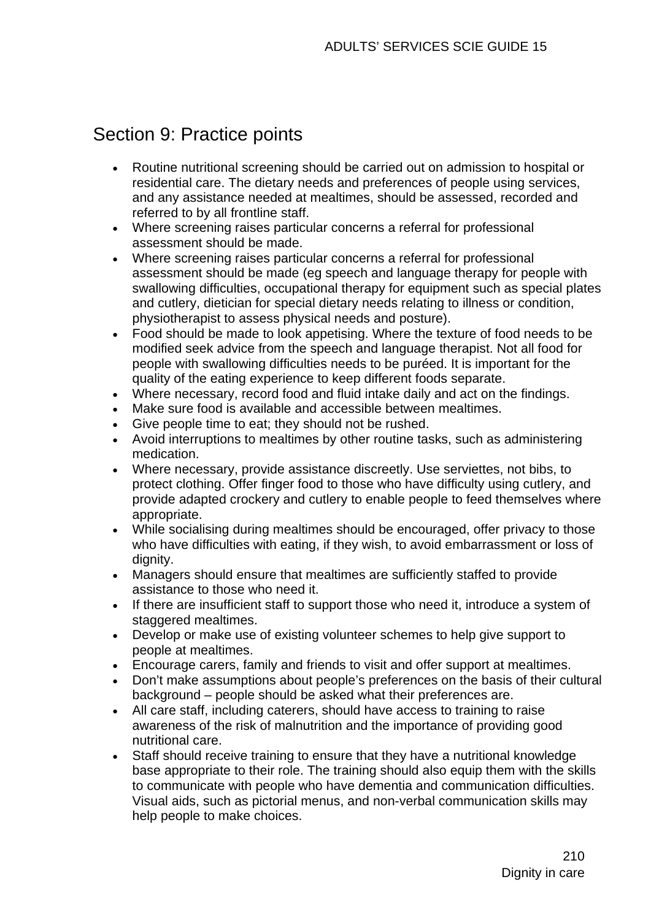# Section 9: Practice points

- Routine nutritional screening should be carried out on admission to hospital or residential care. The dietary needs and preferences of people using services, and any assistance needed at mealtimes, should be assessed, recorded and referred to by all frontline staff.
- Where screening raises particular concerns a referral for professional assessment should be made.
- Where screening raises particular concerns a referral for professional assessment should be made (eg speech and language therapy for people with swallowing difficulties, occupational therapy for equipment such as special plates and cutlery, dietician for special dietary needs relating to illness or condition, physiotherapist to assess physical needs and posture).
- Food should be made to look appetising. Where the texture of food needs to be modified seek advice from the speech and language therapist. Not all food for people with swallowing difficulties needs to be puréed. It is important for the quality of the eating experience to keep different foods separate.
- Where necessary, record food and fluid intake daily and act on the findings.
- Make sure food is available and accessible between mealtimes.
- Give people time to eat; they should not be rushed.
- Avoid interruptions to mealtimes by other routine tasks, such as administering medication.
- Where necessary, provide assistance discreetly. Use serviettes, not bibs, to protect clothing. Offer finger food to those who have difficulty using cutlery, and provide adapted crockery and cutlery to enable people to feed themselves where appropriate.
- While socialising during mealtimes should be encouraged, offer privacy to those who have difficulties with eating, if they wish, to avoid embarrassment or loss of dianity.
- Managers should ensure that mealtimes are sufficiently staffed to provide assistance to those who need it.
- If there are insufficient staff to support those who need it, introduce a system of staggered mealtimes.
- Develop or make use of existing volunteer schemes to help give support to people at mealtimes.
- Encourage carers, family and friends to visit and offer support at mealtimes.
- Don't make assumptions about people's preferences on the basis of their cultural background – people should be asked what their preferences are.
- All care staff, including caterers, should have access to training to raise awareness of the risk of malnutrition and the importance of providing good nutritional care.
- Staff should receive training to ensure that they have a nutritional knowledge base appropriate to their role. The training should also equip them with the skills to communicate with people who have dementia and communication difficulties. Visual aids, such as pictorial menus, and non-verbal communication skills may help people to make choices.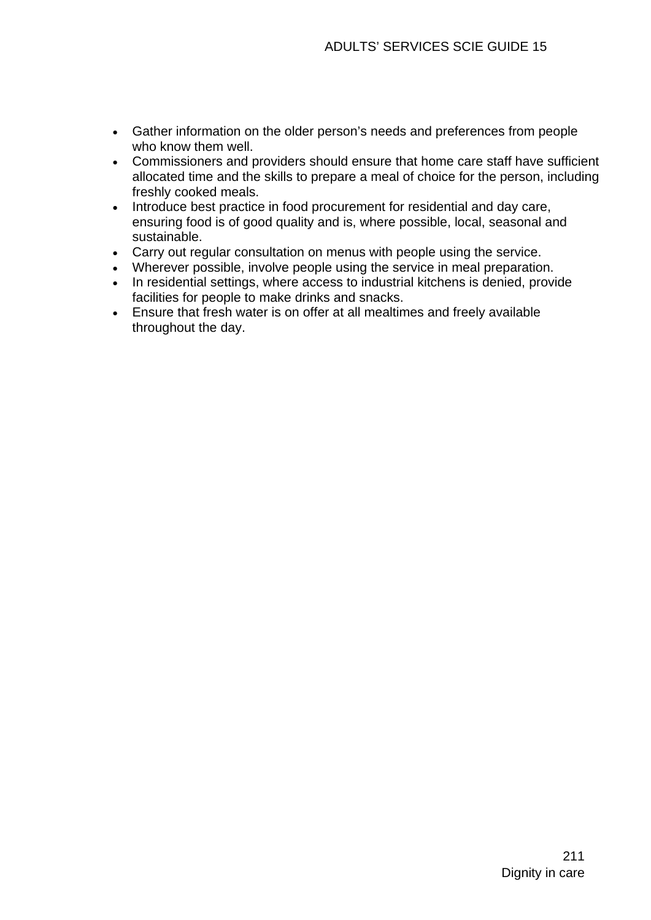- Gather information on the older person's needs and preferences from people who know them well.
- Commissioners and providers should ensure that home care staff have sufficient allocated time and the skills to prepare a meal of choice for the person, including freshly cooked meals.
- Introduce best practice in food procurement for residential and day care, ensuring food is of good quality and is, where possible, local, seasonal and sustainable.
- Carry out regular consultation on menus with people using the service.
- Wherever possible, involve people using the service in meal preparation.
- In residential settings, where access to industrial kitchens is denied, provide facilities for people to make drinks and snacks.
- Ensure that fresh water is on offer at all mealtimes and freely available throughout the day.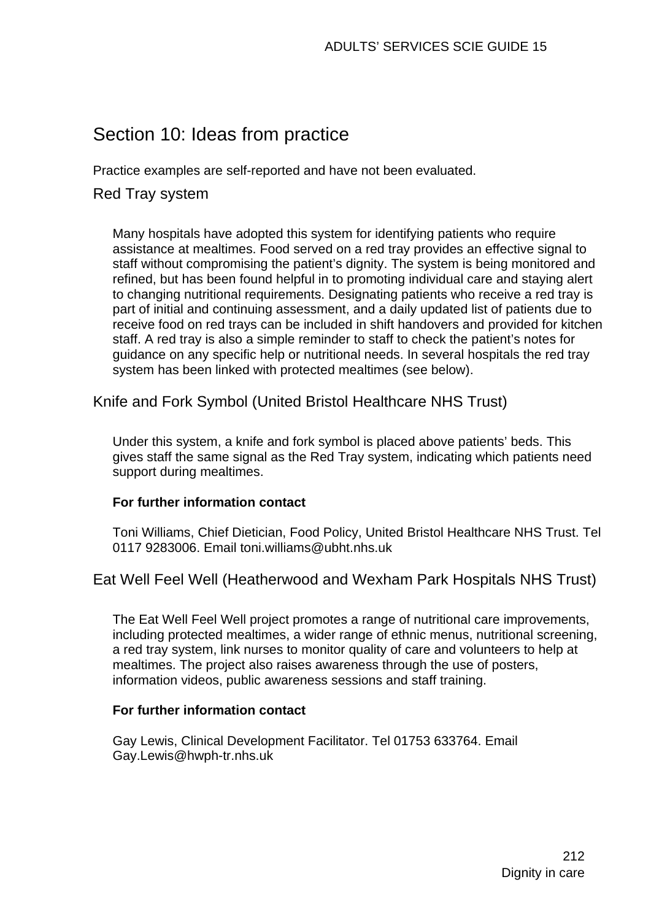# Section 10: Ideas from practice

Practice examples are self-reported and have not been evaluated.

# Red Tray system

Many hospitals have adopted this system for identifying patients who require assistance at mealtimes. Food served on a red tray provides an effective signal to staff without compromising the patient's dignity. The system is being monitored and refined, but has been found helpful in to promoting individual care and staying alert to changing nutritional requirements. Designating patients who receive a red tray is part of initial and continuing assessment, and a daily updated list of patients due to receive food on red trays can be included in shift handovers and provided for kitchen staff. A red tray is also a simple reminder to staff to check the patient's notes for guidance on any specific help or nutritional needs. In several hospitals the red tray system has been linked with protected mealtimes (see below).

Knife and Fork Symbol (United Bristol Healthcare NHS Trust)

Under this system, a knife and fork symbol is placed above patients' beds. This gives staff the same signal as the Red Tray system, indicating which patients need support during mealtimes.

### **For further information contact**

Toni Williams, Chief Dietician, Food Policy, United Bristol Healthcare NHS Trust. Tel 0117 9283006. Email toni.williams@ubht.nhs.uk

# Eat Well Feel Well (Heatherwood and Wexham Park Hospitals NHS Trust)

The Eat Well Feel Well project promotes a range of nutritional care improvements, including protected mealtimes, a wider range of ethnic menus, nutritional screening, a red tray system, link nurses to monitor quality of care and volunteers to help at mealtimes. The project also raises awareness through the use of posters, information videos, public awareness sessions and staff training.

### **For further information contact**

Gay Lewis, Clinical Development Facilitator. Tel 01753 633764. Email Gay.Lewis@hwph-tr.nhs.uk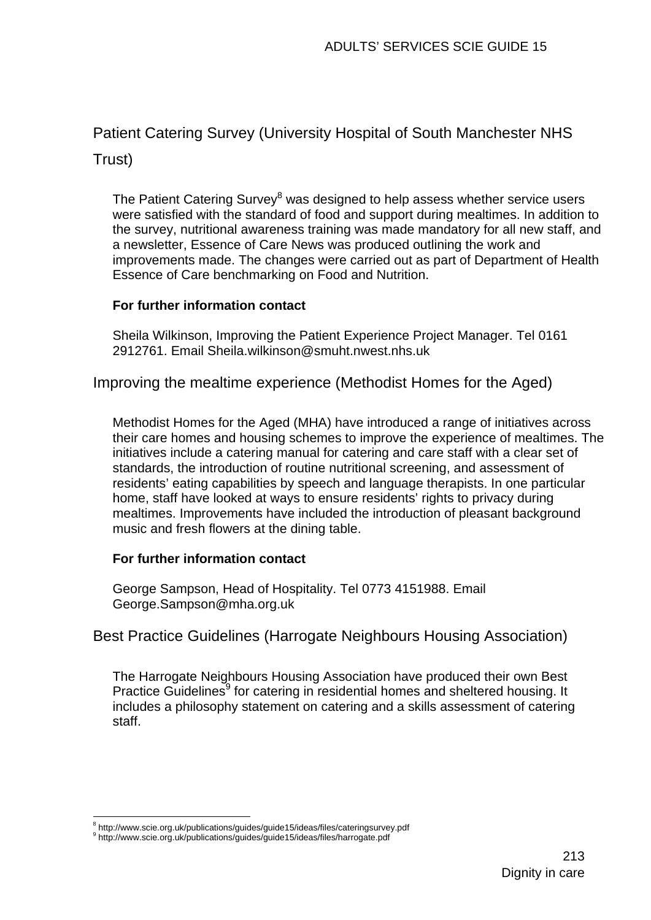# Patient Catering Survey (University Hospital of South Manchester NHS

Trust)

The Patient Catering Survey<sup>8</sup> was designed to help assess whether service users were satisfied with the standard of food and support during mealtimes. In addition to the survey, nutritional awareness training was made mandatory for all new staff, and a newsletter, Essence of Care News was produced outlining the work and improvements made. The changes were carried out as part of Department of Health Essence of Care benchmarking on Food and Nutrition.

### **For further information contact**

Sheila Wilkinson, Improving the Patient Experience Project Manager. Tel 0161 2912761. Email Sheila.wilkinson@smuht.nwest.nhs.uk

Improving the mealtime experience (Methodist Homes for the Aged)

Methodist Homes for the Aged (MHA) have introduced a range of initiatives across their care homes and housing schemes to improve the experience of mealtimes. The initiatives include a catering manual for catering and care staff with a clear set of standards, the introduction of routine nutritional screening, and assessment of residents' eating capabilities by speech and language therapists. In one particular home, staff have looked at ways to ensure residents' rights to privacy during mealtimes. Improvements have included the introduction of pleasant background music and fresh flowers at the dining table.

### **For further information contact**

George Sampson, Head of Hospitality. Tel 0773 4151988. Email George.Sampson@mha.org.uk

# Best Practice Guidelines (Harrogate Neighbours Housing Association)

The Harrogate Neighbours Housing Association have produced their own Best Practice Guidelines<sup>9</sup> for catering in residential homes and sheltered housing. It includes a philosophy statement on catering and a skills assessment of catering staff.

<sup>1</sup>  $^8$  http://www.scie.org.uk/publications/guides/guide15/ideas/files/cateringsurvey.pdf<br> $^9$  http://www.scie.org.uk/publications/guides/guide45/ideas/files/bergeate.pdf

http://www.scie.org.uk/publications/guides/guide15/ideas/files/harrogate.pdf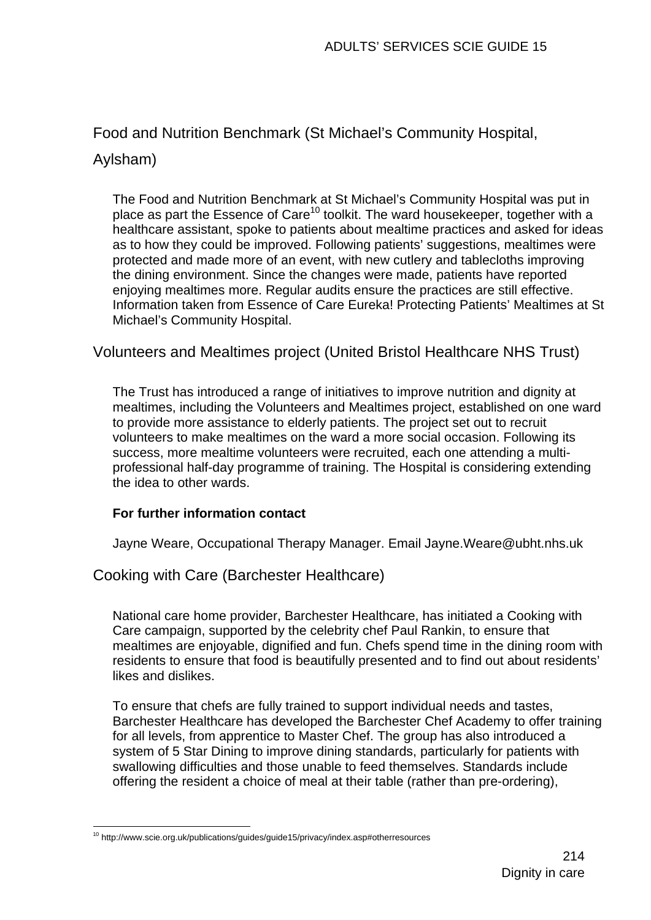# Food and Nutrition Benchmark (St Michael's Community Hospital,

## Aylsham)

The Food and Nutrition Benchmark at St Michael's Community Hospital was put in place as part the Essence of Care<sup>10</sup> toolkit. The ward housekeeper, together with a healthcare assistant, spoke to patients about mealtime practices and asked for ideas as to how they could be improved. Following patients' suggestions, mealtimes were protected and made more of an event, with new cutlery and tablecloths improving the dining environment. Since the changes were made, patients have reported enjoying mealtimes more. Regular audits ensure the practices are still effective. Information taken from Essence of Care Eureka! Protecting Patients' Mealtimes at St Michael's Community Hospital.

## Volunteers and Mealtimes project (United Bristol Healthcare NHS Trust)

The Trust has introduced a range of initiatives to improve nutrition and dignity at mealtimes, including the Volunteers and Mealtimes project, established on one ward to provide more assistance to elderly patients. The project set out to recruit volunteers to make mealtimes on the ward a more social occasion. Following its success, more mealtime volunteers were recruited, each one attending a multiprofessional half-day programme of training. The Hospital is considering extending the idea to other wards.

### **For further information contact**

Jayne Weare, Occupational Therapy Manager. Email Jayne.Weare@ubht.nhs.uk

Cooking with Care (Barchester Healthcare)

National care home provider, Barchester Healthcare, has initiated a Cooking with Care campaign, supported by the celebrity chef Paul Rankin, to ensure that mealtimes are enjoyable, dignified and fun. Chefs spend time in the dining room with residents to ensure that food is beautifully presented and to find out about residents' likes and dislikes.

To ensure that chefs are fully trained to support individual needs and tastes, Barchester Healthcare has developed the Barchester Chef Academy to offer training for all levels, from apprentice to Master Chef. The group has also introduced a system of 5 Star Dining to improve dining standards, particularly for patients with swallowing difficulties and those unable to feed themselves. Standards include offering the resident a choice of meal at their table (rather than pre-ordering),

<sup>1</sup>  $10$  http://www.scie.org.uk/publications/guides/guide15/privacy/index.asp#otherresources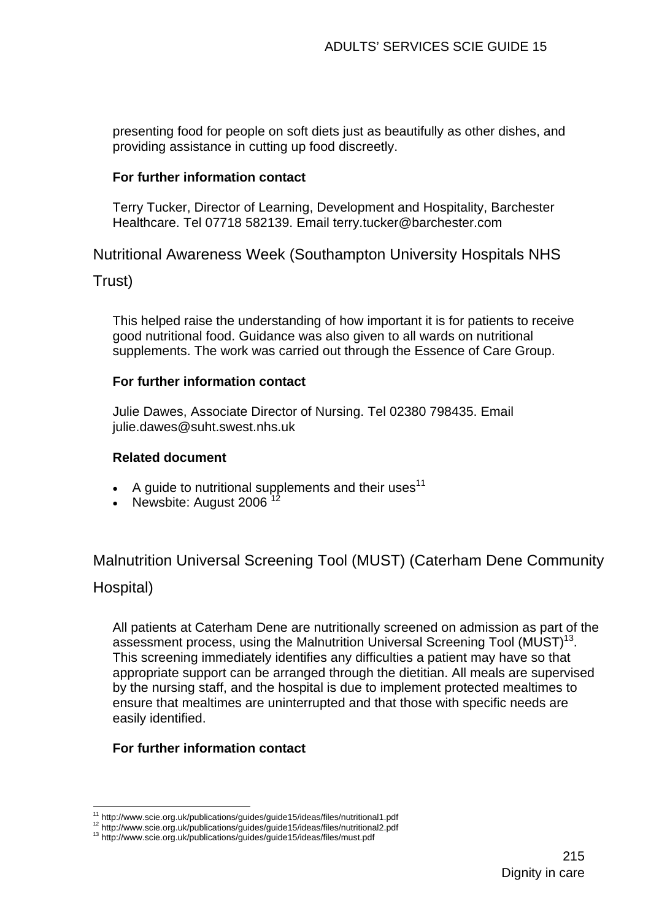presenting food for people on soft diets just as beautifully as other dishes, and providing assistance in cutting up food discreetly.

### **For further information contact**

Terry Tucker, Director of Learning, Development and Hospitality, Barchester Healthcare. Tel 07718 582139. Email terry.tucker@barchester.com

Nutritional Awareness Week (Southampton University Hospitals NHS

Trust)

This helped raise the understanding of how important it is for patients to receive good nutritional food. Guidance was also given to all wards on nutritional supplements. The work was carried out through the Essence of Care Group.

### **For further information contact**

Julie Dawes, Associate Director of Nursing. Tel 02380 798435. Email julie.dawes@suht.swest.nhs.uk

### **Related document**

- A guide to nutritional supplements and their uses<sup>11</sup>
- Newsbite: August 2006

Malnutrition Universal Screening Tool (MUST) (Caterham Dene Community

### Hospital)

All patients at Caterham Dene are nutritionally screened on admission as part of the assessment process, using the Malnutrition Universal Screening Tool (MUST)<sup>13</sup>. This screening immediately identifies any difficulties a patient may have so that appropriate support can be arranged through the dietitian. All meals are supervised by the nursing staff, and the hospital is due to implement protected mealtimes to ensure that mealtimes are uninterrupted and that those with specific needs are easily identified.

### **For further information contact**

<sup>1</sup> <sup>11</sup> http://www.scie.org.uk/publications/guides/guide15/ideas/files/nutritional1.pdf<br><sup>12</sup> http://www.scie.org.uk/publications/guides/guide15/ideas/files/nutritional2.pdf<br><sup>13</sup> http://www.scie.org.uk/publications/guides/guid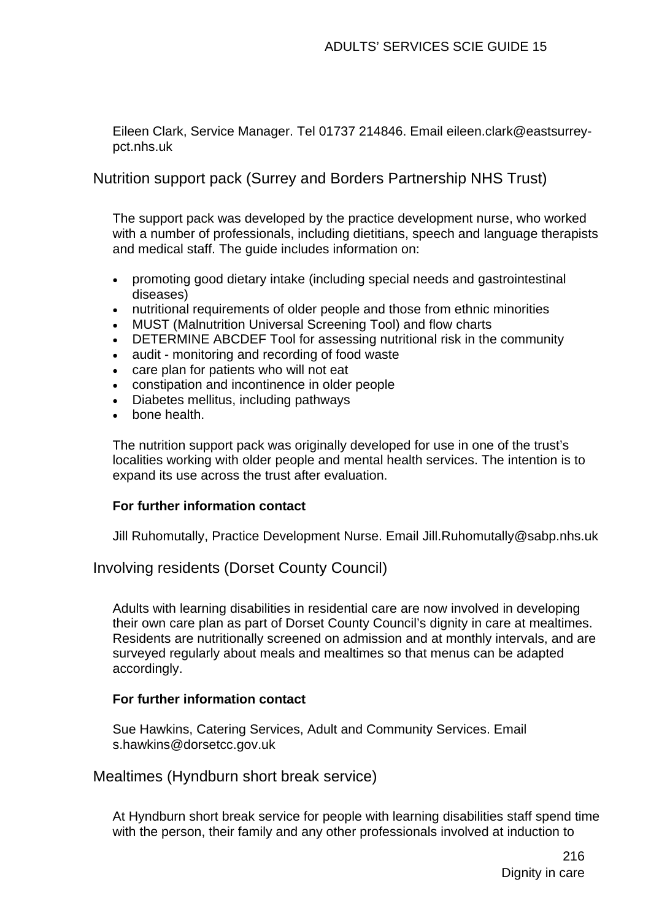Eileen Clark, Service Manager. Tel 01737 214846. Email eileen.clark@eastsurreypct.nhs.uk

Nutrition support pack (Surrey and Borders Partnership NHS Trust)

The support pack was developed by the practice development nurse, who worked with a number of professionals, including dietitians, speech and language therapists and medical staff. The guide includes information on:

- promoting good dietary intake (including special needs and gastrointestinal diseases)
- nutritional requirements of older people and those from ethnic minorities
- MUST (Malnutrition Universal Screening Tool) and flow charts
- DETERMINE ABCDEF Tool for assessing nutritional risk in the community
- audit monitoring and recording of food waste
- care plan for patients who will not eat
- constipation and incontinence in older people
- Diabetes mellitus, including pathways
- bone health.

The nutrition support pack was originally developed for use in one of the trust's localities working with older people and mental health services. The intention is to expand its use across the trust after evaluation.

### **For further information contact**

Jill Ruhomutally, Practice Development Nurse. Email Jill.Ruhomutally@sabp.nhs.uk

Involving residents (Dorset County Council)

Adults with learning disabilities in residential care are now involved in developing their own care plan as part of Dorset County Council's dignity in care at mealtimes. Residents are nutritionally screened on admission and at monthly intervals, and are surveyed regularly about meals and mealtimes so that menus can be adapted accordingly.

### **For further information contact**

Sue Hawkins, Catering Services, Adult and Community Services. Email s.hawkins@dorsetcc.gov.uk

Mealtimes (Hyndburn short break service)

At Hyndburn short break service for people with learning disabilities staff spend time with the person, their family and any other professionals involved at induction to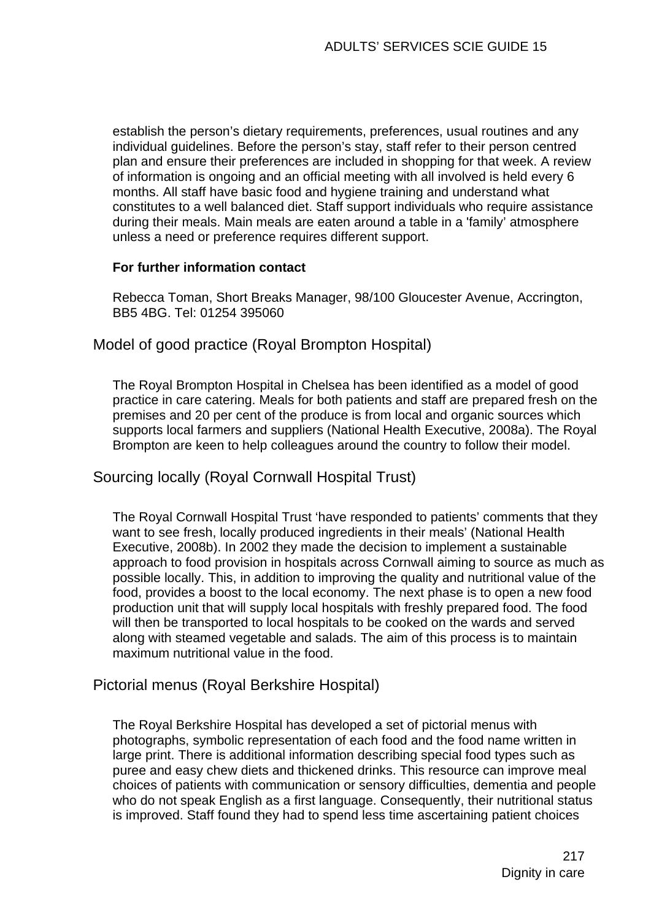establish the person's dietary requirements, preferences, usual routines and any individual guidelines. Before the person's stay, staff refer to their person centred plan and ensure their preferences are included in shopping for that week. A review of information is ongoing and an official meeting with all involved is held every 6 months. All staff have basic food and hygiene training and understand what constitutes to a well balanced diet. Staff support individuals who require assistance during their meals. Main meals are eaten around a table in a 'family' atmosphere unless a need or preference requires different support.

#### **For further information contact**

Rebecca Toman, Short Breaks Manager, 98/100 Gloucester Avenue, Accrington, BB5 4BG. Tel: 01254 395060

Model of good practice (Royal Brompton Hospital)

The Royal Brompton Hospital in Chelsea has been identified as a model of good practice in care catering. Meals for both patients and staff are prepared fresh on the premises and 20 per cent of the produce is from local and organic sources which supports local farmers and suppliers (National Health Executive, 2008a). The Royal Brompton are keen to help colleagues around the country to follow their model.

#### Sourcing locally (Royal Cornwall Hospital Trust)

The Royal Cornwall Hospital Trust 'have responded to patients' comments that they want to see fresh, locally produced ingredients in their meals' (National Health Executive, 2008b). In 2002 they made the decision to implement a sustainable approach to food provision in hospitals across Cornwall aiming to source as much as possible locally. This, in addition to improving the quality and nutritional value of the food, provides a boost to the local economy. The next phase is to open a new food production unit that will supply local hospitals with freshly prepared food. The food will then be transported to local hospitals to be cooked on the wards and served along with steamed vegetable and salads. The aim of this process is to maintain maximum nutritional value in the food.

#### Pictorial menus (Royal Berkshire Hospital)

The Royal Berkshire Hospital has developed a set of pictorial menus with photographs, symbolic representation of each food and the food name written in large print. There is additional information describing special food types such as puree and easy chew diets and thickened drinks. This resource can improve meal choices of patients with communication or sensory difficulties, dementia and people who do not speak English as a first language. Consequently, their nutritional status is improved. Staff found they had to spend less time ascertaining patient choices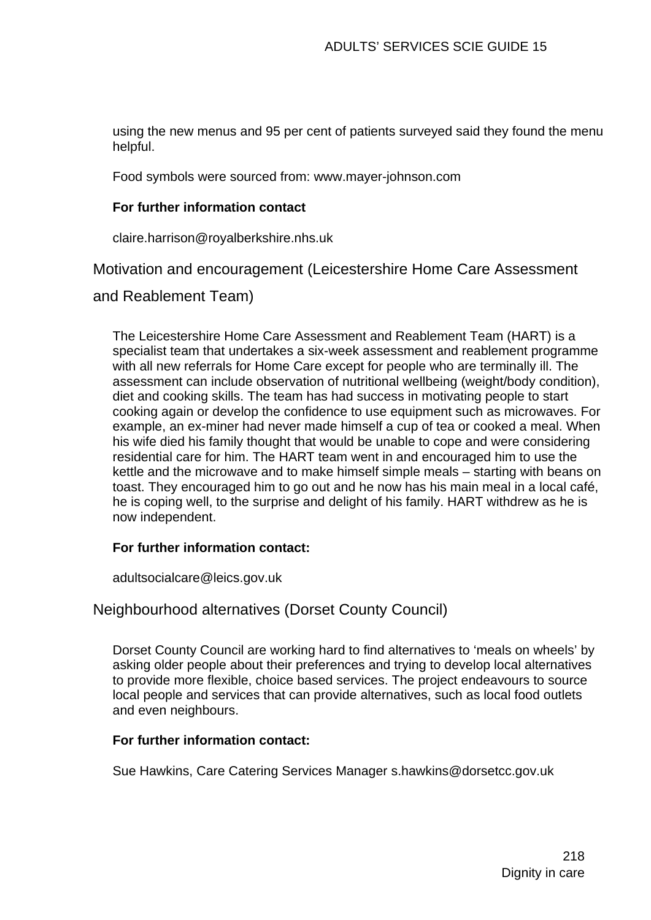using the new menus and 95 per cent of patients surveyed said they found the menu helpful.

Food symbols were sourced from: www.mayer-johnson.com

#### **For further information contact**

claire.harrison@royalberkshire.nhs.uk

Motivation and encouragement (Leicestershire Home Care Assessment

and Reablement Team)

The Leicestershire Home Care Assessment and Reablement Team (HART) is a specialist team that undertakes a six-week assessment and reablement programme with all new referrals for Home Care except for people who are terminally ill. The assessment can include observation of nutritional wellbeing (weight/body condition), diet and cooking skills. The team has had success in motivating people to start cooking again or develop the confidence to use equipment such as microwaves. For example, an ex-miner had never made himself a cup of tea or cooked a meal. When his wife died his family thought that would be unable to cope and were considering residential care for him. The HART team went in and encouraged him to use the kettle and the microwave and to make himself simple meals – starting with beans on toast. They encouraged him to go out and he now has his main meal in a local café, he is coping well, to the surprise and delight of his family. HART withdrew as he is now independent.

#### **For further information contact:**

adultsocialcare@leics.gov.uk

#### Neighbourhood alternatives (Dorset County Council)

Dorset County Council are working hard to find alternatives to 'meals on wheels' by asking older people about their preferences and trying to develop local alternatives to provide more flexible, choice based services. The project endeavours to source local people and services that can provide alternatives, such as local food outlets and even neighbours.

#### **For further information contact:**

Sue Hawkins, Care Catering Services Manager s.hawkins@dorsetcc.gov.uk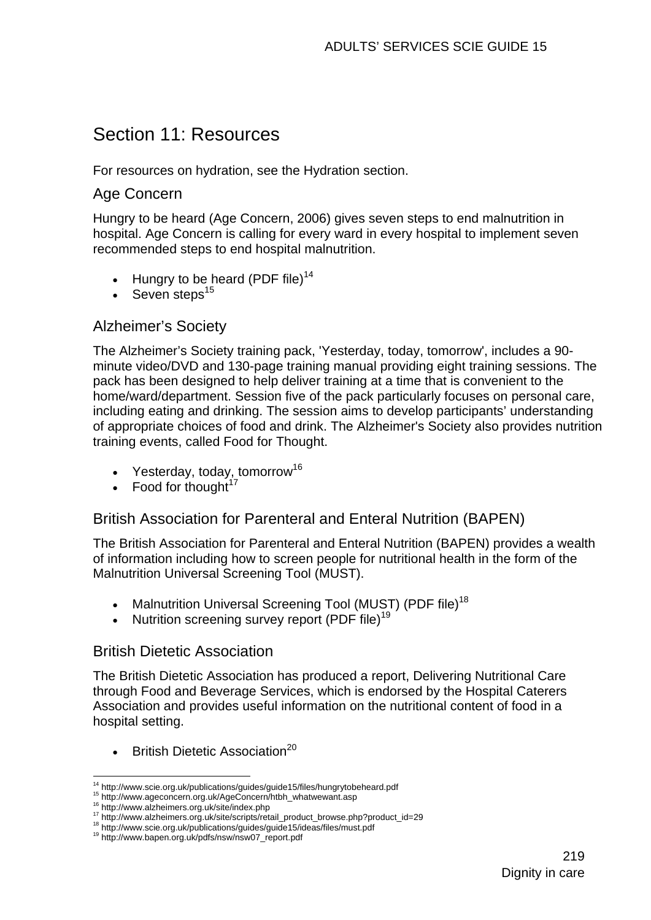## Section 11: Resources

For resources on hydration, see the Hydration section.

#### Age Concern

Hungry to be heard (Age Concern, 2006) gives seven steps to end malnutrition in hospital. Age Concern is calling for every ward in every hospital to implement seven recommended steps to end hospital malnutrition.

- Hungry to be heard (PDF file)<sup>14</sup>
- Seven steps $15$

## Alzheimer's Society

The Alzheimer's Society training pack, 'Yesterday, today, tomorrow', includes a 90 minute video/DVD and 130-page training manual providing eight training sessions. The pack has been designed to help deliver training at a time that is convenient to the home/ward/department. Session five of the pack particularly focuses on personal care, including eating and drinking. The session aims to develop participants' understanding of appropriate choices of food and drink. The Alzheimer's Society also provides nutrition training events, called Food for Thought.

- Yesterday, today, tomorrow<sup>16</sup>
- Food for thought $17$

## British Association for Parenteral and Enteral Nutrition (BAPEN)

The British Association for Parenteral and Enteral Nutrition (BAPEN) provides a wealth of information including how to screen people for nutritional health in the form of the Malnutrition Universal Screening Tool (MUST).

- Malnutrition Universal Screening Tool (MUST) (PDF file)<sup>18</sup>
- Nutrition screening survey report (PDF file)<sup>19</sup>

## British Dietetic Association

The British Dietetic Association has produced a report, Delivering Nutritional Care through Food and Beverage Services, which is endorsed by the Hospital Caterers Association and provides useful information on the nutritional content of food in a hospital setting.

**British Dietetic Association**<sup>20</sup>

<sup>1</sup> 

<sup>&</sup>lt;sup>14</sup> http://www.scie.org.uk/publications/guides/guide15/files/hungrytobeheard.pdf<br><sup>15</sup> http://www.ageconcern.org.uk/AgeConcern/htbh\_whatwewant.asp<br><sup>16</sup> http://www.alzheimers.org.uk/site/index.php<br><sup>17</sup> http://www.alzheimer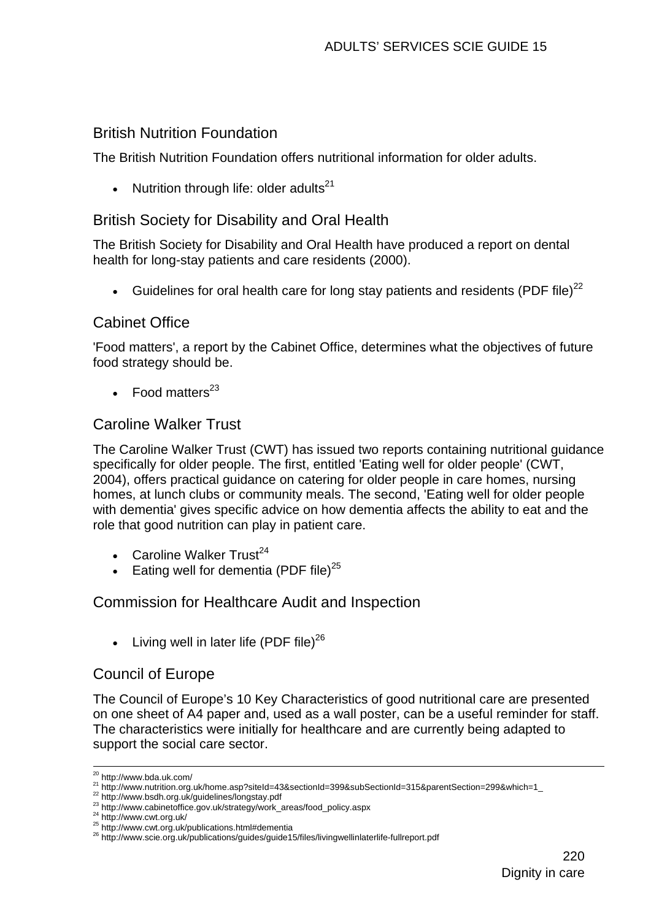## British Nutrition Foundation

The British Nutrition Foundation offers nutritional information for older adults.

• Nutrition through life: older adults<sup>21</sup>

## British Society for Disability and Oral Health

The British Society for Disability and Oral Health have produced a report on dental health for long-stay patients and care residents (2000).

Guidelines for oral health care for long stay patients and residents (PDF file)<sup>22</sup>

## Cabinet Office

'Food matters', a report by the Cabinet Office, determines what the objectives of future food strategy should be.

• Food matters $^{23}$ 

## Caroline Walker Trust

The Caroline Walker Trust (CWT) has issued two reports containing nutritional guidance specifically for older people. The first, entitled 'Eating well for older people' (CWT, 2004), offers practical guidance on catering for older people in care homes, nursing homes, at lunch clubs or community meals. The second, 'Eating well for older people with dementia' gives specific advice on how dementia affects the ability to eat and the role that good nutrition can play in patient care.

- Caroline Walker  $Trust^{24}$
- Eating well for dementia (PDF file) $^{25}$

## Commission for Healthcare Audit and Inspection

• Living well in later life (PDF file) $^{26}$ 

## Council of Europe

The Council of Europe's 10 Key Characteristics of good nutritional care are presented on one sheet of A4 paper and, used as a wall poster, can be a useful reminder for staff. The characteristics were initially for healthcare and are currently being adapted to support the social care sector.

<sup>&</sup>lt;sup>20</sup> http://www.bda.uk.com/

<sup>&</sup>lt;sup>21</sup> http://www.nutrition.org.uk/home.asp?siteId=43&sectionId=399&subSectionId=315&parentSection=299&which=1<br>
<sup>22</sup> http://www.bsdh.org.uk/guidelines/longstay.pdf<br>
<sup>23</sup> http://www.cabinetoffice.gov.uk/strategy/work\_areas/f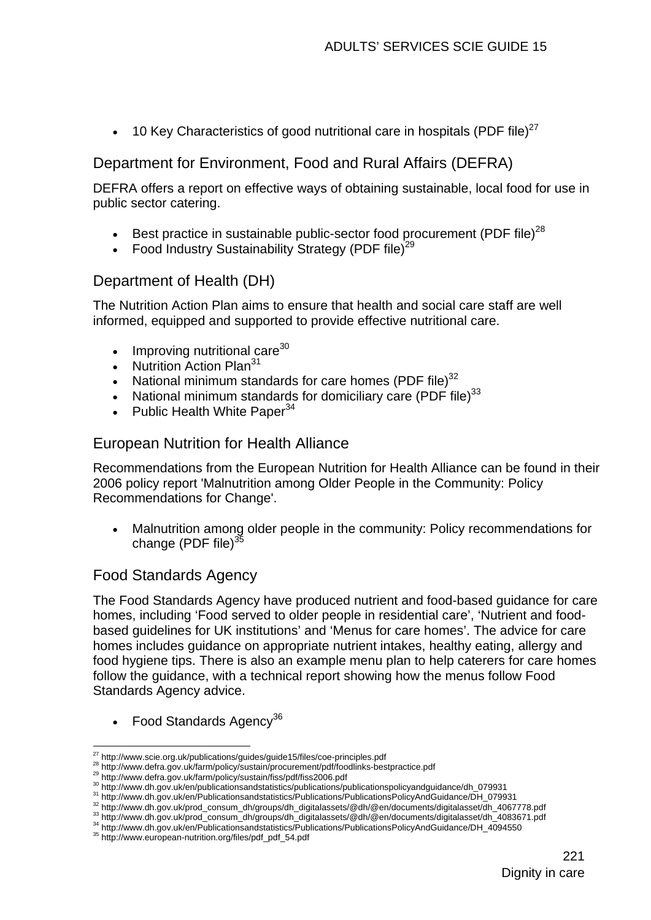• 10 Key Characteristics of good nutritional care in hospitals (PDF file)<sup>27</sup>

## Department for Environment, Food and Rural Affairs (DEFRA)

DEFRA offers a report on effective ways of obtaining sustainable, local food for use in public sector catering.

- Best practice in sustainable public-sector food procurement (PDF file)<sup>28</sup>
- Food Industry Sustainability Strategy (PDF file)<sup>29</sup>

## Department of Health (DH)

The Nutrition Action Plan aims to ensure that health and social care staff are well informed, equipped and supported to provide effective nutritional care.

- Improving nutritional care $30$
- **Nutrition Action Plan<sup>31</sup>**
- National minimum standards for care homes (PDF file) $32$
- National minimum standards for domiciliary care (PDF file) $33$
- Public Health White Paper $34$

## European Nutrition for Health Alliance

Recommendations from the European Nutrition for Health Alliance can be found in their 2006 policy report 'Malnutrition among Older People in the Community: Policy Recommendations for Change'.

• Malnutrition among older people in the community: Policy recommendations for change (PDF file) $35$ 

## Food Standards Agency

The Food Standards Agency have produced nutrient and food-based guidance for care homes, including 'Food served to older people in residential care', 'Nutrient and foodbased guidelines for UK institutions' and 'Menus for care homes'. The advice for care homes includes guidance on appropriate nutrient intakes, healthy eating, allergy and food hygiene tips. There is also an example menu plan to help caterers for care homes follow the guidance, with a technical report showing how the menus follow Food Standards Agency advice.

• Food Standards Agency<sup>36</sup>

<sup>1</sup> 

<sup>&</sup>lt;sup>27</sup> http://www.scie.org.uk/publications/guides/guide15/files/coe-principles.pdf<br>
<sup>28</sup> http://www.defra.gov.uk/farm/policy/sustain/procurement/pdf/foodlinks-bestpractice.pdf<br>
<sup>29</sup> http://www.defra.gov.uk/farm/policy/susta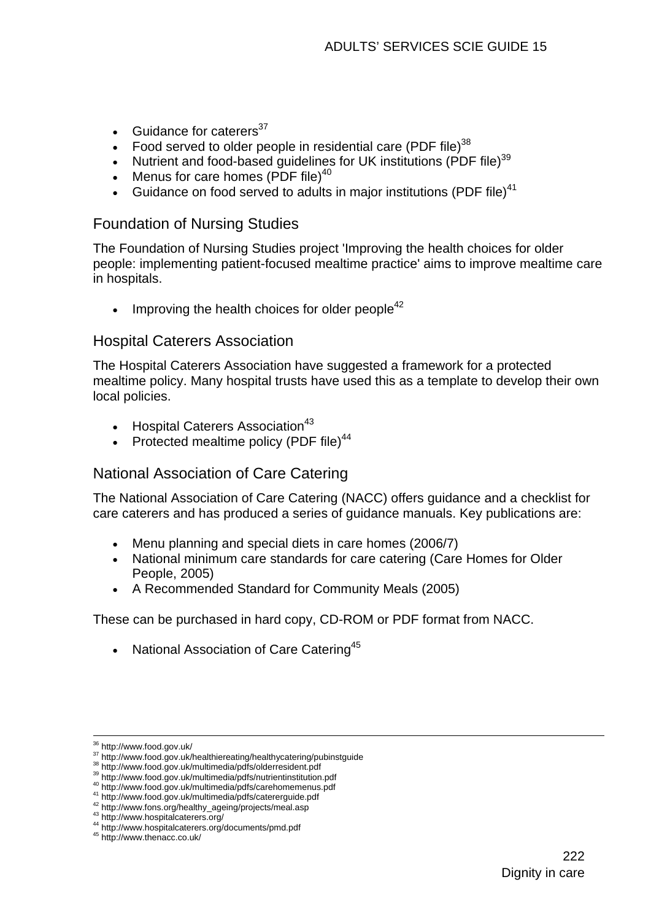- Guidance for caterers $37$
- Food served to older people in residential care (PDF file)<sup>38</sup>
- Nutrient and food-based quidelines for UK institutions (PDF file) $39$
- Menus for care homes  $(PDF file)^{40}$
- Guidance on food served to adults in major institutions (PDF file) $41$

#### Foundation of Nursing Studies

The Foundation of Nursing Studies project 'Improving the health choices for older people: implementing patient-focused mealtime practice' aims to improve mealtime care in hospitals.

Improving the health choices for older people $42$ 

#### Hospital Caterers Association

The Hospital Caterers Association have suggested a framework for a protected mealtime policy. Many hospital trusts have used this as a template to develop their own local policies.

- Hospital Caterers Association<sup>43</sup>
- Protected mealtime policy (PDF file)<sup>44</sup>

#### National Association of Care Catering

The National Association of Care Catering (NACC) offers guidance and a checklist for care caterers and has produced a series of guidance manuals. Key publications are:

- Menu planning and special diets in care homes (2006/7)
- National minimum care standards for care catering (Care Homes for Older People, 2005)
- A Recommended Standard for Community Meals (2005)

These can be purchased in hard copy, CD-ROM or PDF format from NACC.

• National Association of Care Catering<sup>45</sup>

1

<sup>&</sup>lt;sup>36</sup> http://www.food.gov.uk/<br>
<sup>37</sup> http://www.food.gov.uk/healthiereating/healthycatering/pubinstguide<br>
<sup>38</sup> http://www.food.gov.uk/multimedia/pdfs/olderresident.pdf<br>
<sup>39</sup> http://www.food.gov.uk/multimedia/pdfs/nutrientin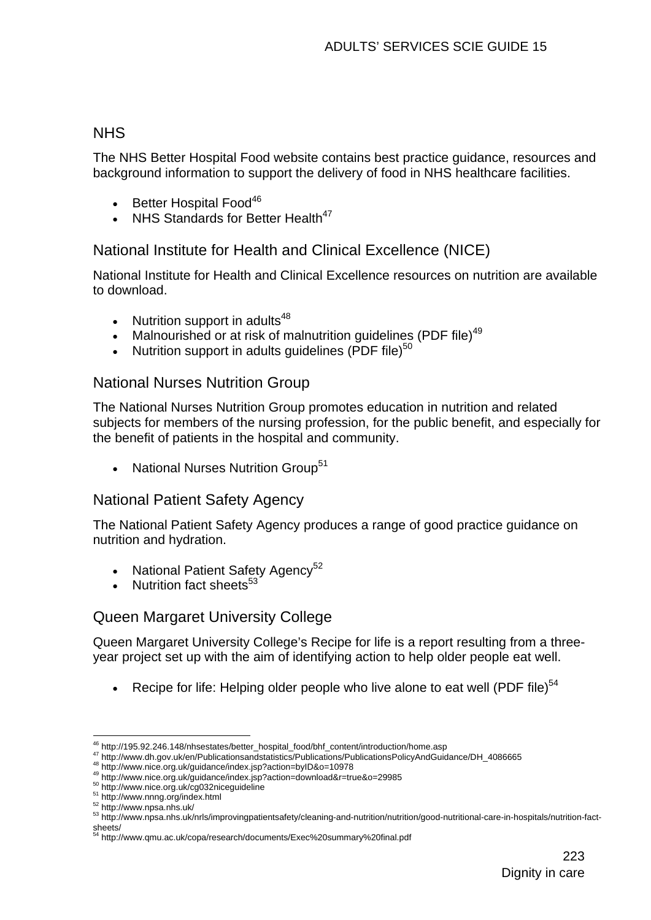## **NHS**

The NHS Better Hospital Food website contains best practice guidance, resources and background information to support the delivery of food in NHS healthcare facilities.

- Better Hospital Food<sup>46</sup>
- NHS Standards for Better Health<sup>47</sup>

## National Institute for Health and Clinical Excellence (NICE)

National Institute for Health and Clinical Excellence resources on nutrition are available to download.

- Nutrition support in adults<sup>48</sup>
- Malnourished or at risk of malnutrition quidelines (PDF file)<sup>49</sup>
- Nutrition support in adults guidelines (PDF file) $50$

#### National Nurses Nutrition Group

The National Nurses Nutrition Group promotes education in nutrition and related subjects for members of the nursing profession, for the public benefit, and especially for the benefit of patients in the hospital and community.

• National Nurses Nutrition Group<sup>51</sup>

## National Patient Safety Agency

The National Patient Safety Agency produces a range of good practice guidance on nutrition and hydration.

- National Patient Safety Agency<sup>52</sup>
- Nutrition fact sheets<sup>53</sup>

## Queen Margaret University College

Queen Margaret University College's Recipe for life is a report resulting from a threeyear project set up with the aim of identifying action to help older people eat well.

Recipe for life: Helping older people who live alone to eat well (PDF file) $54$ 

1

<sup>&</sup>lt;sup>46</sup> http://195.92.246.148/nhsestates/better\_hospital\_food/bhf\_content/introduction/home.asp<br>
<sup>47</sup> http://www.dh.gov.uk/en/Publicationsandstatistics/Publications/PublicationsPolicyAndGuidance/DH\_4086665<br>
<sup>47</sup> http://www.n

sheets/<br><sup>54</sup> http://www.qmu.ac.uk/copa/research/documents/Exec%20summary%20final.pdf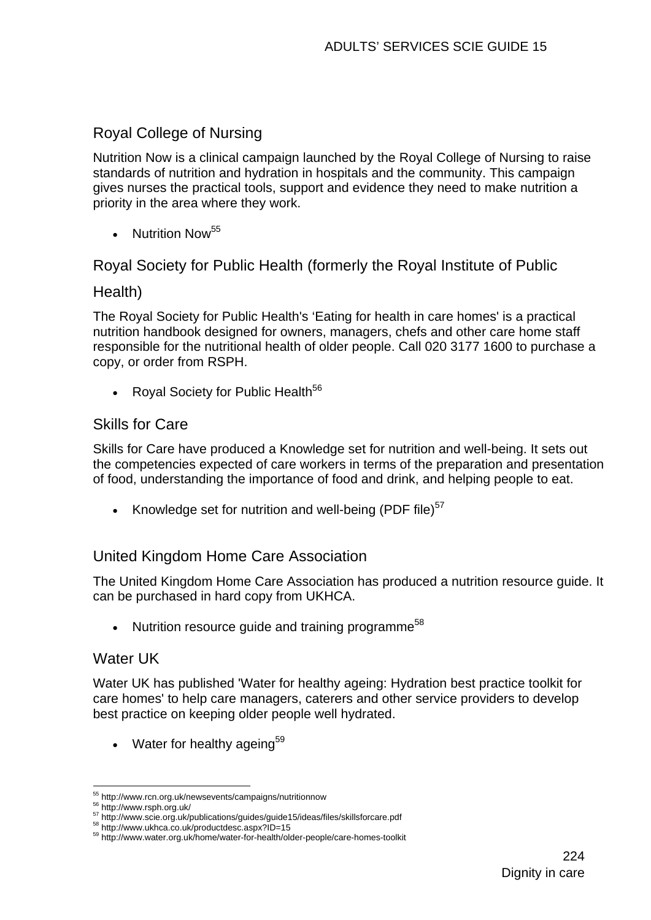## Royal College of Nursing

Nutrition Now is a clinical campaign launched by the Royal College of Nursing to raise standards of nutrition and hydration in hospitals and the community. This campaign gives nurses the practical tools, support and evidence they need to make nutrition a priority in the area where they work.

• Nutrition Now  $55$ 

Royal Society for Public Health (formerly the Royal Institute of Public

#### Health)

The Royal Society for Public Health's 'Eating for health in care homes' is a practical nutrition handbook designed for owners, managers, chefs and other care home staff responsible for the nutritional health of older people. Call 020 3177 1600 to purchase a copy, or order from RSPH.

• Royal Society for Public Health $56$ 

#### Skills for Care

Skills for Care have produced a Knowledge set for nutrition and well-being. It sets out the competencies expected of care workers in terms of the preparation and presentation of food, understanding the importance of food and drink, and helping people to eat.

• Knowledge set for nutrition and well-being (PDF file) $57$ 

#### United Kingdom Home Care Association

The United Kingdom Home Care Association has produced a nutrition resource guide. It can be purchased in hard copy from UKHCA.

• Nutrition resource guide and training programme<sup>58</sup>

#### Water UK

Water UK has published 'Water for healthy ageing: Hydration best practice toolkit for care homes' to help care managers, caterers and other service providers to develop best practice on keeping older people well hydrated.

Water for healthy ageing<sup>59</sup>

<sup>&</sup>lt;sup>55</sup> http://www.rcn.org.uk/newsevents/campaigns/nutritionnow

<sup>&</sup>lt;sup>56</sup> http://www.rsph.org.uk/<br>
<sup>57</sup> http://www.scie.org.uk/publications/guides/guide15/ideas/files/skillsforcare.pdf<br>
<sup>58</sup> http://www.ukhca.co.uk/productdesc.aspx?ID=15<br>
<sup>59</sup> http://www.water.org.uk/home/water-for-health/ol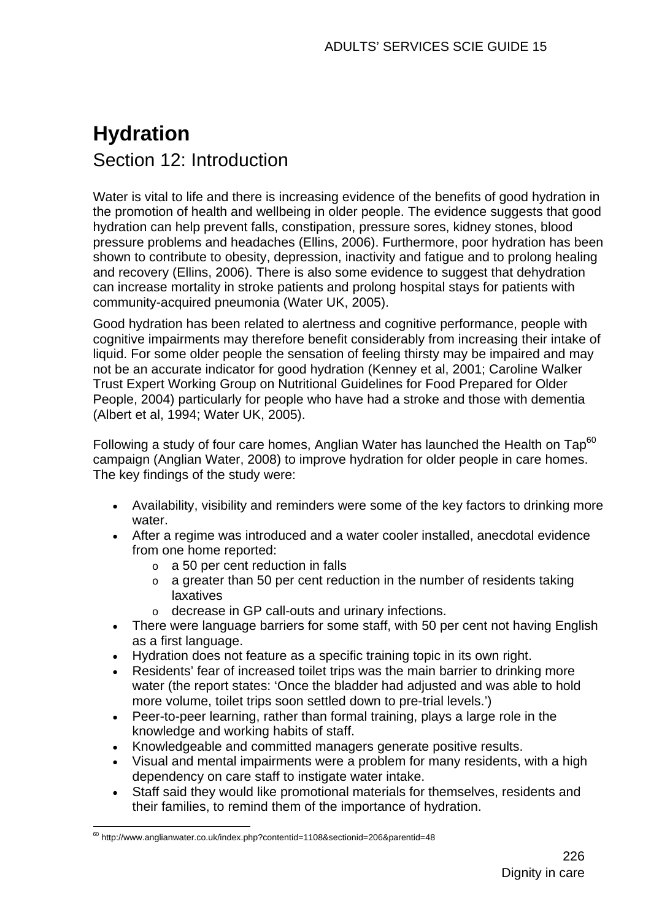# **Hydration**  Section 12: Introduction

Water is vital to life and there is increasing evidence of the benefits of good hydration in the promotion of health and wellbeing in older people. The evidence suggests that good hydration can help prevent falls, constipation, pressure sores, kidney stones, blood pressure problems and headaches (Ellins, 2006). Furthermore, poor hydration has been shown to contribute to obesity, depression, inactivity and fatigue and to prolong healing and recovery (Ellins, 2006). There is also some evidence to suggest that dehydration can increase mortality in stroke patients and prolong hospital stays for patients with community-acquired pneumonia (Water UK, 2005).

Good hydration has been related to alertness and cognitive performance, people with cognitive impairments may therefore benefit considerably from increasing their intake of liquid. For some older people the sensation of feeling thirsty may be impaired and may not be an accurate indicator for good hydration (Kenney et al, 2001; Caroline Walker Trust Expert Working Group on Nutritional Guidelines for Food Prepared for Older People, 2004) particularly for people who have had a stroke and those with dementia (Albert et al, 1994; Water UK, 2005).

Following a study of four care homes, Anglian Water has launched the Health on  $\text{Tan}^{60}$ campaign (Anglian Water, 2008) to improve hydration for older people in care homes. The key findings of the study were:

- Availability, visibility and reminders were some of the key factors to drinking more water.
- After a regime was introduced and a water cooler installed, anecdotal evidence from one home reported:
	- $\circ$  a 50 per cent reduction in falls
	- $\circ$  a greater than 50 per cent reduction in the number of residents taking laxatives
	- o decrease in GP call-outs and urinary infections.
- There were language barriers for some staff, with 50 per cent not having English as a first language.
- Hydration does not feature as a specific training topic in its own right.
- Residents' fear of increased toilet trips was the main barrier to drinking more water (the report states: 'Once the bladder had adjusted and was able to hold more volume, toilet trips soon settled down to pre-trial levels.')
- Peer-to-peer learning, rather than formal training, plays a large role in the knowledge and working habits of staff.
- Knowledgeable and committed managers generate positive results.
- Visual and mental impairments were a problem for many residents, with a high dependency on care staff to instigate water intake.
- Staff said they would like promotional materials for themselves, residents and their families, to remind them of the importance of hydration.

<sup>1</sup>  $60$  http://www.anglianwater.co.uk/index.php?contentid=1108&sectionid=206&parentid=48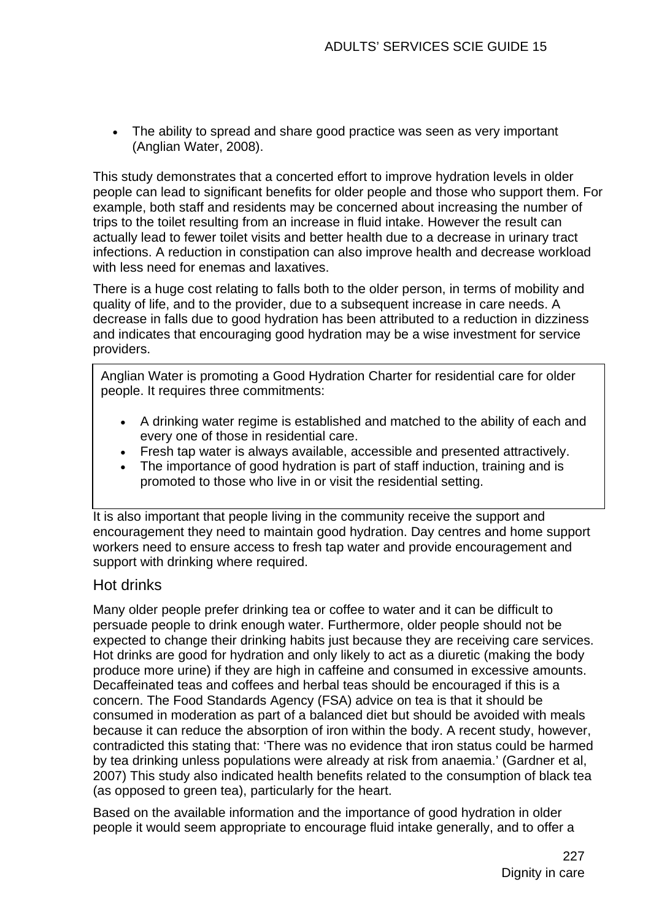• The ability to spread and share good practice was seen as very important (Anglian Water, 2008).

This study demonstrates that a concerted effort to improve hydration levels in older people can lead to significant benefits for older people and those who support them. For example, both staff and residents may be concerned about increasing the number of trips to the toilet resulting from an increase in fluid intake. However the result can actually lead to fewer toilet visits and better health due to a decrease in urinary tract infections. A reduction in constipation can also improve health and decrease workload with less need for enemas and laxatives.

There is a huge cost relating to falls both to the older person, in terms of mobility and quality of life, and to the provider, due to a subsequent increase in care needs. A decrease in falls due to good hydration has been attributed to a reduction in dizziness and indicates that encouraging good hydration may be a wise investment for service providers.

Anglian Water is promoting a Good Hydration Charter for residential care for older people. It requires three commitments:

- A drinking water regime is established and matched to the ability of each and every one of those in residential care.
- Fresh tap water is always available, accessible and presented attractively.
- The importance of good hydration is part of staff induction, training and is promoted to those who live in or visit the residential setting.

It is also important that people living in the community receive the support and encouragement they need to maintain good hydration. Day centres and home support workers need to ensure access to fresh tap water and provide encouragement and support with drinking where required.

#### Hot drinks

Many older people prefer drinking tea or coffee to water and it can be difficult to persuade people to drink enough water. Furthermore, older people should not be expected to change their drinking habits just because they are receiving care services. Hot drinks are good for hydration and only likely to act as a diuretic (making the body produce more urine) if they are high in caffeine and consumed in excessive amounts. Decaffeinated teas and coffees and herbal teas should be encouraged if this is a concern. The Food Standards Agency (FSA) advice on tea is that it should be consumed in moderation as part of a balanced diet but should be avoided with meals because it can reduce the absorption of iron within the body. A recent study, however, contradicted this stating that: 'There was no evidence that iron status could be harmed by tea drinking unless populations were already at risk from anaemia.' (Gardner et al, 2007) This study also indicated health benefits related to the consumption of black tea (as opposed to green tea), particularly for the heart.

Based on the available information and the importance of good hydration in older people it would seem appropriate to encourage fluid intake generally, and to offer a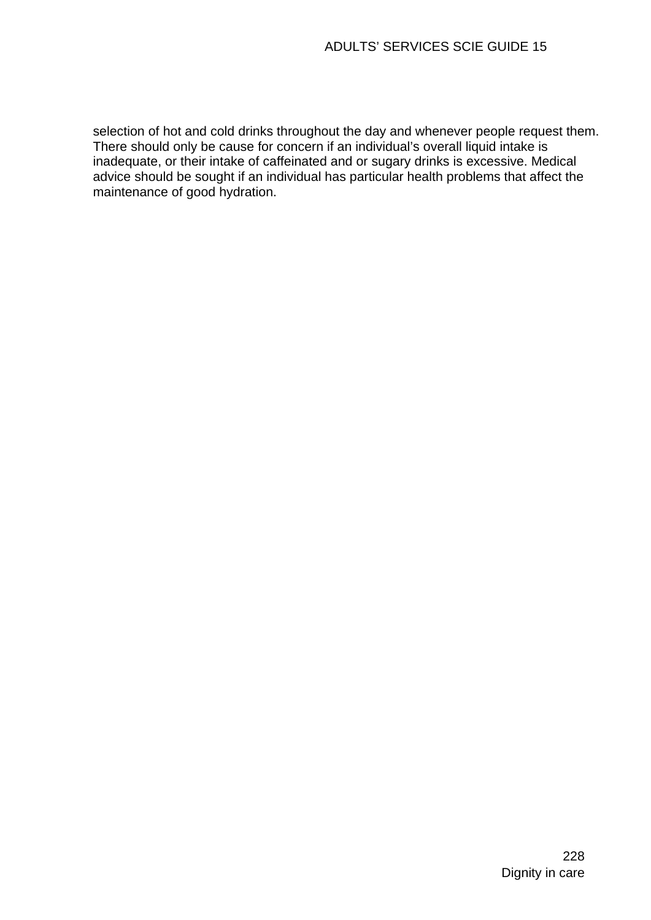selection of hot and cold drinks throughout the day and whenever people request them. There should only be cause for concern if an individual's overall liquid intake is inadequate, or their intake of caffeinated and or sugary drinks is excessive. Medical advice should be sought if an individual has particular health problems that affect the maintenance of good hydration.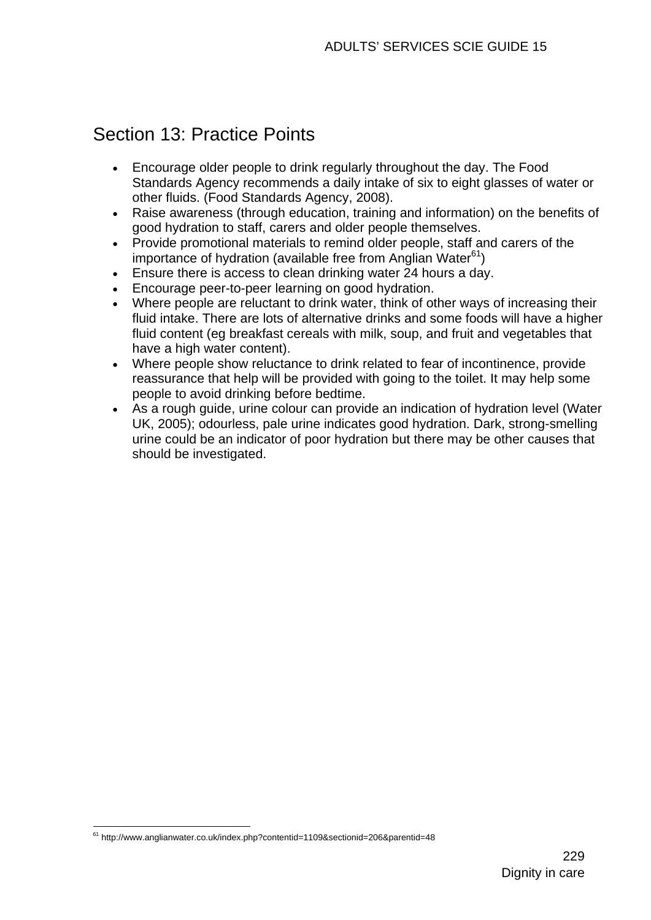## Section 13: Practice Points

- Encourage older people to drink regularly throughout the day. The Food Standards Agency recommends a daily intake of six to eight glasses of water or other fluids. (Food Standards Agency, 2008).
- Raise awareness (through education, training and information) on the benefits of good hydration to staff, carers and older people themselves.
- Provide promotional materials to remind older people, staff and carers of the importance of hydration (available free from Anglian Water $61$ )
- Ensure there is access to clean drinking water 24 hours a day.
- Encourage peer-to-peer learning on good hydration.
- Where people are reluctant to drink water, think of other ways of increasing their fluid intake. There are lots of alternative drinks and some foods will have a higher fluid content (eg breakfast cereals with milk, soup, and fruit and vegetables that have a high water content).
- Where people show reluctance to drink related to fear of incontinence, provide reassurance that help will be provided with going to the toilet. It may help some people to avoid drinking before bedtime.
- As a rough guide, urine colour can provide an indication of hydration level (Water UK, 2005); odourless, pale urine indicates good hydration. Dark, strong-smelling urine could be an indicator of poor hydration but there may be other causes that should be investigated.

<sup>1</sup>  $61$  http://www.anglianwater.co.uk/index.php?contentid=1109&sectionid=206&parentid=48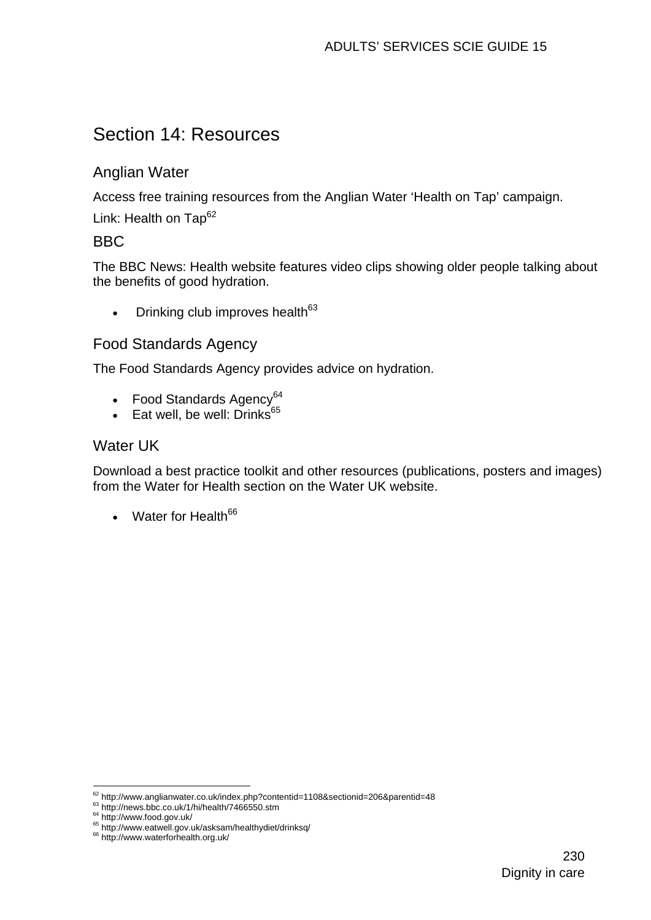## Section 14: Resources

## Anglian Water

Access free training resources from the Anglian Water 'Health on Tap' campaign.

Link: Health on  $TaD^{62}$ 

## BBC

The BBC News: Health website features video clips showing older people talking about the benefits of good hydration.

• Drinking club improves health $63$ 

## Food Standards Agency

The Food Standards Agency provides advice on hydration.

- Food Standards Agency<sup>64</sup>
- **Eat well, be well: Drinks**<sup>65</sup>

#### Water UK

Download a best practice toolkit and other resources (publications, posters and images) from the Water for Health section on the Water UK website.

• Water for Health<sup>66</sup>

<u>.</u>

<sup>&</sup>lt;sup>62</sup> http://www.anglianwater.co.uk/index.php?contentid=1108&sectionid=206&parentid=48<br><sup>63</sup> http://news.bbc.co.uk/1/hi/health/7466550.stm<br><sup>64</sup> http://www.food.gov.uk/<br><sup>65</sup> http://www.eatwell.gov.uk/asksam/healthydiet/drinks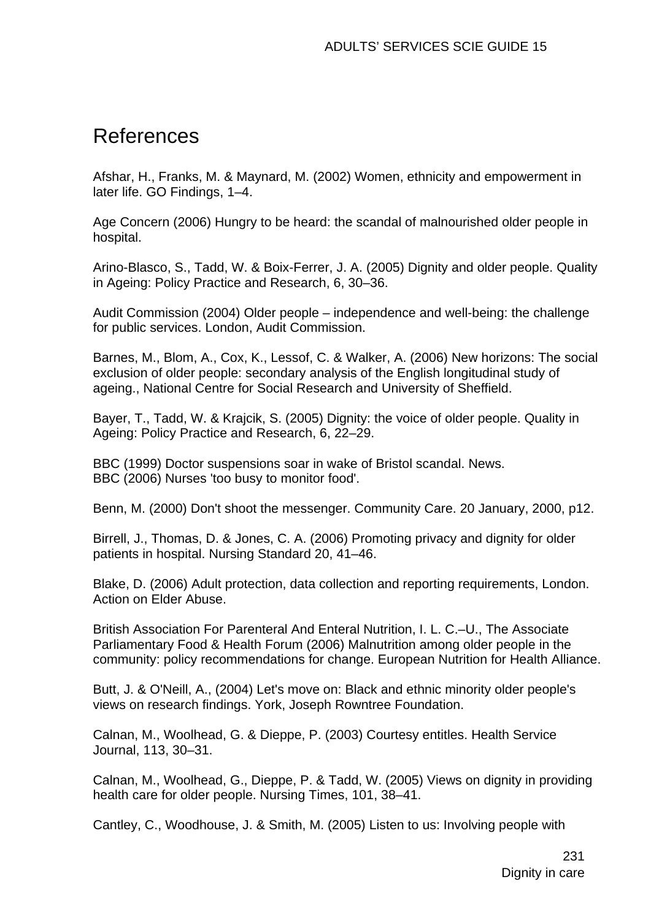## References

Afshar, H., Franks, M. & Maynard, M. (2002) Women, ethnicity and empowerment in later life. GO Findings, 1–4.

Age Concern (2006) Hungry to be heard: the scandal of malnourished older people in hospital.

Arino-Blasco, S., Tadd, W. & Boix-Ferrer, J. A. (2005) Dignity and older people. Quality in Ageing: Policy Practice and Research, 6, 30–36.

Audit Commission (2004) Older people – independence and well-being: the challenge for public services. London, Audit Commission.

Barnes, M., Blom, A., Cox, K., Lessof, C. & Walker, A. (2006) New horizons: The social exclusion of older people: secondary analysis of the English longitudinal study of ageing., National Centre for Social Research and University of Sheffield.

Bayer, T., Tadd, W. & Krajcik, S. (2005) Dignity: the voice of older people. Quality in Ageing: Policy Practice and Research, 6, 22–29.

BBC (1999) Doctor suspensions soar in wake of Bristol scandal. News. BBC (2006) Nurses 'too busy to monitor food'.

Benn, M. (2000) Don't shoot the messenger. Community Care. 20 January, 2000, p12.

Birrell, J., Thomas, D. & Jones, C. A. (2006) Promoting privacy and dignity for older patients in hospital. Nursing Standard 20, 41–46.

Blake, D. (2006) Adult protection, data collection and reporting requirements, London. Action on Elder Abuse.

British Association For Parenteral And Enteral Nutrition, I. L. C.–U., The Associate Parliamentary Food & Health Forum (2006) Malnutrition among older people in the community: policy recommendations for change. European Nutrition for Health Alliance.

Butt, J. & O'Neill, A., (2004) Let's move on: Black and ethnic minority older people's views on research findings. York, Joseph Rowntree Foundation.

Calnan, M., Woolhead, G. & Dieppe, P. (2003) Courtesy entitles. Health Service Journal, 113, 30–31.

Calnan, M., Woolhead, G., Dieppe, P. & Tadd, W. (2005) Views on dignity in providing health care for older people. Nursing Times, 101, 38–41.

Cantley, C., Woodhouse, J. & Smith, M. (2005) Listen to us: Involving people with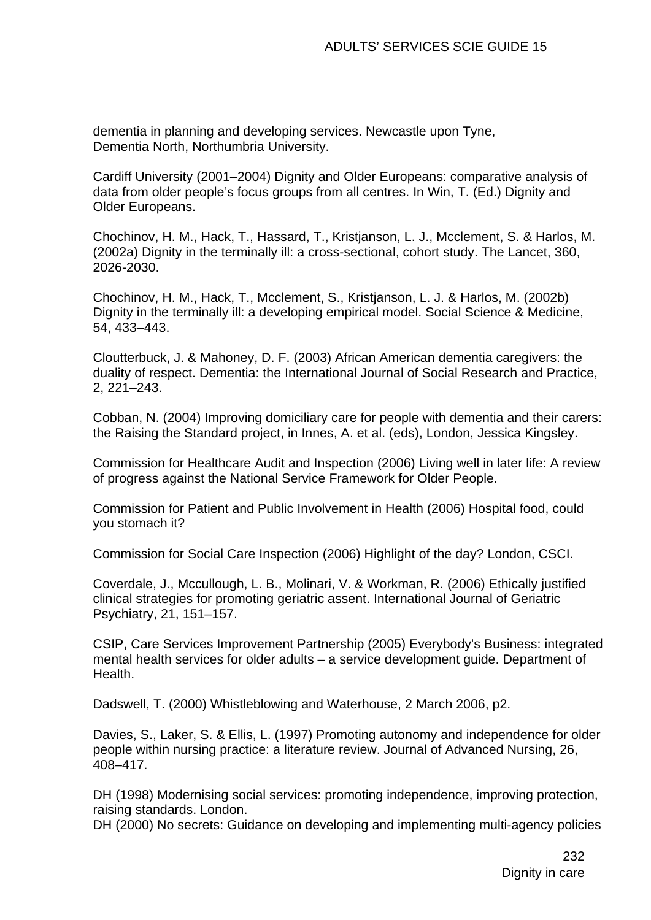dementia in planning and developing services. Newcastle upon Tyne, Dementia North, Northumbria University.

Cardiff University (2001–2004) Dignity and Older Europeans: comparative analysis of data from older people's focus groups from all centres. In Win, T. (Ed.) Dignity and Older Europeans.

Chochinov, H. M., Hack, T., Hassard, T., Kristjanson, L. J., Mcclement, S. & Harlos, M. (2002a) Dignity in the terminally ill: a cross-sectional, cohort study. The Lancet, 360, 2026-2030.

Chochinov, H. M., Hack, T., Mcclement, S., Kristjanson, L. J. & Harlos, M. (2002b) Dignity in the terminally ill: a developing empirical model. Social Science & Medicine, 54, 433–443.

Cloutterbuck, J. & Mahoney, D. F. (2003) African American dementia caregivers: the duality of respect. Dementia: the International Journal of Social Research and Practice, 2, 221–243.

Cobban, N. (2004) Improving domiciliary care for people with dementia and their carers: the Raising the Standard project, in Innes, A. et al. (eds), London, Jessica Kingsley.

Commission for Healthcare Audit and Inspection (2006) Living well in later life: A review of progress against the National Service Framework for Older People.

Commission for Patient and Public Involvement in Health (2006) Hospital food, could you stomach it?

Commission for Social Care Inspection (2006) Highlight of the day? London, CSCI.

Coverdale, J., Mccullough, L. B., Molinari, V. & Workman, R. (2006) Ethically justified clinical strategies for promoting geriatric assent. International Journal of Geriatric Psychiatry, 21, 151–157.

CSIP, Care Services Improvement Partnership (2005) Everybody's Business: integrated mental health services for older adults – a service development guide. Department of Health.

Dadswell, T. (2000) Whistleblowing and Waterhouse, 2 March 2006, p2.

Davies, S., Laker, S. & Ellis, L. (1997) Promoting autonomy and independence for older people within nursing practice: a literature review. Journal of Advanced Nursing, 26, 408–417.

DH (1998) Modernising social services: promoting independence, improving protection, raising standards. London.

DH (2000) No secrets: Guidance on developing and implementing multi-agency policies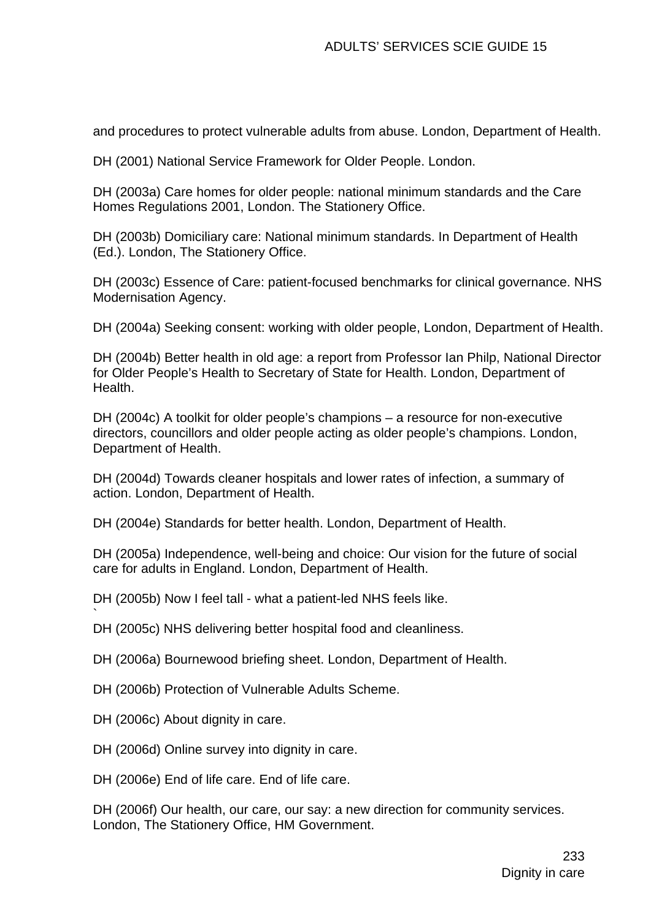and procedures to protect vulnerable adults from abuse. London, Department of Health.

DH (2001) National Service Framework for Older People. London.

DH (2003a) Care homes for older people: national minimum standards and the Care Homes Regulations 2001, London. The Stationery Office.

DH (2003b) Domiciliary care: National minimum standards. In Department of Health (Ed.). London, The Stationery Office.

DH (2003c) Essence of Care: patient-focused benchmarks for clinical governance. NHS Modernisation Agency.

DH (2004a) Seeking consent: working with older people, London, Department of Health.

DH (2004b) Better health in old age: a report from Professor Ian Philp, National Director for Older People's Health to Secretary of State for Health. London, Department of Health.

DH (2004c) A toolkit for older people's champions – a resource for non-executive directors, councillors and older people acting as older people's champions. London, Department of Health.

DH (2004d) Towards cleaner hospitals and lower rates of infection, a summary of action. London, Department of Health.

DH (2004e) Standards for better health. London, Department of Health.

DH (2005a) Independence, well-being and choice: Our vision for the future of social care for adults in England. London, Department of Health.

DH (2005b) Now I feel tall - what a patient-led NHS feels like.

DH (2005c) NHS delivering better hospital food and cleanliness.

DH (2006a) Bournewood briefing sheet. London, Department of Health.

DH (2006b) Protection of Vulnerable Adults Scheme.

DH (2006c) About dignity in care.

`

DH (2006d) Online survey into dignity in care.

DH (2006e) End of life care. End of life care.

DH (2006f) Our health, our care, our say: a new direction for community services. London, The Stationery Office, HM Government.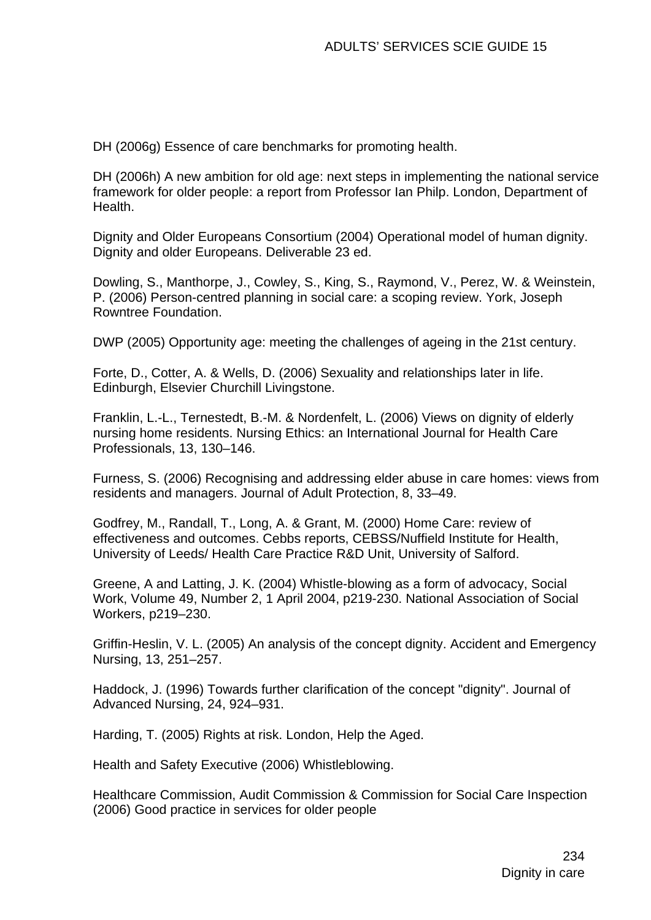DH (2006g) Essence of care benchmarks for promoting health.

DH (2006h) A new ambition for old age: next steps in implementing the national service framework for older people: a report from Professor Ian Philp. London, Department of Health.

Dignity and Older Europeans Consortium (2004) Operational model of human dignity. Dignity and older Europeans. Deliverable 23 ed.

Dowling, S., Manthorpe, J., Cowley, S., King, S., Raymond, V., Perez, W. & Weinstein, P. (2006) Person-centred planning in social care: a scoping review. York, Joseph Rowntree Foundation.

DWP (2005) Opportunity age: meeting the challenges of ageing in the 21st century.

Forte, D., Cotter, A. & Wells, D. (2006) Sexuality and relationships later in life. Edinburgh, Elsevier Churchill Livingstone.

Franklin, L.-L., Ternestedt, B.-M. & Nordenfelt, L. (2006) Views on dignity of elderly nursing home residents. Nursing Ethics: an International Journal for Health Care Professionals, 13, 130–146.

Furness, S. (2006) Recognising and addressing elder abuse in care homes: views from residents and managers. Journal of Adult Protection, 8, 33–49.

Godfrey, M., Randall, T., Long, A. & Grant, M. (2000) Home Care: review of effectiveness and outcomes. Cebbs reports, CEBSS/Nuffield Institute for Health, University of Leeds/ Health Care Practice R&D Unit, University of Salford.

Greene, A and Latting, J. K. (2004) Whistle-blowing as a form of advocacy, Social Work, Volume 49, Number 2, 1 April 2004, p219-230. National Association of Social Workers, p219–230.

Griffin-Heslin, V. L. (2005) An analysis of the concept dignity. Accident and Emergency Nursing, 13, 251–257.

Haddock, J. (1996) Towards further clarification of the concept "dignity". Journal of Advanced Nursing, 24, 924–931.

Harding, T. (2005) Rights at risk. London, Help the Aged.

Health and Safety Executive (2006) Whistleblowing.

Healthcare Commission, Audit Commission & Commission for Social Care Inspection (2006) Good practice in services for older people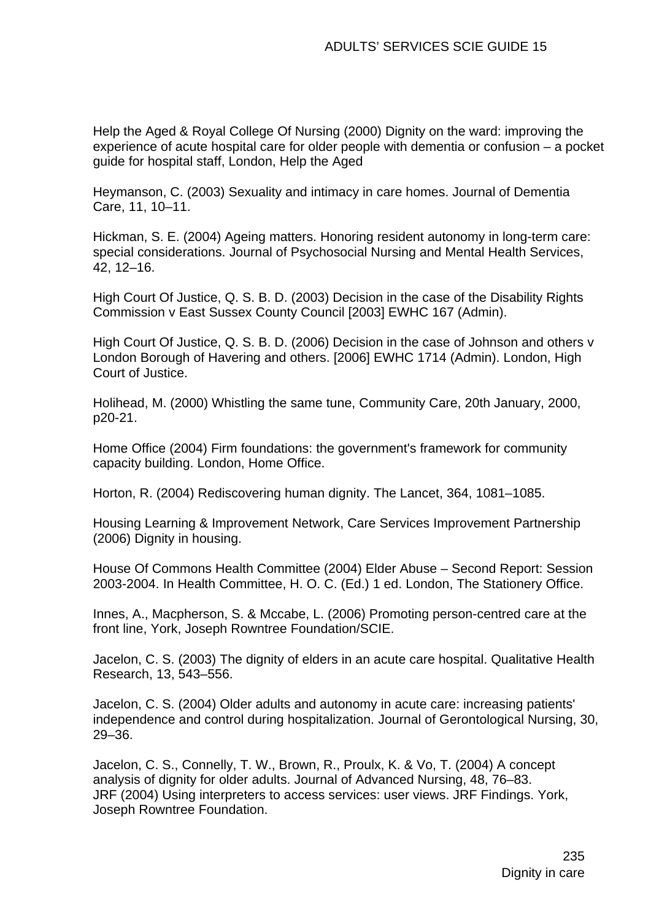Help the Aged & Royal College Of Nursing (2000) Dignity on the ward: improving the experience of acute hospital care for older people with dementia or confusion – a pocket guide for hospital staff, London, Help the Aged

Heymanson, C. (2003) Sexuality and intimacy in care homes. Journal of Dementia Care, 11, 10–11.

Hickman, S. E. (2004) Ageing matters. Honoring resident autonomy in long-term care: special considerations. Journal of Psychosocial Nursing and Mental Health Services, 42, 12–16.

High Court Of Justice, Q. S. B. D. (2003) Decision in the case of the Disability Rights Commission v East Sussex County Council [2003] EWHC 167 (Admin).

High Court Of Justice, Q. S. B. D. (2006) Decision in the case of Johnson and others v London Borough of Havering and others. [2006] EWHC 1714 (Admin). London, High Court of Justice.

Holihead, M. (2000) Whistling the same tune, Community Care, 20th January, 2000, p20-21.

Home Office (2004) Firm foundations: the government's framework for community capacity building. London, Home Office.

Horton, R. (2004) Rediscovering human dignity. The Lancet, 364, 1081–1085.

Housing Learning & Improvement Network, Care Services Improvement Partnership (2006) Dignity in housing.

House Of Commons Health Committee (2004) Elder Abuse – Second Report: Session 2003-2004. In Health Committee, H. O. C. (Ed.) 1 ed. London, The Stationery Office.

Innes, A., Macpherson, S. & Mccabe, L. (2006) Promoting person-centred care at the front line, York, Joseph Rowntree Foundation/SCIE.

Jacelon, C. S. (2003) The dignity of elders in an acute care hospital. Qualitative Health Research, 13, 543–556.

Jacelon, C. S. (2004) Older adults and autonomy in acute care: increasing patients' independence and control during hospitalization. Journal of Gerontological Nursing, 30, 29–36.

Jacelon, C. S., Connelly, T. W., Brown, R., Proulx, K. & Vo, T. (2004) A concept analysis of dignity for older adults. Journal of Advanced Nursing, 48, 76–83. JRF (2004) Using interpreters to access services: user views. JRF Findings. York, Joseph Rowntree Foundation.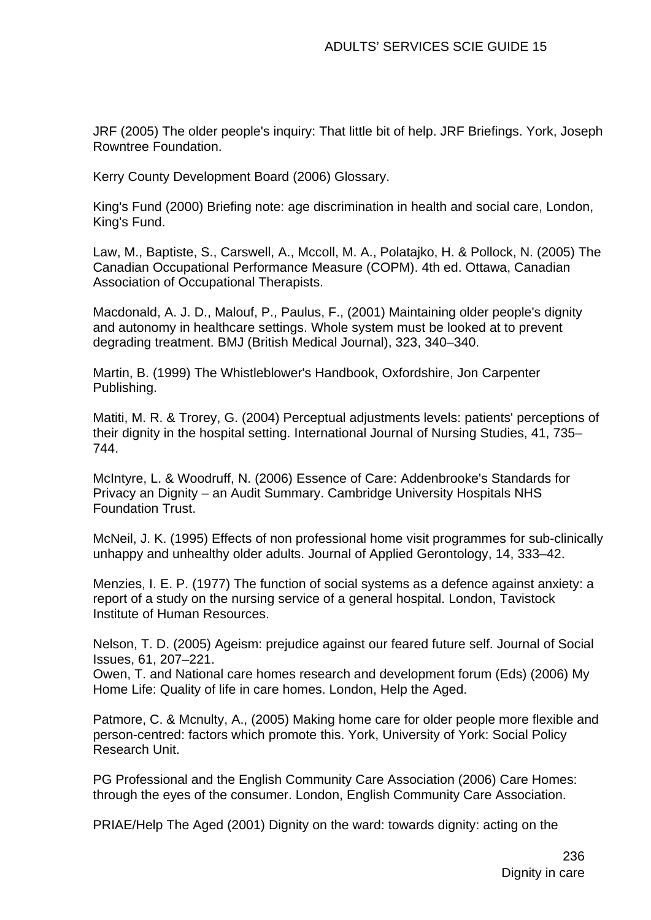JRF (2005) The older people's inquiry: That little bit of help. JRF Briefings. York, Joseph Rowntree Foundation.

Kerry County Development Board (2006) Glossary.

King's Fund (2000) Briefing note: age discrimination in health and social care, London, King's Fund.

Law, M., Baptiste, S., Carswell, A., Mccoll, M. A., Polatajko, H. & Pollock, N. (2005) The Canadian Occupational Performance Measure (COPM). 4th ed. Ottawa, Canadian Association of Occupational Therapists.

Macdonald, A. J. D., Malouf, P., Paulus, F., (2001) Maintaining older people's dignity and autonomy in healthcare settings. Whole system must be looked at to prevent degrading treatment. BMJ (British Medical Journal), 323, 340–340.

Martin, B. (1999) The Whistleblower's Handbook, Oxfordshire, Jon Carpenter Publishing.

Matiti, M. R. & Trorey, G. (2004) Perceptual adjustments levels: patients' perceptions of their dignity in the hospital setting. International Journal of Nursing Studies, 41, 735– 744.

McIntyre, L. & Woodruff, N. (2006) Essence of Care: Addenbrooke's Standards for Privacy an Dignity – an Audit Summary. Cambridge University Hospitals NHS Foundation Trust.

McNeil, J. K. (1995) Effects of non professional home visit programmes for sub-clinically unhappy and unhealthy older adults. Journal of Applied Gerontology, 14, 333–42.

Menzies, I. E. P. (1977) The function of social systems as a defence against anxiety: a report of a study on the nursing service of a general hospital. London, Tavistock Institute of Human Resources.

Nelson, T. D. (2005) Ageism: prejudice against our feared future self. Journal of Social Issues, 61, 207–221.

Owen, T. and National care homes research and development forum (Eds) (2006) My Home Life: Quality of life in care homes. London, Help the Aged.

Patmore, C. & Mcnulty, A., (2005) Making home care for older people more flexible and person-centred: factors which promote this. York, University of York: Social Policy Research Unit.

PG Professional and the English Community Care Association (2006) Care Homes: through the eyes of the consumer. London, English Community Care Association.

PRIAE/Help The Aged (2001) Dignity on the ward: towards dignity: acting on the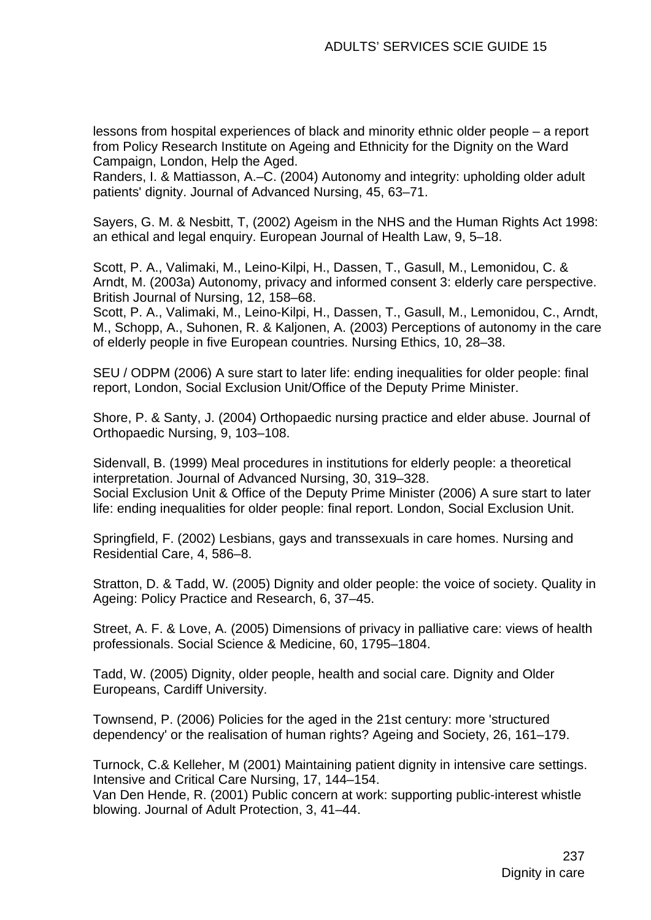lessons from hospital experiences of black and minority ethnic older people – a report from Policy Research Institute on Ageing and Ethnicity for the Dignity on the Ward Campaign, London, Help the Aged.

Randers, I. & Mattiasson, A.–C. (2004) Autonomy and integrity: upholding older adult patients' dignity. Journal of Advanced Nursing, 45, 63–71.

Sayers, G. M. & Nesbitt, T, (2002) Ageism in the NHS and the Human Rights Act 1998: an ethical and legal enquiry. European Journal of Health Law, 9, 5–18.

Scott, P. A., Valimaki, M., Leino-Kilpi, H., Dassen, T., Gasull, M., Lemonidou, C. & Arndt, M. (2003a) Autonomy, privacy and informed consent 3: elderly care perspective. British Journal of Nursing, 12, 158–68.

Scott, P. A., Valimaki, M., Leino-Kilpi, H., Dassen, T., Gasull, M., Lemonidou, C., Arndt, M., Schopp, A., Suhonen, R. & Kaljonen, A. (2003) Perceptions of autonomy in the care of elderly people in five European countries. Nursing Ethics, 10, 28–38.

SEU / ODPM (2006) A sure start to later life: ending inequalities for older people: final report, London, Social Exclusion Unit/Office of the Deputy Prime Minister.

Shore, P. & Santy, J. (2004) Orthopaedic nursing practice and elder abuse. Journal of Orthopaedic Nursing, 9, 103–108.

Sidenvall, B. (1999) Meal procedures in institutions for elderly people: a theoretical interpretation. Journal of Advanced Nursing, 30, 319–328. Social Exclusion Unit & Office of the Deputy Prime Minister (2006) A sure start to later life: ending inequalities for older people: final report. London, Social Exclusion Unit.

Springfield, F. (2002) Lesbians, gays and transsexuals in care homes. Nursing and Residential Care, 4, 586–8.

Stratton, D. & Tadd, W. (2005) Dignity and older people: the voice of society. Quality in Ageing: Policy Practice and Research, 6, 37–45.

Street, A. F. & Love, A. (2005) Dimensions of privacy in palliative care: views of health professionals. Social Science & Medicine, 60, 1795–1804.

Tadd, W. (2005) Dignity, older people, health and social care. Dignity and Older Europeans, Cardiff University.

Townsend, P. (2006) Policies for the aged in the 21st century: more 'structured dependency' or the realisation of human rights? Ageing and Society, 26, 161–179.

Turnock, C.& Kelleher, M (2001) Maintaining patient dignity in intensive care settings. Intensive and Critical Care Nursing, 17, 144–154.

Van Den Hende, R. (2001) Public concern at work: supporting public-interest whistle blowing. Journal of Adult Protection, 3, 41–44.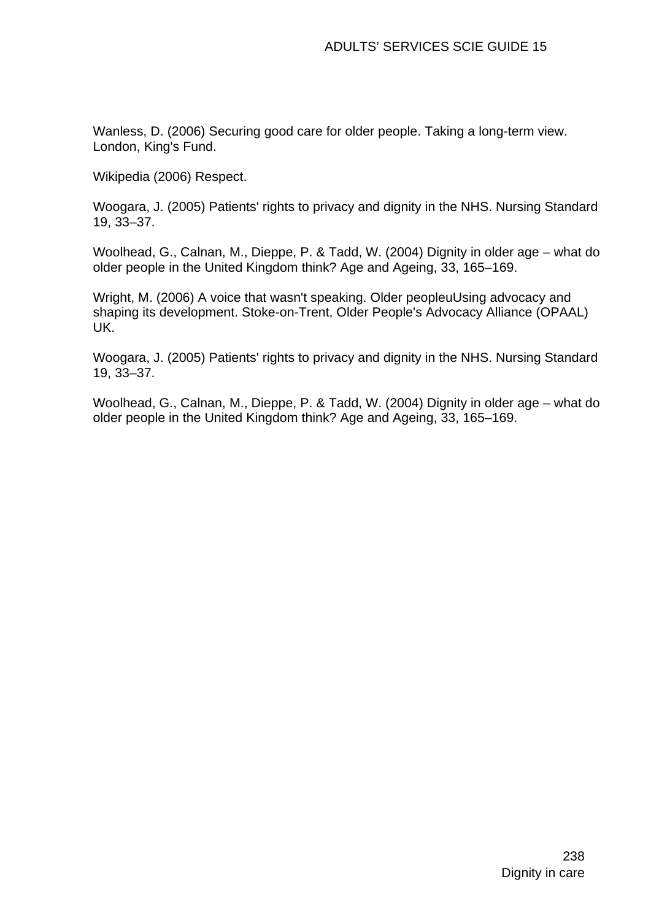Wanless, D. (2006) Securing good care for older people. Taking a long-term view. London, King's Fund.

Wikipedia (2006) Respect.

Woogara, J. (2005) Patients' rights to privacy and dignity in the NHS. Nursing Standard 19, 33–37.

Woolhead, G., Calnan, M., Dieppe, P. & Tadd, W. (2004) Dignity in older age – what do older people in the United Kingdom think? Age and Ageing, 33, 165–169.

Wright, M. (2006) A voice that wasn't speaking. Older peopleuUsing advocacy and shaping its development. Stoke-on-Trent, Older People's Advocacy Alliance (OPAAL) UK.

Woogara, J. (2005) Patients' rights to privacy and dignity in the NHS. Nursing Standard 19, 33–37.

Woolhead, G., Calnan, M., Dieppe, P. & Tadd, W. (2004) Dignity in older age – what do older people in the United Kingdom think? Age and Ageing, 33, 165–169.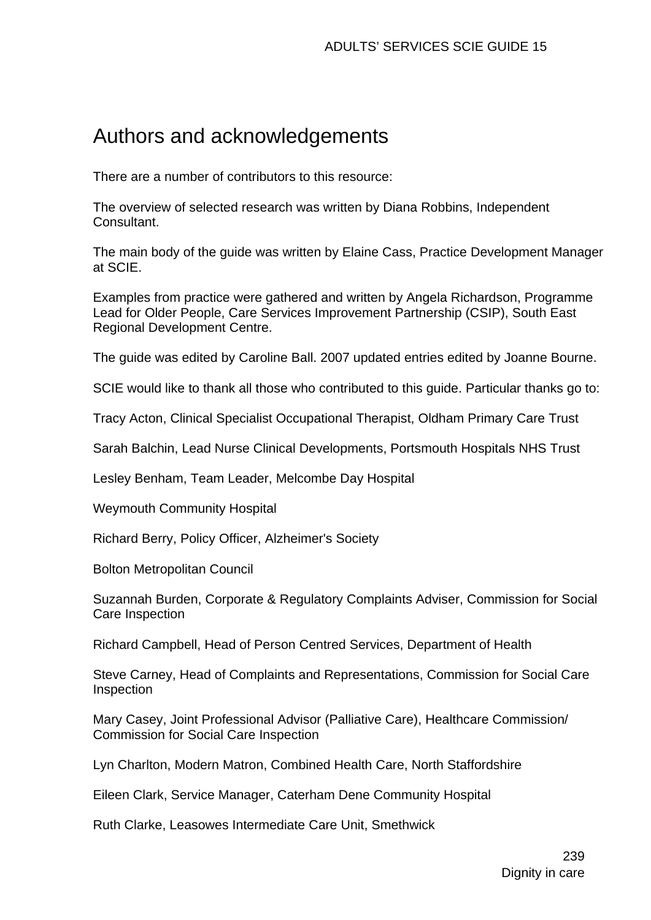# Authors and acknowledgements

There are a number of contributors to this resource:

The overview of selected research was written by Diana Robbins, Independent Consultant.

The main body of the guide was written by Elaine Cass, Practice Development Manager at SCIE.

Examples from practice were gathered and written by Angela Richardson, Programme Lead for Older People, Care Services Improvement Partnership (CSIP), South East Regional Development Centre.

The guide was edited by Caroline Ball. 2007 updated entries edited by Joanne Bourne.

SCIE would like to thank all those who contributed to this guide. Particular thanks go to:

Tracy Acton, Clinical Specialist Occupational Therapist, Oldham Primary Care Trust

Sarah Balchin, Lead Nurse Clinical Developments, Portsmouth Hospitals NHS Trust

Lesley Benham, Team Leader, Melcombe Day Hospital

Weymouth Community Hospital

Richard Berry, Policy Officer, Alzheimer's Society

Bolton Metropolitan Council

Suzannah Burden, Corporate & Regulatory Complaints Adviser, Commission for Social Care Inspection

Richard Campbell, Head of Person Centred Services, Department of Health

Steve Carney, Head of Complaints and Representations, Commission for Social Care **Inspection** 

Mary Casey, Joint Professional Advisor (Palliative Care), Healthcare Commission/ Commission for Social Care Inspection

Lyn Charlton, Modern Matron, Combined Health Care, North Staffordshire

Eileen Clark, Service Manager, Caterham Dene Community Hospital

Ruth Clarke, Leasowes Intermediate Care Unit, Smethwick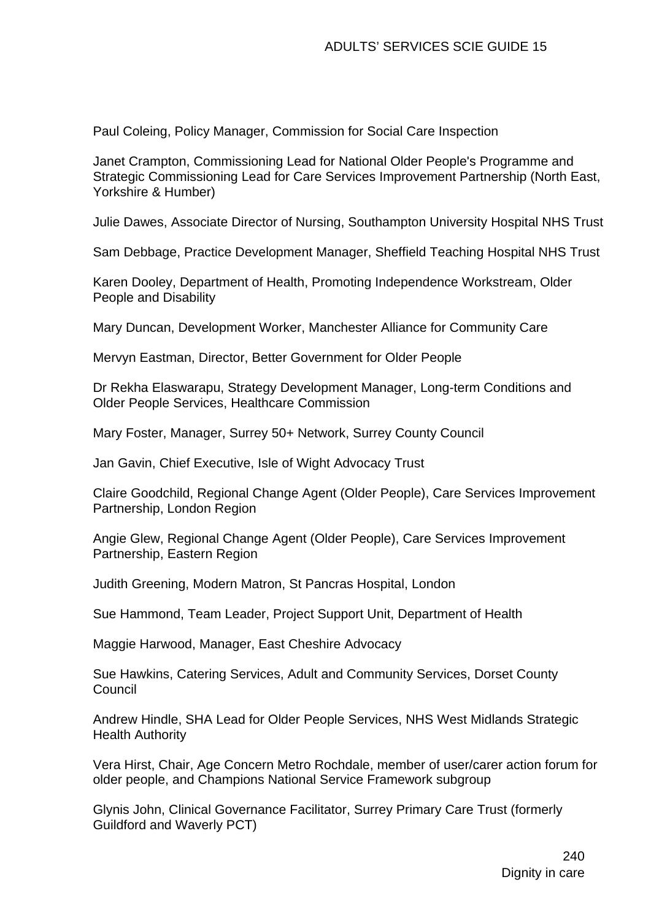Paul Coleing, Policy Manager, Commission for Social Care Inspection

Janet Crampton, Commissioning Lead for National Older People's Programme and Strategic Commissioning Lead for Care Services Improvement Partnership (North East, Yorkshire & Humber)

Julie Dawes, Associate Director of Nursing, Southampton University Hospital NHS Trust

Sam Debbage, Practice Development Manager, Sheffield Teaching Hospital NHS Trust

Karen Dooley, Department of Health, Promoting Independence Workstream, Older People and Disability

Mary Duncan, Development Worker, Manchester Alliance for Community Care

Mervyn Eastman, Director, Better Government for Older People

Dr Rekha Elaswarapu, Strategy Development Manager, Long-term Conditions and Older People Services, Healthcare Commission

Mary Foster, Manager, Surrey 50+ Network, Surrey County Council

Jan Gavin, Chief Executive, Isle of Wight Advocacy Trust

Claire Goodchild, Regional Change Agent (Older People), Care Services Improvement Partnership, London Region

Angie Glew, Regional Change Agent (Older People), Care Services Improvement Partnership, Eastern Region

Judith Greening, Modern Matron, St Pancras Hospital, London

Sue Hammond, Team Leader, Project Support Unit, Department of Health

Maggie Harwood, Manager, East Cheshire Advocacy

Sue Hawkins, Catering Services, Adult and Community Services, Dorset County Council

Andrew Hindle, SHA Lead for Older People Services, NHS West Midlands Strategic Health Authority

Vera Hirst, Chair, Age Concern Metro Rochdale, member of user/carer action forum for older people, and Champions National Service Framework subgroup

Glynis John, Clinical Governance Facilitator, Surrey Primary Care Trust (formerly Guildford and Waverly PCT)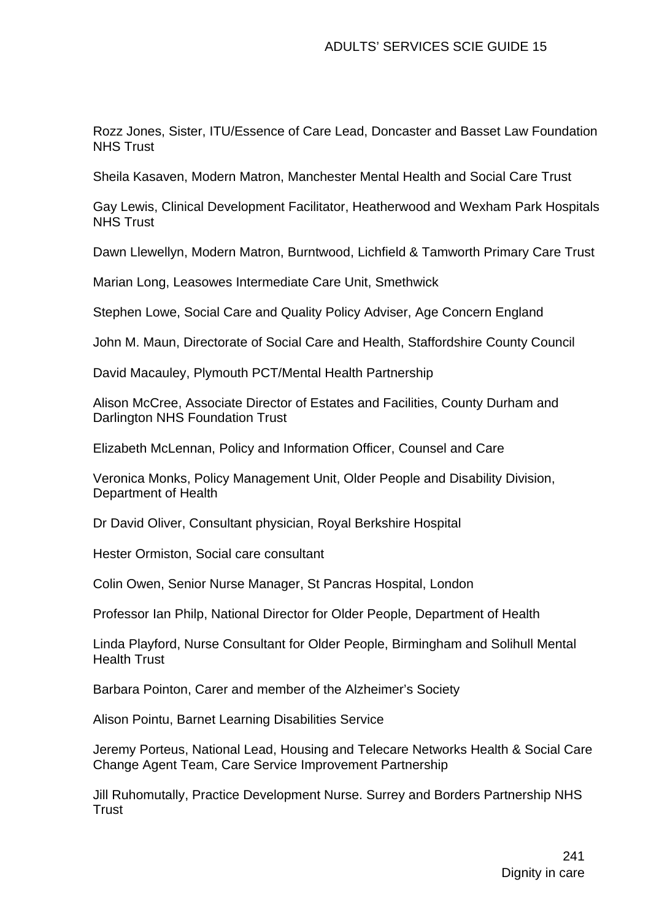Rozz Jones, Sister, ITU/Essence of Care Lead, Doncaster and Basset Law Foundation NHS Trust

Sheila Kasaven, Modern Matron, Manchester Mental Health and Social Care Trust

Gay Lewis, Clinical Development Facilitator, Heatherwood and Wexham Park Hospitals NHS Trust

Dawn Llewellyn, Modern Matron, Burntwood, Lichfield & Tamworth Primary Care Trust

Marian Long, Leasowes Intermediate Care Unit, Smethwick

Stephen Lowe, Social Care and Quality Policy Adviser, Age Concern England

John M. Maun, Directorate of Social Care and Health, Staffordshire County Council

David Macauley, Plymouth PCT/Mental Health Partnership

Alison McCree, Associate Director of Estates and Facilities, County Durham and Darlington NHS Foundation Trust

Elizabeth McLennan, Policy and Information Officer, Counsel and Care

Veronica Monks, Policy Management Unit, Older People and Disability Division, Department of Health

Dr David Oliver, Consultant physician, Royal Berkshire Hospital

Hester Ormiston, Social care consultant

Colin Owen, Senior Nurse Manager, St Pancras Hospital, London

Professor Ian Philp, National Director for Older People, Department of Health

Linda Playford, Nurse Consultant for Older People, Birmingham and Solihull Mental Health Trust

Barbara Pointon, Carer and member of the Alzheimer's Society

Alison Pointu, Barnet Learning Disabilities Service

Jeremy Porteus, National Lead, Housing and Telecare Networks Health & Social Care Change Agent Team, Care Service Improvement Partnership

Jill Ruhomutally, Practice Development Nurse. Surrey and Borders Partnership NHS **Trust**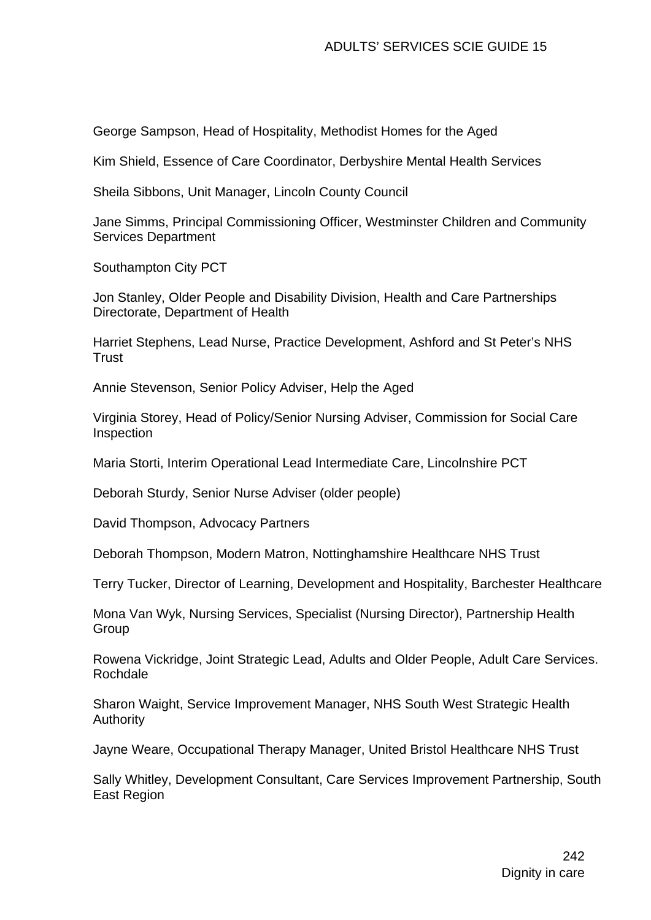George Sampson, Head of Hospitality, Methodist Homes for the Aged

Kim Shield, Essence of Care Coordinator, Derbyshire Mental Health Services

Sheila Sibbons, Unit Manager, Lincoln County Council

Jane Simms, Principal Commissioning Officer, Westminster Children and Community Services Department

Southampton City PCT

Jon Stanley, Older People and Disability Division, Health and Care Partnerships Directorate, Department of Health

Harriet Stephens, Lead Nurse, Practice Development, Ashford and St Peter's NHS **Trust** 

Annie Stevenson, Senior Policy Adviser, Help the Aged

Virginia Storey, Head of Policy/Senior Nursing Adviser, Commission for Social Care Inspection

Maria Storti, Interim Operational Lead Intermediate Care, Lincolnshire PCT

Deborah Sturdy, Senior Nurse Adviser (older people)

David Thompson, Advocacy Partners

Deborah Thompson, Modern Matron, Nottinghamshire Healthcare NHS Trust

Terry Tucker, Director of Learning, Development and Hospitality, Barchester Healthcare

Mona Van Wyk, Nursing Services, Specialist (Nursing Director), Partnership Health **Group** 

Rowena Vickridge, Joint Strategic Lead, Adults and Older People, Adult Care Services. Rochdale

Sharon Waight, Service Improvement Manager, NHS South West Strategic Health Authority

Jayne Weare, Occupational Therapy Manager, United Bristol Healthcare NHS Trust

Sally Whitley, Development Consultant, Care Services Improvement Partnership, South East Region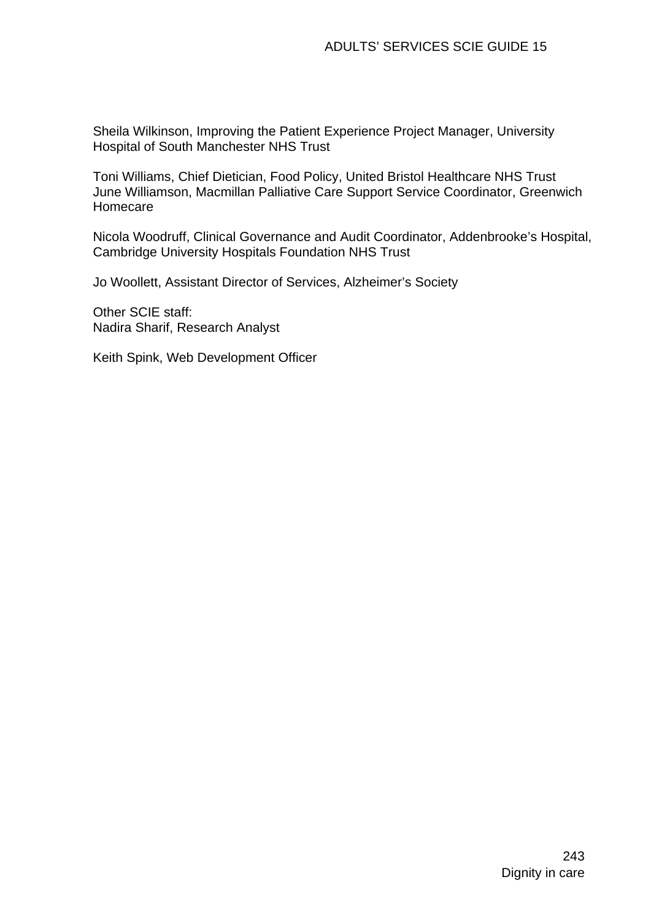Sheila Wilkinson, Improving the Patient Experience Project Manager, University Hospital of South Manchester NHS Trust

Toni Williams, Chief Dietician, Food Policy, United Bristol Healthcare NHS Trust June Williamson, Macmillan Palliative Care Support Service Coordinator, Greenwich Homecare

Nicola Woodruff, Clinical Governance and Audit Coordinator, Addenbrooke's Hospital, Cambridge University Hospitals Foundation NHS Trust

Jo Woollett, Assistant Director of Services, Alzheimer's Society

Other SCIE staff: Nadira Sharif, Research Analyst

Keith Spink, Web Development Officer